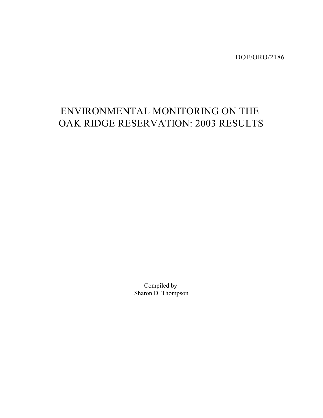DOE/ORO/2186

# ENVIRONMENTAL MONITORING ON THE OAK RIDGE RESERVATION: 2003 RESULTS

Compiled by Sharon D. Thompson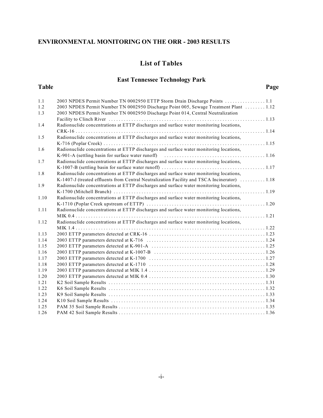### **List of Tables**

## **East Tennessee Technology Park**

#### **Table Page**

| 1.1  | 2003 NPDES Permit Number TN 0002950 ETTP Storm Drain Discharge Points                        |
|------|----------------------------------------------------------------------------------------------|
| 1.2  | 2003 NPDES Permit Number TN 0002950 Discharge Point 005, Sewage Treatment Plant  1.12        |
| 1.3  | 2003 NPDES Permit Number TN 0002950 Discharge Point 014, Central Neutralization              |
|      |                                                                                              |
| 1.4  | Radionuclide concentrations at ETTP discharges and surface water monitoring locations,       |
|      |                                                                                              |
| 1.5  | Radionuclide concentrations at ETTP discharges and surface water monitoring locations,       |
|      |                                                                                              |
| 1.6  | Radionuclide concentrations at ETTP discharges and surface water monitoring locations,       |
|      |                                                                                              |
| 1.7  | Radionuclide concentrations at ETTP discharges and surface water monitoring locations,       |
|      |                                                                                              |
| 1.8  | Radionuclide concentrations at ETTP discharges and surface water monitoring locations,       |
|      | K-1407-J (treated effluents from Central Neutralization Facility and TSCA Incinerator)  1.18 |
| 1.9  | Radionuclide concentrations at ETTP discharges and surface water monitoring locations,       |
|      |                                                                                              |
| 1.10 | Radionuclide concentrations at ETTP discharges and surface water monitoring locations,       |
|      |                                                                                              |
| 1.11 | Radionuclide concentrations at ETTP discharges and surface water monitoring locations,       |
|      |                                                                                              |
| 1.12 | Radionuclide concentrations at ETTP discharges and surface water monitoring locations,       |
|      |                                                                                              |
| 1.13 |                                                                                              |
| 1.14 |                                                                                              |
| 1.15 |                                                                                              |
| 1.16 |                                                                                              |
| 1.17 |                                                                                              |
| 1.18 |                                                                                              |
| 1.19 |                                                                                              |
| 1.20 |                                                                                              |
| 1.21 |                                                                                              |
| 1.22 |                                                                                              |
| 1.23 |                                                                                              |
| 1.24 |                                                                                              |
| 1.25 |                                                                                              |
| 1.26 |                                                                                              |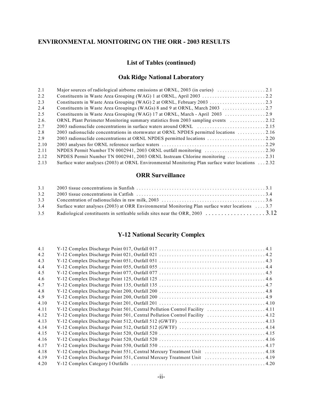#### **List of Tables (continued)**

#### **Oak Ridge National Laboratory**

| 2.1  |                                                                                                   |  |
|------|---------------------------------------------------------------------------------------------------|--|
| 2.2  |                                                                                                   |  |
| 2.3  |                                                                                                   |  |
| 2.4  |                                                                                                   |  |
| 2.5  |                                                                                                   |  |
| 2.6. | ORNL Plant Perimeter Monitoring summary statistics from 2003 sampling events 2.12                 |  |
| 2.7  |                                                                                                   |  |
| 2.8  | 2003 radionuclide concentrations in stormwater at ORNL NPDES permitted locations 2.16             |  |
| 2.9  |                                                                                                   |  |
| 2.10 |                                                                                                   |  |
| 2.11 |                                                                                                   |  |
| 2.12 | NPDES Permit Number TN 0002941, 2003 ORNL Instream Chlorine monitoring 2.31                       |  |
| 2.13 | Surface water analyses (2003) at ORNL Environmental Monitoring Plan surface water locations  2.32 |  |

#### **ORR Surveillance**

| 3.1 |                                                                                                 |  |
|-----|-------------------------------------------------------------------------------------------------|--|
| 3.2 |                                                                                                 |  |
| 3.3 |                                                                                                 |  |
| 3.4 | Surface water analyses (2003) at ORR Environmental Monitoring Plan surface water locations  3.7 |  |
| 3.5 |                                                                                                 |  |

#### **Y-12 National Security Complex**

| 4.1  |                                                                            |  |
|------|----------------------------------------------------------------------------|--|
| 4.2  |                                                                            |  |
| 4.3  |                                                                            |  |
| 4.4  |                                                                            |  |
| 4.5  |                                                                            |  |
| 4.6  |                                                                            |  |
| 4.7  |                                                                            |  |
| 4.8  |                                                                            |  |
| 4.9  |                                                                            |  |
| 4.10 |                                                                            |  |
| 4.11 | Y-12 Complex Discharge Point 501, Central Pollution Control Facility  4.11 |  |
| 4.12 | Y-12 Complex Discharge Point 501, Central Pollution Control Facility  4.12 |  |
| 4.13 |                                                                            |  |
| 4.14 |                                                                            |  |
| 4.15 |                                                                            |  |
| 4.16 |                                                                            |  |
| 4.17 |                                                                            |  |
| 4.18 | Y-12 Complex Discharge Point 551, Central Mercury Treatment Unit  4.18     |  |
| 4.19 | Y-12 Complex Discharge Point 551, Central Mercury Treatment Unit  4.19     |  |
| 4.20 |                                                                            |  |
|      |                                                                            |  |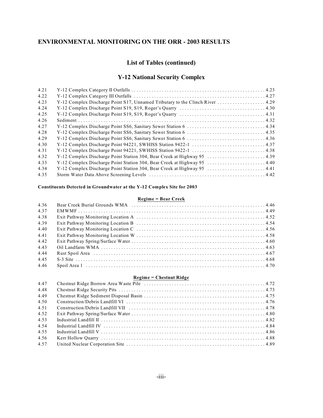#### **List of Tables (continued)**

#### **Y-12 National Security Complex**

| 4.21 |                                                                               |  |
|------|-------------------------------------------------------------------------------|--|
| 4.22 |                                                                               |  |
| 4.23 | Y-12 Complex Discharge Point S17, Unnamed Tributary to the Clinch River  4.29 |  |
| 4.24 |                                                                               |  |
| 4.25 |                                                                               |  |
| 4.26 |                                                                               |  |
| 4.27 |                                                                               |  |
| 4.28 |                                                                               |  |
| 4.29 |                                                                               |  |
| 4.30 |                                                                               |  |
| 4.31 |                                                                               |  |
| 4.32 | Y-12 Complex Discharge Point Station 304, Bear Creek at Highway 95  4.39      |  |
| 4.33 | Y-12 Complex Discharge Point Station 304, Bear Creek at Highway 95 4.40       |  |
| 4.34 | Y-12 Complex Discharge Point Station 304, Bear Creek at Highway 95 4.41       |  |
| 4.35 |                                                                               |  |
|      |                                                                               |  |

#### **Constituents Detected in Groundwater at the Y-12 Complex Site for 2003**

#### **Regime = Bear Creek**

| 4.36 |  |
|------|--|
| 4.37 |  |
| 4.38 |  |
| 4.39 |  |
| 4.40 |  |
| 4.41 |  |
| 4.42 |  |
| 4.43 |  |
| 4.44 |  |
| 4.45 |  |
| 4.46 |  |

#### **Regime = Chestnut Ridge**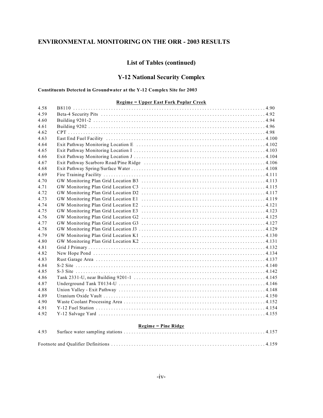#### **List of Tables (continued)**

#### **Y-12 National Security Complex**

#### **Constituents Detected in Groundwater at the Y-12 Complex Site for 2003**

#### **Regime = Upper East Fork Poplar Creek**

| 4.58 |                            |  |
|------|----------------------------|--|
| 4.59 |                            |  |
| 4.60 |                            |  |
| 4.61 |                            |  |
| 4.62 |                            |  |
| 4.63 |                            |  |
| 4.64 |                            |  |
| 4.65 |                            |  |
| 4.66 |                            |  |
| 4.67 |                            |  |
| 4.68 |                            |  |
| 4.69 |                            |  |
| 4.70 |                            |  |
| 4.71 |                            |  |
| 4.72 |                            |  |
| 4.73 |                            |  |
| 4.74 |                            |  |
| 4.75 |                            |  |
| 4.76 |                            |  |
| 4.77 |                            |  |
| 4.78 |                            |  |
| 4.79 |                            |  |
| 4.80 |                            |  |
| 4.81 |                            |  |
| 4.82 |                            |  |
| 4.83 |                            |  |
| 4.84 |                            |  |
| 4.85 |                            |  |
| 4.86 |                            |  |
| 4.87 |                            |  |
| 4.88 |                            |  |
| 4.89 |                            |  |
| 4.90 |                            |  |
| 4.91 |                            |  |
| 4.92 |                            |  |
|      | <b>Regime = Pine Ridge</b> |  |
| 4.93 |                            |  |

Footnote and Qualifier Definitions .... .... .... .... .... .... .... .... .... .... .... .... .... .... .... . 4.159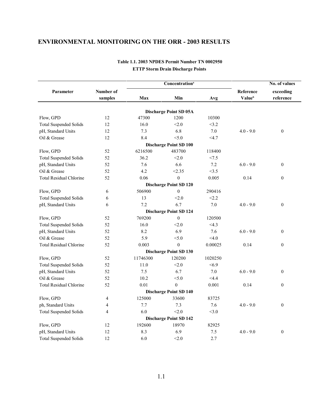|                                |                |          |                                        | No. of values   |                           |                  |  |
|--------------------------------|----------------|----------|----------------------------------------|-----------------|---------------------------|------------------|--|
| Parameter                      | Number of      |          |                                        |                 | Reference                 | exceeding        |  |
|                                | samples        | Max      | Min                                    | Avg             | <b>Value</b> <sup>b</sup> | reference        |  |
|                                |                |          |                                        |                 |                           |                  |  |
| Flow, GPD                      | 12             | 47300    | Discharge Point SD 05A<br>1200         | 10300           |                           |                  |  |
|                                |                |          |                                        |                 |                           |                  |  |
| <b>Total Suspended Solids</b>  | 12             | 16.0     | < 2.0                                  | <3.2            |                           |                  |  |
| pH, Standard Units             | 12             | 7.3      | 6.8                                    | 7.0             | $4.0 - 9.0$               | $\mathbf{0}$     |  |
| Oil & Grease                   | 12             | 8.4      | < 5.0<br><b>Discharge Point SD 100</b> | <4.7            |                           |                  |  |
|                                | 52             | 6216500  | 483700                                 |                 |                           |                  |  |
| Flow, GPD                      | 52             | 36.2     | < 2.0                                  | 118400<br>< 7.5 |                           |                  |  |
| <b>Total Suspended Solids</b>  |                |          |                                        |                 |                           |                  |  |
| pH, Standard Units             | 52             | 7.6      | 6.6                                    | 7.2             | $6.0 - 9.0$               | $\mathbf{0}$     |  |
| Oil & Grease                   | 52             | 4.2      | < 2.35                                 | <3.5            |                           |                  |  |
| <b>Total Residual Chlorine</b> | 52             | 0.06     | $\mathbf{0}$                           | 0.005           | 0.14                      | $\mathbf{0}$     |  |
|                                |                | 506900   | <b>Discharge Point SD 120</b>          |                 |                           |                  |  |
| Flow, GPD                      | 6              |          | $\mathbf{0}$                           | 290416          |                           |                  |  |
| <b>Total Suspended Solids</b>  | 6              | 13       | < 2.0                                  | < 2.2           |                           |                  |  |
| pH, Standard Units             | 6              | 7.2      | 6.7                                    | 7.0             | $4.0 - 9.0$               | $\mathbf{0}$     |  |
|                                |                |          | <b>Discharge Point SD 124</b>          |                 |                           |                  |  |
| Flow, GPD                      | 52             | 769200   | $\mathbf{0}$                           | 120500          |                           |                  |  |
| <b>Total Suspended Solids</b>  | 52             | 16.0     | < 2.0                                  | <4.3            |                           |                  |  |
| pH, Standard Units             | 52             | 8.2      | 6.9                                    | 7.6             | $6.0 - 9.0$               | $\mathbf{0}$     |  |
| Oil & Grease                   | 52             | 5.9      | < 5.0                                  | <4.0            |                           |                  |  |
| <b>Total Residual Chlorine</b> | 52             | 0.003    | $\theta$                               | 0.00025         | 0.14                      | $\boldsymbol{0}$ |  |
|                                |                |          | <b>Discharge Point SD 130</b>          |                 |                           |                  |  |
| Flow, GPD                      | 52             | 11746300 | 120200                                 | 1020250         |                           |                  |  |
| <b>Total Suspended Solids</b>  | 52             | 11.0     | < 2.0                                  | <6.9            |                           |                  |  |
| pH, Standard Units             | 52             | 7.5      | 6.7                                    | 7.0             | $6.0 - 9.0$               | $\mathbf{0}$     |  |
| Oil & Grease                   | 52             | 10.2     | < 5.0                                  | <4.4            |                           |                  |  |
| <b>Total Residual Chlorine</b> | 52             | 0.01     | $\theta$                               | 0.001           | 0.14                      | $\boldsymbol{0}$ |  |
|                                |                |          | <b>Discharge Point SD 140</b>          |                 |                           |                  |  |
| Flow, GPD                      | $\overline{4}$ | 125000   | 33600                                  | 83725           |                           |                  |  |
| ph, Standard Units             | 4              | 7.7      | 7.3                                    | 7.6             | $4.0 - 9.0$               | $\theta$         |  |
| <b>Total Suspended Solids</b>  | 4              | 6.0      | < 2.0                                  | <3.0            |                           |                  |  |
|                                |                |          | <b>Discharge Point SD 142</b>          |                 |                           |                  |  |
| Flow, GPD                      | 12             | 192600   | 18970                                  | 82925           |                           |                  |  |
| pH, Standard Units             | 12             | 8.3      | 6.9                                    | 7.5             | $4.0 - 9.0$               | $\mathbf{0}$     |  |
| <b>Total Suspended Solids</b>  | 12             | 6.0      | < 2.0                                  | 2.7             |                           |                  |  |

#### **Table 1.1. 2003 NPDES Permit Number TN 0002950 ETTP Storm Drain Discharge Points**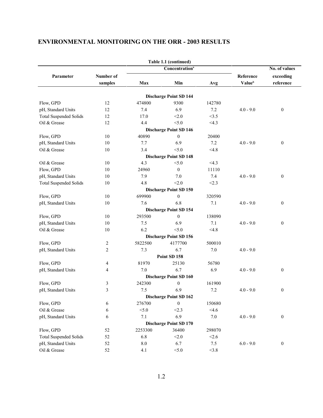|                               |                |                 | Table 1.1 (continued)                 |         |             |                  |
|-------------------------------|----------------|-----------------|---------------------------------------|---------|-------------|------------------|
|                               |                |                 | Concentration <sup>a</sup>            |         |             | No. of values    |
| Parameter                     | Number of      |                 |                                       |         | Reference   | exceeding        |
|                               | samples        | Max             | Min                                   | Avg     | Valueb      | reference        |
|                               |                |                 |                                       |         |             |                  |
| Flow, GPD                     | 12             | 474800          | <b>Discharge Point SD 144</b><br>9300 | 142780  |             |                  |
|                               | 12             | 7.4             | 6.9                                   | 7.2     | $4.0 - 9.0$ | $\mathbf{0}$     |
| pH, Standard Units            | 12             | 17.0            | < 2.0                                 |         |             |                  |
| <b>Total Suspended Solids</b> |                |                 |                                       | <3.5    |             |                  |
| Oil & Grease                  | 12             | 4.4             | < 5.0                                 | <4.3    |             |                  |
|                               |                |                 | <b>Discharge Point SD 146</b>         |         |             |                  |
| Flow, GPD                     | 10             | 40890           | $\boldsymbol{0}$                      | 20400   |             |                  |
| pH, Standard Units            | 10             | 7.7             | 6.9                                   | 7.2     | $4.0 - 9.0$ | $\mathbf{0}$     |
| Oil & Grease                  | 10             | 3.4             | < 5.0                                 | <4.8    |             |                  |
|                               |                |                 | <b>Discharge Point SD 148</b>         |         |             |                  |
| Oil & Grease                  | 10             | 4.3             | < 5.0                                 | <4.3    |             |                  |
| Flow, GPD                     | 10             | 24960           | $\mathbf{0}$                          | 11110   |             |                  |
| pH, Standard Units            | 10             | 7.9             | 7.0                                   | 7.4     | $4.0 - 9.0$ | $\boldsymbol{0}$ |
| <b>Total Suspended Solids</b> | 10             | 4.8             | < 2.0                                 | < 2.3   |             |                  |
|                               |                |                 | <b>Discharge Point SD 150</b>         |         |             |                  |
| Flow, GPD                     | 10             | 699900          | $\mathbf{0}$                          | 320590  |             |                  |
| pH, Standard Units            | 10             | 7.6             | 6.8                                   | 7.1     | $4.0 - 9.0$ | $\mathbf{0}$     |
|                               |                |                 | <b>Discharge Point SD 154</b>         |         |             |                  |
| Flow, GPD                     | 10             | 293500          | $\mathbf{0}$                          | 138090  |             |                  |
| pH, Standard Units            | 10             | 7.5             | 6.9                                   | 7.1     | $4.0 - 9.0$ | $\mathbf{0}$     |
| Oil & Grease                  | 10             | 6.2             | < 5.0                                 | < 4.8   |             |                  |
|                               |                |                 | <b>Discharge Point SD 156</b>         |         |             |                  |
| Flow, GPD                     | 2              | 5822500         | 4177700                               | 500010  |             |                  |
| pH, Standard Units            | $\overline{c}$ | 7.3             | 6.7                                   | 7.0     | $4.0 - 9.0$ |                  |
|                               |                |                 | Point SD 158                          |         |             |                  |
| Flow, GPD                     | 4              | 81970           | 25130                                 | 56780   |             |                  |
| pH, Standard Units            | 4              | 7.0             | 6.7                                   | 6.9     | $4.0 - 9.0$ | $\mathbf{0}$     |
|                               |                |                 | <b>Discharge Point SD 160</b>         |         |             |                  |
| Flow, GPD                     | 3              | 242300          | $\mathbf{0}$                          | 161900  |             |                  |
| pH, Standard Units            | 3              | 7.5             | 6.9                                   | 7.2     | $4.0 - 9.0$ | $\mathbf{0}$     |
|                               |                |                 | <b>Discharge Point SD 162</b>         |         |             |                  |
| Flow, GPD                     | 6              | 276700          | $\bf{0}$                              | 150680  |             |                  |
| Oil & Grease                  | 6              | < 5.0           | < 2.3                                 | <4.6    |             |                  |
| pH, Standard Units            | 6              | 7.1             | 6.9                                   | $7.0\,$ | $4.0 - 9.0$ | $\boldsymbol{0}$ |
|                               |                |                 | <b>Discharge Point SD 170</b>         |         |             |                  |
| Flow, GPD                     | 52             | 2253300         | 36400                                 | 298070  |             |                  |
| <b>Total Suspended Solids</b> | 52             | 6.8             | < 2.0                                 | < 2.6   |             |                  |
| pH, Standard Units            | 52             | $\!\!\!\!\!8.0$ | 6.7                                   | 7.5     | $6.0 - 9.0$ | $\boldsymbol{0}$ |
| Oil & Grease                  | 52             | 4.1             | < 5.0                                 | <3.8    |             |                  |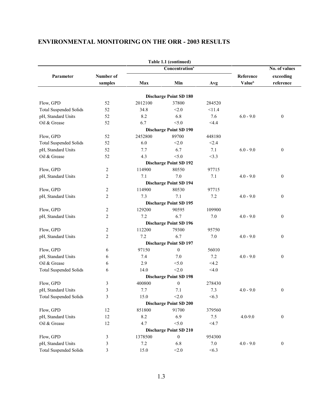|                               |                |         | Table 1.1 (continued)         |         |                           |                  |  |
|-------------------------------|----------------|---------|-------------------------------|---------|---------------------------|------------------|--|
|                               |                |         | Concentration <sup>a</sup>    |         |                           | No. of values    |  |
| Parameter                     | Number of      |         |                               |         | Reference                 | exceeding        |  |
|                               | samples        | Max     | Min                           | Avg     | <b>Value</b> <sup>b</sup> | reference        |  |
|                               |                |         |                               |         |                           |                  |  |
|                               | 52             |         | <b>Discharge Point SD 180</b> |         |                           |                  |  |
| Flow, GPD                     |                | 2012100 | 37800                         | 284520  |                           |                  |  |
| <b>Total Suspended Solids</b> | 52             | 34.8    | < 2.0                         | <11.4   |                           |                  |  |
| pH, Standard Units            | 52             | 8.2     | 6.8                           | 7.6     | $6.0 - 9.0$               | $\mathbf{0}$     |  |
| Oil & Grease                  | 52             | 6.7     | < 5.0                         | $<$ 4.4 |                           |                  |  |
|                               |                |         | <b>Discharge Point SD 190</b> |         |                           |                  |  |
| Flow, GPD                     | 52             | 2452800 | 89700                         | 448180  |                           |                  |  |
| <b>Total Suspended Solids</b> | 52             | 6.0     | < 2.0                         | < 2.4   |                           |                  |  |
| pH, Standard Units            | 52             | 7.7     | 6.7                           | 7.1     | $6.0 - 9.0$               | $\mathbf{0}$     |  |
| Oil & Grease                  | 52             | 4.3     | < 5.0                         | <3.3    |                           |                  |  |
|                               |                |         | <b>Discharge Point SD 192</b> |         |                           |                  |  |
| Flow, GPD                     | 2              | 114900  | 80550                         | 97715   |                           |                  |  |
| pH, Standard Units            | 2              | 7.1     | 7.0                           | 7.1     | $4.0 - 9.0$               | $\boldsymbol{0}$ |  |
|                               |                |         | <b>Discharge Point SD 194</b> |         |                           |                  |  |
| Flow, GPD                     | 2              | 114900  | 80530                         | 97715   |                           |                  |  |
| pH, Standard Units            | 2              | 7.3     | 7.1                           | 7.2     | $4.0 - 9.0$               | $\boldsymbol{0}$ |  |
|                               |                |         | <b>Discharge Point SD 195</b> |         |                           |                  |  |
| Flow, GPD                     | 2              | 129200  | 90595                         | 109900  |                           |                  |  |
| pH, Standard Units            | 2              | 7.2     | 6.7                           | 7.0     | $4.0 - 9.0$               | $\boldsymbol{0}$ |  |
|                               |                |         | <b>Discharge Point SD 196</b> |         |                           |                  |  |
| Flow, GPD                     | 2              | 112200  | 79300                         | 95750   |                           |                  |  |
| pH, Standard Units            | $\overline{2}$ | 7.2     | 6.7                           | 7.0     | $4.0 - 9.0$               | $\mathbf{0}$     |  |
|                               |                |         | <b>Discharge Point SD 197</b> |         |                           |                  |  |
| Flow, GPD                     | 6              | 97150   | $\boldsymbol{0}$              | 56010   |                           |                  |  |
| pH, Standard Units            | 6              | 7.4     | 7.0                           | 7.2     | $4.0 - 9.0$               | $\mathbf{0}$     |  |
| Oil & Grease                  | 6              | 2.9     | < 5.0                         | <4.2    |                           |                  |  |
| <b>Total Suspended Solids</b> | 6              | 14.0    | < 2.0                         | < 4.0   |                           |                  |  |
|                               |                |         | <b>Discharge Point SD 198</b> |         |                           |                  |  |
| Flow, GPD                     | 3              | 400800  | $\mathbf{0}$                  | 278430  |                           |                  |  |
| pH, Standard Units            | 3              | 7.7     | 7.1                           | 7.3     | $4.0 - 9.0$               | $\mathbf{0}$     |  |
| <b>Total Suspended Solids</b> | 3              | 15.0    | < 2.0                         | < 6.3   |                           |                  |  |
|                               |                |         | <b>Discharge Point SD 200</b> |         |                           |                  |  |
| Flow, GPD                     | 12             | 851800  | 91700                         | 379560  |                           |                  |  |
| pH, Standard Units            | $12\,$         | 8.2     | 6.9                           | 7.5     | $4.0 - 9.0$               | $\boldsymbol{0}$ |  |
| Oil & Grease                  | 12             | 4.7     | < 5.0                         | $<$ 4.7 |                           |                  |  |
|                               |                |         | <b>Discharge Point SD 210</b> |         |                           |                  |  |
| Flow, GPD                     | 3              | 1378500 | $\boldsymbol{0}$              | 954300  |                           |                  |  |
| pH, Standard Units            | 3              | 7.2     | 6.8                           | $7.0\,$ | $4.0 - 9.0$               | $\boldsymbol{0}$ |  |
| <b>Total Suspended Solids</b> | 3              | 15.0    | < 2.0                         | <6.3    |                           |                  |  |
|                               |                |         |                               |         |                           |                  |  |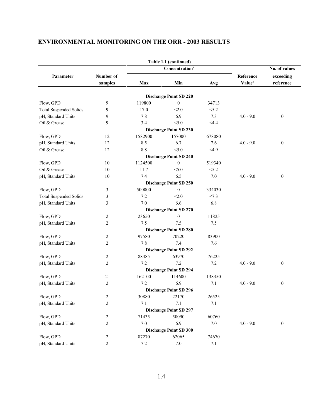|                                             |                |         | Table 1.1 (continued)         |         |                    |                  |
|---------------------------------------------|----------------|---------|-------------------------------|---------|--------------------|------------------|
| Concentration <sup>a</sup><br>No. of values |                |         |                               |         |                    |                  |
| Parameter                                   | Number of      |         |                               |         | Reference          | exceeding        |
|                                             | samples        | Max     | Min                           | Avg     | Value <sup>b</sup> | reference        |
|                                             |                |         |                               |         |                    |                  |
|                                             |                |         | <b>Discharge Point SD 220</b> |         |                    |                  |
| Flow, GPD                                   | 9              | 119800  | $\mathbf{0}$                  | 34713   |                    |                  |
| <b>Total Suspended Solids</b>               | 9              | 17.0    | < 2.0                         | < 5.2   |                    |                  |
| pH, Standard Units                          | 9              | 7.8     | 6.9                           | 7.3     | $4.0 - 9.0$        | $\boldsymbol{0}$ |
| Oil & Grease                                | 9              | 3.4     | < 5.0                         | $<$ 4.4 |                    |                  |
|                                             |                |         | <b>Discharge Point SD 230</b> |         |                    |                  |
| Flow, GPD                                   | 12             | 1582900 | 157000                        | 678080  |                    |                  |
| pH, Standard Units                          | 12             | 8.5     | 6.7                           | 7.6     | $4.0 - 9.0$        | $\boldsymbol{0}$ |
| Oil & Grease                                | 12             | 8.8     | < 5.0                         | <4.9    |                    |                  |
|                                             |                |         | <b>Discharge Point SD 240</b> |         |                    |                  |
| Flow, GPD                                   | 10             | 1124500 | $\mathbf{0}$                  | 519340  |                    |                  |
| Oil & Grease                                | 10             | 11.7    | < 5.0                         | < 5.2   |                    |                  |
| pH, Standard Units                          | 10             | 7.4     | 6.5                           | 7.0     | $4.0 - 9.0$        | $\boldsymbol{0}$ |
|                                             |                |         | <b>Discharge Point SD 250</b> |         |                    |                  |
| Flow, GPD                                   | 3              | 500000  | $\mathbf{0}$                  | 334030  |                    |                  |
| <b>Total Suspended Solids</b>               | 3              | 7.2     | < 2.0                         | < 7.3   |                    |                  |
| pH, Standard Units                          | 3              | 7.0     | 6.6                           | 6.8     |                    |                  |
|                                             |                |         | <b>Discharge Point SD 270</b> |         |                    |                  |
| Flow, GPD                                   | 2              | 23650   | $\mathbf{0}$                  | 11825   |                    |                  |
| pH, Standard Units                          | 2              | 7.5     | 7.5                           | 7.5     |                    |                  |
|                                             |                |         | <b>Discharge Point SD 280</b> |         |                    |                  |
| Flow, GPD                                   | 2              | 97580   | 70220                         | 83900   |                    |                  |
| pH, Standard Units                          | $\overline{2}$ | 7.8     | 7.4                           | 7.6     |                    |                  |
|                                             |                |         | <b>Discharge Point SD 292</b> |         |                    |                  |
| Flow, GPD                                   | 2              | 88485   | 63970                         | 76225   |                    |                  |
| pH, Standard Units                          | $\overline{2}$ | 7.2     | 7.2                           | 7.2     | $4.0 - 9.0$        | $\boldsymbol{0}$ |
|                                             |                |         | <b>Discharge Point SD 294</b> |         |                    |                  |
| Flow, GPD                                   | 2              | 162100  | 114600                        | 138350  |                    |                  |
| pH, Standard Units                          | $\overline{2}$ | 7.2     | 6.9                           | 7.1     | $4.0 - 9.0$        | $\boldsymbol{0}$ |
|                                             |                |         | <b>Discharge Point SD 296</b> |         |                    |                  |
| Flow, GPD                                   | $\overline{c}$ | 30880   | 22170                         | 26525   |                    |                  |
| pH, Standard Units                          | $\overline{c}$ | 7.1     | 7.1                           | 7.1     |                    |                  |
|                                             |                |         | <b>Discharge Point SD 297</b> |         |                    |                  |
| Flow, GPD                                   | 2              | 71435   | 50090                         | 60760   |                    |                  |
| pH, Standard Units                          | 2              | 7.0     | 6.9                           | 7.0     | $4.0 - 9.0$        | $\boldsymbol{0}$ |
|                                             |                |         | <b>Discharge Point SD 300</b> |         |                    |                  |
| Flow, GPD                                   | 2              | 87270   | 62065                         | 74670   |                    |                  |
| pH, Standard Units                          | $\overline{c}$ | 7.2     | 7.0                           | 7.1     |                    |                  |
|                                             |                |         |                               |         |                    |                  |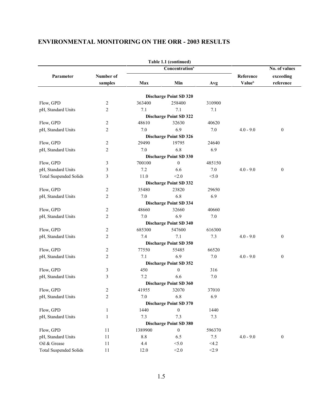|                               |                         |         | Table 1.1 (continued)         |        |             |                  |  |
|-------------------------------|-------------------------|---------|-------------------------------|--------|-------------|------------------|--|
|                               |                         |         | Concentration <sup>a</sup>    |        |             | No. of values    |  |
| Parameter                     | Number of               |         |                               |        | Reference   | exceeding        |  |
|                               | samples                 | Max     | Min                           | Avg    | Valueb      | reference        |  |
|                               |                         |         |                               |        |             |                  |  |
|                               |                         |         | <b>Discharge Point SD 320</b> |        |             |                  |  |
| Flow, GPD                     | 2                       | 363400  | 258400                        | 310900 |             |                  |  |
| pH, Standard Units            | 2                       | 7.1     | 7.1                           | 7.1    |             |                  |  |
|                               |                         |         | <b>Discharge Point SD 322</b> |        |             |                  |  |
| Flow, GPD                     | 2                       | 48610   | 32630                         | 40620  |             |                  |  |
| pH, Standard Units            | $\overline{c}$          | 7.0     | 6.9                           | 7.0    | $4.0 - 9.0$ | $\boldsymbol{0}$ |  |
|                               |                         |         | <b>Discharge Point SD 326</b> |        |             |                  |  |
| Flow, GPD                     | 2                       | 29490   | 19795                         | 24640  |             |                  |  |
| pH, Standard Units            | 2                       | 7.0     | 6.8                           | 6.9    |             |                  |  |
|                               |                         |         | <b>Discharge Point SD 330</b> |        |             |                  |  |
| Flow, GPD                     | 3                       | 700100  | $\mathbf{0}$                  | 485150 |             |                  |  |
| pH, Standard Units            | 3                       | 7.2     | 6.6                           | 7.0    | $4.0 - 9.0$ | $\boldsymbol{0}$ |  |
| <b>Total Suspended Solids</b> | 3                       | 11.0    | < 2.0                         | < 5.0  |             |                  |  |
|                               |                         |         | <b>Discharge Point SD 332</b> |        |             |                  |  |
| Flow, GPD                     | 2                       | 35480   | 23820                         | 29650  |             |                  |  |
| pH, Standard Units            | 2                       | 7.0     | 6.8                           | 6.9    |             |                  |  |
|                               |                         |         | <b>Discharge Point SD 334</b> |        |             |                  |  |
| Flow, GPD                     | 2                       | 48660   | 32660                         | 40660  |             |                  |  |
| pH, Standard Units            | 2                       | 7.0     | 6.9                           | 7.0    |             |                  |  |
|                               |                         |         | <b>Discharge Point SD 340</b> |        |             |                  |  |
| Flow, GPD                     | 2                       | 685300  | 547600                        | 616300 |             |                  |  |
| pH, Standard Units            | $\overline{2}$          | 7.4     | 7.1                           | 7.3    | $4.0 - 9.0$ | $\boldsymbol{0}$ |  |
|                               |                         |         | <b>Discharge Point SD 350</b> |        |             |                  |  |
| Flow, GPD                     | 2                       | 77550   | 55485                         | 66520  |             |                  |  |
| pH, Standard Units            | 2                       | 7.1     | 6.9                           | 7.0    | $4.0 - 9.0$ | $\boldsymbol{0}$ |  |
|                               |                         |         | <b>Discharge Point SD 352</b> |        |             |                  |  |
| Flow, GPD                     | 3                       | 450     | $\mathbf{0}$                  | 316    |             |                  |  |
| pH, Standard Units            | 3                       | 7.2     | 6.6                           | 7.0    |             |                  |  |
|                               |                         |         | <b>Discharge Point SD 360</b> |        |             |                  |  |
| Flow, GPD                     | $\overline{c}$          | 41955   | 32070                         | 37010  |             |                  |  |
| pH, Standard Units            | $\overline{\mathbf{c}}$ | 7.0     | 6.8                           | 6.9    |             |                  |  |
|                               |                         |         | <b>Discharge Point SD 370</b> |        |             |                  |  |
| Flow, GPD                     | $\mathbf{1}$            | 1440    | $\boldsymbol{0}$              | 1440   |             |                  |  |
| pH, Standard Units            | $\mathbf{1}$            | 7.3     | 7.3                           | 7.3    |             |                  |  |
|                               |                         |         | <b>Discharge Point SD 380</b> |        |             |                  |  |
| Flow, GPD                     | 11                      | 1389900 | $\boldsymbol{0}$              | 596370 |             |                  |  |
| pH, Standard Units            | 11                      | $8.8\,$ | 6.5                           | 7.5    | $4.0 - 9.0$ | $\boldsymbol{0}$ |  |
| Oil & Grease                  | $11\,$                  | 4.4     | < 5.0                         | <4.2   |             |                  |  |
| <b>Total Suspended Solids</b> | 11                      | 12.0    | < 2.0                         | < 2.9  |             |                  |  |
|                               |                         |         |                               |        |             |                  |  |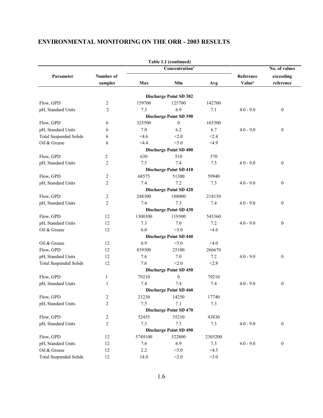|                               |                      |         | Table 1.1 (continued)         |         |                                        |                        |
|-------------------------------|----------------------|---------|-------------------------------|---------|----------------------------------------|------------------------|
|                               |                      |         | Concentration <sup>a</sup>    |         |                                        | No. of values          |
| Parameter                     | Number of<br>samples | Max     | Min                           | Avg     | Reference<br><b>Value</b> <sup>b</sup> | exceeding<br>reference |
|                               |                      |         | <b>Discharge Point SD 382</b> |         |                                        |                        |
| Flow, GPD                     | 2                    | 159700  | 125700                        | 142700  |                                        |                        |
| pH, Standard Units            | $\overline{2}$       | 7.3     | 6.9                           | 7.1     | $4.0 - 9.0$                            | $\boldsymbol{0}$       |
|                               |                      |         | <b>Discharge Point SD 390</b> |         |                                        |                        |
| Flow, GPD                     | 6                    | 325500  | $\boldsymbol{0}$              | 165300  |                                        |                        |
| pH, Standard Units            | 6                    | 7.0     | 6.2                           | 6.7     | $4.0 - 9.0$                            | $\boldsymbol{0}$       |
| <b>Total Suspended Solids</b> | 6                    | $<$ 4.6 | < 2.0                         | < 2.4   |                                        |                        |
| Oil & Grease                  | 6                    | $<$ 4.4 | < 5.0                         | <4.9    |                                        |                        |
|                               |                      |         | <b>Discharge Point SD 400</b> |         |                                        |                        |
| Flow, GPD                     | 2                    | 630     | 510                           | 570     |                                        |                        |
| pH, Standard Units            | 2                    | 7.5     | 7.4                           | 7.5     | $4.0 - 9.0$                            | $\boldsymbol{0}$       |
|                               |                      |         | <b>Discharge Point SD 410</b> |         |                                        |                        |
| Flow, GPD                     | $\overline{c}$       | 68575   | 51300                         | 59940   |                                        |                        |
| pH, Standard Units            | $\overline{2}$       | 7.4     | 7.2                           | 7.3     | $4.0 - 9.0$                            | $\boldsymbol{0}$       |
|                               |                      |         | <b>Discharge Point SD 420</b> |         |                                        |                        |
| Flow, GPD                     | 2                    | 248300  | 188000                        | 218150  |                                        |                        |
| pH, Standard Units            | $\overline{2}$       | 7.4     | 7.3                           | 7.4     | $4.0 - 9.0$                            | $\boldsymbol{0}$       |
|                               |                      |         | <b>Discharge Point SD 430</b> |         |                                        |                        |
| Flow, GPD                     | 12                   | 1300300 | 119300                        | 545360  |                                        |                        |
| pH, Standard Units            | 12                   | 7.3     | 7.0                           | 7.2     | $4.0 - 9.0$                            | $\boldsymbol{0}$       |
| Oil & Grease                  | 12                   | 6.0     | < 5.0                         | $<$ 4.6 |                                        |                        |
|                               |                      |         | <b>Discharge Point SD 440</b> |         |                                        |                        |
| Oil & Grease                  | 12                   | 6.9     | < 5.0                         | < 4.0   |                                        |                        |
| Flow, GPD                     | 12                   | 839300  | 25100                         | 266670  |                                        |                        |
| pH, Standard Units            | 12                   | 7.6     | 7.0                           | 7.2     | $4.0 - 9.0$                            | $\boldsymbol{0}$       |
| <b>Total Suspended Solids</b> | 12                   | 7.6     | < 2.0                         | < 2.8   |                                        |                        |
|                               |                      |         | <b>Discharge Point SD 450</b> |         |                                        |                        |
| Flow, GPD                     | 1                    | 79210   | $\mathbf{0}$                  | 79210   |                                        |                        |
| pH, Standard Units            | $\mathbf{1}$         | 7.4     | 7.4                           | 7.4     | $4.0 - 9.0$                            | $\boldsymbol{0}$       |
|                               |                      |         | <b>Discharge Point SD 460</b> |         |                                        |                        |
| Flow, GPD                     | $\overline{c}$       | 21230   | 14250                         | 17740   |                                        |                        |
| pH, Standard Units            | $\sqrt{2}$           | 7.5     | 7.1                           | 7.3     |                                        |                        |
|                               |                      |         | <b>Discharge Point SD 470</b> |         |                                        |                        |
| Flow, GPD                     | 2                    | 52455   | 35210                         | 43830   |                                        |                        |
| pH, Standard Units            | $\overline{c}$       | 7.3     | 7.3                           | 7.3     | $4.0 - 9.0$                            | $\boldsymbol{0}$       |
|                               |                      |         | <b>Discharge Point SD 490</b> |         |                                        |                        |
| Flow, GPD                     | 12                   | 5749100 | 522800                        | 2305200 |                                        |                        |
| pH, Standard Units            | 12                   | 7.6     | 6.9                           | 7.3     | $4.0 - 9.0$                            | $\boldsymbol{0}$       |
| Oil & Grease                  | 12                   | 2.2     | < 5.0                         | <4.5    |                                        |                        |
| <b>Total Suspended Solids</b> | 12                   | 14.0    | < 2.0                         | <3.0    |                                        |                        |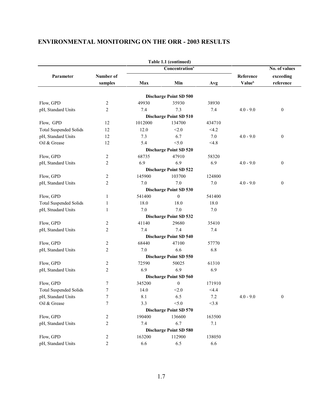|                               |                  |         | Table 1.1 (continued)         |        |                    |                  |
|-------------------------------|------------------|---------|-------------------------------|--------|--------------------|------------------|
|                               |                  |         | Concentration <sup>a</sup>    |        |                    | No. of values    |
| Parameter                     | Number of        |         |                               |        | Reference          | exceeding        |
|                               | samples          | Max     | Min                           | Avg    | Value <sup>b</sup> | reference        |
|                               |                  |         |                               |        |                    |                  |
|                               |                  |         | <b>Discharge Point SD 500</b> |        |                    |                  |
| Flow, GPD                     | 2                | 49930   | 35930                         | 38930  |                    |                  |
| pH, Standard Units            | $\overline{2}$   | 7.4     | 7.3                           | 7.4    | $4.0 - 9.0$        | $\mathbf{0}$     |
|                               |                  |         | <b>Discharge Point SD 510</b> |        |                    |                  |
| Flow, GPD                     | 12               | 1012000 | 134700                        | 434710 |                    |                  |
| <b>Total Suspended Solids</b> | 12               | 12.0    | < 2.0                         | <4.2   |                    |                  |
| pH, Standard Units            | 12               | 7.3     | 6.7                           | 7.0    | $4.0 - 9.0$        | $\mathbf{0}$     |
| Oil & Grease                  | 12               | 5.4     | < 5.0                         | <4.8   |                    |                  |
|                               |                  |         | <b>Discharge Point SD 520</b> |        |                    |                  |
| Flow, GPD                     | 2                | 68735   | 47910                         | 58320  |                    |                  |
| pH, Standard Units            | $\overline{2}$   | 6.9     | 6.9                           | 6.9    | $4.0 - 9.0$        | $\boldsymbol{0}$ |
|                               |                  |         | <b>Discharge Point SD 522</b> |        |                    |                  |
| Flow, GPD                     | $\overline{2}$   | 145900  | 103700                        | 124800 |                    |                  |
| pH, Standard Units            | $\overline{2}$   | 7.0     | 7.0                           | 7.0    | $4.0 - 9.0$        | $\boldsymbol{0}$ |
|                               |                  |         | Discharge Point SD 530        |        |                    |                  |
| Flow, GPD                     | 1                | 541400  | $\mathbf{0}$                  | 541400 |                    |                  |
| <b>Total Suspended Solids</b> | 1                | 18.0    | 18.0                          | 18.0   |                    |                  |
| pH, Stnadard Units            | 1                | 7.0     | 7.0                           | 7.0    |                    |                  |
|                               |                  |         | <b>Discharge Point SD 532</b> |        |                    |                  |
| Flow, GPD                     | 2                | 41140   | 29680                         | 35410  |                    |                  |
| pH, Standard Units            | $\overline{2}$   | 7.4     | 7.4                           | 7.4    |                    |                  |
|                               |                  |         | <b>Discharge Point SD 540</b> |        |                    |                  |
| Flow, GPD                     | $\overline{2}$   | 68440   | 47100                         | 57770  |                    |                  |
| pH, Standard Units            | 2                | 7.0     | 6.6                           | 6.8    |                    |                  |
|                               |                  |         | <b>Discharge Point SD 550</b> |        |                    |                  |
| Flow, GPD                     | 2                | 72590   | 50025                         | 61310  |                    |                  |
| pH, Standard Units            | $\overline{2}$   | 6.9     | 6.9                           | 6.9    |                    |                  |
|                               |                  |         | Discharge Point SD 560        |        |                    |                  |
| Flow, GPD                     | $\tau$           | 345200  | $\boldsymbol{0}$              | 171910 |                    |                  |
| <b>Total Suspended Solids</b> | 7                | 14.0    | < 2.0                         | <4.4   |                    |                  |
| pH, Standard Units            | 7                | 8.1     | 6.5                           | 7.2    | $4.0 - 9.0$        | $\boldsymbol{0}$ |
| Oil & Grease                  | $\boldsymbol{7}$ | 3.3     | < 5.0                         | <3.8   |                    |                  |
|                               |                  |         | <b>Discharge Point SD 570</b> |        |                    |                  |
| Flow, GPD                     | 2                | 190400  | 136600                        | 163500 |                    |                  |
| pH, Standard Units            | $\overline{2}$   | 7.4     | 6.7                           | 7.1    |                    |                  |
|                               |                  |         | <b>Discharge Point SD 580</b> |        |                    |                  |
| Flow, GPD                     | 2                | 163200  | 112900                        | 138050 |                    |                  |
| pH, Standard Units            | $\overline{2}$   | 6.6     | 6.5                           | 6.6    |                    |                  |
|                               |                  |         |                               |        |                    |                  |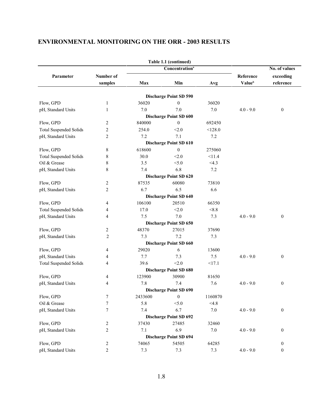| Concentration <sup>a</sup><br>Parameter<br>Number of<br>samples<br>Max<br>Min<br>Discharge Point SD 590<br>Flow, GPD<br>36020<br>$\boldsymbol{0}$<br>1<br>7.0<br>7.0<br>pH, Standard Units<br>1<br><b>Discharge Point SD 600</b><br>Flow, GPD<br>$\mathbf{0}$<br>2<br>840000<br>2<br>254.0<br>< 2.0<br><b>Total Suspended Solids</b><br>7.1<br>pH, Standard Units<br>2<br>7.2<br>Discharge Point SD 610<br>618600<br>Flow, GPD<br>8<br>$\boldsymbol{0}$<br>8<br>30.0<br>< 2.0<br><b>Total Suspended Solids</b><br>Oil & Grease<br>8<br>3.5<br>< 5.0 |         |                                 |                        |
|-----------------------------------------------------------------------------------------------------------------------------------------------------------------------------------------------------------------------------------------------------------------------------------------------------------------------------------------------------------------------------------------------------------------------------------------------------------------------------------------------------------------------------------------------------|---------|---------------------------------|------------------------|
|                                                                                                                                                                                                                                                                                                                                                                                                                                                                                                                                                     |         |                                 | No. of values          |
|                                                                                                                                                                                                                                                                                                                                                                                                                                                                                                                                                     | Avg     | Reference<br>Value <sup>b</sup> | exceeding<br>reference |
|                                                                                                                                                                                                                                                                                                                                                                                                                                                                                                                                                     |         |                                 |                        |
|                                                                                                                                                                                                                                                                                                                                                                                                                                                                                                                                                     | 36020   |                                 |                        |
|                                                                                                                                                                                                                                                                                                                                                                                                                                                                                                                                                     | 7.0     | $4.0 - 9.0$                     | $\boldsymbol{0}$       |
|                                                                                                                                                                                                                                                                                                                                                                                                                                                                                                                                                     |         |                                 |                        |
|                                                                                                                                                                                                                                                                                                                                                                                                                                                                                                                                                     | 692450  |                                 |                        |
|                                                                                                                                                                                                                                                                                                                                                                                                                                                                                                                                                     | < 128.0 |                                 |                        |
|                                                                                                                                                                                                                                                                                                                                                                                                                                                                                                                                                     | 7.2     |                                 |                        |
|                                                                                                                                                                                                                                                                                                                                                                                                                                                                                                                                                     |         |                                 |                        |
|                                                                                                                                                                                                                                                                                                                                                                                                                                                                                                                                                     | 275060  |                                 |                        |
|                                                                                                                                                                                                                                                                                                                                                                                                                                                                                                                                                     | <11.4   |                                 |                        |
|                                                                                                                                                                                                                                                                                                                                                                                                                                                                                                                                                     | <4.3    |                                 |                        |
| 6.8<br>8<br>7.4<br>pH, Standard Units                                                                                                                                                                                                                                                                                                                                                                                                                                                                                                               | 7.2     |                                 |                        |
| <b>Discharge Point SD 620</b>                                                                                                                                                                                                                                                                                                                                                                                                                                                                                                                       |         |                                 |                        |
| 87535<br>60080<br>Flow, GPD<br>2                                                                                                                                                                                                                                                                                                                                                                                                                                                                                                                    | 73810   |                                 |                        |
| 6.7<br>6.5<br>2<br>pH, Standard Units                                                                                                                                                                                                                                                                                                                                                                                                                                                                                                               | 6.6     |                                 |                        |
| <b>Discharge Point SD 640</b>                                                                                                                                                                                                                                                                                                                                                                                                                                                                                                                       |         |                                 |                        |
| 106100<br>20510<br>Flow, GPD<br>4                                                                                                                                                                                                                                                                                                                                                                                                                                                                                                                   | 66350   |                                 |                        |
| 17.0<br>< 2.0<br><b>Total Suspended Solids</b><br>4                                                                                                                                                                                                                                                                                                                                                                                                                                                                                                 | < 8.8   |                                 |                        |
| 7.5<br>7.0<br>pH, Standard Units<br>4                                                                                                                                                                                                                                                                                                                                                                                                                                                                                                               | 7.3     | $4.0 - 9.0$                     | $\boldsymbol{0}$       |
| Discharge Point SD 650                                                                                                                                                                                                                                                                                                                                                                                                                                                                                                                              |         |                                 |                        |
| Flow, GPD<br>48370<br>27015<br>2                                                                                                                                                                                                                                                                                                                                                                                                                                                                                                                    | 37690   |                                 |                        |
| $\overline{c}$<br>7.3<br>7.2<br>pH, Standard Units                                                                                                                                                                                                                                                                                                                                                                                                                                                                                                  | 7.3     |                                 |                        |
| Discharge Point SD 660                                                                                                                                                                                                                                                                                                                                                                                                                                                                                                                              |         |                                 |                        |
| 29020<br>Flow, GPD<br>4<br>6                                                                                                                                                                                                                                                                                                                                                                                                                                                                                                                        | 13600   |                                 |                        |
| 7.7<br>7.3<br>pH, Standard Units<br>4                                                                                                                                                                                                                                                                                                                                                                                                                                                                                                               | 7.5     | $4.0 - 9.0$                     | $\boldsymbol{0}$       |
| 39.6<br>< 2.0<br><b>Total Suspended Solids</b><br>4                                                                                                                                                                                                                                                                                                                                                                                                                                                                                                 | <17.1   |                                 |                        |
| <b>Discharge Point SD 680</b>                                                                                                                                                                                                                                                                                                                                                                                                                                                                                                                       |         |                                 |                        |
| Flow, GPD<br>123900<br>30900<br>4                                                                                                                                                                                                                                                                                                                                                                                                                                                                                                                   | 81650   |                                 |                        |
| 7.8<br>7.4<br>pH, Standard Units<br>4                                                                                                                                                                                                                                                                                                                                                                                                                                                                                                               | 7.6     | $4.0 - 9.0$                     | $\boldsymbol{0}$       |
| <b>Discharge Point SD 690</b>                                                                                                                                                                                                                                                                                                                                                                                                                                                                                                                       |         |                                 |                        |
| Flow, GPD<br>2433600<br>7<br>$\bf{0}$                                                                                                                                                                                                                                                                                                                                                                                                                                                                                                               | 1160870 |                                 |                        |
| 7<br>Oil & Grease<br>5.8<br>< 5.0                                                                                                                                                                                                                                                                                                                                                                                                                                                                                                                   | <4.8    |                                 |                        |
| 7<br>7.4<br>6.7<br>pH, Standard Units                                                                                                                                                                                                                                                                                                                                                                                                                                                                                                               | $7.0\,$ | $4.0 - 9.0$                     | $\boldsymbol{0}$       |
| <b>Discharge Point SD 692</b>                                                                                                                                                                                                                                                                                                                                                                                                                                                                                                                       |         |                                 |                        |
| Flow, GPD<br>37430<br>27485<br>2                                                                                                                                                                                                                                                                                                                                                                                                                                                                                                                    | 32460   |                                 |                        |
| 6.9<br>pH, Standard Units<br>2<br>7.1                                                                                                                                                                                                                                                                                                                                                                                                                                                                                                               | 7.0     | $4.0 - 9.0$                     | $\boldsymbol{0}$       |
| Discharge Point SD 694                                                                                                                                                                                                                                                                                                                                                                                                                                                                                                                              |         |                                 |                        |
| Flow, GPD<br>74065<br>54505<br>2                                                                                                                                                                                                                                                                                                                                                                                                                                                                                                                    | 64285   |                                 | $\boldsymbol{0}$       |
| pH, Standard Units<br>$\overline{c}$<br>7.3<br>7.3                                                                                                                                                                                                                                                                                                                                                                                                                                                                                                  | 7.3     | $4.0 - 9.0$                     | $\boldsymbol{0}$       |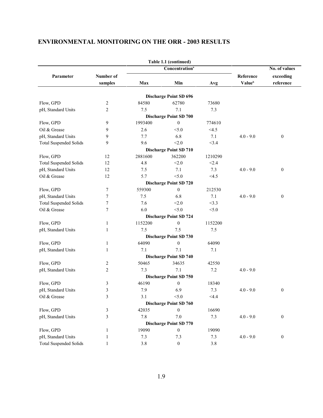|                               |                |         | Table 1.1 (continued)         |         |                    |                  |
|-------------------------------|----------------|---------|-------------------------------|---------|--------------------|------------------|
|                               |                |         | Concentration <sup>a</sup>    |         |                    | No. of values    |
| Parameter                     | Number of      |         |                               |         | Reference          | exceeding        |
|                               | samples        | Max     | Min                           | Avg     | Value <sup>b</sup> | reference        |
|                               |                |         |                               |         |                    |                  |
|                               |                |         | <b>Discharge Point SD 696</b> |         |                    |                  |
| Flow, GPD                     | $\overline{c}$ | 84580   | 62780                         | 73680   |                    |                  |
| pH, Standard Units            | $\overline{2}$ | 7.5     | 7.1                           | 7.3     |                    |                  |
|                               |                |         | <b>Discharge Point SD 700</b> |         |                    |                  |
| Flow, GPD                     | 9              | 1993400 | $\boldsymbol{0}$              | 774610  |                    |                  |
| Oil & Grease                  | 9              | 2.6     | < 5.0                         | <4.5    |                    |                  |
| pH, Standard Units            | 9              | 7.7     | 6.8                           | 7.1     | $4.0 - 9.0$        | $\boldsymbol{0}$ |
| <b>Total Suspended Solids</b> | 9              | 9.6     | < 2.0                         | <3.4    |                    |                  |
|                               |                |         | <b>Discharge Point SD 710</b> |         |                    |                  |
| Flow, GPD                     | 12             | 2881600 | 362200                        | 1210290 |                    |                  |
| <b>Total Suspended Solids</b> | 12             | 4.8     | < 2.0                         | < 2.4   |                    |                  |
| pH, Standard Units            | 12             | 7.5     | 7.1                           | 7.3     | $4.0 - 9.0$        | $\boldsymbol{0}$ |
| Oil & Grease                  | 12             | 5.7     | < 5.0                         | <4.5    |                    |                  |
|                               |                |         | <b>Discharge Point SD 720</b> |         |                    |                  |
| Flow, GPD                     | 7              | 559300  | $\mathbf{0}$                  | 212530  |                    |                  |
| pH, Standard Units            | 7              | 7.5     | 6.8                           | 7.1     | $4.0 - 9.0$        | $\boldsymbol{0}$ |
| <b>Total Suspended Solids</b> | 7              | 7.6     | < 2.0                         | <3.3    |                    |                  |
| Oil & Grease                  | $\tau$         | 6.0     | < 5.0                         | < 5.0   |                    |                  |
|                               |                |         | <b>Discharge Point SD 724</b> |         |                    |                  |
| Flow, GPD                     | $\mathbf{1}$   | 1152200 | $\boldsymbol{0}$              | 1152200 |                    |                  |
| pH, Standard Units            | $\mathbf{1}$   | 7.5     | 7.5                           | 7.5     |                    |                  |
|                               |                |         | Discharge Point SD 730        |         |                    |                  |
| Flow, GPD                     | 1              | 64090   | $\boldsymbol{0}$              | 64090   |                    |                  |
| pH, Standard Units            | 1              | 7.1     | 7.1                           | 7.1     |                    |                  |
|                               |                |         | <b>Discharge Point SD 740</b> |         |                    |                  |
| Flow, GPD                     | 2              | 50465   | 34635                         | 42550   |                    |                  |
| pH, Standard Units            | 2              | 7.3     | 7.1                           | 7.2     | $4.0 - 9.0$        |                  |
|                               |                |         | <b>Discharge Point SD 750</b> |         |                    |                  |
| Flow, GPD                     | 3              | 46190   | $\mathbf{0}$                  | 18340   |                    |                  |
| pH, Standard Units            | 3              | 7.9     | 6.9                           | 7.3     | $4.0 - 9.0$        | $\boldsymbol{0}$ |
| Oil & Grease                  | 3              | 3.1     | < 5.0                         | <4.4    |                    |                  |
|                               |                |         | <b>Discharge Point SD 760</b> |         |                    |                  |
| Flow, GPD                     | 3              | 42035   | $\boldsymbol{0}$              | 16690   |                    |                  |
| pH, Standard Units            | 3              | 7.8     | 7.0                           | 7.3     | $4.0 - 9.0$        | $\boldsymbol{0}$ |
|                               |                |         | <b>Discharge Point SD 770</b> |         |                    |                  |
| Flow, GPD                     | 1              | 19090   | $\boldsymbol{0}$              | 19090   |                    |                  |
| pH, Standard Units            | 1              | 7.3     | 7.3                           | 7.3     | $4.0 - 9.0$        | $\boldsymbol{0}$ |
| <b>Total Suspended Solids</b> | $\mathbf{1}$   | 3.8     | $\boldsymbol{0}$              | 3.8     |                    |                  |
|                               |                |         |                               |         |                    |                  |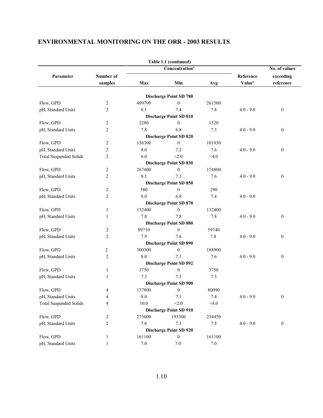|                               |                |         | Table 1.1 (continued)         |         |                    |                  |
|-------------------------------|----------------|---------|-------------------------------|---------|--------------------|------------------|
|                               |                |         | Concentration <sup>a</sup>    |         |                    | No. of values    |
| Parameter                     | Number of      |         |                               |         | Reference          | exceeding        |
|                               | samples        | Max     | Min                           | Avg     | Value <sup>b</sup> | reference        |
|                               |                |         |                               |         |                    |                  |
|                               |                |         | <b>Discharge Point SD 780</b> |         |                    |                  |
| Flow, GPD                     | 2              | 409700  | $\mathbf{0}$                  | 261500  |                    |                  |
| pH, Standard Units            | 2              | 8.1     | 7.4                           | 7.8     | $4.0 - 9.0$        | $\bf{0}$         |
|                               |                |         | <b>Discharge Point SD 810</b> |         |                    |                  |
| Flow, GPD                     | 2              | 2280    | $\boldsymbol{0}$              | 1520    |                    |                  |
| pH, Standard Units            | $\overline{c}$ | 7.8     | 6.8                           | 7.3     | $4.0 - 9.0$        | $\boldsymbol{0}$ |
|                               |                |         | Discharge Point SD 820        |         |                    |                  |
| Flow, GPD                     | 2              | 156300  | $\boldsymbol{0}$              | 101030  |                    |                  |
| pH, Standard Units            | 2              | 8.0     | 7.2                           | 7.6     | $4.0 - 9.0$        | $\mathbf{0}$     |
| <b>Total Suspended Solids</b> | $\overline{c}$ | 6.0     | < 2.0                         | < 4.0   |                    |                  |
|                               |                |         | <b>Discharge Point SD 830</b> |         |                    |                  |
| Flow, GPD                     | 2              | 267400  | $\boldsymbol{0}$              | 174800  |                    |                  |
| pH, Standard Units            | 2              | 8.1     | 7.1                           | 7.6     | $4.0 - 9.0$        | $\boldsymbol{0}$ |
|                               |                |         | <b>Discharge Point SD 850</b> |         |                    |                  |
| Flow, GPD                     | 2              | 380     | $\mathbf{0}$                  | 290     |                    |                  |
| pH, Standard Units            | $\overline{c}$ | 8.0     | 6.8                           | 7.4     | $4.0 - 9.0$        |                  |
|                               |                |         | <b>Discharge Point SD 870</b> |         |                    |                  |
| Flow, GPD                     | $\mathbf{1}$   | 132400  | $\mathbf{0}$                  | 132400  |                    |                  |
| pH, Standard Units            | 1              | 7.8     | 7.8                           | 7.8     | $4.0 - 9.0$        | $\boldsymbol{0}$ |
|                               |                |         | <b>Discharge Point SD 880</b> |         |                    |                  |
| Flow, GPD                     | 2              | 89710   | $\boldsymbol{0}$              | 59740   |                    |                  |
| pH, Standard Units            | $\overline{2}$ | 7.9     | 7.6                           | 7.8     | $4.0 - 9.0$        | $\boldsymbol{0}$ |
|                               |                |         | <b>Discharge Point SD 890</b> |         |                    |                  |
| Flow, GPD                     | 2              | 300300  | $\boldsymbol{0}$              | 188900  |                    |                  |
| pH, Standard Units            | $\overline{c}$ | 8.0     | 7.1                           | 7.6     | $4.0 - 9.0$        | $\boldsymbol{0}$ |
|                               |                |         | <b>Discharge Point SD 892</b> |         |                    |                  |
| Flow, GPD                     | $\mathbf{1}$   | 3750    | $\boldsymbol{0}$              | 3750    |                    |                  |
| pH, Standard Units            | 1              | 7.3     | 7.3                           | 7.3     |                    |                  |
|                               |                |         | <b>Discharge Point SD 900</b> |         |                    |                  |
| Flow, GPD                     | 4              | 137800  | $\boldsymbol{0}$              | 80090   |                    |                  |
| pH, Standard Units            | 4              | 8.0     | 7.1                           | 7.4     | $4.0 - 9.0$        | $\mathbf{0}$     |
| <b>Total Suspended Solids</b> | 4              | 10.0    | < 2.0                         | < 4.0   |                    |                  |
|                               |                |         | <b>Discharge Point SD 910</b> |         |                    |                  |
| Flow, GPD                     | 2              | 275600  | 193300                        | 234450  |                    |                  |
| pH, Standard Units            | 2              | 7.6     | 7.3                           | 7.5     | $4.0 - 9.0$        | $\bf{0}$         |
|                               |                |         | <b>Discharge Point SD 920</b> |         |                    |                  |
| Flow, GPD                     | 1              | 161100  | $\boldsymbol{0}$              | 161100  |                    |                  |
| pH, Standard Units            | $\mathbf{1}$   | $7.0\,$ | $7.0\,$                       | $7.0\,$ |                    |                  |
|                               |                |         |                               |         |                    |                  |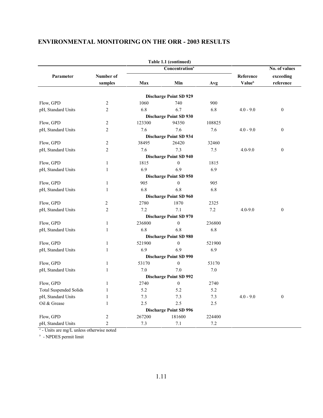|                               |                |        | Table 1.1 (continued)             |        |                    |                  |  |
|-------------------------------|----------------|--------|-----------------------------------|--------|--------------------|------------------|--|
|                               |                |        | <b>Concentration</b> <sup>ª</sup> |        |                    | No. of values    |  |
| Parameter                     | Number of      |        |                                   |        | Reference          | exceeding        |  |
|                               | samples        | Max    | Min                               | Avg    | Value <sup>b</sup> | reference        |  |
|                               |                |        |                                   |        |                    |                  |  |
|                               |                |        | <b>Discharge Point SD 929</b>     |        |                    |                  |  |
| Flow, GPD                     | $\overline{2}$ | 1060   | 740                               | 900    |                    |                  |  |
| pH, Standard Units            | $\overline{2}$ | 6.8    | 6.7                               | 6.8    | $4.0 - 9.0$        | $\boldsymbol{0}$ |  |
|                               |                |        | <b>Discharge Point SD 930</b>     |        |                    |                  |  |
| Flow, GPD                     | $\overline{2}$ | 123300 | 94350                             | 108825 |                    |                  |  |
| pH, Standard Units            | $\overline{2}$ | 7.6    | 7.6                               | 7.6    | $4.0 - 9.0$        | $\boldsymbol{0}$ |  |
|                               |                |        | Discharge Point SD 934            |        |                    |                  |  |
| Flow, GPD                     | $\overline{2}$ | 38495  | 26420                             | 32460  |                    |                  |  |
| pH, Standard Units            | $\overline{2}$ | 7.6    | 7.3                               | 7.5    | $4.0 - 9.0$        | $\boldsymbol{0}$ |  |
|                               |                |        | <b>Discharge Point SD 940</b>     |        |                    |                  |  |
| Flow, GPD                     | $\mathbf{1}$   | 1815   | $\boldsymbol{0}$                  | 1815   |                    |                  |  |
| pH, Standard Units            | $\mathbf{1}$   | 6.9    | 6.9                               | 6.9    |                    |                  |  |
|                               |                |        | <b>Discharge Point SD 950</b>     |        |                    |                  |  |
| Flow, GPD                     | $\mathbf{1}$   | 905    | $\mathbf{0}$                      | 905    |                    |                  |  |
| pH, Standard Units            | $\mathbf{1}$   | 6.8    | 6.8                               | 6.8    |                    |                  |  |
|                               |                |        | <b>Discharge Point SD 960</b>     |        |                    |                  |  |
| Flow, GPD                     | $\overline{2}$ | 2780   | 1870                              | 2325   |                    |                  |  |
| pH, Standard Units            | $\overline{2}$ | 7.2    | 7.1                               | 7.2    | $4.0 - 9.0$        | $\mathbf{0}$     |  |
|                               |                |        | <b>Discharge Point SD 970</b>     |        |                    |                  |  |
| Flow, GPD                     | $\mathbf{1}$   | 236800 | $\mathbf{0}$                      | 236800 |                    |                  |  |
| pH, Standard Units            | $\mathbf{1}$   | 6.8    | 6.8                               | 6.8    |                    |                  |  |
|                               |                |        | <b>Discharge Point SD 980</b>     |        |                    |                  |  |
| Flow, GPD                     | $\mathbf{1}$   | 521900 | $\mathbf{0}$                      | 521900 |                    |                  |  |
| pH, Standard Units            | $\mathbf{1}$   | 6.9    | 6.9                               | 6.9    |                    |                  |  |
|                               |                |        | <b>Discharge Point SD 990</b>     |        |                    |                  |  |
| Flow, GPD                     | $\mathbf{1}$   | 53170  | $\boldsymbol{0}$                  | 53170  |                    |                  |  |
| pH, Standard Units            | $\mathbf{1}$   | 7.0    | 7.0                               | 7.0    |                    |                  |  |
|                               |                |        | <b>Discharge Point SD 992</b>     |        |                    |                  |  |
| Flow, GPD                     | $\mathbf{1}$   | 2740   | $\mathbf{0}$                      | 2740   |                    |                  |  |
| <b>Total Suspended Solids</b> | $\mathbf{1}$   | 5.2    | 5.2                               | 5.2    |                    |                  |  |
| pH, Standard Units            | $\mathbf{1}$   | 7.3    | 7.3                               | 7.3    | $4.0 - 9.0$        | $\mathbf{0}$     |  |
| Oil & Grease                  | $\mathbf{1}$   | 2.5    | 2.5                               | 2.5    |                    |                  |  |
|                               |                |        | <b>Discharge Point SD 996</b>     |        |                    |                  |  |
| Flow, GPD                     | $\overline{2}$ | 267200 | 181600                            | 224400 |                    |                  |  |
| pH, Standard Units            | $\overline{2}$ | 7.3    | 7.1                               | 7.2    |                    |                  |  |
|                               |                |        |                                   |        |                    |                  |  |

- Units are mg/L unless otherwise noted *<sup>a</sup>*

- NPDES permit limit *<sup>b</sup>*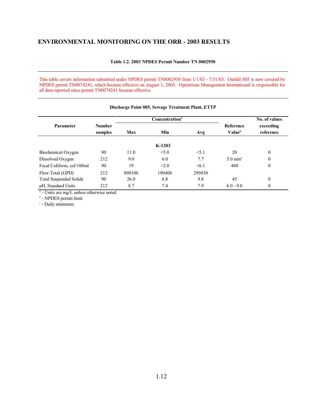#### **Table 1.2. 2003 NPDES Permit Number TN 0002950**

This table covers information submitted under NPDES permit TN0002950 from 1/1/03 - 7/31/03. Outfall 005 is now covered by NPDES permit TN0074241, which became effective on August 1, 2003. Operations Management International is responsible for all data reported since permit TN0074241 became effective.

|                               |                          |        | Concentration <sup>a</sup> |        |                                        | No. of values          |  |
|-------------------------------|--------------------------|--------|----------------------------|--------|----------------------------------------|------------------------|--|
| <b>Parameter</b>              | <b>Number</b><br>samples | Max    | Min                        |        | <b>Reference</b><br>Value <sup>b</sup> | exceeding<br>reference |  |
|                               |                          |        | $K-1203$                   |        |                                        |                        |  |
| Biochemical Oxygen            | 90                       | 11.0   | < 5.0                      | < 5.1  | 20                                     | $\theta$               |  |
| Dissolved Oxygen              | 212                      | 9.0    | 6.0                        | 7.7    | $5.0 \text{ min}^{\circ}$              | $\Omega$               |  |
| Fecal Coliform, col/100ml     | 90                       | 19     | < 2.0                      | < 6.1  | 400                                    | $\mathbf{0}$           |  |
| Flow Total (GPD)              | 212                      | 890100 | 190400                     | 299430 |                                        |                        |  |
| <b>Total Suspended Solids</b> | 90                       | 26.0   | 6.8                        | 9.8    | 45                                     | $\theta$               |  |
| pH, Standard Units            | 212                      | 8.7    | 7.4                        | 7.9    | $6.0 - 9.0$                            | $\mathbf{0}$           |  |

#### **Discharge Point 005, Sewage Treatment Plant, ETTP**

- Units are mg/L unless otherwise noted *<sup>a</sup>*

- NPDES permit limit *<sup>b</sup>*

- Daily minimum *<sup>c</sup>*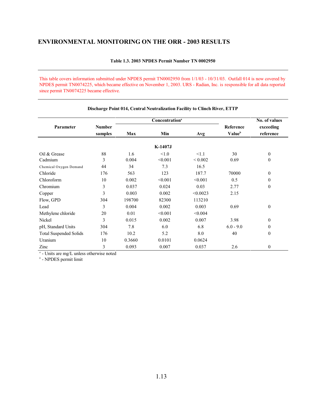#### **Table 1.3. 2003 NPDES Permit Number TN 0002950**

This table covers information submitted under NPDES permit TN0002950 from 1/1/03 - 10/31/03. Outfall 014 is now covered by NPDES permit TN0074225, which became effective on November 1, 2003. URS - Radian, Inc. is responsible for all data reported since permit TN0074225 became effective.

|                               |               |            | Concentration <sup>a</sup> |              |                    | No. of values |  |
|-------------------------------|---------------|------------|----------------------------|--------------|--------------------|---------------|--|
| Parameter                     | <b>Number</b> |            |                            |              | Reference          | exceeding     |  |
|                               | samples       | <b>Max</b> | Min                        | Avg          | Value <sup>b</sup> | reference     |  |
|                               |               |            | K-1407J                    |              |                    |               |  |
| Oil & Grease                  | 88            | 1.6        | < 1.0                      | <1.1         | 30                 | $\mathbf{0}$  |  |
| Cadmium                       | 3             | 0.004      | < 0.001                    | ${}_{0.002}$ | 0.69               | $\mathbf{0}$  |  |
| Chemical Oxygen Demand        | 44            | 34         | 7.3                        | 16.5         |                    |               |  |
| Chloride                      | 176           | 563        | 123                        | 187.7        | 70000              | $\mathbf{0}$  |  |
| Chloroform                    | 10            | 0.002      | < 0.001                    | < 0.001      | 0.5                | $\mathbf{0}$  |  |
| Chromium                      | 3             | 0.037      | 0.024                      | 0.03         | 2.77               | $\mathbf{0}$  |  |
| Copper                        | 3             | 0.003      | 0.002                      | < 0.0023     | 2.15               |               |  |
| Flow, GPD                     | 304           | 198700     | 82300                      | 113210       |                    |               |  |
| Lead                          | 3             | 0.004      | 0.002                      | 0.003        | 0.69               | $\mathbf{0}$  |  |
| Methylene chloride            | 20            | 0.01       | < 0.001                    | < 0.004      |                    |               |  |
| Nickel                        | 3             | 0.015      | 0.002                      | 0.007        | 3.98               | $\mathbf{0}$  |  |
| pH, Standard Units            | 304           | 7.8        | 6.0                        | 6.8          | $6.0 - 9.0$        | $\mathbf{0}$  |  |
| <b>Total Suspended Solids</b> | 176           | 10.2       | 5.2                        | 8.0          | 40                 | $\theta$      |  |
| Uranium                       | 10            | 0.3660     | 0.0101                     | 0.0624       |                    |               |  |
| Zinc                          | 3             | 0.093      | 0.007                      | 0.037        | 2.6                | $\mathbf{0}$  |  |

#### **Discharge Point 014, Central Neutralization Facility to Clinch River, ETTP**

<sup>*a*</sup> - Units are mg/L unless otherwise noted

- NPDES permit limit *<sup>b</sup>*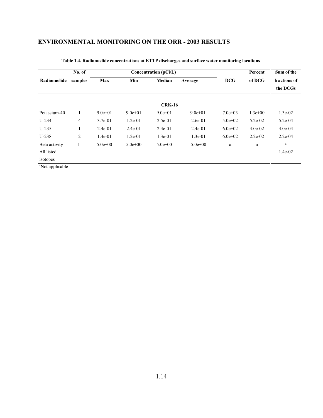|               | No. of                                                   |             |             | Concentration (pCi/L)    |             |             | Percent   | Sum of the |
|---------------|----------------------------------------------------------|-------------|-------------|--------------------------|-------------|-------------|-----------|------------|
| Radionuclide  | Min<br><b>DCG</b><br>Max<br>Median<br>samples<br>Average |             | of DCG      | fractions of<br>the DCGs |             |             |           |            |
|               |                                                          |             |             | <b>CRK-16</b>            |             |             |           |            |
| Potassium-40  |                                                          | $9.0e + 01$ | $9.0e + 01$ | $9.0e+01$                | $9.0e + 01$ | $7.0e+03$   | $1.3e+00$ | $1.3e-02$  |
| $U-234$       | $\overline{4}$                                           | $3.7e-01$   | $1.2e-01$   | $2.5e-01$                | $2.6e-01$   | $5.0e + 02$ | $5.2e-02$ | $5.2e-04$  |
| $U-235$       |                                                          | $2.4e-01$   | $2.4e-01$   | $2.4e-01$                | $2.4e-01$   | $6.0e+02$   | $4.0e-02$ | $4.0e-04$  |
| $U-238$       | 2                                                        | $1.4e-01$   | $1.2e-01$   | $1.3e-01$                | $1.3e-01$   | $6.0e+02$   | $2.2e-02$ | $2.2e-04$  |
| Beta activity | 1                                                        | $5.0e + 00$ | $5.0e + 00$ | $5.0e + 00$              | $5.0e + 00$ | a           | a         | $\rm{a}$   |
| All listed    |                                                          |             |             |                          |             |             |           | $1.4e-02$  |
| isotopes      |                                                          |             |             |                          |             |             |           |            |

#### **Table 1.4. Radionuclide concentrations at ETTP discharges and surface water monitoring locations**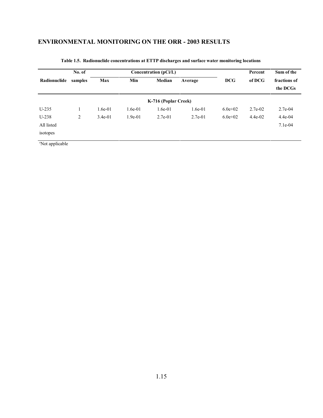|              | No. of  | Concentration (pCi/L) |           |                      |           |             | Percent   | Sum of the               |
|--------------|---------|-----------------------|-----------|----------------------|-----------|-------------|-----------|--------------------------|
| Radionuclide | samples | Max                   | Min       | Median               | Average   | <b>DCG</b>  | of DCG    | fractions of<br>the DCGs |
|              |         |                       |           | K-716 (Poplar Creek) |           |             |           |                          |
| $U-235$      |         | 1.6e-01               | $1.6e-01$ | $1.6e-01$            | $1.6e-01$ | $6.0e + 02$ | $2.7e-02$ | $2.7e-04$                |
| $U-238$      | 2       | $3.4e-01$             | $1.9e-01$ | $2.7e-01$            | $2.7e-01$ | $6.0e+02$   | $4.4e-02$ | $4.4e-04$                |
| All listed   |         |                       |           |                      |           |             |           | $7.1e-04$                |
| isotopes     |         |                       |           |                      |           |             |           |                          |

**Table 1.5. Radionuclide concentrations at ETTP discharges and surface water monitoring locations**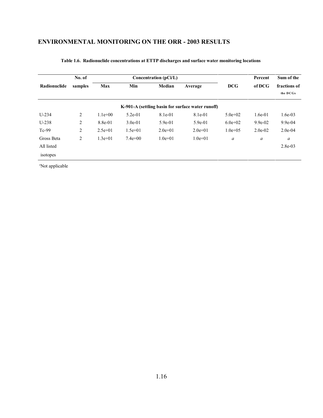|              | No. of         |           |           | Concentration (pCi/L) |                                                   |                  | Percent          | Sum of the               |  |  |
|--------------|----------------|-----------|-----------|-----------------------|---------------------------------------------------|------------------|------------------|--------------------------|--|--|
| Radionuclide | samples        | Max       | Min       | Median                | Average                                           | <b>DCG</b>       | of DCG           | fractions of<br>the DCGs |  |  |
|              |                |           |           |                       | K-901-A (settling basin for surface water runoff) |                  |                  |                          |  |  |
| $U-234$      | $\overline{2}$ | $1.1e+00$ | $5.2e-01$ | 8.1e-01               | 8.1e-01                                           | $5.0e + 02$      | $1.6e-01$        | $1.6e-03$                |  |  |
| $U-238$      | 2              | 8.8e-01   | $3.0e-01$ | $5.9e-01$             | $5.9e-01$                                         | $6.0e+02$        | $9.9e-02$        | $9.9e-04$                |  |  |
| $Tc-99$      | 2              | $2.5e+01$ | $1.5e+01$ | $2.0e+01$             | $2.0e+01$                                         | $1.0e + 0.5$     | $2.0e-02$        | $2.0e-04$                |  |  |
| Gross Beta   | 2              | $1.3e+01$ | $7.4e+00$ | $1.0e + 01$           | $1.0e + 01$                                       | $\boldsymbol{a}$ | $\boldsymbol{a}$ | a                        |  |  |
| All listed   |                |           |           |                       |                                                   |                  |                  | $2.8e-03$                |  |  |
| isotopes     |                |           |           |                       |                                                   |                  |                  |                          |  |  |

#### **Table 1.6. Radionuclide concentrations at ETTP discharges and surface water monitoring locations**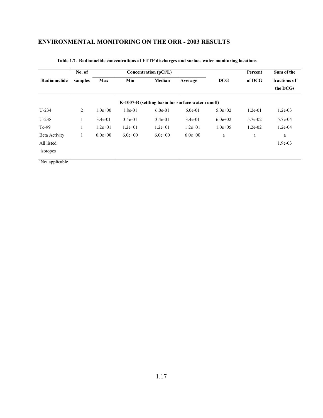|                      | No. of  |             |             | Concentration (pCi/L) |                                                    |              | Percent   | Sum of the               |
|----------------------|---------|-------------|-------------|-----------------------|----------------------------------------------------|--------------|-----------|--------------------------|
| Radionuclide         | samples | Max         | Min         | Median                | Average                                            | <b>DCG</b>   | of DCG    | fractions of<br>the DCGs |
|                      |         |             |             |                       | K-1007-B (settling basin for surface water runoff) |              |           |                          |
| $U-234$              | 2       | $1.0e + 00$ | 1.8e-01     | $6.0e-01$             | $6.0e-01$                                          | $5.0e + 02$  | $1.2e-01$ | $1.2e-03$                |
| $U-238$              | 1       | $3.4e-01$   | $3.4e-01$   | $3.4e-01$             | $3.4e-01$                                          | $6.0e+02$    | 5.7e-02   | 5.7e-04                  |
| $Tc-99$              | 1       | $1.2e+01$   | $1.2e+01$   | $1.2e+01$             | $1.2e+01$                                          | $1.0e + 0.5$ | $1.2e-02$ | $1.2e-04$                |
| <b>Beta Activity</b> | 1       | $6.0e + 00$ | $6.0e + 00$ | $6.0e+0.0$            | $6.0e+00$                                          | a            | a         | a                        |
| All listed           |         |             |             |                       |                                                    |              |           | $1.9e-03$                |
| isotopes             |         |             |             |                       |                                                    |              |           |                          |

#### **Table 1.7. Radionuclide concentrations at ETTP discharges and surface water monitoring locations**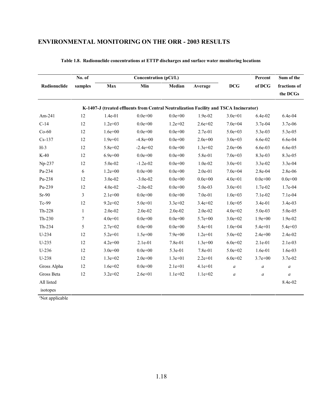|              | No. of       |             | Concentration (pCi/L)                                                                  |             |             |                  | Percent          | Sum of the       |
|--------------|--------------|-------------|----------------------------------------------------------------------------------------|-------------|-------------|------------------|------------------|------------------|
| Radionuclide | samples      | Max         | Min                                                                                    | Median      | Average     | <b>DCG</b>       | of DCG           | fractions of     |
|              |              |             |                                                                                        |             |             |                  |                  | the DCGs         |
|              |              |             | K-1407-J (treated effluents from Central Neutralization Facility and TSCA Incinerator) |             |             |                  |                  |                  |
| $Am-241$     | 12           | $1.4e-01$   | $0.0e + 00$                                                                            | $0.0e + 00$ | 1.9e-02     | $3.0e + 01$      | 6.4e-02          | 6.4e-04          |
| $C-14$       | 12           | $1.2e+03$   | $0.0e + 00$                                                                            | $1.2e + 02$ | $2.6e + 02$ | $7.0e + 04$      | 3.7e-04          | 3.7e-06          |
| $Co-60$      | 12           | $1.6e + 00$ | $0.0e + 00$                                                                            | $0.0e + 00$ | $2.7e-01$   | $5.0e + 03$      | $5.3e-03$        | $5.3e-0.5$       |
| $Cs-137$     | 12           | $1.9e + 01$ | $-4.8e + 00$                                                                           | $0.0e + 00$ | $2.0e + 00$ | $3.0e + 03$      | 6.6e-02          | 6.6e-04          |
| $H-3$        | 12           | $5.8e + 02$ | $-2.4e+02$                                                                             | $0.0e + 00$ | $1.3e+02$   | $2.0e + 06$      | 6.6e-03          | 6.6e-05          |
| $K-40$       | 12           | $6.9e + 00$ | $0.0e + 00$                                                                            | $0.0e + 00$ | 5.8e-01     | $7.0e+03$        | 8.3e-03          | 8.3e-05          |
| Np-237       | 12           | 5.0e-02     | $-1.2e-02$                                                                             | $0.0e + 00$ | $1.0e-02$   | $3.0e + 01$      | 3.3e-02          | 3.3e-04          |
| Pa-234       | 6            | $1.2e + 00$ | $0.0e + 00$                                                                            | $0.0e + 00$ | $2.0e-01$   | $7.0e + 04$      | 2.8e-04          | 2.8e-06          |
| Pu-238       | 12           | 3.0e-02     | $-3.0e-02$                                                                             | $0.0e + 00$ | $0.0e + 00$ | $4.0e + 01$      | $0.0e + 00$      | $0.0e + 00$      |
| Pu-239       | 12           | 4.0e-02     | $-2.0e-02$                                                                             | $0.0e + 00$ | 5.0e-03     | $3.0e + 01$      | 1.7e-02          | 1.7e-04          |
| $Sr-90$      | 3            | $2.1e+00$   | $0.0e + 00$                                                                            | $0.0e + 00$ | $7.0e-01$   | $1.0e + 03$      | $7.1e-02$        | 7.1e-04          |
| Tc-99        | 12           | $9.2e + 02$ | $5.0e + 01$                                                                            | $3.3e+02$   | $3.4e + 02$ | $1.0e + 0.5$     | $3.4e-01$        | 3.4e-03          |
| Th-228       | $\mathbf{1}$ | 2.0e-02     | 2.0e-02                                                                                | $2.0e-02$   | 2.0e-02     | $4.0e + 02$      | 5.0e-03          | 5.0e-05          |
| $Th-230$     | $\tau$       | $4.0e + 01$ | $0.0e + 00$                                                                            | $0.0e + 00$ | $5.7e + 00$ | $3.0e + 02$      | $1.9e + 00$      | 1.9e-02          |
| Th-234       | 5            | $2.7e+02$   | $0.0e + 00$                                                                            | $0.0e + 00$ | $5.4e + 01$ | $1.0e + 04$      | $5.4e + 01$      | $5.4e + 03$      |
| $U-234$      | 12           | $5.2e + 01$ | $1.5e+00$                                                                              | $7.9e + 00$ | $1.2e+01$   | $5.0e + 02$      | $2.4e + 00$      | 2.4e-02          |
| $U-235$      | 12           | $4.2e + 00$ | $2.1e-01$                                                                              | $7.8e-01$   | $1.3e+00$   | $6.0e + 02$      | $2.1e-01$        | $2.1e-03$        |
| $U-236$      | 12           | $3.0e + 00$ | $0.0e + 00$                                                                            | 5.3e-01     | 7.8e-01     | $5.0e + 02$      | 1.6e-01          | 1.6e-03          |
| $U-238$      | 12           | $1.3e + 02$ | $2.0e + 00$                                                                            | $1.3e+01$   | $2.2e+01$   | $6.0e + 02$      | $3.7e + 00$      | 3.7e-02          |
| Gross Alpha  | 12           | $1.6e + 02$ | $0.0e + 00$                                                                            | $2.1e+01$   | $4.1e+01$   | $\boldsymbol{a}$ | $\boldsymbol{a}$ | $\boldsymbol{a}$ |
| Gross Beta   | 12           | $3.2e + 02$ | $2.6e + 01$                                                                            | $1.1e+02$   | $1.1e+02$   | $\boldsymbol{a}$ | $\boldsymbol{a}$ | $\boldsymbol{a}$ |
| All listed   |              |             |                                                                                        |             |             |                  |                  | 8.4e-02          |
| isotopes     |              |             |                                                                                        |             |             |                  |                  |                  |

**Table 1.8. Radionuclide concentrations at ETTP discharges and surface water monitoring locations**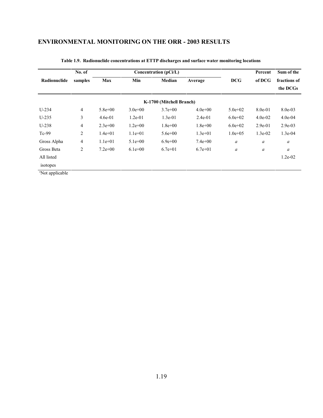|                             | No. of         |             |             | Concentration (pCi/L)    |             |                  | Percent   | Sum of the   |
|-----------------------------|----------------|-------------|-------------|--------------------------|-------------|------------------|-----------|--------------|
| Radionuclide                | samples        | <b>Max</b>  | Min         | Median                   | Average     | <b>DCG</b>       | of DCG    | fractions of |
|                             |                |             |             |                          |             |                  |           | the DCGs     |
|                             |                |             |             | K-1700 (Mitchell Branch) |             |                  |           |              |
| $U-234$                     | $\overline{4}$ | $5.8e + 00$ | $3.0e + 00$ | $3.7e + 00$              | $4.0e+00$   | $5.0e + 02$      | $8.0e-01$ | 8.0e-03      |
| $U-235$                     | 3              | $4.6e-01$   | $1.2e-01$   | $1.3e-01$                | $2.4e-01$   | $6.0e + 02$      | $4.0e-02$ | $4.0e-04$    |
| $U-238$                     | 4              | $2.3e+00$   | $1.2e + 00$ | $1.8e + 00$              | $1.8e + 00$ | $6.0e + 02$      | $2.9e-01$ | $2.9e-03$    |
| $Tc-99$                     | 2              | $1.4e+01$   | $1.1e+01$   | $5.6e + 00$              | $1.3e+01$   | $1.0e + 0.5$     | $1.3e-02$ | $1.3e-04$    |
| Gross Alpha                 | 4              | $1.1e+01$   | $5.1e+00$   | $6.9e+00$                | $7.4e+00$   | $\boldsymbol{a}$ | a         | a            |
| Gross Beta                  | 2              | $7.2e+00$   | $6.1e+00$   | $6.7e+01$                | $6.7e+01$   | a                | a         | a            |
| All listed                  |                |             |             |                          |             |                  |           | $1.2e-02$    |
| isotopes                    |                |             |             |                          |             |                  |           |              |
| <sup>a</sup> Not applicable |                |             |             |                          |             |                  |           |              |

#### **Table 1.9. Radionuclide concentrations at ETTP discharges and surface water monitoring locations**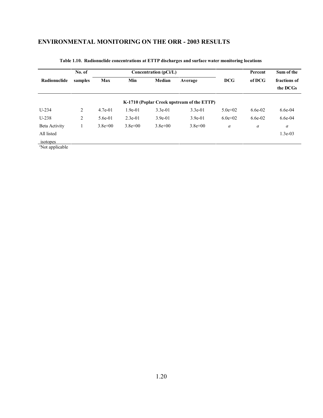|                             | No. of  |             |             | Concentration (pCi/L) |                                            |                  | Percent   | Sum of the               |
|-----------------------------|---------|-------------|-------------|-----------------------|--------------------------------------------|------------------|-----------|--------------------------|
| Radionuclide                | samples | <b>Max</b>  | Min         | Median                | Average                                    | <b>DCG</b>       | of DCG    | fractions of<br>the DCGs |
|                             |         |             |             |                       | K-1710 (Poplar Creek upstream of the ETTP) |                  |           |                          |
| $U-234$                     | 2       | $4.7e-01$   | $1.9e-01$   | $3.3e-01$             | $3.3e-01$                                  | $5.0e + 02$      | $6.6e-02$ | $6.6e-04$                |
| $U-238$                     | 2       | $5.6e-01$   | $2.3e-01$   | $3.9e-01$             | $3.9e-01$                                  | $6.0e+02$        | $6.6e-02$ | $6.6e-04$                |
| Beta Activity               |         | $3.8e + 00$ | $3.8e + 00$ | $3.8e + 00$           | $3.8e + 00$                                | $\boldsymbol{a}$ | a         | a                        |
| All listed                  |         |             |             |                       |                                            |                  |           | $1.3e-03$                |
| isotopes                    |         |             |             |                       |                                            |                  |           |                          |
| <sup>a</sup> Not applicable |         |             |             |                       |                                            |                  |           |                          |

#### **Table 1.10. Radionuclide concentrations at ETTP discharges and surface water monitoring locations**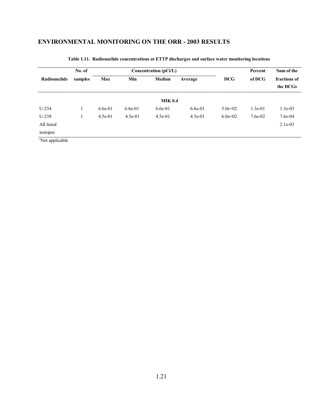|              | No. of  |           |           | Concentration $(pCi/L)$ |           | Percent     | Sum of the |                          |
|--------------|---------|-----------|-----------|-------------------------|-----------|-------------|------------|--------------------------|
| Radionuclide | samples | Max       | Min       | Median                  | Average   | <b>DCG</b>  | of DCG     | fractions of<br>the DCGs |
|              |         |           |           | <b>MIK 0.4</b>          |           |             |            |                          |
| $U-234$      |         | $6.6e-01$ | $6.6e-01$ | $6.6e-01$               | $6.6e-01$ | $5.0e + 02$ | $1.3e-01$  | $1.3e-03$                |
| $U-238$      |         | $4.5e-01$ | $4.5e-01$ | $4.5e-01$               | $4.5e-01$ | $6.0e+02$   | 7.6e-02    | 7.6e-04                  |
| All listed   |         |           |           |                         |           |             |            | $2.1e-03$                |
| isotopes     |         |           |           |                         |           |             |            |                          |

#### **Table 1.11. Radionuclide concentrations at ETTP discharges and surface water monitoring locations**

1.21

Not applicable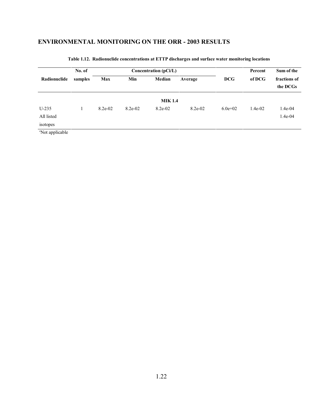|                             | No. of  |         |         | Concentration $(pCi/L)$ |         |            | Percent   | Sum of the               |
|-----------------------------|---------|---------|---------|-------------------------|---------|------------|-----------|--------------------------|
| Radionuclide                | samples | Max     | Min     | Median                  | Average | <b>DCG</b> | of DCG    | fractions of<br>the DCGs |
|                             |         |         |         | <b>MIK 1.4</b>          |         |            |           |                          |
| $U-235$                     |         | 8.2e-02 | 8.2e-02 | 8.2e-02                 | 8.2e-02 | $6.0e+02$  | $1.4e-02$ | $1.4e-04$                |
| All listed                  |         |         |         |                         |         |            |           | 1.4e-04                  |
| isotopes                    |         |         |         |                         |         |            |           |                          |
| <sup>a</sup> Not applicable |         |         |         |                         |         |            |           |                          |

#### **Table 1.12. Radionuclide concentrations at ETTP discharges and surface water monitoring locations**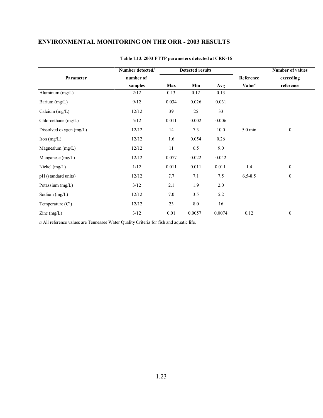|                         | Number detected/ |          | <b>Detected results</b> |        |                    | <b>Number of values</b> |
|-------------------------|------------------|----------|-------------------------|--------|--------------------|-------------------------|
| Parameter               | number of        |          |                         |        | Reference          | exceeding               |
|                         | samples          | Max      | Min                     | Avg    | Value <sup>a</sup> | reference               |
| Aluminum (mg/L)         | 2/12             | 0.13     | 0.12                    | 0.13   |                    |                         |
| Barium (mg/L)           | 9/12             | 0.034    | 0.026                   | 0.031  |                    |                         |
| Calcium $(mg/L)$        | 12/12            | 39       | 25                      | 33     |                    |                         |
| Chloroethane (mg/L)     | 5/12             | 0.011    | 0.002                   | 0.006  |                    |                         |
| Dissolved oxygen (mg/L) | 12/12            | 14       | 7.3                     | 10.0   | 5.0 min            | $\bf{0}$                |
| Iron $(mg/L)$           | 12/12            | 1.6      | 0.054                   | 0.26   |                    |                         |
| Magnesium $(mg/L)$      | 12/12            | 11       | 6.5                     | 9.0    |                    |                         |
| Manganese $(mg/L)$      | 12/12            | 0.077    | 0.022                   | 0.042  |                    |                         |
| Nickel (mg/L)           | $1/12$           | 0.011    | 0.011                   | 0.011  | 1.4                | $\boldsymbol{0}$        |
| pH (standard units)     | 12/12            | 7.7      | 7.1                     | 7.5    | $6.5 - 8.5$        | $\bf{0}$                |
| Potassium (mg/L)        | 3/12             | 2.1      | 1.9                     | 2.0    |                    |                         |
| Sodium $(mg/L)$         | 12/12            | 7.0      | 3.5                     | 5.2    |                    |                         |
| Temperature $(Co)$      | 12/12            | 23       | $8.0\,$                 | 16     |                    |                         |
| $\text{Zinc}$ (mg/L)    | $3/12$           | $0.01\,$ | 0.0057                  | 0.0074 | 0.12               | $\boldsymbol{0}$        |

#### **Table 1.13. 2003 ETTP parameters detected at CRK-16**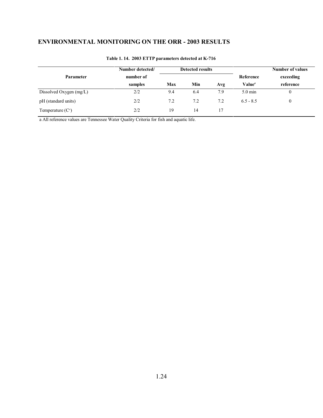|                           | Number detected/ |     | <b>Detected results</b> |     |                           | <b>Number of values</b> |
|---------------------------|------------------|-----|-------------------------|-----|---------------------------|-------------------------|
| <b>Parameter</b>          | number of        |     |                         |     | Reference                 | exceeding               |
|                           | samples          | Max | Min                     | Avg | Value <sup><i>a</i></sup> | reference               |
| Dissolved Oxygen (mg/L)   | 2/2              | 9.4 | 6.4                     | 7.9 | $5.0 \text{ min}$         | 0                       |
| pH (standard units)       | 2/2              | 7.2 | 7.2                     | 7.2 | $6.5 - 8.5$               | $\mathbf{0}$            |
| Temperature $(C^{\circ})$ | 2/2              | 19  | 14                      | 17  |                           |                         |

#### **Table 1. 14. 2003 ETTP parameters detected at K-716**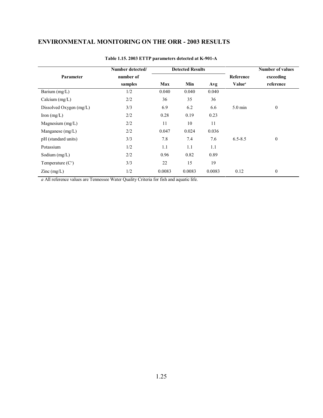|                                          | Number detected/ |        | <b>Detected Results</b> |        |                    | <b>Number of values</b> |
|------------------------------------------|------------------|--------|-------------------------|--------|--------------------|-------------------------|
| Parameter                                | number of        |        |                         |        | Reference          | exceeding               |
|                                          | samples          | Max    | Min                     | Avg    | Value <sup>a</sup> | reference               |
| Barium $(mg/L)$                          | 1/2              | 0.040  | 0.040                   | 0.040  |                    |                         |
| Calcium $(mg/L)$                         | 2/2              | 36     | 35                      | 36     |                    |                         |
| Dissolved Oxygen $(mg/L)$                | 3/3              | 6.9    | 6.2                     | 6.6    | $5.0 \text{ min}$  | $\boldsymbol{0}$        |
| Iron $(mg/L)$                            | 2/2              | 0.28   | 0.19                    | 0.23   |                    |                         |
| Magnesium $(mg/L)$                       | 2/2              | 11     | 10                      | 11     |                    |                         |
| Manganese $(mg/L)$                       | 2/2              | 0.047  | 0.024                   | 0.036  |                    |                         |
| pH (standard units)                      | 3/3              | 7.8    | 7.4                     | 7.6    | $6.5 - 8.5$        | $\boldsymbol{0}$        |
| Potassium                                | 1/2              | 1.1    | 1.1                     | 1.1    |                    |                         |
| Sodium $(mg/L)$                          | 2/2              | 0.96   | 0.82                    | 0.89   |                    |                         |
| Temperature $(Co)$                       | 3/3              | 22     | 15                      | 19     |                    |                         |
| $\text{Zinc} \left( \text{mg/L} \right)$ | 1/2              | 0.0083 | 0.0083                  | 0.0083 | 0.12               | $\boldsymbol{0}$        |

#### **Table 1.15. 2003 ETTP parameters detected at K-901-A**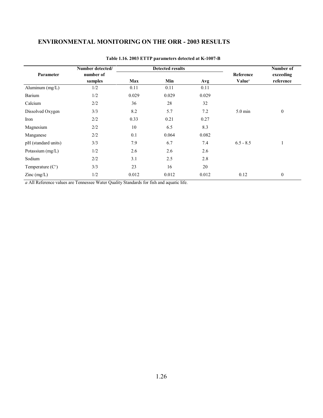|                                          | Number detected/ |       | <b>Detected results</b> |       |                           | Number of        |
|------------------------------------------|------------------|-------|-------------------------|-------|---------------------------|------------------|
| Parameter                                | number of        |       |                         |       | Reference                 | exceeding        |
|                                          | samples          | Max   | Min                     | Avg   | <b>Value</b> <sup>a</sup> | reference        |
| Aluminum (mg/L)                          | 1/2              | 0.11  | 0.11                    | 0.11  |                           |                  |
| Barium                                   | 1/2              | 0.029 | 0.029                   | 0.029 |                           |                  |
| Calcium                                  | 2/2              | 36    | 28                      | 32    |                           |                  |
| Dissolved Oxygen                         | 3/3              | 8.2   | 5.7                     | 7.2   | $5.0 \text{ min}$         | $\boldsymbol{0}$ |
| Iron                                     | 2/2              | 0.33  | 0.21                    | 0.27  |                           |                  |
| Magnesium                                | 2/2              | 10    | 6.5                     | 8.3   |                           |                  |
| Manganese                                | 2/2              | 0.1   | 0.064                   | 0.082 |                           |                  |
| pH (standard units)                      | 3/3              | 7.9   | 6.7                     | 7.4   | $6.5 - 8.5$               | $\mathbf{I}$     |
| Potassium $(mg/L)$                       | 1/2              | 2.6   | 2.6                     | 2.6   |                           |                  |
| Sodium                                   | 2/2              | 3.1   | 2.5                     | 2.8   |                           |                  |
| Temperature $(Co)$                       | 3/3              | 23    | 16                      | 20    |                           |                  |
| $\text{Zinc} \left( \text{mg/L} \right)$ | 1/2              | 0.012 | 0.012                   | 0.012 | 0.12                      | $\boldsymbol{0}$ |

#### **Table 1.16. 2003 ETTP parameters detected at K-1007-B**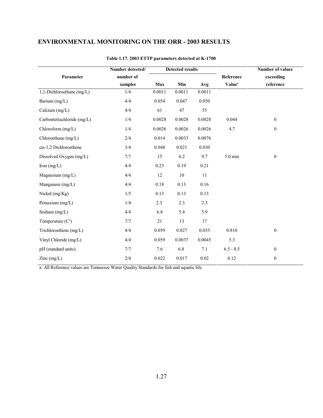|                                          | Number detected/ |        | <b>Detected results</b> |        |                    | <b>Number of values</b> |
|------------------------------------------|------------------|--------|-------------------------|--------|--------------------|-------------------------|
| Parameter                                | number of        |        |                         |        | Reference          | exceeding               |
|                                          | samples          | Max    | Min                     | Avg    | Value <sup>a</sup> | reference               |
| 1,1-Dichloroethane (mg/L)                | 1/4              | 0.0011 | 0.0011                  | 0.0011 |                    |                         |
| Barium (mg/L)                            | 4/4              | 0.054  | 0.047                   | 0.050  |                    |                         |
| Calcium $(mg/L)$                         | 4/4              | 61     | 47                      | 55     |                    |                         |
| Carbontetrachloride (mg/L)               | 1/4              | 0.0028 | 0.0028                  | 0.0028 | 0.044              | $\mathbf{0}$            |
| Chloroform (mg/L)                        | 1/4              | 0.0026 | 0.0026                  | 0.0026 | 4.7                | $\boldsymbol{0}$        |
| Chloroethane (mg/L)                      | 2/4              | 0.014  | 0.0033                  | 0.0076 |                    |                         |
| cis-1,2 Dichloroethene                   | 3/4              | 0.048  | 0.021                   | 0.030  |                    |                         |
| Dissolved Oxygen (mg/L)                  | 7/7              | 15     | 6.2                     | 9.7    | $5.0 \text{ min}$  | $\boldsymbol{0}$        |
| Iron $(mg/L)$                            | 4/4              | 0.23   | 0.19                    | 0.21   |                    |                         |
| Magnesium (mg/L)                         | 4/4              | 12     | $10\,$                  | 11     |                    |                         |
| Manganese (mg/L)                         | 4/4              | 0.18   | 0.13                    | 0.16   |                    |                         |
| Nickel (mg/Kg)                           | 1/5              | 0.13   | 0.13                    | 0.13   |                    |                         |
| Potassium (mg/L)                         | 1/4              | 2.3    | 2.3                     | 2.3    |                    |                         |
| Sodium (mg/L)                            | 4/4              | 6.8    | 5.4                     | 5.9    |                    |                         |
| Temperature $(Co)$                       | 7/7              | 21     | 13                      | 17     |                    |                         |
| Trichloroethene (mg/L)                   | 4/4              | 0.059  | 0.027                   | 0.035  | 0.810              | $\mathbf{0}$            |
| Vinyl Chloride (mg/L)                    | 4/4              | 0.059  | 0.0037                  | 0.0045 | 5.3                |                         |
| pH (standard units)                      | 7/7              | 7.6    | 6.8                     | 7.1    | $6.5 - 8.5$        | $\mathbf{0}$            |
| $\text{Zinc} \left( \text{mg/L} \right)$ | 2/4              | 0.022  | 0.017                   | 0.02   | 0.12               | $\boldsymbol{0}$        |

#### **Table 1.17. 2003 ETTP parameters detected at K-1700**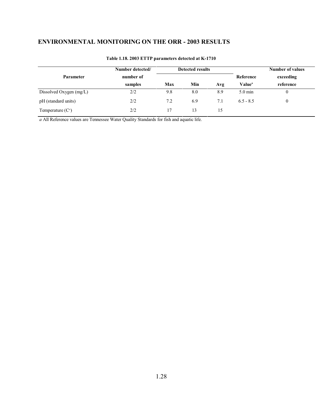|                         | Number detected/ |     | <b>Detected results</b> |     |                    | <b>Number of values</b> |
|-------------------------|------------------|-----|-------------------------|-----|--------------------|-------------------------|
| Parameter               | number of        |     |                         |     | Reference          | exceeding               |
|                         | samples          | Max | Min                     | Avg | Value <sup>a</sup> | reference               |
| Dissolved Oxygen (mg/L) | 2/2              | 9.8 | 8.0                     | 8.9 | $5.0 \text{ min}$  | 0                       |
| pH (standard units)     | 2/2              | 7.2 | 6.9                     | 7.1 | $6.5 - 8.5$        | 0                       |
| Temperature $(Co)$      | 2/2              | 17  | 13                      | 15  |                    |                         |

#### **Table 1.18. 2003 ETTP parameters detected at K-1710**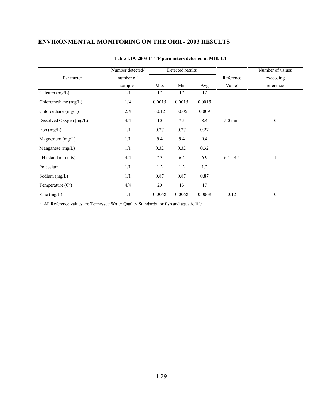|                      |        | Detected results |        |                                 | Number of values       |
|----------------------|--------|------------------|--------|---------------------------------|------------------------|
| number of<br>samples |        |                  |        | Reference<br>Value <sup>a</sup> | exceeding<br>reference |
|                      | Max    | Min              | Avg    |                                 |                        |
| 1/1                  | 17     | 17               | 17     |                                 |                        |
| 1/4                  | 0.0015 | 0.0015           | 0.0015 |                                 |                        |
| 2/4                  | 0.012  | 0.006            | 0.009  |                                 |                        |
| 4/4                  | 10     | 7.5              | 8.4    | 5.0 min.                        | $\mathbf{0}$           |
| 1/1                  | 0.27   | 0.27             | 0.27   |                                 |                        |
| 1/1                  | 9.4    | 9.4              | 9.4    |                                 |                        |
| 1/1                  | 0.32   | 0.32             | 0.32   |                                 |                        |
| 4/4                  | 7.3    | 6.4              | 6.9    | $6.5 - 8.5$                     | $\mathbf{1}$           |
| 1/1                  | 1.2    | 1.2              | 1.2    |                                 |                        |
| 1/1                  | 0.87   | 0.87             | 0.87   |                                 |                        |
| 4/4                  | 20     | 13               | 17     |                                 |                        |
| 1/1                  | 0.0068 | 0.0068           | 0.0068 | 0.12                            | $\bf{0}$               |
|                      |        |                  |        |                                 |                        |

#### **Table 1.19. 2003 ETTP parameters detected at MIK 1.4**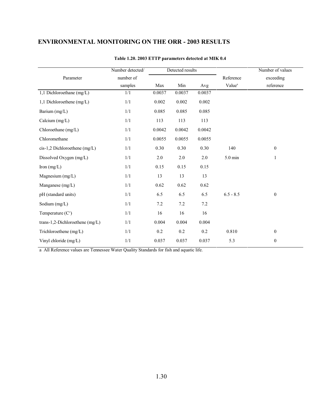|                                 | Number detected/ | Detected results |        |        |                    | Number of values |
|---------------------------------|------------------|------------------|--------|--------|--------------------|------------------|
| Parameter                       | number of        |                  |        |        | Reference          | exceeding        |
|                                 | samples          | Max              | Min    | Avg    | Value <sup>a</sup> | reference        |
| 1,1 Dichloroethane (mg/L)       | 1/1              | 0.0037           | 0.0037 | 0.0037 |                    |                  |
| 1,1 Dichloroethene $(mg/L)$     | 1/1              | 0.002            | 0.002  | 0.002  |                    |                  |
| Barium (mg/L)                   | 1/1              | 0.085            | 0.085  | 0.085  |                    |                  |
| Calcium $(mg/L)$                | 1/1              | 113              | 113    | 113    |                    |                  |
| Chloroethane (mg/L)             | 1/1              | 0.0042           | 0.0042 | 0.0042 |                    |                  |
| Chloromethane                   | 1/1              | 0.0055           | 0.0055 | 0.0055 |                    |                  |
| cis-1,2 Dichloroethene (mg/L)   | 1/1              | 0.30             | 0.30   | 0.30   | 140                | $\mathbf{0}$     |
| Dissolved Oxygen (mg/L)         | 1/1              | 2.0              | 2.0    | 2.0    | 5.0 min            | 1                |
| Iron $(mg/L)$                   | 1/1              | 0.15             | 0.15   | 0.15   |                    |                  |
| Magnesium $(mg/L)$              | 1/1              | 13               | 13     | 13     |                    |                  |
| Manganese $(mg/L)$              | 1/1              | 0.62             | 0.62   | 0.62   |                    |                  |
| pH (standard units)             | 1/1              | 6.5              | 6.5    | 6.5    | $6.5 - 8.5$        | $\boldsymbol{0}$ |
| Sodium $(mg/L)$                 | 1/1              | 7.2              | 7.2    | 7.2    |                    |                  |
| Temperature $(Co)$              | 1/1              | 16               | 16     | 16     |                    |                  |
| trans-1,2-Dichloroethene (mg/L) | 1/1              | 0.004            | 0.004  | 0.004  |                    |                  |
| Trichloroethene (mg/L)          | 1/1              | 0.2              | 0.2    | 0.2    | 0.810              | $\mathbf{0}$     |
| Vinyl chloride $(mg/L)$         | 1/1              | 0.037            | 0.037  | 0.037  | 5.3                | $\bf{0}$         |

#### **Table 1.20. 2003 ETTP parameters detected at MIK 0.4**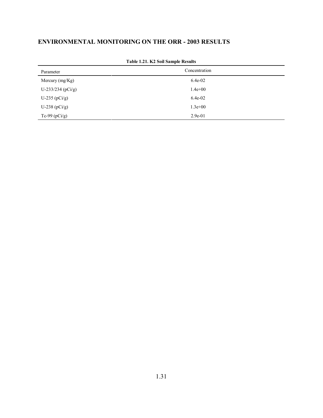| Parameter           | Concentration |  |  |
|---------------------|---------------|--|--|
| Mercury $(mg/Kg)$   | 6.4e-02       |  |  |
| $U-233/234$ (pCi/g) | $1.4e + 00$   |  |  |
| U-235 $(pCi/g)$     | 6.4e-02       |  |  |
| U-238 ( $pCi/g$ )   | $1.3e + 00$   |  |  |
| Tc-99 $(pCi/g)$     | $2.9e-01$     |  |  |

#### **Table 1.21. K2 Soil Sample Results**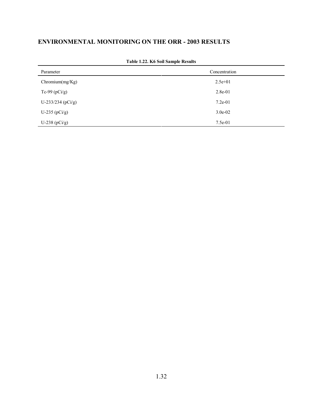| Parameter             | Concentration |
|-----------------------|---------------|
| Chronium(mg/Kg)       | $2.5e+01$     |
| Tc-99 ( $pCi/g$ )     | $2.8e-01$     |
| U-233/234 ( $pCi/g$ ) | $7.2e-01$     |
| U-235 $(pCi/g)$       | $3.0e-02$     |
| U-238 ( $pCi/g$ )     | $7.5e-01$     |

| Table 1.22. K6 Soil Sample Results |
|------------------------------------|
|                                    |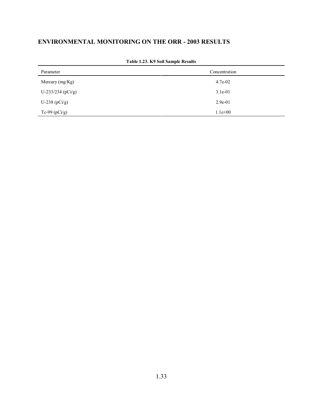| Parameter             | Concentration |
|-----------------------|---------------|
| Mercury $(mg/Kg)$     | $4.7e-02$     |
| U-233/234 ( $pCi/g$ ) | $3.1e-01$     |
| U-238 $(pCi/g)$       | $2.9e-01$     |
| Tc-99 $(pCi/g)$       | $1.1e+00$     |

**Table 1.23. K9 Soil Sample Results**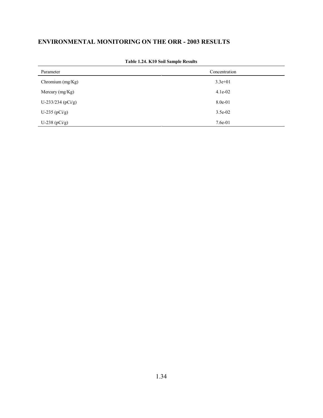| Parameter           | Concentration |
|---------------------|---------------|
| Chromium $(mg/Kg)$  | $3.3e+01$     |
| Mercury $(mg/Kg)$   | $4.1e-02$     |
| $U-233/234$ (pCi/g) | 8.0e-01       |
| U-235 $(pCi/g)$     | $3.5e-02$     |
| U-238 ( $pCi/g$ )   | $7.6e-01$     |

**Table 1.24. K10 Soil Sample Results**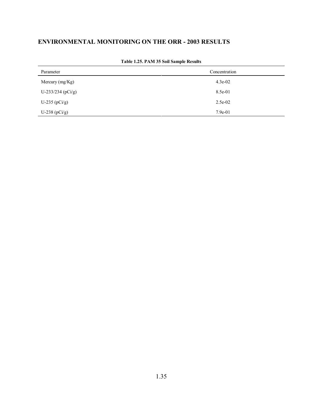| Parameter             | Concentration |  |  |  |  |
|-----------------------|---------------|--|--|--|--|
| Mercury (mg/Kg)       | $4.3e-02$     |  |  |  |  |
| U-233/234 ( $pCi/g$ ) | 8.5e-01       |  |  |  |  |
| U-235 $(pCi/g)$       | 2.5e-02       |  |  |  |  |
| U-238 $(pCi/g)$       | $7.9e-01$     |  |  |  |  |

**Table 1.25. PAM 35 Soil Sample Results**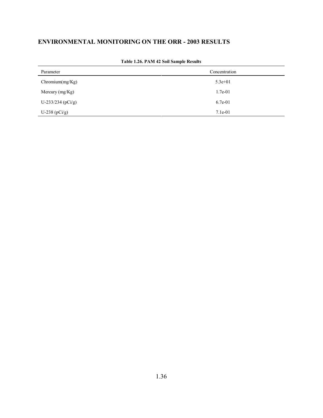| Parameter             | Concentration |  |  |  |  |
|-----------------------|---------------|--|--|--|--|
| Chronium(mg/Kg)       | $5.3e+01$     |  |  |  |  |
| Mercury $(mg/Kg)$     | $1.7e-01$     |  |  |  |  |
| U-233/234 ( $pCi/g$ ) | $6.7e-01$     |  |  |  |  |
| U-238 ( $pCi/g$ )     | $7.1e-01$     |  |  |  |  |

**Table 1.26. PAM 42 Soil Sample Results**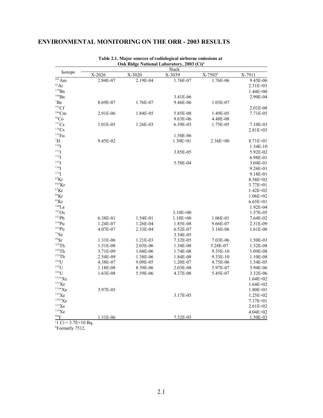|                       |          |          | <b>Stack</b> |              |              |
|-----------------------|----------|----------|--------------|--------------|--------------|
| Isotope               | X-2026   | X-3020   | X-3039       | $X-7503^b$   | X-7911       |
| $\overline{^{241}Am}$ | 2.84E-07 | 2.19E-04 | 1.76E-07     | 1.76E-06     | 9.45E-06     |
| 41Ar                  |          |          |              |              | $2.31E + 03$ |
| $^{139}Ba$            |          |          |              |              | $1.44E + 00$ |
| $140$ Ba              |          |          | 3.41E-06     |              | 2.90E-04     |
| $\mathrm{^7Be}$       | 8.69E-07 | 1.76E-07 | 9.46E-06     | 1.03E-07     |              |
| 252Cf                 |          |          |              |              | 2.01E-08     |
| $244$ Cm              | 2.91E-06 | 1.84E-05 | 5.85E-08     | 1.49E-05     | 7.71E-05     |
| ${}^{60}Co$           |          |          | 9.63E-06     | 4.48E-08     |              |
| 137Cs                 | 1.01E-05 | 1.26E-03 | 6.39E-05     | 1.75E-05     | 7.10E-03     |
| $138$ Cs              |          |          |              |              | $2.81E + 03$ |
| $152$ Eu              |          |          | 1.50E-06     |              |              |
| $\rm{^3H}$            | 9.45E-02 |          | $1.30E + 01$ | $2.36E + 00$ | $8.71E + 01$ |
| 130 <sub>T</sub>      |          |          |              |              | 1.34E-10     |
| $^{131}$ I            |          |          | 3.85E-05     |              | 5.92E-02     |
| $^{132}$ I            |          |          |              |              | 6.98E-01     |
| $133$ <sup>T</sup>    |          |          | 5.58E-04     |              | 3.04E-01     |
| $134$ <sup>T</sup>    |          |          |              |              | 9.26E-01     |
| $135$ <sup>T</sup>    |          |          |              |              | 9.18E-01     |
| ${}^{85}$ Kr          |          |          |              |              | 8.58E+02     |
| $^{85m}\mathrm{Kr}$   |          |          |              |              | $3.77E + 01$ |
| $87$ Kr               |          |          |              |              | $1.42E + 02$ |
| $88$ Kr               |          |          |              |              | $1.06E + 02$ |
| $89$ Kr               |          |          |              |              | $6.65E + 01$ |
| $140$ La              |          |          |              |              | 1.92E-04     |
| $^{191}Os$            |          |          | 3.10E+00     |              | 1.57E-05     |
| 212Pb                 | 6.38E-01 | 1.54E-01 | $1.18E + 00$ | 1.06E-01     | 7.64E-02     |
| $238$ Pu              | 1.24E-07 | 1.26E-04 | 1.85E-08     | 9.66E-07     | 2.31E-09     |
| $^{239}Pu$            | 4.07E-07 | 2.33E-04 | 6.52E-07     | 3.16E-06     | 1.61E-06     |
| $75$ Se               |          |          | 3.34E-05     |              |              |
| $90$ Sr               | 1.31E-06 | 1.21E-03 | 7.32E-05     | 7.03E-06     | 1.50E-03     |
| $228$ Th              | 1.51E-08 | 2.03E-06 | 1.34E-08     | 5.28E-07     | 1.32E-08     |
| 230Th                 | 3.71E-09 | 1.68E-06 | 1.74E-08     | 9.35E-10     | 1.09E-08     |
| $232$ Th              | 2.54E-09 | 1.38E-06 | 1.84E-08     | 9.33E-10     | 1.10E-08     |
| $234$ [J              | 4.38E-07 | 9.09E-05 | 1.20E-07     | 4.75E-06     | 1.34E-05     |
| $235$ U               | 1.18E-08 | 8.39E-06 | 2.03E-08     | 5.97E-07     | 3.94E-06     |
| $^{238}$ U            | 1.63E-08 | 5.59E-06 | 4.37E-08     | 5.45E-07     | 3.32E-06     |
| $131m$ Xe             |          |          |              |              | $1.64E + 02$ |
| $133$ Xe              |          |          |              |              | $1.64E + 02$ |
| $133m$ Xe             | 3.97E-05 |          |              |              | $1.80E + 01$ |
| $135$ Xe              |          |          | 3.17E-05     |              | $1.25E + 02$ |
| $135m$ Xe             |          |          |              |              | $7.17E + 01$ |
| 137Xe                 |          |          |              |              | $2.61E + 02$ |
| 138Xe                 |          |          |              |              | $4.04E + 02$ |
| 90Y                   | 1.31E-06 |          | 7.32E-05     |              | 1.50E-03     |

**Table 2.1. Major sources of radiological airborne emissions at Oak Ridge National Laboratory, 2003 (Ci)<sup>a</sup>**

<sup>b</sup>Formerly 7512.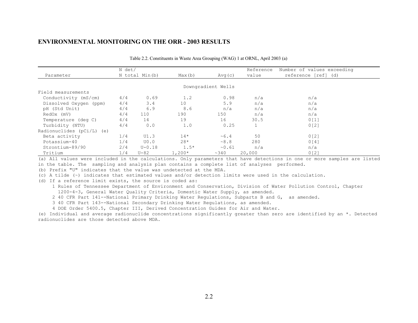|                             | N det/ |                |          |                    | Reference | Number of values exceeding |
|-----------------------------|--------|----------------|----------|--------------------|-----------|----------------------------|
| Parameter                   |        | N total Min(b) | Max(b)   | Avg(c)             | value     | reference [ref] (d)        |
|                             |        |                |          |                    |           |                            |
|                             |        |                |          | Downgradient Wells |           |                            |
| Field measurements          |        |                |          |                    |           |                            |
| Conductivity (mS/cm)        | 4/4    | 0.69           | 1.2      | 0.98               | n/a       | n/a                        |
| Dissolved Oxygen (ppm)      | 4/4    | 3.4            | 10       | 5.9                | n/a       | n/a                        |
| pH (Std Unit)               | 4/4    | 6.9            | 8.6      | n/a                | n/a       | n/a                        |
| RedOx (mV)                  | 4/4    | 110            | 190      | 150                | n/a       | n/a                        |
| Temperature (deg C)         | 4/4    | 14             | 19       | 16                 | 30.5      | 0[1]                       |
| Turbidity (NTU)             | 4/4    | 0.0            | 1.0      | 0.25               |           | 0 <sub>121</sub>           |
| Radionuclides $(pCi/L)$ (e) |        |                |          |                    |           |                            |
| Beta activity               | 1/4    | UI.3           | $14*$    | ~1.6.4             | 50        | 0 <sub>12</sub>            |
| Potassium-40                | 1/4    | U0.0           | $28*$    | ~8.8               | 280       | 0[4]                       |
| Strontium-89/90             | 2/4    | $U - 0.18$     | $1.5*$   | ~0.61              | n/a       | n/a                        |
| Tritium                     | 1/4    | $U - 82$       | $1,200*$ | ~340               | 20,000    | 0 [2]                      |

Table 2.2. Constituents in Waste Area Grouping (WAG) 1 at ORNL, April 2003 (a)

(a) All values were included in the calculations. Only parameters that have detections in one or more samples are listed in the table. The sampling and analysis plan contains a complete list of analyses performed.

(b) Prefix "U" indicates that the value was undetected at the MDA.

(c) A tilde (~) indicates that estimated values and/or detection limits were used in the calculation.

(d) If a reference limit exists, the source is coded as:

- 1 Rules of Tennessee Department of Environment and Conservation, Division of Water Pollution Control, Chapter 1200-4-3, General Water Quality Criteria, Domestic Water Supply, as amended.
- 2 40 CFR Part 141--National Primary Drinking Water Regulations, Subparts B and G, as amended.

3 40 CFR Part 143--National Secondary Drinking Water Regulations, as amended.

4 DOE Order 5400.5, Chapter III, Derived Concentration Guides for Air and Water.

(e) Individual and average radionuclide concentrations significantly greater than zero are identified by an \*. Detected radionuclides are those detected above MDA.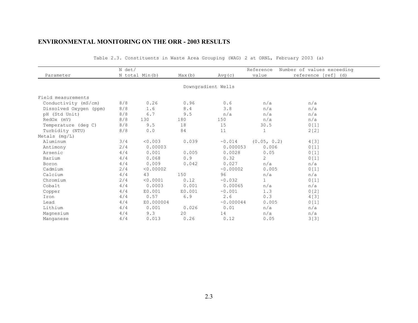|                        | N det/         |           |        |                    | Reference      | Number of values exceeding |  |
|------------------------|----------------|-----------|--------|--------------------|----------------|----------------------------|--|
| Parameter              | N total Min(b) |           | Max(b) | Avg(c)             | value          | reference [ref] (d)        |  |
|                        |                |           |        |                    |                |                            |  |
|                        |                |           |        | Downgradient Wells |                |                            |  |
| Field measurements     |                |           |        |                    |                |                            |  |
| Conductivity (mS/cm)   | 8/8            | 0.26      | 0.96   | 0.6                | n/a            | n/a                        |  |
| Dissolved Oxygen (ppm) | 8/8            | 1.6       | 8.4    | 3.8                | n/a            | n/a                        |  |
| pH (Std Unit)          | 8/8            | 6.7       | 9.5    | n/a                | n/a            | n/a                        |  |
| RedOx (mV)             | 8/8            | 130       | 180    | 150                | n/a            | n/a                        |  |
| Temperature (deg C)    | 8/8            | 9.5       | 18     | 15                 | 30.5           | 0[1]                       |  |
| Turbidity (NTU)        | 8/8            | 0.0       | 84     | 11                 | $\mathbf 1$    | 2[2]                       |  |
| Metals $(mq/L)$        |                |           |        |                    |                |                            |  |
| Aluminum               | 3/4            | < 0.003   | 0.039  | ~0.014             | (0.05, 0.2)    | 4 [ 3 ]                    |  |
| Antimony               | 2/4            | 0.00003   |        | 0.000053           | 0.006          | 0[1]                       |  |
| Arsenic                | 4/4            | 0.001     | 0.005  | 0.0028             | 0.05           | 0[1]                       |  |
| Barium                 | 4/4            | 0.068     | 0.9    | 0.32               | $\overline{2}$ | 0[1]                       |  |
| Boron                  | 4/4            | 0.009     | 0.042  | 0.027              | n/a            | n/a                        |  |
| Cadmium                | 2/4            | < 0.00002 |        | ~0.00002           | 0.005          | 0[1]                       |  |
| Calcium                | 4/4            | 43        | 150    | 96                 | n/a            | n/a                        |  |
| Chromium               | 2/4            | < 0.0001  | 0.12   | ~0.032             | $\mathbf{1}$   | 0[1]                       |  |
| Cobalt                 | 4/4            | 0.0003    | 0.001  | 0.00065            | n/a            | n/a                        |  |
| Copper                 | 4/4            | E0.001    | E0.001 | ~0.001             | 1.3            | 0[2]                       |  |
| Iron                   | 4/4            | 0.57      | 6.9    | 2.6                | 0.3            | 4 [ 3 ]                    |  |
| Lead                   | 4/4            | E0.000004 |        | ~0.000044          | 0.005          | 0 <sub>1</sub>             |  |
| Lithium                | 4/4            | 0.001     | 0.026  | 0.01               | n/a            | n/a                        |  |
| Magnesium              | 4/4            | 9.3       | 20     | 14                 | n/a            | n/a                        |  |
| Manganese              | 4/4            | 0.013     | 0.26   | 0.12               | 0.05           | 3[3]                       |  |

Table 2.3. Constituents in Waste Area Grouping (WAG) 2 at ORNL, February 2003 (a)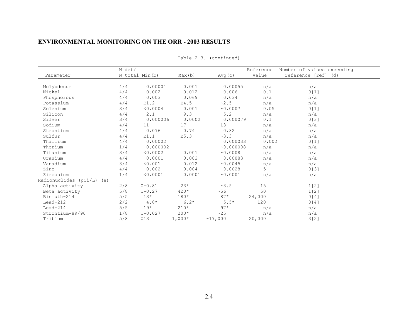|                              | N det/ |                |          |           | Reference | Number of values exceeding |
|------------------------------|--------|----------------|----------|-----------|-----------|----------------------------|
| Parameter                    |        | N total Min(b) | Max(b)   | Avg(c)    | value     | reference [ref] (d)        |
|                              |        |                |          |           |           |                            |
| Molybdenum                   | 4/4    | 0.00001        | 0.001    | 0.00055   | n/a       | n/a                        |
| Nickel                       | 4/4    | 0.002          | 0.012    | 0.006     | 0.1       | 0[1]                       |
| Phosphorous                  | 4/4    | 0.003          | 0.069    | 0.034     | n/a       | n/a                        |
| Potassium                    | 4/4    | E1.2           | E4.5     | ~2.5      | n/a       | n/a                        |
| Selenium                     | 3/4    | < 0.0004       | 0.001    | ~0.0007   | 0.05      | 0[1]                       |
| Silicon                      | 4/4    | 2.1            | 9.3      | 5.2       | n/a       | n/a                        |
| Silver                       | 3/4    | 0.000006       | 0.0002   | 0.000079  | 0.1       | 0[3]                       |
| Sodium                       | 4/4    | 11             | 17       | 13        | n/a       | n/a                        |
| Strontium                    | 4/4    | 0.076          | 0.74     | 0.32      | n/a       | n/a                        |
| Sulfur                       | 4/4    | E1.1           | E5.3     | ~3.3      | n/a       | n/a                        |
| Thallium                     | 4/4    | 0.00002        |          | 0.000033  | 0.002     | 0[1]                       |
| Thorium                      | 1/4    | 0.000002       |          | ~0.000008 | n/a       | n/a                        |
| Titanium                     | 3/4    | < 0.0002       | 0.001    | ~0.0008   | n/a       | n/a                        |
| Uranium                      | 4/4    | 0.0001         | 0.002    | 0.00083   | n/a       | n/a                        |
| Vanadium                     | 3/4    | < 0.001        | 0.012    | ~0.0045   | n/a       | n/a                        |
| Zinc                         | 4/4    | 0.002          | 0.004    | 0.0028    | 5         | 0[3]                       |
| Zirconium                    | 1/4    | < 0.0001       | 0.0001   | ~0.0001   | n/a       | n/a                        |
| Radionuclides (pCi/L)<br>(e) |        |                |          |           |           |                            |
| Alpha activity               | 2/8    | $U - 0.81$     | $23*$    | ~3.5      | 15        | 1[2]                       |
| Beta activity                | 5/8    | $U - 0.27$     | $420*$   | ~56       | 50        | 1[2]                       |
| Bismuth-214                  | 5/5    | $13*$          | $180*$   | $87*$     | 24,000    | 0[4]                       |
| $Lead-212$                   | 2/2    | $4.8*$         | $6.2*$   | $5.5*$    | 120       | 0[4]                       |
| $Lead-214$                   | 5/5    | $19*$          | $210*$   | $97*$     | n/a       | n/a                        |
| Strontium-89/90              | 1/8    | $U - 0.027$    | $200*$   | ~25       | n/a       | n/a                        |
| Tritium                      | 5/8    | U13            | $1,000*$ | ~17,000   | 20,000    | 3[2]                       |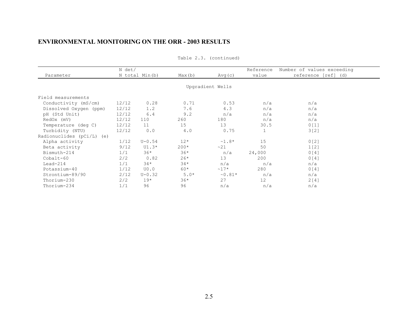|                             | N det/ |                |        |                  | Reference | Number of values exceeding |  |
|-----------------------------|--------|----------------|--------|------------------|-----------|----------------------------|--|
| Parameter                   |        | N total Min(b) | Max(b) | Avg(c)           | value     | reference [ref] (d)        |  |
|                             |        |                |        |                  |           |                            |  |
|                             |        |                |        | Upgradient Wells |           |                            |  |
| Field measurements          |        |                |        |                  |           |                            |  |
| Conductivity (mS/cm)        | 12/12  | 0.28           | 0.71   | 0.53             | n/a       | n/a                        |  |
| Dissolved Oxygen (ppm)      | 12/12  | 1.2            | 7.6    | 4.3              | n/a       | n/a                        |  |
| pH (Std Unit)               | 12/12  | 6.4            | 9.2    | n/a              | n/a       | n/a                        |  |
| RedOx (mV)                  | 12/12  | 110            | 260    | 180              | n/a       | n/a                        |  |
| Temperature (deg C)         | 12/12  | 11             | 15     | 13               | 30.5      | 0[1]                       |  |
| Turbidity (NTU)             | 12/12  | 0.0            | 4.0    | 0.75             |           | 3[2]                       |  |
| Radionuclides $(pCi/L)$ (e) |        |                |        |                  |           |                            |  |
| Alpha activity              | 1/12   | $U - 0.54$     | $12*$  | $~1.8*$          | 15        | 0 <sub>121</sub>           |  |
| Beta activity               | 9/12   | $U1.3*$        | $200*$ | ~21              | 50        | 1[2]                       |  |
| Bismuth-214                 | 1/1    | $36*$          | $36*$  | n/a              | 24,000    | 0[4]                       |  |
| Cobalt-60                   | 2/2    | 0.82           | $26*$  | 13               | 200       | 0[4]                       |  |
| $Lead-214$                  | 1/1    | $34*$          | $34*$  | n/a              | n/a       | n/a                        |  |
| Potassium-40                | 1/12   | U0.0           | 60*    | $~17*$           | 280       | 0[4]                       |  |
| Strontium-89/90             | 2/12   | $U - 0.32$     | $5.0*$ | $~\sim 0.81*$    | n/a       | n/a                        |  |
| Thorium-230                 | 2/2    | $19*$          | $36*$  | 27               | 12        | 2[4]                       |  |
| Thorium-234                 | 1/1    | 96             | 96     | n/a              | n/a       | n/a                        |  |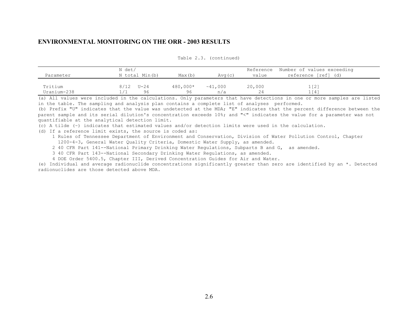| Parameter              | N det/<br>N total Min(b) | Max(b)         | Avg(c)        | Reference<br>value | Number of values exceeding<br>reference [ref] (d) |
|------------------------|--------------------------|----------------|---------------|--------------------|---------------------------------------------------|
| Tritium<br>Uranium-238 | $U - 24$<br>8/12<br>96   | 480,000*<br>96 | ~1.000<br>n/a | 20,000<br>24       | 1 <sup>2</sup><br>1 「4 1                          |

Table 2.3. (continued)

(a) All values were included in the calculations. Only parameters that have detections in one or more samples are listed in the table. The sampling and analysis plan contains a complete list of analyses performed.

(b) Prefix "U" indicates that the value was undetected at the MDA; "E" indicates that the percent difference between the parent sample and its serial dilution's concentration exceeds 10%; and "<" indicates the value for a parameter was not quantifiable at the analytical detection limit.

(c) A tilde (~) indicates that estimated values and/or detection limits were used in the calculation.

(d) If a reference limit exists, the source is coded as:

 1 Rules of Tennessee Department of Environment and Conservation, Division of Water Pollution Control, Chapter 1200-4-3, General Water Quality Criteria, Domestic Water Supply, as amended.

2 40 CFR Part 141--National Primary Drinking Water Regulations, Subparts B and G, as amended.

3 40 CFR Part 143--National Secondary Drinking Water Regulations, as amended.

4 DOE Order 5400.5, Chapter III, Derived Concentration Guides for Air and Water.

(e) Individual and average radionuclide concentrations significantly greater than zero are identified by an \*. Detected radionuclides are those detected above MDA.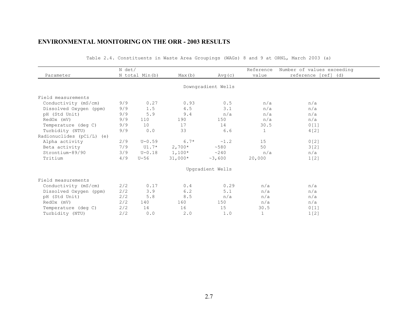|                           | N det/ |                |           |                    | Reference    | Number of values exceeding |  |
|---------------------------|--------|----------------|-----------|--------------------|--------------|----------------------------|--|
| Parameter                 |        | N total Min(b) | Max(b)    | Avg(c)             | value        | reference [ref] (d)        |  |
|                           |        |                |           |                    |              |                            |  |
|                           |        |                |           | Downgradient Wells |              |                            |  |
| Field measurements        |        |                |           |                    |              |                            |  |
| Conductivity (mS/cm)      | 9/9    | 0.27           | 0.93      | 0.5                | n/a          | n/a                        |  |
| Dissolved Oxygen (ppm)    | 9/9    | 1.5            | 4.5       | 3.1                | n/a          | n/a                        |  |
| pH (Std Unit)             | 9/9    | 5.9            | 9.4       | n/a                | n/a          | n/a                        |  |
| RedOx (mV)                | 9/9    | 110            | 190       | 150                | n/a          | n/a                        |  |
| Temperature (deg C)       | 9/9    | 10             | 17        | 14                 | 30.5         | 0[1]                       |  |
| Turbidity (NTU)           | 9/9    | 0.0            | 33        | 6.6                | $\mathbf{1}$ | 4[2]                       |  |
| Radionuclides (pCi/L) (e) |        |                |           |                    |              |                            |  |
| Alpha activity            | 2/9    | $U - 0.59$     | $6.7*$    | ~1.2               | 15           | 0[2]                       |  |
| Beta activity             | 7/9    | U1.7*          | $2,700*$  | ~1.580             | 50           | 3[2]                       |  |
| Strontium-89/90           | 3/9    | $U - 0.18$     | $1,100*$  | $\sim$ 240         | n/a          | n/a                        |  |
| Tritium                   | 4/9    | $U-56$         | $31,000*$ | ~3,600             | 20,000       | 1[2]                       |  |
|                           |        |                |           | Upgradient Wells   |              |                            |  |
| Field measurements        |        |                |           |                    |              |                            |  |
| Conductivity (mS/cm)      | 2/2    | 0.17           | 0.4       | 0.29               | n/a          | n/a                        |  |
| Dissolved Oxygen (ppm)    | 2/2    | 3.9            | 6.2       | 5.1                | n/a          | n/a                        |  |
| pH (Std Unit)             | 2/2    | 5.8            | 8.5       | n/a                | n/a          | n/a                        |  |
| RedOx (mV)                | 2/2    | 140            | 160       | 150                | n/a          | n/a                        |  |
| Temperature (deg C)       | 2/2    | 14             | 16        | 15                 | 30.5         | 0[1]                       |  |
| Turbidity (NTU)           | 2/2    | 0.0            | 2.0       | 1.0                | $\mathbf{1}$ | 1 <sub>1</sub>             |  |

Table 2.4. Constituents in Waste Area Groupings (WAGs) 8 and 9 at ORNL, March 2003 (a)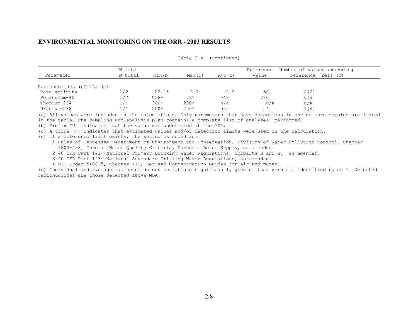| Parameter                   | N det/<br>N total | Min(b)  | Max(b) | Avg(c) | Reference<br>value | Number of values exceeding<br>reference [ref] (d) |
|-----------------------------|-------------------|---------|--------|--------|--------------------|---------------------------------------------------|
| Radionuclides $(pCi/L)$ (e) |                   |         |        |        |                    |                                                   |
| Beta activity               | 1/2               | $U2.1*$ | $3.7*$ | ~2.9   | 50                 | 0 <sub>12</sub>                                   |
| Potassium-40                | 1/2               | $U18*$  | $78*$  | ~10    | 280                | 0 <sub>14</sub>                                   |
| Thorium-234                 | 1/1               | $200*$  | $200*$ | n/a    | n/a                | n/a                                               |
| Uranium-238                 | 1 / 1             | $200*$  | $200*$ | n/a    | 24                 | 1[4]                                              |

Table 2.4. (continued)

(a) All values were included in the calculations. Only parameters that have detections in one or more samples are listed in the table. The sampling and analysis plan contains a complete list of analyses performed.

(b) Prefix "U" indicates that the value was undetected at the MDA.

(c) A tilde (~) indicates that estimated values and/or detection limits were used in the calculation.

(d) If a reference limit exists, the source is coded as:

 1 Rules of Tennessee Department of Environment and Conservation, Division of Water Pollution Control, Chapter 1200-4-3, General Water Quality Criteria, Domestic Water Supply, as amended.

2 40 CFR Part 141--National Primary Drinking Water Regulations, Subparts B and G, as amended.

3 40 CFR Part 143--National Secondary Drinking Water Regulations, as amended.

4 DOE Order 5400.5, Chapter III, Derived Concentration Guides for Air and Water.

(e) Individual and average radionuclide concentrations significantly greater than zero are identified by an \*. Detected radionuclides are those detected above MDA.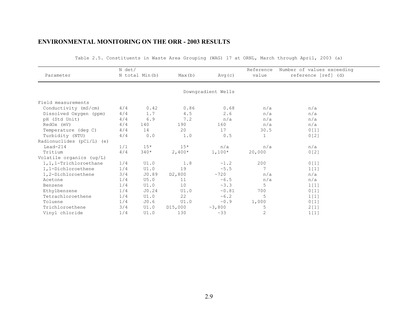|                           | N det/ |                |                     |                    | Reference    | Number of values exceeding |
|---------------------------|--------|----------------|---------------------|--------------------|--------------|----------------------------|
| Parameter                 |        | N total Min(b) | Max(b)              | Avg(c)             | value        | reference [ref] (d)        |
|                           |        |                |                     |                    |              |                            |
|                           |        |                |                     | Downgradient Wells |              |                            |
| Field measurements        |        |                |                     |                    |              |                            |
| Conductivity (mS/cm)      | 4/4    | 0.42           | 0.86                | 0.68               | n/a          | n/a                        |
| Dissolved Oxygen (ppm)    | 4/4    | 1.7            | 4.5                 | 2.6                | n/a          | n/a                        |
| pH (Std Unit)             | 4/4    | 6.9            | 7.2                 | n/a                | n/a          | n/a                        |
| RedOx (mV)                | 4/4    | 140            | 190                 | 160                | n/a          | n/a                        |
| Temperature (deg C)       | 4/4    | 14             | 20                  | 17                 | 30.5         | 0[1]                       |
| Turbidity (NTU)           | 4/4    | 0.0            | 1.0                 | 0.5                | $\mathbf{1}$ | 0[2]                       |
| Radionuclides (pCi/L) (e) |        |                |                     |                    |              |                            |
| $Lead-214$                | 1/1    | $15*$          | $15*$               | n/a                | n/a          | n/a                        |
| Tritium                   | 4/4    | $340*$         | $2,400*$            | $1,100*$           | 20,000       | 0[2]                       |
| Volatile organics (ug/L)  |        |                |                     |                    |              |                            |
| 1, 1, 1-Trichloroethane   | 1/4    | UI.0           | 1.8                 | ~1.2               | 200          | 0[1]                       |
| 1,1-Dichloroethene        | 1/4    | UI.0           | 19                  | ~5.5               | 7            | 1[1]                       |
| 1,2-Dichloroethene        | 3/4    | JO.89          | D <sub>2</sub> ,800 | ~1720              | n/a          | n/a                        |
| Acetone                   | 1/4    | U5.0           | 11                  | ~5.5               | n/a          | n/a                        |
| Benzene                   | 1/4    | UI.0           | 10                  | ~3.3               | 5            | 1[1]                       |
| Ethylbenzene              | 1/4    | J0.24          | UI.0                | ~0.81              | 700          | 0[1]                       |
| Tetrachloroethene         | 1/4    | UI.0           | 22                  | ~10.2              | 5            | 1[1]                       |
| Toluene                   | 1/4    | J0.6           | UI.0                | ~0.9               | 1,000        | 0[1]                       |
| Trichloroethene           | 3/4    | UI.0           | D15,000             | ~2,800             | 5            | 2[1]                       |
| Vinyl chloride            | 1/4    | UI.0           | 130                 | ~33                | 2            | 1[1]                       |

Table 2.5. Constituents in Waste Area Grouping (WAG) 17 at ORNL, March through April, 2003 (a)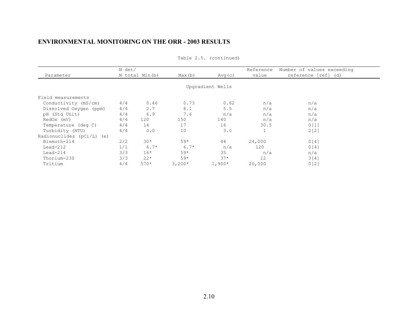|                           | N det/         |        |          |                  | Reference | Number of values exceeding |
|---------------------------|----------------|--------|----------|------------------|-----------|----------------------------|
| Parameter                 | N total Min(b) |        | Max(b)   | Avg(c)           | value     | reference [ref] (d)        |
|                           |                |        |          | Upgradient Wells |           |                            |
| Field measurements        |                |        |          |                  |           |                            |
| Conductivity (mS/cm)      | 4/4            | 0.46   | 0.73     | 0.62             | n/a       | n/a                        |
| Dissolved Oxygen (ppm)    | 4/4            | 2.7    | 8.1      | 5.5              | n/a       | n/a                        |
| pH (Std Unit)             | 4/4            | 6.9    | 7.6      | n/a              | n/a       | n/a                        |
| RedOx (mV)                | 4/4            | 120    | 150      | 140              | n/a       | n/a                        |
| Temperature (deg C)       | 4/4            | 14     | 17       | 16               | 30.5      | 0[1]                       |
| Turbidity (NTU)           | 4/4            | 0.0    | 10       | 3.0              |           | 2[2]                       |
| Radionuclides (pCi/L) (e) |                |        |          |                  |           |                            |
| Bismuth-214               | 2/2            | $30*$  | $59*$    | 44               | 24,000    | 0[4]                       |
| $Lead-212$                | 1/1            | $6.7*$ | $6.7*$   | n/a              | 120       | 0[4]                       |
| $Lead-214$                | 3/3            | $16*$  | $59*$    | 35               | n/a       | n/a                        |
| Thorium-230               | 3/3            | $22*$  | $59*$    | $37*$            | 12        | 3[4]                       |
| Tritium                   | 4/4            | $570*$ | $3,200*$ | $1,900*$         | 20,000    | 0 <sub>121</sub>           |
|                           |                |        |          |                  |           |                            |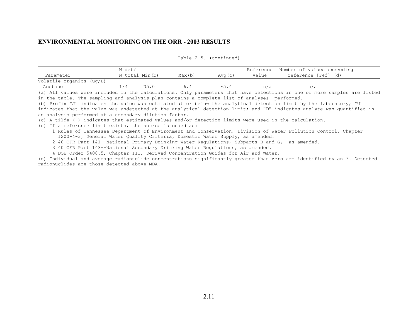|                          | N det/         |      |        |                |       | Reference Number of values exceeding |
|--------------------------|----------------|------|--------|----------------|-------|--------------------------------------|
| Parameter                | N total Min(b) |      | Max(b) | Avq(c)         | value | reference [ref] (d)                  |
| Volatile organics (ug/L) |                |      |        |                |       |                                      |
| Acetone                  |                | U5.0 |        | $~^{\sim}$ 5.4 | n/a   | n/a                                  |

Table 2.5. (continued)

(a) All values were included in the calculations. Only parameters that have detections in one or more samples are listed in the table. The sampling and analysis plan contains a complete list of analyses performed.

(b) Prefix "J" indicates the value was estimated at or below the analytical detection limit by the laboratory; "U" indicates that the value was undetected at the analytical detection limit; and "D" indicates analyte was quantified in an analysis performed at a secondary dilution factor.

(c) A tilde (~) indicates that estimated values and/or detection limits were used in the calculation.

(d) If a reference limit exists, the source is coded as:

 1 Rules of Tennessee Department of Environment and Conservation, Division of Water Pollution Control, Chapter 1200-4-3, General Water Quality Criteria, Domestic Water Supply, as amended.

2 40 CFR Part 141--National Primary Drinking Water Regulations, Subparts B and G, as amended.

3 40 CFR Part 143--National Secondary Drinking Water Regulations, as amended.

4 DOE Order 5400.5, Chapter III, Derived Concentration Guides for Air and Water.

(e) Individual and average radionuclide concentrations significantly greater than zero are identified by an \*. Detected radionuclides are those detected above MDA.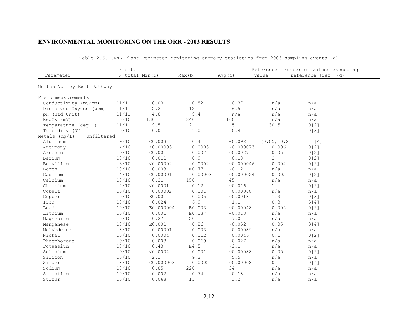|                             | N det/         |                                                     |         |           | Reference    | Number of values exceeding |
|-----------------------------|----------------|-----------------------------------------------------|---------|-----------|--------------|----------------------------|
| Parameter                   | N total Min(b) |                                                     | Max(b)  | Avg(c)    | value        | reference [ref] (d)        |
| Melton Valley Exit Pathway  |                |                                                     |         |           |              |                            |
| Field measurements          |                |                                                     |         |           |              |                            |
| Conductivity (mS/cm)        | 11/11          | 0.03                                                | 0.82    | 0.37      | n/a          | n/a                        |
| Dissolved Oxygen (ppm)      | 11/11          | 2.2                                                 | 12      | $6.5$     | n/a          | n/a                        |
| pH (Std Unit)               | 11/11          | 4.8                                                 | 9.4     | n/a       | n/a          | n/a                        |
| RedOx (mV)                  | 10/10          | 130                                                 | 240     | 160       | n/a          | n/a                        |
| Temperature (deg C)         | 11/11          | 9.5                                                 | 21      | 15        | 30.5         | 0[2]                       |
| Turbidity (NTU)             | 10/10          | $\ensuremath{\mathbf 0}$ . $\ensuremath{\mathbf 0}$ | 1.0     | 0.4       | $\mathbf{1}$ | 0[3]                       |
| Metals (mg/L) -- Unfiltered |                |                                                     |         |           |              |                            |
| Aluminum                    | 9/10           | < 0.003                                             | 0.41    | ~0.092    | (0.05, 0.2)  | 10[4]                      |
| Antimony                    | 4/10           | < 0.00003                                           | 0.0003  | ~0.000073 | 0.006        | 0[2]                       |
| Arsenic                     | 9/10           | < 0.001                                             | 0.007   | ~0.0027   | 0.05         | 0[2]                       |
| Barium                      | 10/10          | 0.011                                               | $0.9$   | 0.18      | 2            | 0[2]                       |
| Beryllium                   | 3/10           | < 0.00002                                           | 0.0002  | ~0.000046 | 0.004        | 0[2]                       |
| Boron                       | 10/10          | 0.008                                               | E0.77   | ~0.12     | n/a          | n/a                        |
| Cadmium                     | 4/10           | < 0.00001                                           | 0.00008 | ~0.000024 | 0.005        | 0[2]                       |
| Calcium                     | 10/10          | 0.31                                                | 150     | 45        | n/a          | n/a                        |
| Chromium                    | 7/10           | < 0.0001                                            | 0.12    | ~0.016    | $\mathbf{1}$ | 0[2]                       |
| Cobalt                      | 10/10          | 0.00002                                             | 0.001   | 0.00048   | n/a          | n/a                        |
| Copper                      | 10/10          | E0.001                                              | 0.005   | ~0.0018   | 1.3          | 0[3]                       |
| Iron                        | 10/10          | 0.024                                               | 6.9     | 1.1       | 0.3          | 5[4]                       |
| Lead                        | 10/10          | E0.000004                                           | E0.003  | ~0.00048  | 0.005        | 0[2]                       |
| Lithium                     | 10/10          | 0.001                                               | E0.037  | ~0.013    | n/a          | n/a                        |
| Magnesium                   | 10/10          | 0.27                                                | 20      | 7.0       | n/a          | n/a                        |
| Manganese                   | 10/10          | E0.001                                              | 0.26    | ~0.052    | 0.05         | 3[4]                       |
| Molybdenum                  | 8/10           | 0.00001                                             | 0.003   | 0.00089   | n/a          | n/a                        |
| Nickel                      | 10/10          | 0.0004                                              | 0.012   | 0.0046    | 0.1          | 0[2]                       |
| Phosphorous                 | 9/10           | 0.003                                               | 0.069   | 0.027     | n/a          | n/a                        |
| Potassium                   | 10/10          | 0.43                                                | E4.5    | ~2.1      | n/a          | n/a                        |
| Selenium                    | 9/10           | < 0.0004                                            | 0.001   | ~0.00088  | 0.05         | 0 [2]                      |
| Silicon                     | 10/10          | 2.1                                                 | 9.3     | 5.5       | n/a          | n/a                        |
| Silver                      | 8/10           | < 0.000003                                          | 0.0002  | ~0.00008  | 0.1          | 0[4]                       |
| Sodium                      | 10/10          | 0.85                                                | 220     | 34        | n/a          | n/a                        |
| Strontium                   | 10/10          | 0.002                                               | 0.74    | 0.18      | n/a          | n/a                        |
| Sulfur                      | 10/10          | 0.068                                               | 11      | 3.2       | n/a          | n/a                        |

Table 2.6. ORNL Plant Perimeter Monitoring summary statistics from 2003 sampling events (a)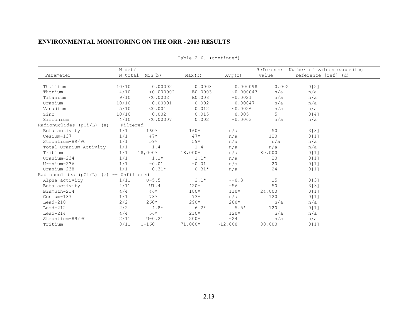|                                         | N det/          |            |           |             | Reference | Number of values exceeding |
|-----------------------------------------|-----------------|------------|-----------|-------------|-----------|----------------------------|
| Parameter                               | N total         | Min(b)     | Max(b)    | Avg (c)     | value     | reference [ref] (d)        |
|                                         |                 |            |           |             |           |                            |
| Thallium                                | 10/10           | 0.00002    | 0.0003    | 0.000098    | 0.002     | 0[2]                       |
| Thorium                                 | 4/10            | < 0.000002 | E0.0003   | ~0.000047   | n/a       | n/a                        |
| Titanium                                | 9/10            | < 0.0002   | E0.008    | ~0.0021     | n/a       | n/a                        |
| Uranium                                 | 10/10           | 0.00001    | 0.002     | 0.00047     | n/a       | n/a                        |
| Vanadium                                | 5/10            | < 0.001    | 0.012     | ~0.0026     | n/a       | n/a                        |
| Zinc                                    | 10/10           | 0.002      | 0.015     | 0.005       | 5         | 0[4]                       |
| Zirconium                               | 4/10            | < 0.00007  | 0.002     | ~0.0003     | n/a       | n/a                        |
| Radionuclides (pCi/L)                   | (e) -- Filtered |            |           |             |           |                            |
| Beta activity                           | 1/1             | $160*$     | $160*$    | n/a         | 50        | 3[3]                       |
| Cesium-137                              | 1/1             | $47*$      | $47*$     | n/a         | 120       | 0[1]                       |
| Strontium-89/90                         | 1/1             | $59*$      | $59*$     | n/a         | n/a       | n/a                        |
| Total Uranium Activity                  | 1/1             | 1.4        | 1.4       | n/a         | n/a       | n/a                        |
| Tritium                                 | 1/1             | $18,000*$  | $18,000*$ | n/a         | 80,000    | 0[1]                       |
| Uranium-234                             | 1/1             | $1.1*$     | $1.1*$    | n/a         | 20        | 0[1]                       |
| Uranium-236                             | 1/1             | $-0.01$    | $-0.01$   | n/a         | 20        | 0[1]                       |
| Uranium-238                             | 1/1             | $0.31*$    | $0.31*$   | n/a         | 24        | 0[1]                       |
| Radionuclides (pCi/L) (e) -- Unfiltered |                 |            |           |             |           |                            |
| Alpha activity                          | 1/11            | $U - 5.5$  | $2.1*$    | $\sim -0.3$ | 15        | 0[3]                       |
| Beta activity                           | 4/11            | UI.4       | $420*$    | ~56         | 50        | 3[3]                       |
| Bismuth-214                             | 4/4             | $46*$      | $180*$    | $110*$      | 24,000    | 0[1]                       |
| Cesium-137                              | 1/1             | $73*$      | $73*$     | n/a         | 120       | 0[1]                       |
| $Lead-210$                              | 2/2             | $260*$     | $290*$    | $280*$      | n/a       | n/a                        |
| $Lead-212$                              | 2/2             | $4.8*$     | $6.2*$    | $5.5*$      | 120       | 0[1]                       |
| $Lead-214$                              | 4/4             | $56*$      | $210*$    | $120*$      | n/a       | n/a                        |
| Strontium-89/90                         | 2/11            | $U - 0.21$ | $200*$    | $\sim$ 24   | n/a       | n/a                        |
| Tritium                                 | 8/11            | $U-160$    | $71,000*$ | ~12,000     | 80,000    | 0[1]                       |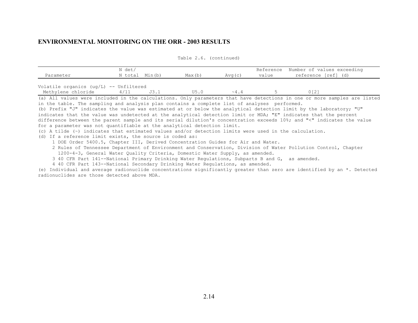| Parameter                                                                                                                                                                                                                | N det/<br>N total Min(b) |      | Max(b) | Avg (c)     | value | Reference Number of values exceeding<br>reference [ref] (d) |  |  |
|--------------------------------------------------------------------------------------------------------------------------------------------------------------------------------------------------------------------------|--------------------------|------|--------|-------------|-------|-------------------------------------------------------------|--|--|
| Volatile organics ( $uq/L$ ) -- Unfiltered<br>Methylene chloride                                                                                                                                                         | 4/11                     | J3.1 | U5.0   | $\sim$ 4, 4 |       | $0121$                                                      |  |  |
| (a) All values were included in the calculations. Only parameters that have detections in one or more samples are listed<br>in the table. The sampling and analysis plan contains a complete list of analyses performed. |                          |      |        |             |       |                                                             |  |  |

(b) Prefix "J" indicates the value was estimated at or below the analytical detection limit by the laboratory; "U" indicates that the value was undetected at the analytical detection limit or MDA; "E" indicates that the percent difference between the parent sample and its serial dilution's concentration exceeds 10%; and "<" indicates the value for a parameter was not quantifiable at the analytical detection limit.

(c) A tilde (~) indicates that estimated values and/or detection limits were used in the calculation.

(d) If a reference limit exists, the source is coded as:

1 DOE Order 5400.5, Chapter III, Derived Concentration Guides for Air and Water.

 2 Rules of Tennessee Department of Environment and Conservation, Division of Water Pollution Control, Chapter 1200-4-3, General Water Quality Criteria, Domestic Water Supply, as amended.

3 40 CFR Part 141--National Primary Drinking Water Regulations, Subparts B and G, as amended.

4 40 CFR Part 143--National Secondary Drinking Water Regulations, as amended.

(e) Individual and average radionuclide concentrations significantly greater than zero are identified by an \*. Detected radionuclides are those detected above MDA.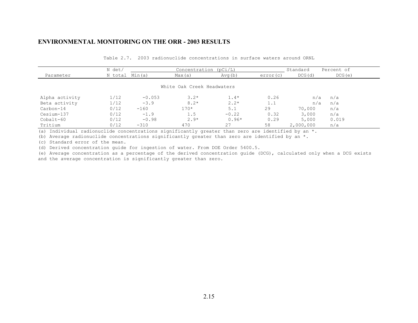| Table 2.7. 2003 radionuclide concentrations in surface waters around ORNL |  |  |  |  |  |  |
|---------------------------------------------------------------------------|--|--|--|--|--|--|
|---------------------------------------------------------------------------|--|--|--|--|--|--|

|                | N det/         |          | Concentration $(pCi/L)$    |         |          | Standard  | Percent of |
|----------------|----------------|----------|----------------------------|---------|----------|-----------|------------|
| Parameter      | N total Min(a) |          | Max(a)                     | Avg(b)  | error(c) | DCG(d)    | DCG(e)     |
|                |                |          |                            |         |          |           |            |
|                |                |          | White Oak Creek Headwaters |         |          |           |            |
|                |                |          |                            |         |          |           |            |
| Alpha activity | 1/12           | $-0.053$ | $3.2*$                     | $1.4*$  | 0.26     | n/a       | n/a        |
| Beta activity  | 1/12           | $-3.9$   | $8.2*$                     | $2.2*$  | 1.1      | n/a       | n/a        |
| Carbon-14      | 0/12           | $-160$   | $170*$                     | 5.1     | 29       | 70,000    | n/a        |
| Cesium-137     | 0/12           | $-1.9$   | 1.5                        | $-0.22$ | 0.32     | 3,000     | n/a        |
| $Cobalt-60$    | 0/12           | $-0.98$  | $2.9*$                     | $0.96*$ | 0.29     | 5,000     | 0.019      |
| Tritium        | 0/12           | $-310$   | 470                        | 27      | 58       | 2,000,000 | n/a        |

(a) Individual radionuclide concentrations significantly greater than zero are identified by an  $*$ .

(b) Average radionuclide concentrations significantly greater than zero are identified by an  $\star$ .

(c) Standard error of the mean.

(d) Derived concentration guide for ingestion of water. From DOE Order 5400.5.

(e) Average concentration as a percentage of the derived concentration guide (DCG), calculated only when a DCG exists and the average concentration is significantly greater than zero.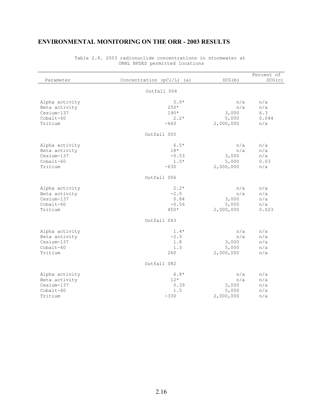| Parameter                                                               | Concentration (pCi/L) (a)                      | DCG(b)                                    | Percent of<br>DCG(c)              |
|-------------------------------------------------------------------------|------------------------------------------------|-------------------------------------------|-----------------------------------|
|                                                                         | Outfall 004                                    |                                           |                                   |
| Alpha activity<br>Beta activity<br>Cesium-137<br>$Cobalt-60$<br>Tritium | $5.0*$<br>$250*$<br>$190*$<br>$2.2*$<br>$-660$ | n/a<br>n/a<br>3,000<br>5,000<br>2,000,000 | n/a<br>n/a<br>6.3<br>0.044<br>n/a |
|                                                                         | Outfall 005                                    |                                           |                                   |
| Alpha activity<br>Beta activity<br>Cesium-137<br>$Cobalt-60$<br>Tritium | $6.5*$<br>$18*$<br>$-0.53$<br>$1.5*$<br>$-630$ | n/a<br>n/a<br>3,000<br>5,000<br>2,000,000 | n/a<br>n/a<br>n/a<br>0.03<br>n/a  |
|                                                                         | Outfall 006                                    |                                           |                                   |
| Alpha activity<br>Beta activity<br>Cesium-137<br>Cobalt-60<br>Tritium   | $2.2*$<br>$-2.5$<br>0.84<br>$-0.56$<br>$450*$  | n/a<br>n/a<br>3,000<br>5,000<br>2,000,000 | n/a<br>n/a<br>n/a<br>n/a<br>0.023 |
|                                                                         | Outfall 043                                    |                                           |                                   |
| Alpha activity<br>Beta activity<br>Cesium-137<br>Cobalt-60<br>Tritium   | $1.4*$<br>$-2.3$<br>1.8<br>1.3<br>260          | n/a<br>n/a<br>3,000<br>5,000<br>2,000,000 | n/a<br>n/a<br>n/a<br>n/a<br>n/a   |
|                                                                         | Outfall 082                                    |                                           |                                   |
| Alpha activity<br>Beta activity<br>Cesium-137<br>Cobalt-60<br>Tritium   | $6.8*$<br>$12*$<br>0.39<br>1.5<br>$-330$       | n/a<br>n/a<br>3,000<br>5,000<br>2,000,000 | n/a<br>n/a<br>n/a<br>n/a<br>n/a   |

Table 2.8. 2003 radionuclide concentrations in stormwater at ORNL NPDES permitted locations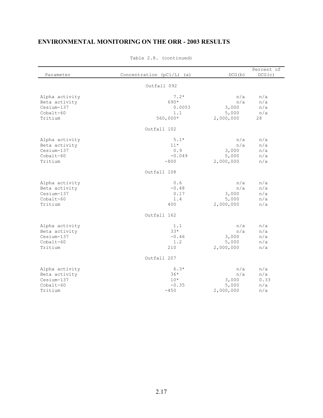| Parameter      | Concentration (pCi/L) (a) | DCG(b)    | Percent of<br>DCG(c) |
|----------------|---------------------------|-----------|----------------------|
|                | Outfall 092               |           |                      |
|                |                           |           |                      |
| Alpha activity | $7.2*$                    | n/a       | n/a                  |
| Beta activity  | 690*                      | n/a       | n/a                  |
| Cesium-137     | 0.0053                    | 3,000     | n/a                  |
| $Cobalt-60$    | 1.1                       | 5,000     | n/a                  |
| Tritium        | $560,000*$                | 2,000,000 | 28                   |
|                | Outfall 102               |           |                      |
| Alpha activity | $5.1*$                    | n/a       | n/a                  |
| Beta activity  | $11*$                     | n/a       | n/a                  |
| Cesium-137     | 0.9                       | 3,000     | n/a                  |
| Cobalt-60      | $-0.049$                  | 5,000     | n/a                  |
| Tritium        | $-800$                    | 2,000,000 | n/a                  |
|                | Outfall 108               |           |                      |
| Alpha activity | 0.6                       | n/a       | n/a                  |
| Beta activity  | $-0.48$                   | n/a       | n/a                  |
| Cesium-137     | 0.17                      | 3,000     | n/a                  |
| Cobalt-60      | 1.4                       | 5,000     | n/a                  |
| Tritium        | 400                       | 2,000,000 | n/a                  |
|                | Outfall 162               |           |                      |
| Alpha activity | 1.1                       | n/a       | n/a                  |
| Beta activity  | $33*$                     | n/a       | n/a                  |
| Cesium-137     | $-0.46$                   | 3,000     | n/a                  |
| Cobalt-60      | 1.2                       | 5,000     | n/a                  |
| Tritium        | 210                       | 2,000,000 | n/a                  |
|                | Outfall 207               |           |                      |
| Alpha activity | $6.3*$                    | n/a       | n/a                  |
| Beta activity  | $36*$                     | n/a       | n/a                  |
| Cesium-137     | $10*$                     | 3,000     | 0.33                 |
| $Cobalt-60$    | $-0.35$                   | 5,000     | n/a                  |
| Tritium        | $-450$                    | 2,000,000 | n/a                  |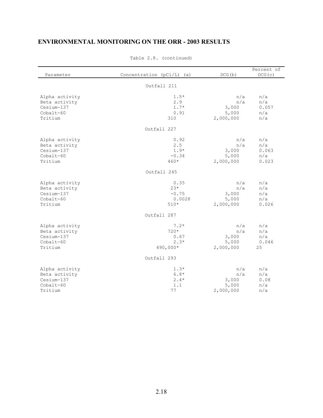| Parameter                                                               | Concentration (pCi/L)<br>(a)                   | DCG(b)                                    | Percent of<br>DCG(c)                |
|-------------------------------------------------------------------------|------------------------------------------------|-------------------------------------------|-------------------------------------|
|                                                                         |                                                |                                           |                                     |
|                                                                         | Outfall 211                                    |                                           |                                     |
| Alpha activity<br>Beta activity<br>Cesium-137<br>$Cobalt-60$<br>Tritium | $1.5*$<br>2.9<br>$1.7*$<br>0.91<br>310         | n/a<br>n/a<br>3,000<br>5,000<br>2,000,000 | n/a<br>n/a<br>0.057<br>n/a<br>n/a   |
|                                                                         | Outfall 227                                    |                                           |                                     |
| Alpha activity<br>Beta activity<br>Cesium-137<br>Cobalt-60<br>Tritium   | 0.92<br>2.5<br>$1.9*$<br>$-0.34$<br>$460*$     | n/a<br>n/a<br>3,000<br>5,000<br>2,000,000 | n/a<br>n/a<br>0.063<br>n/a<br>0.023 |
|                                                                         | Outfall 245                                    |                                           |                                     |
| Alpha activity<br>Beta activity<br>Cesium-137<br>Cobalt-60<br>Tritium   | 0.35<br>$23*$<br>$-0.75$<br>0.0028<br>$510*$   | n/a<br>n/a<br>3,000<br>5,000<br>2,000,000 | n/a<br>n/a<br>n/a<br>n/a<br>0.026   |
|                                                                         | Outfall 287                                    |                                           |                                     |
| Alpha activity<br>Beta activity<br>Cesium-137<br>Cobalt-60<br>Tritium   | $7.2*$<br>$720*$<br>0.67<br>$2.3*$<br>490,000* | n/a<br>n/a<br>3,000<br>5,000<br>2,000,000 | n/a<br>n/a<br>n/a<br>0.046<br>25    |
|                                                                         | Outfall 293                                    |                                           |                                     |
| Alpha activity<br>Beta activity<br>Cesium-137<br>Cobalt-60<br>Tritium   | $1.3*$<br>$6.8*$<br>$2.4*$<br>1.1<br>77        | n/a<br>n/a<br>3,000<br>5,000<br>2,000,000 | n/a<br>n/a<br>0.08<br>n/a<br>n/a    |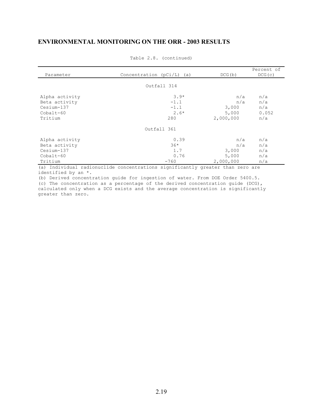| Parameter      | Concentration $(pCi/L)$ (a)                                                    | DCG(b)    | Percent of<br>DCG(c) |
|----------------|--------------------------------------------------------------------------------|-----------|----------------------|
|                |                                                                                |           |                      |
|                | Outfall 314                                                                    |           |                      |
| Alpha activity | $3.9*$                                                                         | n/a       | n/a                  |
| Beta activity  | $-1.1$                                                                         | n/a       | n/a                  |
| Cesium-137     | $-1.1$                                                                         | 3,000     | n/a                  |
| $Cobalt-60$    | $2.6*$                                                                         | 5,000     | 0.052                |
| Tritium        | 280                                                                            | 2,000,000 | n/a                  |
|                | Outfall 361                                                                    |           |                      |
| Alpha activity | 0.39                                                                           | n/a       | n/a                  |
| Beta activity  | $36*$                                                                          | n/a       | n/a                  |
| Cesium-137     | 1.7                                                                            | 3,000     | n/a                  |
| $Cobalt-60$    | 0.76                                                                           | 5,000     | n/a                  |
| Tritium        | $-760$                                                                         | 2,000,000 | n/a                  |
|                | (a) Individual radionuclide concentrations significantly greater than zero are |           |                      |

Table 2.8. (continued)

(a) Individual radionuclide concentrations significantly greater than zero are identified by an \*.

(b) Derived concentration guide for ingestion of water. From DOE Order 5400.5. (c) The concentration as a percentage of the derived concentration guide (DCG), calculated only when a DCG exists and the average concentration is significantly greater than zero.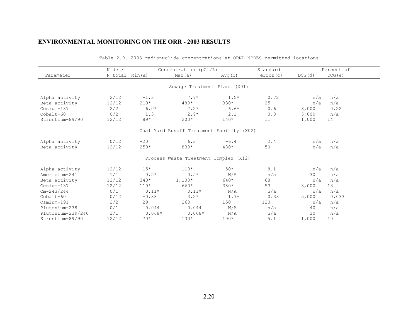|                   | N det/         |          | Concentration $(pCi/L)$                   |        | Standard |        | Percent of |
|-------------------|----------------|----------|-------------------------------------------|--------|----------|--------|------------|
| Parameter         | N total Min(a) |          | Max(a)                                    | Avg(b) | error(c) | DCG(d) | DCG(e)     |
|                   |                |          | Sewage Treatment Plant (X01)              |        |          |        |            |
|                   |                |          |                                           |        |          |        |            |
| Alpha activity    | 2/12           | $-1.3$   | $7.7*$                                    | $1.5*$ | 0.72     | n/a    | n/a        |
| Beta activity     | 12/12          | $210*$   | $480*$                                    | $330*$ | 25       | n/a    | n/a        |
| Cesium-137        | 2/2            | $6.0*$   | $7.2*$                                    | $6.6*$ | 0.6      | 3,000  | 0.22       |
| Cobalt-60         | 0/2            | 1.3      | $2.9*$                                    | 2.1    | 0.8      | 5,000  | n/a        |
| Strontium-89/90   | 12/12          | $89*$    | $200*$                                    | $140*$ | 11       | 1,000  | 14         |
|                   |                |          | Coal Yard Runoff Treatment Facility (X02) |        |          |        |            |
| Alpha activity    | 0/12           | $-20$    | 6.3                                       | $-6.4$ | 2.4      | n/a    | n/a        |
| Beta activity     | 12/12          | $250*$   | $830*$                                    | $480*$ | 50       | n/a    | n/a        |
|                   |                |          | Process Waste Treatment Complex (X12)     |        |          |        |            |
| Alpha activity    | 12/12          | $15*$    | $110*$                                    | $50*$  | 8.1      | n/a    | n/a        |
| Americium-241     | 1/1            | $0.5*$   | $0.5*$                                    | N/A    | n/a      | 30     | n/a        |
| Beta activity     | 12/12          | $340*$   | $1,100*$                                  | 640*   | 68       | n/a    | n/a        |
| Cesium-137        | 12/12          | $110*$   | 660*                                      | $380*$ | 53       | 3,000  | 13         |
| $Cm-243/244$      | 0/1            | $0.11*$  | $0.11*$                                   | N/A    | n/a      | n/a    | n/a        |
| $Cobalt-60$       | 0/12           | $-0.33$  | $3.2*$                                    | $1.7*$ | 0.33     | 5,000  | 0.033      |
| Osmium-191        | 2/2            | 29       | 260                                       | 150    | 120      | n/a    | n/a        |
| Plutonium-238     | 0/1            | 0.044    | 0.044                                     | N/A    | n/a      | 40     | n/a        |
| Plutonium-239/240 | 1/1            | $0.068*$ | $0.068*$                                  | N/A    | n/a      | 30     | n/a        |
| Strontium-89/90   | 12/12          | $70*$    | $130*$                                    | $100*$ | 5.1      | 1,000  | 10         |

Table 2.9. 2003 radionuclide concentrations at ORNL NPDES permitted locations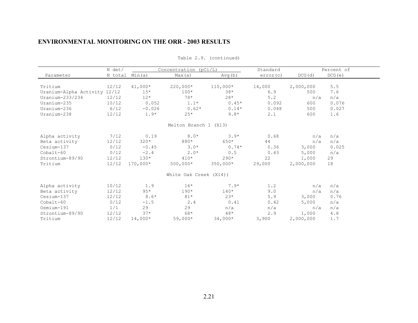|                              | N det/         |           | Concentration ( $pCi/L$ ) |            | Standard |           | Percent of |
|------------------------------|----------------|-----------|---------------------------|------------|----------|-----------|------------|
| Parameter                    | N total Min(a) |           | Max(a)                    | Avg(b)     | error(c) | DCG(d)    | DCG(e)     |
|                              |                |           |                           |            |          |           |            |
| Tritium                      | 12/12          | $41,000*$ | $220,000*$                | $110,000*$ | 14,000   | 2,000,000 | 5.5        |
| Uranium-Alpha Activity 12/12 |                | $15*$     | $100*$                    | $38*$      | 6.9      | 500       | 7.6        |
| Uranium- $233/234$           | 12/12          | $12*$     | $78*$                     | $28*$      | 5.2      | n/a       | n/a        |
| Uranium-235                  | 10/12          | 0.052     | $1.1*$                    | $0.45*$    | 0.092    | 600       | 0.076      |
| Uranium-236                  | 6/12           | $-0.026$  | $0.62*$                   | $0.14*$    | 0.048    | 500       | 0.027      |
| Uranium-238                  | 12/12          | $1.9*$    | $2.5*$                    | $9.8*$     | 2.1      | 600       | 1.6        |
|                              |                |           | Melton Branch 1 (X13)     |            |          |           |            |
| Alpha activity               | 7/12           | 0.19      | $8.0*$                    | $3.9*$     | 0.68     | n/a       | n/a        |
| Beta activity                | 12/12          | $320*$    | 880*                      | $650*$     | 44       | n/a       | n/a        |
| Cesium-137                   | 0/12           | $-0.45$   | $3.0*$                    | $0.74*$    | 0.36     | 3,000     | 0.025      |
| Cobalt-60                    | 0/12           | $-2.4$    | $2.0*$                    | 0.5        | 0.43     | 5,000     | n/a        |
| Strontium-89/90              | 12/12          | $130*$    | $410*$                    | $290*$     | 22       | 1,000     | 29         |
| Tritium                      | 12/12          | 170,000*  | $500,000*$                | $350,000*$ | 29,000   | 2,000,000 | 18         |
|                              |                |           | White Oak Creek (X14))    |            |          |           |            |
| Alpha activity               | 10/12          | 1.9       | $16*$                     | $7.9*$     | 1.2      | n/a       | n/a        |
| Beta activity                | 12/12          | $95*$     | $190*$                    | $140*$     | 9.0      | n/a       | n/a        |
| Cesium-137                   | 12/12          | $8.6*$    | $81*$                     | $23*$      | 5.9      | 3,000     | 0.76       |
| Cobalt-60                    | 0/12           | $-1.5$    | 2.4                       | 0.41       | 0.42     | 5,000     | n/a        |
| Osmium-191                   | 1/1            | 29        | 29                        | n/a        | n/a      | n/a       | n/a        |
| Strontium-89/90              | 12/12          | $37*$     | $68*$                     | $48*$      | 2.9      | 1,000     | 4.8        |
| Tritium                      | 12/12          | $14,000*$ | $59,000*$                 | $34,000*$  | 3,900    | 2,000,000 | 1.7        |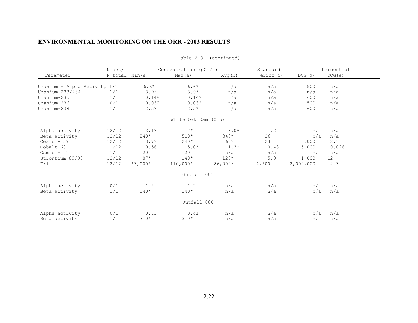|                              | N det/         |           | Concentration (pCi/L) |         | Standard |           | Percent of      |
|------------------------------|----------------|-----------|-----------------------|---------|----------|-----------|-----------------|
| Parameter                    | N total Min(a) |           | Max(a)                | Avg(b)  | error(c) | DCG(d)    | DCG(e)          |
| Uranium - Alpha Activity 1/1 |                | $6.6*$    | $6.6*$                | n/a     | n/a      | 500       | n/a             |
| Uranium-233/234              | 1/1            | $3.9*$    | $3.9*$                | n/a     | n/a      | n/a       | n/a             |
| Uranium-235                  | 1/1            | $0.14*$   | $0.14*$               | n/a     | n/a      | 600       | n/a             |
| Uranium-236                  | 0/1            | 0.032     | 0.032                 | n/a     | n/a      | 500       | n/a             |
| Uranium-238                  | 1/1            | $2.5*$    | $2.5*$                | n/a     | n/a      | 600       | n/a             |
|                              |                |           | White Oak Dam (X15)   |         |          |           |                 |
| Alpha activity               | 12/12          | $3.1*$    | $17*$                 | $8.0*$  | 1.2      | n/a       | n/a             |
| Beta activity                | 12/12          | $240*$    | $510*$                | $340*$  | 26       | n/a       | n/a             |
| Cesium-137                   | 12/12          | $3.7*$    | $240*$                | $63*$   | 23       | 3,000     | 2.1             |
| Cobalt-60                    | 1/12           | $-0.56$   | $5.0*$                | $1.3*$  | 0.43     | 5,000     | 0.026           |
| Osmium-191                   | 1/1            | 20        | 20                    | n/a     | n/a      | n/a       | n/a             |
| Strontium-89/90              | 12/12          | $87*$     | $140*$                | $120*$  | 5.0      | 1,000     | 12 <sup>°</sup> |
| Tritium                      | 12/12          | $63,000*$ | $110,000*$            | 86,000* | 4,600    | 2,000,000 | 4.3             |
|                              |                |           | Outfall 001           |         |          |           |                 |
| Alpha activity               | 0/1            | 1.2       | 1.2                   | n/a     | n/a      | n/a       | n/a             |
| Beta activity                | 1/1            | $140*$    | $140*$                | n/a     | n/a      | n/a       | n/a             |
|                              |                |           | Outfall 080           |         |          |           |                 |
| Alpha activity               | 0/1            | 0.41      | 0.41                  | n/a     | n/a      | n/a       | n/a             |
| Beta activity                | 1/1            | $310*$    | $310*$                | n/a     | n/a      | n/a       | n/a             |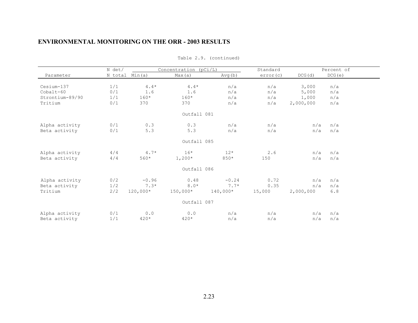|                 | N det/ |                | Concentration (pCi/L) |            | Standard |           | Percent of |
|-----------------|--------|----------------|-----------------------|------------|----------|-----------|------------|
| Parameter       |        | N total Min(a) | Max(a)                | Avg(b)     | error(c) | DCG(d)    | DCG(e)     |
| Cesium-137      | 1/1    | $4.4*$         | $4.4*$                | n/a        | n/a      | 3,000     | n/a        |
| Cobalt-60       | 0/1    | 1.6            | 1.6                   | n/a        | n/a      | 5,000     | n/a        |
| Strontium-89/90 | 1/1    | $160*$         | $160*$                | n/a        | n/a      | 1,000     | n/a        |
| Tritium         | 0/1    | 370            | 370                   | n/a        | n/a      | 2,000,000 | n/a        |
|                 |        |                | Outfall 081           |            |          |           |            |
| Alpha activity  | 0/1    | 0.3            | 0.3                   | n/a        | n/a      | n/a       | n/a        |
| Beta activity   | 0/1    | 5.3            | 5.3                   | n/a        | n/a      | n/a       | n/a        |
|                 |        |                | Outfall 085           |            |          |           |            |
| Alpha activity  | 4/4    | $4.7*$         | $16*$                 | $12*$      | 2.6      | n/a       | n/a        |
| Beta activity   | 4/4    | 560*           | $1,200*$              | 850*       | 150      | n/a       | n/a        |
|                 |        |                | Outfall 086           |            |          |           |            |
| Alpha activity  | 0/2    | $-0.96$        | 0.48                  | $-0.24$    | 0.72     | n/a       | n/a        |
| Beta activity   | 1/2    | $7.3*$         | $8.0*$                | $7.7*$     | 0.35     | n/a       | n/a        |
| Tritium         | 2/2    | $120,000*$     | $150,000*$            | $140,000*$ | 15,000   | 2,000,000 | 6.8        |
|                 |        |                | Outfall 087           |            |          |           |            |
| Alpha activity  | 0/1    | 0.0            | 0.0                   | n/a        | n/a      | n/a       | n/a        |
| Beta activity   | 1/1    | 420*           | $420*$                | n/a        | n/a      | n/a       | n/a        |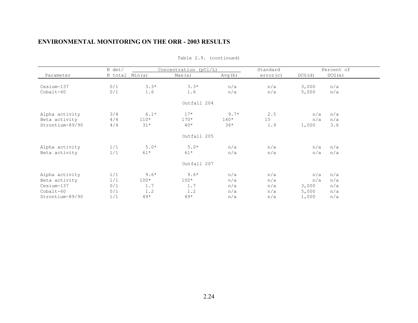| N det/ |                                                      |                                                           |                             | Standard                                                                                                              |                                 | Percent of                                              |
|--------|------------------------------------------------------|-----------------------------------------------------------|-----------------------------|-----------------------------------------------------------------------------------------------------------------------|---------------------------------|---------------------------------------------------------|
|        | Min(a)                                               | Max(a)                                                    | Avg(b)                      | error(c)                                                                                                              | DCG(d)                          | DCG(e)                                                  |
|        |                                                      |                                                           |                             |                                                                                                                       |                                 |                                                         |
|        |                                                      |                                                           |                             |                                                                                                                       |                                 | n/a                                                     |
|        |                                                      |                                                           |                             |                                                                                                                       |                                 | n/a                                                     |
|        |                                                      |                                                           |                             |                                                                                                                       |                                 |                                                         |
| 3/4    | $6.1*$                                               | $17*$                                                     | $9.7*$                      | 2.5                                                                                                                   | n/a                             | n/a                                                     |
|        | $110*$                                               | $170*$                                                    | $140*$                      | 15                                                                                                                    |                                 | n/a                                                     |
| 4/4    | $31*$                                                | $40*$                                                     | $36*$                       | 1.9                                                                                                                   | 1,000                           | 3.6                                                     |
|        |                                                      |                                                           |                             |                                                                                                                       |                                 |                                                         |
| 1/1    |                                                      | $5.0*$                                                    | n/a                         | n/a                                                                                                                   | n/a                             | n/a                                                     |
| 1/1    | $61*$                                                | $61*$                                                     | n/a                         | n/a                                                                                                                   | n/a                             | n/a                                                     |
|        |                                                      |                                                           |                             |                                                                                                                       |                                 |                                                         |
|        | $9.6*$                                               | $9.6*$                                                    |                             | n/a                                                                                                                   |                                 | n/a                                                     |
|        | $100*$                                               | $100*$                                                    | n/a                         | n/a                                                                                                                   | n/a                             | n/a                                                     |
|        |                                                      |                                                           |                             |                                                                                                                       |                                 | n/a                                                     |
|        |                                                      |                                                           |                             |                                                                                                                       |                                 | n/a                                                     |
|        |                                                      |                                                           |                             |                                                                                                                       |                                 | n/a                                                     |
|        | 0/1<br>0/1<br>4/4<br>1/1<br>1/1<br>0/1<br>0/1<br>1/1 | N total<br>$3.3*$<br>1.6<br>$5.0*$<br>1.7<br>1.2<br>$49*$ | $3.3*$<br>1.6<br>1.7<br>1.2 | Concentration (pCi/L)<br>n/a<br>n/a<br>Outfall 204<br>Outfall 205<br>Outfall 207<br>n/a<br>n/a<br>n/a<br>$49*$<br>n/a | n/a<br>n/a<br>n/a<br>n/a<br>n/a | 3,000<br>5,000<br>n/a<br>n/a<br>3,000<br>5,000<br>1,000 |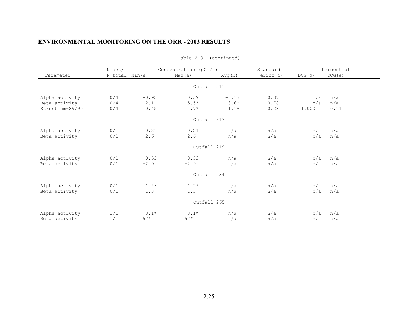|                 | N det/         |         | Concentration (pCi/L) |             | Standard |        | Percent of |  |
|-----------------|----------------|---------|-----------------------|-------------|----------|--------|------------|--|
| Parameter       | N total Min(a) |         | Max(a)                | Avg(b)      | error(c) | DCG(d) | DCG(e)     |  |
|                 |                |         |                       | Outfall 211 |          |        |            |  |
|                 |                |         |                       |             |          |        |            |  |
| Alpha activity  | 0/4            | $-0.95$ | 0.59                  | $-0.13$     | 0.37     | n/a    | n/a        |  |
| Beta activity   | 0/4            | 2.1     | $5.5*$                | $3.6*$      | 0.78     | n/a    | n/a        |  |
| Strontium-89/90 | 0/4            | 0.45    | $1.7*$                | $1.1*$      | 0.28     | 1,000  | 0.11       |  |
|                 |                |         |                       | Outfall 217 |          |        |            |  |
| Alpha activity  | 0/1            | 0.21    | 0.21                  | n/a         | n/a      | n/a    | n/a        |  |
| Beta activity   | 0/1            | 2.6     | 2.6                   | n/a         | n/a      | n/a    | n/a        |  |
|                 |                |         |                       | Outfall 219 |          |        |            |  |
| Alpha activity  | 0/1            | 0.53    | 0.53                  | n/a         | n/a      | n/a    | n/a        |  |
| Beta activity   | 0/1            | $-2.9$  | $-2.9$                | n/a         | n/a      | n/a    | n/a        |  |
|                 |                |         |                       | Outfall 234 |          |        |            |  |
| Alpha activity  | 0/1            | $1.2*$  | $1.2*$                | n/a         | n/a      | n/a    | n/a        |  |
| Beta activity   | 0/1            | 1.3     | 1.3                   | n/a         | n/a      | n/a    | n/a        |  |
|                 |                |         |                       | Outfall 265 |          |        |            |  |
| Alpha activity  | 1/1            | $3.1*$  | $3.1*$                | n/a         | n/a      | n/a    | n/a        |  |
| Beta activity   | 1/1            | $57*$   | $57*$                 | n/a         | n/a      | n/a    | n/a        |  |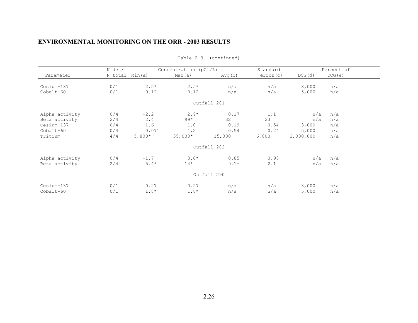|                | N det/  |          | Concentration ( $pCi/L$ ) |             | Standard |           | Percent of |
|----------------|---------|----------|---------------------------|-------------|----------|-----------|------------|
| Parameter      | N total | Min(a)   | Max(a)                    | Avg(b)      | error(c) | DCG(d)    | DCG(e)     |
|                |         |          |                           |             |          |           |            |
| Cesium-137     | 0/1     | $2.5*$   | $2.5*$                    | n/a         | n/a      | 3,000     | n/a        |
| Cobalt-60      | 0/1     | $-0.12$  | $-0.12$                   | n/a         | n/a      | 5,000     | n/a        |
|                |         |          |                           | Outfall 281 |          |           |            |
| Alpha activity | 0/4     | $-2.2$   | $2.9*$                    | 0.17        | 1.1      | n/a       | n/a        |
| Beta activity  | 2/4     | 2.4      | $99*$                     | 32          | 23       | n/a       | n/a        |
| Cesium-137     | 0/4     | $-1.6$   | 1.0                       | $-0.19$     | 0.54     | 3,000     | n/a        |
| Cobalt-60      | 0/4     | 0.071    | 1.2                       | 0.54        | 0.24     | 5,000     | n/a        |
| Tritium        | 4/4     | $5,800*$ | $35,000*$                 | 15,000      | 6,800    | 2,000,000 | n/a        |
|                |         |          |                           | Outfall 282 |          |           |            |
| Alpha activity | 0/4     | $-1.7$   | $3.0*$                    | 0.85        | 0.98     | n/a       | n/a        |
| Beta activity  | 2/4     | $5.4*$   | $14*$                     | $9.1*$      | 2.1      | n/a       | n/a        |
|                |         |          |                           | Outfall 290 |          |           |            |
| Cesium-137     | 0/1     | 0.27     | 0.27                      | n/a         | n/a      | 3,000     | n/a        |
| Cobalt-60      | 0/1     | $1.8*$   | $1.8*$                    | n/a         | n/a      | 5,000     | n/a        |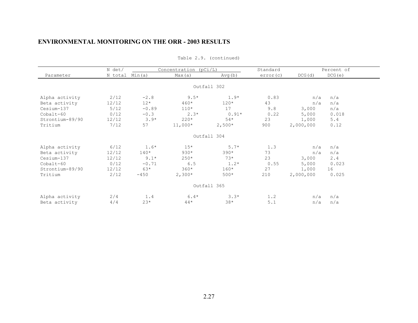|                 | N det/         |         | Concentration $(pCi/L)$ |             | Standard |           | Percent of |
|-----------------|----------------|---------|-------------------------|-------------|----------|-----------|------------|
| Parameter       | N total Min(a) |         | Max(a)                  | Avg(b)      | error(c) | DCG(d)    | DCG(e)     |
|                 |                |         |                         | Outfall 302 |          |           |            |
| Alpha activity  | 2/12           | $-2.8$  | $9.5*$                  | $1.9*$      | 0.83     | n/a       | n/a        |
| Beta activity   | 12/12          | $12*$   | 460*                    | $120*$      | 43       | n/a       | n/a        |
| Cesium-137      | 5/12           | $-0.89$ | $110*$                  | 17          | 9.8      | 3,000     | n/a        |
| Cobalt-60       | 0/12           | $-0.3$  | $2.3*$                  | $0.91*$     | 0.22     | 5,000     | 0.018      |
| Strontium-89/90 | 12/12          | $3.9*$  | $220*$                  | $54*$       | 23       | 1,000     | 5.4        |
| Tritium         | 7/12           | 57      | $11,000*$               | $2,500*$    | 900      | 2,000,000 | 0.12       |
|                 |                |         |                         | Outfall 304 |          |           |            |
| Alpha activity  | 6/12           | $1.6*$  | $15*$                   | $5.7*$      | 1.3      | n/a       | n/a        |
| Beta activity   | 12/12          | $140*$  | $930*$                  | $390*$      | 73       | n/a       | n/a        |
| Cesium-137      | 12/12          | $9.1*$  | $250*$                  | $73*$       | 23       | 3,000     | 2.4        |
| Cobalt-60       | 0/12           | $-0.71$ | 6.5                     | $1.2*$      | 0.55     | 5,000     | 0.023      |
| Strontium-89/90 | 12/12          | $63*$   | $360*$                  | $160*$      | 27       | 1,000     | 16         |
| Tritium         | 2/12           | $-450$  | $2,300*$                | $500*$      | 210      | 2,000,000 | 0.025      |
|                 |                |         |                         | Outfall 365 |          |           |            |
| Alpha activity  | 2/4            | 1.4     | $6.4*$                  | $3.3*$      | 1.2      | n/a       | n/a        |
| Beta activity   | 4/4            | $23*$   | $44*$                   | $38*$       | 5.1      | n/a       | n/a        |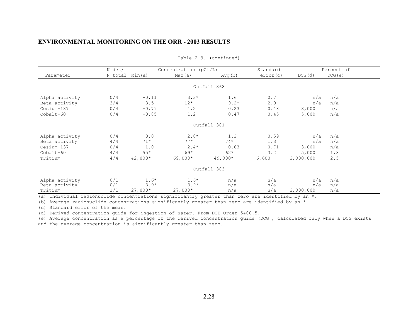|                | N det/         |           | Concentration ( $pCi/L$ ) |             | Standard |           | Percent of |
|----------------|----------------|-----------|---------------------------|-------------|----------|-----------|------------|
| Parameter      | N total Min(a) |           | Max(a)                    | Avg(b)      | error(c) | DCG(d)    | DCG(e)     |
|                |                |           |                           |             |          |           |            |
|                |                |           |                           | Outfall 368 |          |           |            |
| Alpha activity | 0/4            | $-0.11$   | $3.3*$                    | 1.6         | 0.7      | n/a       | n/a        |
| Beta activity  | 3/4            | 3.5       | $12*$                     | $9.2*$      | 2.0      | n/a       | n/a        |
| Cesium-137     | 0/4            | $-0.79$   | 1.2                       | 0.23        | 0.48     | 3,000     | n/a        |
| $Cobalt-60$    | 0/4            | $-0.85$   | 1.2                       | 0.47        | 0.45     | 5,000     | n/a        |
|                |                |           |                           |             |          |           |            |
|                |                |           |                           | Outfall 381 |          |           |            |
| Alpha activity | 0/4            | 0.0       | $2.8*$                    | 1.2         | 0.59     | n/a       | n/a        |
| Beta activity  | 4/4            | $71*$     | $77*$                     | $74*$       | 1.3      | n/a       | n/a        |
| Cesium-137     | 0/4            | $-1.0$    | $2.4*$                    | 0.63        | 0.71     | 3,000     | n/a        |
| $Cobalt-60$    | 4/4            | $55*$     | $69*$                     | $62*$       | 3.2      | 5,000     | 1.3        |
| Tritium        | 4/4            | 42,000*   | $69,000*$                 | $49,000*$   | 6,600    | 2,000,000 | 2.5        |
|                |                |           |                           |             |          |           |            |
|                |                |           |                           | Outfall 383 |          |           |            |
| Alpha activity | 0/1            | $1.6*$    | $1.6*$                    | n/a         | n/a      | n/a       | n/a        |
| Beta activity  | 0/1            | $3.9*$    | $3.9*$                    | n/a         | n/a      | n/a       | n/a        |
| Tritium        | 1/1            | $27,000*$ | $27,000*$                 | n/a         | n/a      | 2,000,000 | n/a        |

Table 2.9. (continued)

(a) Individual radionuclide concentrations significantly greater than zero are identified by an  $*$ .

(b) Average radionuclide concentrations significantly greater than zero are identified by an  $*$ .

(c) Standard error of the mean.

(d) Derived concentration guide for ingestion of water. From DOE Order 5400.5.

(e) Average concentration as a percentage of the derived concentration guide (DCG), calculated only when a DCG exists and the average concentration is significantly greater than zero.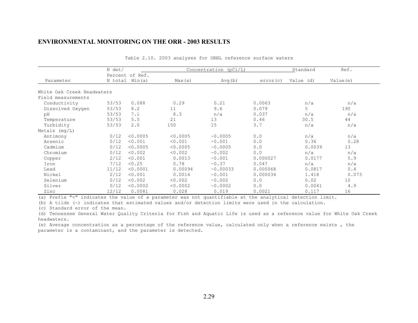|                            | N det/ |                 | Concentration (pCi/L) |          |          | Standard  | Ref.      |  |
|----------------------------|--------|-----------------|-----------------------|----------|----------|-----------|-----------|--|
|                            |        | Percent of Ref. |                       |          |          |           |           |  |
| Parameter                  |        | N total Min(a)  | Max(a)                | Avg(b)   | error(c) | Value (d) | Value (e) |  |
| White Oak Creek Headwaters |        |                 |                       |          |          |           |           |  |
| Field measurements         |        |                 |                       |          |          |           |           |  |
| Conductivity               | 53/53  | 0.088           | 0.29                  | 0.21     | 0.0063   | n/a       | n/a       |  |
| Dissolved Oxygen           | 53/53  | 8.2             | 11                    | 9.6      | 0.079    | 5         | 190       |  |
| pH                         | 53/53  | 7.1             | 8.3                   | n/a      | 0.037    | n/a       | n/a       |  |
| Temperature                | 53/53  | 5.5             | 21                    | 13       | 0.46     | 30.5      | 44        |  |
| Turbidity                  | 53/53  | 2.0             | 150                   | 15       | 3.7      | n/a       | n/a       |  |
| Metals $(mq/L)$            |        |                 |                       |          |          |           |           |  |
| Antimony                   | 0/12   | < 0.0005        | < 0.0005              | ~0.0005  | 0.0      | n/a       | n/a       |  |
| Arsenic                    | 0/12   | < 0.001         | < 0.001               | ~0.001   | 0.0      | 0.36      | 0.28      |  |
| Cadmium                    | 0/12   | < 0.0005        | < 0.0005              | ~0.0005  | 0.0      | 0.0039    | 13        |  |
| Chromium                   | 0/12   | < 0.002         | < 0.002               | ~0.002   | 0.0      | n/a       | n/a       |  |
| Copper                     | 2/12   | < 0.001         | 0.0013                | ~0.001   | 0.000027 | 0.0177    | 5.9       |  |
| Iron                       | 7/12   | < 0.25          | 0.78                  | ~10.37   | 0.047    | n/a       | n/a       |  |
| Lead                       | 11/12  | < 0.0001        | 0.00094               | ~0.00033 | 0.000068 | 0.0817    | 0.4       |  |
| Nickel                     | 2/12   | < 0.001         | 0.0014                | ~0.001   | 0.000034 | 1.418     | 0.073     |  |
| Selenium                   | 0/12   | < 0.002         | < 0.002               | ~0.002   | 0.0      | 0.02      | 10        |  |
| Silver                     | 0/12   | < 0.0002        | < 0.0002              | ~0.0002  | 0.0      | 0.0041    | 4.9       |  |
| Zinc                       | 12/12  | 0.0081          | 0.028                 | 0.019    | 0.0021   | 0.117     | 16        |  |

|  |  |  |  |  |  | Table 2.10. 2003 analyses for ORNL reference surface waters |  |  |
|--|--|--|--|--|--|-------------------------------------------------------------|--|--|
|--|--|--|--|--|--|-------------------------------------------------------------|--|--|

(a) Prefix "<" indicates the value of a parameter was not quantifiable at the analytical detection limit.

(b) A tilde (~) indicates that estimated values and/or detection limits were used in the calculation.

(c) Standard error of the mean.

(d) Tennessee General Water Quality Criteria for Fish and Aquatic Life is used as a reference value for White Oak Creek headwaters.

(e) Average concentration as a percentage of the reference value, calculated only when a reference exists , the parameter is a contaminant, and the parameter is detected.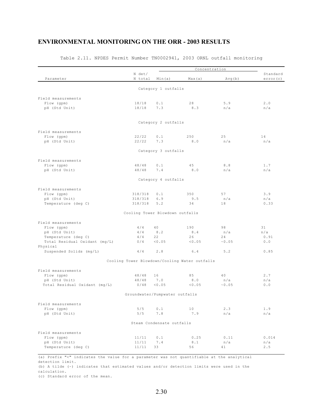| Parameter                                      | N det/<br>N total               | Min(a)                    | Max(a)                                        | Avg(b)       | Standard<br>error (c) |
|------------------------------------------------|---------------------------------|---------------------------|-----------------------------------------------|--------------|-----------------------|
|                                                |                                 | Category 1 outfalls       |                                               |              |                       |
| Field measurements                             |                                 |                           |                                               |              |                       |
| Flow (gpm)                                     | 18/18                           | 0.1                       | 28                                            | 5.9          | 2.0                   |
| pH (Std Unit)                                  | 18/18                           | 7.3                       | 8.3                                           | n/a          | n/a                   |
|                                                |                                 | Category 2 outfalls       |                                               |              |                       |
| Field measurements                             |                                 |                           |                                               |              |                       |
| Flow (gpm)                                     | 22/22                           | 0.1                       | 250                                           | 25           | 14                    |
| pH (Std Unit)                                  | 22/22                           | 7.3                       | 8.0                                           | n/a          | n/a                   |
|                                                |                                 | Category 3 outfalls       |                                               |              |                       |
| Field measurements                             |                                 |                           |                                               |              |                       |
| Flow (gpm)                                     | 48/48                           | 0.1                       | 45                                            | 8.8          | 1.7                   |
| pH (Std Unit)                                  | 48/48                           | 7.4                       | 8.0                                           | n/a          | n/a                   |
|                                                |                                 | Category 4 outfalls       |                                               |              |                       |
| Field measurements                             |                                 |                           |                                               |              |                       |
| Flow (gpm)                                     | 318/318                         | 0.1                       | 350                                           | 57           | 3.9                   |
| pH (Std Unit)                                  | 318/318                         | 6.9                       | 9.5                                           | n/a          | n/a                   |
| Temperature (deg C)                            | 318/318                         | 5.2                       | 34                                            | 18           | 0.33                  |
|                                                | Cooling Tower Blowdown outfalls |                           |                                               |              |                       |
| Field measurements                             |                                 |                           |                                               |              |                       |
| Flow (gpm)                                     | 4/4                             | 40                        | 190                                           | 98           | 31                    |
| pH (Std Unit)                                  | 4/4                             | 8.2                       | 8.4                                           | n/a          | n/a                   |
| Temperature (deg C)                            | 4/4                             | 22                        | 26                                            | 24           | 0.91                  |
| Total Residual Oxidant (mg/L)                  | 0/4                             | < 0.05                    | < 0.05                                        | ~0.05        | $0.0$                 |
| Physical<br>Suspended Solids (mg/L)            | 4/4                             | 2.8                       | 6.4                                           | 5.2          | 0.85                  |
|                                                |                                 |                           | Cooling Tower Blowdown/Cooling Water outfalls |              |                       |
|                                                |                                 |                           |                                               |              |                       |
| Field measurements                             |                                 |                           |                                               |              |                       |
| Flow (qpm)                                     | 48/48                           | 16<br>7.0                 | 85                                            | 40           | 2.7                   |
| pH (Std Unit)<br>Total Residual Oxidant (mg/L) | 48/48<br>0/48                   | < 0.05                    | 8.0<br>< 0.05                                 | n/a<br>~0.05 | n/a<br>0.0            |
|                                                | Groundwater/Pumpwater outfalls  |                           |                                               |              |                       |
| Field measurements                             |                                 |                           |                                               |              |                       |
| Flow (gpm)                                     | 5/5                             | 0.1                       | 10                                            | 2.3          | 1.9                   |
| pH (Std Unit)                                  | 5/5                             | 7.8                       | 7.9                                           | n/a          | n/a                   |
|                                                |                                 | Steam Condensate outfalls |                                               |              |                       |
| Field measurements                             |                                 |                           |                                               |              |                       |
| Flow (qpm)                                     | 11/11                           | 0.1                       | 0.25                                          | 0.11         | 0.014                 |
| pH (Std Unit)                                  | 11/11                           | 7.4                       | 8.1                                           | n/a          | n/a                   |
| Temperature (deg C)                            | 11/11                           | 33                        | 56                                            | 41           | 2.5                   |

#### Table 2.11. NPDES Permit Number TN0002941, 2003 ORNL outfall monitoring

(a) Prefix "<" indicates the value for a parameter was not quantifiable at the analytical detection limit.

(b) A tilde (~) indicates that estimated values and/or detection limits were used in the calculation.

(c) Standard error of the mean.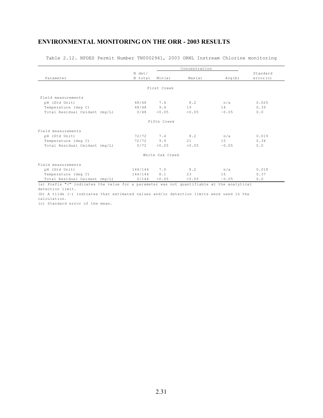Table 2.12. NPDES Permit Number TN0002941, 2003 ORNL Instream Chlorine monitoring

|                               |         |                 | Concentration |        |          |
|-------------------------------|---------|-----------------|---------------|--------|----------|
|                               | N det/  |                 |               |        | Standard |
| Parameter                     | N total | Min(a)          | Max(a)        | Avg(b) | error(c) |
|                               |         |                 |               |        |          |
|                               |         | First Creek     |               |        |          |
| Field measurements            |         |                 |               |        |          |
| pH (Std Unit)                 | 48/48   | 7.4             | 8.2           | n/a    | 0.025    |
| Temperature (deg C)           | 48/48   | 9.4             | 19            | 14     | 0.39     |
| Total Residual Oxidant (mg/L) | 0/48    | < 0.05          | < 0.05        | ~0.05  | 0.0      |
|                               |         | Fifth Creek     |               |        |          |
| Field measurements            |         |                 |               |        |          |
| pH (Std Unit)                 | 72/72   | 7.4             | 8.2           | n/a    | 0.019    |
| Temperature (deg C)           | 72/72   | 9.9             | 21            | 15     | 0.34     |
| Total Residual Oxidant (mg/L) | 0/72    | < 0.05          | < 0.05        | ~0.05  | 0.0      |
|                               |         | White Oak Creek |               |        |          |
| Field measurements            |         |                 |               |        |          |
| pH (Std Unit)                 | 144/144 | 7.0             | 8.2           | n/a    | 0.018    |
| Temperature (deg C)           | 144/144 | 8.1             | 23            | 16     | 0.37     |
| Total Residual Oxidant (mg/L) | 0/144   | < 0.05          | < 0.05        | ~0.05  | 0.0      |

(a) Prefix "<" indicates the value for a parameter was not quantifiable at the analytical detection limit.

(b) A tilde (~) indicates that estimated values and/or detection limits were used in the calculation.

(c) Standard error of the mean.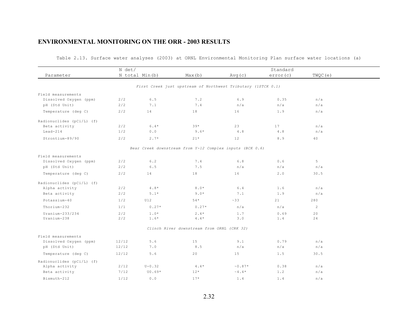|                           | N det/ |                       |                                                              | Standard                  |          |                |  |
|---------------------------|--------|-----------------------|--------------------------------------------------------------|---------------------------|----------|----------------|--|
| Parameter                 |        | N total Min(b)        | Max(b)                                                       | Avg(c)                    | error(c) | TWQC(e)        |  |
|                           |        |                       |                                                              |                           |          |                |  |
|                           |        |                       | First Creek just upstream of Northwest Tributary (1STCK 0.1) |                           |          |                |  |
| Field measurements        |        |                       |                                                              |                           |          |                |  |
| Dissolved Oxygen (ppm)    | 2/2    | $6.5$                 | 7.2                                                          | 6.9                       | 0.35     | n/a            |  |
| pH (Std Unit)             | 2/2    | 7.1                   | 7.4                                                          | n/a                       | n/a      | n/a            |  |
| Temperature (deg C)       | 2/2    | 14                    | 18                                                           | 16                        | 1.9      | n/a            |  |
| Radionuclides (pCi/L) (f) |        |                       |                                                              |                           |          |                |  |
| Beta activity             | 2/2    | $6.4*$                | $39*$                                                        | 23                        | 17       | n/a            |  |
| $Lead-214$                | 1/2    | 0.0                   | $9.6*$                                                       | 4.8                       | 4.8      | n/a            |  |
| Strontium-89/90           | 2/2    | $2.7*$                | $21*$                                                        | 12                        | 8.9      | 40             |  |
|                           |        |                       | Bear Creek downstream from Y-12 Complex inputs (BCK 0.6)     |                           |          |                |  |
| Field measurements        |        |                       |                                                              |                           |          |                |  |
| Dissolved Oxygen (ppm)    | 2/2    | 6.2                   | 7.4                                                          | 6.8                       | 0.6      | 5              |  |
| pH (Std Unit)             | 2/2    | $6.5$                 | 7.5                                                          | n/a                       | n/a      | n/a            |  |
| Temperature (deg C)       | 2/2    | 14                    | 18                                                           | 16                        | 2.0      | 30.5           |  |
| Radionuclides (pCi/L) (f) |        |                       |                                                              |                           |          |                |  |
| Alpha activity            | 2/2    | $4\,$ . $8\,^{\star}$ | $8\cdot0$ $^{\star}$                                         | $6.4$                     | 1.6      | n/a            |  |
| Beta activity             | 2/2    | $5.1*$                | $9.0*$                                                       | 7.1                       | 1.9      | n/a            |  |
| Potassium-40              | 1/2    | U12                   | $54*$                                                        | ~33                       | 21       | 280            |  |
| Thorium-232               | 1/1    | $0.27*$               | $0.27*$                                                      | n/a                       | n/a      | $\overline{2}$ |  |
| $Uranium-233/234$         | 2/2    | $1.0*$                | $2.4*$                                                       | 1.7                       | 0.69     | 20             |  |
| Uranium-238               | 2/2    | $1.6*$                | $4\,$ . $4\,$ $^{\star}$                                     | 3.0                       | 1.4      | 24             |  |
|                           |        |                       | Clinch River downstream from ORNL (CRK 32)                   |                           |          |                |  |
| Field measurements        |        |                       |                                                              |                           |          |                |  |
| Dissolved Oxygen (ppm)    | 12/12  | 5.6                   | 15                                                           | 9.1                       | 0.79     | n/a            |  |
| pH (Std Unit)             | 12/12  | 7.0                   | 8.5                                                          | n/a                       | n/a      | n/a            |  |
| Temperature (deg C)       | 12/12  | 5.6                   | 20                                                           | 15                        | 1.5      | 30.5           |  |
| Radionuclides (pCi/L) (f) |        |                       |                                                              |                           |          |                |  |
| Alpha activity            | 2/12   | $U - 0.32$            | $4.4*$                                                       | $\sim 0.87*$              | 0.38     | n/a            |  |
| Beta activity             | 7/12   | $U0.69*$              | $12*$                                                        | $\sim 4$ , $4$ $^{\star}$ | 1.2      | n/a            |  |
| Bismuth-212               | 1/12   | 0.0                   | $17*$                                                        | 1.4                       | 1.4      | n/a            |  |

Table 2.13. Surface water analyses (2003) at ORNL Environmental Monitoring Plan surface water locations (a)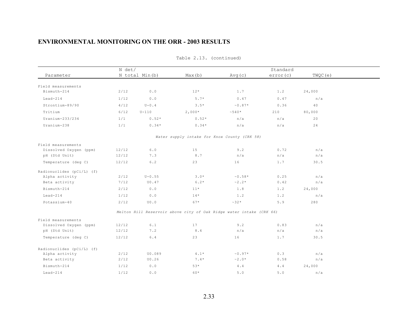|                           | N det/ |                |                                                                     | Standard                  |          |         |  |  |
|---------------------------|--------|----------------|---------------------------------------------------------------------|---------------------------|----------|---------|--|--|
| Parameter                 |        | N total Min(b) | Max(b)                                                              | Avg(c)                    | error(c) | TWQC(e) |  |  |
| Field measurements        |        |                |                                                                     |                           |          |         |  |  |
| Bismuth-214               | 2/12   | 0.0            | $12*$                                                               | 1.7                       | 1.2      | 24,000  |  |  |
| $Lead-214$                | 1/12   | 0.0            | $5.7*$                                                              | 0.47                      | 0.47     | n/a     |  |  |
| Strontium-89/90           | 4/12   | $U - 0$ . 4    | $3.5*$                                                              | $\sim 0.87\, \star$       | 0.36     | 40      |  |  |
| Tritium                   | 6/12   | $U-110$        | $2,000*$                                                            | $~540*$                   | 210      | 80,000  |  |  |
| $Uranium-233/234$         | 1/1    | $0.52*$        | $0.52*$                                                             | n/a                       | n/a      | 20      |  |  |
| Uranium-238               | 1/1    | $0.34*$        | $0.34*$                                                             | n/a                       | n/a      | 24      |  |  |
|                           |        |                | Water supply intake for Knox County (CRK 58)                        |                           |          |         |  |  |
| Field measurements        |        |                |                                                                     |                           |          |         |  |  |
| Dissolved Oxygen (ppm)    | 12/12  | $6.0$          | 15                                                                  | 9.2                       | 0.72     | n/a     |  |  |
| pH (Std Unit)             | 12/12  | 7.3            | 8.7                                                                 | n/a                       | n/a      | n/a     |  |  |
| Temperature (deg C)       | 12/12  | 6.2            | 23                                                                  | 16                        | 1.7      | 30.5    |  |  |
| Radionuclides (pCi/L) (f) |        |                |                                                                     |                           |          |         |  |  |
| Alpha activity            | 2/12   | $U - 0.55$     | $3.0*$                                                              | $\sim 0.58\, \star$       | 0.25     | n/a     |  |  |
| Beta activity             | 7/12   | U0.47          | $6.2*$                                                              | $\sim$ 2 . 2 $^{\star}$   | 0.42     | n/a     |  |  |
| Bismuth-214               | 2/12   | 0.0            | $11*$                                                               | 1.8                       | 1.2      | 24,000  |  |  |
| $Lead-214$                | 1/12   | $0.0$          | $14*$                                                               | 1.2                       | 1.2      | n/a     |  |  |
| Potassium-40              | 2/12   | U0.0           | $67*$                                                               | $~32*$                    | 5.9      | 280     |  |  |
|                           |        |                | Melton Hill Reservoir above city of Oak Ridge water intake (CRK 66) |                           |          |         |  |  |
| Field measurements        |        |                |                                                                     |                           |          |         |  |  |
| Dissolved Oxygen (ppm)    | 12/12  | 6.1            | 17                                                                  | 9.2                       | 0.83     | n/a     |  |  |
| pH (Std Unit)             | 12/12  | 7.2            | 8.4                                                                 | n/a                       | n/a      | n/a     |  |  |
| Temperature (deg C)       | 12/12  | 6.4            | 23                                                                  | 16                        | 1.7      | 30.5    |  |  |
| Radionuclides (pCi/L) (f) |        |                |                                                                     |                           |          |         |  |  |
| Alpha activity            | 2/12   | U0.089         | $4 \cdot 1$ $^{\star}$                                              | $~\sim 0.97*$             | 0.3      | n/a     |  |  |
| Beta activity             | 2/12   | U0.26          | $7.4*$                                                              | $\sim 2$ . $0$ $^{\star}$ | 0.58     | n/a     |  |  |
| Bismuth-214               | 1/12   | 0.0            | $53*$                                                               | 4.4                       | 4.4      | 24,000  |  |  |
| $Lead-214$                | 1/12   | 0.0            | 60*                                                                 | 5.0                       | 5.0      | n/a     |  |  |
|                           |        |                |                                                                     |                           |          |         |  |  |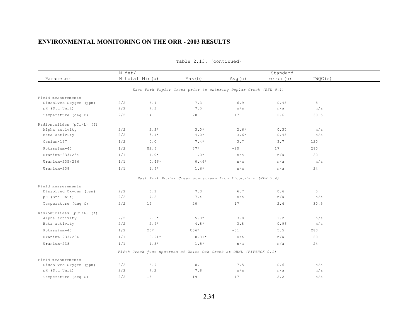|                           | N det/ |                |                                                                    |        |          |         |  |
|---------------------------|--------|----------------|--------------------------------------------------------------------|--------|----------|---------|--|
| Parameter                 |        | N total Min(b) | Max(b)                                                             | Avg(c) | error(c) | TWQC(e) |  |
|                           |        |                | East Fork Poplar Creek prior to entering Poplar Creek (EFK 0.1)    |        |          |         |  |
| Field measurements        |        |                |                                                                    |        |          |         |  |
| Dissolved Oxygen (ppm)    | 2/2    | 6.4            | 7.3                                                                | 6.9    | 0.45     | 5       |  |
| pH (Std Unit)             | 2/2    | 7.3            | 7.5                                                                | n/a    | n/a      | n/a     |  |
| Temperature (deg C)       | 2/2    | 14             | 20                                                                 | 17     | 2.6      | 30.5    |  |
| Radionuclides (pCi/L) (f) |        |                |                                                                    |        |          |         |  |
| Alpha activity            | 2/2    | $2.3*$         | $3.0*$                                                             | $2.6*$ | 0.37     | n/a     |  |
| Beta activity             | 2/2    | $3.1*$         | $4.0*$                                                             | $3.6*$ | 0.45     | n/a     |  |
| Cesium-137                | 1/2    | 0.0            | $7.4*$                                                             | 3.7    | 3.7      | 120     |  |
| Potassium-40              | 1/2    | U2.6           | $37*$                                                              | ~20    | 17       | 280     |  |
| Uranium-233/234           | 1/1    | $1.0*$         | $1.0*$                                                             | n/a    | n/a      | 20      |  |
| Uranium-235/236           | 1/1    | $0.46*$        | $0.46*$                                                            | n/a    | n/a      | n/a     |  |
| Uranium-238               | 1/1    | $1.6*$         | $1.6*$                                                             | n/a    | n/a      | 24      |  |
|                           |        |                | East Fork Poplar Creek downstream from floodplain (EFK 5.4)        |        |          |         |  |
| Field measurements        |        |                |                                                                    |        |          |         |  |
| Dissolved Oxygen (ppm)    | 2/2    | 6.1            | 7.3                                                                | 6.7    | 0.6      | 5       |  |
| pH (Std Unit)             | 2/2    | 7.2            | 7.4                                                                | n/a    | n/a      | n/a     |  |
| Temperature (deg C)       | 2/2    | 14             | 20                                                                 | 17     | 2.6      | 30.5    |  |
| Radionuclides (pCi/L) (f) |        |                |                                                                    |        |          |         |  |
| Alpha activity            | 2/2    | $2.6*$         | $5.0*$                                                             | 3.8    | 1.2      | n/a     |  |
| Beta activity             | 2/2    | $2.9*$         | $4.8*$                                                             | 3.8    | 0.96     | n/a     |  |
| Potassium-40              | 1/2    | $25*$          | U36*                                                               | ~31    | 5.5      | 280     |  |
| Uranium-233/234           | 1/1    | $0.91*$        | $0.91*$                                                            | n/a    | n/a      | 20      |  |
| Uranium-238               | 1/1    | $1.5*$         | $1.5*$                                                             | n/a    | n/a      | 24      |  |
|                           |        |                | Fifth Creek just upstream of White Oak Creek at ORNL (FIFTHCK 0.1) |        |          |         |  |
| Field measurements        |        |                |                                                                    |        |          |         |  |
| Dissolved Oxygen (ppm)    | 2/2    | 6.9            | 8.1                                                                | 7.5    | 0.6      | n/a     |  |
| pH (Std Unit)             | 2/2    | 7.2            | 7.8                                                                | n/a    | n/a      | n/a     |  |
| Temperature (deg C)       | 2/2    | 15             | 19                                                                 | 17     | 2.2      | n/a     |  |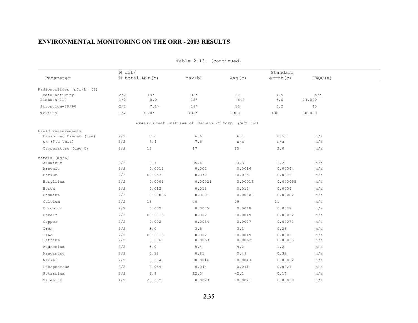|                                            |     | N det/         |                                                     |                | Standard |         |  |  |
|--------------------------------------------|-----|----------------|-----------------------------------------------------|----------------|----------|---------|--|--|
| Parameter                                  |     | N total Min(b) | Max(b)                                              | Avg(c)         | error(c) | TWQC(e) |  |  |
|                                            |     |                |                                                     |                |          |         |  |  |
| Radionuclides (pCi/L) (f)<br>Beta activity | 2/2 | $19*$          | $35*$                                               | 27             | 7.9      | n/a     |  |  |
| Bismuth-214                                | 1/2 | 0.0            | $12*$                                               | 6.0            | $6.0$    | 24,000  |  |  |
| Strontium-89/90                            | 2/2 | $7.1*$         | $18*$                                               | 12             | 5.2      | 40      |  |  |
| Tritium                                    | 1/2 | U170*          | $430*$                                              | ~100           | 130      | 80,000  |  |  |
|                                            |     |                | Grassy Creek upstream of SEG and IT Corp. (GCK 3.6) |                |          |         |  |  |
| Field measurements                         |     |                |                                                     |                |          |         |  |  |
| Dissolved Oxygen (ppm)                     | 2/2 | $5.5$          | 6.6                                                 | 6.1            | 0.55     | n/a     |  |  |
| pH (Std Unit)                              | 2/2 | $7\,$ . $4$    | 7.6                                                 | n/a            | n/a      | n/a     |  |  |
| Temperature (deg C)                        | 2/2 | 13             | 17                                                  | 15             | 2.0      | n/a     |  |  |
| Metals (mq/L)                              |     |                |                                                     |                |          |         |  |  |
| Aluminum                                   | 2/2 | 3.1            | E5.6                                                | $\sim 4$ . $3$ | 1.2      | n/a     |  |  |
| Arsenic                                    | 2/2 | 0.0011         | 0.002                                               | 0.0016         | 0.00044  | n/a     |  |  |
| Barium                                     | 2/2 | E0.057         | 0.072                                               | ~0.065         | 0.0076   | n/a     |  |  |
| Beryllium                                  | 2/2 | 0.0001         | 0.00021                                             | 0.00016        | 0.000055 | n/a     |  |  |
| Boron                                      | 2/2 | 0.012          | 0.013                                               | 0.013          | 0.0004   | n/a     |  |  |
| Cadmium                                    | 2/2 | 0.00006        | 0.0001                                              | 0.00008        | 0.00002  | n/a     |  |  |
| Calcium                                    | 2/2 | 18             | 40                                                  | 29             | 11       | n/a     |  |  |
| Chromium                                   | 2/2 | 0.002          | 0.0075                                              | 0.0048         | 0.0028   | n/a     |  |  |
| Cobalt                                     | 2/2 | E0.0018        | 0.002                                               | ~0.0019        | 0.00012  | n/a     |  |  |
| Copper                                     | 2/2 | 0.002          | 0.0034                                              | 0.0027         | 0.00071  | n/a     |  |  |
| Iron                                       | 2/2 | 3.0            | 3.5                                                 | 3.3            | 0.28     | n/a     |  |  |
| Lead                                       | 2/2 | E0.0018        | 0.002                                               | ~0.0019        | 0.0001   | n/a     |  |  |
| Lithium                                    | 2/2 | 0.006          | 0.0063                                              | 0.0062         | 0.00015  | n/a     |  |  |
| Magnesium                                  | 2/2 | 3.0            | $5.4$                                               | 4.2            | 1.2      | n/a     |  |  |
| Manganese                                  | 2/2 | 0.18           | 0.81                                                | 0.49           | 0.32     | n/a     |  |  |
| Nickel                                     | 2/2 | 0.004          | E0.0046                                             | ~0.0043        | 0.00032  | n/a     |  |  |
| Phosphorous                                | 2/2 | 0.039          | 0.044                                               | 0.041          | 0.0027   | n/a     |  |  |
| Potassium                                  | 2/2 | 1.9            | E2.3                                                | $~^{\sim}$ 2.1 | 0.17     | n/a     |  |  |
| Selenium                                   | 1/2 | < 0.002        | 0.0023                                              | ~0.0021        | 0.00013  | n/a     |  |  |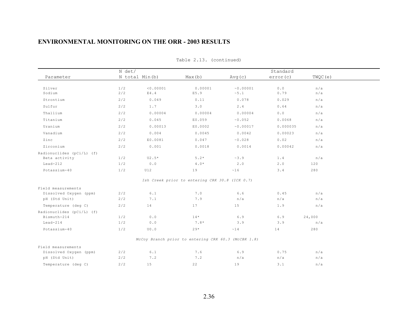|                                          | N det/ |                                  |                                                     | Standard     |          |         |  |
|------------------------------------------|--------|----------------------------------|-----------------------------------------------------|--------------|----------|---------|--|
| Parameter                                |        | N total Min(b)                   | Max(b)                                              | Avg(c)       | error(c) | TWQC(e) |  |
| Silver                                   | 1/2    | < 0.00001                        | 0.00001                                             | ~0.00001     | 0.0      | n/a     |  |
| Sodium                                   | 2/2    | E4.4                             | E5.9                                                | $\sim 5$ . 1 | 0.79     | n/a     |  |
| Strontium                                | 2/2    | 0.049                            | 0.11                                                | 0.078        | 0.029    | n/a     |  |
| Sulfur                                   | 2/2    | 1.7                              | 3.0                                                 | 2.4          | 0.64     | n/a     |  |
| Thallium                                 | 2/2    | 0.00004                          | 0.00004                                             | 0.00004      | 0.0      | n/a     |  |
| Titanium                                 | 2/2    | 0.045                            | E0.059                                              | ~0.052       | 0.0068   | n/a     |  |
| Uranium                                  | 2/2    | 0.00013                          | E0.0002                                             | ~0.00017     | 0.000035 | n/a     |  |
| Vanadium                                 | 2/2    | 0.004                            | 0.0045                                              | 0.0042       | 0.00023  | n/a     |  |
| Zinc                                     | 2/2    | E0.0081                          | 0.047                                               | ~0.028       | 0.02     | n/a     |  |
| Zirconium                                | 2/2    | 0.001                            | 0.0018                                              | 0.0014       | 0.00042  | n/a     |  |
| Radionuclides (pCi/L) (f)                |        |                                  |                                                     |              |          |         |  |
| Beta activity                            | 1/2    | $U2.5*$                          | $5.2*$                                              | ~3.9         | 1.4      | n/a     |  |
| $Lead-212$                               | 1/2    | $0.0$                            | $4.0*$                                              | 2.0          | 2.0      | 120     |  |
| Potassium-40                             | 1/2    | <b>U12</b>                       | 19                                                  | ~16          | 3.4      | 280     |  |
|                                          |        |                                  | Ish Creek prior to entering CRK 30.8 (ICK 0.7)      |              |          |         |  |
| Field measurements                       |        |                                  |                                                     |              |          |         |  |
| Dissolved Oxygen (ppm)                   | 2/2    | 6.1                              | 7.0                                                 | 6.6          | 0.45     | n/a     |  |
| pH (Std Unit)                            | 2/2    | 7.1                              | 7.9                                                 | n/a          | n/a      | n/a     |  |
| Temperature (deg C)                      | 2/2    | 14                               | 17                                                  | 15           | 1.9      | n/a     |  |
| Radionuclides (pCi/L) (f)<br>Bismuth-214 | 1/2    | $0.0$                            | $14*$                                               | 6.9          | 6.9      | 24,000  |  |
| $Lead-214$                               | 1/2    | $0.0$                            | $7.8*$                                              | 3.9          | 3.9      | n/a     |  |
| Potassium-40                             | 1/2    | $\mathop{\rm U}\nolimits0$ . $0$ | $29*$                                               | ~14          | 14       | 280     |  |
|                                          |        |                                  |                                                     |              |          |         |  |
|                                          |        |                                  | McCoy Branch prior to entering CRK 60.3 (McCBK 1.8) |              |          |         |  |
| Field measurements                       |        |                                  |                                                     |              |          |         |  |
| Dissolved Oxygen (ppm)                   | 2/2    | $6.1$                            | 7.6                                                 | 6.9          | 0.75     | n/a     |  |
| pH (Std Unit)                            | 2/2    | 7.2                              | 7.2                                                 | n/a          | n/a      | n/a     |  |
| Temperature (deg C)                      | 2/2    | 15                               | 22                                                  | 19           | 3.1      | n/a     |  |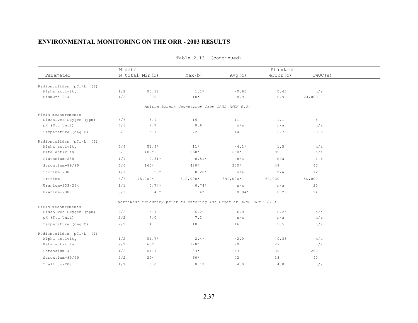|                                             | N det/     |                |                                                                    |                         | Standard    |            |  |
|---------------------------------------------|------------|----------------|--------------------------------------------------------------------|-------------------------|-------------|------------|--|
| Parameter                                   |            | N total Min(b) | Max(b)                                                             | Avg(c)                  | error(c)    | TWQC(e)    |  |
|                                             |            |                |                                                                    |                         |             |            |  |
| Radionuclides (pCi/L) (f)<br>Alpha activity | 1/2        | U0.18          | $1.1*$                                                             | ~0.65                   | 0.47        | n/a        |  |
| Bismuth-214                                 | 1/2        | 0.0            | $18*$                                                              | 8.9                     | 8.9         | 24,000     |  |
|                                             |            |                |                                                                    |                         |             |            |  |
|                                             |            |                | Melton Branch downstream from ORNL (MEK 0.2)                       |                         |             |            |  |
| Field measurements                          |            |                |                                                                    |                         |             |            |  |
| Dissolved Oxygen (ppm)                      | 6/6        | 8.9            | 16                                                                 | 11                      | 1.1         | 5          |  |
| pH (Std Unit)                               | 6/6        | 7.7            | 8.6                                                                | n/a                     | n/a         | n/a        |  |
| Temperature (deg C)                         | 6/6        | 5.1            | 22                                                                 | 14                      | 2.7         | 30.5       |  |
| Radionuclides (pCi/L) (f)                   |            |                |                                                                    |                         |             |            |  |
| Alpha activity                              | 5/6        | $U1.9*$        | $11*$                                                              | $\sim 4$ . 1 $^{\star}$ | 1.5         | n/a        |  |
| Beta activity                               | 6/6        | $400*$         | $960*$                                                             | 660*                    | 99          | n/a        |  |
| Plutonium-238                               | 1/1        | $0.81*$        | $0.81*$                                                            | n/a                     | n/a         | 1.6        |  |
| Strontium-89/90                             | 6/6        | $160*$         | 480*                                                               | $300*$                  | 49          | 40         |  |
| Thorium-230                                 | 1/1        | $0.28*$        | $0.28*$                                                            | n/a                     | n/a         | 12         |  |
| Tritium                                     | 6/6        | $75,000*$      | $510,000*$                                                         | $340,000*$              | 67,000      | 80,000     |  |
| $Uranium-233/234$                           | 1/1        | $0.74*$        | $0.74*$                                                            | n/a                     | n/a         | 20         |  |
| Uranium-238                                 | 3/3        | $0.47*$        | $1.4*$                                                             | $0.94*$                 | 0.26        | 24         |  |
|                                             |            |                | Northwest Tributary prior to entering 1st Creek at ORNL (NWTK 0.1) |                         |             |            |  |
| Field measurements                          |            |                |                                                                    |                         |             |            |  |
| Dissolved Oxygen (ppm)                      | 2/2<br>2/2 | 5.7<br>7.0     | $6.2$<br>7.2                                                       | 6.0<br>n/a              | 0.25<br>n/a | n/a<br>n/a |  |
| pH (Std Unit)                               |            |                |                                                                    |                         |             |            |  |
| Temperature (deg C)                         | 2/2        | 14             | 18                                                                 | 16                      | 2.5         | n/a        |  |
| Radionuclides (pCi/L) (f)                   |            |                |                                                                    |                         |             |            |  |
| Alpha activity                              | 1/2        | $U1.7*$        | $2.4*$                                                             | $\sim 2$ . $0$          | 0.36        | n/a        |  |
| Beta activity                               | 2/2        | $63*$          | $120*$                                                             | 90                      | 27          | n/a        |  |
| Potassium-40                                | 1/2        | U4.1           | $83*$                                                              | ~43                     | 39          | 280        |  |
| Strontium-89/90                             | 2/2        | $24*$          | 60*                                                                | 42                      | 18          | 40         |  |
| Thallium-208                                | 1/2        | 0.0            | $8.1*$                                                             | 4.0                     | 4.0         | n/a        |  |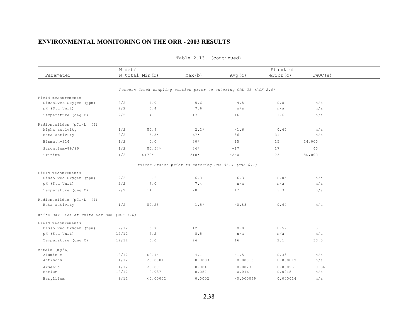|                                           | N det/ |                |                                                    |                                                                   | Standard |         |  |
|-------------------------------------------|--------|----------------|----------------------------------------------------|-------------------------------------------------------------------|----------|---------|--|
| Parameter                                 |        | N total Min(b) | Max(b)                                             | Avg(c)                                                            | error(c) | TWQC(e) |  |
|                                           |        |                |                                                    |                                                                   |          |         |  |
|                                           |        |                |                                                    | Raccoon Creek sampling station prior to entering CRK 31 (RCK 2.0) |          |         |  |
| Field measurements                        |        |                |                                                    |                                                                   |          |         |  |
| Dissolved Oxygen (ppm)                    | 2/2    | 4.0            | 5.6                                                | 4.8                                                               | 0.8      | n/a     |  |
| pH (Std Unit)                             | 2/2    | $6.4$          | 7.6                                                | n/a                                                               | n/a      | n/a     |  |
| Temperature (deg C)                       | 2/2    | 14             | 17                                                 | 16                                                                | 1.6      | n/a     |  |
| Radionuclides (pCi/L) (f)                 |        |                |                                                    |                                                                   |          |         |  |
| Alpha activity                            | 1/2    | U0.9           | $2.2*$                                             | ~1.6                                                              | 0.67     | n/a     |  |
| Beta activity                             | 2/2    | $5.5*$         | $67*$                                              | 36                                                                | 31       | n/a     |  |
| Bismuth-214                               | 1/2    | 0.0            | $30*$                                              | 15                                                                | 15       | 24,000  |  |
| Strontium-89/90                           | 1/2    | $U0.54*$       | $34*$                                              | ~17                                                               | 17       | 40      |  |
| Tritium                                   | 1/2    | U170*          | $310*$                                             | ~240                                                              | 73       | 80,000  |  |
|                                           |        |                | Walker Branch prior to entering CRK 53.4 (WBK 0.1) |                                                                   |          |         |  |
| Field measurements                        |        |                |                                                    |                                                                   |          |         |  |
| Dissolved Oxygen (ppm)                    | 2/2    | 6.2            | 6.3                                                | 6.3                                                               | 0.05     | n/a     |  |
| pH (Std Unit)                             | 2/2    | 7.0            | 7.4                                                | n/a                                                               | n/a      | n/a     |  |
| Temperature (deg C)                       | 2/2    | 14             | 20                                                 | 17                                                                | 3.3      | n/a     |  |
| Radionuclides (pCi/L) (f)                 |        |                |                                                    |                                                                   |          |         |  |
| Beta activity                             | 1/2    | U0.25          | $1.5*$                                             | $\sim 0.88$                                                       | 0.64     | n/a     |  |
| White Oak Lake at White Oak Dam (WCK 1.0) |        |                |                                                    |                                                                   |          |         |  |
| Field measurements                        |        |                |                                                    |                                                                   |          |         |  |
| Dissolved Oxygen (ppm)                    | 12/12  | 5.7            | 12                                                 | 8.8                                                               | 0.57     | 5       |  |
| pH (Std Unit)                             | 12/12  | 7.2            | 8.5                                                | n/a                                                               | n/a      | n/a     |  |
| Temperature (deg C)                       | 12/12  | 6.0            | 26                                                 | 16                                                                | 2.1      | 30.5    |  |
| Metals (mg/L)                             |        |                |                                                    |                                                                   |          |         |  |
| Aluminum                                  | 12/12  | E0.14          | 4.1                                                | $\sim 1$ . 5                                                      | 0.33     | n/a     |  |
| Antimony                                  | 11/12  | < 0.0001       | 0.0003                                             | ~0.00015                                                          | 0.000019 | n/a     |  |
| Arsenic                                   | 11/12  | < 0.001        | 0.004                                              | ~0.0023                                                           | 0.00025  | 0.36    |  |
| Barium                                    | 12/12  | 0.037          | 0.057                                              | 0.046                                                             | 0.0018   | n/a     |  |
| Beryllium                                 | 9/12   | < 0.00002      | 0.0002                                             | ~0.000069                                                         | 0.000014 | n/a     |  |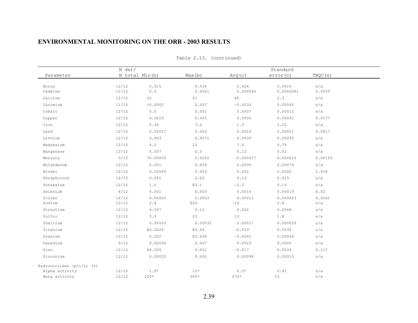|                                                                                                                                                                                                                                                                  |                                                                                                                                                                                                                                                                                                                     | Standard                                                                                                                                                                                                                                                |                                                                                                                                                                                                                                                                                |                                                                                                                                                                                                                                                                                              |  |
|------------------------------------------------------------------------------------------------------------------------------------------------------------------------------------------------------------------------------------------------------------------|---------------------------------------------------------------------------------------------------------------------------------------------------------------------------------------------------------------------------------------------------------------------------------------------------------------------|---------------------------------------------------------------------------------------------------------------------------------------------------------------------------------------------------------------------------------------------------------|--------------------------------------------------------------------------------------------------------------------------------------------------------------------------------------------------------------------------------------------------------------------------------|----------------------------------------------------------------------------------------------------------------------------------------------------------------------------------------------------------------------------------------------------------------------------------------------|--|
|                                                                                                                                                                                                                                                                  | Max(b)                                                                                                                                                                                                                                                                                                              | Avg(c)                                                                                                                                                                                                                                                  | error(c)                                                                                                                                                                                                                                                                       | TWQC(e)                                                                                                                                                                                                                                                                                      |  |
|                                                                                                                                                                                                                                                                  |                                                                                                                                                                                                                                                                                                                     |                                                                                                                                                                                                                                                         |                                                                                                                                                                                                                                                                                |                                                                                                                                                                                                                                                                                              |  |
|                                                                                                                                                                                                                                                                  |                                                                                                                                                                                                                                                                                                                     |                                                                                                                                                                                                                                                         |                                                                                                                                                                                                                                                                                | n/a<br>0.0039                                                                                                                                                                                                                                                                                |  |
|                                                                                                                                                                                                                                                                  |                                                                                                                                                                                                                                                                                                                     |                                                                                                                                                                                                                                                         |                                                                                                                                                                                                                                                                                | n/a                                                                                                                                                                                                                                                                                          |  |
|                                                                                                                                                                                                                                                                  |                                                                                                                                                                                                                                                                                                                     |                                                                                                                                                                                                                                                         |                                                                                                                                                                                                                                                                                | n/a                                                                                                                                                                                                                                                                                          |  |
|                                                                                                                                                                                                                                                                  |                                                                                                                                                                                                                                                                                                                     |                                                                                                                                                                                                                                                         |                                                                                                                                                                                                                                                                                | n/a                                                                                                                                                                                                                                                                                          |  |
|                                                                                                                                                                                                                                                                  |                                                                                                                                                                                                                                                                                                                     |                                                                                                                                                                                                                                                         |                                                                                                                                                                                                                                                                                | 0.0177                                                                                                                                                                                                                                                                                       |  |
|                                                                                                                                                                                                                                                                  |                                                                                                                                                                                                                                                                                                                     |                                                                                                                                                                                                                                                         |                                                                                                                                                                                                                                                                                | n/a                                                                                                                                                                                                                                                                                          |  |
|                                                                                                                                                                                                                                                                  |                                                                                                                                                                                                                                                                                                                     |                                                                                                                                                                                                                                                         |                                                                                                                                                                                                                                                                                | 0.0817                                                                                                                                                                                                                                                                                       |  |
|                                                                                                                                                                                                                                                                  |                                                                                                                                                                                                                                                                                                                     |                                                                                                                                                                                                                                                         |                                                                                                                                                                                                                                                                                | n/a                                                                                                                                                                                                                                                                                          |  |
|                                                                                                                                                                                                                                                                  |                                                                                                                                                                                                                                                                                                                     |                                                                                                                                                                                                                                                         |                                                                                                                                                                                                                                                                                | n/a                                                                                                                                                                                                                                                                                          |  |
|                                                                                                                                                                                                                                                                  |                                                                                                                                                                                                                                                                                                                     |                                                                                                                                                                                                                                                         |                                                                                                                                                                                                                                                                                | n/a                                                                                                                                                                                                                                                                                          |  |
|                                                                                                                                                                                                                                                                  |                                                                                                                                                                                                                                                                                                                     |                                                                                                                                                                                                                                                         |                                                                                                                                                                                                                                                                                | 0.00169                                                                                                                                                                                                                                                                                      |  |
|                                                                                                                                                                                                                                                                  |                                                                                                                                                                                                                                                                                                                     |                                                                                                                                                                                                                                                         |                                                                                                                                                                                                                                                                                | n/a                                                                                                                                                                                                                                                                                          |  |
|                                                                                                                                                                                                                                                                  |                                                                                                                                                                                                                                                                                                                     |                                                                                                                                                                                                                                                         |                                                                                                                                                                                                                                                                                | 1.418                                                                                                                                                                                                                                                                                        |  |
|                                                                                                                                                                                                                                                                  |                                                                                                                                                                                                                                                                                                                     |                                                                                                                                                                                                                                                         |                                                                                                                                                                                                                                                                                |                                                                                                                                                                                                                                                                                              |  |
|                                                                                                                                                                                                                                                                  |                                                                                                                                                                                                                                                                                                                     |                                                                                                                                                                                                                                                         |                                                                                                                                                                                                                                                                                | n/a                                                                                                                                                                                                                                                                                          |  |
|                                                                                                                                                                                                                                                                  |                                                                                                                                                                                                                                                                                                                     |                                                                                                                                                                                                                                                         |                                                                                                                                                                                                                                                                                | n/a<br>0.02                                                                                                                                                                                                                                                                                  |  |
|                                                                                                                                                                                                                                                                  |                                                                                                                                                                                                                                                                                                                     |                                                                                                                                                                                                                                                         |                                                                                                                                                                                                                                                                                |                                                                                                                                                                                                                                                                                              |  |
|                                                                                                                                                                                                                                                                  |                                                                                                                                                                                                                                                                                                                     |                                                                                                                                                                                                                                                         |                                                                                                                                                                                                                                                                                | 0.0041<br>n/a                                                                                                                                                                                                                                                                                |  |
|                                                                                                                                                                                                                                                                  |                                                                                                                                                                                                                                                                                                                     |                                                                                                                                                                                                                                                         |                                                                                                                                                                                                                                                                                | n/a                                                                                                                                                                                                                                                                                          |  |
|                                                                                                                                                                                                                                                                  |                                                                                                                                                                                                                                                                                                                     |                                                                                                                                                                                                                                                         |                                                                                                                                                                                                                                                                                | n/a                                                                                                                                                                                                                                                                                          |  |
|                                                                                                                                                                                                                                                                  |                                                                                                                                                                                                                                                                                                                     |                                                                                                                                                                                                                                                         |                                                                                                                                                                                                                                                                                | n/a                                                                                                                                                                                                                                                                                          |  |
|                                                                                                                                                                                                                                                                  |                                                                                                                                                                                                                                                                                                                     |                                                                                                                                                                                                                                                         |                                                                                                                                                                                                                                                                                | n/a                                                                                                                                                                                                                                                                                          |  |
|                                                                                                                                                                                                                                                                  |                                                                                                                                                                                                                                                                                                                     |                                                                                                                                                                                                                                                         |                                                                                                                                                                                                                                                                                | n/a                                                                                                                                                                                                                                                                                          |  |
|                                                                                                                                                                                                                                                                  |                                                                                                                                                                                                                                                                                                                     |                                                                                                                                                                                                                                                         |                                                                                                                                                                                                                                                                                | n/a                                                                                                                                                                                                                                                                                          |  |
|                                                                                                                                                                                                                                                                  |                                                                                                                                                                                                                                                                                                                     |                                                                                                                                                                                                                                                         |                                                                                                                                                                                                                                                                                | 0.117                                                                                                                                                                                                                                                                                        |  |
|                                                                                                                                                                                                                                                                  |                                                                                                                                                                                                                                                                                                                     |                                                                                                                                                                                                                                                         |                                                                                                                                                                                                                                                                                | n/a                                                                                                                                                                                                                                                                                          |  |
|                                                                                                                                                                                                                                                                  |                                                                                                                                                                                                                                                                                                                     |                                                                                                                                                                                                                                                         |                                                                                                                                                                                                                                                                                |                                                                                                                                                                                                                                                                                              |  |
|                                                                                                                                                                                                                                                                  |                                                                                                                                                                                                                                                                                                                     |                                                                                                                                                                                                                                                         |                                                                                                                                                                                                                                                                                |                                                                                                                                                                                                                                                                                              |  |
|                                                                                                                                                                                                                                                                  |                                                                                                                                                                                                                                                                                                                     |                                                                                                                                                                                                                                                         |                                                                                                                                                                                                                                                                                | n/a<br>n/a                                                                                                                                                                                                                                                                                   |  |
| 12/12<br>11/12<br>12/12<br>11/12<br>12/12<br>12/12<br>12/12<br>12/12<br>12/12<br>12/12<br>12/12<br>5/12<br>12/12<br>12/12<br>12/12<br>12/12<br>$8/12$<br>12/12<br>12/12<br>12/12<br>12/12<br>12/12<br>12/12<br>12/12<br>9/12<br>12/12<br>12/12<br>12/12<br>12/12 | N det/<br>N total Min(b)<br>0.015<br>$0.0$<br>22<br>< 0.0002<br>$0.0$<br>0.0019<br>0.35<br>0.00027<br>0.003<br>$4.0$<br>0.057<br>< 0.00003<br>0.001<br>0.00089<br>0.051<br>1.6<br>0.001<br>0.00003<br>$2\cdot 4$<br>0.047<br>3.9<br>0.00003<br>E0.0025<br>0.002<br>0.00094<br>E0.006<br>0.00022<br>$1.8*$<br>$220*$ | 0.034<br>0.0001<br>51<br>0.007<br>0.001<br>0.005<br>3.2<br>0.003<br>0.0071<br>12<br>0.3<br>0.0002<br>0.009<br>0.003<br>0.22<br>E3.1<br>0.003<br>0.0003<br>E29<br>0.13<br>23<br>0.00032<br>E0.04<br>E0.008<br>0.007<br>0.051<br>0.002<br>$12*$<br>$350*$ | 0.024<br>0.000046<br>40<br>~0.0035<br>0.0007<br>0.0035<br>1.3<br>0.0014<br>0.0039<br>7.9<br>0.12<br>~0.000077<br>0.0035<br>0.002<br>0.13<br>~2.3<br>0.0016<br>0.00011<br>~14<br>0.092<br>13<br>0.00017<br>~0.019<br>~0.0041<br>0.0023<br>~0.017<br>0.00098<br>$6.3*$<br>$270*$ | 0.0016<br>0.0000081<br>2.3<br>0.00065<br>0.00012<br>0.00031<br>0.22<br>0.00021<br>0.00035<br>0.75<br>0.02<br>0.000015<br>0.00079<br>0.0002<br>0.015<br>0.15<br>0.00019<br>0.000023<br>$2.4$<br>0.0068<br>$1.8$<br>0.000029<br>0.0035<br>0.00044<br>0.0005<br>0.0034<br>0.00013<br>0.81<br>12 |  |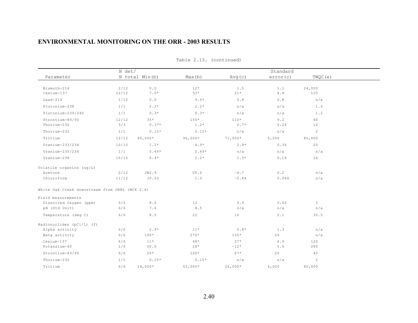|                                                | N det/        |                  |                  |                   | Standard           |               |  |
|------------------------------------------------|---------------|------------------|------------------|-------------------|--------------------|---------------|--|
| Parameter                                      |               | N total Min(b)   | Max(b)           | Avg(c)            | error(c)           | TWQC(e)       |  |
| Bismuth-214<br>Cesium-137                      | 2/12<br>12/12 | $0.0$<br>$7.0*$  | $12*$<br>$53*$   | 1.5<br>$21*$      | $1.1$<br>$4$ . $4$ | 24,000<br>120 |  |
| $Lead-214$                                     | 1/12          | 0.0              | $9.6*$           | 0.8               | 0.8                | n/a           |  |
| Plutonium-238                                  | 1/1           | $2.2*$           | $2.2*$           | n/a               | n/a                | 1.6           |  |
| Plutonium-239/240                              | 1/1           | $0.3*$           | $0.3*$           | n/a               | n/a                | 1.2           |  |
| Strontium-89/90<br>Thorium-230                 | 12/12<br>3/3  | $35*$<br>$0.37*$ | $150*$<br>$1.2*$ | $110*$<br>$0.7*$  | 9.2<br>0.24        | 40<br>12      |  |
| Thorium-232                                    | 1/1           | $0.15*$          | $0.15*$          | n/a               | n/a                | $\mathbf{2}$  |  |
| Tritium                                        | 12/12         | $45,000*$        | $96,000*$        | $71,000*$         | 5,200              | 80,000        |  |
| Uranium-233/234                                | 10/10         | $1.2*$           | $4.9*$           | $2.9*$            | 0.36               | 20            |  |
| Uranium-235/236                                | 1/1           | $0.49*$          | $0.49*$          | n/a               | n/a                | n/a           |  |
| Uranium-238                                    | 10/10         | $0.4*$           | $2.2*$           | $1.3*$            | 0.18               | 24            |  |
| Volatile organics (ug/L)                       |               |                  |                  |                   |                    |               |  |
| Acetone                                        | 2/12          | JB2.9            | U5.0             | $~\sim 4$ .7      | 0.2                | n/a           |  |
| Chloroform                                     | 11/12         | J0.53            | 1.3              | $\sim 0$ . $8\;4$ | 0.064              | n/a           |  |
| White Oak Creek downstream from ORNL (WCK 2.6) |               |                  |                  |                   |                    |               |  |
| Field measurements                             |               |                  |                  |                   |                    |               |  |
| Dissolved Oxygen (ppm)                         | 6/6           | $8.0\,$          | 12               | 9.9               | 0.66               | 5             |  |
| pH (Std Unit)                                  | 6/6           | 7.6              | 8.5              | n/a               | n/a                | n/a           |  |
| Temperature (deg C)                            | 6/6           | 8.5              | 22               | 16                | 2.1                | 30.5          |  |
| Radionuclides (pCi/L) (f)                      |               |                  |                  |                   |                    |               |  |
| Alpha activity                                 | 6/6           | $2.9*$           | $11*$            | $5.8*$            | 1.3                | n/a           |  |
| Beta activity                                  | 6/6           | $100*$           | $270*$           | $150*$            | 26                 | n/a           |  |
| Cesium-137                                     | 6/6           | $11*$            | $48*$            | $27*$             | $4.9$              | 120           |  |
| Potassium-40                                   | 1/6           | U0.0             | $28*$            | $~12*$            | 5.6                | 280           |  |
| Strontium-89/90                                | 6/6           | $25*$            | $160*$           | $67*$             | 20                 | 40            |  |
| Thorium-232                                    | 1/1           | $0.15*$          | $0.15*$          | n/a               | n/a                | $\mathbf{2}$  |  |
| Tritium                                        | 6/6           | $14,000*$        | $53,000*$        | $26,000*$         | 6,000              | 80,000        |  |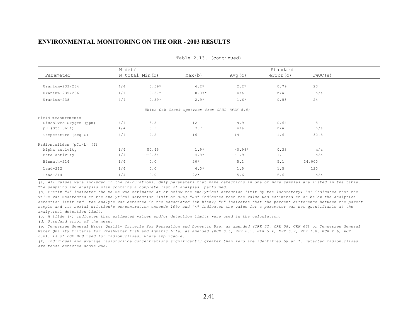|                           | N det/         |            |                                              |            | Standard |         |
|---------------------------|----------------|------------|----------------------------------------------|------------|----------|---------|
| Parameter                 | N total Min(b) |            | Max(b)                                       | Avg(c)     | error(c) | TWQC(e) |
|                           |                |            |                                              |            |          |         |
| $Uranium-233/234$         | 4/4            | $0.59*$    | $4.2*$                                       | $2.2*$     | 0.79     | 20      |
| Uranium-235/236           | 1/1            | $0.37*$    | $0.37*$                                      | n/a        | n/a      | n/a     |
| Uranium-238               | 4/4            | $0.59*$    | $2.9*$                                       | $1.6*$     | 0.53     | 24      |
|                           |                |            | White Oak Creek upstream from ORNL (WCK 6.8) |            |          |         |
| Field measurements        |                |            |                                              |            |          |         |
| Dissolved Oxygen (ppm)    | 4/4            | 8.5        | 12                                           | 9.9        | 0.64     | 5       |
| pH (Std Unit)             | 4/4            | 6.9        | 7.7                                          | n/a        | n/a      | n/a     |
| Temperature (deg C)       | 4/4            | 9.2        | 16                                           | 14         | 1.6      | 30.5    |
| Radionuclides (pCi/L) (f) |                |            |                                              |            |          |         |
| Alpha activity            | 1/4            | U0.45      | $1.9*$                                       | $~10.98*$  | 0.33     | n/a     |
| Beta activity             | 1/4            | $U - 0.34$ | $4.9*$                                       | $\sim$ 1.9 | 1.1      | n/a     |
| Bismuth-214               | 1/4            | 0.0        | $20*$                                        | 5.1        | 5.1      | 24,000  |
| $Lead-212$                | 1/4            | 0.0        | $6.0*$                                       | 1.5        | 1.5      | 120     |
| $Lead-214$                | 1/4            | 0.0        | $22*$                                        | 5.6        | 5.6      | n/a     |

Table 2.13. (continued)

*(a) All values were included in the calculations. Only parameters that have detections in one or more samples are listed in the table. The sampling and analysis plan contains a complete list of analyses performed.*

*(b) Prefix "J" indicates the value was estimated at or below the analytical detection limit by the laboratory; "U" indicates that the value was undetected at the analytical detection limit or MDA; "JB" indicates that the value was estimated at or below the analytical detection limit and the analyte was detected in the associated lab blank; "E" indicates that the percent difference between the parent sample and its serial dilution's concentration exceeds 10%; and "<" indicates the value for a parameter was not quantifiable at the analytical detection limit.*

*(c) A tilde (~) indicates that estimated values and/or detection limits were used in the calculation.*

*(d) Standard error of the mean.*

*(e) Tennessee General Water Quality Criteria for Recreation and Domestic Use, as amended (CRK 32, CRK 58, CRK 66) or Tennessee General Water Quality Criteria for Freshwater Fish and Aquatic Life, as amended (BCK 0.6, EFK 0.1, EFK 5.4, MEK 0.2, WCK 1.0, WCK 2.6, WCK 6.8). 4% of DOE DCG used for radionuclides, where applicable.*

*(f) Individual and average radionuclide concentrations significantly greater than zero are identified by an \*. Detected radionuclides are those detected above MDA.*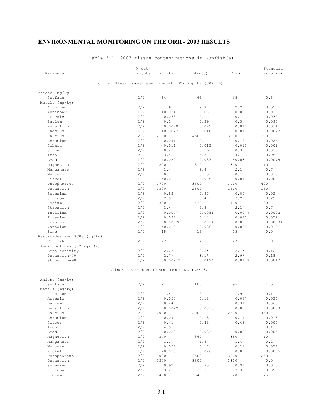|                             | N det/                                               |          |                |            | Standard |
|-----------------------------|------------------------------------------------------|----------|----------------|------------|----------|
| Parameter                   | N total                                              | Min(b)   | Max(b)         | Avg(c)     | error(d) |
|                             | Clinch River downstream from all DOE inputs (CRK 16) |          |                |            |          |
|                             |                                                      |          |                |            |          |
| Anions (mg/kg)              |                                                      |          |                |            |          |
| Sulfate                     | 2/2                                                  | 64       | 65             | 65         | 0.5      |
| $Metals$ (mg/kg)            |                                                      |          |                |            |          |
| Aluminum                    | 2/2                                                  | 1.6      | 2.7            | 2.2        | 0.55     |
| Antimony                    | 1/2                                                  | < 0.054  | 0.08           | ~0.067     | 0.013    |
| Arsenic                     | 2/2                                                  | 0.063    | 0.14           | 0.1        | 0.039    |
| Barium                      | 2/2                                                  | 0.2      | 0.39           | 0.3        | 0.095    |
| Beryllium                   | 2/2                                                  | 0.0028   | 0.025          | 0.014      | 0.011    |
| Cadmium                     | 1/2                                                  | < 0.0027 | 0.018          | ~0.01      | 0.0077   |
| Calcium                     | 2/2                                                  | 2100     | 4500           | 3300       | 1200     |
| Chromium                    | 2/2                                                  | 0.091    | 0.14           | 0.12       | 0.025    |
| Cobalt                      | 1/2                                                  | < 0.011  | 0.013          | ~0.012     | 0.001    |
| Copper                      | 2/2                                                  | 0.29     | 0.36           | 0.33       | 0.035    |
| Iron                        | 2/2                                                  | 3.4      | 5.3            | 4.4        | 0.95     |
| Lead                        | 1/2                                                  | < 0.022  | 0.037          | ~0.03      | 0.0075   |
| Magnesium                   | 2/2                                                  | 290      | 310            | 300        | 10       |
| Manganese                   | 2/2                                                  | 1.4      | 2.8            | 2.1        | 0.7      |
| Mercury                     | 2/2                                                  | 0.1      | 0.13           | 0.12       | 0.015    |
| Nickel                      | 1/2                                                  | < 0.013  | 0.025          | ~0.019     | 0.006    |
| Phosphorous                 | 2/2                                                  | 2700     | 3500           | 3100       | 400      |
| Potassium                   | 2/2                                                  | 2300     | 2600           | 2500       | 150      |
| Selenium                    | 2/2                                                  | 0.83     | 0.87           | 0.85       | 0.02     |
| Silicon                     | 2/2                                                  | 2.9      | 3.4            | 3.2        | 0.25     |
| Sodium                      | 2/2                                                  | 390      | 430            | 410        | 20       |
| Strontium                   | 2/2                                                  | 1.4      | 2.8            | 2.1        | 0.7      |
| Thallium                    | 2/2                                                  | 0.0077   | 0.0081         | 0.0079     | 0.0002   |
| Titanium                    | 2/2                                                  | 0.022    | 0.14           | 0.081      | 0.059    |
| Uranium                     | 2/2                                                  | 0.00078  | 0.0014         | 0.0011     | 0.00031  |
| Vanadium                    | 1/2                                                  | < 0.013  | 0.036          | ~0.025     | 0.012    |
| Zinc                        | 2/2                                                  | 15       | 15             | 15         | 0.0      |
| Pesticides and PCBs (ug/kg) |                                                      |          |                |            |          |
| $PCB-1260$                  | 2/2                                                  | 22       | 24             | 23         | 1.0      |
| Radionuclides (pCi/q) (e)   |                                                      |          |                |            |          |
| Beta activity               | 2/2                                                  | $2.2*$   | $2.5*$         | $2.4*$     | 0.12     |
| Potassium-40                | 2/2                                                  | $2.7*$   | $3.1*$         | $2.9*$     | 0.18     |
| Strontium-90                | 1/2                                                  | U0.0091* | $0.012*$       | $~10.011*$ | 0.0017   |
|                             | Clinch River downstream from ORNL (CRK 32)           |          |                |            |          |
| Anions (mg/kg)              |                                                      |          |                |            |          |
| Sulfate                     | 2/2                                                  | 91       | 100            | 96         | 4.5      |
| Metals $(mq/kg)$            |                                                      |          |                |            |          |
| Aluminum                    | 2/2                                                  | 1.8      | $\overline{2}$ | 1.9        | 0.1      |
| Arsenic                     | 2/2                                                  | 0.053    | 0.12           | 0.087      | 0.034    |
| Barium                      | 2/2                                                  | 0.24     | 0.37           | 0.31       | 0.065    |
| Beryllium                   | 2/2                                                  | 0.0022   | 0.0038         | 0.003      | 0.0008   |
| Calcium                     | 2/2                                                  | 2000     | 2900           | 2500       | 450      |

Table 3.1. 2003 tissue concentrations in Sunfish(a)

Chromium 2/2 0.094 0.13 0.11 0.018 Copper 2/2 0.41 0.42 0.42 0.005 Iron 2/2 4.9 5.1 5 0.1 Lead 2/2 0.023 0.033 0.028 0.005 Magnesium 2/2 340 360 350 10 Manganese 2/2 1.2 1.6 1.4 0.2 Mercury 2/2 0.056 0.17 0.11 0.057 Nickel 1/2 <0.013 0.026 ~0.02 0.0065 Phosphorous 2/2 3000 3500 3300 250 Potassium 2/2 3300 3300 3300 0.0 Selenium 2/2 0.92 0.95 0.94 0.015 Silicon 2/2 3.2 3.3 3.3 0.05 Sodium 2/2 490 540 520 25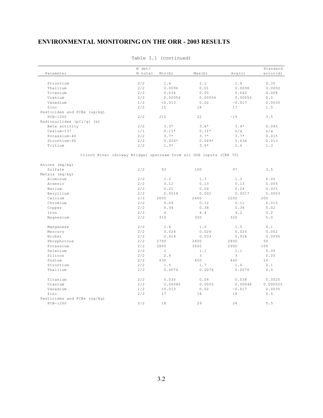|                                                                    | N det/  |                |          |         | Standard |
|--------------------------------------------------------------------|---------|----------------|----------|---------|----------|
| Parameter                                                          | N total | Min(b)         | Max(b)   | Avg(c)  | error(d) |
|                                                                    |         |                |          |         |          |
| Strontium                                                          | 2/2     | 1.4            | 2.1      | 1.8     | 0.35     |
| Thallium                                                           | 2/2     | 0.0096         | $0.01$   | 0.0098  | 0.0002   |
| Titanium                                                           | 2/2     | 0.034          | 0.05     | 0.042   | 0.008    |
| Uranium                                                            | 2/2     | 0.00056        | 0.00056  | 0.00056 | $0.0$    |
| Vanadium                                                           | 1/2     | < 0.013        | 0.02     | ~0.017  | 0.0035   |
| Zinc                                                               | 2/2     | 15             | 18       | 17      | 1.5      |
| Pesticides and PCBs (ug/kg)                                        |         |                |          |         |          |
| $PCB-1260$                                                         | 2/2     | J15            | 22       | ~19     | 3.5      |
| Radionuclides (pCi/g) (e)                                          |         |                |          |         |          |
| Beta activity                                                      | 2/2     | $3.3*$         | $3.4*$   | $3.4*$  | 0.045    |
| Cesium-137                                                         | 1/1     | $0.11*$        | $0.11*$  | n/a     | n/a      |
| Potassium-40                                                       | 2/2     | $3.7*$         | $3.7*$   | $3.7*$  | 0.015    |
| Strontium-90                                                       | 2/2     | $0.024*$       | $0.049*$ | 0.036   | 0.013    |
| Tritium                                                            | 2/2     | $1.3*$         | $3.9*$   | 2.6     | 1.3      |
|                                                                    |         |                |          |         |          |
|                                                                    |         |                |          |         |          |
| Clinch River (Solway Bridge) upstream from all DOE inputs (CRK 70) |         |                |          |         |          |
|                                                                    |         |                |          |         |          |
| Anions (mg/kg)                                                     |         |                |          |         |          |
| Sulfate                                                            | 2/2     | 93             | 100      | 97      | 3.5      |
| Metals $(mq/kg)$                                                   |         |                |          |         |          |
| Aluminum                                                           | 2/2     | 1.2            | 1.3      | 1.3     | 0.05     |
| Arsenic                                                            | 2/2     | 0.12           | 0.13     | 0.13    | 0.005    |
| Barium                                                             | 2/2     | 0.21           | 0.26     | 0.24    | 0.025    |
| Beryllium                                                          | 2/2     | 0.0014         | 0.002    | 0.0017  | 0.0003   |
| Calcium                                                            | 2/2     | 2000           | 2400     | 2200    | 200      |
| Chromium                                                           | 2/2     | 0.09           | 0.12     | 0.11    | 0.015    |
| Copper                                                             | 2/2     | 0.34           | 0.38     | 0.36    | 0.02     |
| Iron                                                               | 2/2     | $\overline{4}$ | 4.4      | 4.2     | 0.2      |
| Magnesium                                                          | 2/2     | 310            | 320      | 320     | 5.0      |
|                                                                    |         |                |          |         |          |
| Manganese                                                          | 2/2     | 1.4            | 1.6      | 1.5     | 0.1      |
| Mercury                                                            | 2/2     | 0.024          | 0.028    | 0.026   | 0.002    |
| Nickel                                                             | 2/2     | 0.014          | 0.033    | 0.024   | 0.0095   |
| Phosphorous                                                        | 2/2     | 2700           | 2800     | 2800    | 50       |
| Potassium                                                          | 2/2     | 2800           | 3000     | 2900    | 100      |
| Selenium                                                           | 2/2     | $\mathbf{1}$   | 1.1      | 1.1     | 0.05     |
| Silicon                                                            | 2/2     | 2.9            | 3        | 3       | 0.05     |
| Sodium                                                             | 2/2     | 430            | 450      | 440     | 10       |
| Strontium                                                          | 2/2     | 1.5            | $1.7\,$  | 1.6     | $0.1$    |
| Thallium                                                           | 2/2     | 0.0076         | 0.0076   | 0.0076  | 0.0      |
|                                                                    |         |                |          |         |          |
| Titanium                                                           | 2/2     | 0.035          | 0.04     | 0.038   | 0.0025   |
| Uranium                                                            | 2/2     | 0.00045        | 0.0005   | 0.00048 | 0.000025 |
| Vanadium                                                           | 1/2     | < 0.013        | 0.02     | ~0.017  | 0.0035   |
| Zinc                                                               | 2/2     | 17             | 18       | 18      | $0.5$    |
| Pesticides and PCBs (uq/kq)                                        |         |                |          |         |          |
| $PCB-1260$                                                         | 2/2     | 18             | 29       | 24      | 5.5      |
|                                                                    |         |                |          |         |          |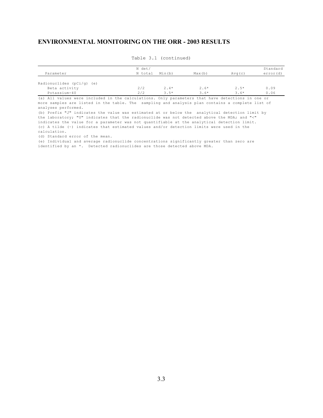| Parameter                                                                                                                                                                                            | N det/<br>N total | Min(b) | Max(b) | Avq(c) | Standard<br>error(d) |
|------------------------------------------------------------------------------------------------------------------------------------------------------------------------------------------------------|-------------------|--------|--------|--------|----------------------|
| Radionuclides ( $pCi/q$ ) (e)                                                                                                                                                                        |                   |        |        |        |                      |
| Beta activity                                                                                                                                                                                        | 2/2               | $2.4*$ | $2.6*$ | $2.5*$ | 0.09                 |
| Potassium-40                                                                                                                                                                                         | 2/2               | $3.5*$ | $3.6*$ | $3.6*$ | 0.06                 |
| (a) All values were included in the calculations. Only parameters that have detections in one or<br>more samples are listed in the table. The sampling and analysis plan contains a complete list of |                   |        |        |        |                      |

Table 3.1 (continued)

more samples are listed in the table. The sampling and analysis plan contains a complete list of analyses performed.

(b) Prefix "J" indicates the value was estimated at or below the analytical detection limit by the laboratory; "U" indicates that the radionuclide was not detected above the MDA; and "<" indicates the value for a parameter was not quantifiable at the analytical detection limit. (c) A tilde (~) indicates that estimated values and/or detection limits were used in the calculation.

(d) Standard error of the mean.

(e) Individual and average radionuclide concentrations significantly greater than zero are identified by an \*. Detected radionuclides are those detected above MDA.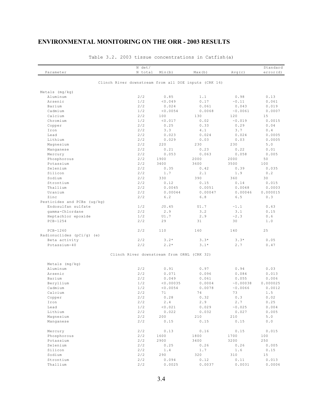| Parameter                   | N det/<br>N total                          | Min(b)      | Max(b)                                               | Avg(c)        | Standard<br>error(d) |
|-----------------------------|--------------------------------------------|-------------|------------------------------------------------------|---------------|----------------------|
|                             |                                            |             | Clinch River downstream from all DOE inputs (CRK 16) |               |                      |
| $Metals$ (mg/kg)            |                                            |             |                                                      |               |                      |
| Aluminum                    | 2/2                                        | 0.85        | 1.1                                                  |               | 0.13                 |
|                             | 1/2                                        |             | 0.17                                                 | 0.98          |                      |
| Arsenic                     |                                            | < 0.049     |                                                      | $\sim 0$ . 11 | 0.061                |
| Barium                      | 2/2                                        | 0.024       | 0.061                                                | 0.043         | 0.019                |
| Cadmium                     | 1/2                                        | < 0.0054    | 0.0068                                               | ~0.0061       | 0.0007               |
| Calcium                     | 2/2                                        | 100         | 130                                                  | 120           | 15                   |
| Chromium                    | 1/2                                        | < 0.017     | 0.02                                                 | ~0.019        | 0.0015               |
| Copper                      | 2/2                                        | 0.25        | 0.33                                                 | 0.29          | 0.04                 |
| Iron                        | 2/2                                        | 3.3         | 4.1                                                  | 3.7           | 0.4                  |
| Lead                        | 2/2                                        | 0.023       | 0.024                                                | 0.024         | 0.0005               |
| Lithium                     | 2/2                                        | 0.029       | 0.03                                                 | 0.03          | 0.0005               |
| Magnesium                   | 2/2                                        | 220         | 230                                                  | 230           | 5.0                  |
| Manganese                   | 2/2                                        | 0.21        | 0.23                                                 | 0.22          | 0.01                 |
| Mercury                     | 2/2                                        | 0.053       | 0.063                                                | 0.058         | 0.005                |
| Phosphorous                 | 2/2                                        | 1900        | 2000                                                 | 2000          | 50                   |
| Potassium                   | 2/2                                        | 3400        | 3600                                                 | 3500          | 100                  |
| Selenium                    | 2/2                                        | 0.35        | 0.42                                                 | 0.39          | 0.035                |
| Silicon                     | 2/2                                        | 1.7         | 2.1                                                  | 1.9           | 0.2                  |
| Sodium                      | 2/2                                        | 330         | 390                                                  | 360           | 30                   |
| Strontium                   | 2/2                                        | 0.12        | 0.15                                                 | 0.14          | 0.015                |
| Thallium                    | 2/2                                        | 0.0045      | 0.0051                                               | 0.0048        | 0.0003               |
| Uranium                     | 2/2                                        | 0.00044     | 0.00047                                              | 0.00046       | 0.000015             |
| Zinc                        | 2/2                                        | 6.2         | 6.8                                                  | 6.5           | 0.3                  |
| Pesticides and PCBs (ug/kg) |                                            |             |                                                      |               |                      |
| Endosulfan sulfate          | 1/2                                        | J0.45       | U1.7                                                 | ~1.1          | 0.63                 |
|                             |                                            |             |                                                      |               |                      |
| gamma-Chlordane             | 2/2                                        | 2.9         | 3.2                                                  | 3.1           | 0.15                 |
| Heptachlor epoxide          | 1/2                                        | UI.7        | 2.9                                                  | ~2.3          | 0.6                  |
| $PCB-1254$                  | 2/2                                        | 29          | 31                                                   | 30            | 1.0                  |
| $PCB-1260$                  | 2/2                                        | 110         | 160                                                  | 140           | 25                   |
| Radionuclides (pCi/g) (e)   |                                            |             |                                                      |               |                      |
| Beta activity               | 2/2                                        | $3.2*$      | $3.3*$                                               | $3.3*$        | 0.05                 |
| Potassium-40                | 2/2                                        | $2.2*$      | $3 \cdot 1*$                                         | 2.7           | 0.47                 |
|                             | Clinch River downstream from ORNL (CRK 32) |             |                                                      |               |                      |
| Metals (mg/kg)              |                                            |             |                                                      |               |                      |
| Aluminum                    | 2/2                                        | 0.91        | 0.97                                                 | 0.94          | 0.03                 |
| Arsenic                     | 2/2                                        | 0.071       |                                                      |               |                      |
|                             |                                            |             | 0.096                                                | 0.084         | 0.013                |
| Barium                      | 2/2                                        | 0.049       | 0.061                                                | 0.055         | 0.006                |
| Beryllium                   | 1/2                                        | < 0.00035   | 0.0004                                               | ~0.00038      | 0.000025             |
| Cadmium                     | 1/2                                        | < 0.0054    | 0.0078                                               | ~0.0066       | 0.0012               |
| Calcium                     | 2/2                                        | 71          | 74                                                   | 73            | 1.5                  |
| Copper                      | $2/2$                                      | $0.28$      | $\ensuremath{\text{o}}$ . 32                         | 0.3           | 0.02                 |
| Iron                        | 2/2                                        | $2 \cdot 4$ | 2.9                                                  | 2.7           | 0.25                 |
| Lead                        | 1/2                                        | < 0.021     | 0.029                                                | ~0.025        | 0.004                |
| Lithium                     | 2/2                                        | 0.022       | 0.032                                                | 0.027         | 0.005                |
| Magnesium                   | 2/2                                        | 200         | 210                                                  | 210           | 5.0                  |
| Manganese                   | 2/2                                        | 0.15        | 0.15                                                 | 0.15          | $0.0$                |
| Mercury                     | 2/2                                        | 0.13        | 0.16                                                 | 0.15          | 0.015                |
| Phosphorous                 | 2/2                                        | 1600        | 1800                                                 | 1700          | 100                  |
| Potassium                   | 2/2                                        | 2900        | 3400                                                 | 3200          | 250                  |
| Selenium                    | 2/2                                        | 0.25        | 0.26                                                 | 0.26          | 0.005                |
| Silicon                     | 2/2                                        | 1.4         | 1.7                                                  | 1.6           | 0.15                 |
| Sodium                      | 2/2                                        | 290         | 320                                                  | 310           | 15                   |
| Strontium                   | 2/2                                        | 0.094       | 0.12                                                 | 0.11          | 0.013                |
| Thallium                    | 2/2                                        | 0.0025      | 0.0037                                               | 0.0031        | 0.0006               |
|                             |                                            |             |                                                      |               |                      |

Table 3.2. 2003 tissue concentrations in Catfish(a)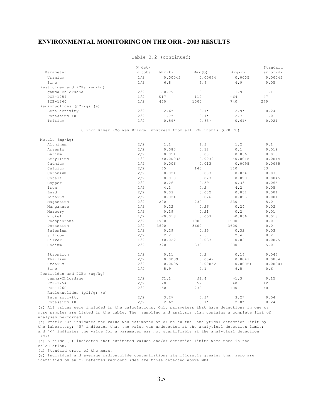|                                                                    | N det/  |                    |         |         | Standard  |
|--------------------------------------------------------------------|---------|--------------------|---------|---------|-----------|
| Parameter                                                          | N total | Min(b)             | Max(b)  | Avg(c)  | error (d) |
| Uranium                                                            | 2/2     | 0.00045            | 0.00054 | 0.0005  | 0.00045   |
| Zinc                                                               | 2/2     | 6.8                | 6.9     | 6.9     | 0.05      |
| Pesticides and PCBs (ug/kg)                                        |         |                    |         |         |           |
| gamma-Chlordane                                                    | 2/2     | J0.79              | 3       | ~1.9    | 1.1       |
| $PCB-1254$                                                         | 1/2     | U17                | 110     | ~54     | 47        |
| $PCB-1260$                                                         | 2/2     | 470                | 1000    | 740     | 270       |
| Radionuclides (pCi/g) (e)                                          |         |                    |         |         |           |
| Beta activity                                                      | 2/2     | $2.6*$             | $3.1*$  | $2.9*$  | 0.24      |
| Potassium-40                                                       | 2/2     | $1.7*$             | $3.7*$  | 2.7     | 1.0       |
| Tritium                                                            | 2/2     | $0.59*$            | $0.63*$ | $0.61*$ | 0.021     |
| Clinch River (Solway Bridge) upstream from all DOE inputs (CRK 70) |         |                    |         |         |           |
|                                                                    |         |                    |         |         |           |
| Metals $(mq/kg)$<br>Aluminum                                       | 2/2     | 1.1                | 1.3     | 1.2     | 0.1       |
| Arsenic                                                            | 2/2     | 0.083              | 0.12    | 0.1     | 0.019     |
|                                                                    | 2/2     |                    |         |         |           |
| Barium                                                             | 1/2     | 0.051<br>< 0.00035 | 0.08    | 0.066   | 0.015     |
| Beryllium                                                          |         |                    | 0.0032  | ~0.0018 | 0.0014    |
| Cadmium                                                            | 2/2     | 0.006              | 0.013   | 0.0095  | 0.0035    |
| Calcium                                                            | 2/2     | 75                 | 140     | 110     | 33        |
| Chromium                                                           | 2/2     | 0.021              | 0.087   | 0.054   | 0.033     |
| Cobalt                                                             | 2/2     | 0.018              | 0.027   | 0.023   | 0.0045    |
| Copper                                                             | 2/2     | 0.26               | 0.39    | 0.33    | 0.065     |
| Iron                                                               | 2/2     | 4.1                | 4.2     | 4.2     | 0.05      |
| Lead                                                               | 2/2     | 0.03               | 0.032   | 0.031   | 0.001     |
| Lithium                                                            | 2/2     | 0.024              | 0.026   | 0.025   | 0.001     |
| Magnesium                                                          | 2/2     | 220                | 230     | 230     | 5.0       |
| Manganese                                                          | 2/2     | 0.22               | 0.26    | 0.24    | 0.02      |
| Mercury                                                            | 2/2     | 0.19               | 0.21    | 0.2     | 0.01      |
| Nickel                                                             | 1/2     | < 0.018            | 0.053   | ~0.036  | 0.018     |
| Phosphorous                                                        | 2/2     | 1900               | 1900    | 1900    | 0.0       |
| Potassium                                                          | 2/2     | 3600               | 3600    | 3600    | 0.0       |
| Selenium                                                           | 2/2     | 0.29               | 0.35    | 0.32    | 0.03      |
| Silicon                                                            | 2/2     | 2.2                | 2.6     | 2.4     | 0.2       |
| Silver                                                             | 1/2     | < 0.022            | 0.037   | ~0.03   | 0.0075    |
| Sodium                                                             | 2/2     | 320                | 330     | 330     | 5.0       |
| Strontium                                                          | 2/2     | 0.11               | 0.2     | 0.16    | 0.045     |
| Thallium                                                           | 2/2     | 0.0039             | 0.0047  | 0.0043  | 0.0004    |
| Uranium                                                            | 2/2     | 0.0005             | 0.00052 | 0.00051 | 0.00001   |
| Zinc                                                               | 2/2     | 5.9                | 7.1     | 6.5     | 0.6       |
| Pesticides and PCBs (ug/kg)                                        |         |                    |         |         |           |
| gamma-Chlordane                                                    | 2/2     | J1.1               | J1.4    | ~1.3    | 0.15      |
| $PCB-1254$                                                         | 2/2     | 28                 | 52      | 40      | 12        |
| $PCB-1260$                                                         | 2/2     | 150                | 230     | 190     | 40        |
| Radionuclides (pCi/q) (e)                                          |         |                    |         |         |           |
| Beta activity                                                      | 2/2     | $3.2*$             | $3.3*$  | $3.2*$  | 0.04      |
| Potassium-40                                                       | 2/2     | $2.6*$             | $3.1*$  | $2.8*$  | 0.24      |

Table 3.2 (continued)

(a) All values were included in the calculations. Only parameters that have detections in one or more samples are listed in the table. The sampling and analysis plan contains a complete list of analyses performed.

(b) Prefix "J" indicates the value was estimated at or below the analytical detection limit by the laboratory; "U" indicates that the value was undetected at the analytical detection limit; and "<" indicates the value for a parameter was not quantifiable at the analytical detection limit.

(c) A tilde (~) indicates that estimated values and/or detection limits were used in the calculation.

(d) Standard error of the mean.

(e) Individual and average radionuclide concentrations significantly greater than zero are identified by an \*. Detected radionuclides are those detected above MDA.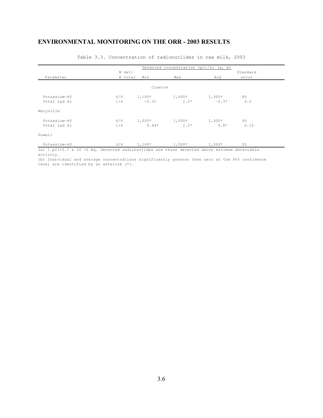|              |         |          | Detected concentration ( $pCi/L$ ) (a, b) |          |          |
|--------------|---------|----------|-------------------------------------------|----------|----------|
|              | N det/  |          |                                           |          | Standard |
| Parameter    | N total | Min      | Max                                       | Avq      | error    |
|              |         | Claxton  |                                           |          |          |
| Potassium-40 | 6/6     | $1,100*$ | $1,600*$                                  | $1,300*$ | 85       |
| Total rad Sr | 1/6     | $-0.31$  | $1.2*$                                    | ~0.37    | 0.2      |
| Maryville    |         |          |                                           |          |          |
| Potassium-40 | 6/6     | $1,200*$ | $1,500*$                                  | $1,300*$ | 40       |
| Total rad Sr | 1/6     | $0.44*$  | $1.2*$                                    | $0.8*$   | 0.12     |
| Powell       |         |          |                                           |          |          |
| Potassium-40 | 6/6     | $1,100*$ | $1,500*$                                  | $1,300*$ | 55       |

Table 3.3. Concentration of radionuclides in raw milk, 2003

(a) 1 pCi=3.7 x 10 -2 Bq. Detected radionuclides are those detected above minimum detectable activity.

(b) Individual and average concentrations significantly greater than zero at the 95% confidence level are identified by an asterisk (\*).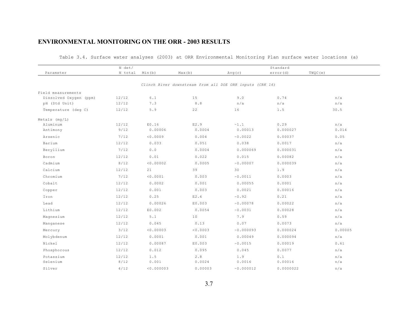Table 3.4. Surface water analyses (2003) at ORR Environmental Monitoring Plan surface water locations (a)

|                        | N det/  | Standard   |                                                          |           |           |         |  |
|------------------------|---------|------------|----------------------------------------------------------|-----------|-----------|---------|--|
| Parameter              | N total | Min(b)     | Max(b)                                                   | Avg(c)    | error(d)  | TWQC(e) |  |
|                        |         |            | Clinch River downstream from all DOE ORR inputs (CRK 16) |           |           |         |  |
| Field measurements     |         |            |                                                          |           |           |         |  |
| Dissolved Oxygen (ppm) | 12/12   | $6.1$      | 15                                                       | 9.0       | 0.74      | n/a     |  |
| pH (Std Unit)          | 12/12   | 7.3        | 8.8                                                      | n/a       | n/a       | n/a     |  |
| Temperature (deg C)    | 12/12   | $5.9$      | 22                                                       | 16        | 1.5       | 30.5    |  |
| Metals (mq/L)          |         |            |                                                          |           |           |         |  |
| Aluminum               | 12/12   | E0.16      | E2.9                                                     | ~1.1      | 0.29      | n/a     |  |
| Antimony               | 9/12    | 0.00006    | 0.0004                                                   | 0.00013   | 0.000027  | 0.014   |  |
| Arsenic                | 7/12    | 0.0009     | 0.004                                                    | ~0.0022   | 0.00037   | 0.05    |  |
| Barium                 | 12/12   | 0.033      | 0.051                                                    | 0.038     | 0.0017    | n/a     |  |
| Beryllium              | 7/12    | $0.0$      | 0.0004                                                   | 0.000069  | 0.000031  | n/a     |  |
| Boron                  | 12/12   | 0.01       | 0.022                                                    | 0.015     | 0.00082   | n/a     |  |
| Cadmium                | 8/12    | < 0.00002  | 0.0005                                                   | ~0.00007  | 0.000039  | n/a     |  |
| Calcium                | 12/12   | 21         | 39                                                       | 30        | 1.9       | n/a     |  |
| Chromium               | 7/12    | < 0.0001   | 0.003                                                    | ~0.0011   | 0.0003    | n/a     |  |
| Cobalt                 | 12/12   | 0.0002     | 0.001                                                    | 0.00055   | 0.0001    | n/a     |  |
| Copper                 | 12/12   | 0.001      | 0.003                                                    | 0.0021    | 0.00016   | n/a     |  |
| Iron                   | 12/12   | 0.25       | E2.4                                                     | ~0.92     | 0.21      | n/a     |  |
| Lead                   | 12/12   | 0.00026    | E0.003                                                   | ~0.00078  | 0.00022   | n/a     |  |
| Lithium                | 12/12   | E0.002     | 0.0054                                                   | ~0.0031   | 0.00028   | n/a     |  |
| Magnesium              | 12/12   | $5.1$      | 10                                                       | 7.9       | 0.59      | n/a     |  |
| Manganese              | 12/12   | 0.045      | 0.13                                                     | 0.07      | 0.0073    | n/a     |  |
| Mercury                | 3/12    | < 0.00003  | < 0.0003                                                 | ~0.000093 | 0.000024  | 0.00005 |  |
| Molybdenum             | 12/12   | 0.0001     | 0.001                                                    | 0.00049   | 0.000094  | n/a     |  |
| Nickel                 | 12/12   | 0.00087    | E0.003                                                   | ~0.0015   | 0.00019   | 0.61    |  |
| Phosphorous            | 12/12   | 0.012      | 0.095                                                    | 0.045     | 0.0077    | n/a     |  |
| Potassium              | 12/12   | 1.5        | $2.8$                                                    | 1.9       | 0.1       | n/a     |  |
| Selenium               | 8/12    | 0.001      | 0.0024                                                   | 0.0016    | 0.00016   | n/a     |  |
| Silver                 | 4/12    | < 0.000003 | 0.00003                                                  | ~0.000012 | 0.0000022 | n/a     |  |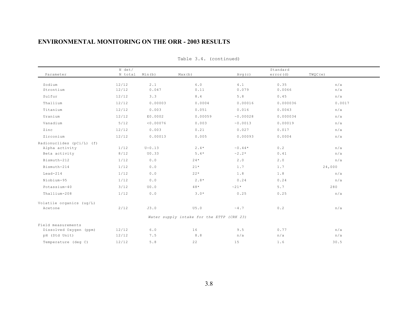|                                                                                                                        | N det/                                       |                                                       |                                                       |                                                                                  | Standard                                 |                                           |
|------------------------------------------------------------------------------------------------------------------------|----------------------------------------------|-------------------------------------------------------|-------------------------------------------------------|----------------------------------------------------------------------------------|------------------------------------------|-------------------------------------------|
| Parameter                                                                                                              | N total                                      | Min(b)                                                | Max(b)                                                | Avg(c)                                                                           | error(d)                                 | TWQC (e)                                  |
| Sodium<br>Strontium                                                                                                    | 12/12<br>12/12                               | 2.1<br>0.047                                          | 6.0<br>0.11                                           | 4.1<br>0.079                                                                     | 0.35<br>0.0066                           | n/a<br>n/a                                |
| Sulfur                                                                                                                 | 12/12                                        | 3.3                                                   | $8.4\,$                                               | 5.8                                                                              | 0.45                                     | n/a                                       |
| Thallium                                                                                                               | 12/12                                        | 0.00003                                               | 0.0004                                                | 0.00016                                                                          | 0.000036                                 | 0.0017                                    |
| Titanium                                                                                                               | 12/12                                        | 0.003                                                 | 0.051                                                 | 0.016                                                                            | 0.0043                                   | n/a                                       |
| Uranium                                                                                                                | 12/12                                        | E0.0002                                               | 0.00059                                               | ~0.00028                                                                         | 0.000034                                 | n/a                                       |
| Vanadium                                                                                                               | 5/12                                         | < 0.00076                                             | 0.003                                                 | ~0.0013                                                                          | 0.00019                                  | n/a                                       |
| Zinc                                                                                                                   | 12/12                                        | 0.003                                                 | 0.21                                                  | 0.027                                                                            | 0.017                                    | n/a                                       |
| Zirconium                                                                                                              | 12/12                                        | 0.00013                                               | 0.005                                                 | 0.00093                                                                          | 0.0004                                   | n/a                                       |
| Radionuclides (pCi/L) (f)<br>Alpha activity<br>Beta activity<br>Bismuth-212<br>Bismuth-214<br>$Lead-214$<br>Niobium-95 | 1/12<br>8/12<br>1/12<br>1/12<br>1/12<br>1/12 | $U - 0.13$<br>U0.33<br>$0.0$<br>0.0<br>$0.0$<br>$0.0$ | $2.4*$<br>$5.4*$<br>$24*$<br>$21*$<br>$22*$<br>$2.8*$ | $\sim 0$ . 44 $^{\star}$<br>$\sim$ 2 . 2 $^{\star}$<br>2.0<br>1.7<br>1.8<br>0.24 | 0.2<br>0.41<br>2.0<br>1.7<br>1.8<br>0.24 | n/a<br>n/a<br>n/a<br>24,000<br>n/a<br>n/a |
| Potassium-40                                                                                                           | 3/12                                         | U0.0                                                  | $48*$                                                 | $~21*$                                                                           | 5.7                                      | 280                                       |
| Thallium-208                                                                                                           | 1/12                                         | $0.0$                                                 | $3.0*$                                                | 0.25                                                                             | 0.25                                     | n/a                                       |
| Volatile organics (ug/L)<br>Acetone                                                                                    | 2/12                                         | J3.0                                                  | U5.0<br>Water supply intake for the ETTP (CRK 23)     | $\sim 4$ . 7                                                                     | 0.2                                      | n/a                                       |
| Field measurements                                                                                                     |                                              |                                                       |                                                       |                                                                                  |                                          |                                           |
| Dissolved Oxygen (ppm)<br>pH (Std Unit)                                                                                | 12/12<br>12/12                               | $6.0$<br>7.5                                          | 16<br>$8.8$                                           | 9.5<br>n/a                                                                       | 0.77<br>n/a                              | n/a<br>n/a                                |
| Temperature (deg C)                                                                                                    | 12/12                                        | 5.8                                                   | 22                                                    | 15                                                                               | 1.6                                      | 30.5                                      |

Table 3.4. (continued)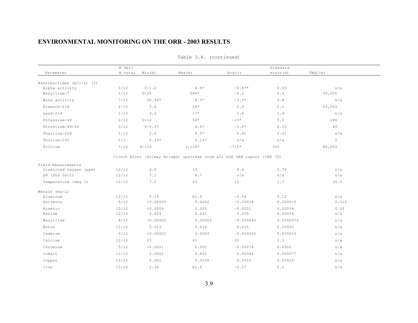|                           | N det/  |            |                                                                        | Standard                |           |                |  |
|---------------------------|---------|------------|------------------------------------------------------------------------|-------------------------|-----------|----------------|--|
| Parameter                 | N total | Min(b)     | Max(b)                                                                 | Avg(c)                  | error(d)  | TWQC (e)       |  |
| Radionuclides (pCi/L) (f) |         |            |                                                                        |                         |           |                |  |
| Alpha activity            | 2/12    | $U-1.2$    | $4.9*$                                                                 | $\sim 0.87*$            | 0.43      | n/a            |  |
| Beryllium-7               | 1/12    | $U-28$     | U46*                                                                   | $\sim 6$ . 2            | $5.4$     | 40,000         |  |
| Beta activity             | 7/12    | U0.64*     | $8.3*$                                                                 | $\sim$ 3 . 5 $^{\star}$ | $0.8$     | n/a            |  |
| Bismuth-214               | 2/12    | 0.0        | $24*$                                                                  | 2.9                     | 2.1       | 24,000         |  |
| $Lead-214$                | 1/12    | $0.0$      | $17*$                                                                  | 1.4                     | 1.4       | n/a            |  |
| Potassium-40              | 2/12    | $U-12$     | $50*$                                                                  | $~13*$                  | 5.5       | 280            |  |
| Strontium-89/90           | 3/12    | $U - 0.37$ | $6.5*$                                                                 | $~1.0*$                 | 0.53      | 40             |  |
| Thallium-208              | 1/12    | 0.0        | $4.9*$                                                                 | 0.41                    | 0.41      | n/a            |  |
| Thorium-232               | 1/1     | $0.19*$    | $0.19*$                                                                | n/a                     | n/a       | $\overline{2}$ |  |
| Tritium                   | 7/12    | $U-110$    | $3,100*$                                                               | $~10*$                  | 300       | 80,000         |  |
|                           |         |            |                                                                        |                         |           |                |  |
|                           |         |            | Clinch River (Solway Bridge) upstream from all DOE ORR inputs (CRK 70) |                         |           |                |  |
| Field measurements        |         |            |                                                                        |                         |           |                |  |
| Dissolved Oxygen (ppm)    | 12/12   | $4.8$      | 15                                                                     | 8.4                     | 0.79      | n/a            |  |
| pH (Std Unit)             | 12/12   | 7.1        | 8.7                                                                    | n/a                     | n/a       | n/a            |  |
| Temperature (deg C)       | 12/12   | 7.2        | 23                                                                     | 16                      | 1.7       | 30.5           |  |
| Metals $(mq/L)$           |         |            |                                                                        |                         |           |                |  |
| Aluminum                  | 12/12   | 0.14       | E1.6                                                                   | $\sim 0$ . 54           | 0.12      | n/a            |  |
| Antimony                  | 9/12    | < 0.00009  | 0.0002                                                                 | ~0.00014                | 0.000015  | 0.014          |  |
| Arsenic                   | 10/12   | < 0.0009   | 0.005                                                                  | ~0.0021                 | 0.00034   | 0.05           |  |
| Barium                    | 12/12   | 0.029      | 0.041                                                                  | 0.035                   | 0.00094   | n/a            |  |
| Beryllium                 | 8/12    | < 0.00002  | 0.00009                                                                | ~0.000043               | 0.0000076 | n/a            |  |
| Boron                     | 12/12   | 0.013      | 0.018                                                                  | 0.015                   | 0.00053   | n/a            |  |
| Cadmium                   | 9/12    | < 0.00002  | 0.0003                                                                 | ~0.000052               | 0.000023  | n/a            |  |
| Calcium                   | 12/12   | 23         | 41                                                                     | 35                      | 1.3       | n/a            |  |
| Chromium                  | $5/12$  | < 0.0001   | 0.002                                                                  | ~0.00074                | 0.0002    | n/a            |  |
| Cobalt                    | 12/12   | 0.0002     | 0.001                                                                  | 0.00044                 | 0.000077  | n/a            |  |
| Copper                    | 12/12   | 0.001      | 0.0038                                                                 | 0.0023                  | 0.00025   | n/a            |  |
| Iron                      | 12/12   | 0.24       | E1.5                                                                   | $\sim 0$ .57            | 0.1       | n/a            |  |

Table 3.4. (continued)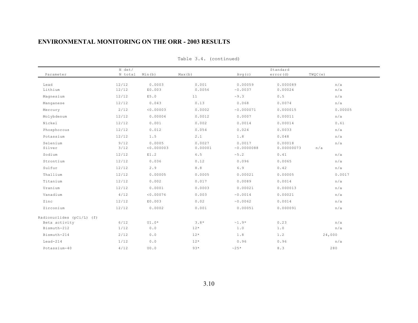|                           | N det/         |                      |                   |                       | Standard              |            |
|---------------------------|----------------|----------------------|-------------------|-----------------------|-----------------------|------------|
| Parameter                 | N total        | Min(b)               | Max(b)            | Avg(c)                | error (d)             | TWQC (e)   |
| Lead<br>Lithium           | 12/12<br>12/12 | 0.0003<br>E0.003     | 0.001<br>0.0056   | 0.00059<br>~0.0037    | 0.000089<br>0.00024   | n/a<br>n/a |
| Magnesium                 | 12/12          | E5.0                 | 11                | ~10.3                 | $0.5$                 | n/a        |
| Manganese                 | 12/12          | 0.043                | 0.13              | 0.068                 | 0.0074                | n/a        |
| Mercury                   | 2/12           | < 0.00003            | 0.0002            | ~0.000071             | 0.000015              | 0.00005    |
| Molybdenum                | 12/12          | 0.00004              | 0.0012            | 0.0007                | 0.00011               | n/a        |
| Nickel                    | 12/12          | 0.001                | 0.002             | 0.0014                | 0.00014               | 0.61       |
| Phosphorous               | 12/12          | 0.012                | 0.054             | 0.024                 | 0.0033                | n/a        |
| Potassium                 | 12/12          | 1.5                  | 2.1               | 1.8                   | 0.048                 | n/a        |
| Selenium<br>Silver        | 9/12<br>3/12   | 0.0005<br>< 0.000003 | 0.0027<br>0.00001 | 0.0017<br>~0.0000088  | 0.00018<br>0.00000073 | n/a<br>n/a |
| Sodium                    | 12/12          | E1.2                 | 6.5               | $\sim 5$ . 2          | 0.41                  | n/a        |
| Strontium                 | 12/12          | 0.036                | 0.12              | 0.096                 | 0.0065                | n/a        |
| Sulfur                    | 12/12          | 2.9                  | $8.8$             | 6.9                   | 0.42                  | n/a        |
| Thallium                  | 12/12          | 0.00005              | 0.0005            | 0.00021               | 0.00005               | 0.0017     |
| Titanium                  | 12/12          | 0.002                | 0.017             | 0.0089                | 0.0014                | n/a        |
| Uranium                   | 12/12          | 0.0001               | 0.0003            | 0.00021               | 0.000013              | n/a        |
| Vanadium                  | 4/12           | < 0.00076            | 0.003             | ~0.0014               | 0.00021               | n/a        |
| Zinc                      | 12/12          | E0.003               | 0.02              | ~0.0062               | 0.0014                | n/a        |
| Zirconium                 | 12/12          | 0.0002               | 0.001             | 0.00051               | 0.000091              | n/a        |
| Radionuclides (pCi/L) (f) |                |                      |                   |                       |                       |            |
| Beta activity             | 6/12           | $U1.0*$              | $3.8*$            | $\sim 1.9$ $^{\star}$ | 0.23                  | n/a        |
| Bismuth-212               | 1/12           | 0.0                  | $12*$             | 1.0                   | 1.0                   | n/a        |
| Bismuth-214               | 2/12           | $0.0$                | $12*$             | $1.8$                 | 1.2                   | 24,000     |
| $Lead-214$                | 1/12           | 0.0                  | $12*$             | 0.96                  | 0.96                  | n/a        |
| Potassium-40              | 4/12           | U0.0                 | $93*$             | $~25*$                | 8.3                   | 280        |

Table 3.4. (continued)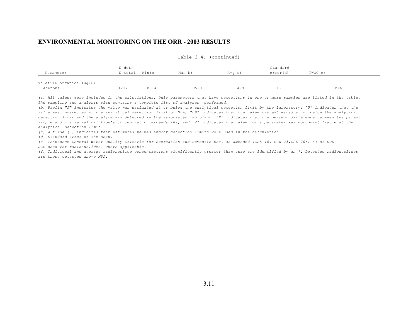|                                     | N det/  |        |        |             | Standard  |         |
|-------------------------------------|---------|--------|--------|-------------|-----------|---------|
| Parameter                           | N total | Min(b) | Max(b) | Avg(c)      | error (d) | TWOC(e) |
| Volatile organics (ug/L)<br>Acetone | 1/12    | JB3.4  | U5.0   | $~\sim 4.9$ | 0.13      | n/a     |

Table 3.4. (continued)

*(a) All values were included in the calculations. Only parameters that have detections in one or more samples are listed in the table. The sampling and analysis plan contains a complete list of analyses performed.*

*(b) Prefix "J" indicates the value was estimated at or below the analytical detection limit by the laboratory; "U" indicates that the value was undetected at the analytical detection limit or MDA; "JB" indicates that the value was estimated at or below the analytical detection limit and the analyte was detected in the associated lab blank; "E" indicates that the percent difference between the parent sample and its serial dilution's concentration exceeds 10%; and "<" indicates the value for a parameter was not quantifiable at the analytical detection limit.*

*(c) A tilde (~) indicates that estimated values and/or detection limits were used in the calculation.*

*(d) Standard error of the mean.*

*(e) Tennessee General Water Quality Criteria for Recreation and Domestic Use, as amended (CRK 16, CRK 23,CRK 70). 4% of DOE*

*DCG used for radionuclides, where applicable.*

*(f) Individual and average radionuclide concentrations significantly greater than zero are identified by an \*. Detected radionuclides are those detected above MDA.*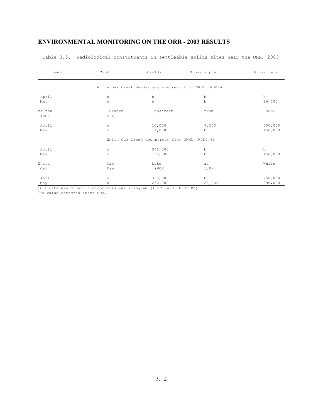| Event          | $Co-60$        | $Cs - 137$                                            | Gross alpha | Gross beta |
|----------------|----------------|-------------------------------------------------------|-------------|------------|
|                |                | White Oak Creek Headwaters upstream from ORNL (WOCHW) |             |            |
| April          | $\,$ b         | $_{\rm b}$                                            | b           | $\,$ b     |
| May            | $\mathbf b$    | $\mathbf b$                                           | $\mathbf b$ | 26,000     |
| Melton<br>(MEK | Branch<br>2.1) | upstream                                              | from        | ORNL       |
| April          | $\mathbf b$    | 10,000                                                | 9,200       | 590,000    |
| May            | $\mathbf b$    | 11,000                                                | $\mathbf b$ | 150,000    |
|                |                | White Oak Creek downstream from ORNL (WCK2.6)         |             |            |
| April          | $\mathbf b$    | 340,000                                               | b           | $\,$ b     |
| May            | $\mathbf b$    | 150,000                                               | b           | 150,000    |
| White          | Oak            | Lake                                                  | at          | White      |
| Oak            | Dam            | (WCK                                                  | 1.0)        |            |
| April          | $\mathbf b$    | 330,000                                               | b           | 250,000    |
| May            | b              | 230,000                                               | 23,000      | 290,000    |

Table 3.5. Radiological constituents in settleable solids sites near the ORR, 2003<sup>a</sup>

<sup>a</sup>All data are given in picocuries per kilogram (1 pCi = 3.7E-02 Bq).

bNo value detected above MDA.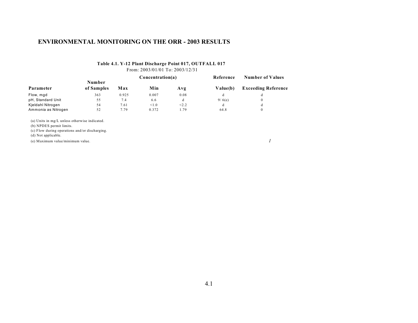#### **Table 4.1. Y-12 Plant Discharge Point 017, OUTFALL 017** From: 2003/01/01 To: 2003/12/31

|                     |                      | Concentration(a) |       | Reference | <b>Number of Values</b> |                            |
|---------------------|----------------------|------------------|-------|-----------|-------------------------|----------------------------|
| Parameter           | Number<br>of Samples | Max              | Min   | Avg       | Value(b)                | <b>Exceeding Reference</b> |
| Flow, mgd           | 363                  | 0.925            | 0.007 | 0.08      |                         |                            |
| pH, Standard Unit   | 55                   | 7.4              | 6.6   | a         | 9/6(e)                  |                            |
| Kjeldahl Nitrogen   | 54                   | 7.61             | < 1.0 | < 2.2     | đ                       |                            |
| Ammonia as Nitrogen | 52                   | 7.79             | 0.372 | 1.79      | 64.8                    | 0                          |

(a) Units in mg/L unless otherwise indicated.

(b) NPDES permit limits.

(c) Flow during operations and/or discharging.

(d) Not applicable.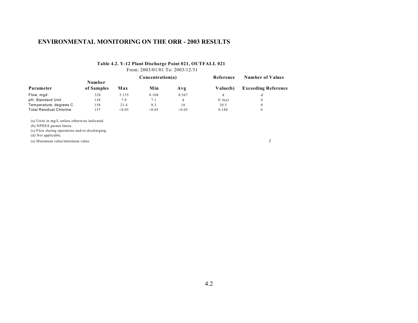#### **Table 4.2. Y-12 Plant Discharge Point 021, OUTFALL 021** From: 2003/01/01 To: 2003/12/31

|                                |            | Concentration(a) |        |        | Reference | <b>Number of Values</b>    |  |
|--------------------------------|------------|------------------|--------|--------|-----------|----------------------------|--|
| Parameter                      | Number     |                  |        |        |           |                            |  |
|                                | of Samples | Max              | Min    | Avg    | Value(b)  | <b>Exceeding Reference</b> |  |
| Flow, mgd                      | 328        | 5.135            | 0.108  | 0.367  |           |                            |  |
| pH, Standard Unit              | 158        | 7.9              | 7.1    | d      | 9/6(e)    |                            |  |
| Temperature, degrees C         | 158        | 23.4             | 8.3    | 18     | 30.5      |                            |  |
| <b>Total Residual Chlorine</b> | l 57       | < 0.05           | < 0.05 | < 0.05 | 0.188     | 0                          |  |

(a) Units in mg/L unless otherwise indicated.

(b) NPDES permit limits.

(c) Flow during operations and/or discharging.

(d) Not applicable.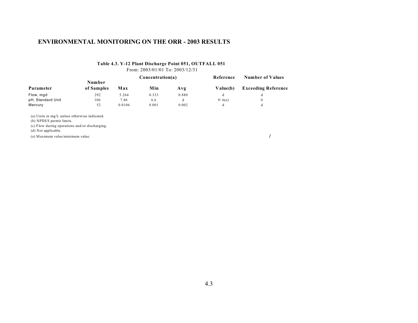#### **Table 4.3. Y-12 Plant Discharge Point 051, OUTFALL 051** From: 2003/01/01 To: 2003/12/31

**Number Concentration(a) Reference Number of Values Parameter of Samples Max Min Avg Value(b) Exceeding Reference** Flow, mgd 292 5.264 0.333 0.880 d d pH, Standard Unit 106 7.86 6.6 d 9/6(e) 0<br>Mercury 52 0.0106 0.001 0.002 d d Mercury 52 0.0106 0.001 0.002 d d

(a) Units in mg/L unless otherwise indicated.

(b) NPDES permit limits.

(c) Flow during operations and/or discharging.

(d) Not applicable.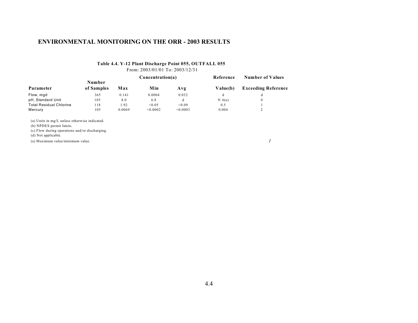# **Table 4.4. Y-12 Plant Discharge Point 055, OUTFALL 055**

From: 2003/01/01 To: 2003/12/31

|                                |            |        | Concentration(a) |          | Reference | <b>Number of Values</b>    |  |
|--------------------------------|------------|--------|------------------|----------|-----------|----------------------------|--|
|                                | Number     |        |                  |          |           |                            |  |
| Parameter                      | of Samples | Max    | Min              | Avg      | Value(b)  | <b>Exceeding Reference</b> |  |
| Flow, mgd                      | 365        | 0.141  | 0.0004           | 0.032    |           |                            |  |
| pH, Standard Unit              | 105        | 8.0    | 6.8              |          | 9/6(e)    |                            |  |
| <b>Total Residual Chlorine</b> | 18         | 1.92   | <0.05            | < 0.09   | 0.5       |                            |  |
| Mercury                        | 105        | 0.0069 | < 0.0002         | < 0.0003 | 0.004     |                            |  |

(a) Units in mg/L unless otherwise indicated.

(b) NPDES permit limits.

(c) Flow during operations and/or discharging.

(d) Not applicable.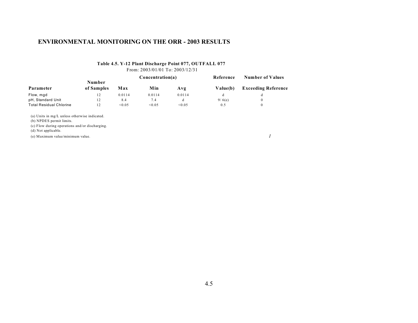#### **Table 4.5. Y-12 Plant Discharge Point 077, OUTFALL 077** From: 2003/01/01 To: 2003/12/31

**Number Concentration(a) Reference Number of Values Parameter of Samples Max Min Avg Value(b) Exceeding Reference** Flow, mgd 12 0.0114 0.0114 0.0114 d d pH, Standard Unit 12 8.4 7.4 d 9/6(e) 0<br>
Total Residual Chlorine 12 < 0.05 < 0.05 0.5 0.5 0 Total Residual Chlorine

(a) Units in mg/L unless otherwise indicated.

(b) NPDES permit limits.

(c) Flow during operations and/or discharging.

(d) Not applicable.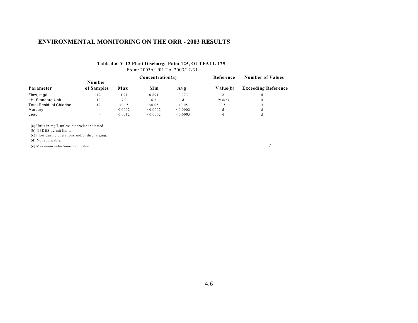#### **Table 4.6. Y-12 Plant Discharge Point 125, OUTFALL 125** From: 2003/01/01 To: 2003/12/31

|                                |            |        | Concentration(a) |          | Reference | Number of Values           |  |
|--------------------------------|------------|--------|------------------|----------|-----------|----------------------------|--|
|                                | Number     |        |                  |          |           |                            |  |
| Parameter                      | of Samples | Max    | Min              | Avg      | Value(b)  | <b>Exceeding Reference</b> |  |
| Flow, mgd                      | 12         | l .21  | 0.691            | 0.973    | đ         |                            |  |
| pH, Standard Unit              | 12         | 7.2    | 6.8              | d        | 9/6(e)    | $\Omega$                   |  |
| <b>Total Residual Chlorine</b> | 12         | < 0.05 | < 0.05           | < 0.05   | 0.5       | $\theta$                   |  |
| Mercury                        | 4          | 0.0002 | < 0.0002         | < 0.0002 |           | đ                          |  |
| Lead                           | 4          | 0.0012 | < 0.0002         | < 0.0005 | đ         | đ                          |  |

(a) Units in mg/L unless otherwise indicated.

(b) NPDES permit limits.

(c) Flow during operations and/or discharging.

(d) Not applicable.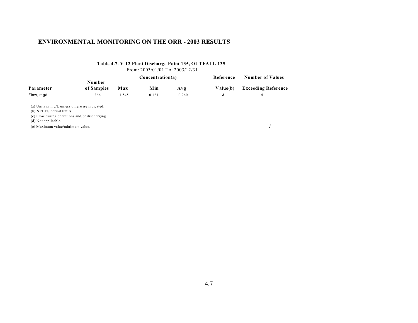### **Table 4.7. Y-12 Plant Discharge Point 135, OUTFALL 135**

From: 2003/01/01 To: 2003/12/31

| Parameter                        |                                                |       | Concentration(a) |       | Reference | <b>Number of Values</b>    |  |
|----------------------------------|------------------------------------------------|-------|------------------|-------|-----------|----------------------------|--|
|                                  | Number<br>of Samples                           | Max   | Min              | Avg   | Value(b)  | <b>Exceeding Reference</b> |  |
| Flow, mgd                        | 366                                            | 1.545 | 0.121            | 0.260 | d         | d                          |  |
|                                  | (a) Units in mg/L unless otherwise indicated.  |       |                  |       |           |                            |  |
| (b) NPDES permit limits.         |                                                |       |                  |       |           |                            |  |
|                                  | (c) Flow during operations and/or discharging. |       |                  |       |           |                            |  |
| (d) Not applicable.              |                                                |       |                  |       |           |                            |  |
| (e) Maximum value/minimum value. |                                                |       |                  |       |           |                            |  |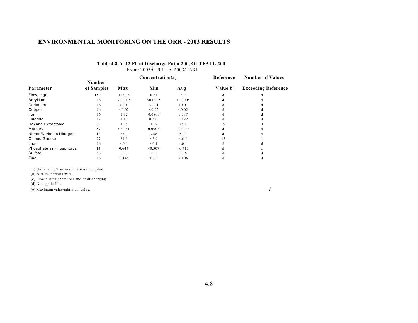## **Table 4.8. Y-12 Plant Discharge Point 200, OUTFALL 200**

From: 2003/01/01 To: 2003/12/31

|                             |            |          | Concentration(a) |          | Reference | <b>Number of Values</b>    |
|-----------------------------|------------|----------|------------------|----------|-----------|----------------------------|
|                             | Number     |          |                  |          |           |                            |
| Parameter                   | of Samples | Max      | Min              | Avg      | Value(b)  | <b>Exceeding Reference</b> |
| Flow, mgd                   | 159        | 116.38   | 0.21             | 3.9      | d         |                            |
| Beryllium                   | 16         | < 0.0005 | < 0.0005         | < 0.0005 |           |                            |
| Cadmium                     | 16         | < 0.01   | < 0.01           | < 0.01   |           |                            |
| Copper                      | 16         | < 0.02   | < 0.02           | < 0.02   |           |                            |
| Iron                        | 16         | 1.82     | 0.0808           | 0.387    |           |                            |
| Fluoride                    | 12         | 1.19     | 0.388            | 0.822    |           |                            |
| <b>Hexane Extractable</b>   | 82         | <6.6     | < 5.7            | <6.1     | 15        |                            |
| Mercury                     | 57         | 0.0041   | 0.0006           | 0.0009   |           |                            |
| Nitrate/Nitrite as Nitrogen | 12         | 7.04     | 3.68             | 5.24     |           |                            |
| Oil and Grease              | 77         | 24.9     | < 5.9            | <6.5     | 15        |                            |
| Lead                        | 16         | < 0.1    | < 0.1            | < 0.1    | d         |                            |
| Phosphate as Phosphorus     | 14         | 0.644    | < 0.307          | < 0.410  |           |                            |
| Sulfate                     | 56         | 50.7     | 15.3             | 30.6     |           |                            |
| Zinc                        | 16         | 0.145    | < 0.05           | < 0.06   | d         |                            |

(a) Units in mg/L unless otherwise indicated.

(b) NPDES permit limits.

(c) Flow during operations and/or discharging.

(d) Not applicable.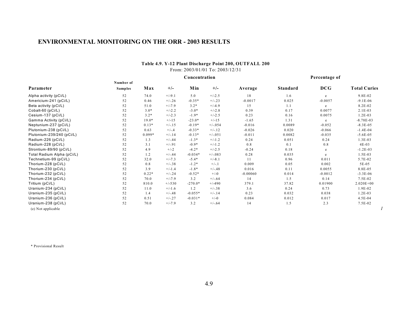#### **Table 4.9. Y-12 Plant Discharge Point 200, OUTFALL 200** From: 2003/01/01 To: 2003/12/31

|                            |                |          |          |           | Concentration |            |          | Percentage of |                     |
|----------------------------|----------------|----------|----------|-----------|---------------|------------|----------|---------------|---------------------|
|                            | Number of      |          |          |           |               |            |          |               |                     |
| Parameter                  | <b>Samples</b> | Max      | $+/-$    | Min       | $+/-$         | Average    | Standard | <b>DCG</b>    | <b>Total Curies</b> |
| Alpha activity (pCi/L)     | 52             | 74.0     | $+/-9.1$ | 5.0       | $+/-2.5$      | 18         | 1.6      | e             | 9.8E-02             |
| Americium-241 (pCi/L)      | 52             | 0.46     | $+/-.26$ | $-0.35*$  | $+/-.23$      | $-0.0017$  | 0.025    | $-0.0057$     | $-9.1E-06$          |
| Beta activity (pCi/L)      | 52             | 51.0     | $+/-7.9$ | $3.2*$    | $+/-4.9$      | 15         | 1.1      | e             | 8.2E-02             |
| Cobalt-60 (pCi/L)          | 52             | $3.0*$   | $+/-2.2$ | $-3.0*$   | $+/-2.8$      | 0.39       | 0.17     | 0.0077        | $2.1E-03$           |
| Cesium-137 (pCi/L)         | 52             | $3.2*$   | $+/-2.3$ | $-1.9*$   | $+/-2.5$      | 0.23       | 0.16     | 0.0075        | $1.2E-03$           |
| Gamma Activity (pCi/L)     | 52             | $19.0*$  | $+/-15$  | $-23.0*$  | $+/-15$       | $-1.65$    | 1.31     | e             | $-8.78E - 03$       |
| Neptunium-237 (pCi/L)      | 52             | $0.13*$  | $+/-15$  | $-0.19*$  | $+/-0.54$     | $-0.016$   | 0.0089   | $-0.052$      | $-8.3E - 0.5$       |
| Plutonium-238 (pCi/L)      | 52             | 0.63     | $+/-.4$  | $-0.33*$  | $+/-.12$      | $-0.026$   | 0.020    | $-0.066$      | $-1.4E-04$          |
| Plutonium-239/240 (pCi/L)  | 52             | $0.099*$ | $+/-.14$ | $-0.13*$  | $+/-051$      | $-0.011$   | 0.0082   | $-0.035$      | $-5.6E-05$          |
| Radium-226 (pCi/L)         | 52             | 1.3      | $+/-.44$ | $-1.3*$   | $+/-1.2$      | 0.24       | 0.051    | 0.24          | $1.3E-03$           |
| Radium-228 (pCi/L)         | 52             | 3.1      | $+/-.91$ | $-0.9*$   | $+/-1.2$      | 0.8        | 0.1      | 0.8           | $4E-03$             |
| Strontium-89/90 (pCi/L)    | 52             | 4.9      | $+/-2$   | $-4.2*$   | $+/-2.5$      | $-0.24$    | 0.18     | e             | $-1.2E-03$          |
| Total Radium Alpha (pCi/L) | 52             | 1.2      | $+/-.44$ | $-0.034*$ | $+/-083$      | 0.28       | 0.035    | e             | $1.5E-03$           |
| Technetium-99 (pCi/L)      | 52             | 32.0     | $+/-7.3$ | $-5.4*$   | $+/-8.1$      | 11         | 0.96     | 0.011         | 5.7E-02             |
| Thorium-228 (pCi/L)        | 52             | 0.8      | $+/-.38$ | $-1.2*$   | $+/-1$        | 0.009      | 0.05     | 0.002         | 5E-05               |
| Thorium-230 (pCi/L)        | 52             | 3.9      | $+/-1.4$ | $-1.8*$   | $+/-.48$      | 0.016      | 0.11     | 0.0055        | 8.8E-05             |
| Thorium-232 (pCi/L)        | 52             | $0.22*$  | $+/-.24$ | $-0.52*$  | $+/-0$        | $-0.00060$ | 0.014    | $-0.0012$     | $-3.3E-06$          |
| Thorium-234 (pCi/L)        | 52             | 70.0     | $+/-7.9$ | 3.2       | $+/-.64$      | 14         | 1.5      | 0.14          | 7.5E-02             |
| Tritium (pCi/L)            | 52             | 810.0    | $+/-530$ | $-270.0*$ | $+/-490$      | 379.1      | 37.82    | 0.01900       | $2.020E + 00$       |
| Uranium-234 (pCi/L)        | 52             | 11.0     | $+/-1.6$ | 1.2       | $+/-.38$      | 3.6        | 0.24     | 0.73          | 1.9E-02             |
| Uranium-235 (pCi/L)        | 52             | 1.4      | $+/-.48$ | $-0.055*$ | $+/-.14$      | 0.23       | 0.032    | 0.038         | $1.2E-03$           |
| Uranium-236 (pCi/L)        | 52             | 0.51     | $+/-.27$ | $-0.031*$ | $+/-0$        | 0.084      | 0.012    | 0.017         | 4.5E-04             |
| Uranium-238 (pCi/L)        | 52             | 70.0     | $+/-7.9$ | 3.2       | $+/-.64$      | 14         | 1.5      | 2.3           | 7.5E-02             |
| (e) Not applicable         |                |          |          |           |               |            |          |               |                     |

\* Provisional Result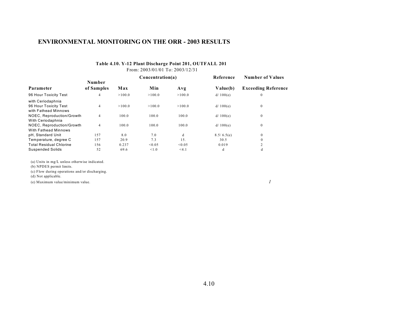### **Table 4.10. Y-12 Plant Discharge Point 201, OUTFALL 201**

From: 2003/01/01 To: 2003/12/31

|                                                                    |                |        | Concentration(a) |        | Reference  | <b>Number of Values</b>    |  |
|--------------------------------------------------------------------|----------------|--------|------------------|--------|------------|----------------------------|--|
|                                                                    | Number         |        |                  |        |            |                            |  |
| Parameter                                                          | of Samples     | Max    | Min              | Avg    | Value(b)   | <b>Exceeding Reference</b> |  |
| 96 Hour Toxicity Test                                              | $\overline{4}$ | >100.0 | >100.0           | >100.0 | d/100(e)   | $\mathbf{0}$               |  |
| with Ceriodaphnia<br>96 Hour Toxicity Test<br>with Fathead Minnows | $\overline{4}$ | >100.0 | >100.0           | >100.0 | d/100(e)   | $\mathbf{0}$               |  |
| NOEC, Reproduction/Growth<br>With Ceriodaphnia                     | $\overline{4}$ | 100.0  | 100.0            | 100.0  | d/100(e)   | $\mathbf{0}$               |  |
| NOEC, Reproduction/Growth<br>With Fathead Minnows                  | $\overline{4}$ | 100.0  | 100.0            | 100.0  | d/100(e)   | $\mathbf{0}$               |  |
| pH, Standard Unit                                                  | 157            | 8.0    | 7.0              | d      | 8.5/6.5(e) | $\mathbf{0}$               |  |
| Temperature, degree C                                              | 157            | 20.9   | 7.3              | 15.    | 30.5       | $\mathbf{0}$               |  |
| <b>Total Residual Chlorine</b>                                     | 156            | 0.237  | < 0.05           | < 0.05 | 0.019      | $\overline{2}$             |  |
| <b>Suspended Solids</b>                                            | 52             | 69.6   | < 1.0            | < 4.1  | d          | d                          |  |

(a) Units in mg/L unless otherwise indicated.

(b) NPDES permit limits.

(c) Flow during operations and/or discharging.

(d) Not applicable.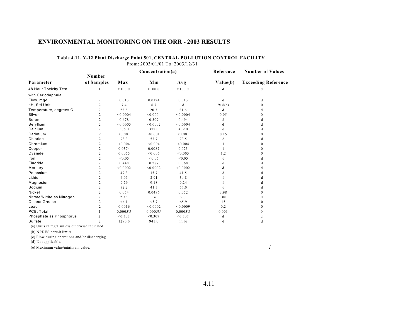### **Table 4.11. Y-12 Plant Discharge Point 501, CENTRAL POLLUTION CONTROL FACILITY**

From: 2003/01/01 To: 2003/12/31

|                             | Number         |          | Concentration(a) |          | Reference | <b>Number of Values</b><br><b>Exceeding Reference</b> |  |
|-----------------------------|----------------|----------|------------------|----------|-----------|-------------------------------------------------------|--|
| Parameter                   | of Samples     | Max      | Min              | Avg      | Value(b)  |                                                       |  |
| 48 Hour Toxicity Test       |                | >100.0   | >100.0           | >100.0   | d         | d                                                     |  |
| with Ceriodaphnia           |                |          |                  |          |           |                                                       |  |
| Flow, mgd                   | 2              | 0.013    | 0.0124           | 0.013    | d         | d                                                     |  |
| pH, Std Unit                | $\overline{c}$ | 7.4      | 6.7              | d        | 9/6(e)    | $\Omega$                                              |  |
| Temperature, degrees C      | $\overline{c}$ | 22.8     | 20.3             | 21.6     | d         | d                                                     |  |
| Silver                      | 2              | < 0.0004 | < 0.0004         | < 0.0004 | 0.05      | $\Omega$                                              |  |
| Boron                       | 2              | 0.678    | 0.309            | 0.494    | d         | d                                                     |  |
| Beryllium                   | 2              | < 0.0005 | < 0.0002         | < 0.0004 | d         | d                                                     |  |
| Calcium                     | 2              | 506.0    | 372.0            | 439.0    | d         | d                                                     |  |
| Cadmium                     | $\overline{c}$ | < 0.001  | < 0.001          | < 0.001  | 0.15      | $\theta$                                              |  |
| Chloride                    | $\overline{c}$ | 93.3     | 53.7             | 73.5     | d         | d                                                     |  |
| Chromium                    | 2              | < 0.004  | < 0.004          | < 0.004  |           | $\Omega$                                              |  |
| Copper                      | 2              | 0.0374   | 0.0087           | 0.023    |           | $\theta$                                              |  |
| Cyanide                     | $\overline{c}$ | 0.0055   | < 0.005          | < 0.005  | 1.2       | 0                                                     |  |
| Iron                        | 2              | < 0.05   | < 0.05           | < 0.05   | d         | d                                                     |  |
| Fluoride                    | $\overline{c}$ | 0.448    | 0.287            | 0.368    | d         | d                                                     |  |
| Mercury                     | $\overline{c}$ | < 0.0002 | < 0.0002         | < 0.0002 | d         | d                                                     |  |
| Potassium                   | 2              | 47.3     | 35.7             | 41.5     | d         | d                                                     |  |
| Lithium                     | $\overline{c}$ | 4.05     | 2.91             | 3.48     | d         | d                                                     |  |
| Magnesium                   | $\overline{c}$ | 9.29     | 9.18             | 9.24     | d         | d                                                     |  |
| Sodium                      | 2              | 72.2     | 41.7             | 57.0     | d         | d                                                     |  |
| Nickel                      | 2              | 0.054    | 0.0496           | 0.052    | 3.98      | $\theta$                                              |  |
| Nitrate/Nitrite as Nitrogen | $\overline{c}$ | 2.35     | 1.6              | 2.0      | 100       | $\Omega$                                              |  |
| Oil and Grease              | $\overline{c}$ | <6.1     | < 5.7            | < 5.9    | 15        | $\Omega$                                              |  |
| Lead                        | $\overline{c}$ | 0.0016   | < 0.0002         | < 0.0009 | 0.2       | $\Omega$                                              |  |
| PCB, Total                  |                | 0.0005U  | 0.0005U          | 0.0005U  | 0.001     | 0                                                     |  |
| Phosphate as Phosphorus     | 2              | < 0.307  | < 0.307          | < 0.307  | d         | d                                                     |  |
| Sulfate                     | $\overline{c}$ | 1290.0   | 941.0            | 1116     | d         | d                                                     |  |

(a) Units in mg/L unless otherwise indicated.

(b) NPDES permit limits.

(c) Flow during operations and/or discharging.

(d) Not applicable.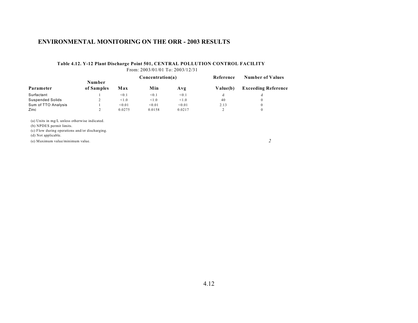#### **Table 4.12. Y-12 Plant Discharge Point 501, CENTRAL POLLUTION CONTROL FACILITY** From: 2003/01/01 To: 2003/12/31

| Parameter                                      |                      |        | Concentration(a) |        | Reference | <b>Number of Values</b>    |
|------------------------------------------------|----------------------|--------|------------------|--------|-----------|----------------------------|
|                                                | Number<br>of Samples | Max    | Min              | Avg    | Value(b)  | <b>Exceeding Reference</b> |
| Surfactant                                     |                      | < 0.1  | < 0.1            | < 0.1  | d         | d                          |
| <b>Suspended Solids</b>                        | 2                    | < 1.0  | < 1.0            | < 1.0  | 40        | $\mathbf{0}$               |
| Sum of TTO Analysis                            |                      | < 0.01 | < 0.01           | < 0.01 | 2.13      | $\mathbf{0}$               |
| Zinc                                           | $\overline{2}$       | 0.0275 | 0.0158           | 0.0217 | 2         | $\mathbf{0}$               |
| (a) Units in mg/L unless otherwise indicated.  |                      |        |                  |        |           |                            |
| (b) NPDES permit limits.                       |                      |        |                  |        |           |                            |
| (c) Flow during operations and/or discharging. |                      |        |                  |        |           |                            |

(d) Not applicable.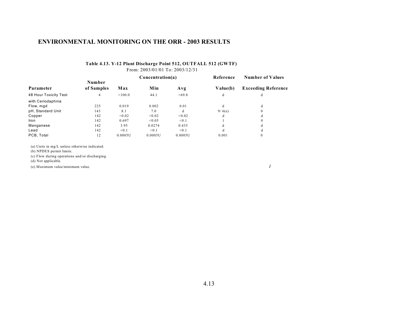### **Table 4.13. Y-12 Plant Discharge Point 512, OUTFALL 512 (GWTF)**

From: 2003/01/01 To: 2003/12/31

|                       |                      |         | Concentration(a) |         | Reference | <b>Number of Values</b>    |  |
|-----------------------|----------------------|---------|------------------|---------|-----------|----------------------------|--|
| Parameter             | Number<br>of Samples | Max     | Min              | Avg     | Value(b)  | <b>Exceeding Reference</b> |  |
| 48 Hour Toxicity Test | 4                    | >100.0  | 44.1             | >69.8   | d         | d                          |  |
| with Ceriodaphnia     |                      |         |                  |         |           |                            |  |
| Flow, mgd             | 225                  | 0.019   | 0.002            | 0.01    | d         | đ                          |  |
| pH, Standard Unit     | 143                  | 8.1     | 7.0              | d       | 9/6(e)    | $\Omega$                   |  |
| Copper                | 142                  | < 0.02  | < 0.02           | < 0.02  | d         | d                          |  |
| Iron                  | 142                  | 0.697   | < 0.05           | < 0.1   |           | $\Omega$                   |  |
| Manganese             | 142                  | 3.95    | 0.0274           | 0.435   | d         |                            |  |
| Lead                  | 142                  | < 0.1   | < 0.1            | < 0.1   | d         | đ                          |  |
| PCB, Total            | 12                   | 0.0005U | 0.0005U          | 0.0005U | 0.001     |                            |  |

(a) Units in mg/L unless otherwise indicated.

(b) NPDES permit limits.

(c) Flow during operations and/or discharging.

(d) Not applicable.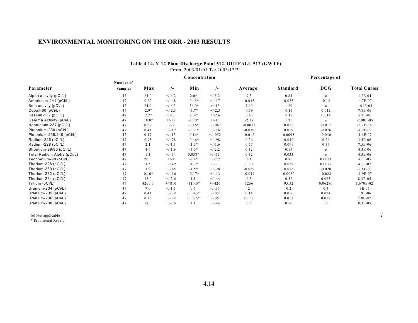#### **Table 4.14. Y-12 Plant Discharge Point 512, OUTFALL 512 (GWTF)** From: 2003/01/01 To: 2003/12/31

|                            |                |         |          | Concentration |           |           | Percentage of   |            |                     |
|----------------------------|----------------|---------|----------|---------------|-----------|-----------|-----------------|------------|---------------------|
|                            | Number of      |         |          |               |           |           |                 |            |                     |
| Parameter                  | <b>Samples</b> | Max     | $+/-$    | Min           | $+/-$     | Average   | <b>Standard</b> | <b>DCG</b> | <b>Total Curies</b> |
| Alpha activity (pCi/L)     | 47             | 24.0    | $+/-6.2$ | $2.0*$        | $+/-5.2$  | 9.3       | 0.84            | e          | 1.2E-04             |
| Americium-241 (pCi/L)      | 47             | 0.62    | $+/-.48$ | $-0.45*$      | $+/-.17$  | $-0.035$  | 0.033           | $-0.12$    | $-4.7E-07$          |
| Beta activity (pCi/L)      | 47             | 24.0    | $+/-6.3$ | $-36.0*$      | $+/-42$   | 7.60      | 1.20            | e          | 1.01E-04            |
| Cobalt-60 (pCi/L)          | 47             | $2.9*$  | $+/-2.3$ | $-1.7*$       | $+/-2.3$  | 0.59      | 0.15            | 0.012      | 7.8E-06             |
| Cesium-137 (pCi/L)         | 47             | $2.7*$  | $+/-2.1$ | $-3.4*$       | $+/-2.6$  | 0.43      | 0.19            | 0.014      | 5.7E-06             |
| Gamma Activity (pCi/L)     | 47             | 18.0*   | $+/-15$  | $-23.0*$      | $+/-16$   | $-2.18$   | 1.26            | e          | $-2.90E - 05$       |
| Neptunium-237 (pCi/L)      | 47             | 0.29    | $+/-.2$  | $-0.16*$      | $+/-067$  | $-0.0051$ | 0.012           | $-0.017$   | $-6.7E - 08$        |
| Plutonium-238 (pCi/L)      | 47             | 0.41    | $+/-19$  | $-0.31*$      | $+/-16$   | $-0.030$  | 0.019           | $-0.076$   | $-4.0E-07$          |
| Plutonium-239/240 (pCi/L)  | 47             | 0.17    | $+/-13$  | $-0.16*$      | $+/-0.52$ | $-0.012$  | 0.0095          | $-0.040$   | $-1.6E-07$          |
| Radium-226 (pCi/L)         | 47             | 0.95    | $+/-.78$ | $-0.46*$      | $+/-.98$  | 0.26      | 0.040           | 0.26       | $3.4E-06$           |
| Radium-228 (pCi/L)         | 47             | 2.1     | $+/-1.1$ | $-1.3*$       | $+/-1.6$  | 0.57      | 0.099           | 0.57       | 7.5E-06             |
| Strontium-89/90 (pCi/L)    | 47             | 4.9     | $+/-1.9$ | $-3.0*$       | $+/-2.2$  | 0.32      | 0.19            | e          | $4.3E-06$           |
| Total Radium Alpha (pCi/L) | 47             | 1.3     | $+/-.54$ | $0.038*$      | $+/-13$   | 0.32      | 0.033           | e          | $4.3E-06$           |
| Technetium-99 (pCi/L)      | 47             | 20.0    | $+/-7$   | $-8.4*$       | $+/-7.2$  | 3.1       | 0.80            | 0.0031     | $4.1E-05$           |
| Thorium-228 (pCi/L)        | 47             | 1.5     | $+/-.49$ | $-1.3*$       | $+/-11$   | 0.031     | 0.059           | 0.0077     | $4.1E-07$           |
| Thorium-230 (pCi/L)        | 47             | 1.9     | $+/-.65$ | $-1.5*$       | $+/-.28$  | $-0.059$  | 0.076           | $-0.020$   | $-7.8E - 07$        |
| Thorium-232 (pCi/L)        | 47             | $0.16*$ | $+/-16$  | $-0.17*$      | $+/-.13$  | $-0.014$  | 0.0080          | $-0.028$   | $-1.9E-07$          |
| Thorium-234 (pCi/L)        | 47             | 18.0    | $+/-2.6$ | 1.1           | $+/-.44$  | 6.3       | 0.56            | 0.063      | 8.3E-05             |
| Tritium (pCi/L)            | 47             | 4200.0  | $+/-810$ | $-310.0*$     | $+/-420$  | 1256      | 95.52           | 0.06280    | 1.670E-02           |
| Uranium-234 (pCi/L)        | 47             | 7.0     | $+/-1.1$ | 0.6           | $+/-.31$  | 2         | 0.2             | 0.4        | $3E-05$             |
| Uranium-235 (pCi/L)        | 47             | 0.41    | $+/-.39$ | $-0.043*$     | $+/-071$  | 0.14      | 0.016           | 0.024      | 1.9E-06             |
| Uranium-236 (pCi/L)        | 47             | 0.36    | $+/-.28$ | $-0.025*$     | $+/-.051$ | 0.058     | 0.011           | 0.012      | 7.8E-07             |
| Uranium-238 (pCi/L)        | 47             | 18.0    | $+/-2.6$ | 1.1           | $+/-.44$  | 6.3       | 0.56            | 1.0        | 8.3E-05             |

(e) Not applicable *1*

\* Provisional Result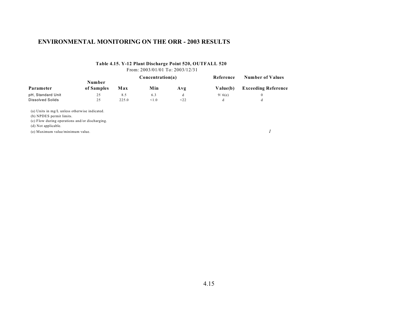### **Table 4.15. Y-12 Plant Discharge Point 520, OUTFALL 520**

From: 2003/01/01 To: 2003/12/31

|                         | Number     |       | Concentration(a) |      | Reference | <b>Number of Values</b>    |  |
|-------------------------|------------|-------|------------------|------|-----------|----------------------------|--|
| Parameter               | of Samples | Max   | Min              | Avg  | Value(b)  | <b>Exceeding Reference</b> |  |
| pH, Standard Unit       | 25         | 8.5   | 6.3              | đ    | 9/6(e)    |                            |  |
| <b>Dissolved Solids</b> | 25         | 225.0 | < 1.0            | < 22 | đ         |                            |  |

(a) Units in mg/L unless otherwise indicated.

(b) NPDES permit limits.

(c) Flow during operations and/or discharging.

(d) Not applicable.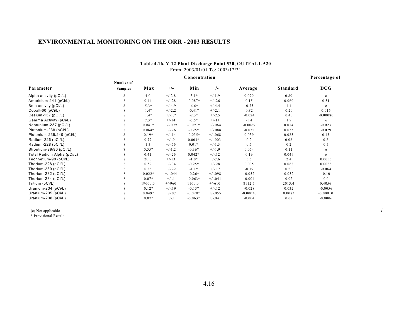#### **Table 4.16. Y-12 Plant Discharge Point 520, OUTFALL 520** From: 2003/01/01 To: 2003/12/31

|                            |                | Concentration |           |           |           |            |                 |            |  |  |  |
|----------------------------|----------------|---------------|-----------|-----------|-----------|------------|-----------------|------------|--|--|--|
|                            | Number of      |               |           |           |           |            |                 |            |  |  |  |
| Parameter                  | <b>Samples</b> | Max           | $+/-$     | Min       | $+/-$     | Average    | <b>Standard</b> | <b>DCG</b> |  |  |  |
| Alpha activity (pCi/L)     | 8              | 4.0           | $+/-2.8$  | $-3.1*$   | $+/-1.9$  | 0.070      | 0.80            | e          |  |  |  |
| Americium-241 (pCi/L)      | 8              | 0.44          | $+/-.28$  | $-0.087*$ | $+/-.26$  | 0.15       | 0.060           | 0.51       |  |  |  |
| Beta activity (pCi/L)      |                | $5.3*$        | $+/-4.9$  | $-6.6*$   | $+/-4.4$  | $-0.75$    | 1.4             | e          |  |  |  |
| Cobalt-60 (pCi/L)          | 8              | $1.4*$        | $+/-2.2$  | $-0.41*$  | $+/-2.1$  | 0.82       | 0.20            | 0.016      |  |  |  |
| Cesium-137 (pCi/L)         |                | $1.4*$        | $+/-1.7$  | $-2.3*$   | $+/-2.5$  | $-0.024$   | 0.40            | $-0.00080$ |  |  |  |
| Gamma Activity (pCi/L)     |                | $7.3*$        | $+/-14$   | $-7.5*$   | $+/-14$   | $-1.4$     | 1.9             | e          |  |  |  |
| Neptunium-237 (pCi/L)      |                | $0.041*$      | $+/-099$  | $-0.091*$ | $+/-064$  | $-0.0069$  | 0.014           | $-0.023$   |  |  |  |
| Plutonium-238 (pCi/L)      | 8              | $0.064*$      | $+/-.26$  | $-0.25*$  | $+/-088$  | $-0.032$   | 0.035           | $-0.079$   |  |  |  |
| Plutonium-239/240 (pCi/L)  | 8              | $0.19*$       | $+/-.14$  | $-0.035*$ | $+/-068$  | 0.039      | 0.025           | 0.13       |  |  |  |
| Radium-226 (pCi/L)         | 8              | 0.77          | $+/-.9$   | $0.003*$  | $+/-0.03$ | 0.2        | 0.08            | 0.2        |  |  |  |
| Radium-228 (pCi/L)         | 8              | 1.3           | $+/-.56$  | $0.01*$   | $+/-1.3$  | 0.5        | 0.2             | 0.5        |  |  |  |
| Strontium-89/90 (pCi/L)    | 8              | $0.55*$       | $+/-1.2$  | $-0.36*$  | $+/-1.9$  | 0.054      | 0.11            | e          |  |  |  |
| Total Radium Alpha (pCi/L) | 8              | 0.41          | $+/-.26$  | $0.042*$  | $+/-.12$  | 0.19       | 0.049           | e          |  |  |  |
| Technetium-99 (pCi/L)      | 8              | 20.0          | $+/-13$   | $-1.0*$   | $+/-7.6$  | 5.5        | 2.4             | 0.0055     |  |  |  |
| Thorium-228 (pCi/L)        | 8              | 0.59          | $+/-.34$  | $-0.25*$  | $+/-.28$  | 0.035      | 0.088           | 0.0088     |  |  |  |
| Thorium-230 (pCi/L)        | 8              | 0.36          | $+/-.22$  | $-1.1*$   | $+/-17$   | $-0.19$    | 0.20            | $-0.064$   |  |  |  |
| Thorium-232 (pCi/L)        | 8              | $0.022*$      | $+/-0.44$ | $-0.26*$  | $+/-098$  | $-0.052$   | 0.032           | $-0.10$    |  |  |  |
| Thorium-234 (pCi/L)        | 8              | $0.07*$       | $+/-1$    | $-0.063*$ | $+/-041$  | $-0.004$   | 0.02            | 0.0        |  |  |  |
| Tritium (pCi/L)            | 8              | 19000.0       | $+/-960$  | 1100.0    | $+/-610$  | 8112.5     | 2013.4          | 0.4056     |  |  |  |
| Uranium-234 (pCi/L)        |                | $0.12*$       | $+/-19$   | $-0.13*$  | $+/-.12$  | $-0.028$   | 0.032           | $-0.0056$  |  |  |  |
| Uranium-235 (pCi/L)        |                | $0.049*$      | $+/-.07$  | $-0.028*$ | $+/-0.55$ | $-0.00030$ | 0.0083          | $-0.00010$ |  |  |  |
| Uranium-238 (pCi/L)        | 8              | $0.07*$       | $+/-1$    | $-0.063*$ | $+/-041$  | $-0.004$   | 0.02            | $-0.0006$  |  |  |  |

(e) Not applicable *1*

\* Provisional Result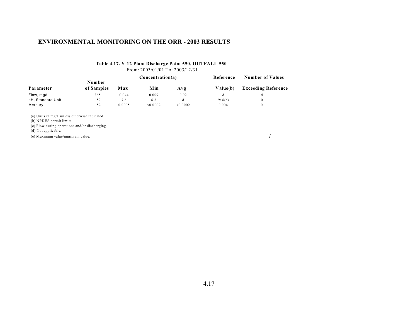# **Table 4.17. Y-12 Plant Discharge Point 550, OUTFALL 550**

From: 2003/01/01 To: 2003/12/31

|                   |                      |        | Concentration(a) |          | Reference | <b>Number of Values</b>    |  |
|-------------------|----------------------|--------|------------------|----------|-----------|----------------------------|--|
| Parameter         | Number<br>of Samples | Max    | Min              | Avg      | Value(b)  | <b>Exceeding Reference</b> |  |
| Flow, mgd         | 365                  | 0.044  | 0.009            | 0.02     |           |                            |  |
| pH, Standard Unit | 52                   | 7.6    | 6.8              | đ        | 9/6(e)    |                            |  |
| Mercury           | 52                   | 0.0005 | < 0.0002         | < 0.0002 | 0.004     |                            |  |

(a) Units in mg/L unless otherwise indicated.

(b) NPDES permit limits.

(c) Flow during operations and/or discharging.

(d) Not applicable.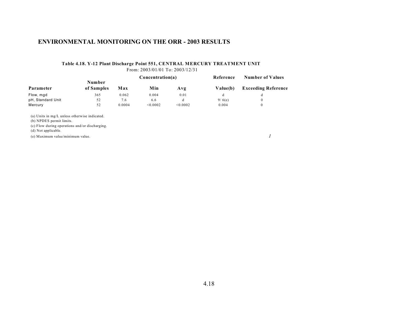#### **Table 4.18. Y-12 Plant Discharge Point 551, CENTRAL MERCURY TREATMENT UNIT** From: 2003/01/01 To: 2003/12/31

|                   | Number     |        | Concentration(a) |          | Reference | <b>Number of Values</b>    |
|-------------------|------------|--------|------------------|----------|-----------|----------------------------|
| Parameter         | of Samples | Max    | Min              | Avg      | Value(b)  | <b>Exceeding Reference</b> |
| Flow, mgd         | 365        | 0.062  | 0.004            | 0.01     |           | đ                          |
| pH, Standard Unit | 52         | 7.6    | 6.6              | đ        | 9/6(e)    | 0                          |
| Mercury           | 52         | 0.0004 | < 0.0002         | < 0.0002 | 0.004     | $\theta$                   |

(a) Units in mg/L unless otherwise indicated.

(b) NPDES permit limits.

(c) Flow during operations and/or discharging.

(d) Not applicable.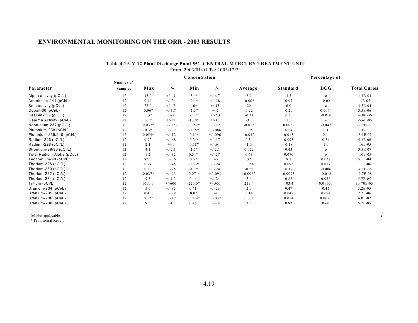#### **Table 4.19. Y-12 Plant Discharge Point 551, CENTRAL MERCURY TREATMENT UNIT** From: 2003/01/01 To: 2003/12/31

|                            |                |          |           | Concentration | Percentage of |           |                 |            |                     |
|----------------------------|----------------|----------|-----------|---------------|---------------|-----------|-----------------|------------|---------------------|
|                            | Number of      |          |           |               |               |           |                 |            |                     |
| Parameter                  | <b>Samples</b> | Max      | $+/-$     | Min           | $+/-$         | Average   | <b>Standard</b> | <b>DCG</b> | <b>Total Curies</b> |
| Alpha activity (pCi/L)     | 12             | 35.0     | $+/-13$   | $-5.4*$       | $+/-6.7$      | 8.9       | 3.3             | e          | 1.4E-04             |
| Americium-241 (pCi/L)      | 12             | 0.44     | $+/-.34$  | $-0.4*$       | $+/-.18$      | $-0.006$  | 0.07            | $-0.02$    | $-1E-07$            |
| Beta activity (pCi/L)      | 12             | 77.0     | $+/-17$   | $1.6*$        | $+/-45$       | 22        | 6.0             | e          | $3.5E-04$           |
| Cobalt-60 (pCi/L)          | 12             | $0.96*$  | $+/-1.7$  | $-1.5*$       | $+/-2$        | 0.22      | 0.20            | 0.0044     | $3.5E-06$           |
| Cesium-137 (pCi/L)         | 12             | $1.3*$   | $+/-2$    | $-2.1*$       | $+/-2.3$      | $-0.31$   | 0.30            | $-0.010$   | $-4.8E-06$          |
| Gamma Activity (pCi/L)     | 12             | $3.1*$   | $+/-17$   | $-13.0*$      | $+/-15$       | $-3.5$    | 1.5             | e          | $-5.6E - 05$        |
| Neptunium-237 (pCi/L)      | 12             | $0.037*$ | $+/-0.93$ | $-0.052*$     | $+/-.12$      | $-0.013$  | 0.0082          | $-0.042$   | $-2.0E - 07$        |
| Plutonium-238 (pCi/L)      | 12             | $0.3*$   | $+/-.37$  | $-0.15*$      | $+/-086$      | 0.05      | 0.04            | 0.1        | 7E-07               |
| Plutonium-239/240 (pCi/L)  | 12             | $0.054*$ | $+/-.12$  | $-0.11*$      | $+/-0.96$     | $-0.032$  | 0.015           | $-0.11$    | $-5.1E-07$          |
| Radium-226 (pCi/L)         | 12             | 0.92     | $+/-.68$  | $-0.24*$      | $+/-17$       | 0.34      | 0.095           | 0.34       | 5.3E-06             |
| Radium-228 (pCi/L)         | 12             | 2.1      | $+/-1$    | $-0.18*$      | $+/-.61$      | 1.0       | 0.18            | 1.0        | $1.6E-0.5$          |
| Strontium-89/90 (pCi/L)    | 12             | 4.1      | $+/-2.1$  | $-1.6*$       | $+/-2.1$      | 0.022     | 0.43            | e          | 3.5E-07             |
| Total Radium Alpha (pCi/L) | 12             | 1.2      | $+/-.32$  | $0.31*$       | $+/-.27$      | 0.63      | 0.070           | e          | $1.0E-0.5$          |
| Technetium-99 (pCi/L)      | 12             | 82.0     | $+/-8.6$  | $5.5*$        | $+/-8$        | 32        | 8.1             | 0.032      | $5.1E-04$           |
| Thorium-228 (pCi/L)        | 12             | 0.94     | $+/-.45$  | $-0.33*$      | $+/-.24$      | 0.068     | 0.096           | 0.017      | $1.1E-06$           |
| Thorium-230 (pCi/L)        | 12             | 0.32     | $+/-.25$  | $-1.7*$       | $+/-.24$      | $-0.26$   | 0.17            | $-0.086$   | $-4.1E-06$          |
| Thorium-232 (pCi/L)        | 12             | $0.037*$ | $+/-13$   | $-0.071*$     | $+/-093$      | $-0.0062$ | 0.0095          | $-0.012$   | $-9.7E-08$          |
| Thorium-234 (pCi/L)        | 12             | 9.5      | $+/-1.3$  | 0.46          | $+/-.24$      | 3.6       | 0.82            | 0.036      | 5.7E-05             |
| Tritium (pCi/L)            | 12             | 1000.0   | $+/-600$  | $-220.0*$     | $+/-500$      | 219.4     | 103.4           | 0.01100    | 3.470E-03           |
| Uranium-234 (pCi/L)        | 12             | 5.0      | $+/-.85$  | 0.41          | $+/-.23$      | 2.0       | 0.47            | 0.41       | $3.2E-0.5$          |
| Uranium-235 (pCi/L)        | 12             | 0.45     | $+/-.29$  | $0.0*$        | $+/-0$        | 0.14      | 0.042           | 0.024      | $2.2E-06$           |
| Uranium-236 (pCi/L)        | 12             | $0.12*$  | $+/-17$   | $-0.024*$     | $+/-037$      | 0.038     | 0.014           | 0.0076     | $6.0E-07$           |
| Uranium-238 (pCi/L)        | 12             | 9.5      | $+/-1.3$  | 0.46          | $+/-.24$      | 3.6       | 0.82            | 0.60       | 5.7E-05             |

(e) Not applicable *1*

\* Provisional Result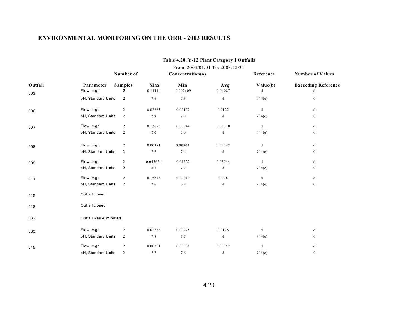|         |                        | From: 2003/01/01 To: 2003/12/31 |          |                  |             |           |                            |  |  |  |  |  |
|---------|------------------------|---------------------------------|----------|------------------|-------------|-----------|----------------------------|--|--|--|--|--|
|         |                        | Number of                       |          | Concentration(a) |             | Reference | <b>Number of Values</b>    |  |  |  |  |  |
| Outfall | Parameter              | <b>Samples</b>                  | Max      | Min              | Avg         | Value(b)  | <b>Exceeding Reference</b> |  |  |  |  |  |
| 003     | Flow, mgd              | $\overline{2}$                  | 0.11414  | 0.007609         | 0.06087     | d         | d                          |  |  |  |  |  |
|         | pH, Standard Units     | $\overline{\mathbf{c}}$         | 7.6      | 7.3              | d           | 9/4(e)    | $\boldsymbol{0}$           |  |  |  |  |  |
| 006     | Flow, mgd              | $\overline{c}$                  | 0.02283  | 0.00152          | 0.0122      | $\rm d$   | d                          |  |  |  |  |  |
|         | pH, Standard Units     | $\overline{2}$                  | 7.9      | 7.8              | d           | 9/4(e)    | $\mathbf{0}$               |  |  |  |  |  |
| 007     | Flow, mgd              | $\overline{c}$                  | 0.13696  | 0.03044          | 0.08370     | $\rm d$   | d                          |  |  |  |  |  |
|         | pH, Standard Units     | 2                               | $8.0\,$  | 7.9              | $\mathbf d$ | 9/4(e)    | $\boldsymbol{0}$           |  |  |  |  |  |
| 008     | Flow, mgd              | $\overline{c}$                  | 0.00381  | 0.00304          | 0.00342     | d         | d                          |  |  |  |  |  |
|         | pH, Standard Units     | $\overline{2}$                  | 7.7      | 7.4              | d           | 9/4(e)    | $\mathbf{0}$               |  |  |  |  |  |
| 009     | Flow, mgd              | $\overline{c}$                  | 0.045654 | 0.01522          | 0.03044     | $\rm d$   | d                          |  |  |  |  |  |
|         | pH, Standard Units     | 2                               | 8.3      | 7.7              | d           | 9/4(e)    | $\mathbf{0}$               |  |  |  |  |  |
| 011     | Flow, mgd              | 2                               | 0.15218  | 0.00019          | 0.076       | d         | d                          |  |  |  |  |  |
|         | pH, Standard Units     | $\overline{2}$                  | 7.6      | 6.8              | d           | 9/4(e)    | $\mathbf{0}$               |  |  |  |  |  |
| 015     | Outfall closed         |                                 |          |                  |             |           |                            |  |  |  |  |  |
| 018     | Outfall closed         |                                 |          |                  |             |           |                            |  |  |  |  |  |
| 032     | Outfall was eliminated |                                 |          |                  |             |           |                            |  |  |  |  |  |
| 033     | Flow, mgd              | 2                               | 0.02283  | 0.00228          | 0.0125      | d         | d                          |  |  |  |  |  |
|         | pH, Standard Units     | $\overline{c}$                  | 7.8      | 7.7              | d           | 9/4(e)    | $\boldsymbol{0}$           |  |  |  |  |  |
| 045     | Flow, mgd              | $\overline{c}$                  | 0.00761  | 0.00038          | 0.00057     | d         | d                          |  |  |  |  |  |
|         | pH, Standard Units     | 2                               | 7.7      | 7.6              | d           | 9/4(e)    | $\mathbf{0}$               |  |  |  |  |  |

#### **Table 4.20. Y-12 Plant Category I Outfalls**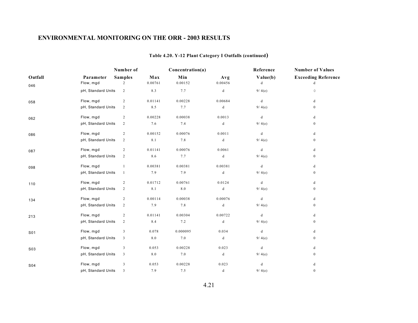# **Table 4.20. Y-12 Plant Category I Outfalls (continued)**

|         |                    | Number of               |         | Concentration(a) |         | Reference                                      | <b>Number of Values</b>    |
|---------|--------------------|-------------------------|---------|------------------|---------|------------------------------------------------|----------------------------|
| Outfall | Parameter          | <b>Samples</b>          | Max     | Min              | Avg     | Value(b)                                       | <b>Exceeding Reference</b> |
| 046     | Flow, mgd          | 2                       | 0.00761 | 0.00152          | 0.00456 | d                                              | d                          |
|         | pH, Standard Units | $\overline{c}$          | 8.3     | 7.7              | d       | 9/4(e)                                         | $\mathsf{O}\xspace$        |
| 058     | Flow, mgd          | $\overline{c}$          | 0.01141 | 0.00228          | 0.00684 | $\mathbf d$                                    | d                          |
|         | pH, Standard Units | 2                       | 8.5     | 7.7              | d       | 9/4(e)                                         | $\mathbf{0}$               |
| 062     | Flow, mgd          | $\overline{c}$          | 0.00228 | 0.00038          | 0.0013  | $\mathbf d$                                    | d                          |
|         | pH, Standard Units | $\overline{2}$          | 7.6     | 7.4              | d       | 9/4(e)                                         | $\mathbf{0}$               |
| 086     | Flow, mgd          | $\overline{c}$          | 0.00152 | 0.00076          | 0.0011  | $\mathrm{d}% \left\  \mathcal{A}\right\  _{A}$ | $\mathbf d$                |
|         | pH, Standard Units | $\overline{c}$          | 8.1     | 7.8              | d       | 9/4(e)                                         | $\mathbf{0}$               |
| 087     | Flow, mgd          | $\overline{c}$          | 0.01141 | 0.00076          | 0.0061  | $\mathbf d$                                    | d                          |
|         | pH, Standard Units | $\overline{c}$          | 8.6     | 7.7              | d       | 9/4(e)                                         | $\mathbf{0}$               |
| 098     | Flow, mgd          | $\mathbf{1}$            | 0.00381 | 0.00381          | 0.00381 | d                                              | d                          |
|         | pH, Standard Units | $\mathbf{1}$            | 7.9     | 7.9              | d       | 9/4(e)                                         | $\mathbf{0}$               |
| 110     | Flow, mgd          | $\overline{c}$          | 0.01712 | 0.00761          | 0.0124  | d                                              | d                          |
|         | pH, Standard Units | $\overline{2}$          | $8.1\,$ | $8.0\,$          | d       | 9/4(e)                                         | $\boldsymbol{0}$           |
| 134     | Flow, mgd          | $\overline{c}$          | 0.00114 | 0.00038          | 0.00076 | d                                              | d                          |
|         | pH, Standard Units | $\overline{2}$          | 7.9     | 7.8              | d       | 9/4(e)                                         | $\bf{0}$                   |
| 213     | Flow, mgd          | $\overline{c}$          | 0.01141 | 0.00304          | 0.00722 | d                                              | d                          |
|         | pH, Standard Units | $\overline{2}$          | 8.4     | 7.2              | $\rm d$ | 9/4(e)                                         | $\bf{0}$                   |
| S01     | Flow, mgd          | 3                       | 0.078   | 0.000095         | 0.034   | d                                              | d                          |
|         | pH, Standard Units | 3                       | 8.0     | 7.0              | d       | 9/4(e)                                         | $\bf{0}$                   |
| S03     | Flow, mgd          | $\mathfrak{Z}$          | 0.053   | 0.00228          | 0.023   | $\mathbf d$                                    | d                          |
|         | pH, Standard Units | $\overline{\mathbf{3}}$ | 8.0     | 7.0              | d       | 9/4(e)                                         | $\bf{0}$                   |
| S04     | Flow, mgd          | $\mathfrak{Z}$          | 0.053   | 0.00228          | 0.023   | $\mathbf d$                                    | d                          |
|         | pH, Standard Units | 3                       | 7.9     | 7.5              | $\rm d$ | 9/4(e)                                         | $\mathbf{0}$               |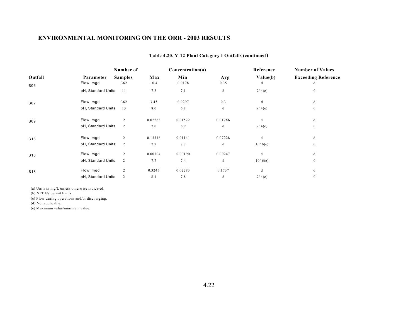|                 |                    | Number of      |         | Concentration(a) |         | Reference | <b>Number of Values</b>    |
|-----------------|--------------------|----------------|---------|------------------|---------|-----------|----------------------------|
| Outfall         | Parameter          | <b>Samples</b> | Max     | Min              | Avg     | Value(b)  | <b>Exceeding Reference</b> |
| S06             | Flow, mgd          | 362            | 10.4    | 0.0178           | 0.35    | d         |                            |
|                 | pH, Standard Units | 11             | 7.8     | 7.1              | d       | 9/4(e)    | $\overline{0}$             |
| S07             | Flow, mgd          | 362            | 3.45    | 0.0297           | 0.3     | d         | d                          |
|                 | pH, Standard Units | 13             | 8.0     | 6.8              | d       | 9/4(e)    | $\overline{0}$             |
| S09             | Flow, mgd          | $\overline{c}$ | 0.02283 | 0.01522          | 0.01286 | d         | d                          |
|                 | pH, Standard Units | $\overline{c}$ | 7.0     | 6.9              | d       | 9/4(e)    | $\mathbf{0}$               |
| S <sub>15</sub> | Flow, mgd          | 2              | 0.13316 | 0.01141          | 0.07228 | d         | d                          |
|                 | pH, Standard Units | 2              | 7.7     | 7.7              | d       | 10/6(e)   | $\overline{0}$             |
| S <sub>16</sub> | Flow, mgd          | 2              | 0.00304 | 0.00190          | 0.00247 | d         | d                          |
|                 | pH, Standard Units | $\overline{c}$ | 7.7     | 7.4              | d       | 10/6(e)   | $\mathbf{0}$               |
| S <sub>18</sub> | Flow, mgd          | $\overline{c}$ | 0.3245  | 0.02283          | 0.1737  | d         | d                          |
|                 | pH, Standard Units | 2              | 8.1     | 7.8              | d       | 9/4(e)    | $\bf{0}$                   |

#### **Table 4.20. Y-12 Plant Category I Outfalls (continued)**

(a) Units in mg/L unless otherwise indicated.

(b) NPDES permit limits.

(c) Flow during operations and/or discharging.

(d) Not applicable.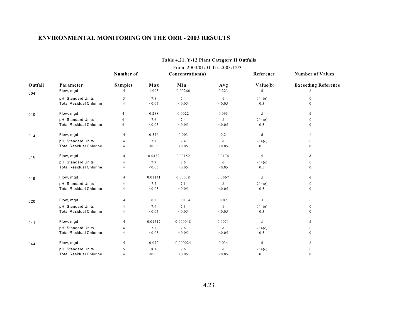|         |                                | From: 2003/01/01 To: 2003/12/31 |         |                  |        |           |                                                       |  |  |  |  |  |  |
|---------|--------------------------------|---------------------------------|---------|------------------|--------|-----------|-------------------------------------------------------|--|--|--|--|--|--|
|         |                                | Number of                       |         | Concentration(a) |        | Reference | <b>Number of Values</b><br><b>Exceeding Reference</b> |  |  |  |  |  |  |
| Outfall | Parameter                      | <b>Samples</b>                  | Max     | Min              | Avg    | Value(b)  |                                                       |  |  |  |  |  |  |
| 004     | Flow, mgd                      | 5                               | 1.003   | 0.00266          | 0.223  | d         | d                                                     |  |  |  |  |  |  |
|         | pH, Standard Units             | 5                               | 7.8     | 7.4              | d      | 9/4(e)    | $\Omega$                                              |  |  |  |  |  |  |
|         | <b>Total Residual Chlorine</b> | 4                               | < 0.05  | < 0.05           | < 0.05 | 0.5       | $\Omega$                                              |  |  |  |  |  |  |
| 010     | Flow, mgd                      | $\overline{4}$                  | 0.288   | 0.0022           | 0.093  | d         | d                                                     |  |  |  |  |  |  |
|         | pH, Standard Units             | 4                               | 7.6     | 7.4              | d      | 9/4(e)    | $\Omega$                                              |  |  |  |  |  |  |
|         | <b>Total Residual Chlorine</b> | 4                               | < 0.05  | < 0.05           | < 0.05 | 0.5       | $\mathbf{0}$                                          |  |  |  |  |  |  |
| 014     | Flow, mgd                      | $\overline{4}$                  | 0.576   | 0.003            | 0.2    | d         | d                                                     |  |  |  |  |  |  |
|         | pH, Standard Units             | 4                               | 7.7     | 7.4              | d      | 9/4(e)    | $\mathbf{0}$                                          |  |  |  |  |  |  |
|         | <b>Total Residual Chlorine</b> | 4                               | < 0.05  | < 0.05           | < 0.05 | 0.5       | $\theta$                                              |  |  |  |  |  |  |
| 016     | Flow, mgd                      | 4                               | 0.0432  | 0.00152          | 0.0174 | d         | d                                                     |  |  |  |  |  |  |
|         | pH, Standard Units             | 4                               | 7.9     | 7.6              | d      | 9/4(e)    | $\theta$                                              |  |  |  |  |  |  |
|         | <b>Total Residual Chlorine</b> | 4                               | < 0.05  | < 0.05           | < 0.05 | 0.5       | $\theta$                                              |  |  |  |  |  |  |
| 019     | Flow, mgd                      | 4                               | 0.01141 | 0.00038          | 0.0067 | d         | d                                                     |  |  |  |  |  |  |
|         | pH, Standard Units             | 4                               | 7.7     | 7.1              | d      | 9/4(e)    | $\mathbf{0}$                                          |  |  |  |  |  |  |
|         | <b>Total Residual Chlorine</b> | 4                               | < 0.05  | < 0.05           | < 0.05 | 0.5       | $\Omega$                                              |  |  |  |  |  |  |
| 020     | Flow, mgd                      | 4                               | 0.2     | 0.00114          | 0.07   | d         | d                                                     |  |  |  |  |  |  |
|         | pH, Standard Units             |                                 | 7.9     | 7.3              | d      | 9/4(e)    | $\mathbf{0}$                                          |  |  |  |  |  |  |
|         | <b>Total Residual Chlorine</b> | 4                               | < 0.05  | < 0.05           | < 0.05 | 0.5       | $\Omega$                                              |  |  |  |  |  |  |
| 041     | Flow, mgd                      | 4                               | 0.01712 | 0.000048         | 0.0051 | d         | d                                                     |  |  |  |  |  |  |
|         | pH, Standard Units             | 4                               | 7.8     | 7.6              | d      | 9/4(e)    | $\mathbf{0}$                                          |  |  |  |  |  |  |
|         | <b>Total Residual Chlorine</b> | $\overline{4}$                  | < 0.05  | < 0.05           | < 0.05 | 0.5       | $\theta$                                              |  |  |  |  |  |  |
| 044     | Flow, mgd                      | 5                               | 0.072   | 0.000024         | 0.034  | d         | d                                                     |  |  |  |  |  |  |
|         | pH, Standard Units             | 5                               | 8.1     | 7.6              | d      | 9/4(e)    |                                                       |  |  |  |  |  |  |
|         | <b>Total Residual Chlorine</b> | $\overline{4}$                  | < 0.05  | < 0.05           | < 0.05 | 0.5       | $\mathbf{0}$                                          |  |  |  |  |  |  |

#### **Table 4.21. Y-12 Plant Category II Outfalls**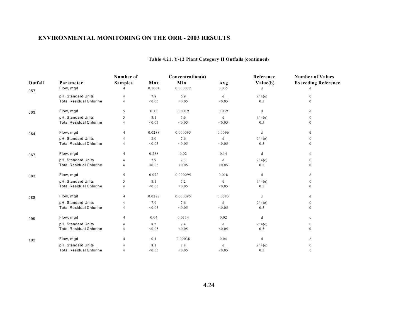|         |                                | Number of<br>Concentration(a) |        |          |        | Reference | <b>Number of Values</b>    |  |
|---------|--------------------------------|-------------------------------|--------|----------|--------|-----------|----------------------------|--|
| Outfall | Parameter                      | <b>Samples</b>                | Max    | Min      | Avg    | Value(b)  | <b>Exceeding Reference</b> |  |
| 057     | Flow, mgd                      | 4                             | 0.1064 | 0.000032 | 0.035  | d         | d                          |  |
|         | pH, Standard Units             | 4                             | 7.8    | 6.9      | d      | 9/4(e)    | $\Omega$                   |  |
|         | <b>Total Residual Chlorine</b> | $\Delta$                      | < 0.05 | < 0.05   | < 0.05 | 0.5       |                            |  |
| 063     | Flow, mgd                      | 5                             | 0.12   | 0.0019   | 0.039  | d         | d                          |  |
|         | pH, Standard Units             | 5                             | 8.1    | 7.6      | d      | 9/4(e)    | $\left($                   |  |
|         | <b>Total Residual Chlorine</b> | $\Delta$                      | < 0.05 | < 0.05   | < 0.05 | 0.5       |                            |  |
| 064     | Flow, mgd                      | $\overline{4}$                | 0.0288 | 0.000095 | 0.0096 | d         | d                          |  |
|         | pH, Standard Units             |                               | 8.0    | 7.6      | d      | 9/4(e)    | $\Omega$                   |  |
|         | <b>Total Residual Chlorine</b> |                               | < 0.05 | < 0.05   | < 0.05 | 0.5       | $\Omega$                   |  |
| 067     | Flow, mgd                      | 4                             | 0.288  | 0.02     | 0.14   | d         | d                          |  |
|         | pH, Standard Units             |                               | 7.9    | 7.3      | d      | 9/4(e)    | $\mathbf{0}$               |  |
|         | <b>Total Residual Chlorine</b> | $\overline{4}$                | < 0.05 | < 0.05   | < 0.05 | 0.5       | $\Omega$                   |  |
| 083     | Flow, mgd                      | 5                             | 0.072  | 0.000095 | 0.018  | d         | d                          |  |
|         | pH, Standard Units             | 5                             | 8.1    | 7.2      | d      | 9/4(e)    | $\theta$                   |  |
|         | <b>Total Residual Chlorine</b> | $\overline{4}$                | < 0.05 | < 0.05   | < 0.05 | 0.5       | $\Omega$                   |  |
| 088     | Flow, mgd                      | $\boldsymbol{\varDelta}$      | 0.0288 | 0.000095 | 0.0083 | d         | d                          |  |
|         | pH, Standard Units             |                               | 7.9    | 7.6      | d      | 9/4(e)    | $\mathbf{0}$               |  |
|         | <b>Total Residual Chlorine</b> |                               | < 0.05 | < 0.05   | < 0.05 | 0.5       | $\theta$                   |  |
| 099     | Flow, mgd                      | $\boldsymbol{\varDelta}$      | 0.04   | 0.0114   | 0.02   | d         | d                          |  |
|         | pH, Standard Units             |                               | 8.2    | 7.4      | d      | 9/4(e)    | $\mathbf{0}$               |  |
|         | <b>Total Residual Chlorine</b> |                               | < 0.05 | < 0.05   | < 0.05 | 0.5       | $\theta$                   |  |
| 102     | Flow, mgd                      |                               | 0.1    | 0.00038  | 0.04   | d         | d                          |  |
|         | pH, Standard Units             |                               | 8.1    | 7.8      | d      | 9/4(e)    | $\mathbf{0}$               |  |
|         | <b>Total Residual Chlorine</b> |                               | < 0.05 | < 0.05   | < 0.05 | 0.5       | $\circ$                    |  |

#### **Table 4.21. Y-12 Plant Category II Outfalls (continued)**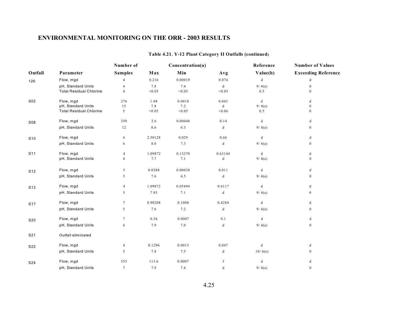|                 |                                | Number of               |         | Concentration(a) |                                                                                          | Reference | <b>Number of Values</b>    |  |
|-----------------|--------------------------------|-------------------------|---------|------------------|------------------------------------------------------------------------------------------|-----------|----------------------------|--|
| Outfall         | Parameter                      | <b>Samples</b>          | Max     | Min              | Avg                                                                                      | Value(b)  | <b>Exceeding Reference</b> |  |
| 126             | Flow, mgd                      | $\overline{4}$          | 0.216   | 0.00019          | 0.074                                                                                    | $\rm d$   | d                          |  |
|                 | pH, Standard Units             |                         | 7.8     | 7.4              | d                                                                                        | 9/4(e)    | $\mathbf{0}$               |  |
|                 | <b>Total Residual Chlorine</b> | 4                       | < 0.05  | < 0.05           | < 0.05                                                                                   | 0.5       | $\Omega$                   |  |
| S02             | Flow, mgd                      | 276                     | 1.08    | 0.0018           | 0.043                                                                                    | d         | d                          |  |
|                 | pH, Standard Units             | 15                      | 7.8     | 7.2              | d                                                                                        | 9/4(e)    | $\mathbf{0}$               |  |
|                 | <b>Total Residual Chlorine</b> | 5                       | < 0.05  | < 0.05           | < 0.06                                                                                   | $0.5\,$   | $\mathbf{0}$               |  |
| S08             | Flow, mgd                      | 350                     | 2.6     | 0.00048          | 0.14                                                                                     | d         | d                          |  |
|                 | pH, Standard Units             | 12                      | 8.6     | 6.3              | d                                                                                        | 9/4(e)    | $\bf{0}$                   |  |
| S <sub>10</sub> | Flow, mgd                      | 6                       | 2.50128 | 0.029            | 0.66                                                                                     | d         | d                          |  |
|                 | pH, Standard Units             | 6                       | $8.0\,$ | 7.3              | d                                                                                        | 9/4(e)    | $\boldsymbol{0}$           |  |
| S <sub>11</sub> | Flow, mgd                      | 4                       | 1.09872 | 0.13378          | 0.63144                                                                                  | d         | d                          |  |
|                 | pH, Standard Units             | 4                       | 7.7     | 7.1              | d                                                                                        | 9/4(e)    | $\mathbf{0}$               |  |
| S <sub>12</sub> | Flow, mgd                      | 5                       | 0.0288  | 0.00038          | 0.011                                                                                    | d         | d                          |  |
|                 | pH, Standard Units             | 5                       | 7.6     | 6.5              | d                                                                                        | 9/4(e)    | $\mathbf{0}$               |  |
| <b>S13</b>      | Flow, mgd                      | $\overline{\mathbf{4}}$ | 1.09872 | 0.05494          | 0.6117                                                                                   | d         | d                          |  |
|                 | pH, Standard Units             | 5                       | 7.93    | 7.1              | $\mathrm{d}% \left\{ \mathcal{M}_{1}\right\} =\mathrm{d}\left\{ \mathcal{M}_{2}\right\}$ | 9/4(e)    | $\mathbf{0}$               |  |
| <b>S17</b>      | Flow, mgd                      | $\tau$                  | 0.98208 | 0.1008           | 0.4284                                                                                   | d         | d                          |  |
|                 | pH, Standard Units             | 5                       | 7.6     | 7.2              | d                                                                                        | 9/4(e)    | $\bf{0}$                   |  |
| S20             | Flow, mgd                      | 7                       | 0.36    | 0.0007           | 0.1                                                                                      | d         | d                          |  |
|                 | pH, Standard Units             | 6                       | 7.9     | 7.0              | d                                                                                        | 9/4(e)    | $\mathbf{0}$               |  |
| S21             | Outfall eliminated             |                         |         |                  |                                                                                          |           |                            |  |
| S22             | Flow, mgd                      | $\overline{4}$          | 0.1296  | 0.0015           | 0.047                                                                                    | d         | d                          |  |
|                 | pH, Standard Units             | 5                       | 7.8     | 7.5              | d                                                                                        | 10/6(e)   | $\mathbf{0}$               |  |
| S24             | Flow, mgd                      | 355                     | 113.6   | 0.0007           | 3                                                                                        | d         | d                          |  |
|                 | pH, Standard Units             | $\tau$                  | 7.9     | 7.4              | d                                                                                        | 9/4(e)    | $\mathbf{0}$               |  |

#### **Table 4.21. Y-12 Plant Category II Outfalls (continued)**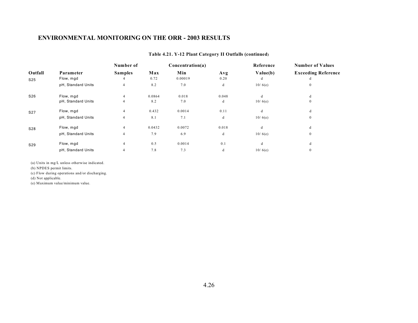|                 |                    | Number of      |        | Concentration(a) |       | Reference | <b>Number of Values</b>    |
|-----------------|--------------------|----------------|--------|------------------|-------|-----------|----------------------------|
| Outfall         | Parameter          | <b>Samples</b> | Max    | Min              | Avg   | Value(b)  | <b>Exceeding Reference</b> |
| S <sub>25</sub> | Flow, mgd          |                | 0.72   | 0.00019          | 0.20  | d         | d                          |
|                 | pH, Standard Units | $\overline{4}$ | 8.2    | 7.0              | d     | 10/6(e)   | $\mathbf{0}$               |
| S26             | Flow, mgd          |                | 0.0864 | 0.018            | 0.048 | d         | d                          |
|                 | pH, Standard Units | 4              | 8.2    | 7.0              | d     | 10/6(e)   | $\mathbf{0}$               |
| S <sub>27</sub> | Flow, mgd          | 4              | 0.432  | 0.0014           | 0.11  | d         | d                          |
|                 | pH, Standard Units | $\overline{4}$ | 8.1    | 7.1              | d     | 10/6(e)   | $\mathbf{0}$               |
| S28             | Flow, mgd          | 4              | 0.0432 | 0.0072           | 0.018 | d         | d                          |
|                 | pH, Standard Units | $\overline{4}$ | 7.9    | 6.9              | d     | 10/6(e)   | $\mathbf{0}$               |
| S29             | Flow, mgd          | $\overline{4}$ | 0.5    | 0.0014           | 0.1   | d         | d                          |
|                 | pH, Standard Units | 4              | 7.8    | 7.3              | d     | 10/6(e)   | $\mathbf{0}$               |

#### **Table 4.21. Y-12 Plant Category II Outfalls (continued)**

(a) Units in mg/L unless otherwise indicated.

(b) NPDES permit limits.

(c) Flow during operations and/or discharging.

(d) Not applicable.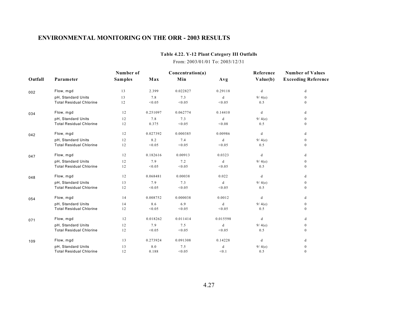#### **Table 4.22. Y-12 Plant Category III Outfalls**

#### From: 2003/01/01 To: 2003/12/31

|         |                                | Number of      |          | Concentration(a) |          | Reference                                                                                | <b>Number of Values</b>    |
|---------|--------------------------------|----------------|----------|------------------|----------|------------------------------------------------------------------------------------------|----------------------------|
| Outfall | Parameter                      | <b>Samples</b> | Max      | Min              | Avg      | Value(b)                                                                                 | <b>Exceeding Reference</b> |
| 002     | Flow, mgd                      | 13             | 2.399    | 0.022827         | 0.29118  | d                                                                                        | d                          |
|         | pH, Standard Units             | 13             | 7.8      | 7.3              | d        | 9/4(e)                                                                                   | $\mathbf{0}$               |
|         | <b>Total Residual Chlorine</b> | 12             | < 0.05   | < 0.05           | < 0.05   | 0.5                                                                                      | $\mathbf{0}$               |
| 034     | Flow, mgd                      | 12             | 0.251097 | 0.062774         | 0.14410  | d                                                                                        | d                          |
|         | pH, Standard Units             | 12             | 7.8      | 7.3              | d        | 9/4(e)                                                                                   | $\boldsymbol{0}$           |
|         | <b>Total Residual Chlorine</b> | 12             | 0.375    | < 0.05           | < 0.08   | 0.5                                                                                      | $\mathbf{0}$               |
| 042     | Flow, mgd                      | 12             | 0.027392 | 0.000385         | 0.00986  | d                                                                                        | d                          |
|         | pH, Standard Units             | 12             | 8.2      | 7.4              | d        | 9/4(e)                                                                                   | $\boldsymbol{0}$           |
|         | <b>Total Residual Chlorine</b> | 12             | < 0.05   | < 0.05           | < 0.05   | 0.5                                                                                      | $\mathbf{0}$               |
| 047     | Flow, mgd                      | 12             | 0.182616 | 0.00913          | 0.0323   | d                                                                                        | d                          |
|         | pH, Standard Units             | 12             | 7.9      | 7.2              | d        | 9/4(e)                                                                                   | $\boldsymbol{0}$           |
|         | <b>Total Residual Chlorine</b> | 12             | < 0.05   | < 0.05           | < 0.05   | 0.5                                                                                      | $\mathbf{0}$               |
| 048     | Flow, mgd                      | 12             | 0.068481 | 0.00038          | 0.022    | d                                                                                        | d                          |
|         | pH, Standard Units             | 13             | 7.9      | 7.3              | d        | 9/4(e)                                                                                   | $\boldsymbol{0}$           |
|         | <b>Total Residual Chlorine</b> | 12             | < 0.05   | < 0.05           | < 0.05   | 0.5                                                                                      | $\boldsymbol{0}$           |
| 054     | Flow, mgd                      | 14             | 0.008752 | 0.000038         | 0.0012   | $\mathrm{d}% \left\{ \mathcal{M}_{1}\right\} =\mathrm{d}\left\{ \mathcal{M}_{2}\right\}$ | d                          |
|         | pH, Standard Units             | 14             | 8.6      | 6.9              | d        | 9/4(e)                                                                                   | $\boldsymbol{0}$           |
|         | <b>Total Residual Chlorine</b> | 12             | < 0.05   | < 0.05           | < 0.05   | 0.5                                                                                      | $\mathbf{0}$               |
| 071     | Flow, mgd                      | 12             | 0.018262 | 0.011414         | 0.015598 | d                                                                                        | d                          |
|         | pH, Standard Units             | 12             | 7.9      | 7.5              | d        | 9/4(e)                                                                                   | $\boldsymbol{0}$           |
|         | <b>Total Residual Chlorine</b> | 12             | < 0.05   | < 0.05           | < 0.05   | 0.5                                                                                      | $\mathbf{0}$               |
| 109     | Flow, mgd                      | 13             | 0.273924 | 0.091308         | 0.14228  | d                                                                                        | d                          |
|         | pH, Standard Units             | 13             | 8.0      | 7.5              | d        | 9/4(e)                                                                                   | $\mathbf{0}$               |
|         | <b>Total Residual Chlorine</b> | 12             | 0.188    | < 0.05           | < 0.1    | 0.5                                                                                      | $\mathbf{0}$               |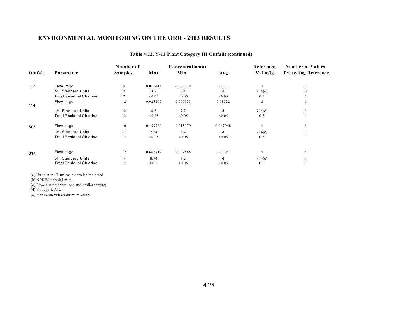|                 |                                | Number of      |          | Concentration(a) |          | Reference | <b>Number of Values</b>    |
|-----------------|--------------------------------|----------------|----------|------------------|----------|-----------|----------------------------|
| Outfall         | Parameter                      | <b>Samples</b> | Max      | Min              | Avg      | Value(b)  | <b>Exceeding Reference</b> |
| 113             | Flow, mgd                      | 12             | 0.011414 | 0.000038         | 0.0031   | d         | d                          |
|                 | pH, Standard Units             | 12             | 8.5      | 7.4              | d        | 9/4(e)    | 0                          |
|                 | <b>Total Residual Chlorine</b> | 12             | < 0.05   | < 0.05           | < 0.05   | 0.5       |                            |
| 114             | Flow, mgd                      | 12             | 0.025109 | 0.009131         | 0.01522  | d         | d                          |
|                 | pH, Standard Units             | 12             | 8.2      | 7.7              | d        | 9/4(e)    | $\Omega$                   |
|                 | <b>Total Residual Chlorine</b> | 12             | < 0.05   | < 0.05           | < 0.05   | 0.5       | $\Omega$                   |
| S <sub>05</sub> | Flow, mgd                      | 10             | 0.159789 | 0.015979         | 0.067948 | d         | d                          |
|                 | pH, Standard Units             | 22             | 7.64     | 6.4              | d        | 9/4(e)    | $\Omega$                   |
|                 | <b>Total Residual Chlorine</b> | 12             | < 0.05   | < 0.05           | < 0.05   | 0.5       | $\Omega$                   |
| S <sub>14</sub> | Flow, mgd                      | 12             | 0.665712 | 0.004565         | 0.09797  | d         | d                          |
|                 | pH, Standard Units             | 14             | 8.74     | 7.2              | d        | 9/4(e)    | $\Omega$                   |
|                 | <b>Total Residual Chlorine</b> | 12             | < 0.05   | < 0.05           | < 0.05   | 0.5       | $^{(1)}$                   |

#### **Table 4.22. Y-12 Plant Category III Outfalls (continued)**

(a) Units in mg/L unless otherwise indicated.

(b) NPDES permit limits.

(c) Flow during operations and/or discharging.

(d) Not applicable.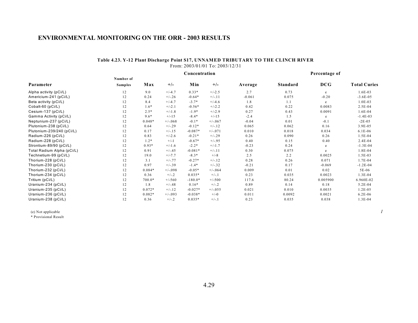#### **Table 4.23. Y-12 Plant Discharge Point S17, UNNAMED TRIBUTARY TO THE CLINCH RIVER** From: 2003/01/01 To: 2003/12/31

|                            |                |          |           | Percentage of |           |          |                 |            |                     |
|----------------------------|----------------|----------|-----------|---------------|-----------|----------|-----------------|------------|---------------------|
|                            | Number of      |          |           |               |           |          |                 |            |                     |
| Parameter                  | <b>Samples</b> | Max      | $+/-$     | Min           | $+/-$     | Average  | <b>Standard</b> | <b>DCG</b> | <b>Total Curies</b> |
| Alpha activity (pCi/L)     | 12             | 9.0      | $+/-4.7$  | $0.33*$       | $+/-2.5$  | 2.7      | 0.73            | e          | $1.6E-03$           |
| Americium-241 (pCi/L)      | 12             | 0.24     | $+/-.26$  | $-0.64*$      | $+/-11$   | $-0.061$ | 0.075           | $-0.20$    | $-3.6E-05$          |
| Beta activity (pCi/L)      | 12             | 8.4      | $+/-4.7$  | $-3.7*$       | $+/-4.6$  | 1.8      | 1.1             | e          | $1.0E-03$           |
| Cobalt-60 (pCi/L)          | 12             | $1.6*$   | $+/-2.1$  | $-0.56*$      | $+/-2.2$  | 0.42     | 0.22            | 0.0083     | 2.5E-04             |
| Cesium-137 (pCi/L)         | 12             | $2.5*$   | $+/-1.8$  | $-1.9*$       | $+/-2.9$  | 0.27     | 0.43            | 0.0091     | $1.6E-04$           |
| Gamma Activity (pCi/L)     | 12             | $9.6*$   | $+/-15$   | $-8.4*$       | $+/-15$   | $-2.4$   | 1.5             | e          | $-1.4E-03$          |
| Neptunium-237 (pCi/L)      | 12             | $0.048*$ | $+/-068$  | $-0.1*$       | $+/-067$  | $-0.04$  | 0.01            | $-0.1$     | $-2E-05$            |
| Plutonium-238 (pCi/L)      | 12             | 0.64     | $+/-.29$  | $-0.12*$      | $+/-.12$  | 0.065    | 0.062           | 0.16       | 3.9E-05             |
| Plutonium-239/240 (pCi/L)  | 12             | 0.17     | $+/-15$   | $-0.087*$     | $+/-.071$ | 0.010    | 0.018           | 0.034      | $6.1E-06$           |
| Radium-226 (pCi/L)         | 12             | 0.83     | $+/-2.6$  | $-0.21*$      | $+/-.29$  | 0.26     | 0.090           | 0.26       | $1.5E-04$           |
| Radium-228 (pCi/L)         | 12             | $1.2*$   | $+/-1$    | $-0.67*$      | $+/-.95$  | 0.40     | 0.15            | 0.40       | $2.4E-04$           |
| Strontium-89/90 (pCi/L)    | 12             | $0.93*$  | $+/-1.6$  | $-2.2*$       | $+/-1.7$  | $-0.23$  | 0.24            | e          | $-1.3E-04$          |
| Total Radium Alpha (pCi/L) | 12             | 0.91     | $+/-.45$  | $-0.081*$     | $+/-11$   | 0.30     | 0.075           | e          | $1.8E-04$           |
| Technetium-99 (pCi/L)      | 12             | 19.0     | $+/-7.7$  | $-8.3*$       | $+/-8$    | 2.5      | 2.2             | 0.0025     | 1.5E-03             |
| Thorium-228 (pCi/L)        | 12             | 3.1      | $+/-.77$  | $-0.27*$      | $+/-12$   | 0.28     | 0.26            | 0.071      | $1.7E-04$           |
| Thorium-230 (pCi/L)        | 12             | 0.97     | $+/-.39$  | $-1.4*$       | $+/-.32$  | $-0.21$  | 0.17            | $-0.069$   | $-1.2E-04$          |
| Thorium-232 (pCi/L)        | 12             | $0.084*$ | $+/-098$  | $-0.05*$      | $+/-064$  | 0.009    | 0.01            | 0.02       | 5E-06               |
| Thorium-234 (pCi/L)        | 12             | 0.36     | $+/-.2$   | $0.035*$      | $+/-.1$   | 0.23     | 0.035           | 0.0023     | 1.3E-04             |
| Tritium (pCi/L)            | 12             | 700.0*   | $+/-560$  | $-180.0*$     | $+/-500$  | 117.6    | 80.24           | 0.005900   | 6.960E-02           |
| Uranium-234 (pCi/L)        | 12             | 1.8      | $+/-.48$  | $0.16*$       | $+/-2$    | 0.89     | 0.14            | 0.18       | 5.2E-04             |
| Uranium-235 (pCi/L)        | 12             | $0.072*$ | $+/-.12$  | $-0.027*$     | $+/-0.55$ | 0.021    | 0.010           | 0.0035     | $1.2E-0.5$          |
| Uranium-236 (pCi/L)        | 12             | $0.082*$ | $+/-0.93$ | $-0.038*$     | $+/-0$    | 0.011    | 0.0092          | 0.0021     | $6.2E-06$           |
| Uranium-238 (pCi/L)        | 12             | 0.36     | $+/-.2$   | $0.035*$      | $+/-.1$   | 0.23     | 0.035           | 0.038      | $1.3E-04$           |

(e) Not applicable *1*

\* Provisional Result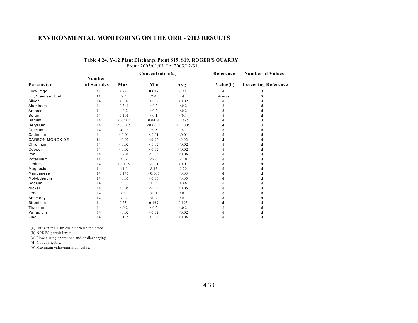|                        |            |          | Concentration(a) |          | Reference | <b>Number of Values</b>    |  |
|------------------------|------------|----------|------------------|----------|-----------|----------------------------|--|
|                        | Number     |          |                  |          |           |                            |  |
| Parameter              | of Samples | Max      | Min              | Avg      | Value(b)  | <b>Exceeding Reference</b> |  |
| Flow, mgd              | 347        | 2.222    | 0.078            | 0.44     | d         | d                          |  |
| pH, Standard Unit      | 14         | 8.5      | 7.0              | d        | 9/6(e)    | 0                          |  |
| Silver                 | 14         | < 0.02   | < 0.02           | < 0.02   | d         |                            |  |
| Aluminum               | 14         | 0.341    | < 0.2            | < 0.2    |           |                            |  |
| Arsenic                | 14         | < 0.2    | < 0.2            | < 0.2    |           |                            |  |
| Boron                  | 14         | 0.101    | < 0.1            | < 0.1    |           | d                          |  |
| Barium                 | 14         | 0.0582   | 0.0454           | 0.0495   |           |                            |  |
| Beryllium              | 14         | < 0.0005 | < 0.0005         | < 0.0005 | d         | d                          |  |
| Calcium                | 14         | 40.9     | 29.5             | 36.3     | d         | d                          |  |
| Cadmium                | 14         | < 0.01   | < 0.01           | < 0.01   |           |                            |  |
| <b>CARBON MONOXIDE</b> | 14         | < 0.02   | < 0.02           | < 0.02   | d         | đ                          |  |
| Chromium               | 14         | < 0.02   | < 0.02           | < 0.02   |           | d                          |  |
| Copper                 | 14         | < 0.02   | < 0.02           | < 0.02   |           | d                          |  |
| Iron                   | 14         | 0.204    | < 0.05           | < 0.06   |           |                            |  |
| Potassium              | 14         | 2.09     | < 2.0            | < 2.0    |           |                            |  |
| Lithium                | 14         | 0.0138   | < 0.01           | < 0.01   |           | đ                          |  |
| Magnesium              | 14         | 11.5     | 8.45             | 9.70     |           | d                          |  |
| Manganese              | 14         | 0.145    | < 0.005          | < 0.03   |           | d                          |  |
| Molybdenum             | 14         | < 0.05   | < 0.05           | < 0.05   |           |                            |  |
| Sodium                 | 14         | 2.07     | 1.05             | 1.46     |           |                            |  |
| Nickel                 | 14         | < 0.05   | < 0.05           | < 0.05   |           | d                          |  |
| Lead                   | 14         | < 0.1    | < 0.1            | < 0.1    |           |                            |  |
| Antimony               | 14         | < 0.2    | < 0.2            | < 0.2    |           |                            |  |
| Strontium              | 14         | 0.234    | 0.169            | 0.193    |           |                            |  |
| Thallium               | 14         | < 0.2    | < 0.2            | < 0.2    |           |                            |  |
| Vanadium               | 14         | < 0.02   | < 0.02           | < 0.02   | d         | d                          |  |
| Zinc                   | 14         | 0.136    | < 0.05           | < 0.06   | d         | d                          |  |

#### **Table 4.24. Y-12 Plant Discharge Point S19, S19, ROGER'S QUARRY**

From: 2003/01/01 To: 2003/12/31

(a) Units in mg/L unless otherwise indicated.

(b) NPDES permit limits.

(c) Flow during operations and/or discharging.

(d) Not applicable.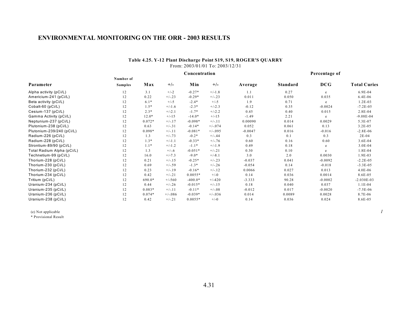#### **Table 4.25. Y-12 Plant Discharge Point S19, S19, ROGER'S QUARRY** From: 2003/01/01 To: 2003/12/31

|                            |                |          |           | Percentage of |           |           |                 |            |                     |
|----------------------------|----------------|----------|-----------|---------------|-----------|-----------|-----------------|------------|---------------------|
|                            | Number of      |          |           |               |           |           |                 |            |                     |
| Parameter                  | <b>Samples</b> | Max      | $+/-$     | Min           | $+/-$     | Average   | <b>Standard</b> | <b>DCG</b> | <b>Total Curies</b> |
| Alpha activity (pCi/L)     | 12             | 3.1      | $+/-2$    | $-0.27*$      | $+/-1.8$  | 1.1       | 0.27            | e          | 6.9E-04             |
| Americium-241 (pCi/L)      | 12             | 0.22     | $+/-.23$  | $-0.29*$      | $+/-.23$  | 0.011     | 0.050           | 0.035      | 6.4E-06             |
| Beta activity (pCi/L)      | 12             | $6.1*$   | $+/-5$    | $-2.4*$       | $+/-5$    | 1.9       | 0.71            | e          | $1.2E-03$           |
| Cobalt-60 (pCi/L)          | 12             | $1.5*$   | $+/-1.6$  | $-2.3*$       | $+/-2.3$  | $-0.12$   | 0.35            | $-0.0024$  | $-7.2E - 05$        |
| Cesium-137 (pCi/L)         | 12             | $2.3*$   | $+/-2.1$  | $-1.7*$       | $+/-2.2$  | 0.45      | 0.40            | 0.015      | $2.8E-04$           |
| Gamma Activity (pCi/L)     | 12             | $12.0*$  | $+/-15$   | $-14.0*$      | $+/-15$   | $-1.49$   | 2.21            | e          | $-9.08E - 04$       |
| Neptunium-237 (pCi/L)      | 12             | $0.072*$ | $+/-17$   | $-0.098*$     | $+/-11$   | 0.00090   | 0.014           | 0.0029     | 5.3E-07             |
| Plutonium-238 (pCi/L)      | 12             | 0.63     | $+/-.31$  | $-0.14*$      | $+/-074$  | 0.052     | 0.061           | 0.13       | $3.2E-0.5$          |
| Plutonium-239/240 (pCi/L)  | 12             | $0.098*$ | $+/-.11$  | $-0.081*$     | $+/-0.95$ | $-0.0047$ | 0.016           | $-0.016$   | $-2.8E-06$          |
| Radium-226 (pCi/L)         | 12             | 1.3      | $+/-.73$  | $-0.2*$       | $+/-.44$  | 0.3       | 0.1             | 0.3        | $2E-04$             |
| Radium-228 (pCi/L)         | 12             | $1.3*$   | $+/-1.1$  | $-0.33*$      | $+/-.76$  | 0.60      | 0.16            | 0.60       | $3.6E-04$           |
| Strontium-89/90 (pCi/L)    | 12             | $1.1*$   | $+/-1.2$  | $-1.1*$       | $+/-1.9$  | 0.49      | 0.18            | e          | $3.0E - 04$         |
| Total Radium Alpha (pCi/L) | 12             | 1.3      | $+/-.6$   | $-0.051*$     | $+/-.21$  | 0.30      | 0.10            | e          | 1.8E-04             |
| Technetium-99 (pCi/L)      | 12             | 16.0     | $+/-7.3$  | $-9.0*$       | $+/-8.1$  | 3.0       | 2.0             | 0.0030     | 1.9E-03             |
| Thorium-228 (pCi/L)        | 12             | 0.21     | $+/-15$   | $-0.25*$      | $+/-.23$  | $-0.037$  | 0.041           | $-0.0092$  | $-2.2E-05$          |
| Thorium-230 (pCi/L)        | 12             | 0.69     | $+/-.59$  | $-1.3*$       | $+/-.26$  | $-0.054$  | 0.14            | $-0.018$   | $-3.3E-05$          |
| Thorium-232 (pCi/L)        | 12             | 0.23     | $+/-19$   | $-0.16*$      | $+/-.12$  | 0.0066    | 0.027           | 0.013      | $4.0E-06$           |
| Thorium-234 (pCi/L)        | 12             | 0.42     | $+/-.21$  | $0.0055*$     | $+/-0$    | 0.14      | 0.036           | 0.0014     | 8.6E-05             |
| Tritium (pCi/L)            | 12             | 690.0*   | $+/-560$  | $-400.0*$     | $+/-420$  | $-3.333$  | 90.28           | $-0.0002$  | $-2.030E - 03$      |
| Uranium-234 (pCi/L)        | 12             | 0.44     | $+/-.26$  | $-0.015*$     | $+/-15$   | 0.18      | 0.040           | 0.037      | $1.1E-04$           |
| Uranium-235 (pCi/L)        | 12             | $0.083*$ | $+/-11$   | $-0.11*$      | $+/-08$   | $-0.012$  | 0.017           | $-0.0020$  | $-7.5E-06$          |
| Uranium-236 (pCi/L)        | 12             | $0.074*$ | $+/-0.86$ | $-0.039*$     | $+/-0.36$ | 0.014     | 0.0089          | 0.0028     | 8.7E-06             |
| Uranium-238 (pCi/L)        | 12             | 0.42     | $+/-.21$  | $0.0055*$     | $+/-0$    | 0.14      | 0.036           | 0.024      | 8.6E-05             |

(e) Not applicable *1*

\* Provisional Result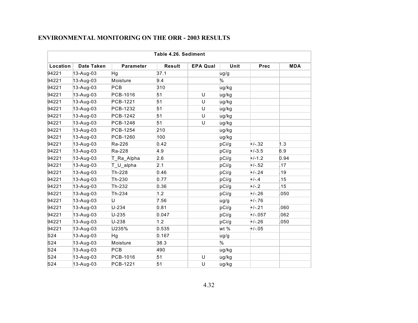|          | Table 4.26. Sediment |                  |               |                 |       |           |            |  |  |  |  |  |
|----------|----------------------|------------------|---------------|-----------------|-------|-----------|------------|--|--|--|--|--|
| Location | <b>Date Taken</b>    | <b>Parameter</b> | <b>Result</b> | <b>EPA Qual</b> | Unit  | Prec      | <b>MDA</b> |  |  |  |  |  |
| 94221    | 13-Aug-03            | Hg               | 37.1          |                 | ug/g  |           |            |  |  |  |  |  |
| 94221    | 13-Aug-03            | Moisture         | 9.4           |                 | $\%$  |           |            |  |  |  |  |  |
| 94221    | 13-Aug-03            | PCB              | 310           |                 | ug/kg |           |            |  |  |  |  |  |
| 94221    | 13-Aug-03            | PCB-1016         | 51            | U               | ug/kg |           |            |  |  |  |  |  |
| 94221    | 13-Aug-03            | PCB-1221         | 51            | U               | ug/kg |           |            |  |  |  |  |  |
| 94221    | 13-Aug-03            | PCB-1232         | 51            | U               | ug/kg |           |            |  |  |  |  |  |
| 94221    | 13-Aug-03            | PCB-1242         | 51            | U               | ug/kg |           |            |  |  |  |  |  |
| 94221    | 13-Aug-03            | PCB-1248         | 51            | U               | ug/kg |           |            |  |  |  |  |  |
| 94221    | 13-Aug-03            | PCB-1254         | 210           |                 | ug/kg |           |            |  |  |  |  |  |
| 94221    | 13-Aug-03            | PCB-1260         | 100           |                 | ug/kg |           |            |  |  |  |  |  |
| 94221    | 13-Aug-03            | Ra-226           | 0.42          |                 | pCi/g | $+/-.32$  | 1.3        |  |  |  |  |  |
| 94221    | 13-Aug-03            | Ra-228           | 4.9           |                 | pCi/g | $+/-3.5$  | 6.9        |  |  |  |  |  |
| 94221    | 13-Aug-03            | T_Ra_Alpha       | 2.6           |                 | pCi/g | $+/-1.2$  | 0.94       |  |  |  |  |  |
| 94221    | $13-Aug-03$          | T U alpha        | 2.1           |                 | pCi/g | $+/-.52$  | .17        |  |  |  |  |  |
| 94221    | 13-Aug-03            | Th-228           | 0.46          |                 | pCi/g | $+/-.24$  | .19        |  |  |  |  |  |
| 94221    | $13-Aug-03$          | Th-230           | 0.77          |                 | pCi/g | $+/-.4$   | .15        |  |  |  |  |  |
| 94221    | 13-Aug-03            | Th-232           | 0.36          |                 | pCi/g | $+/-.2$   | .15        |  |  |  |  |  |
| 94221    | 13-Aug-03            | Th-234           | 1.2           |                 | pCi/g | $+/-.26$  | .050       |  |  |  |  |  |
| 94221    | 13-Aug-03            | U                | 7.56          |                 | ug/g  | $+/-.76$  |            |  |  |  |  |  |
| 94221    | 13-Aug-03            | $U-234$          | 0.81          |                 | pCi/g | $+/-.21$  | .060       |  |  |  |  |  |
| 94221    | 13-Aug-03            | $U-235$          | 0.047         |                 | pCi/g | $+/-.057$ | 062        |  |  |  |  |  |
| 94221    | 13-Aug-03            | U-238            | 1.2           |                 | pCi/g | $+/-.26$  | .050       |  |  |  |  |  |
| 94221    | $13-Aug-03$          | U235%            | 0.535         |                 | wt %  | $+/-.05$  |            |  |  |  |  |  |
| S24      | 13-Aug-03            | Hg               | 0.167         |                 | ug/g  |           |            |  |  |  |  |  |
| S24      | 13-Aug-03            | Moisture         | 38.3          |                 | $\%$  |           |            |  |  |  |  |  |
| S24      | 13-Aug-03            | PCB              | 490           |                 | ug/kg |           |            |  |  |  |  |  |
| S24      | 13-Aug-03            | PCB-1016         | 51            | U               | ug/kg |           |            |  |  |  |  |  |
| S24      | 13-Aug-03            | <b>PCB-1221</b>  | 51            | U               | ug/kg |           |            |  |  |  |  |  |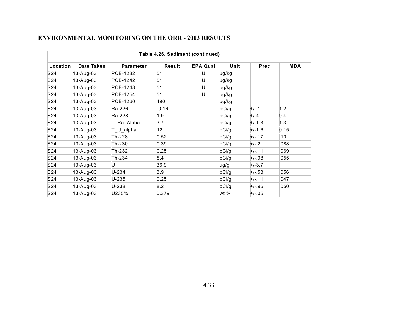| Table 4.26. Sediment (continued) |                   |                  |                 |                 |       |          |            |  |  |  |  |
|----------------------------------|-------------------|------------------|-----------------|-----------------|-------|----------|------------|--|--|--|--|
| Location                         | <b>Date Taken</b> | <b>Parameter</b> | Result          | <b>EPA Qual</b> | Unit  | Prec     | <b>MDA</b> |  |  |  |  |
| S <sub>24</sub>                  | 13-Aug-03         | PCB-1232         | 51              | U               | ug/kg |          |            |  |  |  |  |
| S <sub>24</sub>                  | $13 - Aug-03$     | PCB-1242         | 51              | U               | ug/kg |          |            |  |  |  |  |
| S <sub>24</sub>                  | 13-Aug-03         | PCB-1248         | 51              | U               | ug/kg |          |            |  |  |  |  |
| S <sub>24</sub>                  | 13-Aug-03         | PCB-1254         | 51              | U               | ug/kg |          |            |  |  |  |  |
| S <sub>24</sub>                  | 13-Aug-03         | PCB-1260         | 490             |                 | ug/kg |          |            |  |  |  |  |
| S <sub>24</sub>                  | 13-Aug-03         | Ra-226           | $-0.16$         |                 | pCi/g | $+/-.1$  | 1.2        |  |  |  |  |
| S <sub>24</sub>                  | $13 - Aug-03$     | Ra-228           | 1.9             |                 | pCi/g | $+/-4$   | 9.4        |  |  |  |  |
| S <sub>24</sub>                  | 13-Aug-03         | T_Ra_Alpha       | 3.7             |                 | pCi/g | $+/-1.3$ | 1.3        |  |  |  |  |
| S24                              | 13-Aug-03         | T_U_alpha        | 12 <sup>2</sup> |                 | pCi/g | $+/-1.6$ | 0.15       |  |  |  |  |
| S24                              | $13 - Aug-03$     | Th-228           | 0.52            |                 | pCi/g | $+/-.17$ | .10        |  |  |  |  |
| S <sub>24</sub>                  | 13-Aug-03         | Th-230           | 0.39            |                 | pCi/g | $+/-.2$  | 880.       |  |  |  |  |
| S24                              | $13 - Aug-03$     | Th-232           | 0.25            |                 | pCi/g | $+/-.11$ | .069       |  |  |  |  |
| S24                              | 13-Aug-03         | Th-234           | 8.4             |                 | pCi/g | $+/-.98$ | .055       |  |  |  |  |
| S <sub>24</sub>                  | 13-Aug-03         | U                | 36.9            |                 | ug/g  | $+/-3.7$ |            |  |  |  |  |
| S <sub>24</sub>                  | 13-Aug-03         | U-234            | 3.9             |                 | pCi/g | $+/-.53$ | .056       |  |  |  |  |
| S <sub>24</sub>                  | $13 - Aug-03$     | $U - 235$        | 0.25            |                 | pCi/g | $+/-.11$ | .047       |  |  |  |  |
| S <sub>24</sub>                  | 13-Aug-03         | U-238            | 8.2             |                 | pCi/g | $+/-.96$ | .050       |  |  |  |  |
| S24                              | 13-Aug-03         | U235%            | 0.379           |                 | wt %  | $+/-.05$ |            |  |  |  |  |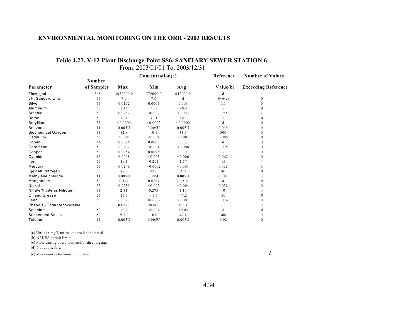### **Table 4.27. Y-12 Plant Discharge Point SS6, SANITARY SEWER STATION 6** From: 2003/01/01 To: 2003/12/31

|                                    |            |           | Concentration(a) |          | Reference | <b>Number of Values</b>    |  |
|------------------------------------|------------|-----------|------------------|----------|-----------|----------------------------|--|
|                                    | Number     |           |                  |          |           |                            |  |
| Parameter                          | of Samples | Max       | Min              | Avg      | Value(b)  | <b>Exceeding Reference</b> |  |
| Flow, gpd                          | 365        | 3072000.0 | 372000.0         | 642000.0 | d         | d                          |  |
| pH, Sandard Unit                   | 55         | 7.9       | 7.0              | d        | 9/6(e)    | $\Omega$                   |  |
| Silver                             | 53         | 0.0162    | 0.0005           | 0.003    | 0.1       | $\Omega$                   |  |
| Aluminum                           | 53         | 2.15      | < 0.2            | < 0.4    | d         | d                          |  |
| Arsenic                            | 53         | 0.0262    | < 0.002          | < 0.003  | 0.015     | 2                          |  |
| Boron                              | 53         | < 0.1     | < 0.1            | < 0.1    | d         | d                          |  |
| Beryllium                          | 53         | < 0.0005  | < 0.0002         | < 0.0002 | d         | d                          |  |
| Benzene                            | 11         | 0.005U    | 0.005U           | 0.005U   | 0.015     | 0                          |  |
| <b>Biochemical Oxygen</b>          | 53         | 82.8      | 10.1             | 33.7     | 300       | $\Omega$                   |  |
| Cadmium                            | 53         | < 0.001   | < 0.001          | < 0.001  | 0.005     | $\Omega$                   |  |
| Cobalt                             | 46         | 0.0076    | 0.0005           | 0.002    | d         | d                          |  |
| Chromium                           | 53         | 0.0632    | < 0.004          | < 0.006  | 0.075     | $\Omega$                   |  |
| Copper                             | 53         | 0.0954    | 0.0095           | 0.031    | 0.21      | $\Omega$                   |  |
| Cyanide                            | 13         | 0.0068    | < 0.005          | < 0.006  | 0.062     | 0                          |  |
| Iron                               | 53         | 19.1      | 0.203            | 1.57     | 15        |                            |  |
| Mercury                            | 53         | 0.0249    | < 0.0002         | < 0.001  | 0.035     | $\Omega$                   |  |
| Kjeldahl Nitrogen                  | 53         | 19.5      | < 2.0            | < 12     | 90        | 0                          |  |
| Methylene chloride                 | 11         | 0.005U    | 0.005U           | 0.005U   | 0.041     | 0                          |  |
| Manganese                          | 53         | 0.122     | 0.0267           | 0.0501   | d         | d                          |  |
| Nickel                             | 53         | 0.0235    | < 0.002          | < 0.004  | 0.032     | $\Omega$                   |  |
| Nitrate/Nitrite as Nitrogen        | 53         | 2.11      | 0.275            | 1.10     | 10        | 0                          |  |
| Oil and Grease                     | 26         | 15.3      | < 5.5            | < 7.2    | 50        | $\mathbf{0}$               |  |
| Lead                               | 53         | 0.0097    | < 0.0002         | < 0.001  | 0.074     | $\Omega$                   |  |
| <b>Phenols - Total Recoverable</b> | 53         | 0.0273    | < 0.005          | < 0.01   | 0.5       | 0                          |  |
| Selenium                           | 53         | < 0.2     | < 0.004          | < 0.02   | d         | d                          |  |
| <b>Suspended Solids</b>            | 53         | 203.0     | 10.0             | 49.1     | 300       | 0                          |  |
| Toluene                            | 11         | 0.005U    | 0.005U           | 0.005U   | 0.02      | $\mathbf{0}$               |  |

(a) Units in mg/L unless otherwise indicated.

(b) NPDES permit limits.

(c) Flow during operations and/or discharging.

(d) Not applicable.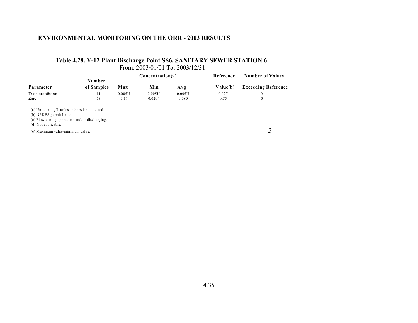### **Table 4.28. Y-12 Plant Discharge Point SS6, SANITARY SEWER STATION 6** From: 2003/01/01 To: 2003/12/31

|                                                                                                                                                    |                      |        | Concentration(a) |        | Reference | <b>Number of Values</b>    |
|----------------------------------------------------------------------------------------------------------------------------------------------------|----------------------|--------|------------------|--------|-----------|----------------------------|
| Parameter                                                                                                                                          | Number<br>of Samples | Max    | Min              | Avg    | Value(b)  | <b>Exceeding Reference</b> |
| Trichloroethene                                                                                                                                    | 11                   | 0.005U | 0.005U           | 0.005U | 0.027     | $\theta$                   |
| Zinc                                                                                                                                               | 53                   | 0.17   | 0.0294           | 0.080  | 0.75      | $\mathbf{0}$               |
| (a) Units in mg/L unless otherwise indicated.<br>(b) NPDES permit limits.<br>(c) Flow during operations and/or discharging.<br>(d) Not applicable. |                      |        |                  |        |           |                            |
| (e) Maximum value/minimum value.                                                                                                                   |                      |        |                  |        |           |                            |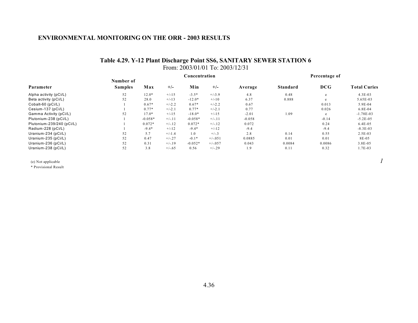### **Table 4.29. Y-12 Plant Discharge Point SS6, SANITARY SEWER STATION 6** From: 2003/01/01 To: 2003/12/31

|                           |                |           |          | Concentration |            |          | Percentage of   |            |                     |
|---------------------------|----------------|-----------|----------|---------------|------------|----------|-----------------|------------|---------------------|
|                           | Number of      |           |          |               |            |          |                 |            |                     |
| Parameter                 | <b>Samples</b> | Max       | $+/-$    | Min           | $+/-$      | Average  | <b>Standard</b> | <b>DCG</b> | <b>Total Curies</b> |
| Alpha activity (pCi/L)    | 52             | $12.0*$   | $+/-15$  | $-3.5*$       | $+/-3.9$   | 4.8      | 0.48            | e          | $4.3E-03$           |
| Beta activity (pCi/L)     | 52             | 28.0      | $+/-13$  | $-12.0*$      | $+/-10$    | 6.37     | 0.888           | e          | 5.65E-03            |
| Cobalt-60 (pCi/L)         |                | $0.67*$   | $+/-2.2$ | $0.67*$       | $+/-2.2$   | 0.67     |                 | 0.013      | $5.9E-04$           |
| Cesium-137 (pCi/L)        |                | $0.77*$   | $+/-2.1$ | $0.77*$       | $+/-2.1$   | 0.77     |                 | 0.026      | $6.8E - 04$         |
| Gamma Activity (pCi/L)    | 52             | $17.0*$   | $+/-15$  | $-18.0*$      | $+/-15$    | $-2.01$  | 1.09            | e          | $-1.78E-03$         |
| Plutonium-238 (pCi/L)     |                | $-0.058*$ | $+/-11$  | $-0.058*$     | $+/-11$    | $-0.058$ |                 | $-0.14$    | $-5.2E-05$          |
| Plutonium-239/240 (pCi/L) |                | $0.072*$  | $+/-.12$ | $0.072*$      | $+/-12$    | 0.072    |                 | 0.24       | $6.4E - 0.5$        |
| Radium-228 (pCi/L)        |                | $-9.4*$   | $+/-12$  | $-9.4*$       | $+/-12$    | $-9.4$   |                 | $-9.4$     | $-8.3E-03$          |
| Uranium-234 (pCi/L)       | 52             | 5.7       | $+/-1.4$ | 1.0           | $+/-3$     | 2.8      | 0.14            | 0.55       | $2.5E-03$           |
| Uranium-235 (pCi/L)       | 52             | 0.47      | $+/-.27$ | $-0.1*$       | $+/-0.051$ | 0.0885   | 0.01            | 0.01       | 8E-05               |
| Uranium-236 (pCi/L)       | 52             | 0.31      | $+/-19$  | $-0.052*$     | $+/-0.57$  | 0.043    | 0.0084          | 0.0086     | 3.8E-05             |
| Uranium-238 (pCi/L)       | 52             | 3.8       | $+/-.65$ | 0.56          | $+/-29$    | 1.9      | 0.11            | 0.32       | 1.7E-03             |

(e) Not applicable  $1$ 

\* Provisional Result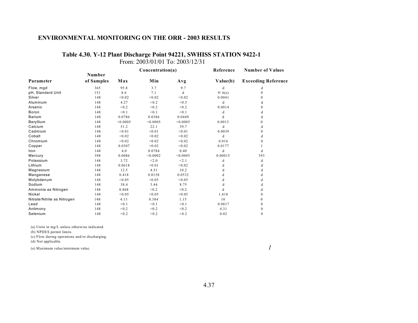# **Table 4.30. Y-12 Plant Discharge Point 94221, SWHISS STATION 9422-1**

From: 2003/01/01 To: 2003/12/31

|                             |            |          | Concentration(a) |          | Reference | <b>Number of Values</b>    |  |
|-----------------------------|------------|----------|------------------|----------|-----------|----------------------------|--|
|                             | Number     |          |                  |          |           |                            |  |
| Parameter                   | of Samples | Max      | Min              | Avg      | Value(b)  | <b>Exceeding Reference</b> |  |
| Flow, mgd                   | 365        | 95.8     | 3.7              | 9.7      | d         | d                          |  |
| pH, Standard Unit           | 151        | 8.6      | 7.1              | d        | 9/6(e)    | $\Omega$                   |  |
| Silver                      | 148        | < 0.02   | < 0.02           | < 0.02   | 0.0041    | $\mathbf{0}$               |  |
| Aluminum                    | 148        | 4.27     | < 0.2            | < 0.5    | d         | d                          |  |
| Arsenic                     | 148        | < 0.2    | < 0.2            | < 0.2    | 0.0014    | $\Omega$                   |  |
| Boron                       | 148        | < 0.1    | < 0.1            | < 0.1    | d         | d                          |  |
| <b>Barium</b>               | 148        | 0.0786   | 0.0386           | 0.0449   | d         | d                          |  |
| Beryllium                   | 148        | < 0.0005 | < 0.0005         | < 0.0005 | 0.0013    | $\mathbf{0}$               |  |
| Calcium                     | 148        | 51.2     | 22.1             | 39.7     | d         | d                          |  |
| Cadmium                     | 148        | < 0.01   | < 0.01           | < 0.01   | 0.0039    | $\mathbf{0}$               |  |
| Cobalt                      | 148        | < 0.02   | < 0.02           | < 0.02   | d         | d                          |  |
| Chromium                    | 148        | < 0.02   | < 0.02           | < 0.02   | 0.016     | $\mathbf{0}$               |  |
| Copper                      | 148        | 0.0307   | < 0.02           | < 0.02   | 0.0177    |                            |  |
| Iron                        | 148        | 4.0      | 0.0784           | 0.40     | d         | d                          |  |
| Mercury                     | 398        | 0.0086   | < 0.0002         | < 0.0005 | 0.00015   | 393                        |  |
| Potassium                   | 148        | 3.72     | < 2.0            | < 2.1    | d         | d                          |  |
| Lithium                     | 148        | 0.0618   | < 0.01           | < 0.02   | d         | d                          |  |
| Magnesium                   | 148        | 12.5     | 4.51             | 10.2     | d         | d                          |  |
| Manganese                   | 148        | 0.418    | 0.0158           | 0.0532   | d         | d                          |  |
| Molybdenum                  | 148        | < 0.05   | < 0.05           | < 0.05   | d         | d                          |  |
| Sodium                      | 148        | 38.4     | 3.44             | 8.75     | d         | d                          |  |
| Ammonia as Nitrogen         | 148        | 0.868    | < 0.2            | < 0.2    | d         | d                          |  |
| Nickel                      | 148        | < 0.05   | < 0.05           | < 0.05   | 1.418     | $\Omega$                   |  |
| Nitrate/Nitrite as Nitrogen | 148        | 4.13     | 0.384            | 1.15     | 10        | $\Omega$                   |  |
| Lead                        | 148        | < 0.1    | < 0.1            | < 0.1    | 0.0817    | $\Omega$                   |  |
| Antimony                    | 148        | < 0.2    | < 0.2            | < 0.2    | 4.31      | $\mathbf{0}$               |  |
| Selenium                    | 148        | < 0.2    | < 0.2            | < 0.2    | 0.02      | $\mathbf{0}$               |  |
|                             |            |          |                  |          |           |                            |  |

(a) Units in mg/L unless otherwise indicated.

(b) NPDES permit limits.

(c) Flow during operations and/or discharging.

(d) Not applicable.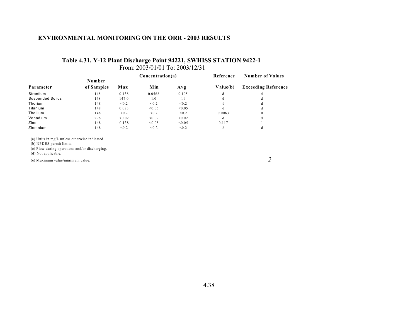### **Table 4.31. Y-12 Plant Discharge Point 94221, SWHISS STATION 9422-1** From: 2003/01/01 To: 2003/12/31

|                         |            |        | Concentration(a) |        | Reference | <b>Number of Values</b>    |  |
|-------------------------|------------|--------|------------------|--------|-----------|----------------------------|--|
|                         | Number     |        |                  |        |           |                            |  |
| Parameter               | of Samples | Max    | Min              | Avg    | Value(b)  | <b>Exceeding Reference</b> |  |
| Strontium               | 148        | 0.138  | 0.0568           | 0.105  | d         | đ                          |  |
| <b>Suspended Solids</b> | 148        | 147.0  | 1.0              | 11     | d         | đ                          |  |
| Thorium                 | 148        | < 0.2  | < 0.2            | < 0.2  | d         | đ                          |  |
| Titanium                | 148        | 0.083  | < 0.05           | < 0.05 | d         | đ                          |  |
| Thallium                | 148        | < 0.2  | < 0.2            | < 0.2  | 0.0063    | $\Omega$                   |  |
| Vanadium                | 296        | < 0.02 | < 0.02           | < 0.02 | d         | đ                          |  |
| Zinc                    | 148        | 0.138  | < 0.05           | < 0.05 | 0.117     |                            |  |
| Zirconium               | 148        | < 0.2  | < 0.2            | < 0.2  | d         |                            |  |

(a) Units in mg/L unless otherwise indicated.

(b) NPDES permit limits.

(c) Flow during operations and/or discharging.

(d) Not applicable.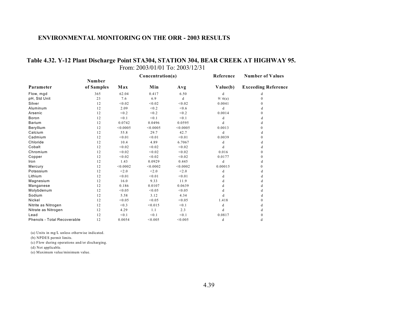### **Table 4.32. Y-12 Plant Discharge Point STA304, STATION 304, BEAR CREEK AT HIGHWAY 95.** From: 2003/01/01 To: 2003/12/31

|                                    |            |          | Concentration(a) |          | Reference | <b>Number of Values</b>    |
|------------------------------------|------------|----------|------------------|----------|-----------|----------------------------|
|                                    | Number     |          |                  |          |           |                            |
| Parameter                          | of Samples | Max      | Min              | Avg      | Value(b)  | <b>Exceeding Reference</b> |
| Flow, mgd                          | 365        | 62.04    | 0.417            | 6.50     | d         | d                          |
| pH, Std Unit                       | 23         | 7.6      | 6.9              | d        | 9/6(e)    | $\mathbf{0}$               |
| Silver                             | 12         | < 0.02   | < 0.02           | < 0.02   | 0.0041    | $\Omega$                   |
| Aluminum                           | 12         | 2.09     | < 0.2            | < 0.6    | d         | d                          |
| Arsenic                            | 12         | < 0.2    | < 0.2            | < 0.2    | 0.0014    | $\mathbf{0}$               |
| Boron                              | 12         | < 0.1    | < 0.1            | < 0.1    | d         | d                          |
| <b>Barium</b>                      | 12         | 0.0742   | 0.0496           | 0.0595   | d         | d                          |
| Beryllium                          | 12         | < 0.0005 | < 0.0005         | < 0.0005 | 0.0013    | $\Omega$                   |
| Calcium                            | 12         | 55.8     | 29.7             | 42.7     | d         | d                          |
| Cadmium                            | 12         | < 0.01   | < 0.01           | < 0.01   | 0.0039    | $\Omega$                   |
| Chloride                           | 12         | 10.4     | 4.89             | 6.7067   | d         | d                          |
| Cobalt                             | 12         | < 0.02   | < 0.02           | < 0.02   | d         | d                          |
| Chromium                           | 12         | < 0.02   | < 0.02           | < 0.02   | 0.016     | $\mathbf{0}$               |
| Copper                             | 12         | < 0.02   | < 0.02           | < 0.02   | 0.0177    | $\mathbf{0}$               |
| Iron                               | 12         | 1.43     | 0.0929           | 0.445    | d         | d                          |
| Mercury                            | 12         | < 0.0002 | < 0.0002         | < 0.0002 | 0.00015   | $\Omega$                   |
| Potassium                          | 12         | < 2.0    | < 2.0            | < 2.0    | d         | d                          |
| Lithium                            | 12         | < 0.01   | < 0.01           | < 0.01   | d         | d                          |
| Magnesium                          | 12         | 16.0     | 9.33             | 11.9     | d         | d                          |
| Manganese                          | 12         | 0.186    | 0.0107           | 0.0639   | d         | d                          |
| Molybdenum                         | 12         | < 0.05   | < 0.05           | < 0.05   | d         | d                          |
| Sodium                             | 12         | 5.58     | 3.12             | 4.34     | d         | d                          |
| Nickel                             | 12         | < 0.05   | < 0.05           | < 0.05   | 1.418     | $\overline{0}$             |
| Nitrite as Nitrogen                | 12         | < 0.3    | < 0.015          | < 0.1    | d         | d                          |
| Nitrate as Nitrogen                | 12         | 4.29     | 1.1              | 2.3      | d         | d                          |
| Lead                               | 12         | < 0.1    | < 0.1            | < 0.1    | 0.0817    | $\mathbf{0}$               |
| <b>Phenols - Total Recoverable</b> | 12         | 0.0054   | < 0.005          | < 0.005  | d         | d                          |

(a) Units in mg/L unless otherwise indicated.

(b) NPDES permit limits.

(c) Flow during operations and/or discharging.

(d) Not applicable.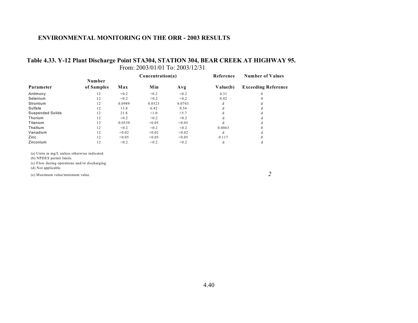### **Table 4.33. Y-12 Plant Discharge Point STA304, STATION 304, BEAR CREEK AT HIGHWAY 95.** From: 2003/01/01 To: 2003/12/31

|                         |            |        | Concentration(a) |        | Reference | <b>Number of Values</b>    |
|-------------------------|------------|--------|------------------|--------|-----------|----------------------------|
|                         | Number     |        |                  |        |           |                            |
| Parameter               | of Samples | Max    | Min              | Avg    | Value(b)  | <b>Exceeding Reference</b> |
| Antimony                | 12         | < 0.2  | < 0.2            | < 0.2  | 4.31      | $\Omega$                   |
| Selenium                | 12         | < 0.2  | < 0.2            | < 0.2  | 0.02      | $\Omega$                   |
| Strontium               | 12         | 0.0989 | 0.0523           | 0.0743 | d         | đ                          |
| Sulfate                 | 12         | 13.8   | 6.42             | 9.54   | đ         | đ                          |
| <b>Suspended Solids</b> | 12         | 21.8   | < 1.0            | < 5.7  | đ         | đ                          |
| Thorium                 | 12         | < 0.2  | < 0.2            | < 0.2  | d         | d                          |
| Titanium                | 12         | 0.0539 | < 0.05           | < 0.05 | d         | đ                          |
| Thallium                | 12         | < 0.2  | < 0.2            | < 0.2  | 0.0063    | $\Omega$                   |
| Vanadium                | 12         | < 0.02 | < 0.02           | < 0.02 | d         | đ                          |
| Zinc                    | 12         | < 0.05 | < 0.05           | < 0.05 | 0.117     | $\Omega$                   |
| Zirconium               | 12         | < 0.2  | < 0.2            | < 0.2  | d         | đ                          |

(a) Units in mg/L unless otherwise indicated.

(b) NPDES permit limits.

(c) Flow during operations and/or discharging.

(d) Not applicable.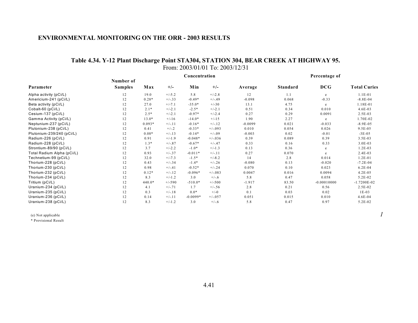### **Table 4.34. Y-12 Plant Discharge Point STA304, STATION 304, BEAR CREEK AT HIGHWAY 95.** From: 2003/01/01 To: 2003/12/31

|                            |                             | Concentration |          |            |          |           | Percentage of   |               |                     |  |
|----------------------------|-----------------------------|---------------|----------|------------|----------|-----------|-----------------|---------------|---------------------|--|
| Parameter                  | Number of<br><b>Samples</b> | Max           | $+/-$    | Min        | $+/-$    | Average   | <b>Standard</b> | <b>DCG</b>    | <b>Total Curies</b> |  |
| Alpha activity (pCi/L)     | 12                          | 19.0          | $+/-5.2$ | 5.8        | $+/-2.8$ | 12        | 1.1             | e             | $1.1E-01$           |  |
| Americium-241 (pCi/L)      | 12                          | $0.28*$       | $+/-.33$ | $-0.49*$   | $+/-.49$ | $-0.098$  | 0.068           | $-0.33$       | $-8.8E - 04$        |  |
| Beta activity (pCi/L)      | 12                          | 27.0          | $+/-7.1$ | $-35.0*$   | $+/-30$  | 13.1      | 4.75            | e             | 1.18E-01            |  |
| Cobalt-60 (pCi/L)          | 12                          | $2.1*$        | $+/-2.1$ | $-2.5*$    | $+/-2.1$ | 0.51      | 0.34            | 0.010         | 4.6E-03             |  |
| Cesium-137 (pCi/L)         | 12                          | $2.5*$        | $+/-2.1$ | $-0.97*$   | $+/-2.4$ | 0.27      | 0.29            | 0.0091        | 2.5E-03             |  |
| Gamma Activity (pCi/L)     | 12                          | $13.0*$       | $+/-16$  | $-14.0*$   | $+/-15$  | 1.90      | 2.27            | e             | 1.70E-02            |  |
| Neptunium-237 (pCi/L)      | 12                          | $0.093*$      | $+/-11$  | $-0.16*$   | $+/-.12$ | $-0.0099$ | 0.021           | $-0.033$      | $-8.9E - 0.5$       |  |
| Plutonium-238 (pCi/L)      | 12                          | 0.41          | $+/-.2$  | $-0.33*$   | $+/-093$ | 0.010     | 0.054           | 0.026         | 9.5E-05             |  |
| Plutonium-239/240 (pCi/L)  | 12                          | $0.08*$       | $+/-.13$ | $-0.14*$   | $+/-09$  | $-0.003$  | 0.02            | $-0.01$       | $-3E-05$            |  |
| Radium-226 (pCi/L)         | 12                          | 0.91          | $+/-1.9$ | $-0.048*$  | $+/-036$ | 0.39      | 0.089           | 0.39          | $3.5E-03$           |  |
| Radium-228 (pCi/L)         | 12                          | $1.3*$        | $+/-.87$ | $-0.67*$   | $+/-.47$ | 0.33      | 0.16            | 0.33          | 3.0E-03             |  |
| Strontium-89/90 (pCi/L)    | 12                          | 3.7           | $+/-2.2$ | $-1.0*$    | $+/-1.3$ | 0.13      | 0.36            | e             | $1.2E-03$           |  |
| Total Radium Alpha (pCi/L) | 12                          | 0.93          | $+/-.37$ | $-0.011*$  | $+/-11$  | 0.27      | 0.070           | e             | 2.4E-03             |  |
| Technetium-99 (pCi/L)      | 12                          | 32.0          | $+/-7.3$ | $-1.5*$    | $+/-8.2$ | 14        | 2.8             | 0.014         | $1.2E - 01$         |  |
| Thorium-228 (pCi/L)        | 12                          | 0.43          | $+/-.34$ | $-1.4*$    | $+/-.26$ | $-0.080$  | 0.13            | $-0.020$      | $-7.2E - 04$        |  |
| Thorium-230 (pCi/L)        | 12                          | 0.98          | $+/-.41$ | $-0.52*$   | $+/-.24$ | 0.070     | 0.10            | 0.023         | $6.2E-04$           |  |
| Thorium-232 (pCi/L)        | 12                          | $0.12*$       | $+/-.12$ | $-0.096*$  | $+/-083$ | 0.0047    | 0.016           | 0.0094        | $4.2E-05$           |  |
| Thorium-234 (pCi/L)        | 12                          | 8.3           | $+/-1.2$ | 3.0        | $+/-6$   | 5.8       | 0.47            | 0.058         | 5.2E-02             |  |
| Tritium (pCi/L)            | 12                          | $440.0*$      | $+/-590$ | $-510.0*$  | $+/-500$ | $-1.917$  | 83.50           | $-0.00010000$ | $-1.7200E-02$       |  |
| Uranium-234 (pCi/L)        | 12                          | 4.1           | $+/-.71$ | 1.7        | $+/-.56$ | 2.8       | 0.21            | 0.56          | 2.5E-02             |  |
| Uranium-235 (pCi/L)        | 12                          | 0.3           | $+/-.18$ | $0.0*$     | $+/-0$   | 0.1       | 0.03            | 0.02          | $1E-03$             |  |
| Uranium-236 (pCi/L)        | 12                          | 0.14          | $+/-.11$ | $-0.0099*$ | $+/-057$ | 0.051     | 0.015           | 0.010         | 4.6E-04             |  |
| Uranium-238 (pCi/L)        | 12                          | 8.3           | $+/-1.2$ | 3.0        | $+/-.6$  | 5.8       | 0.47            | 0.97          | 5.2E-02             |  |

(e) Not applicable  $1$ 

\* Provisional Result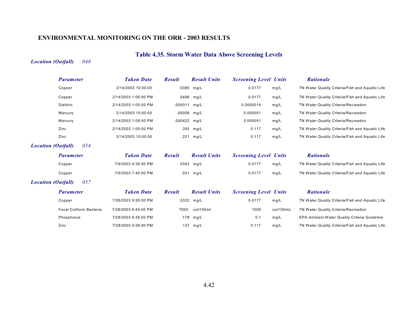# **Table 4.35. Storm Water Data Above Screening Levels**

### *Location (Outfall) 048*

| <b>Parameter</b>                 | <b>Taken Date</b>    | <b>Result</b> | <b>Result Units</b> | <b>Screening Level Units</b> |           | <b>Rationale</b>                                |
|----------------------------------|----------------------|---------------|---------------------|------------------------------|-----------|-------------------------------------------------|
| Copper                           | 2/14/2003 10:00:00   |               | .0385 mg/L          | 0.0177                       | mg/L      | TN Water Quality Criteria/Fish and Aquatic Life |
| Copper                           | 2/14/2003 1:05:00 PM |               | .0498 mg/L          | 0.0177                       | mg/L      | TN Water Quality Criteria/Fish and Aquatic Life |
| <b>Dieldrin</b>                  | 2/14/2003 1:05:00 PM | .000011 mg/L  |                     | 0.0000014                    | mg/L      | TN Water Quality Criteria/Recreation            |
| Mercury                          | 2/14/2003 10:00:00   | .00058 mg/L   |                     | 0.000051                     | mg/L      | TN Water Quality Criteria/Recreation            |
| Mercury                          | 2/14/2003 1:05:00 PM | .000422 mg/L  |                     | 0.000051                     | mg/L      | TN Water Quality Criteria/Recreation            |
| Zinc                             | 2/14/2003 1:05:00 PM |               | .355 mg/L           | 0.117                        | mg/L      | TN Water Quality Criteria/Fish and Aquatic Life |
| Zinc                             | 2/14/2003 10:00:00   | .221          | mg/L                | 0.117                        | mg/L      | TN Water Quality Criteria/Fish and Aquatic Life |
| 054<br><b>Location (Outfall)</b> |                      |               |                     |                              |           |                                                 |
| <b>Parameter</b>                 | <b>Taken Date</b>    | <b>Result</b> | <b>Result Units</b> | <b>Screening Level Units</b> |           | <b>Rationale</b>                                |
| Copper                           | 7/9/2003 4:35:00 PM  |               | $.0343$ mg/L        | 0.0177                       | mg/L      | TN Water Quality Criteria/Fish and Aquatic Life |
| Copper                           | 7/9/2003 7:45:00 PM  |               | .031 mg/L           | 0.0177                       | mg/L      | TN Water Quality Criteria/Fish and Aquatic Life |
| 057<br><b>Location (Outfall)</b> |                      |               |                     |                              |           |                                                 |
| <b>Parameter</b>                 | <b>Taken Date</b>    | <b>Result</b> | <b>Result Units</b> | <b>Screening Level Units</b> |           | <b>Rationale</b>                                |
| Copper                           | 7/28/2003 9:26:00 PM |               | .0322 mg/L          | 0.0177                       | mg/L      | TN Water Quality Criteria/Fish and Aquatic Life |
| <b>Fecal Coliform Bacteria</b>   | 7/28/2003 6:45:00 PM |               | 7000. col/100ml     | 1000                         | col/100mL | TN Water Quality Criteria/Recreation            |
| Phosphorus                       | 7/28/2003 9:26:00 PM |               | .178 mg/L           | 0.1                          | mg/L      | EPA Ambient Water Quality Criteria Guideline    |
| Zinc                             | 7/28/2003 9:26:00 PM |               | .137 mg/L           | 0.117                        | mg/L      | TN Water Quality Criteria/Fish and Aquatic Life |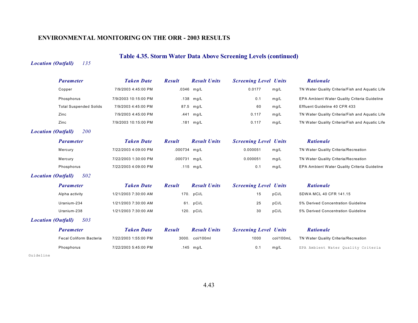# **Table 4.35. Storm Water Data Above Screening Levels (continued)**

### *Location (Outfall) 135*

| <b>Parameter</b>                        | <b>Taken Date</b>    | <b>Result</b> | <b>Result Units</b> | <b>Screening Level Units</b> |           | <b>Rationale</b>                                |
|-----------------------------------------|----------------------|---------------|---------------------|------------------------------|-----------|-------------------------------------------------|
| Copper                                  | 7/9/2003 4:45:00 PM  | .0346         | mg/L                | 0.0177                       | mg/L      | TN Water Quality Criteria/Fish and Aquatic Life |
| Phosphorus                              | 7/9/2003 10:15:00 PM |               | .138 mg/L           | 0.1                          | mg/L      | EPA Ambient Water Quality Criteria Guideline    |
| <b>Total Suspended Solids</b>           | 7/9/2003 4:45:00 PM  | 87.5          | mg/L                | 60                           | mg/L      | Effluent Guideline 40 CFR 433                   |
| Zinc                                    | 7/9/2003 4:45:00 PM  | .441          | mg/L                | 0.117                        | mg/L      | TN Water Quality Criteria/Fish and Aquatic Life |
| Zinc                                    | 7/9/2003 10:15:00 PM |               | $.181$ mg/L         | 0.117                        | mg/L      | TN Water Quality Criteria/Fish and Aquatic Life |
| <b>Location (Outfall)</b><br><i>200</i> |                      |               |                     |                              |           |                                                 |
| <b>Parameter</b>                        | <b>Taken Date</b>    | <b>Result</b> | <b>Result Units</b> | <b>Screening Level Units</b> |           | <b>Rationale</b>                                |
| Mercury                                 | 7/22/2003 4:09:00 PM | .000734 mg/L  |                     | 0.000051                     | mg/L      | TN Water Quality Criteria/Recreation            |
| Mercury                                 | 7/22/2003 1:30:00 PM | .000731       | mg/L                | 0.000051                     | mg/L      | TN Water Quality Criteria/Recreation            |
| Phosphorus                              | 7/22/2003 4:09:00 PM | .115          | mg/L                | 0.1                          | mg/L      | EPA Ambient Water Quality Criteria Guideline    |
| $S_{02}$<br><b>Location (Outfall)</b>   |                      |               |                     |                              |           |                                                 |
| <b>Parameter</b>                        | <b>Taken Date</b>    | <b>Result</b> | <b>Result Units</b> | <b>Screening Level Units</b> |           | <b>Rationale</b>                                |
| Alpha activity                          | 1/21/2003 7:30:00 AM |               | 170. pCi/L          | 15                           | pCi/L     | SDWA MCL 40 CFR 141.15                          |
| Uranium-234                             | 1/21/2003 7:30:00 AM |               | 61. pCi/L           | 25                           | pCi/L     | 5% Derived Concentration Guideline              |
| Uranium-238                             | 1/21/2003 7:30:00 AM |               | 120. pCi/L          | 30                           | pCi/L     | 5% Derived Concentration Guideline              |
| S03<br><b>Location (Outfall)</b>        |                      |               |                     |                              |           |                                                 |
| <b>Parameter</b>                        | <b>Taken Date</b>    | <b>Result</b> | <b>Result Units</b> | <b>Screening Level Units</b> |           | <b>Rationale</b>                                |
| Fecal Coliform Bacteria                 | 7/22/2003 1:55:00 PM | 3000.         | col/100ml           | 1000                         | col/100mL | TN Water Quality Criteria/Recreation            |
| Phosphorus                              | 7/22/2003 5:45:00 PM |               | .145 mg/L           | 0.1                          | mg/L      | EPA Ambient Water Quality Criteria              |

Guideline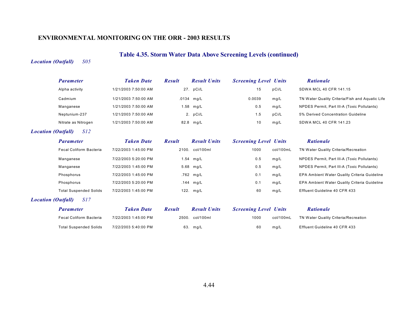# **Table 4.35. Storm Water Data Above Screening Levels (continued)**

#### *Location (Outfall) S05*

| <b>Parameter</b>    | <b>Taken Date</b>    | <b>Result</b> | <b>Result Units</b> | <b>Screening Level Units</b> |       | <b>Rationale</b>                                |
|---------------------|----------------------|---------------|---------------------|------------------------------|-------|-------------------------------------------------|
| Alpha activity      | 1/21/2003 7:50:00 AM |               | 27. pCi/L           | 15                           | pCi/L | SDWA MCL 40 CFR 141.15                          |
| Cadmium             | 1/21/2003 7:50:00 AM |               | $.0134$ mg/L        | 0.0039                       | mg/L  | TN Water Quality Criteria/Fish and Aquatic Life |
| Manganese           | 1/21/2003 7:50:00 AM |               | 1.58 mg/L           | 0.5                          | mg/L  | NPDES Permit, Part III-A (Toxic Pollutants)     |
| Neptunium-237       | 1/21/2003 7:50:00 AM |               | 2. pCi/L            | 1.5                          | pCi/L | 5% Derived Concentration Guideline              |
| Nitrate as Nitrogen | 1/21/2003 7:50:00 AM |               | 82.8 mg/L           | 10                           | mg/L  | SDWA MCL 40 CFR 141.23                          |

#### *Location (Outfall) S12*

| <b>Parameter</b>              | <b>Taken Date</b>    | <b>Result</b> | <b>Result Units</b> | <b>Screening Level Units</b> |           | <b>Rationale</b>                             |
|-------------------------------|----------------------|---------------|---------------------|------------------------------|-----------|----------------------------------------------|
| Fecal Coliform Bacteria       | 7/22/2003 1:45:00 PM |               | 2100. col/100ml     | 1000                         | col/100mL | TN Water Quality Criteria/Recreation         |
| Manganese                     | 7/22/2003 5:20:00 PM |               | 1.54 mg/L           | 0.5                          | mq/L      | NPDES Permit, Part III-A (Toxic Pollutants)  |
| Manganese                     | 7/22/2003 1:45:00 PM |               | 5.68 mg/L           | 0.5                          | mq/L      | NPDES Permit, Part III-A (Toxic Pollutants)  |
| Phosphorus                    | 7/22/2003 1:45:00 PM |               | .762 mg/L           | 0.1                          | mq/L      | EPA Ambient Water Quality Criteria Guideline |
| Phosphorus                    | 7/22/2003 5:20:00 PM |               | .144 mg/L           | 0.1                          | mq/L      | EPA Ambient Water Quality Criteria Guideline |
| <b>Total Suspended Solids</b> | 7/22/2003 1:45:00 PM |               | 122. $mg/L$         | 60                           | mg/L      | Effluent Guideline 40 CFR 433                |
|                               |                      |               |                     |                              |           |                                              |

#### *Location (Outfall) S17*

| <i>Parameter</i>               | <b>Taken Date</b>    | Result | <b>Result Units</b> | <b>Screening Level Units</b> |           | <b>Rationale</b>                     |
|--------------------------------|----------------------|--------|---------------------|------------------------------|-----------|--------------------------------------|
| <b>Fecal Coliform Bacteria</b> | 7/22/2003 1:45:00 PM |        | 2500. col/100ml     | 1000                         | col/100mL | TN Water Quality Criteria/Recreation |
| Total Suspended Solids         | 7/22/2003 5:40:00 PM |        | 63. mg/L            | 60                           | mq/L      | Effluent Guideline 40 CFR 433        |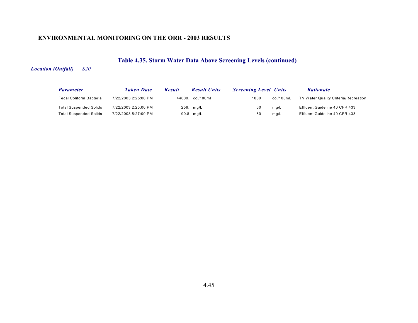# **Table 4.35. Storm Water Data Above Screening Levels (continued)**

### *Location (Outfall) S20*

| <b>Parameter</b>              | <b>Taken Date</b>    | <b>Result</b> | <b>Result Units</b> | <b>Screening Level Units</b> |           | <b>Rationale</b>                     |
|-------------------------------|----------------------|---------------|---------------------|------------------------------|-----------|--------------------------------------|
| Fecal Coliform Bacteria       | 7/22/2003 2:25:00 PM | 44000.        | col/100ml           | 1000                         | col/100mL | TN Water Quality Criteria/Recreation |
| <b>Total Suspended Solids</b> | 7/22/2003 2:25:00 PM |               | 256. mg/L           | 60                           | mg/L      | Effluent Guideline 40 CFR 433        |
| <b>Total Suspended Solids</b> | 7/22/2003 5:27:00 PM |               | 90.8 mg/L           | 60                           | ma/L      | Effluent Guideline 40 CFR 433        |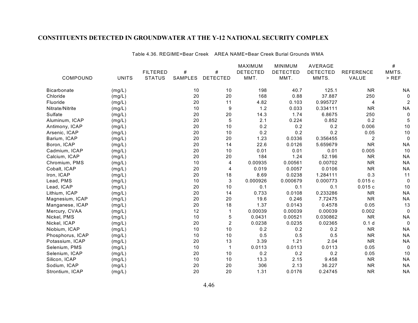Table 4.36. REGIME=Bear Creek AREA NAME=Bear Creek Burial Grounds WMA

|                    |              |                 |         |                 | MAXIMUM         | <b>MINIMUM</b>  | AVERAGE         |                  | $\#$           |
|--------------------|--------------|-----------------|---------|-----------------|-----------------|-----------------|-----------------|------------------|----------------|
|                    |              | <b>FILTERED</b> | #       | $\#$            | <b>DETECTED</b> | <b>DETECTED</b> | <b>DETECTED</b> | <b>REFERENCE</b> | MMTS.          |
| COMPOUND           | <b>UNITS</b> | <b>STATUS</b>   | SAMPLES | <b>DETECTED</b> | MMT.            | MMT.            | MMTS.           | VALUE            | $>$ REF        |
| <b>Bicarbonate</b> | (mg/L)       |                 | 10      | 10              | 198             | 40.7            | 125.1           | <b>NR</b>        | <b>NA</b>      |
| Chloride           | (mg/L)       |                 | 20      | 20              | 168             | 0.88            | 37.887          | 250              | $\Omega$       |
| Fluoride           | (mg/L)       |                 | 20      | 11              | 4.82            | 0.103           | 0.995727        | 4                | $\overline{2}$ |
| Nitrate/Nitrite    | (mg/L)       |                 | 10      | 9               | 1.2             | 0.033           | 0.334111        | <b>NR</b>        | <b>NA</b>      |
| Sulfate            | (mg/L)       |                 | 20      | 20              | 14.3            | 1.74            | 6.8675          | 250              | $\Omega$       |
| Aluminum, ICAP     | (mg/L)       |                 | 20      | 5               | 2.1             | 0.224           | 0.852           | 0.2              | 5              |
| Antimony, ICAP     | (mg/L)       |                 | 20      | 10              | 0.2             | 0.2             | 0.2             | 0.006            | 10             |
| Arsenic, ICAP      | (mg/L)       |                 | 20      | 10              | 0.2             | 0.2             | 0.2             | 0.05             | 10             |
| Barium, ICAP       | (mg/L)       |                 | 20      | 20              | 1.23            | 0.0336          | 0.356455        | 2                | $\mathbf 0$    |
| Boron, ICAP        | (mg/L)       |                 | 20      | 14              | 22.6            | 0.0126          | 5.659679        | <b>NR</b>        | <b>NA</b>      |
| Cadmium, ICAP      | (mg/L)       |                 | 20      | 10              | 0.01            | 0.01            | 0.01            | 0.005            | 10             |
| Calcium, ICAP      | (mg/L)       |                 | 20      | 20              | 184             | 1.24            | 52.196          | <b>NR</b>        | <b>NA</b>      |
| Chromium, PMS      | (mg/L)       |                 | 10      | 4               | 0.00935         | 0.00561         | 0.00702         | <b>NR</b>        | <b>NA</b>      |
| Cobalt, ICAP       | (mg/L)       |                 | 20      | 4               | 0.019           | 0.0057          | 0.0106          | <b>NR</b>        | <b>NA</b>      |
| Iron, ICAP         | (mg/L)       |                 | 20      | 18              | 8.69            | 0.0238          | 1.284111        | 0.3              | 11             |
| Lead, PMS          | (mg/L)       |                 | 10      | 3               | 0.000926        | 0.000679        | 0.000773        | 0.015c           | $\mathbf 0$    |
| Lead, ICAP         | (mg/L)       |                 | 20      | 10              | 0.1             | 0.1             | 0.1             | 0.015c           | 10             |
| Lithium, ICAP      | (mg/L)       |                 | 20      | 14              | 0.733           | 0.0108          | 0.233286        | <b>NR</b>        | <b>NA</b>      |
| Magnesium, ICAP    | (mg/L)       |                 | 20      | 20              | 19.6            | 0.246           | 7.72475         | <b>NR</b>        | <b>NA</b>      |
| Manganese, ICAP    | (mg/L)       |                 | 20      | 18              | 1.37            | 0.0143          | 0.4578          | 0.05             | 13             |
| Mercury, CVAA      | (mg/L)       |                 | 12      |                 | 0.00039         | 0.00039         | 0.00039         | 0.002            | $\mathbf 0$    |
| Nickel, PMS        | (mg/L)       |                 | 10      | 5               | 0.0431          | 0.00521         | 0.030862        | <b>NR</b>        | <b>NA</b>      |
| Nickel, ICAP       | (mg/L)       |                 | 20      | $\overline{2}$  | 0.0238          | 0.0235          | 0.02365         | 0.1 <sub>d</sub> | $\Omega$       |
| Niobium, ICAP      | (mg/L)       |                 | 10      | 10              | 0.2             | 0.2             | 0.2             | <b>NR</b>        | <b>NA</b>      |
| Phosphorus, ICAP   | (mg/L)       |                 | 10      | 10              | 0.5             | 0.5             | 0.5             | <b>NR</b>        | <b>NA</b>      |
| Potassium, ICAP    | (mg/L)       |                 | 20      | 13              | 3.39            | 1.21            | 2.04            | <b>NR</b>        | <b>NA</b>      |
| Selenium, PMS      | (mg/L)       |                 | 10      | 1               | 0.0113          | 0.0113          | 0.0113          | 0.05             | $\Omega$       |
| Selenium, ICAP     | (mg/L)       |                 | 20      | 10              | 0.2             | 0.2             | 0.2             | 0.05             | 10             |
| Silicon, ICAP      | (mg/L)       |                 | 10      | 10              | 13.3            | 2.15            | 9.458           | <b>NR</b>        | <b>NA</b>      |
| Sodium, ICAP       | (mg/L)       |                 | 20      | 20              | 306             | 2.13            | 36.227          | <b>NR</b>        | <b>NA</b>      |
| Strontium, ICAP    | (mg/L)       |                 | 20      | 20              | 1.31            | 0.0176          | 0.24745         | <b>NR</b>        | <b>NA</b>      |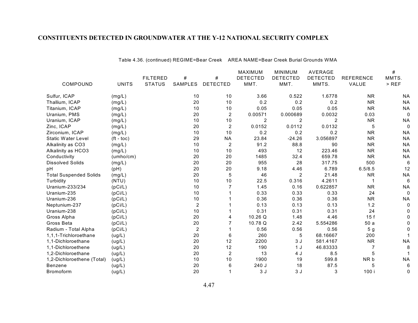Table 4.36. (continued) REGIME=Bear Creek AREA NAME=Bear Creek Burial Grounds WMA

|                               |                    |                 |                |                  | MAXIMUM         | <b>MINIMUM</b>  | <b>AVERAGE</b>  |                  | $\#$      |
|-------------------------------|--------------------|-----------------|----------------|------------------|-----------------|-----------------|-----------------|------------------|-----------|
|                               |                    | <b>FILTERED</b> | #              | #                | <b>DETECTED</b> | <b>DETECTED</b> | <b>DETECTED</b> | <b>REFERENCE</b> | MMTS.     |
| COMPOUND                      | <b>UNITS</b>       | <b>STATUS</b>   | SAMPLES        | <b>DETECTED</b>  | MMT.            | MMT.            | MMTS.           | VALUE            | $>$ REF   |
| Sulfur, ICAP                  | (mg/L)             |                 | 10             | 10               | 3.66            | 0.522           | 1.6778          | <b>NR</b>        | <b>NA</b> |
| Thallium, ICAP                | (mg/L)             |                 | 20             | 10               | 0.2             | 0.2             | 0.2             | <b>NR</b>        | <b>NA</b> |
| Titanium, ICAP                | (mg/L)             |                 | 10             | 10               | 0.05            | 0.05            | 0.05            | <b>NR</b>        | <b>NA</b> |
| Uranium, PMS                  | (mg/L)             |                 | 20             | $\boldsymbol{2}$ | 0.00571         | 0.000689        | 0.0032          | 0.03             | 0         |
| Uranium, ICAP                 | (mg/L)             |                 | 10             | 10               | 2               | $\overline{c}$  | $\overline{2}$  | <b>NR</b>        | <b>NA</b> |
| Zinc, ICAP                    | (mg/L)             |                 | 20             | 2                | 0.0152          | 0.0112          | 0.0132          | 5                | 0         |
| Zirconium, ICAP               | (mg/L)             |                 | 10             | 10               | 0.2             | 0.2             | 0.2             | <b>NR</b>        | <b>NA</b> |
| <b>Static Water Level</b>     | $(t - \text{toc})$ |                 | 29             | <b>NA</b>        | 23.84           | $-24.26$        | 3.056897        | <b>NR</b>        | <b>NA</b> |
| Alkalinity as CO3             | (mg/L)             |                 | 10             | $\overline{2}$   | 91.2            | 88.8            | 90              | <b>NR</b>        | <b>NA</b> |
| Alkalinity as HCO3            | (mg/L)             |                 | 10             | 10               | 493             | 12              | 223.46          | <b>NR</b>        | <b>NA</b> |
| Conductivity                  | (umbo/cm)          |                 | 20             | 20               | 1485            | 32.4            | 659.78          | <b>NR</b>        | <b>NA</b> |
| <b>Dissolved Solids</b>       | (mg/L)             |                 | 20             | 20               | 955             | 28              | 317.75          | 500              | 6         |
| рH                            | (pH)               |                 | 20             | 20               | 9.18            | 4.46            | 6.789           | 6.5/8.5          | 12        |
| <b>Total Suspended Solids</b> | (mg/L)             |                 | 20             | 5                | 46              | $\overline{2}$  | 21.48           | <b>NR</b>        | <b>NA</b> |
| Turbidity                     | (NTU)              |                 | 10             | 10               | 22.5            | 0.316           | 4.2611          |                  | 6         |
| Uranium-233/234               | (pCi/L)            |                 | 10             |                  | 1.45            | 0.16            | 0.622857        | <b>NR</b>        | <b>NA</b> |
| Uranium-235                   | (pCi/L)            |                 | 10             |                  | 0.33            | 0.33            | 0.33            | 24               | 0         |
| Uranium-236                   | (pCi/L)            |                 | 10             |                  | 0.36            | 0.36            | 0.36            | <b>NR</b>        | <b>NA</b> |
| Neptunium-237                 | (pCi/L)            |                 | $\overline{2}$ |                  | 0.13            | 0.13            | 0.13            | 1.2              |           |
| Uranium-238                   | (pCi/L)            |                 | 10             |                  | 0.31            | 0.31            | 0.31            | 24               |           |
| Gross Alpha                   | (pCi/L)            |                 | 20             | 4                | 10.26 Q         | 1.48            | 4.46            | 15f              |           |
| Gross Beta                    | (pCi/L)            |                 | 20             |                  | 10.78 Q         | 2.42            | 5.554286        | 50a              |           |
| Radium - Total Alpha          | (pCi/L)            |                 | $\overline{2}$ |                  | 0.56            | 0.56            | 0.56            | 5 <sub>g</sub>   |           |
| 1,1,1-Trichloroethane         | (ug/L)             |                 | 20             | 6                | 260             | 5               | 68.16667        | 200              |           |
| 1,1-Dichloroethane            | (ug/L)             |                 | 20             | 12               | 2200            | 3J              | 581.4167        | <b>NR</b>        | <b>NA</b> |
| 1,1-Dichloroethene            | (ug/L)             |                 | 20             | 12               | 190             | 1J              | 46.83333        | 7                | 8         |
| 1,2-Dichloroethane            | (ug/L)             |                 | 20             | 2                | 13              | 4 J             | 8.5             | 5                |           |
| 1,2-Dichloroethene (Total)    | (ug/L)             |                 | 10             | 10               | 1900            | 19              | 599.8           | NR b             | <b>NA</b> |
| <b>Benzene</b>                | (ug/L)             |                 | 20             | 6                | 240 J           | 18              | 87.5            | 5                | 6         |
| <b>Bromoform</b>              | (ug/L)             |                 | 20             |                  | 3J              | 3J              | 3               | 100 i            | 0         |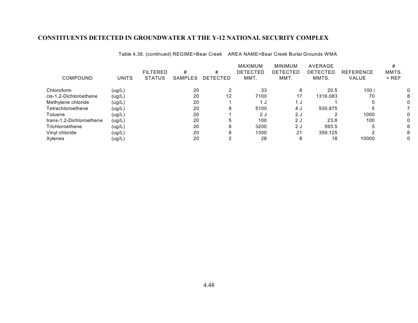| COMPOUND                 | <b>UNITS</b> | <b>FILTERED</b><br><b>STATUS</b> | #<br>SAMPLES | #<br>DETECTED | <b>MAXIMUM</b><br><b>DETECTED</b><br>MMT. | <b>MINIMUM</b><br>DETECTED<br>MMT. | AVERAGE<br>DETECTED<br>MMTS. | <b>REFERENCE</b><br><b>VALUE</b> | MMTS.<br>$>$ REF |
|--------------------------|--------------|----------------------------------|--------------|---------------|-------------------------------------------|------------------------------------|------------------------------|----------------------------------|------------------|
| Chloroform               | (ug/L)       |                                  | 20           |               | 33                                        | 8                                  | 20.5                         | 100 i                            |                  |
| cis-1,2-Dichloroethene   | (ug/L)       |                                  | 20           | 12            | 7100                                      | 17                                 | 1316.083                     | 70                               |                  |
| Methylene chloride       | (ug/L)       |                                  | 20           |               | 1 J                                       | 1 J                                |                              |                                  |                  |
| Tetrachloroethene        | (ug/L)       |                                  | 20           | 8             | 5100                                      | 4 J                                | 930.875                      |                                  |                  |
| Toluene                  | (ug/L)       |                                  | 20           |               | 2J                                        | 2 J                                |                              | 1000                             |                  |
| trans-1,2-Dichloroethene | (ug/L)       |                                  | 20           | 5             | 100                                       | 2J                                 | 23.8                         | 100                              |                  |
| Trichloroethene          | (ug/L)       |                                  | 20           | 8             | 3200                                      | 2 J                                | 593.5                        |                                  |                  |
| Vinyl chloride           | (ug/L)       |                                  | 20           | 8             | 1300                                      | 21                                 | 359.125                      |                                  |                  |
| Xylenes                  | (ug/L)       |                                  | 20           |               | 28                                        | 8                                  | 18                           | 10000                            |                  |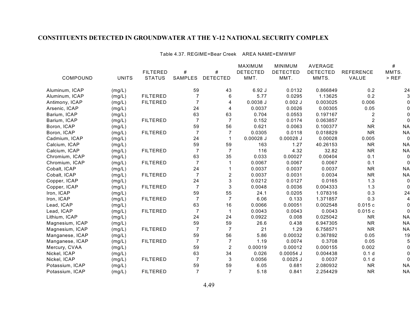Table 4.37. REGIME=Bear Creek AREA NAME=EMWMF

|                 |              |                 |                |                 | MAXIMUM         | <b>MINIMUM</b>  | AVERAGE         |                  | $\#$        |
|-----------------|--------------|-----------------|----------------|-----------------|-----------------|-----------------|-----------------|------------------|-------------|
|                 |              | <b>FILTERED</b> | #              | $\#$            | <b>DETECTED</b> | <b>DETECTED</b> | <b>DETECTED</b> | <b>REFERENCE</b> | MMTS.       |
| COMPOUND        | <b>UNITS</b> | <b>STATUS</b>   | SAMPLES        | <b>DETECTED</b> | MMT.            | MMT.            | MMTS.           | VALUE            | $>$ REF     |
| Aluminum, ICAP  | (mg/L)       |                 | 59             | 43              | 6.92J           | 0.0132          | 0.866849        | 0.2              | 24          |
| Aluminum, ICAP  | (mg/L)       | <b>FILTERED</b> |                | 6               | 5.77            | 0.0295          | 1.13625         | 0.2              |             |
| Antimony, ICAP  | (mg/L)       | <b>FILTERED</b> |                | 4               | $0.0038$ J      | $0.002$ J       | 0.003025        | 0.006            |             |
| Arsenic, ICAP   | (mg/L)       |                 | 24             | 4               | 0.0037          | 0.0026          | 0.00305         | 0.05             |             |
| Barium, ICAP    | (mg/L)       |                 | 63             | 63              | 0.704           | 0.0553          | 0.197167        | 2                |             |
| Barium, ICAP    | (mg/L)       | <b>FILTERED</b> | $\overline{7}$ | $\overline{7}$  | 0.152           | 0.0174          | 0.063857        | $\overline{2}$   |             |
| Boron, ICAP     | (mg/L)       |                 | 59             | 56              | 0.621           | 0.0063          | 0.100377        | <b>NR</b>        | <b>NA</b>   |
| Boron, ICAP     | (mg/L)       | <b>FILTERED</b> | $\overline{7}$ | $\overline{7}$  | 0.0305          | 0.0118          | 0.018829        | <b>NR</b>        | <b>NA</b>   |
| Cadmium, ICAP   | (mg/L)       |                 | 24             | $\mathbf 1$     | $0.00028$ J     | $0.00028$ J     | 0.00028         | 0.005            | $\mathbf 0$ |
| Calcium, ICAP   | (mg/L)       |                 | 59             | 59              | 163             | 1.27            | 40.26153        | <b>NR</b>        | <b>NA</b>   |
| Calcium, ICAP   | (mg/L)       | <b>FILTERED</b> | $\overline{7}$ | $\overline{7}$  | 116             | 4.32            | 32.82           | <b>NR</b>        | <b>NA</b>   |
| Chromium, ICAP  | (mg/L)       |                 | 63             | 35              | 0.033           | 0.00027         | 0.00404         | 0.1              | 0           |
| Chromium, ICAP  | (mg/L)       | <b>FILTERED</b> | $\overline{7}$ |                 | 0.0067          | 0.0067          | 0.0067          | 0.1              | $\Omega$    |
| Cobalt, ICAP    | (mg/L)       |                 | 24             |                 | 0.0037          | 0.0037          | 0.0037          | <b>NR</b>        | <b>NA</b>   |
| Cobalt, ICAP    | (mg/L)       | <b>FILTERED</b> | $\overline{7}$ | $\overline{c}$  | 0.0037          | 0.0031          | 0.0034          | <b>NR</b>        | <b>NA</b>   |
| Copper, ICAP    | (mg/L)       |                 | 24             | 3               | 0.0212          | 0.0127          | 0.0165          | 1.3              | 0           |
| Copper, ICAP    | (mg/L)       | <b>FILTERED</b> | $\overline{7}$ | 3               | 0.0048          | 0.0036          | 0.004333        | 1.3              | 0           |
| Iron, ICAP      | (mg/L)       |                 | 59             | 55              | 24.1            | 0.0205          | 1.078316        | 0.3              | 24          |
| Iron, ICAP      | (mg/L)       | <b>FILTERED</b> | $\overline{7}$ | $\overline{7}$  | 6.06            | 0.133           | 1.371857        | 0.3              |             |
| Lead, ICAP      | (mg/L)       |                 | 63             | 16              | 0.0066          | 0.00051         | 0.002548        | 0.015c           | 0           |
| Lead, ICAP      | (mg/L)       | <b>FILTERED</b> | $\overline{7}$ | $\mathbf 1$     | 0.0043          | 0.0043          | 0.0043          | 0.015c           | 0           |
| Lithium, ICAP   | (mg/L)       |                 | 24             | 24              | 0.0922          | 0.008           | 0.025042        | <b>NR</b>        | <b>NA</b>   |
| Magnesium, ICAP | (mg/L)       |                 | 59             | 59              | 26.6            | 0.438           | 6.947305        | <b>NR</b>        | <b>NA</b>   |
| Magnesium, ICAP | (mg/L)       | <b>FILTERED</b> | $\overline{7}$ | $\overline{7}$  | 21              | 1.29            | 6.758571        | <b>NR</b>        | <b>NA</b>   |
| Manganese, ICAP | (mg/L)       |                 | 59             | 56              | 5.86            | 0.00032         | 0.367892        | 0.05             | 19          |
| Manganese, ICAP | (mg/L)       | <b>FILTERED</b> | $\overline{7}$ | $\overline{7}$  | 1.19            | 0.0074          | 0.3708          | 0.05             | 5           |
| Mercury, CVAA   | (mg/L)       |                 | 59             | $\overline{c}$  | 0.00019         | 0.00012         | 0.000155        | 0.002            | 0           |
| Nickel, ICAP    | (mg/L)       |                 | 63             | 34              | 0.026           | $0.00054$ J     | 0.004438        | 0.1 <sub>d</sub> |             |
| Nickel, ICAP    | (mg/L)       | <b>FILTERED</b> | 7              | 3               | 0.0056          | $0.0025$ J      | 0.0037          | 0.1 <sub>d</sub> | 0           |
| Potassium, ICAP | (mg/L)       |                 | 59             | 59              | 6.05            | 0.681           | 2.080932        | <b>NR</b>        | <b>NA</b>   |
| Potassium, ICAP | (mg/L)       | <b>FILTERED</b> | $\overline{7}$ | 7               | 5.18            | 0.841           | 2.254429        | <b>NR</b>        | <b>NA</b>   |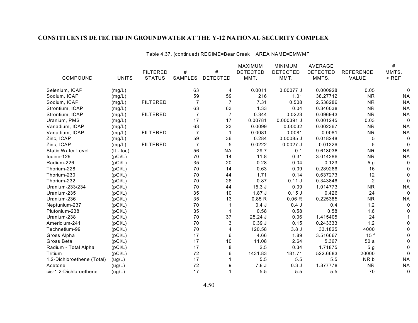Table 4.37. (continued) REGIME=Bear Creek AREA NAME=EMWMF

|                            |              |                 |                |                 | MAXIMUM         | <b>MINIMUM</b>  | <b>AVERAGE</b>  |                  | $\#$        |
|----------------------------|--------------|-----------------|----------------|-----------------|-----------------|-----------------|-----------------|------------------|-------------|
|                            |              | <b>FILTERED</b> | #              | #               | <b>DETECTED</b> | <b>DETECTED</b> | <b>DETECTED</b> | <b>REFERENCE</b> | MMTS.       |
| COMPOUND                   | <b>UNITS</b> | <b>STATUS</b>   | SAMPLES        | <b>DETECTED</b> | MMT.            | MMT.            | MMTS.           | VALUE            | $>$ REF     |
| Selenium, ICAP             | (mg/L)       |                 | 63             | 4               | 0.0011          | 0.00077 J       | 0.000928        | 0.05             | 0           |
| Sodium, ICAP               | (mg/L)       |                 | 59             | 59              | 216             | 1.01            | 38.27712        | <b>NR</b>        | <b>NA</b>   |
| Sodium, ICAP               | (mg/L)       | <b>FILTERED</b> | $\overline{7}$ | $\overline{7}$  | 7.31            | 0.508           | 2.538286        | <b>NR</b>        | <b>NA</b>   |
| Strontium, ICAP            | (mg/L)       |                 | 63             | 63              | 1.33            | 0.04            | 0.346038        | <b>NR</b>        | <b>NA</b>   |
| Strontium, ICAP            | (mg/L)       | <b>FILTERED</b> | $\overline{7}$ | $\overline{7}$  | 0.344           | 0.0223          | 0.096943        | <b>NR</b>        | <b>NA</b>   |
| Uranium, PMS               | (mg/L)       |                 | 17             | 17              | 0.00781         | 0.000391 J      | 0.001245        | 0.03             | $\mathbf 0$ |
| Vanadium, ICAP             | (mg/L)       |                 | 63             | 23              | 0.0099          | 0.00032         | 0.002367        | <b>NR</b>        | <b>NA</b>   |
| Vanadium, ICAP             | (mg/L)       | <b>FILTERED</b> | $\overline{7}$ | $\mathbf{1}$    | 0.0081          | 0.0081          | 0.0081          | <b>NR</b>        | <b>NA</b>   |
| Zinc, ICAP                 | (mg/L)       |                 | 59             | 36              | 0.284           | $0.00085$ J     | 0.018248        | 5                | 0           |
| Zinc, ICAP                 | (mg/L)       | <b>FILTERED</b> | $\overline{7}$ | 5               | 0.0222          | $0.0027$ J      | 0.01326         | 5                | $\Omega$    |
| <b>Static Water Level</b>  | $(ft - toc)$ |                 | 56             | <b>NA</b>       | 29.7            | 0.1             | 9.618036        | <b>NR</b>        | <b>NA</b>   |
| lodine-129                 | (pCi/L)      |                 | 70             | 14              | 11.8            | 0.31            | 3.014286        | <b>NR</b>        | <b>NA</b>   |
| Radium-226                 | (pCi/L)      |                 | 35             | 20              | 0.28            | 0.04            | 0.123           | 5 <sub>g</sub>   | 0           |
| Thorium-228                | (pCi/L)      |                 | 70             | 14              | 0.63            | 0.09            | 0.289286        | 16               | 0           |
| Thorium-230                | (pCi/L)      |                 | 70             | 44              | 1.71            | 0.14            | 0.637273        | 12               | 0           |
| Thorium-232                | (pCi/L)      |                 | 70             | 26              | 0.87            | 0.11 J          | 0.343846        | $\overline{c}$   | 0           |
| Uranium-233/234            | (pCi/L)      |                 | 70             | 44              | 15.3J           | 0.09            | 1.014773        | <b>NR</b>        | <b>NA</b>   |
| Uranium-235                | (pCi/L)      |                 | 35             | $10$            | 1.87J           | $0.15$ J        | 0.426           | 24               | $\Omega$    |
| Uranium-236                | (pCi/L)      |                 | 35             | 13              | 0.85R           | 0.06 R          | 0.225385        | <b>NR</b>        | <b>NA</b>   |
| Neptunium-237              | (pCi/L)      |                 | 70             |                 | 0.4J            | 0.4J            | 0.4             | 1.2              | 0           |
| Plutonium-238              | (pCi/L)      |                 | 35             |                 | 0.58            | 0.58            | 0.58            | 1.6              | 0           |
| Uranium-238                | (pCi/L)      |                 | 70             | 37              | $25.24$ J       | 0.06            | 1.415405        | 24               |             |
| Americium-241              | (pCi/L)      |                 | 70             | 3               | 0.39J           | 0.15            | 0.243333        | 1.2              |             |
| Technetium-99              | (pCi/L)      |                 | 70             | 4               | 120.58          | 3.8J            | 33.1825         | 4000             |             |
| Gross Alpha                | (pCi/L)      |                 | 17             | 6               | 4.66            | 1.89            | 3.516667        | 15f              |             |
| Gross Beta                 | (pCi/L)      |                 | 17             | 10              | 11.08           | 2.64            | 5.367           | 50a              |             |
| Radium - Total Alpha       | (pCi/L)      |                 | 17             | 8               | 2.5             | 0.34            | 1.71875         | 5 <sub>g</sub>   | ი           |
| Tritium                    | (pCi/L)      |                 | 72             | 6               | 1431.83         | 181.71          | 522.6683        | 20000            | 0           |
| 1,2-Dichloroethene (Total) | (ug/L)       |                 | 17             |                 | 5.5             | 5.5             | 5.5             | NR b             | <b>NA</b>   |
| Acetone                    | (ug/L)       |                 | 72             | 9               | 7.8J            | 0.3J            | 1.877778        | <b>NR</b>        | <b>NA</b>   |
| cis-1,2-Dichloroethene     | (ug/L)       |                 | 17             | 1               | 5.5             | 5.5             | 5.5             | 70               | 0           |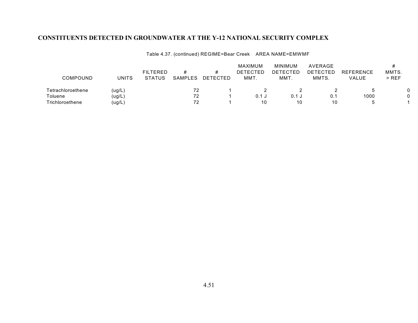| Table 4.37. (continued) REGIME=Bear Creek AREA NAME=EMWMF |  |
|-----------------------------------------------------------|--|
|-----------------------------------------------------------|--|

|                   |        |                 |         |          | MAXIMUM         | MINIMUM  | AVERAGE         |                  |         |  |
|-------------------|--------|-----------------|---------|----------|-----------------|----------|-----------------|------------------|---------|--|
|                   |        | <b>FILTERED</b> | #       |          | <b>DETECTED</b> | DETECTED | <b>DETECTED</b> | <b>REFERENCE</b> | MMTS.   |  |
| COMPOUND          | UNITS  | <b>STATUS</b>   | SAMPLES | DETECTED | MMT.            | MMT.     | MMTS.           | VALUE            | $>$ REF |  |
| Tetrachloroethene | (ug/L) |                 | 72      |          |                 |          |                 |                  |         |  |
| Toluene           | (ug/L) |                 | 72      |          | $0.1$ J         | 0.1 J    | 0.1             | 1000             |         |  |
| Trichloroethene   | (ug/L) |                 | 72      |          | 10              | 10       | 10              |                  |         |  |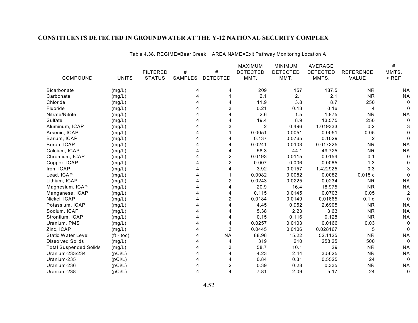Table 4.38. REGIME=Bear Creek AREA NAME=Exit Pathway Monitoring Location A

|                               |              |                 |                |                 | MAXIMUM         | <b>MINIMUM</b>  | <b>AVERAGE</b>  |                  | #              |
|-------------------------------|--------------|-----------------|----------------|-----------------|-----------------|-----------------|-----------------|------------------|----------------|
|                               |              | <b>FILTERED</b> | #              | $\#$            | <b>DETECTED</b> | <b>DETECTED</b> | <b>DETECTED</b> | <b>REFERENCE</b> | MMTS.          |
| COMPOUND                      | <b>UNITS</b> | <b>STATUS</b>   | <b>SAMPLES</b> | <b>DETECTED</b> | MMT.            | MMT.            | MMTS.           | VALUE            | $>$ REF        |
| <b>Bicarbonate</b>            | (mg/L)       |                 | 4              | 4               | 209             | 157             | 187.5           | <b>NR</b>        | ΝA             |
| Carbonate                     | (mg/L)       |                 |                |                 | 2.1             | 2.1             | 2.1             | <b>NR</b>        | <b>NA</b>      |
| Chloride                      | (mg/L)       |                 |                | 4               | 11.9            | 3.8             | 8.7             | 250              | $\Omega$       |
| Fluoride                      | (mg/L)       |                 |                | 3               | 0.21            | 0.13            | 0.16            | 4                |                |
| Nitrate/Nitrite               | (mg/L)       |                 |                | $\overline{4}$  | 2.6             | 1.5             | 1.875           | <b>NR</b>        | <b>NA</b>      |
| Sulfate                       | (mg/L)       |                 |                | 4               | 19.4            | 8.9             | 13.575          | 250              | $\Omega$       |
| Aluminum, ICAP                | (mg/L)       |                 |                | 3               | $\overline{2}$  | 0.496           | 1.019333        | 0.2              |                |
| Arsenic, ICAP                 | (mg/L)       |                 |                |                 | 0.0051          | 0.0051          | 0.0051          | 0.05             |                |
| Barium, ICAP                  | (mg/L)       |                 |                | 4               | 0.137           | 0.0765          | 0.1029          | $\overline{2}$   |                |
| Boron, ICAP                   | (mg/L)       |                 |                | 4               | 0.0241          | 0.0103          | 0.017325        | <b>NR</b>        | <b>NA</b>      |
| Calcium, ICAP                 | (mg/L)       |                 |                | 4               | 58.3            | 44.1            | 49.725          | <b>NR</b>        | <b>NA</b>      |
| Chromium, ICAP                | (mg/L)       |                 |                | $\overline{c}$  | 0.0193          | 0.0115          | 0.0154          | 0.1              | $\Omega$       |
| Copper, ICAP                  | (mg/L)       |                 |                | $\overline{c}$  | 0.007           | 0.006           | 0.0065          | 1.3              |                |
| Iron, ICAP                    | (mg/L)       |                 |                | 4               | 3.92            | 0.0157          | 1.422925        | 0.3              |                |
| Lead, ICAP                    | (mg/L)       |                 |                |                 | 0.0082          | 0.0082          | 0.0082          | 0.015c           | $\Omega$       |
| Lithium, ICAP                 | (mg/L)       |                 |                | 2               | 0.0243          | 0.0225          | 0.0234          | <b>NR</b>        | <b>NA</b>      |
| Magnesium, ICAP               | (mg/L)       |                 |                | 4               | 20.9            | 16.4            | 18.975          | <b>NR</b>        | <b>NA</b>      |
| Manganese, ICAP               | (mg/L)       |                 |                | 4               | 0.115           | 0.0145          | 0.0703          | 0.05             | $\overline{2}$ |
| Nickel, ICAP                  | (mg/L)       |                 |                | $\overline{c}$  | 0.0184          | 0.0149          | 0.01665         | 0.1 <sub>d</sub> |                |
| Potassium, ICAP               | (mg/L)       |                 |                | 4               | 4.45            | 0.952           | 2.6905          | <b>NR</b>        | <b>NA</b>      |
| Sodium, ICAP                  | (mg/L)       |                 |                | 4               | 5.38            | 2.23            | 3.63            | <b>NR</b>        | <b>NA</b>      |
| Strontium, ICAP               | (mg/L)       |                 |                | 4               | 0.15            | 0.116           | 0.128           | <b>NR</b>        | <b>NA</b>      |
| Uranium, PMS                  | (mg/L)       |                 |                | 4               | 0.0257          | 0.0103          | 0.0166          | 0.03             | 0              |
| Zinc, ICAP                    | (mg/L)       |                 |                | 3               | 0.0445          | 0.0106          | 0.028167        | 5                | $\Omega$       |
| <b>Static Water Level</b>     | $(tt - toc)$ |                 |                | <b>NA</b>       | 88.98           | 15.22           | 52.1125         | <b>NR</b>        | <b>NA</b>      |
| <b>Dissolved Solids</b>       | (mg/L)       |                 |                | 4               | 319             | 210             | 258.25          | 500              | $\Omega$       |
| <b>Total Suspended Solids</b> | (mg/L)       |                 |                | 3               | 58.7            | 10.1            | 29              | <b>NR</b>        | <b>NA</b>      |
| Uranium-233/234               | (pCi/L)      |                 |                | 4               | 4.23            | 2.44            | 3.5625          | <b>NR</b>        | <b>NA</b>      |
| Uranium-235                   | (pCi/L)      |                 |                | 4               | 0.84            | 0.31            | 0.5525          | 24               | $\Omega$       |
| Uranium-236                   | (pCi/L)      |                 |                | $\overline{c}$  | 0.39            | 0.28            | 0.335           | ${\sf NR}$       | <b>NA</b>      |
| Uranium-238                   | (pCi/L)      |                 |                | 4               | 7.81            | 2.09            | 5.17            | 24               | $\Omega$       |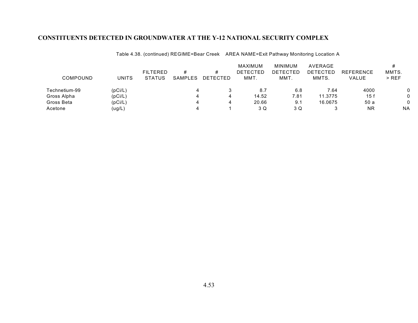Table 4.38. (continued) REGIME=Bear Creek AREA NAME=Exit Pathway Monitoring Location A

|               |                   |                                  |                     |                      | MAXIMUM                 | <b>MINIMUM</b>   | AVERAGE           |                                  |                  |
|---------------|-------------------|----------------------------------|---------------------|----------------------|-------------------------|------------------|-------------------|----------------------------------|------------------|
| COMPOUND      | <b>UNITS</b>      | <b>FILTERED</b><br><b>STATUS</b> | #<br><b>SAMPLES</b> | #<br><b>DETECTED</b> | <b>DETECTED</b><br>MMT. | DETECTED<br>MMT. | DETECTED<br>MMTS. | <b>REFERENCE</b><br><b>VALUE</b> | MMTS.<br>$>$ REF |
| Technetium-99 | (pCi/L)           |                                  |                     |                      | 8.7                     | 6.8              | 7.64              | 4000                             |                  |
| Gross Alpha   | (pCi/L)           |                                  |                     | 4                    | 14.52                   | 7.81             | 11.3775           | 15 f                             |                  |
| Gross Beta    | (pCi/L)           |                                  |                     | 4                    | 20.66                   | 9.1              | 16.0675           | 50 a                             |                  |
| Acetone       | $(\mathsf{ug/L})$ |                                  |                     |                      | 3 Q                     | 3 Q              |                   | ΝR                               | <b>NA</b>        |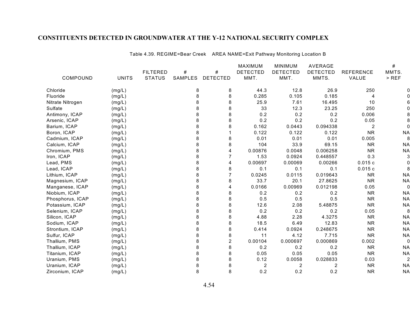Table 4.39. REGIME=Bear Creek AREA NAME=Exit Pathway Monitoring Location B

|                  |              |                 |         |                 | <b>MAXIMUM</b>  | <b>MINIMUM</b>  | AVERAGE         |                  | #              |
|------------------|--------------|-----------------|---------|-----------------|-----------------|-----------------|-----------------|------------------|----------------|
|                  |              | <b>FILTERED</b> | #       | $\#$            | <b>DETECTED</b> | <b>DETECTED</b> | <b>DETECTED</b> | <b>REFERENCE</b> | MMTS.          |
| COMPOUND         | <b>UNITS</b> | <b>STATUS</b>   | SAMPLES | <b>DETECTED</b> | MMT.            | MMT.            | MMTS.           | VALUE            | $>$ REF        |
| Chloride         | (mg/L)       |                 | 8       | 8               | 44.3            | 12.8            | 26.9            | 250              |                |
| Fluoride         | (mg/L)       |                 | 8       | 8               | 0.285           | 0.105           | 0.185           | 4                |                |
| Nitrate Nitrogen | (mg/L)       |                 | 8       | 8               | 25.9            | 7.61            | 16.495          | 10               |                |
| Sulfate          | (mg/L)       |                 | 8       | 8               | 33              | 12.3            | 23.25           | 250              |                |
| Antimony, ICAP   | (mg/L)       |                 | 8       | 8               | 0.2             | 0.2             | 0.2             | 0.006            |                |
| Arsenic, ICAP    | (mg/L)       |                 | 8       | 8               | 0.2             | 0.2             | 0.2             | 0.05             |                |
| Barium, ICAP     | (mg/L)       |                 | 8       | 8               | 0.162           | 0.0443          | 0.094338        | 2                | 0              |
| Boron, ICAP      | (mg/L)       |                 | 8       |                 | 0.122           | 0.122           | 0.122           | <b>NR</b>        | <b>NA</b>      |
| Cadmium, ICAP    | (mg/L)       |                 | 8       | 8               | 0.01            | 0.01            | 0.01            | 0.005            | 8              |
| Calcium, ICAP    | (mg/L)       |                 | 8       | 8               | 104             | 33.9            | 69.15           | <b>NR</b>        | <b>NA</b>      |
| Chromium, PMS    | (mg/L)       |                 | 8       | 4               | 0.00876         | 0.0048          | 0.006258        | <b>NR</b>        | <b>NA</b>      |
| Iron, ICAP       | (mg/L)       |                 | 8       |                 | 1.53            | 0.0924          | 0.448557        | 0.3              | 3              |
| Lead, PMS        | (mg/L)       |                 | 8       | 4               | 0.00697         | 0.00069         | 0.00266         | 0.015c           |                |
| Lead, ICAP       | (mg/L)       |                 | 8       | 8               | 0.1             | 0.1             | 0.1             | 0.015c           |                |
| Lithium, ICAP    | (mg/L)       |                 | 8       | 7               | 0.0245          | 0.0115          | 0.019643        | <b>NR</b>        | <b>NA</b>      |
| Magnesium, ICAP  | (mg/L)       |                 | 8       | 8               | 33.7            | 20.1            | 27.8625         | <b>NR</b>        | <b>NA</b>      |
| Manganese, ICAP  | (mg/L)       |                 | 8       | 4               | 0.0166          | 0.00969         | 0.012198        | 0.05             | 0              |
| Niobium, ICAP    | (mg/L)       |                 | 8       | 8               | 0.2             | 0.2             | 0.2             | <b>NR</b>        | <b>NA</b>      |
| Phosphorus, ICAP | (mg/L)       |                 | 8       | 8               | 0.5             | 0.5             | 0.5             | <b>NR</b>        | <b>NA</b>      |
| Potassium, ICAP  | (mg/L)       |                 | 8       | 8               | 12.6            | 2.08            | 5.48875         | <b>NR</b>        | <b>NA</b>      |
| Selenium, ICAP   | (mg/L)       |                 | 8       | 8               | 0.2             | 0.2             | 0.2             | 0.05             | 8              |
| Silicon, ICAP    | (mg/L)       |                 | 8       | 8               | 4.88            | 2.28            | 4.3275          | <b>NR</b>        | <b>NA</b>      |
| Sodium, ICAP     | (mg/L)       |                 | 8       | 8               | 18.5            | 6.49            | 12.83           | <b>NR</b>        | <b>NA</b>      |
| Strontium, ICAP  | (mg/L)       |                 | 8       | 8               | 0.414           | 0.0924          | 0.248675        | <b>NR</b>        | <b>NA</b>      |
| Sulfur, ICAP     | (mg/L)       |                 | 8       | 8               | 11              | 4.12            | 7.715           | <b>NR</b>        | <b>NA</b>      |
| Thallium, PMS    | (mg/L)       |                 | 8       | $\overline{2}$  | 0.00104         | 0.000697        | 0.000869        | 0.002            | $\Omega$       |
| Thallium, ICAP   | (mg/L)       |                 | 8       | 8               | 0.2             | 0.2             | 0.2             | <b>NR</b>        | <b>NA</b>      |
| Titanium, ICAP   | (mg/L)       |                 | 8       | 8               | 0.05            | 0.05            | 0.05            | <b>NR</b>        | <b>NA</b>      |
| Uranium, PMS     | (mg/L)       |                 | 8       | 8               | 0.12            | 0.0058          | 0.028833        | 0.03             | $\overline{c}$ |
| Uranium, ICAP    | (mg/L)       |                 | 8       | 8               | $\overline{c}$  | 2               | $\overline{c}$  | <b>NR</b>        | <b>NA</b>      |
| Zirconium, ICAP  | (mg/L)       |                 | 8       | 8               | 0.2             | 0.2             | 0.2             | <b>NR</b>        | <b>NA</b>      |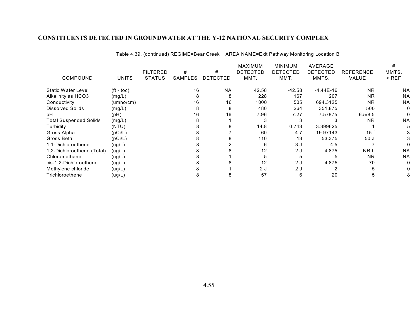|                               |                       |                 |                |                 | <b>MAXIMUM</b>  | <b>MINIMUM</b>  | AVERAGE         |                  | #         |
|-------------------------------|-----------------------|-----------------|----------------|-----------------|-----------------|-----------------|-----------------|------------------|-----------|
|                               |                       | <b>FILTERED</b> | #              | #               | <b>DETECTED</b> | <b>DETECTED</b> | <b>DETECTED</b> | <b>REFERENCE</b> | MMTS.     |
| COMPOUND                      | <b>UNITS</b>          | <b>STATUS</b>   | <b>SAMPLES</b> | <b>DETECTED</b> | MMT.            | MMT.            | MMTS.           | VALUE            | $>$ REF   |
| Static Water Level            | $({\rm ft -}$ toc $)$ |                 | 16             | <b>NA</b>       | 42.58           | -42.58          | $-4.44E-16$     | <b>NR</b>        | <b>NA</b> |
| Alkalinity as HCO3            | (mg/L)                |                 |                | 8               | 228             | 167             | 207             | <b>NR</b>        | <b>NA</b> |
| Conductivity                  | (umbo/cm)             |                 | 16             | 16              | 1000            | 505             | 694.3125        | <b>NR</b>        | <b>NA</b> |
| <b>Dissolved Solids</b>       | (mg/L)                |                 |                | 8               | 480             | 264             | 351.875         | 500              | 0         |
| рH                            | (pH)                  |                 | 16             | 16              | 7.96            | 7.27            | 7.57875         | 6.5/8.5          |           |
| <b>Total Suspended Solids</b> | (mg/L)                |                 |                |                 |                 |                 |                 | <b>NR</b>        | <b>NA</b> |
| Turbidity                     | (NTU)                 |                 |                |                 | 14.8            | 0.743           | 3.399625        |                  |           |
| Gross Alpha                   | (pCi/L)               |                 |                |                 | 60              | 4.7             | 19.97143        | 15f              |           |
| Gross Beta                    | (pCi/L)               |                 |                |                 | 110             | 13              | 53.375          | 50 a             |           |
| 1.1-Dichloroethene            | (ug/L)                |                 |                |                 | 6               | 3 J             | 4.5             |                  |           |
| 1,2-Dichloroethene (Total)    | (ug/L)                |                 |                |                 | 12              | 2 J             | 4.875           | NR b             | <b>NA</b> |
| Chloromethane                 | (ug/L)                |                 |                |                 |                 |                 |                 | <b>NR</b>        | <b>NA</b> |
| cis-1,2-Dichloroethene        | (ug/L)                |                 |                |                 | 12              | 2J              | 4.875           | 70               | O         |
| Methylene chloride            | (ug/L)                |                 |                |                 | 2J              | 2J              |                 |                  |           |
| Trichloroethene               | (ug/L)                |                 |                |                 | 57              | 6               | 20              | 5                |           |

Table 4.39. (continued) REGIME=Bear Creek AREA NAME=Exit Pathway Monitoring Location B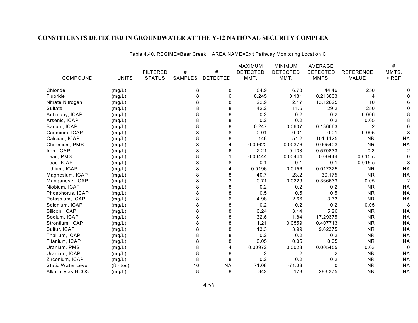Table 4.40. REGIME=Bear Creek AREA NAME=Exit Pathway Monitoring Location C

|                    |              |                 |                |                 | MAXIMUM         | <b>MINIMUM</b>  | <b>AVERAGE</b>  |                  | #              |
|--------------------|--------------|-----------------|----------------|-----------------|-----------------|-----------------|-----------------|------------------|----------------|
|                    |              | <b>FILTERED</b> | #              | $\#$            | <b>DETECTED</b> | <b>DETECTED</b> | <b>DETECTED</b> | <b>REFERENCE</b> | MMTS.          |
| COMPOUND           | <b>UNITS</b> | <b>STATUS</b>   | <b>SAMPLES</b> | <b>DETECTED</b> | MMT.            | MMT.            | MMTS.           | VALUE            | $>$ REF        |
| Chloride           | (mg/L)       |                 | 8              | 8               | 84.9            | 6.78            | 44.46           | 250              |                |
| Fluoride           | (mg/L)       |                 | 8              | $\,6\,$         | 0.245           | 0.181           | 0.213833        | 4                |                |
| Nitrate Nitrogen   | (mg/L)       |                 | 8              | 8               | 22.9            | 2.17            | 13.12625        | 10               |                |
| Sulfate            | (mg/L)       |                 | 8              | 8               | 42.2            | 11.5            | 29.2            | 250              |                |
| Antimony, ICAP     | (mg/L)       |                 | 8              | 8               | 0.2             | 0.2             | 0.2             | 0.006            |                |
| Arsenic, ICAP      | (mg/L)       |                 | 8              | 8               | 0.2             | 0.2             | 0.2             | 0.05             |                |
| Barium, ICAP       | (mg/L)       |                 | 8              | 8               | 0.247           | 0.0607          | 0.136663        | $\overline{2}$   |                |
| Cadmium, ICAP      | (mg/L)       |                 | 8              | 8               | 0.01            | 0.01            | 0.01            | 0.005            | 8              |
| Calcium, ICAP      | (mg/L)       |                 | 8              | 8               | 148             | 51.2            | 101.1125        | <b>NR</b>        | <b>NA</b>      |
| Chromium, PMS      | (mg/L)       |                 | 8              | 4               | 0.00622         | 0.00376         | 0.005403        | <b>NR</b>        | <b>NA</b>      |
| Iron, ICAP         | (mg/L)       |                 | 8              | 6               | 2.21            | 0.133           | 0.570833        | 0.3              | $\overline{c}$ |
| Lead, PMS          | (mg/L)       |                 | 8              |                 | 0.00444         | 0.00444         | 0.00444         | 0.015c           | 0              |
| Lead, ICAP         | (mg/L)       |                 | 8              | 8               | 0.1             | 0.1             | 0.1             | 0.015c           | 8              |
| Lithium, ICAP      | (mg/L)       |                 | 8              | 4               | 0.0196          | 0.0156          | 0.017325        | <b>NR</b>        | <b>NA</b>      |
| Magnesium, ICAP    | (mg/L)       |                 | 8              | 8               | 40.7            | 23.2            | 30.175          | <b>NR</b>        | <b>NA</b>      |
| Manganese, ICAP    | (mg/L)       |                 | 8              | 3               | 0.71            | 0.0229          | 0.366633        | 0.05             | $\overline{c}$ |
| Niobium, ICAP      | (mg/L)       |                 | 8              | 8               | 0.2             | 0.2             | 0.2             | <b>NR</b>        | <b>NA</b>      |
| Phosphorus, ICAP   | (mg/L)       |                 | 8              | 8               | 0.5             | 0.5             | 0.5             | <b>NR</b>        | <b>NA</b>      |
| Potassium, ICAP    | (mg/L)       |                 | 8              | 6               | 4.98            | 2.66            | 3.33            | <b>NR</b>        | <b>NA</b>      |
| Selenium, ICAP     | (mg/L)       |                 | 8              | 8               | 0.2             | 0.2             | 0.2             | 0.05             | 8              |
| Silicon, ICAP      | (mg/L)       |                 | 8              | 8               | 6.24            | 3.14            | 5.26            | <b>NR</b>        | <b>NA</b>      |
| Sodium, ICAP       | (mg/L)       |                 | 8              | 8               | 32.6            | 1.84            | 17.29375        | <b>NR</b>        | <b>NA</b>      |
| Strontium, ICAP    | (mg/L)       |                 | 8              | 8               | 1.21            | 0.0559          | 0.407713        | <b>NR</b>        | <b>NA</b>      |
| Sulfur, ICAP       | (mg/L)       |                 |                | 8               | 13.3            | 3.99            | 9.62375         | <b>NR</b>        | <b>NA</b>      |
| Thallium, ICAP     | (mg/L)       |                 | 8              | 8               | 0.2             | 0.2             | 0.2             | <b>NR</b>        | <b>NA</b>      |
| Titanium, ICAP     | (mg/L)       |                 | 8              | 8               | 0.05            | 0.05            | 0.05            | <b>NR</b>        | <b>NA</b>      |
| Uranium, PMS       | (mg/L)       |                 | 8              | 4               | 0.00972         | 0.0023          | 0.005455        | 0.03             | $\Omega$       |
| Uranium, ICAP      | (mg/L)       |                 | 8              | 8               | 2               | 2               | 2               | <b>NR</b>        | <b>NA</b>      |
| Zirconium, ICAP    | (mg/L)       |                 | 8              | 8               | 0.2             | 0.2             | 0.2             | <b>NR</b>        | <b>NA</b>      |
| Static Water Level | $(ft - toc)$ |                 | 16             | <b>NA</b>       | 71.08           | $-71.08$        | $\mathbf{0}$    | <b>NR</b>        | <b>NA</b>      |
| Alkalinity as HCO3 | (mg/L)       |                 | 8              | 8               | 342             | 173             | 283.375         | <b>NR</b>        | <b>NA</b>      |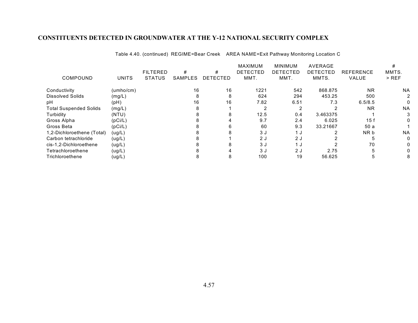Table 4.40. (continued) REGIME=Bear Creek AREA NAME=Exit Pathway Monitoring Location C

|                               |              |                 |                |                 | <b>MAXIMUM</b>  | <b>MINIMUM</b>  | AVERAGE         |                  |           |
|-------------------------------|--------------|-----------------|----------------|-----------------|-----------------|-----------------|-----------------|------------------|-----------|
|                               |              | <b>FILTERED</b> | #              | #               | <b>DETECTED</b> | <b>DETECTED</b> | <b>DETECTED</b> | <b>REFERENCE</b> | MMTS.     |
| COMPOUND                      | <b>UNITS</b> | <b>STATUS</b>   | <b>SAMPLES</b> | <b>DETECTED</b> | MMT.            | MMT.            | MMTS.           | <b>VALUE</b>     | $>$ REF   |
| Conductivity                  | (umbo/cm)    |                 | 16             | 16              | 1221            | 542             | 868.875         | <b>NR</b>        | <b>NA</b> |
| <b>Dissolved Solids</b>       | (mg/L)       |                 | 8              | 8               | 624             | 294             | 453.25          | 500              | 2         |
| рH                            | (pH)         |                 | 16             | 16              | 7.82            | 6.51            | 7.3             | 6.5/8.5          | 0         |
| <b>Total Suspended Solids</b> | (mg/L)       |                 |                |                 |                 | ◠               |                 | <b>NR</b>        | <b>NA</b> |
| Turbidity                     | (NTU)        |                 |                |                 | 12.5            | 0.4             | 3.463375        |                  | 3         |
| Gross Alpha                   | (pCi/L)      |                 |                |                 | 9.7             | 2.4             | 6.025           | 15 f             | 0         |
| Gross Beta                    | (pCi/L)      |                 |                |                 | 60              | 9.3             | 33.21667        | 50a              |           |
| 1,2-Dichloroethene (Total)    | (ug/L)       |                 |                |                 | 3 J             | 1 <sub>J</sub>  |                 | NR b             | <b>NA</b> |
| Carbon tetrachloride          | (ug/L)       |                 |                |                 | 2J              | 2J              |                 |                  | 0         |
| cis-1,2-Dichloroethene        | (ug/L)       |                 |                |                 | 3 J             |                 |                 | 70               | 0         |
| Tetrachloroethene             | (ug/L)       |                 |                |                 | 3 J             | 2 J             | 2.75            |                  | 0         |
| Trichloroethene               | (ug/L)       |                 |                | 8               | 100             | 19              | 56.625          |                  | 8         |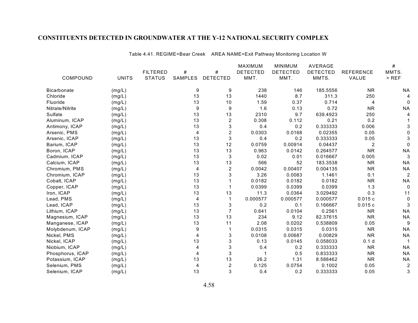Table 4.41. REGIME=Bear Creek AREA NAME=Exit Pathway Monitoring Location W

|                    |              |                 |         |                  | <b>MAXIMUM</b>  | <b>MINIMUM</b>  | AVERAGE         |                  | #              |
|--------------------|--------------|-----------------|---------|------------------|-----------------|-----------------|-----------------|------------------|----------------|
|                    |              | <b>FILTERED</b> | #       | $\#$             | <b>DETECTED</b> | <b>DETECTED</b> | <b>DETECTED</b> | <b>REFERENCE</b> | MMTS.          |
| COMPOUND           | <b>UNITS</b> | <b>STATUS</b>   | SAMPLES | <b>DETECTED</b>  | MMT.            | MMT.            | MMTS.           | VALUE            | $>$ REF        |
| <b>Bicarbonate</b> | (mg/L)       |                 | 9       | 9                | 238             | 146             | 185.5556        | <b>NR</b>        | <b>NA</b>      |
| Chloride           | (mg/L)       |                 | 13      | 13               | 1440            | 8.7             | 311.3           | 250              | 4              |
| Fluoride           | (mg/L)       |                 | 13      | 10               | 1.59            | 0.37            | 0.714           | 4                | $\Omega$       |
| Nitrate/Nitrite    | (mg/L)       |                 | 9       | $\boldsymbol{9}$ | 1.6             | 0.13            | 0.72            | <b>NR</b>        | <b>NA</b>      |
| Sulfate            | (mg/L)       |                 | 13      | 13               | 2310            | 9.7             | 639.4923        | 250              |                |
| Aluminum, ICAP     | (mg/L)       |                 | 13      | $\overline{2}$   | 0.308           | 0.112           | 0.21            | 0.2              |                |
| Antimony, ICAP     | (mg/L)       |                 | 13      | $\mathbf{3}$     | 0.4             | 0.2             | 0.333333        | 0.006            |                |
| Arsenic, PMS       | (mg/L)       |                 | 4       | $\overline{c}$   | 0.0303          | 0.0168          | 0.02355         | 0.05             | <sup>0</sup>   |
| Arsenic, ICAP      | (mg/L)       |                 | 13      | $\sqrt{3}$       | 0.4             | 0.2             | 0.333333        | 0.05             |                |
| Barium, ICAP       | (mg/L)       |                 | 13      | 12               | 0.0759          | 0.00914         | 0.04437         | $\overline{c}$   | $\Omega$       |
| Boron, ICAP        | (mg/L)       |                 | 13      | 13               | 0.963           | 0.0142          | 0.264577        | <b>NR</b>        | <b>NA</b>      |
| Cadmium, ICAP      | (mg/L)       |                 | 13      | 3                | 0.02            | 0.01            | 0.016667        | 0.005            | 3              |
| Calcium, ICAP      | (mg/L)       |                 | 13      | 13               | 566             | 52              | 183.3538        | <b>NR</b>        | <b>NA</b>      |
| Chromium, PMS      | (mg/L)       |                 | 4       | $\overline{2}$   | 0.0042          | 0.00407         | 0.004135        | <b>NR</b>        | <b>NA</b>      |
| Chromium, ICAP     | (mg/L)       |                 | 13      | 3                | 3.26            | 0.0083          | 1.1461          | 0.1              | $\overline{2}$ |
| Cobalt, ICAP       | (mg/L)       |                 | 13      |                  | 0.0182          | 0.0182          | 0.0182          | <b>NR</b>        | <b>NA</b>      |
| Copper, ICAP       | (mg/L)       |                 | 13      |                  | 0.0399          | 0.0399          | 0.0399          | 1.3              | $\mathbf{0}$   |
| Iron, ICAP         | (mg/L)       |                 | 13      | 13               | 11.3            | 0.0364          | 3.029492        | 0.3              | 11             |
| Lead, PMS          | (mg/L)       |                 | 4       |                  | 0.000577        | 0.000577        | 0.000577        | 0.015c           | $\mathbf 0$    |
| Lead, ICAP         | (mg/L)       |                 | 13      | 3                | 0.2             | 0.1             | 0.166667        | 0.015c           |                |
| Lithium, ICAP      | (mg/L)       |                 | 13      | $\overline{7}$   | 0.641           | 0.0104          | 0.2561          | <b>NR</b>        | <b>NA</b>      |
| Magnesium, ICAP    | (mg/L)       |                 | 13      | 13               | 234             | 9.12            | 82.37615        | <b>NR</b>        | <b>NA</b>      |
| Manganese, ICAP    | (mg/L)       |                 | 13      | 11               | 2.08            | 0.0202          | 0.538809        | 0.05             | 9              |
| Molybdenum, ICAP   | (mg/L)       |                 | 9       |                  | 0.0315          | 0.0315          | 0.0315          | <b>NR</b>        | <b>NA</b>      |
| Nickel, PMS        | (mg/L)       |                 | 4       | 3                | 0.0108          | 0.00687         | 0.00829         | <b>NR</b>        | <b>NA</b>      |
| Nickel, ICAP       | (mg/L)       |                 | 13      | 3                | 0.13            | 0.0145          | 0.058033        | 0.1 <sub>d</sub> |                |
| Niobium, ICAP      | (mg/L)       |                 | 4       | $\mathbf{3}$     | 0.4             | 0.2             | 0.333333        | <b>NR</b>        | <b>NA</b>      |
| Phosphorus, ICAP   | (mg/L)       |                 | 4       | 3                |                 | 0.5             | 0.833333        | <b>NR</b>        | <b>NA</b>      |
| Potassium, ICAP    | (mg/L)       |                 | 13      | 13               | 26.2            | 1.31            | 8.588462        | <b>NR</b>        | <b>NA</b>      |
| Selenium, PMS      | (mg/L)       |                 | 4       | $\overline{c}$   | 0.125           | 0.0754          | 0.1002          | 0.05             | $\overline{2}$ |
| Selenium, ICAP     | (mg/L)       |                 | 13      | 3                | 0.4             | 0.2             | 0.333333        | 0.05             | 3              |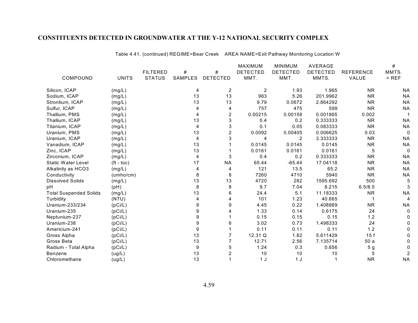Table 4.41. (continued) REGIME=Bear Creek AREA NAME=Exit Pathway Monitoring Location W

|                               |              |                 |                |                 | <b>MAXIMUM</b>  | <b>MINIMUM</b>  | AVERAGE         |                  | $\#$         |
|-------------------------------|--------------|-----------------|----------------|-----------------|-----------------|-----------------|-----------------|------------------|--------------|
|                               |              | <b>FILTERED</b> | #              | #               | <b>DETECTED</b> | <b>DETECTED</b> | <b>DETECTED</b> | <b>REFERENCE</b> | MMTS.        |
| COMPOUND                      | <b>UNITS</b> | <b>STATUS</b>   | SAMPLES        | <b>DETECTED</b> | MMT.            | MMT.            | MMTS.           | VALUE            | $>$ REF      |
| Silicon, ICAP                 | (mg/L)       |                 | 4              | $\overline{2}$  | $\overline{2}$  | 1.93            | 1.965           | <b>NR</b>        | <b>NA</b>    |
| Sodium, ICAP                  | (mg/L)       |                 | 13             | 13              | 963             | 5.26            | 201.9962        | <b>NR</b>        | <b>NA</b>    |
| Strontium, ICAP               | (mg/L)       |                 | 13             | 13              | 9.79            | 0.0672          | 2.864292        | <b>NR</b>        | <b>NA</b>    |
| Sulfur, ICAP                  | (mg/L)       |                 |                | 4               | 757             | 475             | 599             | <b>NR</b>        | <b>NA</b>    |
| Thallium, PMS                 | (mg/L)       |                 | 4              | 2               | 0.00215         | 0.00158         | 0.001865        | 0.002            |              |
| Thallium, ICAP                | (mg/L)       |                 | 13             | 3               | 0.4             | 0.2             | 0.333333        | <b>NR</b>        | <b>NA</b>    |
| Titanium, ICAP                | (mg/L)       |                 | 4              | 3               | 0.1             | 0.05            | 0.083333        | <b>NR</b>        | <b>NA</b>    |
| Uranium, PMS                  | (mg/L)       |                 | 13             | $\overline{c}$  | 0.0092          | 0.00405         | 0.006625        | 0.03             | $\Omega$     |
| Uranium, ICAP                 | (mg/L)       |                 | 4              | 3               | 4               | 2               | 3.333333        | <b>NR</b>        | <b>NA</b>    |
| Vanadium, ICAP                | (mg/L)       |                 | 13             |                 | 0.0145          | 0.0145          | 0.0145          | <b>NR</b>        | <b>NA</b>    |
| Zinc, ICAP                    | (mg/L)       |                 | 13             |                 | 0.0161          | 0.0161          | 0.0161          | 5                | $\Omega$     |
| Zirconium, ICAP               | (mg/L)       |                 | $\overline{4}$ | 3               | 0.4             | 0.2             | 0.333333        | <b>NR</b>        | <b>NA</b>    |
| <b>Static Water Level</b>     | $(ft - toc)$ |                 | 17             | <b>NA</b>       | 65.44           | $-65.44$        | 17.04118        | <b>NR</b>        | <b>NA</b>    |
| Alkalinity as HCO3            | (mg/L)       |                 | 4              | 4               | 121             | 13.5            | 65.2            | <b>NR</b>        | <b>NA</b>    |
| Conductivity                  | (umbo/cm)    |                 | 8              | 8               | 7260            | 4710            | 5940            | <b>NR</b>        | <b>NA</b>    |
| <b>Dissolved Solids</b>       | (mg/L)       |                 | 13             | 13              | 4720            | 282             | 1595.692        | 500              | 5            |
| pH                            | (pH)         |                 | 8              | 8               | 9.7             | 7.04            | 8.215           | 6.5/8.5          |              |
| <b>Total Suspended Solids</b> | (mg/L)       |                 | 13             | 6               | 24.4            | 5.1             | 11.18333        | <b>NR</b>        | <b>NA</b>    |
| Turbidity                     | (NTU)        |                 |                |                 | 101             | 1.23            | 40.665          |                  | 4            |
| Uranium-233/234               | (pCi/L)      |                 | 9              | 9               | 4.45            | 0.22            | 1.408889        | <b>NR</b>        | <b>NA</b>    |
| Uranium-235                   | (pCi/L)      |                 | 9              |                 | 1.33            | 0.14            | 0.6175          | 24               | $\mathbf{0}$ |
| Neptunium-237                 | (pCi/L)      |                 | 9              |                 | 0.15            | 0.15            | 0.15            | 1.2              |              |
| Uranium-238                   | (pCi/L)      |                 | 9              | 6               | 3.02            | 0.73            | 1.498333        | 24               | <sup>0</sup> |
| Americium-241                 | (pCi/L)      |                 | 9              |                 | 0.11            | 0.11            | 0.11            | 1.2              |              |
| Gross Alpha                   | (pCi/L)      |                 | 13             |                 | 12.31 Q         | 1.82            | 5.611429        | 15f              |              |
| Gross Beta                    | (pCi/L)      |                 | 13             |                 | 12.71           | 2.56            | 7.135714        | 50a              |              |
| Radium - Total Alpha          | (pCi/L)      |                 | 9              | 5               | 1.24            | 0.3             | 0.656           | 5 <sub>g</sub>   |              |
| <b>Benzene</b>                | (ug/L)       |                 | 13             | 2               | 10              | 10              | 10              | 5                |              |
| Chloromethane                 | (ug/L)       |                 | 13             |                 | 1 <sub>J</sub>  | 1 <sub>J</sub>  | 1               | <b>NR</b>        | <b>NA</b>    |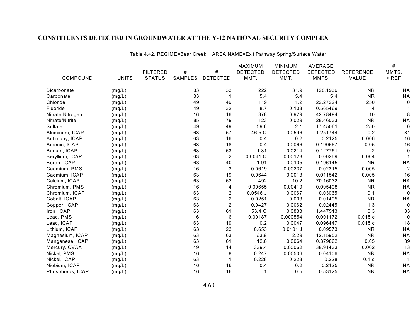Table 4.42. REGIME=Bear Creek AREA NAME=Exit Pathway Spring/Surface Water

|                    |              |                 |                |                 | MAXIMUM         | <b>MINIMUM</b>  | AVERAGE         |                  | #              |
|--------------------|--------------|-----------------|----------------|-----------------|-----------------|-----------------|-----------------|------------------|----------------|
|                    |              | <b>FILTERED</b> | #              | $\#$            | <b>DETECTED</b> | <b>DETECTED</b> | <b>DETECTED</b> | <b>REFERENCE</b> | MMTS.          |
| COMPOUND           | <b>UNITS</b> | <b>STATUS</b>   | <b>SAMPLES</b> | <b>DETECTED</b> | MMT.            | MMT.            | MMTS.           | VALUE            | $>$ REF        |
| <b>Bicarbonate</b> | (mg/L)       |                 | 33             | 33              | 222             | 31.9            | 128.1939        | <b>NR</b>        | ΝA             |
| Carbonate          | (mg/L)       |                 | 33             |                 | 5.4             | 5.4             | 5.4             | <b>NR</b>        | <b>NA</b>      |
| Chloride           | (mg/L)       |                 | 49             | 49              | 119             | 1.2             | 22.27224        | 250              | 0              |
| Fluoride           | (mg/L)       |                 | 49             | 32              | 8.7             | 0.108           | 0.565469        | $\overline{4}$   |                |
| Nitrate Nitrogen   | (mg/L)       |                 | 16             | 16              | 378             | 0.979           | 42.78494        | 10               | 8              |
| Nitrate/Nitrite    | (mg/L)       |                 | 85             | 79              | 123             | 0.029           | 28.46033        | <b>NR</b>        | <b>NA</b>      |
| Sulfate            | (mg/L)       |                 | 49             | 49              | 59.6            | 2.1             | 17.45061        | 250              | 0              |
| Aluminum, ICAP     | (mg/L)       |                 | 63             | 57              | 46.5 Q          | 0.0596          | 1.251744        | 0.2              | 31             |
| Antimony, ICAP     | (mg/L)       |                 | 63             | 16              | 0.4             | 0.2             | 0.2125          | 0.006            | 16             |
| Arsenic, ICAP      | (mg/L)       |                 | 63             | 18              | 0.4             | 0.0066          | 0.190567        | 0.05             | 16             |
| Barium, ICAP       | (mg/L)       |                 | 63             | 63              | 1.31            | 0.0214          | 0.127751        | $\overline{2}$   | $\Omega$       |
| Beryllium, ICAP    | (mg/L)       |                 | 63             | $\overline{c}$  | 0.0041 Q        | 0.00128         | 0.00269         | 0.004            |                |
| Boron, ICAP        | (mg/L)       |                 | 63             | 40              | 1.91            | 0.0105          | 0.196145        | <b>NR</b>        | <b>NA</b>      |
| Cadmium, PMS       | (mg/L)       |                 | 16             | 3               | 0.0619          | 0.00237         | 0.02315         | 0.005            | $\overline{2}$ |
| Cadmium, ICAP      | (mg/L)       |                 | 63             | 19              | 0.0644          | 0.0013          | 0.011542        | 0.005            | 16             |
| Calcium, ICAP      | (mg/L)       |                 | 63             | 63              | 492             | 10.2            | 70.16032        | <b>NR</b>        | <b>NA</b>      |
| Chromium, PMS      | (mg/L)       |                 | 16             | 4               | 0.00655         | 0.00419         | 0.005408        | <b>NR</b>        | <b>NA</b>      |
| Chromium, ICAP     | (mg/L)       |                 | 63             | $\overline{c}$  | $0.0546$ J      | 0.0067          | 0.03065         | 0.1              | $\Omega$       |
| Cobalt, ICAP       | (mg/L)       |                 | 63             | $\overline{2}$  | 0.0251          | 0.003           | 0.01405         | <b>NR</b>        | <b>NA</b>      |
| Copper, ICAP       | (mg/L)       |                 | 63             | $\overline{2}$  | 0.0427          | 0.0062          | 0.02445         | 1.3              | $\mathbf 0$    |
| Iron, ICAP         | (mg/L)       |                 | 63             | 61              | 53.4 Q          | 0.0833          | 1.447513        | 0.3              | 33             |
| Lead, PMS          | (mg/L)       |                 | 16             | 6               | 0.00187         | 0.000554        | 0.001172        | 0.015c           | $\mathbf 0$    |
| Lead, ICAP         | (mg/L)       |                 | 63             | 19              | 0.2             | 0.0047          | 0.096447        | 0.015c           | 18             |
| Lithium, ICAP      | (mg/L)       |                 | 63             | 23              | 0.653           | $0.0101$ J      | 0.09573         | <b>NR</b>        | <b>NA</b>      |
| Magnesium, ICAP    | (mg/L)       |                 | 63             | 63              | 63.9            | 2.29            | 12.15952        | <b>NR</b>        | <b>NA</b>      |
| Manganese, ICAP    | (mg/L)       |                 | 63             | 61              | 12.6            | 0.0064          | 0.379862        | 0.05             | 39             |
| Mercury, CVAA      | (mg/L)       |                 | 49             | 14              | 339.4           | 0.00062         | 38.91433        | 0.002            | 13             |
| Nickel, PMS        | (mg/L)       |                 | 16             | 8               | 0.247           | 0.00506         | 0.04106         | <b>NR</b>        | <b>NA</b>      |
| Nickel, ICAP       | (mg/L)       |                 | 63             |                 | 0.228           | 0.228           | 0.228           | 0.1 <sub>d</sub> |                |
| Niobium, ICAP      | (mg/L)       |                 | 16             | 16              | 0.4             | 0.2             | 0.2125          | <b>NR</b>        | <b>NA</b>      |
| Phosphorus, ICAP   | (mg/L)       |                 | 16             | 16              | $\mathbf 1$     | 0.5             | 0.53125         | <b>NR</b>        | <b>NA</b>      |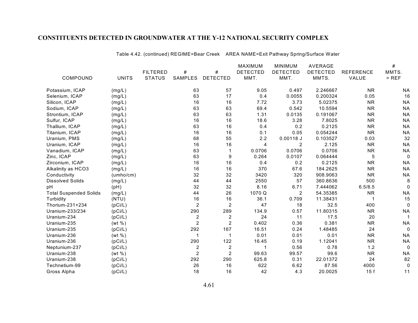Table 4.42. (continued) REGIME=Bear Creek AREA NAME=Exit Pathway Spring/Surface Water

|                               |              |                 |                |                 | <b>MAXIMUM</b>  | <b>MINIMUM</b>  | AVERAGE         |                  | #            |
|-------------------------------|--------------|-----------------|----------------|-----------------|-----------------|-----------------|-----------------|------------------|--------------|
|                               |              | <b>FILTERED</b> | #              | #               | <b>DETECTED</b> | <b>DETECTED</b> | <b>DETECTED</b> | <b>REFERENCE</b> | MMTS.        |
| COMPOUND                      | <b>UNITS</b> | <b>STATUS</b>   | SAMPLES        | <b>DETECTED</b> | MMT.            | MMT.            | MMTS.           | VALUE            | $>$ REF      |
| Potassium, ICAP               | (mg/L)       |                 | 63             | 57              | 9.05            | 0.497           | 2.246667        | <b>NR</b>        | <b>NA</b>    |
| Selenium, ICAP                | (mg/L)       |                 | 63             | 17              | 0.4             | 0.0055          | 0.200324        | 0.05             | 16           |
| Silicon, ICAP                 | (mg/L)       |                 | 16             | 16              | 7.72            | 3.73            | 5.02375         | <b>NR</b>        | <b>NA</b>    |
| Sodium, ICAP                  | (mg/L)       |                 | 63             | 63              | 69.4            | 0.542           | 10.5594         | <b>NR</b>        | <b>NA</b>    |
| Strontium, ICAP               | (mg/L)       |                 | 63             | 63              | 1.31            | 0.0135          | 0.191067        | <b>NR</b>        | <b>NA</b>    |
| Sulfur, ICAP                  | (mg/L)       |                 | 16             | 16              | 18.6            | 3.28            | 7.8025          | <b>NR</b>        | <b>NA</b>    |
| Thallium, ICAP                | (mg/L)       |                 | 63             | 16              | 0.4             | 0.2             | 0.2125          | <b>NR</b>        | <b>NA</b>    |
| Titanium, ICAP                | (mg/L)       |                 | 16             | 16              | 0.1             | 0.05            | 0.054244        | <b>NR</b>        | <b>NA</b>    |
| Uranium, PMS                  | (mg/L)       |                 | 68             | 55              | 2.2             | $0.00118$ J     | 0.103527        | 0.03             | 32           |
| Uranium, ICAP                 | (mg/L)       |                 | 16             | 16              | 4               | 2               | 2.125           | <b>NR</b>        | <b>NA</b>    |
| Vanadium, ICAP                | (mg/L)       |                 | 63             | 1               | 0.0706          | 0.0706          | 0.0706          | <b>NR</b>        | <b>NA</b>    |
| Zinc, ICAP                    | (mg/L)       |                 | 63             | 9               | 0.264           | 0.0107          | 0.064444        | $\overline{5}$   | $\mathbf{0}$ |
| Zirconium, ICAP               | (mg/L)       |                 | 16             | 16              | 0.4             | 0.2             | 0.2125          | <b>NR</b>        | <b>NA</b>    |
| Alkalinity as HCO3            | (mg/L)       |                 | 16             | 16              | 370             | 67.6            | 184.2625        | <b>NR</b>        | <b>NA</b>    |
| Conductivity                  | (umbo/cm)    |                 | 32             | 32              | 3420            | 320             | 908.9063        | <b>NR</b>        | <b>NA</b>    |
| <b>Dissolved Solids</b>       | (mg/L)       |                 | 44             | 44              | 2550            | 57              | 360.8636        | 500              | 8            |
| pH                            | (pH)         |                 | 32             | 32              | 8.16            | 6.71            | 7.444062        | 6.5/8.5          | $\Omega$     |
| <b>Total Suspended Solids</b> | (mg/L)       |                 | 44             | 26              | 1070 Q          | $\overline{c}$  | 54.35385        | <b>NR</b>        | <b>NA</b>    |
| Turbidity                     | (NTU)        |                 | 16             | 16              | 36.1            | 0.709           | 11.38431        | 1                | 15           |
| Thorium-231+234               | (pCi/L)      |                 | $\overline{2}$ | $\overline{2}$  | 47              | 18              | 32.5            | 400              | $\Omega$     |
| Uranium-233/234               | (pCi/L)      |                 | 290            | 289             | 134.9           | 0.57            | 11.80315        | <b>NR</b>        | <b>NA</b>    |
| Uranium-234                   | (pCi/L)      |                 | $\overline{c}$ | $\overline{c}$  | 24              | 11              | 17.5            | 20               |              |
| Uranium-235                   | (wt %)       |                 | $\overline{2}$ | $\overline{2}$  | 0.402           | 0.36            | 0.381           | <b>NR</b>        | <b>NA</b>    |
| Uranium-235                   | (pCi/L)      |                 | 292            | 167             | 16.51           | 0.24            | 1.48485         | 24               | $\Omega$     |
| Uranium-236                   | (wt %)       |                 | $\mathbf 1$    |                 | 0.01            | 0.01            | 0.01            | <b>NR</b>        | <b>NA</b>    |
| Uranium-236                   | (pCi/L)      |                 | 290            | 122             | 16.45           | 0.19            | 1.12041         | <b>NR</b>        | <b>NA</b>    |
| Neptunium-237                 | (pCi/L)      |                 | $\overline{c}$ | $\overline{c}$  | 1               | 0.56            | 0.78            | 1.2              | 0            |
| Uranium-238                   | (wt %)       |                 | $\overline{2}$ | $\overline{2}$  | 99.63           | 99.57           | 99.6            | <b>NR</b>        | <b>NA</b>    |
| Uranium-238                   | (pCi/L)      |                 | 292            | 290             | 625.8           | 0.31            | 22.01372        | 24               | 82           |
| Technetium-99                 | (pCi/L)      |                 | 26             | 16              | 622             | 6.62            | 87.56           | 4000             | 0            |
| Gross Alpha                   | (pCi/L)      |                 | 18             | 16              | 42              | 4.3             | 20.0025         | 15f              | 11           |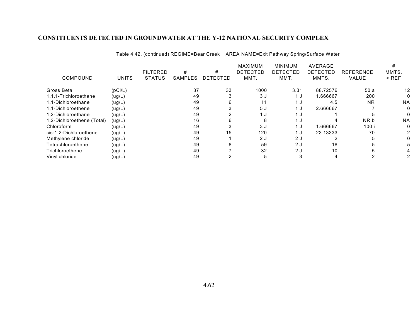Table 4.42. (continued) REGIME=Bear Creek AREA NAME=Exit Pathway Spring/Surface Water

|                            |              |                 |         |          | <b>MAXIMUM</b>  | <b>MINIMUM</b>  | <b>AVERAGE</b>  |                  |                   |
|----------------------------|--------------|-----------------|---------|----------|-----------------|-----------------|-----------------|------------------|-------------------|
|                            |              | <b>FILTERED</b> | #       | #        | <b>DETECTED</b> | <b>DETECTED</b> | <b>DETECTED</b> | <b>REFERENCE</b> | MMTS.             |
| COMPOUND                   | <b>UNITS</b> | <b>STATUS</b>   | SAMPLES | DETECTED | MMT.            | MMT.            | MMTS.           | VALUE            | $>$ REF           |
| Gross Beta                 | (pCi/L)      |                 | 37      | 33       | 1000            | 3.31            | 88.72576        | 50 a             | $12 \overline{ }$ |
| 1,1,1-Trichloroethane      | (ug/L)       |                 | 49      |          | 3J              | 1 J             | 1.666667        | 200              |                   |
| 1,1-Dichloroethane         | (ug/L)       |                 | 49      | 6        | 11              | 1 J             | 4.5             | <b>NR</b>        | <b>NA</b>         |
| 1,1-Dichloroethene         | (ug/L)       |                 | 49      |          | 5J              | 1 J             | 2.666667        |                  | 0                 |
| 1.2-Dichloroethane         | (ug/L)       |                 | 49      |          | 1 ม             | 1 <sub>0</sub>  |                 |                  |                   |
| 1,2-Dichloroethene (Total) | (ug/L)       |                 | 16      | 6        |                 | 1 J             |                 | NR b             | <b>NA</b>         |
| Chloroform                 | (ug/L)       |                 | 49      |          | 3 J             | 1 J             | 1.666667        | 100 i            | 0                 |
| cis-1,2-Dichloroethene     | (ug/L)       |                 | 49      | 15       | 120             | 1 J             | 23.13333        | 70               | 2                 |
| Methylene chloride         | (ug/L)       |                 | 49      |          | 2J              | 2 J             |                 |                  | 0                 |
| Tetrachloroethene          | (ug/L)       |                 | 49      | 8        | 59              | 2 J             | 18              |                  | 5                 |
| Trichloroethene            | (ug/L)       |                 | 49      |          | 32              | 2J              | 10              |                  |                   |
| Vinyl chloride             | (ug/L)       |                 | 49      |          |                 |                 |                 |                  |                   |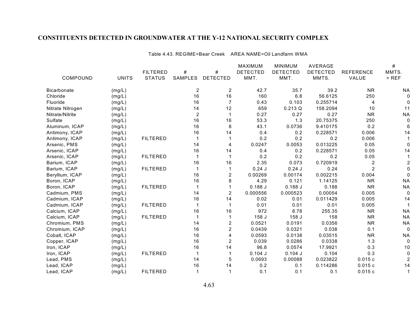Table 4.43. REGIME=Bear Creek AREA NAME=Oil Landfarm WMA

|                    |              |                 |                |                 | <b>MAXIMUM</b>  | <b>MINIMUM</b>  | AVERAGE         |                  | #            |
|--------------------|--------------|-----------------|----------------|-----------------|-----------------|-----------------|-----------------|------------------|--------------|
|                    |              | <b>FILTERED</b> | #              | $\#$            | <b>DETECTED</b> | <b>DETECTED</b> | <b>DETECTED</b> | <b>REFERENCE</b> | MMTS.        |
| COMPOUND           | <b>UNITS</b> | <b>STATUS</b>   | SAMPLES        | <b>DETECTED</b> | MMT.            | MMT.            | MMTS.           | VALUE            | $>$ REF      |
| <b>Bicarbonate</b> | (mg/L)       |                 | 2              | 2               | 42.7            | 35.7            | 39.2            | <b>NR</b>        | <b>NA</b>    |
| Chloride           | (mg/L)       |                 | 16             | 16              | 160             | 6.8             | 56.6125         | 250              | $\Omega$     |
| Fluoride           | (mg/L)       |                 | 16             | $\overline{7}$  | 0.43            | 0.103           | 0.255714        | 4                |              |
| Nitrate Nitrogen   | (mg/L)       |                 | 14             | 12              | 659             | 0.213 Q         | 158.2094        | 10               | 11           |
| Nitrate/Nitrite    | (mg/L)       |                 | $\overline{2}$ | $\mathbf 1$     | 0.27            | 0.27            | 0.27            | <b>NR</b>        | <b>NA</b>    |
| Sulfate            | (mg/L)       |                 | 16             | 16              | 53.3            | 1.3             | 20.75375        | 250              |              |
| Aluminum, ICAP     | (mg/L)       |                 | 16             | 8               | 43.1            | 0.0736          | 9.410175        | 0.2              |              |
| Antimony, ICAP     | (mg/L)       |                 | 16             | 14              | 0.4             | 0.2             | 0.228571        | 0.006            | 14           |
| Antimony, ICAP     | (mg/L)       | <b>FILTERED</b> | $\mathbf 1$    |                 | 0.2             | 0.2             | 0.2             | 0.006            |              |
| Arsenic, PMS       | (mg/L)       |                 | 14             | 4               | 0.0247          | 0.0053          | 0.013225        | 0.05             |              |
| Arsenic, ICAP      | (mg/L)       |                 | 16             | 14              | 0.4             | 0.2             | 0.228571        | 0.05             | 14           |
| Arsenic, ICAP      | (mg/L)       | <b>FILTERED</b> |                |                 | 0.2             | 0.2             | 0.2             | 0.05             |              |
| Barium, ICAP       | (mg/L)       |                 | 16             | 16              | 2.35            | 0.073           | 0.720919        | $\overline{c}$   |              |
| Barium, ICAP       | (mg/L)       | <b>FILTERED</b> | $\mathbf 1$    |                 | 0.24J           | $0.24$ J        | 0.24            | 2                |              |
| Beryllium, ICAP    | (mg/L)       |                 | 16             | $\overline{c}$  | 0.00269         | 0.00174         | 0.002215        | 0.004            |              |
| Boron, ICAP        | (mg/L)       |                 | 16             | 8               | 4.29            | 0.121           | 1.14125         | <b>NR</b>        | <b>NA</b>    |
| Boron, ICAP        | (mg/L)       | <b>FILTERED</b> | 1              |                 | 0.188J          | 0.188J          | 0.188           | <b>NR</b>        | <b>NA</b>    |
| Cadmium, PMS       | (mg/L)       |                 | 14             | $\overline{2}$  | 0.000556        | 0.000523        | 0.00054         | 0.005            | $\Omega$     |
| Cadmium, ICAP      | (mg/L)       |                 | 16             | 14              | 0.02            | 0.01            | 0.011429        | 0.005            | 14           |
| Cadmium, ICAP      | (mg/L)       | <b>FILTERED</b> | $\mathbf 1$    | $\mathbf 1$     | 0.01            | 0.01            | 0.01            | 0.005            |              |
| Calcium, ICAP      | (mg/L)       |                 | 16             | 16              | 972             | 8.78            | 255.35          | <b>NR</b>        | <b>NA</b>    |
| Calcium, ICAP      | (mg/L)       | <b>FILTERED</b> |                |                 | 158 J           | 158 J           | 158             | <b>NR</b>        | <b>NA</b>    |
| Chromium, PMS      | (mg/L)       |                 | 14             | 2               | 0.0521          | 0.0191          | 0.0356          | <b>NR</b>        | <b>NA</b>    |
| Chromium, ICAP     | (mg/L)       |                 | 16             | $\overline{2}$  | 0.0439          | 0.0321          | 0.038           | 0.1              | $\mathbf{0}$ |
| Cobalt, ICAP       | (mg/L)       |                 | 16             | $\overline{4}$  | 0.0593          | 0.0138          | 0.03515         | <b>NR</b>        | <b>NA</b>    |
| Copper, ICAP       | (mg/L)       |                 | 16             | $\overline{2}$  | 0.039           | 0.0286          | 0.0338          | 1.3              | $\Omega$     |
| Iron, ICAP         | (mg/L)       |                 | 16             | 14              | 96.8            | 0.0574          | 17.9921         | 0.3              | 10           |
| Iron, ICAP         | (mg/L)       | <b>FILTERED</b> |                |                 | $0.104$ J       | $0.104$ J       | 0.104           | 0.3              |              |
| Lead, PMS          | (mg/L)       |                 | 14             | 5               | 0.0693          | 0.00088         | 0.023822        | 0.015c           |              |
| Lead, ICAP         | (mg/L)       |                 | 16             | 14              | 0.2             | 0.1             | 0.114286        | 0.015c           | 14           |
| Lead, ICAP         | (mg/L)       | <b>FILTERED</b> | 1              |                 | 0.1             | 0.1             | 0.1             | 0.015c           |              |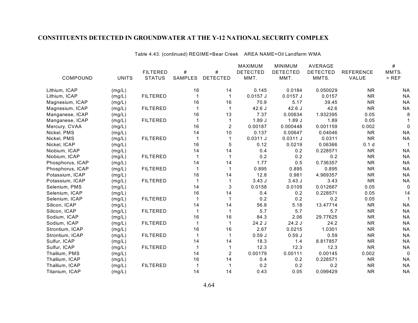Table 4.43. (continued) REGIME=Bear Creek AREA NAME=Oil Landfarm WMA

|                  |              |                 |                |                 | MAXIMUM         | <b>MINIMUM</b>  | AVERAGE         |                  | $\#$      |
|------------------|--------------|-----------------|----------------|-----------------|-----------------|-----------------|-----------------|------------------|-----------|
|                  |              | <b>FILTERED</b> | #              | $\#$            | <b>DETECTED</b> | <b>DETECTED</b> | <b>DETECTED</b> | <b>REFERENCE</b> | MMTS.     |
| COMPOUND         | <b>UNITS</b> | <b>STATUS</b>   | <b>SAMPLES</b> | <b>DETECTED</b> | MMT.            | MMT.            | MMTS.           | VALUE            | $>$ REF   |
| Lithium, ICAP    | (mg/L)       |                 | 16             | 14              | 0.145           | 0.0184          | 0.050029        | <b>NR</b>        | <b>NA</b> |
| Lithium, ICAP    | (mg/L)       | <b>FILTERED</b> |                | $\mathbf{1}$    | $0.0157$ J      | $0.0157$ J      | 0.0157          | <b>NR</b>        | <b>NA</b> |
| Magnesium, ICAP  | (mg/L)       |                 | 16             | 16              | 70.9            | 5.17            | 39.45           | <b>NR</b>        | <b>NA</b> |
| Magnesium, ICAP  | (mg/L)       | <b>FILTERED</b> |                | 1               | 42.6J           | 42.6J           | 42.6            | <b>NR</b>        | <b>NA</b> |
| Manganese, ICAP  | (mg/L)       |                 | 16             | 13              | 7.37            | 0.00634         | 1.932395        | 0.05             | 8         |
| Manganese, ICAP  | (mg/L)       | <b>FILTERED</b> |                | 1               | 1.89J           | 1.89J           | 1.89            | 0.05             |           |
| Mercury, CVAA    | (mg/L)       |                 | 16             | $\overline{c}$  | 0.00187         | 0.000448        | 0.001159        | 0.002            | $\Omega$  |
| Nickel, PMS      | (mg/L)       |                 | 14             | 10              | 0.137           | 0.00647         | 0.04046         | <b>NR</b>        | <b>NA</b> |
| Nickel, PMS      | (mg/L)       | <b>FILTERED</b> |                | $\mathbf{1}$    | 0.0311J         | 0.0311J         | 0.0311          | <b>NR</b>        | <b>NA</b> |
| Nickel, ICAP     | (mg/L)       |                 | 16             | 5               | 0.12            | 0.0219          | 0.06366         | 0.1 <sub>d</sub> |           |
| Niobium, ICAP    | (mg/L)       |                 | 14             | 14              | 0.4             | 0.2             | 0.228571        | <b>NR</b>        | <b>NA</b> |
| Niobium, ICAP    | (mg/L)       | <b>FILTERED</b> |                | 1               | 0.2             | 0.2             | 0.2             | <b>NR</b>        | <b>NA</b> |
| Phosphorus, ICAP | (mg/L)       |                 | 14             | 14              | 1.77            | 0.5             | 0.736357        | <b>NR</b>        | <b>NA</b> |
| Phosphorus, ICAP | (mg/L)       | <b>FILTERED</b> |                |                 | 0.895           | 0.895           | 0.895           | <b>NR</b>        | <b>NA</b> |
| Potassium, ICAP  | (mg/L)       |                 | 16             | 14              | 12.8            | 0.981           | 4.969357        | <b>NR</b>        | <b>NA</b> |
| Potassium, ICAP  | (mg/L)       | <b>FILTERED</b> |                |                 | 3.43J           | 3.43J           | 3.43            | <b>NR</b>        | <b>NA</b> |
| Selenium, PMS    | (mg/L)       |                 | 14             | 3               | 0.0158          | 0.0109          | 0.012667        | 0.05             | $\Omega$  |
| Selenium, ICAP   | (mg/L)       |                 | 16             | 14              | 0.4             | 0.2             | 0.228571        | 0.05             | 14        |
| Selenium, ICAP   | (mg/L)       | <b>FILTERED</b> |                | $\mathbf{1}$    | 0.2             | 0.2             | 0.2             | 0.05             |           |
| Silicon, ICAP    | (mg/L)       |                 | 14             | 14              | 56.8            | 5.18            | 13.47714        | <b>NR</b>        | <b>NA</b> |
| Silicon, ICAP    | (mg/L)       | <b>FILTERED</b> |                | 1               | 5.7             | 5.7             | 5.7             | <b>NR</b>        | <b>NA</b> |
| Sodium, ICAP     | (mg/L)       |                 | 16             | 16              | 84.3            | 2.06            | 29.77625        | <b>NR</b>        | <b>NA</b> |
| Sodium, ICAP     | (mg/L)       | <b>FILTERED</b> |                | $\mathbf 1$     | 24.2 J          | 24.2 J          | 24.2            | <b>NR</b>        | <b>NA</b> |
| Strontium, ICAP  | (mg/L)       |                 | 16             | 16              | 2.67            | 0.0215          | 1.0301          | <b>NR</b>        | <b>NA</b> |
| Strontium, ICAP  | (mg/L)       | <b>FILTERED</b> |                |                 | 0.59J           | 0.59J           | 0.59            | <b>NR</b>        | <b>NA</b> |
| Sulfur, ICAP     | (mg/L)       |                 | 14             | 14              | 18.3            | 1.4             | 8.817857        | <b>NR</b>        | <b>NA</b> |
| Sulfur, ICAP     | (mg/L)       | <b>FILTERED</b> |                | 1               | 12.3            | 12.3            | 12.3            | <b>NR</b>        | <b>NA</b> |
| Thallium, PMS    | (mg/L)       |                 | 14             | 2               | 0.00179         | 0.00111         | 0.00145         | 0.002            | 0         |
| Thallium, ICAP   | (mg/L)       |                 | 16             | 14              | 0.4             | 0.2             | 0.228571        | <b>NR</b>        | <b>NA</b> |
| Thallium, ICAP   | (mg/L)       | <b>FILTERED</b> |                |                 | 0.2             | 0.2             | 0.2             | <b>NR</b>        | <b>NA</b> |
| Titanium, ICAP   | (mg/L)       |                 | 14             | 14              | 0.43            | 0.05            | 0.099429        | <b>NR</b>        | <b>NA</b> |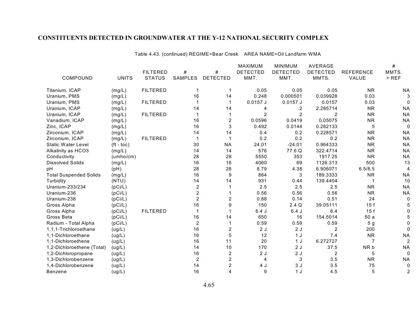Table 4.43. (continued) REGIME=Bear Creek AREA NAME=Oil Landfarm WMA

|                               |              |                 |                  |                 | MAXIMUM         | <b>MINIMUM</b>          | <b>AVERAGE</b>  |                  | #              |
|-------------------------------|--------------|-----------------|------------------|-----------------|-----------------|-------------------------|-----------------|------------------|----------------|
|                               |              | <b>FILTERED</b> | #                | #               | <b>DETECTED</b> | <b>DETECTED</b>         | <b>DETECTED</b> | <b>REFERENCE</b> | MMTS.          |
| COMPOUND                      | <b>UNITS</b> | <b>STATUS</b>   | SAMPLES          | <b>DETECTED</b> | MMT.            | MMT.                    | MMTS.           | VALUE            | $>$ REF        |
| Titanium, ICAP                | (mg/L)       | <b>FILTERED</b> | 1                | 1               | 0.05            | 0.05                    | 0.05            | <b>NR</b>        | ΝA             |
| Uranium, PMS                  | (mg/L)       |                 | 16               | 14              | 0.248           | 0.000501                | 0.039928        | 0.03             |                |
| Uranium, PMS                  | (mg/L)       | <b>FILTERED</b> |                  |                 | $0.0157$ J      | $0.0157$ J              | 0.0157          | 0.03             | $\Omega$       |
| Uranium, ICAP                 | (mg/L)       |                 | 14               | 14              | 4               | $\overline{\mathbf{c}}$ | 2.285714        | <b>NR</b>        | <b>NA</b>      |
| Uranium, ICAP                 | (mg/L)       | <b>FILTERED</b> |                  | 1               | $\overline{2}$  | $\overline{2}$          | 2               | <b>NR</b>        | <b>NA</b>      |
| Vanadium, ICAP                | (mg/L)       |                 | 16               | $\overline{c}$  | 0.0596          | 0.0419                  | 0.05075         | <b>NR</b>        | <b>NA</b>      |
| Zinc, ICAP                    | (mg/L)       |                 | 16               | 3               | 0.492           | 0.0144                  | 0.282133        | 5                | $\mathbf{0}$   |
| Zirconium, ICAP               | (mg/L)       |                 | 14               | 14              | 0.4             | 0.2                     | 0.228571        | <b>NR</b>        | <b>NA</b>      |
| Zirconium, ICAP               | (mg/L)       | <b>FILTERED</b> | 1                |                 | 0.2             | 0.2                     | 0.2             | <b>NR</b>        | <b>NA</b>      |
| <b>Static Water Level</b>     | $(ft - toc)$ |                 | 30               | <b>NA</b>       | 24.01           | $-24.01$                | 0.964333        | <b>NR</b>        | <b>NA</b>      |
| Alkalinity as HCO3            | (mg/L)       |                 | 14               | 14              | 576             | 77.6 Q                  | 322.4714        | <b>NR</b>        | <b>NA</b>      |
| Conductivity                  | (umho/cm)    |                 | 28               | 28              | 5550            | 353                     | 1917.25         | <b>NR</b>        | <b>NA</b>      |
| <b>Dissolved Solids</b>       | (mg/L)       |                 | 16               | 16              | 4060            | 69                      | 1126.313        | 500              | 13             |
| pH                            | (pH)         |                 | 28               | 28              | 8.79            | 4.38                    | 6.906071        | 6.5/8.5          | 4              |
| <b>Total Suspended Solids</b> | (mg/L)       |                 | 16               | 9               | 864             | 3                       | 189.3333        | <b>NR</b>        | <b>NA</b>      |
| Turbidity                     | (NTU)        |                 | 14               | 14              | 931             | 0.44                    | 139.4404        |                  | 10             |
| Uranium-233/234               | (pCi/L)      |                 | $\boldsymbol{2}$ |                 | 2.5             | 2.5                     | 2.5             | <b>NR</b>        | <b>NA</b>      |
| Uranium-236                   | (pCi/L)      |                 | $\overline{c}$   |                 | 0.56            | 0.56                    | 0.56            | <b>NR</b>        | <b>NA</b>      |
| Uranium-238                   | (pCi/L)      |                 | $\overline{2}$   | $\overline{c}$  | 0.88            | 0.14                    | 0.51            | 24               | $\Omega$       |
| Gross Alpha                   | (pCi/L)      |                 | 16               | 9               | 150             | 2.4Q                    | 39.05111        | 15f              |                |
| Gross Alpha                   | (pCi/L)      | <b>FILTERED</b> |                  |                 | 6.4J            | 6.4J                    | 6.4             | 15f              | 0              |
| Gross Beta                    | (pCi/L)      |                 | 16               | 14              | 650             | 16                      | 154.5014        | 50a              |                |
| Radium - Total Alpha          | (pCi/L)      |                 | $\overline{2}$   |                 | 0.59            | 0.59                    | 0.59            | 5 <sub>g</sub>   |                |
| 1,1,1-Trichloroethane         | (ug/L)       |                 | 16               | $\overline{c}$  | 2J              | 2J                      | $\overline{2}$  | 200              | $\Omega$       |
| 1,1-Dichloroethane            | (ug/L)       |                 | 16               | 5               | 12              | 1 <sub>J</sub>          | 7.4             | <b>NR</b>        | <b>NA</b>      |
| 1,1-Dichloroethene            | (ug/L)       |                 | 16               | 11              | 20              | 1 <sub>J</sub>          | 6.272727        | 7                | $\overline{2}$ |
| 1,2-Dichloroethene (Total)    | (ug/L)       |                 | 14               | 10              | 170             | 2J                      | 37.5            | NR b             | <b>NA</b>      |
| 1,2-Dichloropropane           | (ug/L)       |                 | 16               | $\overline{c}$  | 2J              | 2J                      | 2               | 5                | $\mathbf{0}$   |
| 1,3-Dichlorobenzene           | (ug/L)       |                 | $\overline{c}$   | $\overline{c}$  | 4               | 3                       | 3.5             | <b>NR</b>        | <b>NA</b>      |
| 1,4-Dichlorobenzene           | (ug/L)       |                 | 14               | $\overline{c}$  | 4 J             | 3J                      | 3.5             | 75               | $\mathbf{0}$   |
| Benzene                       | (ug/L)       |                 | 16               | 4               | 9               | 1 <sub>J</sub>          | 4.5             | 5                | $\overline{2}$ |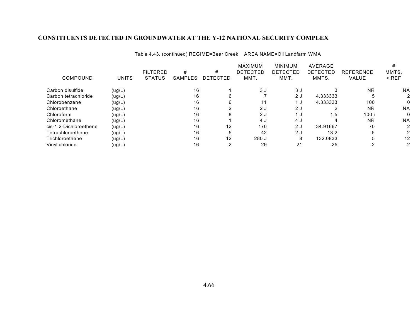Table 4.43. (continued) REGIME=Bear Creek AREA NAME=Oil Landfarm WMA

|                        |              |                 |         |          | <b>MAXIMUM</b>  | <b>MINIMUM</b> | AVERAGE  |                  |                   |
|------------------------|--------------|-----------------|---------|----------|-----------------|----------------|----------|------------------|-------------------|
|                        |              | <b>FILTERED</b> | #       | #        | <b>DETECTED</b> | DETECTED       | DETECTED | <b>REFERENCE</b> | MMTS.             |
| COMPOUND               | <b>UNITS</b> | <b>STATUS</b>   | SAMPLES | DETECTED | MMT.            | MMT.           | MMTS.    | VALUE            | $>$ REF           |
| Carbon disulfide       | (ug/L)       |                 | 16      |          | 3J              | 3 J            |          | <b>NR</b>        | <b>NA</b>         |
| Carbon tetrachloride   | (ug/L)       |                 | 16      | 6        |                 | 2J             | 4.333333 |                  |                   |
| Chlorobenzene          | (ug/L)       |                 | 16      | 6        | 11              | 1 J            | 4.333333 | 100              | 0                 |
| Chloroethane           | (ug/L)       |                 | 16      |          | 2J              | 2J             |          | <b>NR</b>        | <b>NA</b>         |
| Chloroform             | (ug/L)       |                 | 16      | 8        | 2J              | 1 ປ            | 1.5      | 100 i            | 0                 |
| Chloromethane          | (ug/L)       |                 | 16      |          | 4 J             | 4 J            |          | <b>NR</b>        | <b>NA</b>         |
| cis-1,2-Dichloroethene | (ug/L)       |                 | 16      | 12       | 170             | 2J             | 34.91667 | 70               |                   |
| Tetrachloroethene      | (ug/L)       |                 | 16      | 5        | 42              | 2J             | 13.2     |                  |                   |
| Trichloroethene        | (ug/L)       |                 | 16      | 12       | 280 J           | 8              | 132.0833 |                  | $12 \overline{ }$ |
| Vinyl chloride         | (ug/L)       |                 | 16      |          | 29              | 21             | 25       |                  |                   |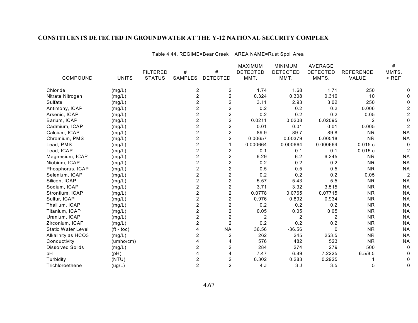Table 4.44. REGIME=Bear Creek AREA NAME=Rust Spoil Area

|                           |              |                 |                         |                         | MAXIMUM         | <b>MINIMUM</b>  | AVERAGE         |                  | #              |
|---------------------------|--------------|-----------------|-------------------------|-------------------------|-----------------|-----------------|-----------------|------------------|----------------|
|                           |              | <b>FILTERED</b> | #                       | $\#$                    | <b>DETECTED</b> | <b>DETECTED</b> | <b>DETECTED</b> | <b>REFERENCE</b> | MMTS.          |
| COMPOUND                  | <b>UNITS</b> | <b>STATUS</b>   | <b>SAMPLES</b>          | <b>DETECTED</b>         | MMT.            | MMT.            | MMTS.           | VALUE            | $>$ REF        |
| Chloride                  | (mg/L)       |                 | $\overline{\mathbf{c}}$ | $\overline{\mathbf{c}}$ | 1.74            | 1.68            | 1.71            | 250              |                |
| Nitrate Nitrogen          | (mg/L)       |                 | $\overline{c}$          | $\overline{c}$          | 0.324           | 0.308           | 0.316           | 10               |                |
| Sulfate                   | (mg/L)       |                 | 2                       | $\overline{c}$          | 3.11            | 2.93            | 3.02            | 250              |                |
| Antimony, ICAP            | (mg/L)       |                 | 2                       | $\overline{c}$          | 0.2             | 0.2             | 0.2             | 0.006            |                |
| Arsenic, ICAP             | (mg/L)       |                 | $\overline{c}$          | $\overline{c}$          | 0.2             | 0.2             | 0.2             | 0.05             | 2              |
| Barium, ICAP              | (mg/L)       |                 | $\overline{c}$          | $\overline{c}$          | 0.0211          | 0.0208          | 0.02095         | $\overline{2}$   | 0              |
| Cadmium, ICAP             | (mg/L)       |                 | 2                       | $\overline{c}$          | 0.01            | 0.01            | 0.01            | 0.005            | 2              |
| Calcium, ICAP             | (mg/L)       |                 | 2                       | $\overline{c}$          | 89.9            | 89.7            | 89.8            | <b>NR</b>        | <b>NA</b>      |
| Chromium, PMS             | (mg/L)       |                 | 2                       | $\overline{2}$          | 0.00657         | 0.00379         | 0.00518         | <b>NR</b>        | <b>NA</b>      |
| Lead, PMS                 | (mg/L)       |                 | $\overline{c}$          | 1                       | 0.000664        | 0.000664        | 0.000664        | 0.015c           | 0              |
| Lead, ICAP                | (mg/L)       |                 | $\overline{c}$          | 2                       | 0.1             | 0.1             | 0.1             | 0.015c           | 2              |
| Magnesium, ICAP           | (mg/L)       |                 | $\overline{c}$          | $\overline{\mathbf{c}}$ | 6.29            | 6.2             | 6.245           | <b>NR</b>        | <b>NA</b>      |
| Niobium, ICAP             | (mg/L)       |                 | $\overline{2}$          | $\overline{2}$          | 0.2             | 0.2             | 0.2             | <b>NR</b>        | <b>NA</b>      |
| Phosphorus, ICAP          | (mg/L)       |                 | $\overline{2}$          | $\overline{2}$          | 0.5             | 0.5             | 0.5             | <b>NR</b>        | <b>NA</b>      |
| Selenium, ICAP            | (mg/L)       |                 | 2                       | $\overline{c}$          | 0.2             | 0.2             | 0.2             | 0.05             | $\overline{c}$ |
| Silicon, ICAP             | (mg/L)       |                 | $\overline{c}$          | $\overline{c}$          | 5.57            | 5.43            | 5.5             | <b>NR</b>        | <b>NA</b>      |
| Sodium, ICAP              | (mg/L)       |                 | $\overline{c}$          | $\overline{c}$          | 3.71            | 3.32            | 3.515           | <b>NR</b>        | <b>NA</b>      |
| Strontium, ICAP           | (mg/L)       |                 | 2                       | $\overline{2}$          | 0.0778          | 0.0765          | 0.07715         | <b>NR</b>        | <b>NA</b>      |
| Sulfur, ICAP              | (mg/L)       |                 | $\overline{c}$          | $\overline{c}$          | 0.976           | 0.892           | 0.934           | <b>NR</b>        | <b>NA</b>      |
| Thallium, ICAP            | (mg/L)       |                 | $\overline{c}$          | $\overline{c}$          | 0.2             | 0.2             | 0.2             | <b>NR</b>        | <b>NA</b>      |
| Titanium, ICAP            | (mg/L)       |                 | 2                       | $\overline{2}$          | 0.05            | 0.05            | 0.05            | <b>NR</b>        | <b>NA</b>      |
| Uranium, ICAP             | (mg/L)       |                 | $\overline{2}$          | $\overline{c}$          | $\overline{c}$  | $\overline{c}$  | 2               | <b>NR</b>        | <b>NA</b>      |
| Zirconium, ICAP           | (mg/L)       |                 | 2                       | $\overline{2}$          | 0.2             | 0.2             | 0.2             | <b>NR</b>        | <b>NA</b>      |
| <b>Static Water Level</b> | $(ft - toc)$ |                 |                         | <b>NA</b>               | 36.56           | $-36.56$        | $\Omega$        | <b>NR</b>        | <b>NA</b>      |
| Alkalinity as HCO3        | (mg/L)       |                 | 2                       | $\overline{\mathbf{c}}$ | 262             | 245             | 253.5           | <b>NR</b>        | <b>NA</b>      |
| Conductivity              | (umho/cm)    |                 |                         | $\overline{4}$          | 576             | 482             | 523             | <b>NR</b>        | <b>NA</b>      |
| <b>Dissolved Solids</b>   | (mg/L)       |                 | $\overline{2}$          | $\overline{2}$          | 284             | 274             | 279             | 500              | 0              |
| рH                        | (pH)         |                 |                         | 4                       | 7.47            | 6.89            | 7.2225          | 6.5/8.5          | 0              |
| Turbidity                 | (NTU)        |                 | 2                       | $\overline{c}$          | 0.302           | 0.283           | 0.2925          |                  | 0              |
| Trichloroethene           | (ug/L)       |                 | $\overline{2}$          | $\overline{2}$          | 4 J             | 3J              | 3.5             | 5                | $\Omega$       |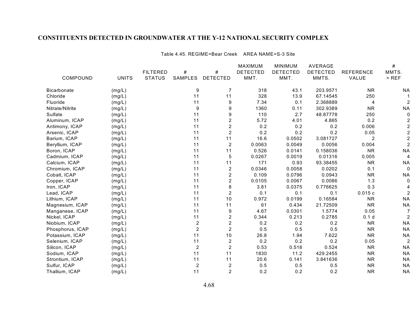Table 4.45. REGIME=Bear Creek AREA NAME=S-3 Site

|                    |              |                 |                  |                         | MAXIMUM         | <b>MINIMUM</b>  | <b>AVERAGE</b>  |                  | $\#$           |
|--------------------|--------------|-----------------|------------------|-------------------------|-----------------|-----------------|-----------------|------------------|----------------|
|                    |              | <b>FILTERED</b> | #                | $\#$                    | <b>DETECTED</b> | <b>DETECTED</b> | <b>DETECTED</b> | <b>REFERENCE</b> | MMTS.          |
| COMPOUND           | <b>UNITS</b> | <b>STATUS</b>   | <b>SAMPLES</b>   | <b>DETECTED</b>         | MMT.            | MMT.            | MMTS.           | VALUE            | $>$ REF        |
| <b>Bicarbonate</b> | (mg/L)       |                 | 9                | 7                       | 318             | 43.1            | 203.9571        | <b>NR</b>        | ΝA             |
| Chloride           | (mg/L)       |                 | 11               | 11                      | 328             | 13.9            | 67.14545        | 250              |                |
| Fluoride           | (mg/L)       |                 | 11               | $\boldsymbol{9}$        | 7.34            | 0.1             | 2.368889        | 4                | 2              |
| Nitrate/Nitrite    | (mg/L)       |                 | $\boldsymbol{9}$ | $\boldsymbol{9}$        | 1360            | 0.11            | 302.9389        | <b>NR</b>        | <b>NA</b>      |
| Sulfate            | (mg/L)       |                 | 11               | 9                       | 110             | 2.7             | 48.87778        | 250              | $\Omega$       |
| Aluminum, ICAP     | (mg/L)       |                 | 11               | $\overline{2}$          | 5.72            | 4.01            | 4.865           | 0.2              | 2              |
| Antimony, ICAP     | (mg/L)       |                 | 11               | $\overline{2}$          | 0.2             | 0.2             | 0.2             | 0.006            | $\overline{c}$ |
| Arsenic, ICAP      | (mg/L)       |                 | 11               | $\boldsymbol{2}$        | 0.2             | 0.2             | 0.2             | 0.05             | $\overline{c}$ |
| Barium, ICAP       | (mg/L)       |                 | 11               | 11                      | 16.6            | 0.0502          | 3.081727        | 2                | $\overline{c}$ |
| Beryllium, ICAP    | (mg/L)       |                 | 11               | $\boldsymbol{2}$        | 0.0063          | 0.0049          | 0.0056          | 0.004            | $\overline{2}$ |
| Boron, ICAP        | (mg/L)       |                 | 11               | 11                      | 0.526           | 0.0141          | 0.158036        | <b>NR</b>        | <b>NA</b>      |
| Cadmium, ICAP      | (mg/L)       |                 | 11               | 5                       | 0.0267          | 0.0019          | 0.01316         | 0.005            | 4              |
| Calcium, ICAP      | (mg/L)       |                 | 11               | 11                      | 171             | 0.93            | 93.38455        | <b>NR</b>        | <b>NA</b>      |
| Chromium, ICAP     | (mg/L)       |                 | 11               | $\overline{2}$          | 0.0346          | 0.0058          | 0.0202          | 0.1              | $\Omega$       |
| Cobalt, ICAP       | (mg/L)       |                 | 11               | 2                       | 0.109           | 0.0796          | 0.0943          | <b>NR</b>        | <b>NA</b>      |
| Copper, ICAP       | (mg/L)       |                 | 11               | $\overline{c}$          | 0.0105          | 0.0067          | 0.0086          | 1.3              | 0              |
| Iron, ICAP         | (mg/L)       |                 | 11               | 8                       | 3.81            | 0.0375          | 0.776625        | 0.3              |                |
| Lead, ICAP         | (mg/L)       |                 | 11               | $\overline{2}$          | 0.1             | 0.1             | 0.1             | 0.015c           | $\overline{2}$ |
| Lithium, ICAP      | (mg/L)       |                 | 11               | 10                      | 0.972           | 0.0199          | 0.16584         | <b>NR</b>        | <b>NA</b>      |
| Magnesium, ICAP    | (mg/L)       |                 | 11               | 11                      | 61              | 0.434           | 21.72509        | <b>NR</b>        | <b>NA</b>      |
| Manganese, ICAP    | (mg/L)       |                 | 11               | 9                       | 4.67            | 0.0301          | 1.5774          | 0.05             |                |
| Nickel, ICAP       | (mg/L)       |                 | 11               | $\overline{\mathbf{c}}$ | 0.344           | 0.213           | 0.2785          | 0.1 <sub>d</sub> | $\overline{2}$ |
| Niobium, ICAP      | (mg/L)       |                 | $\overline{2}$   | $\overline{c}$          | 0.2             | 0.2             | 0.2             | <b>NR</b>        | <b>NA</b>      |
| Phosphorus, ICAP   | (mg/L)       |                 | $\overline{2}$   | $\overline{2}$          | 0.5             | 0.5             | 0.5             | <b>NR</b>        | <b>NA</b>      |
| Potassium, ICAP    | (mg/L)       |                 | 11               | $10$                    | 26.8            | 1.94            | 7.622           | <b>NR</b>        | <b>NA</b>      |
| Selenium, ICAP     | (mg/L)       |                 | 11               | $\boldsymbol{2}$        | 0.2             | 0.2             | 0.2             | 0.05             | $\overline{2}$ |
| Silicon, ICAP      | (mg/L)       |                 | $\overline{2}$   | $\overline{c}$          | 0.53            | 0.518           | 0.524           | <b>NR</b>        | <b>NA</b>      |
| Sodium, ICAP       | (mg/L)       |                 | 11               | 11                      | 1830            | 11.2            | 429.2455        | <b>NR</b>        | <b>NA</b>      |
| Strontium, ICAP    | (mg/L)       |                 | 11               | 11                      | 20.6            | 0.141           | 3.841636        | <b>NR</b>        | <b>NA</b>      |
| Sulfur, ICAP       | (mg/L)       |                 | $\overline{c}$   | $\boldsymbol{2}$        | 0.5             | 0.5             | 0.5             | <b>NR</b>        | <b>NA</b>      |
| Thallium, ICAP     | (mg/L)       |                 | 11               | $\overline{2}$          | 0.2             | 0.2             | 0.2             | <b>NR</b>        | <b>NA</b>      |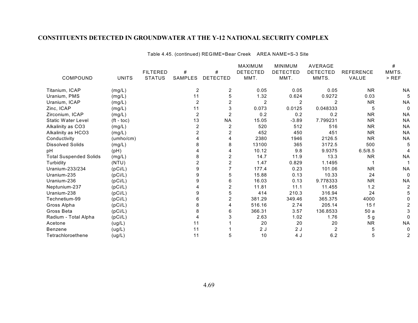Table 4.45. (continued) REGIME=Bear Creek AREA NAME=S-3 Site

|                               |                    |                 |                |                         | <b>MAXIMUM</b>  | <b>MINIMUM</b>  | <b>AVERAGE</b>  |                  | #         |
|-------------------------------|--------------------|-----------------|----------------|-------------------------|-----------------|-----------------|-----------------|------------------|-----------|
|                               |                    | <b>FILTERED</b> | #              | #                       | <b>DETECTED</b> | <b>DETECTED</b> | <b>DETECTED</b> | <b>REFERENCE</b> | MMTS.     |
| COMPOUND                      | <b>UNITS</b>       | <b>STATUS</b>   | SAMPLES        | <b>DETECTED</b>         | MMT.            | MMT.            | MMTS.           | VALUE            | $>$ REF   |
| Titanium, ICAP                | (mg/L)             |                 | $\overline{2}$ | 2                       | 0.05            | 0.05            | 0.05            | <b>NR</b>        | <b>NA</b> |
| Uranium, PMS                  | (mg/L)             |                 | 11             | 5                       | 1.32            | 0.624           | 0.9272          | 0.03             |           |
| Uranium, ICAP                 | (mg/L)             |                 | $\overline{2}$ | $\overline{2}$          | 2               | $\overline{2}$  | 2               | <b>NR</b>        | <b>NA</b> |
| Zinc, ICAP                    | (mg/L)             |                 | 11             | 3                       | 0.073           | 0.0125          | 0.048333        | 5                | 0         |
| Zirconium, ICAP               | (mg/L)             |                 | $\overline{2}$ | $\overline{c}$          | 0.2             | 0.2             | 0.2             | <b>NR</b>        | <b>NA</b> |
| <b>Static Water Level</b>     | $({\rm ft - toc})$ |                 | 13             | <b>NA</b>               | 15.05           | $-3.89$         | 7.799231        | <b>NR</b>        | <b>NA</b> |
| Alkalinity as CO3             | (mg/L)             |                 | 2              | 2                       | 520             | 512             | 516             | <b>NR</b>        | <b>NA</b> |
| Alkalinity as HCO3            | (mg/L)             |                 | $\overline{2}$ | 2                       | 452             | 450             | 451             | <b>NR</b>        | <b>NA</b> |
| Conductivity                  | (umbo/cm)          |                 |                | 4                       | 2380            | 1946            | 2126.5          | <b>NR</b>        | <b>NA</b> |
| <b>Dissolved Solids</b>       | (mg/L)             |                 | 8              | 8                       | 13100           | 365             | 3172.5          | 500              |           |
| рH                            | (pH)               |                 |                | 4                       | 10.12           | 9.8             | 9.9375          | 6.5/8.5          |           |
| <b>Total Suspended Solids</b> | (mg/L)             |                 | 8              | 2                       | 14.7            | 11.9            | 13.3            | <b>NR</b>        | <b>NA</b> |
| Turbidity                     | (NTU)              |                 |                | $\overline{\mathbf{c}}$ | 1.47            | 0.829           | 1.1495          |                  |           |
| Uranium-233/234               | (pCi/L)            |                 |                |                         | 177.4           | 0.23            | 101.06          | <b>NR</b>        | <b>NA</b> |
| Uranium-235                   | (pCi/L)            |                 | 9              | 5                       | 15.88           | 0.13            | 10.33           | 24               | 0         |
| Uranium-236                   | (pCi/L)            |                 | 9              | 6                       | 16.03           | 0.13            | 9.778333        | <b>NR</b>        | <b>NA</b> |
| Neptunium-237                 | (pCi/L)            |                 |                | 2                       | 11.81           | 11.1            | 11.455          | 1.2              | 2         |
| Uranium-238                   | (pCi/L)            |                 | 9              | 5                       | 414             | 210.3           | 316.94          | 24               |           |
| Technetium-99                 | (pCi/L)            |                 | 6              | 2                       | 381.29          | 349.46          | 365.375         | 4000             |           |
| Gross Alpha                   | (pCi/L)            |                 | 8              | 4                       | 516.16          | 2.74            | 205.14          | 15f              |           |
| Gross Beta                    | (pCi/L)            |                 | 8              | 6                       | 366.31          | 3.57            | 136.8533        | 50a              |           |
| Radium - Total Alpha          | (pCi/L)            |                 |                | 3                       | 2.63            | 1.02            | 1.76            | 5 <sub>g</sub>   |           |
| Acetone                       | (ug/L)             |                 | 11             |                         | 20              | 20              | 20              | <b>NR</b>        | <b>NA</b> |
| <b>Benzene</b>                | (ug/L)             |                 | 11             |                         | 2J              | 2J              | $\overline{2}$  | 5                |           |
| Tetrachloroethene             | (ug/L)             |                 | 11             | 5                       | 10              | 4 J             | 6.2             | 5                | 2         |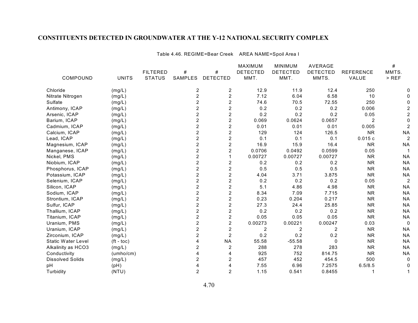Table 4.46. REGIME=Bear Creek AREA NAME=Spoil Area I

|                           |              |                 |                |                         | MAXIMUM         | <b>MINIMUM</b>  | <b>AVERAGE</b>  |                  | $\#$           |
|---------------------------|--------------|-----------------|----------------|-------------------------|-----------------|-----------------|-----------------|------------------|----------------|
|                           |              | <b>FILTERED</b> | #              | $\#$                    | <b>DETECTED</b> | <b>DETECTED</b> | <b>DETECTED</b> | <b>REFERENCE</b> | MMTS.          |
| COMPOUND                  | <b>UNITS</b> | <b>STATUS</b>   | SAMPLES        | <b>DETECTED</b>         | MMT.            | MMT.            | MMTS.           | VALUE            | $>$ REF        |
| Chloride                  | (mg/L)       |                 | 2              | 2                       | 12.9            | 11.9            | 12.4            | 250              |                |
| Nitrate Nitrogen          | (mg/L)       |                 | $\overline{c}$ | $\overline{\mathbf{c}}$ | 7.12            | 6.04            | 6.58            | 10               |                |
| Sulfate                   | (mg/L)       |                 | $\overline{c}$ | $\overline{c}$          | 74.6            | 70.5            | 72.55           | 250              |                |
| Antimony, ICAP            | (mg/L)       |                 | 2              | $\overline{c}$          | 0.2             | 0.2             | 0.2             | 0.006            |                |
| Arsenic, ICAP             | (mg/L)       |                 | $\overline{c}$ | $\overline{2}$          | 0.2             | 0.2             | 0.2             | 0.05             |                |
| Barium, ICAP              | (mg/L)       |                 | $\overline{c}$ | $\overline{2}$          | 0.069           | 0.0624          | 0.0657          | $\overline{2}$   |                |
| Cadmium, ICAP             | (mg/L)       |                 | $\overline{2}$ | $\overline{2}$          | 0.01            | 0.01            | 0.01            | 0.005            |                |
| Calcium, ICAP             | (mg/L)       |                 | $\overline{2}$ | $\overline{2}$          | 129             | 124             | 126.5           | <b>NR</b>        | <b>NA</b>      |
| Lead, ICAP                | (mg/L)       |                 | $\overline{c}$ | $\overline{c}$          | 0.1             | 0.1             | 0.1             | 0.015c           | $\overline{2}$ |
| Magnesium, ICAP           | (mg/L)       |                 | $\overline{2}$ | $\overline{c}$          | 16.9            | 15.9            | 16.4            | <b>NR</b>        | <b>NA</b>      |
| Manganese, ICAP           | (mg/L)       |                 | $\overline{c}$ | $\overline{c}$          | 0.0706          | 0.0492          | 0.0599          | 0.05             |                |
| Nickel, PMS               | (mg/L)       |                 | $\overline{c}$ | $\mathbf{1}$            | 0.00727         | 0.00727         | 0.00727         | <b>NR</b>        | <b>NA</b>      |
| Niobium, ICAP             | (mg/L)       |                 | $\overline{2}$ | $\overline{2}$          | 0.2             | 0.2             | 0.2             | <b>NR</b>        | <b>NA</b>      |
| Phosphorus, ICAP          | (mg/L)       |                 | $\overline{2}$ | $\overline{2}$          | 0.5             | 0.5             | 0.5             | <b>NR</b>        | <b>NA</b>      |
| Potassium, ICAP           | (mg/L)       |                 | $\overline{c}$ | $\overline{c}$          | 4.04            | 3.71            | 3.875           | <b>NR</b>        | <b>NA</b>      |
| Selenium, ICAP            | (mg/L)       |                 | $\overline{c}$ | $\overline{c}$          | 0.2             | 0.2             | 0.2             | 0.05             | $\overline{a}$ |
| Silicon, ICAP             | (mg/L)       |                 | $\overline{c}$ | $\overline{c}$          | 5.1             | 4.86            | 4.98            | <b>NR</b>        | <b>NA</b>      |
| Sodium, ICAP              | (mg/L)       |                 | $\overline{c}$ | $\overline{c}$          | 8.34            | 7.09            | 7.715           | <b>NR</b>        | <b>NA</b>      |
| Strontium, ICAP           | (mg/L)       |                 | $\overline{c}$ | $\overline{2}$          | 0.23            | 0.204           | 0.217           | <b>NR</b>        | <b>NA</b>      |
| Sulfur, ICAP              | (mg/L)       |                 | $\overline{2}$ | $\overline{2}$          | 27.3            | 24.4            | 25.85           | <b>NR</b>        | <b>NA</b>      |
| Thallium, ICAP            | (mg/L)       |                 | $\overline{2}$ | $\overline{2}$          | 0.2             | 0.2             | 0.2             | <b>NR</b>        | <b>NA</b>      |
| Titanium, ICAP            | (mg/L)       |                 | $\overline{2}$ | $\overline{\mathbf{c}}$ | 0.05            | 0.05            | 0.05            | <b>NR</b>        | <b>NA</b>      |
| Uranium, PMS              | (mg/L)       |                 | $\overline{c}$ | $\overline{c}$          | 0.00273         | 0.00221         | 0.00247         | 0.03             | 0              |
| Uranium, ICAP             | (mg/L)       |                 | $\overline{c}$ | $\overline{c}$          | $\overline{c}$  | $\overline{c}$  | $\overline{2}$  | <b>NR</b>        | <b>NA</b>      |
| Zirconium, ICAP           | (mg/L)       |                 | $\overline{c}$ | $\overline{c}$          | 0.2             | 0.2             | 0.2             | <b>NR</b>        | <b>NA</b>      |
| <b>Static Water Level</b> | $(ft - toc)$ |                 | 4              | <b>NA</b>               | 55.58           | $-55.58$        | $\Omega$        | <b>NR</b>        | <b>NA</b>      |
| Alkalinity as HCO3        | (mg/L)       |                 | 2              | 2                       | 288             | 278             | 283             | <b>NR</b>        | <b>NA</b>      |
| Conductivity              | (umbo/cm)    |                 | 4              | $\overline{4}$          | 925             | 752             | 814.75          | <b>NR</b>        | <b>NA</b>      |
| <b>Dissolved Solids</b>   | (mg/L)       |                 | $\overline{2}$ | $\overline{c}$          | 457             | 452             | 454.5           | 500              | 0              |
| pH                        | (pH)         |                 | 4              | $\overline{4}$          | 7.55            | 6.96            | 7.2575          | 6.5/8.5          |                |
| Turbidity                 | (NTU)        |                 | $\overline{2}$ | $\overline{2}$          | 1.15            | 0.541           | 0.8455          |                  |                |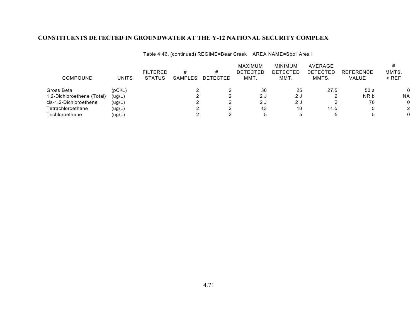Table 4.46. (continued) REGIME=Bear Creek AREA NAME=Spoil Area I

|                            |                      |                 |         |          | MAXIMUM         | MINIMUM     | AVERAGE  |                  |              |
|----------------------------|----------------------|-----------------|---------|----------|-----------------|-------------|----------|------------------|--------------|
|                            |                      | <b>FILTERED</b> | #       |          | <b>DETECTED</b> | DETECTED    | DETECTED | <b>REFERENCE</b> | MMTS.        |
| COMPOUND                   | UNITS                | <b>STATUS</b>   | SAMPLES | DETECTED | MMT.            | MMT.        | MMTS.    | <b>VALUE</b>     | $>$ REF      |
| Gross Beta                 | (DC <sub>i</sub> /L) |                 |         |          | 30              | 25          | 27.5     | 50 a             | $\mathbf{0}$ |
| 1,2-Dichloroethene (Total) | (ug/L)               |                 |         |          | 2 J             | 2 J         |          | NR b             | <b>NA</b>    |
| cis-1,2-Dichloroethene     | (ug/L)               |                 |         |          | 2J              | 2 J         |          | 70               | 0            |
| Tetrachloroethene          | (ug/L)               |                 |         |          | 13              | 10          | 11.5     |                  | 2            |
| Trichloroethene            | (ug/L                |                 |         |          |                 | $\mathbf b$ |          |                  | 0            |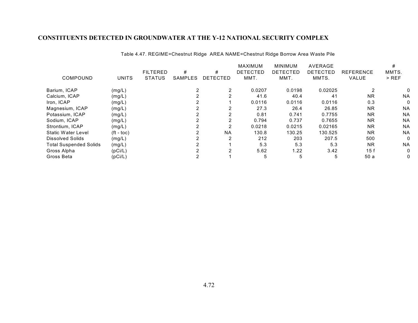|                               |                    |                 |                |                 | <b>MAXIMUM</b>  | <b>MINIMUM</b>  | AVERAGE         |                  |              |
|-------------------------------|--------------------|-----------------|----------------|-----------------|-----------------|-----------------|-----------------|------------------|--------------|
|                               |                    | <b>FILTERED</b> | #              | #               | <b>DETECTED</b> | <b>DETECTED</b> | <b>DETECTED</b> | <b>REFERENCE</b> | MMTS.        |
| COMPOUND                      | <b>UNITS</b>       | <b>STATUS</b>   | <b>SAMPLES</b> | <b>DETECTED</b> | MMT.            | MMT.            | MMTS.           | VALUE            | $>$ REF      |
| Barium, ICAP                  | (mg/L)             |                 |                |                 | 0.0207          | 0.0198          | 0.02025         |                  |              |
| Calcium, ICAP                 | (mg/L)             |                 |                | $\mathcal{P}$   | 41.6            | 40.4            | 41              | <b>NR</b>        | <b>NA</b>    |
| Iron, ICAP                    | (mg/L)             |                 |                |                 | 0.0116          | 0.0116          | 0.0116          | 0.3              | $\mathbf{0}$ |
| Magnesium, ICAP               | (mg/L)             |                 |                | 2               | 27.3            | 26.4            | 26.85           | <b>NR</b>        | <b>NA</b>    |
| Potassium, ICAP               | (mg/L)             |                 |                |                 | 0.81            | 0.741           | 0.7755          | <b>NR</b>        | <b>NA</b>    |
| Sodium, ICAP                  | (mg/L)             |                 |                |                 | 0.794           | 0.737           | 0.7655          | <b>NR</b>        | <b>NA</b>    |
| Strontium, ICAP               | (mg/L)             |                 |                | 2               | 0.0218          | 0.0215          | 0.02165         | <b>NR</b>        | <b>NA</b>    |
| <b>Static Water Level</b>     | $({\rm ft - toc})$ |                 |                | <b>NA</b>       | 130.8           | 130.25          | 130.525         | <b>NR</b>        | <b>NA</b>    |
| Dissolved Solids              | (mg/L)             |                 |                | 2               | 212             | 203             | 207.5           | 500              | $\mathbf{0}$ |
| <b>Total Suspended Solids</b> | (mg/L)             |                 |                |                 | 5.3             | 5.3             | 5.3             | <b>NR</b>        | <b>NA</b>    |
| Gross Alpha                   | (pCi/L)            |                 |                |                 | 5.62            | 1.22            | 3.42            | 15 f             | $\mathbf{0}$ |
| Gross Beta                    | (pCi/L)            |                 |                |                 | 5               | 5               | 5               | 50a              | 0            |

Table 4.47. REGIME=Chestnut Ridge AREA NAME=Chestnut Ridge Borrow Area Waste Pile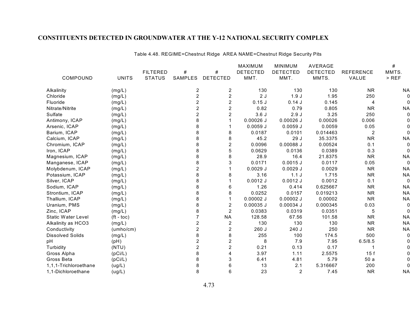Table 4.48. REGIME=Chestnut Ridge AREA NAME=Chestnut Ridge Security Pits

|                         |              |                 |                |                 | MAXIMUM         | <b>MINIMUM</b>  | AVERAGE         |                  | #            |
|-------------------------|--------------|-----------------|----------------|-----------------|-----------------|-----------------|-----------------|------------------|--------------|
|                         |              | <b>FILTERED</b> | #              | $\#$            | <b>DETECTED</b> | <b>DETECTED</b> | <b>DETECTED</b> | <b>REFERENCE</b> | MMTS.        |
| COMPOUND                | <b>UNITS</b> | <b>STATUS</b>   | SAMPLES        | <b>DETECTED</b> | MMT.            | MMT.            | MMTS.           | VALUE            | $>$ REF      |
| Alkalinity              | (mg/L)       |                 | 2              | 2               | 130             | 130             | 130             | <b>NR</b>        | <b>NA</b>    |
| Chloride                | (mg/L)       |                 | $\overline{c}$ | $\overline{c}$  | 2J              | 1.9J            | 1.95            | 250              | $\Omega$     |
| Fluoride                | (mg/L)       |                 | $\overline{c}$ | $\overline{c}$  | $0.15$ J        | 0.14J           | 0.145           | 4                | $\Omega$     |
| Nitrate/Nitrite         | (mg/L)       |                 | $\overline{c}$ | $\overline{c}$  | 0.82            | 0.79            | 0.805           | <b>NR</b>        | <b>NA</b>    |
| Sulfate                 | (mg/L)       |                 | $\overline{2}$ | $\overline{2}$  | 3.6J            | 2.9J            | 3.25            | 250              | $\Omega$     |
| Antimony, ICAP          | (mg/L)       |                 | 8              |                 | $0.00026$ J     | $0.00026$ J     | 0.00026         | 0.006            |              |
| Arsenic, ICAP           | (mg/L)       |                 | 8              |                 | $0.0059$ J      | 0.0059J         | 0.0059          | 0.05             |              |
| Barium, ICAP            | (mg/L)       |                 | 8              | 8               | 0.0187          | 0.0101          | 0.014463        | 2                | $\Omega$     |
| Calcium, ICAP           | (mg/L)       |                 | 8              | 8               | 45.2            | 29 J            | 35.3375         | <b>NR</b>        | <b>NA</b>    |
| Chromium, ICAP          | (mg/L)       |                 | 8              | $\overline{c}$  | 0.0096          | 0.00088 J       | 0.00524         | 0.1              | 0            |
| Iron, ICAP              | (mg/L)       |                 | 8              | 5               | 0.0629          | 0.0136          | 0.0389          | 0.3              | $\Omega$     |
| Magnesium, ICAP         | (mg/L)       |                 | 8              | 8               | 28.9            | 16.4            | 21.8375         | <b>NR</b>        | <b>NA</b>    |
| Manganese, ICAP         | (mg/L)       |                 | 8              | 3               | 0.0171          | $0.0015$ J      | 0.0117          | 0.05             | $\Omega$     |
| Molybdenum, ICAP        | (mg/L)       |                 | $\overline{2}$ |                 | $0.0029$ J      | $0.0029$ J      | 0.0029          | <b>NR</b>        | <b>NA</b>    |
| Potassium, ICAP         | (mg/L)       |                 | 8              | 8               | 3.16            | 1.1J            | 1.715           | <b>NR</b>        | <b>NA</b>    |
| Silver, ICAP            | (mg/L)       |                 | 8              |                 | $0.0012$ J      | $0.0012$ J      | 0.0012          | 0.1              | $\mathbf{0}$ |
| Sodium, ICAP            | (mg/L)       |                 | 8              | 6               | 1.26            | 0.414           | 0.625667        | <b>NR</b>        | <b>NA</b>    |
| Strontium, ICAP         | (mg/L)       |                 | 8              | 8               | 0.0252          | 0.0157          | 0.019213        | <b>NR</b>        | <b>NA</b>    |
| Thallium, ICAP          | (mg/L)       |                 | 8              |                 | $0.00002$ J     | $0.00002$ J     | 0.00002         | <b>NR</b>        | <b>NA</b>    |
| Uranium, PMS            | (mg/L)       |                 | 8              | $\overline{c}$  | $0.00035$ J     | 0.00034 J       | 0.000345        | 0.03             | $\Omega$     |
| Zinc, ICAP              | (mg/L)       |                 | 8              | $\overline{2}$  | 0.0383          | 0.0319          | 0.0351          | 5                | $\Omega$     |
| Static Water Level      | $(ft - toc)$ |                 |                | <b>NA</b>       | 128.58          | 67.56           | 101.58          | <b>NR</b>        | <b>NA</b>    |
| Alkalinity as HCO3      | (mg/L)       |                 | $\overline{c}$ | $\overline{c}$  | 130             | 130             | 130             | <b>NR</b>        | <b>NA</b>    |
| Conductivity            | (umbo/cm)    |                 | $\overline{c}$ | $\overline{c}$  | 260 J           | 240 J           | 250             | <b>NR</b>        | <b>NA</b>    |
| <b>Dissolved Solids</b> | (mg/L)       |                 | 8              | 8               | 255             | 100             | 174.5           | 500              | $\Omega$     |
| pH                      | (pH)         |                 | $\overline{2}$ | $\overline{c}$  | 8               | 7.9             | 7.95            | 6.5/8.5          |              |
| Turbidity               | (NTU)        |                 | $\overline{2}$ | $\overline{2}$  | 0.21            | 0.13            | 0.17            |                  |              |
| Gross Alpha             | (pCi/L)      |                 | 8              | 4               | 3.97            | 1.11            | 2.5575          | 15f              |              |
| Gross Beta              | (pCi/L)      |                 | 8              | 3               | 6.41            | 4.81            | 5.79            | 50a              |              |
| 1,1,1-Trichloroethane   | (ug/L)       |                 | 8              | 6               | 13              | 2.1             | 5.316667        | 200              | O            |
| 1,1-Dichloroethane      | (ug/L)       |                 | 8              | 6               | 23              | $\overline{2}$  | 7.45            | <b>NR</b>        | <b>NA</b>    |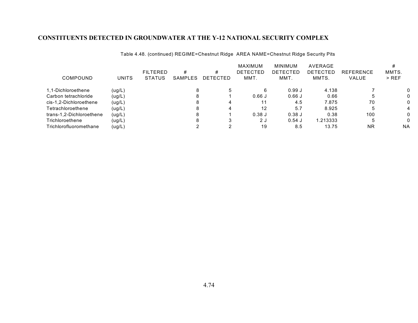|                          |              | <b>FILTERED</b> |              |                      | MAXIMUM<br><b>DETECTED</b> | <b>MINIMUM</b><br><b>DETECTED</b> | AVERAGE<br>DETECTED | <b>REFERENCE</b> | MMTS.     |
|--------------------------|--------------|-----------------|--------------|----------------------|----------------------------|-----------------------------------|---------------------|------------------|-----------|
| <b>COMPOUND</b>          | <b>UNITS</b> | <b>STATUS</b>   | #<br>SAMPLES | #<br><b>DETECTED</b> | MMT.                       | MMT.                              | MMTS.               | VALUE            | $>$ REF   |
| 1.1-Dichloroethene       | (ug/L)       |                 |              | -5                   |                            | 0.99J                             | 4.138               |                  | 0         |
| Carbon tetrachloride     | (ug/L)       |                 |              |                      | 0.66J                      | $0.66$ J                          | 0.66                |                  | 0         |
| cis-1.2-Dichloroethene   | (ug/L)       |                 |              |                      | 11                         | 4.5                               | 7.875               | 70               | 0         |
| Tetrachloroethene        | (ug/L)       |                 |              |                      | 12                         | 5.7                               | 8.925               |                  | 4         |
| trans-1,2-Dichloroethene | (ug/L)       |                 |              |                      | 0.38J                      | $0.38$ J                          | 0.38                | 100              | 0         |
| Trichloroethene          | (ug/L)       |                 |              | 3                    | 2 J                        | $0.54$ J                          | 1.213333            |                  | 0         |
| Trichlorofluoromethane   | (ug/L)       |                 |              |                      | 19                         | 8.5                               | 13.75               | <b>NR</b>        | <b>NA</b> |

Table 4.48. (continued) REGIME=Chestnut Ridge AREA NAME=Chestnut Ridge Security Pits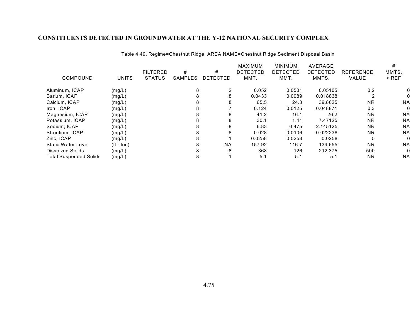|                               |                       |                 |                |                 | <b>MAXIMUM</b>  | <b>MINIMUM</b> | AVERAGE         |                  |           |
|-------------------------------|-----------------------|-----------------|----------------|-----------------|-----------------|----------------|-----------------|------------------|-----------|
|                               |                       | <b>FILTERED</b> | #              | #               | <b>DETECTED</b> | DETECTED       | <b>DETECTED</b> | <b>REFERENCE</b> | MMTS.     |
| COMPOUND                      | <b>UNITS</b>          | <b>STATUS</b>   | <b>SAMPLES</b> | <b>DETECTED</b> | MMT.            | MMT.           | MMTS.           | VALUE            | $>$ REF   |
| Aluminum, ICAP                | (mg/L)                |                 | 8              |                 | 0.052           | 0.0501         | 0.05105         | 0.2              |           |
| Barium, ICAP                  | (mg/L)                |                 |                | 8               | 0.0433          | 0.0089         | 0.018838        |                  |           |
| Calcium, ICAP                 | (mg/L)                |                 | 8              | 8               | 65.5            | 24.3           | 39.8625         | <b>NR</b>        | <b>NA</b> |
| Iron, ICAP                    | (mg/L)                |                 |                |                 | 0.124           | 0.0125         | 0.048871        | 0.3              |           |
| Magnesium, ICAP               | (mg/L)                |                 | 8              | 8               | 41.2            | 16.1           | 26.2            | <b>NR</b>        | <b>NA</b> |
| Potassium, ICAP               | (mg/L)                |                 |                | 8               | 30.1            | 1.41           | 7.47125         | <b>NR</b>        | <b>NA</b> |
| Sodium, ICAP                  | (mg/L)                |                 | 8              | 8               | 6.83            | 0.475          | 2.145125        | <b>NR</b>        | <b>NA</b> |
| Strontium, ICAP               | (mg/L)                |                 | 8              | 8               | 0.028           | 0.0106         | 0.022238        | <b>NR</b>        | <b>NA</b> |
| Zinc, ICAP                    | (mg/L)                |                 |                |                 | 0.0258          | 0.0258         | 0.0258          | 5                | $\Omega$  |
| <b>Static Water Level</b>     | $({\rm ft -}$ toc $)$ |                 | 8              | <b>NA</b>       | 157.92          | 116.7          | 134.655         | <b>NR</b>        | <b>NA</b> |
| Dissolved Solids              | (mg/L)                |                 |                | 8               | 368             | 126            | 212.375         | 500              | 0         |
| <b>Total Suspended Solids</b> | (mg/L)                |                 | 8              |                 | 5.1             | 5.1            | 5.1             | <b>NR</b>        | <b>NA</b> |

Table 4.49. Regime=Chestnut Ridge AREA NAME=Chestnut Ridge Sediment Disposal Basin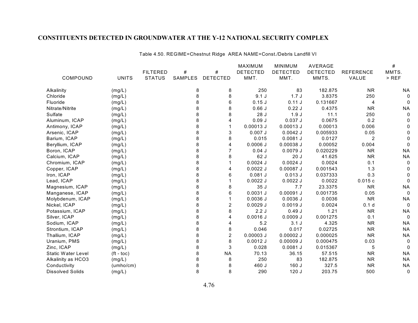Table 4.50. REGIME=Chestnut Ridge AREA NAME=Const./Debris Landfill VI

|                           |              |                 |                |                 | MAXIMUM         | <b>MINIMUM</b>  | <b>AVERAGE</b>  |                  | $\#$      |
|---------------------------|--------------|-----------------|----------------|-----------------|-----------------|-----------------|-----------------|------------------|-----------|
|                           |              | <b>FILTERED</b> | #              | $\#$            | <b>DETECTED</b> | <b>DETECTED</b> | <b>DETECTED</b> | <b>REFERENCE</b> | MMTS.     |
| COMPOUND                  | <b>UNITS</b> | <b>STATUS</b>   | <b>SAMPLES</b> | <b>DETECTED</b> | MMT.            | MMT.            | MMTS.           | VALUE            | $>$ REF   |
| Alkalinity                | (mg/L)       |                 | 8              | 8               | 250             | 83              | 182.875         | <b>NR</b>        | ΝA        |
| Chloride                  | (mg/L)       |                 | 8              | 8               | 9.1J            | 1.7J            | 3.8375          | 250              | 0         |
| Fluoride                  | (mg/L)       |                 | 8              | 6               | $0.15$ J        | 0.11J           | 0.131667        | 4                | 0         |
| Nitrate/Nitrite           | (mg/L)       |                 | 8              | 8               | 0.66J           | 0.22J           | 0.4375          | <b>NR</b>        | <b>NA</b> |
| Sulfate                   | (mg/L)       |                 | 8              | 8               | 28 J            | 1.9J            | 11.1            | 250              | $\Omega$  |
| Aluminum, ICAP            | (mg/L)       |                 | 8              | 4               | 0.09J           | 0.037J          | 0.0675          | 0.2              | 0         |
| Antimony, ICAP            | (mg/L)       |                 | 8              |                 | $0.00013$ J     | $0.00013$ J     | 0.00013         | 0.006            | $\Omega$  |
| Arsenic, ICAP             | (mg/L)       |                 | 8              | 3               | $0.007$ J       | $0.0042$ J      | 0.005933        | 0.05             | 0         |
| Barium, ICAP              | (mg/L)       |                 | 8              | 8               | 0.015           | $0.0081$ J      | 0.0127          | 2                | $\Omega$  |
| Beryllium, ICAP           | (mg/L)       |                 | 8              | 4               | $0.0006$ J      | 0.00038 J       | 0.00052         | 0.004            | $\Omega$  |
| Boron, ICAP               | (mg/L)       |                 | 8              | 7               | $0.04$ J        | 0.0079J         | 0.020229        | <b>NR</b>        | <b>NA</b> |
| Calcium, ICAP             | (mg/L)       |                 | 8              | 8               | 62 J            | 20J             | 41.625          | <b>NR</b>        | <b>NA</b> |
| Chromium, ICAP            | (mg/L)       |                 | 8              |                 | $0.0024$ J      | $0.0024$ J      | 0.0024          | 0.1              | $\Omega$  |
| Copper, ICAP              | (mg/L)       |                 | 8              | 4               | $0.0022$ J      | $0.00087$ J     | 0.001543        | 1.3              | 0         |
| Iron, ICAP                | (mg/L)       |                 | 8              | 6               | 0.081J          | 0.013J          | 0.037333        | 0.3              | 0         |
| Lead, ICAP                | (mg/L)       |                 | 8              |                 | $0.0022$ J      | $0.0022$ J      | 0.0022          | 0.015c           | $\Omega$  |
| Magnesium, ICAP           | (mg/L)       |                 | 8              | 8               | 35 J            | 7.7             | 23.3375         | <b>NR</b>        | <b>NA</b> |
| Manganese, ICAP           | (mg/L)       |                 | 8              | 6               | 0.0031J         | $0.00091$ J     | 0.001735        | 0.05             | $\Omega$  |
| Molybdenum, ICAP          | (mg/L)       |                 | 8              |                 | $0.0036$ J      | $0.0036$ J      | 0.0036          | <b>NR</b>        | <b>NA</b> |
| Nickel, ICAP              | (mg/L)       |                 | 8              | $\overline{c}$  | $0.0029$ J      | 0.0019J         | 0.0024          | 0.1 <sub>d</sub> | 0         |
| Potassium, ICAP           | (mg/L)       |                 | 8              | 8               | 2.2J            | 0.49J           | 1.21            | <b>NR</b>        | <b>NA</b> |
| Silver, ICAP              | (mg/L)       |                 | 8              | 4               | $0.0016$ J      | $0.0009$ J      | 0.001275        | 0.1              | $\Omega$  |
| Sodium, ICAP              | (mg/L)       |                 | 8              | 4               | 5.2             | 3.1J            | 4.325           | <b>NR</b>        | <b>NA</b> |
| Strontium, ICAP           | (mg/L)       |                 | 8              | 8               | 0.046           | 0.017           | 0.02725         | <b>NR</b>        | <b>NA</b> |
| Thallium, ICAP            | (mg/L)       |                 | 8              | $\overline{c}$  | $0.00003$ J     | $0.00002$ J     | 0.000025        | <b>NR</b>        | <b>NA</b> |
| Uranium, PMS              | (mg/L)       |                 | 8              | 8               | $0.0012$ J      | $0.00009$ J     | 0.000475        | 0.03             | 0         |
| Zinc, ICAP                | (mg/L)       |                 | 8              | 3               | 0.028           | 0.0081J         | 0.015367        | 5                | $\Omega$  |
| <b>Static Water Level</b> | $(ft - toc)$ |                 | 8              | <b>NA</b>       | 70.13           | 36.15           | 57.515          | <b>NR</b>        | <b>NA</b> |
| Alkalinity as HCO3        | (mg/L)       |                 | 8              | 8               | 250             | 83              | 182.875         | <b>NR</b>        | <b>NA</b> |
| Conductivity              | (umbo/cm)    |                 | 8              | 8               | 460 J           | 160J            | 327.5           | <b>NR</b>        | <b>NA</b> |
| <b>Dissolved Solids</b>   | (mg/L)       |                 | 8              | 8               | 290             | 120J            | 203.75          | 500              | 0         |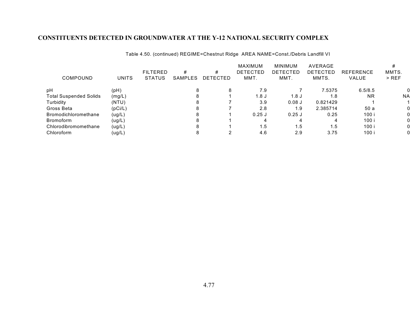Table 4.50. (continued) REGIME=Chestnut Ridge AREA NAME=Const./Debris Landfill VI

|                               |              |                 |         |                 | <b>MAXIMUM</b>  | <b>MINIMUM</b> | AVERAGE  |                  |           |
|-------------------------------|--------------|-----------------|---------|-----------------|-----------------|----------------|----------|------------------|-----------|
|                               |              | <b>FILTERED</b> | #       | #               | <b>DETECTED</b> | DETECTED       | DETECTED | <b>REFERENCE</b> | MMTS.     |
| COMPOUND                      | <b>UNITS</b> | <b>STATUS</b>   | SAMPLES | <b>DETECTED</b> | MMT.            | MMT.           | MMTS.    | VALUE            | $>$ REF   |
| pH                            | (pH)         |                 |         | 8               | 7.9             |                | 7.5375   | 6.5/8.5          | 0         |
| <b>Total Suspended Solids</b> | (mg/L)       |                 |         |                 | 1.8 J           | 1.8 J          | 1.8      | <b>NR</b>        | <b>NA</b> |
| Turbidity                     | (NTU)        |                 |         |                 | 3.9             | $0.08$ J       | 0.821429 |                  |           |
| Gross Beta                    | (pCi/L)      |                 |         |                 | 2.8             | 1.9            | 2.385714 | 50 a             | 0         |
| <b>Bromodichloromethane</b>   | (ug/L)       |                 |         |                 | $0.25$ J        | $0.25$ J       | 0.25     | 100 i            | 0         |
| <b>Bromoform</b>              | (ug/L)       |                 |         |                 |                 |                |          | 100 i            | 0         |
| Chlorodibromomethane          | (ug/L)       |                 |         |                 | 1.5             | 1.5            | 5. ا     | 100 i            | 0         |
| Chloroform                    | (ug/L)       |                 |         |                 | 4.6             | 2.9            | 3.75     | 100 i            | 0         |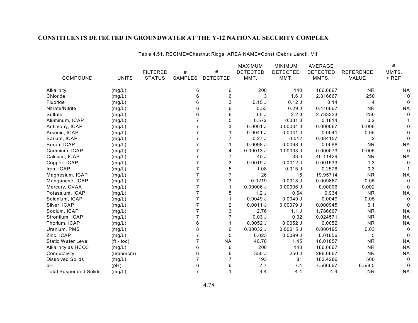Table 4.51. REGIME=Chestnut Ridge AREA NAME=Const./Debris Landfill VII

|                               |              |                 |                |                 | <b>MAXIMUM</b>  | <b>MINIMUM</b>  | AVERAGE         |                  | #         |
|-------------------------------|--------------|-----------------|----------------|-----------------|-----------------|-----------------|-----------------|------------------|-----------|
|                               |              | <b>FILTERED</b> | #              | $\#$            | <b>DETECTED</b> | <b>DETECTED</b> | <b>DETECTED</b> | <b>REFERENCE</b> | MMTS.     |
| COMPOUND                      | <b>UNITS</b> | <b>STATUS</b>   | SAMPLES        | <b>DETECTED</b> | MMT.            | MMT.            | MMTS.           | VALUE            | $>$ REF   |
| Alkalinity                    | (mg/L)       |                 | 6              | 6               | 200             | 140             | 166.6667        | <b>NR</b>        | <b>NA</b> |
| Chloride                      | (mg/L)       |                 | 6              | 6               | 3               | 1.6J            | 2.316667        | 250              | $\Omega$  |
| Fluoride                      | (mg/L)       |                 | 6              | 3               | 0.15J           | 0.12J           | 0.14            | 4                | 0         |
| Nitrate/Nitrite               | (mg/L)       |                 | 6              | 6               | 0.53            | 0.29J           | 0.416667        | <b>NR</b>        | <b>NA</b> |
| Sulfate                       | (mg/L)       |                 | 6              | 6               | 3.5J            | 2.2J            | 2.733333        | 250              | $\Omega$  |
| Aluminum, ICAP                | (mg/L)       |                 |                | 5               | 0.572           | $0.031$ J       | 0.1814          | 0.2              |           |
| Antimony, ICAP                | (mg/L)       |                 |                | 3               | $0.0001$ J      | $0.00004$ J     | 0.000067        | 0.006            |           |
| Arsenic, ICAP                 | (mg/L)       |                 |                |                 | $0.0041$ J      | 0.0041J         | 0.0041          | 0.05             |           |
| Barium, ICAP                  | (mg/L)       |                 |                |                 | 0.27J           | 0.012           | 0.084157        | 2                | 0         |
| Boron, ICAP                   | (mg/L)       |                 |                |                 | $0.0098$ J      | $0.0098$ J      | 0.0098          | <b>NR</b>        | <b>NA</b> |
| Cadmium, ICAP                 | (mg/L)       |                 |                | 4               | $0.00013$ J     | $0.00003$ J     | 0.000073        | 0.005            | $\Omega$  |
| Calcium, ICAP                 | (mg/L)       |                 |                | 7               | 45 J            | 33 J            | 40.11429        | <b>NR</b>        | <b>NA</b> |
| Copper, ICAP                  | (mg/L)       |                 |                | 3               | 0.0019J         | $0.0012$ J      | 0.001533        | 1.3              | $\Omega$  |
| Iron, ICAP                    | (mg/L)       |                 |                | 5               | 1.08            | $0.015$ J       | 0.2576          | 0.3              |           |
| Magnesium, ICAP               | (mg/L)       |                 |                | 7               | 26              | 15              | 19.95714        | <b>NR</b>        | <b>NA</b> |
| Manganese, ICAP               | (mg/L)       |                 |                | 3               | 0.0219          | $0.0018$ J      | 0.009867        | 0.05             | $\Omega$  |
| Mercury, CVAA                 | (mg/L)       |                 |                |                 | $0.00006$ J     | $0.00006$ J     | 0.00006         | 0.002            | 0         |
| Potassium, ICAP               | (mg/L)       |                 |                | 5               | 1.2J            | 0.64            | 0.934           | <b>NR</b>        | <b>NA</b> |
| Selenium, ICAP                | (mg/L)       |                 |                |                 | 0.0049J         | 0.0049J         | 0.0049          | 0.05             | 0         |
| Silver, ICAP                  | (mg/L)       |                 |                | $\overline{2}$  | 0.0011J         | 0.00079 J       | 0.000945        | 0.1              |           |
| Sodium, ICAP                  | (mg/L)       |                 |                | 3               | 2.76            | 1.1J            | 1.786667        | <b>NR</b>        | <b>NA</b> |
| Strontium, ICAP               | (mg/L)       |                 |                | 7               | $0.03$ J        | 0.02            | 0.024571        | <b>NR</b>        | <b>NA</b> |
| Thorium, ICAP                 | (mg/L)       |                 | 6              |                 | $0.0052$ J      | $0.0052$ J      | 0.0052          | <b>NR</b>        | <b>NA</b> |
| Uranium, PMS                  | (mg/L)       |                 |                | 6               | $0.00032$ J     | $0.00015$ J     | 0.000195        | 0.03             | $\Omega$  |
| Zinc, ICAP                    | (mg/L)       |                 |                | 5               | 0.023           | 0.0099J         | 0.01656         | 5                | $\Omega$  |
| <b>Static Water Level</b>     | $(ft - toc)$ |                 |                | <b>NA</b>       | 40.78           | 1.45            | 16.01857        | <b>NR</b>        | <b>NA</b> |
| Alkalinity as HCO3            | (mg/L)       |                 | 6              | 6               | 200             | 140             | 166.6667        | <b>NR</b>        | <b>NA</b> |
| Conductivity                  | (umbo/cm)    |                 | 6              | 6               | 350 J           | 250J            | 296.6667        | <b>NR</b>        | <b>NA</b> |
| <b>Dissolved Solids</b>       | (mg/L)       |                 |                |                 | 193             | 81              | 163.4286        | 500              | $\Omega$  |
| pH                            | (pH)         |                 | 6              | 6               | 7.7             | 7.4             | 7.566667        | 6.5/8.5          | $\Omega$  |
| <b>Total Suspended Solids</b> | (mg/L)       |                 | $\overline{7}$ |                 | 4.4             | 4.4             | 4.4             | <b>NR</b>        | <b>NA</b> |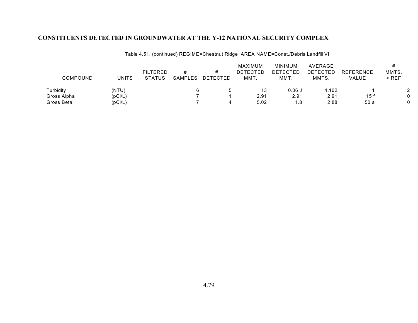Table 4.51. (continued) REGIME=Chestnut Ridge AREA NAME=Const./Debris Landfill VII

|             |              | <b>FILTERED</b> | #       |          | MAXIMUM<br>DETECTED | MINIMUM<br><b>DETECTED</b> | AVERAGE<br>DETECTED | <b>REFERENCE</b> | MMTS.   |
|-------------|--------------|-----------------|---------|----------|---------------------|----------------------------|---------------------|------------------|---------|
| COMPOUND    | <b>UNITS</b> | STATUS          | SAMPLES | DETECTED | MMT.                | MMT.                       | MMTS.               | VALUE            | $>$ REF |
| Turbidity   | (NTU)        |                 |         |          |                     | $0.06$ J                   | 4.102               |                  | 2       |
| Gross Alpha | (pCi/L)      |                 |         |          | 2.91                | 2.91                       | 2.91                | 15f              |         |
| Gross Beta  | (pCi/L)      |                 |         |          | 5.02                | 1.8                        | 2.88                | 50 a             |         |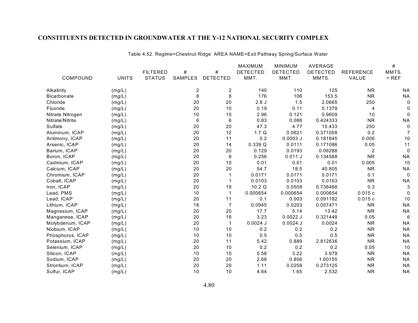|                    |              |                 |                         |                 | MAXIMUM         | <b>MINIMUM</b>  | <b>AVERAGE</b>  |                  | #           |
|--------------------|--------------|-----------------|-------------------------|-----------------|-----------------|-----------------|-----------------|------------------|-------------|
|                    |              | <b>FILTERED</b> | $\#$                    | $\#$            | <b>DETECTED</b> | <b>DETECTED</b> | <b>DETECTED</b> | <b>REFERENCE</b> | MMTS.       |
| COMPOUND           | <b>UNITS</b> | <b>STATUS</b>   | SAMPLES                 | <b>DETECTED</b> | MMT.            | MMT.            | MMTS.           | VALUE            | $>$ REF     |
| Alkalinity         | (mg/L)       |                 | $\overline{\mathbf{c}}$ | $\overline{2}$  | 140             | 110             | 125             | <b>NR</b>        | <b>NA</b>   |
| <b>Bicarbonate</b> | (mg/L)       |                 | 8                       | 8               | 176             | 106             | 153.5           | <b>NR</b>        | <b>NA</b>   |
| Chloride           | (mg/L)       |                 | 20                      | 20              | 2.8J            | 1.5             | 2.0665          | 250              | 0           |
| Fluoride           | (mg/L)       |                 | 20                      | 10              | 0.19            | 0.11            | 0.1379          | 4                | $\Omega$    |
| Nitrate Nitrogen   | (mg/L)       |                 | 10                      | 10              | 2.96            | 0.121           | 0.9609          | 10               | 0           |
| Nitrate/Nitrite    | (mg/L)       |                 | 6                       | 6               | 0.83            | 0.088           | 0.424333        | <b>NR</b>        | <b>NA</b>   |
| Sulfate            | (mg/L)       |                 | 20                      | 20              | 47.3            | 4.77            | 15.433          | 250              | 0           |
| Aluminum, ICAP     | (mg/L)       |                 | 20                      | 12              | 1.7Q            | 0.0621          | 0.371058        | 0.2              | 7           |
| Antimony, ICAP     | (mg/L)       |                 | 20                      | 11              | 0.2             | $0.0003$ J      | 0.181845        | 0.006            | 10          |
| Arsenic, ICAP      | (mg/L)       |                 | 20                      | 14              | 0.339Q          | 0.0111          | 0.171086        | 0.05             | 11          |
| Barium, ICAP       | (mg/L)       |                 | 20                      | 20              | 0.129           | 0.0193          | 0.06288         | $\overline{c}$   | $\mathbf 0$ |
| Boron, ICAP        | (mg/L)       |                 | 20                      | 8               | 0.256           | 0.011 J         | 0.134588        | <b>NR</b>        | <b>NA</b>   |
| Cadmium, ICAP      | (mg/L)       |                 | 20                      | 10              | 0.01            | 0.01            | 0.01            | 0.005            | 10          |
| Calcium, ICAP      | (mg/L)       |                 | 20                      | 20              | 54.7            | 18.5            | 40.805          | <b>NR</b>        | <b>NA</b>   |
| Chromium, ICAP     | (mg/L)       |                 | 20                      | 1               | 0.0171          | 0.0171          | 0.0171          | 0.1              | $\mathbf 0$ |
| Cobalt, ICAP       | (mg/L)       |                 | 20                      |                 | 0.0103          | 0.0103          | 0.0103          | <b>NR</b>        | <b>NA</b>   |
| Iron, ICAP         | (mg/L)       |                 | 20                      | 19              | 10.2 Q          | 0.0508          | 0.738468        | 0.3              | 3           |
| Lead, PMS          | (mg/L)       |                 | 10                      | $\mathbf{1}$    | 0.000654        | 0.000654        | 0.000654        | 0.015c           | 0           |
| Lead, ICAP         | (mg/L)       |                 | 20                      | 11              | 0.1             | 0.003           | 0.091182        | 0.015c           | 10          |
| Lithium, ICAP      | (mg/L)       |                 | 18                      | $\overline{7}$  | 0.0945          | 0.0203          | 0.057471        | <b>NR</b>        | <b>NA</b>   |
| Magnesium, ICAP    | (mg/L)       |                 | 20                      | 20              | 17.7            | 5.14            | 13.42           | <b>NR</b>        | <b>NA</b>   |
| Manganese, ICAP    | (mg/L)       |                 | 20                      | 18              | 3.23            | $0.0022$ J      | 0.321449        | 0.05             | 6           |
| Molybdenum, ICAP   | (mg/L)       |                 | 20                      | $\mathbf{1}$    | $0.0024$ J      | $0.0024$ J      | 0.0024          | <b>NR</b>        | <b>NA</b>   |
| Niobium, ICAP      | (mg/L)       |                 | 10                      | 10              | 0.2             | 0.2             | 0.2             | <b>NR</b>        | <b>NA</b>   |
| Phosphorus, ICAP   | (mg/L)       |                 | 10                      | 10              | 0.5             | 0.5             | 0.5             | <b>NR</b>        | <b>NA</b>   |
| Potassium, ICAP    | (mg/L)       |                 | 20                      | 11              | 5.42            | 0.889           | 2.812636        | <b>NR</b>        | <b>NA</b>   |
| Selenium, ICAP     | (mg/L)       |                 | 20                      | 10              | 0.2             | 0.2             | 0.2             | 0.05             | 10          |
| Silicon, ICAP      | (mg/L)       |                 | 10                      | 10              | 5.58            | 3.22            | 3.979           | <b>NR</b>        | <b>NA</b>   |
| Sodium, ICAP       | (mg/L)       |                 | 20                      | 20              | 2.68            | 0.806           | 1.60155         | <b>NR</b>        | <b>NA</b>   |
| Strontium, ICAP    | (mg/L)       |                 | 20                      | 20              | 1.11            | 0.0258          | 0.273125        | <b>NR</b>        | <b>NA</b>   |
| Sulfur, ICAP       | (mg/L)       |                 | 10                      | 10              | 4.64            | 1.65            | 2.532           | <b>NR</b>        | <b>NA</b>   |

Table 4.52. Regime=Chestnut Ridge AREA NAME=Exit Pathway Spring/Surface Water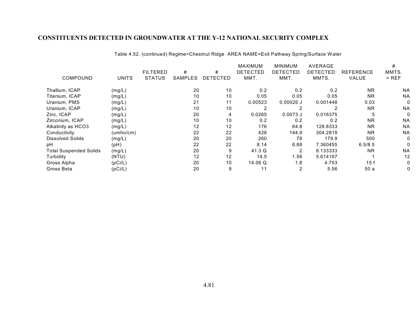|                               |              |                 |         |                 | MAXIMUM         | <b>MINIMUM</b>  | AVERAGE         |                  | #         |
|-------------------------------|--------------|-----------------|---------|-----------------|-----------------|-----------------|-----------------|------------------|-----------|
|                               |              | <b>FILTERED</b> | #       | #               | <b>DETECTED</b> | <b>DETECTED</b> | <b>DETECTED</b> | <b>REFERENCE</b> | MMTS.     |
| COMPOUND                      | <b>UNITS</b> | <b>STATUS</b>   | SAMPLES | <b>DETECTED</b> | MMT.            | MMT.            | MMTS.           | VALUE            | $>$ REF   |
| Thallium, ICAP                | (mg/L)       |                 | 20      | 10              | 0.2             | 0.2             | 0.2             | <b>NR</b>        | <b>NA</b> |
| Titanium, ICAP                | (mg/L)       |                 | 10      | 10              | 0.05            | 0.05            | 0.05            | <b>NR</b>        | <b>NA</b> |
| Uranium, PMS                  | (mg/L)       |                 | 21      | 11              | 0.00523         | $0.00026$ J     | 0.001448        | 0.03             |           |
| Uranium, ICAP                 | (mg/L)       |                 | 10      | 10              | 2               |                 |                 | <b>NR</b>        | <b>NA</b> |
| Zinc, ICAP                    | (mg/L)       |                 | 20      | 4               | 0.0265          | $0.0073$ J      | 0.016375        | 5                |           |
| Zirconium, ICAP               | (mg/L)       |                 | 10      | 10              | 0.2             | 0.2             | 0.2             | <b>NR</b>        | <b>NA</b> |
| Alkalinity as HCO3            | (mg/L)       |                 | 12      | 12              | 176             | 64.8            | 128.8333        | <b>NR</b>        | <b>NA</b> |
| Conductivity                  | (umbo/cm)    |                 | 22      | 22              | 428             | 144.9           | 304.2818        | <b>NR</b>        | <b>NA</b> |
| <b>Dissolved Solids</b>       | (mg/L)       |                 | 20      | 20              | 260             | 78              | 179.9           | 500              |           |
| pH                            | (pH)         |                 | 22      | 22              | 8.14            | 6.88            | 7.360455        | 6.5/8.5          |           |
| <b>Total Suspended Solids</b> | (mg/L)       |                 | 20      | 9               | 41.3 Q          | $\overline{2}$  | 8.133333        | <b>NR</b>        | <b>NA</b> |
| Turbidity                     | (NTU)        |                 | 12      | 12              | 14.5            | 1.58            | 5.614167        |                  | 12        |
| Gross Alpha                   | (pCi/L)      |                 | 20      | 10              | 14.06 Q         | 1.8             | 4.753           | 15f              |           |
| Gross Beta                    | (pCi/L)      |                 | 20      | 9               | 11              | 2               | 5.56            | 50a              |           |

Table 4.52. (continued) Regime=Chestnut Ridge AREA NAME=Exit Pathway Spring/Surface Water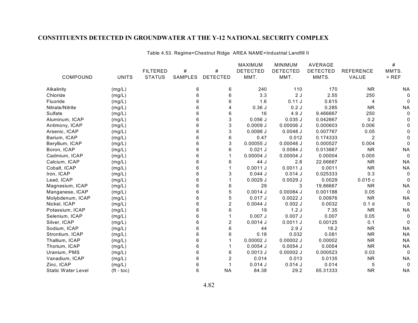|                           |                  |                 |         |                 | <b>MAXIMUM</b>  | <b>MINIMUM</b>  | <b>AVERAGE</b>  |                  | $\#$      |
|---------------------------|------------------|-----------------|---------|-----------------|-----------------|-----------------|-----------------|------------------|-----------|
|                           |                  | <b>FILTERED</b> | $\#$    | #               | <b>DETECTED</b> | <b>DETECTED</b> | <b>DETECTED</b> | <b>REFERENCE</b> | MMTS.     |
| COMPOUND                  | <b>UNITS</b>     | <b>STATUS</b>   | SAMPLES | <b>DETECTED</b> | MMT.            | MMT.            | MMTS.           | VALUE            | $>$ REF   |
| Alkalinity                | (mg/L)           |                 | 6       | 6               | 240             | 110             | 170             | <b>NR</b>        | <b>NA</b> |
| Chloride                  | (mg/L)           |                 | 6       | 6               | 3.3             | 2J              | 2.55            | 250              |           |
| Fluoride                  | (mg/L)           |                 | 6       | 6               | 1.6             | 0.11J           | 0.615           | 4                |           |
| Nitrate/Nitrite           | (mg/L)           |                 | 6       | 4               | 0.36J           | 0.2J            | 0.285           | <b>NR</b>        | <b>NA</b> |
| Sulfate                   | (mg/L)           |                 | 6       | 6               | 16              | 4.9J            | 9.466667        | 250              |           |
| Aluminum, ICAP            | (mg/L)           |                 | 6       | 3               | $0.056$ J       | $0.035$ J       | 0.042667        | 0.2              |           |
| Antimony, ICAP            | (mg/L)           |                 | 6       | 3               | 0.0009J         | $0.00006$ J     | 0.000603        | 0.006            |           |
| Arsenic, ICAP             | (mg/L)           |                 | 6       | 3               | $0.0098$ J      | $0.0048$ J      | 0.007767        | 0.05             |           |
| Barium, ICAP              | (mg/L)           |                 | 6       | 6               | 0.47            | 0.012           | 0.174333        | $\overline{2}$   |           |
| Beryllium, ICAP           | (mg/L)           |                 | 6       | 3               | $0.00055$ J     | $0.00048$ J     | 0.000527        | 0.004            |           |
| Boron, ICAP               | (mg/L)           |                 | 6       | 6               | $0.021$ J       | $0.0084$ J      | 0.013667        | <b>NR</b>        | <b>NA</b> |
| Cadmium, ICAP             | (mg/L)           |                 | 6       |                 | $0.00004$ J     | $0.00004$ J     | 0.00004         | 0.005            | 0         |
| Calcium, ICAP             | (mg/L)           |                 | 6       | 6               | 44 J            | 2.8             | 22.66667        | <b>NR</b>        | <b>NA</b> |
| Cobalt, ICAP              | (mg/L)           |                 | 6       |                 | 0.0011J         | $0.0011$ J      | 0.0011          | <b>NR</b>        | <b>NA</b> |
| Iron, ICAP                | (mg/L)           |                 | 6       | 3               | 0.044J          | $0.014$ J       | 0.025333        | 0.3              | 0         |
| Lead, ICAP                | (mg/L)           |                 | 6       |                 | $0.0029$ J      | $0.0029$ J      | 0.0029          | 0.015c           | 0         |
| Magnesium, ICAP           | (mg/L)           |                 | 6       | 6               | 29              | 3               | 19.86667        | <b>NR</b>        | <b>NA</b> |
| Manganese, ICAP           | (mg/L)           |                 | 6       | 5               | $0.0014$ J      | 0.00084 J       | 0.001188        | 0.05             | 0         |
| Molybdenum, ICAP          | (mg/L)           |                 | 6       | 5               | 0.017J          | $0.0022$ J      | 0.00976         | <b>NR</b>        | <b>NA</b> |
| Nickel, ICAP              | (mg/L)           |                 | 6       | $\overline{2}$  | $0.0044$ J      | $0.002$ J       | 0.0032          | 0.1 <sub>d</sub> | 0         |
| Potassium, ICAP           | (mg/L)           |                 | 6       | 6               | 19              | 1.2J            | 7.35            | <b>NR</b>        | <b>NA</b> |
| Selenium, ICAP            | (mg/L)           |                 | 6       |                 | $0.007$ J       | $0.007$ J       | 0.007           | 0.05             |           |
| Silver, ICAP              | (mg/L)           |                 | 6       | $\overline{c}$  | $0.0014$ J      | 0.0011J         | 0.00125         | 0.1              | 0         |
| Sodium, ICAP              | (mg/L)           |                 | 6       | 6               | 44              | 2.9J            | 18.2            | <b>NR</b>        | <b>NA</b> |
| Strontium, ICAP           | (mg/L)           |                 | 6       | 6               | 0.18            | 0.032           | 0.081           | <b>NR</b>        | <b>NA</b> |
| Thallium, ICAP            | (mg/L)           |                 | 6       |                 | $0.00002$ J     | $0.00002$ J     | 0.00002         | <b>NR</b>        | <b>NA</b> |
| Thorium, ICAP             | (mg/L)           |                 | 6       |                 | $0.0054$ J      | $0.0054$ J      | 0.0054          | <b>NR</b>        | <b>NA</b> |
| Uranium, PMS              | (mg/L)           |                 | 6       | 6               | $0.0013$ J      | $0.00002$ J     | 0.000523        | 0.03             | 0         |
| Vanadium, ICAP            | (mg/L)           |                 | 6       | 2               | 0.014           | 0.013           | 0.0135          | <b>NR</b>        | <b>NA</b> |
| Zinc, ICAP                | (mg/L)           |                 | 6       |                 | 0.014J          | $0.014$ J       | 0.014           | 5                | 0         |
| <b>Static Water Level</b> | $({\sf ft-toc})$ |                 | 6       | <b>NA</b>       | 84.38           | 29.2            | 65.31333        | <b>NR</b>        | <b>NA</b> |

Table 4.53. Regime=Chestnut Ridge AREA NAME=Industrial Landfill II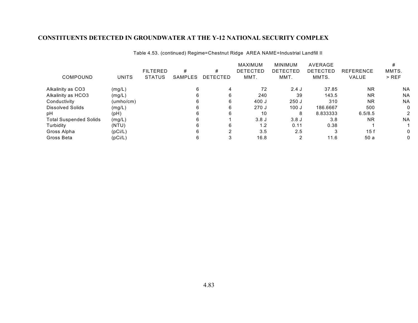|                               |              | <b>FILTERED</b> | #       | #        | MAXIMUM<br><b>DETECTED</b> | <b>MINIMUM</b><br>DETECTED | AVERAGE<br><b>DETECTED</b> | <b>REFERENCE</b> | MMTS.     |
|-------------------------------|--------------|-----------------|---------|----------|----------------------------|----------------------------|----------------------------|------------------|-----------|
| COMPOUND                      | <b>UNITS</b> | <b>STATUS</b>   | SAMPLES | DETECTED | MMT.                       | MMT.                       | MMTS.                      | VALUE            | $>$ REF   |
| Alkalinity as CO3             | (mg/L)       |                 |         |          | 72                         | $2.4$ J                    | 37.85                      | <b>NR</b>        | <b>NA</b> |
| Alkalinity as HCO3            | (mg/L)       |                 | 6       | 6        | 240                        | 39                         | 143.5                      | <b>NR</b>        | <b>NA</b> |
| Conductivity                  | (umbo/cm)    |                 |         | 6        | 400 J                      | 250J                       | 310                        | <b>NR</b>        | <b>NA</b> |
| <b>Dissolved Solids</b>       | (mg/L)       |                 |         | 6        | 270J                       | 100J                       | 186.6667                   | 500              | 0         |
| рH                            | (pH)         |                 |         | 6        | 10                         | 8                          | 8.833333                   | 6.5/8.5          |           |
| <b>Total Suspended Solids</b> | (mg/L)       |                 |         |          | 3.8J                       | 3.8J                       | 3.8                        | <b>NR</b>        | <b>NA</b> |
| Turbidity                     | (NTU)        |                 |         | 6        | 1.2                        | 0.11                       | 0.38                       |                  |           |
| Gross Alpha                   | (pCi/L)      |                 |         | າ        | 3.5                        | 2.5                        |                            | 15f              |           |
| Gross Beta                    | (pCi/L)      |                 |         |          | 16.8                       |                            | 11.6                       | 50 a             |           |

Table 4.53. (continued) Regime=Chestnut Ridge AREA NAME=Industrial Landfill II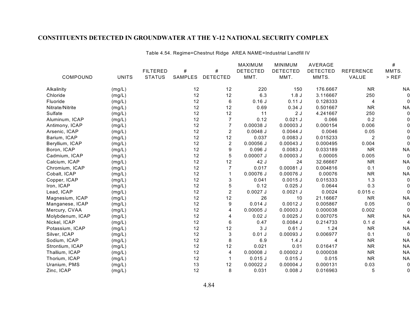|                  |              |                 |                |                 | <b>MAXIMUM</b>  | <b>MINIMUM</b>  | <b>AVERAGE</b>  |                  | $\#$      |
|------------------|--------------|-----------------|----------------|-----------------|-----------------|-----------------|-----------------|------------------|-----------|
|                  |              | <b>FILTERED</b> | #              | $\#$            | <b>DETECTED</b> | <b>DETECTED</b> | <b>DETECTED</b> | <b>REFERENCE</b> | MMTS.     |
| COMPOUND         | <b>UNITS</b> | <b>STATUS</b>   | <b>SAMPLES</b> | <b>DETECTED</b> | MMT.            | MMT.            | MMTS.           | VALUE            | $>$ REF   |
| Alkalinity       | (mg/L)       |                 | 12             | 12              | 220             | 150             | 176.6667        | <b>NR</b>        | ΝA        |
| Chloride         | (mg/L)       |                 | 12             | 12              | 6.3             | 1.8J            | 3.116667        | 250              |           |
| Fluoride         | (mg/L)       |                 | 12             | 6               | 0.16J           | 0.11J           | 0.128333        | 4                |           |
| Nitrate/Nitrite  | (mg/L)       |                 | 12             | 12              | 0.69            | 0.34J           | 0.501667        | <b>NR</b>        | <b>NA</b> |
| Sulfate          | (mg/L)       |                 | 12             | 12              | 11              | 2J              | 4.241667        | 250              |           |
| Aluminum, ICAP   | (mg/L)       |                 | 12             | 7               | 0.12            | $0.021$ J       | 0.066           | 0.2              |           |
| Antimony, ICAP   | (mg/L)       |                 | 12             | $\overline{7}$  | $0.00038$ J     | $0.00003$ J     | 0.000154        | 0.006            |           |
| Arsenic, ICAP    | (mg/L)       |                 | 12             | 2               | $0.0048$ J      | 0.0044J         | 0.0046          | 0.05             |           |
| Barium, ICAP     | (mg/L)       |                 | 12             | 12              | 0.037           | $0.0083$ J      | 0.015233        | $\overline{2}$   |           |
| Beryllium, ICAP  | (mg/L)       |                 | 12             | $\overline{2}$  | $0.00056$ J     | $0.00043$ J     | 0.000495        | 0.004            |           |
| Boron, ICAP      | (mg/L)       |                 | 12             | 9               | $0.096$ J       | $0.0083$ J      | 0.033189        | <b>NR</b>        | <b>NA</b> |
| Cadmium, ICAP    | (mg/L)       |                 | 12             | 5               | $0.00007$ J     | $0.00003$ J     | 0.00005         | 0.005            | 0         |
| Calcium, ICAP    | (mg/L)       |                 | 12             | 12              | 42 J            | 24              | 32.66667        | <b>NR</b>        | <b>NA</b> |
| Chromium, ICAP   | (mg/L)       |                 | 12             | $\overline{7}$  | 0.017           | $0.00081$ J     | 0.004816        | 0.1              |           |
| Cobalt, ICAP     | (mg/L)       |                 | 12             |                 | $0.00076$ J     | 0.00076 J       | 0.00076         | <b>NR</b>        | <b>NA</b> |
| Copper, ICAP     | (mg/L)       |                 | 12             | 3               | 0.041           | $0.0015$ J      | 0.015333        | 1.3              |           |
| Iron, ICAP       | (mg/L)       |                 | 12             | 5               | 0.12            | $0.025$ J       | 0.0644          | 0.3              |           |
| Lead, ICAP       | (mg/L)       |                 | 12             | 2               | $0.0027$ J      | $0.0021$ J      | 0.0024          | 0.015c           |           |
| Magnesium, ICAP  | (mg/L)       |                 | 12             | 12              | 26              | 10              | 21.16667        | <b>NR</b>        | <b>NA</b> |
| Manganese, ICAP  | (mg/L)       |                 | 12             | 9               | $0.014$ J       | $0.0012$ J      | 0.005867        | 0.05             |           |
| Mercury, CVAA    | (mg/L)       |                 | 12             | 4               | $0.00005$ J     | $0.00003$ J     | 0.000038        | 0.002            |           |
| Molybdenum, ICAP | (mg/L)       |                 | 12             | 4               | $0.02$ J        | $0.0025$ J      | 0.007075        | <b>NR</b>        | <b>NA</b> |
| Nickel, ICAP     | (mg/L)       |                 | 12             | 6               | 0.47            | $0.0084$ J      | 0.214733        | 0.1 <sub>d</sub> | 4         |
| Potassium, ICAP  | (mg/L)       |                 | 12             | 12              | 3J              | $0.61$ J        | 1.24            | <b>NR</b>        | <b>NA</b> |
| Silver, ICAP     | (mg/L)       |                 | 12             | 3               | 0.01J           | $0.00093$ J     | 0.006977        | 0.1              | 0         |
| Sodium, ICAP     | (mg/L)       |                 | 12             | 8               | 6.9             | 1.4J            |                 | <b>NR</b>        | <b>NA</b> |
| Strontium, ICAP  | (mg/L)       |                 | 12             | 12              | 0.021           | 0.01            | 0.016417        | <b>NR</b>        | <b>NA</b> |
| Thallium, ICAP   | (mg/L)       |                 | 12             | 4               | $0.00008$ J     | $0.00002$ J     | 0.000038        | <b>NR</b>        | <b>NA</b> |
| Thorium, ICAP    | (mg/L)       |                 | 12             | 1               | $0.015$ J       | $0.015$ J       | 0.015           | <b>NR</b>        | <b>NA</b> |
| Uranium, PMS     | (mg/L)       |                 | 13             | 12              | $0.00022$ J     | $0.00004$ J     | 0.000131        | 0.03             | 0         |
| Zinc, ICAP       | (mg/L)       |                 | 12             | 8               | 0.031           | $0.008$ J       | 0.016963        | 5                | 0         |

Table 4.54. Regime=Chestnut Ridge AREA NAME=Industrial Landfill IV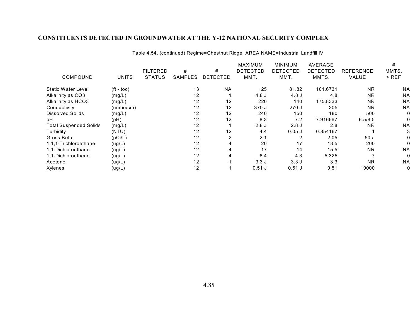|                               |                       |                 |         |                 | <b>MAXIMUM</b>  | <b>MINIMUM</b>  | AVERAGE         |                  | #         |
|-------------------------------|-----------------------|-----------------|---------|-----------------|-----------------|-----------------|-----------------|------------------|-----------|
|                               |                       | <b>FILTERED</b> | #       | #               | <b>DETECTED</b> | <b>DETECTED</b> | <b>DETECTED</b> | <b>REFERENCE</b> | MMTS.     |
| COMPOUND                      | <b>UNITS</b>          | <b>STATUS</b>   | SAMPLES | <b>DETECTED</b> | MMT.            | MMT.            | MMTS.           | VALUE            | $>$ REF   |
| <b>Static Water Level</b>     | $({\rm ft -}$ toc $)$ |                 | 13      | <b>NA</b>       | 125             | 81.82           | 101.6731        | <b>NR</b>        | <b>NA</b> |
| Alkalinity as CO3             | (mg/L)                |                 | 12      |                 | 4.8 J           | 4.8 J           | 4.8             | <b>NR</b>        | <b>NA</b> |
| Alkalinity as HCO3            | (mg/L)                |                 | 12      | 12              | 220             | 140             | 175.8333        | <b>NR</b>        | <b>NA</b> |
| Conductivity                  | (umbo/cm)             |                 | 12      | 12              | 370 J           | 270J            | 305             | <b>NR</b>        | <b>NA</b> |
| <b>Dissolved Solids</b>       | (mg/L)                |                 | 12      | 12              | 240             | 150             | 180             | 500              |           |
| рH                            | (pH)                  |                 | 12      | 12              | 8.3             | 7.2             | 7.916667        | 6.5/8.5          |           |
| <b>Total Suspended Solids</b> | (mg/L)                |                 | 12      |                 | 2.8J            | 2.8J            | 2.8             | <b>NR</b>        | <b>NA</b> |
| Turbidity                     | (NTU)                 |                 | 12      | 12              | 4.4             | $0.05$ J        | 0.854167        |                  |           |
| Gross Beta                    | (pCi/L)               |                 | 12      | $\overline{2}$  | 2.1             | 2               | 2.05            | 50 a             |           |
| 1,1,1-Trichloroethane         | (ug/L)                |                 | 12      | 4               | 20              | 17              | 18.5            | 200              |           |
| 1.1-Dichloroethane            | (ug/L)                |                 | 12      | 4               | 17              | 14              | 15.5            | NR.              | <b>NA</b> |
| 1,1-Dichloroethene            | (ug/L)                |                 | 12      | 4               | 6.4             | 4.3             | 5.325           |                  |           |
| Acetone                       | (ug/L)                |                 | 12      |                 | 3.3J            | 3.3J            | 3.3             | <b>NR</b>        | <b>NA</b> |
| Xylenes                       | (ug/L)                |                 | 12      |                 | $0.51$ J        | $0.51$ J        | 0.51            | 10000            | 0         |

Table 4.54. (continued) Regime=Chestnut Ridge AREA NAME=Industrial Landfill IV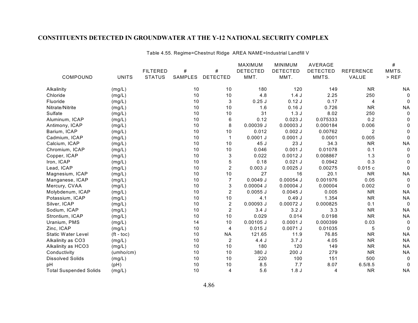| COMPOUND                      | <b>UNITS</b>     | <b>FILTERED</b><br><b>STATUS</b> | #<br>SAMPLES | #<br><b>DETECTED</b> | MAXIMUM<br><b>DETECTED</b><br>MMT. | <b>MINIMUM</b><br><b>DETECTED</b><br>MMT. | AVERAGE<br><b>DETECTED</b><br>MMTS. | <b>REFERENCE</b><br>VALUE | #<br>MMTS.<br>$>$ REF |            |        |  |    |    |     |      |      |           |           |
|-------------------------------|------------------|----------------------------------|--------------|----------------------|------------------------------------|-------------------------------------------|-------------------------------------|---------------------------|-----------------------|------------|--------|--|----|----|-----|------|------|-----------|-----------|
|                               |                  |                                  |              |                      |                                    |                                           |                                     |                           |                       | Alkalinity | (mg/L) |  | 10 | 10 | 180 | 120  | 149  | <b>NR</b> | <b>NA</b> |
|                               |                  |                                  |              |                      |                                    |                                           |                                     |                           |                       | Chloride   | (mg/L) |  | 10 | 10 | 4.8 | 1.4J | 2.25 | 250       |           |
| Fluoride                      | (mg/L)           |                                  | 10           | 3                    | $0.25$ J                           | $0.12$ J                                  | 0.17                                | $\overline{4}$            |                       |            |        |  |    |    |     |      |      |           |           |
| Nitrate/Nitrite               | (mg/L)           |                                  | 10           | 10                   | 1.6                                | 0.16J                                     | 0.726                               | <b>NR</b>                 | <b>NA</b>             |            |        |  |    |    |     |      |      |           |           |
| Sulfate                       | (mg/L)           |                                  | 10           | 10                   | 31                                 | 1.3J                                      | 8.02                                | 250                       | 0                     |            |        |  |    |    |     |      |      |           |           |
| Aluminum, ICAP                | (mg/L)           |                                  | 10           | 6                    | 0.12                               | $0.023$ J                                 | 0.075333                            | 0.2                       |                       |            |        |  |    |    |     |      |      |           |           |
| Antimony, ICAP                | (mg/L)           |                                  | 10           | 8                    | 0.00039J                           | $0.00003$ J                               | 0.000184                            | 0.006                     |                       |            |        |  |    |    |     |      |      |           |           |
| Barium, ICAP                  | (mg/L)           |                                  | 10           | 10                   | 0.012                              | $0.002$ J                                 | 0.00762                             | $\overline{2}$            |                       |            |        |  |    |    |     |      |      |           |           |
| Cadmium, ICAP                 | (mg/L)           |                                  | 10           |                      | $0.0001$ J                         | $0.0001$ J                                | 0.0001                              | 0.005                     |                       |            |        |  |    |    |     |      |      |           |           |
| Calcium, ICAP                 | (mg/L)           |                                  | 10           | 10                   | 45 J                               | 23 J                                      | 34.3                                | <b>NR</b>                 | <b>NA</b>             |            |        |  |    |    |     |      |      |           |           |
| Chromium, ICAP                | (mg/L)           |                                  | 10           | 10                   | 0.046                              | $0.001$ J                                 | 0.01078                             | 0.1                       | 0                     |            |        |  |    |    |     |      |      |           |           |
| Copper, ICAP                  | (mg/L)           |                                  | 10           | 3                    | 0.022                              | $0.0012$ J                                | 0.008867                            | 1.3                       |                       |            |        |  |    |    |     |      |      |           |           |
| Iron, ICAP                    | (mg/L)           |                                  | 10           | 5                    | 0.18                               | $0.021$ J                                 | 0.0942                              | 0.3                       | 0                     |            |        |  |    |    |     |      |      |           |           |
| Lead, ICAP                    | (mg/L)           |                                  | 10           | $\overline{2}$       | $0.003$ $J$                        | $0.0025$ J                                | 0.00275                             | 0.015c                    | 0                     |            |        |  |    |    |     |      |      |           |           |
| Magnesium, ICAP               | (mg/L)           |                                  | 10           | 10                   | 27                                 | 16                                        | 20.1                                | <b>NR</b>                 | <b>NA</b>             |            |        |  |    |    |     |      |      |           |           |
| Manganese, ICAP               | (mg/L)           |                                  | $10$         | $\overline{7}$       | 0.0049J                            | $0.00054$ J                               | 0.001976                            | 0.05                      | 0                     |            |        |  |    |    |     |      |      |           |           |
| Mercury, CVAA                 | (mg/L)           |                                  | 10           | 3                    | $0.00004$ J                        | $0.00004$ J                               | 0.00004                             | 0.002                     | $\Omega$              |            |        |  |    |    |     |      |      |           |           |
| Molybdenum, ICAP              | (mg/L)           |                                  | 10           | $\overline{2}$       | $0.0055$ J                         | $0.0045$ J                                | 0.005                               | <b>NR</b>                 | <b>NA</b>             |            |        |  |    |    |     |      |      |           |           |
| Potassium, ICAP               | (mg/L)           |                                  | 10           | 10                   | 4.1                                | 0.49J                                     | 1.354                               | <b>NR</b>                 | <b>NA</b>             |            |        |  |    |    |     |      |      |           |           |
| Silver, ICAP                  | (mg/L)           |                                  | 10           | $\overline{2}$       | $0.00093$ J                        | 0.00072 J                                 | 0.000825                            | 0.1                       | 0                     |            |        |  |    |    |     |      |      |           |           |
| Sodium, ICAP                  | (mg/L)           |                                  | 10           | $\overline{c}$       | 3.4J                               | 3.2J                                      | 3.3                                 | <b>NR</b>                 | <b>NA</b>             |            |        |  |    |    |     |      |      |           |           |
| Strontium, ICAP               | (mg/L)           |                                  | 10           | 10                   | 0.029                              | 0.014                                     | 0.0198                              | <b>NR</b>                 | <b>NA</b>             |            |        |  |    |    |     |      |      |           |           |
| Uranium, PMS                  | (mg/L)           |                                  | 14           | 10                   | $0.00105$ J                        | $0.0001$ J                                | 0.000399                            | 0.03                      | 0                     |            |        |  |    |    |     |      |      |           |           |
| Zinc, ICAP                    | (mg/L)           |                                  | 10           | 4                    | $0.015$ J                          | $0.0071$ J                                | 0.01035                             | $\mathbf 5$               | $\Omega$              |            |        |  |    |    |     |      |      |           |           |
| <b>Static Water Level</b>     | $({\sf ft-toc})$ |                                  | 10           | ΝA                   | 121.65                             | 11.9                                      | 76.85                               | <b>NR</b>                 | <b>NA</b>             |            |        |  |    |    |     |      |      |           |           |
| Alkalinity as CO3             | (mg/L)           |                                  | 10           | $\overline{2}$       | 4.4J                               | 3.7J                                      | 4.05                                | <b>NR</b>                 | <b>NA</b>             |            |        |  |    |    |     |      |      |           |           |
| Alkalinity as HCO3            | (mg/L)           |                                  | 10           | 10                   | 180                                | 120                                       | 149                                 | <b>NR</b>                 | <b>NA</b>             |            |        |  |    |    |     |      |      |           |           |
| Conductivity                  | (umbo/cm)        |                                  | 10           | 10                   | 380 J                              | 200J                                      | 279                                 | <b>NR</b>                 | <b>NA</b>             |            |        |  |    |    |     |      |      |           |           |
| <b>Dissolved Solids</b>       | (mg/L)           |                                  | 10           | 10                   | 220                                | 100                                       | 151                                 | 500                       | 0                     |            |        |  |    |    |     |      |      |           |           |
| pH                            | (pH)             |                                  | 10           | 10                   | 8.5                                | 7.7                                       | 8.07                                | 6.5/8.5                   | 0                     |            |        |  |    |    |     |      |      |           |           |
| <b>Total Suspended Solids</b> | (mg/L)           |                                  | 10           | $\overline{4}$       | 5.6                                | 1.8J                                      | 4                                   | <b>NR</b>                 | <b>NA</b>             |            |        |  |    |    |     |      |      |           |           |

Table 4.55. Regime=Chestnut Ridge AREA NAME=Industrial Landfill V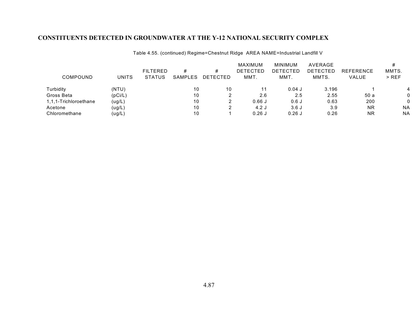|                       |         |                 |         |          | MAXIMUM         | MINIMUM         | AVERAGE         |                  |           |
|-----------------------|---------|-----------------|---------|----------|-----------------|-----------------|-----------------|------------------|-----------|
|                       |         | <b>FILTERED</b> | #       | #        | <b>DETECTED</b> | <b>DETECTED</b> | <b>DETECTED</b> | <b>REFERENCE</b> | MMTS.     |
| COMPOUND              | UNITS   | <b>STATUS</b>   | SAMPLES | DETECTED | MMT.            | MMT.            | MMTS.           | VALUE            | $>$ REF   |
| Turbidity             | (NTU)   |                 | 10      | 10       |                 | $0.04$ J        | 3.196           |                  |           |
| Gross Beta            | (pCi/L) |                 | 10      |          | 2.6             | 2.5             | 2.55            | 50a              |           |
| 1,1,1-Trichloroethane | (ug/L)  |                 | 10      |          | 0.66J           | 0.6J            | 0.63            | 200              |           |
| Acetone               | (ug/L)  |                 | 10      |          | 4.2J            | 3.6J            | 3.9             | NR.              | <b>NA</b> |
| Chloromethane         | (ug/L)  |                 | 10      |          | $0.26$ J        | $0.26$ J        | 0.26            | <b>NR</b>        | <b>NA</b> |

Table 4.55. (continued) Regime=Chestnut Ridge AREA NAME=Industrial Landfill V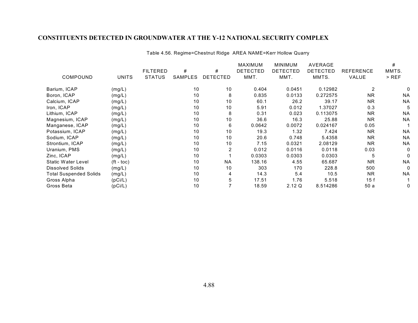|                               |                    |                 |         |                 | MAXIMUM         | <b>MINIMUM</b>  | <b>AVERAGE</b>  |                  | #         |
|-------------------------------|--------------------|-----------------|---------|-----------------|-----------------|-----------------|-----------------|------------------|-----------|
|                               |                    | <b>FILTERED</b> | #       | #               | <b>DETECTED</b> | <b>DETECTED</b> | <b>DETECTED</b> | <b>REFERENCE</b> | MMTS.     |
| COMPOUND                      | <b>UNITS</b>       | <b>STATUS</b>   | SAMPLES | <b>DETECTED</b> | MMT.            | MMT.            | MMTS.           | VALUE            | $>$ REF   |
| Barium, ICAP                  | (mg/L)             |                 | 10      | 10              | 0.404           | 0.0451          | 0.12982         | 2                | 0         |
| Boron, ICAP                   | (mg/L)             |                 | 10      | 8               | 0.835           | 0.0133          | 0.272575        | <b>NR</b>        | <b>NA</b> |
| Calcium, ICAP                 | (mg/L)             |                 | 10      | 10              | 60.1            | 26.2            | 39.17           | NR.              | <b>NA</b> |
| Iron, ICAP                    | (mg/L)             |                 | 10      | 10              | 5.91            | 0.012           | 1.37027         | 0.3              | 5         |
| Lithium, ICAP                 | (mg/L)             |                 | 10      | 8               | 0.31            | 0.023           | 0.113075        | <b>NR</b>        | <b>NA</b> |
| Magnesium, ICAP               | (mg/L)             |                 | 10      | 10              | 36.6            | 16.3            | 25.88           | <b>NR</b>        | <b>NA</b> |
| Manganese, ICAP               | (mg/L)             |                 | 10      | 6               | 0.0642          | 0.0072          | 0.024167        | 0.05             |           |
| Potassium, ICAP               | (mg/L)             |                 | 10      | 10              | 19.3            | 1.32            | 7.424           | <b>NR</b>        | <b>NA</b> |
| Sodium, ICAP                  | (mg/L)             |                 | 10      | 10              | 20.6            | 0.748           | 5.4358          | NR.              | <b>NA</b> |
| Strontium, ICAP               | (mg/L)             |                 | 10      | 10              | 7.15            | 0.0321          | 2.08129         | <b>NR</b>        | <b>NA</b> |
| Uranium, PMS                  | (mg/L)             |                 | 10      | 2               | 0.012           | 0.0116          | 0.0118          | 0.03             | 0         |
| Zinc, ICAP                    | (mg/L)             |                 | 10      |                 | 0.0303          | 0.0303          | 0.0303          | 5                | 0         |
| <b>Static Water Level</b>     | $({\rm ft -}$ toc) |                 | 10      | <b>NA</b>       | 138.16          | 4.55            | 65.687          | <b>NR</b>        | <b>NA</b> |
| <b>Dissolved Solids</b>       | (mg/L)             |                 | 10      | 10              | 303             | 170             | 228.8           | 500              | 0         |
| <b>Total Suspended Solids</b> | (mg/L)             |                 | 10      | 4               | 14.3            | 5.4             | 10.5            | <b>NR</b>        | <b>NA</b> |
| Gross Alpha                   | (pCi/L)            |                 | 10      | 5               | 17.51           | 1.76            | 5.518           | 15f              |           |
| Gross Beta                    | (pCi/L)            |                 | 10      |                 | 18.59           | 2.12 Q          | 8.514286        | 50 a             | 0         |

#### Table 4.56. Regime=Chestnut Ridge AREA NAME=Kerr Hollow Quarry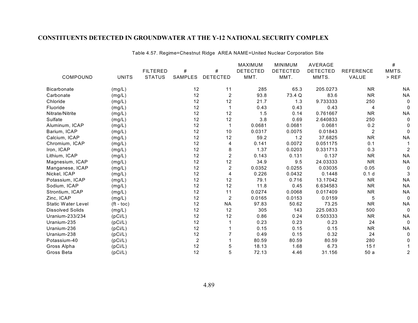|                         |              |                 |                |                 | MAXIMUM         | <b>MINIMUM</b>  | AVERAGE         |                  | $\#$      |
|-------------------------|--------------|-----------------|----------------|-----------------|-----------------|-----------------|-----------------|------------------|-----------|
|                         |              | <b>FILTERED</b> | #              | #               | <b>DETECTED</b> | <b>DETECTED</b> | <b>DETECTED</b> | <b>REFERENCE</b> | MMTS.     |
| COMPOUND                | <b>UNITS</b> | <b>STATUS</b>   | SAMPLES        | <b>DETECTED</b> | MMT.            | MMT.            | MMTS.           | VALUE            | $>$ REF   |
| <b>Bicarbonate</b>      | (mg/L)       |                 | 12             | 11              | 285             | 65.3            | 205.0273        | <b>NR</b>        | <b>NA</b> |
| Carbonate               | (mg/L)       |                 | 12             | $\overline{c}$  | 93.8            | 73.4 Q          | 83.6            | <b>NR</b>        | <b>NA</b> |
| Chloride                | (mg/L)       |                 | 12             | 12              | 21.7            | 1.3             | 9.733333        | 250              |           |
| Fluoride                | (mg/L)       |                 | 12             |                 | 0.43            | 0.43            | 0.43            | 4                |           |
| Nitrate/Nitrite         | (mg/L)       |                 | 12             | 12              | 1.5             | 0.14            | 0.761667        | <b>NR</b>        | <b>NA</b> |
| Sulfate                 | (mg/L)       |                 | 12             | 12              | 3.8             | 0.69            | 2.640833        | 250              | 0         |
| Aluminum, ICAP          | (mg/L)       |                 | 12             |                 | 0.0681          | 0.0681          | 0.0681          | 0.2              |           |
| Barium, ICAP            | (mg/L)       |                 | 12             | 10              | 0.0317          | 0.0075          | 0.01843         | 2                | $\Omega$  |
| Calcium, ICAP           | (mg/L)       |                 | 12             | 12              | 59.2            | 1.2             | 37.6825         | <b>NR</b>        | <b>NA</b> |
| Chromium, ICAP          | (mg/L)       |                 | 12             | 4               | 0.141           | 0.0072          | 0.051175        | 0.1              |           |
| Iron, ICAP              | (mg/L)       |                 | 12             | 8               | 1.37            | 0.0203          | 0.331713        | 0.3              | 2         |
| Lithium, ICAP           | (mg/L)       |                 | 12             | $\overline{2}$  | 0.143           | 0.131           | 0.137           | <b>NR</b>        | <b>NA</b> |
| Magnesium, ICAP         | (mg/L)       |                 | 12             | 12              | 34.9            | 9.5             | 24.03333        | <b>NR</b>        | <b>NA</b> |
| Manganese, ICAP         | (mg/L)       |                 | 12             | 2               | 0.0352          | 0.0255          | 0.03035         | 0.05             | 0         |
| Nickel, ICAP            | (mg/L)       |                 | 12             | 4               | 0.226           | 0.0432          | 0.1448          | 0.1 <sub>d</sub> | 3         |
| Potassium, ICAP         | (mg/L)       |                 | 12             | 12              | 79.1            | 0.716           | 13.17042        | <b>NR</b>        | <b>NA</b> |
| Sodium, ICAP            | (mg/L)       |                 | 12             | 12              | 11.8            | 0.45            | 6.634583        | <b>NR</b>        | <b>NA</b> |
| Strontium, ICAP         | (mg/L)       |                 | 12             | 11              | 0.0274          | 0.0068          | 0.017409        | <b>NR</b>        | <b>NA</b> |
| Zinc, ICAP              | (mg/L)       |                 | 12             | 2               | 0.0165          | 0.0153          | 0.0159          | 5                | 0         |
| Static Water Level      | $(ft - toc)$ |                 | 12             | <b>NA</b>       | 97.83           | 50.62           | 73.25           | <b>NR</b>        | <b>NA</b> |
| <b>Dissolved Solids</b> | (mg/L)       |                 | 12             | 12              | 305             | 143             | 225.0833        | 500              | 0         |
| Uranium-233/234         | (pCi/L)      |                 | 12             | 12              | 0.86            | 0.24            | 0.503333        | <b>NR</b>        | ΝA        |
| Uranium-235             | (pCi/L)      |                 | 12             |                 | 0.23            | 0.23            | 0.23            | 24               | 0         |
| Uranium-236             | (pCi/L)      |                 | 12             |                 | 0.15            | 0.15            | 0.15            | <b>NR</b>        | <b>NA</b> |
| Uranium-238             | (pCi/L)      |                 | 12             |                 | 0.49            | 0.15            | 0.32            | 24               |           |
| Potassium-40            | (pCi/L)      |                 | $\overline{c}$ |                 | 80.59           | 80.59           | 80.59           | 280              |           |
| Gross Alpha             | (pCi/L)      |                 | 12             | 5               | 18.13           | 1.68            | 6.73            | 15f              |           |
| Gross Beta              | (pCi/L)      |                 | 12             | 5               | 72.13           | 4.46            | 31.156          | 50a              | 2         |

Table 4.57. Regime=Chestnut Ridge AREA NAME=United Nuclear Corporation Site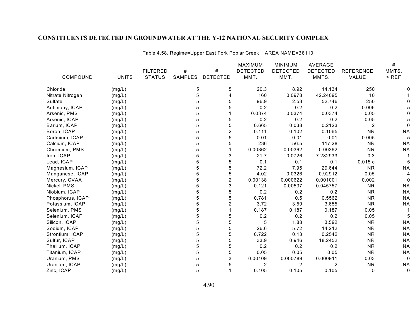|                  |              |                 |         |                  | <b>MAXIMUM</b>  | <b>MINIMUM</b>  | <b>AVERAGE</b>  |                  | $\#$      |
|------------------|--------------|-----------------|---------|------------------|-----------------|-----------------|-----------------|------------------|-----------|
|                  |              | <b>FILTERED</b> | #       | #                | <b>DETECTED</b> | <b>DETECTED</b> | <b>DETECTED</b> | <b>REFERENCE</b> | MMTS.     |
| COMPOUND         | <b>UNITS</b> | <b>STATUS</b>   | SAMPLES | <b>DETECTED</b>  | MMT.            | MMT.            | MMTS.           | VALUE            | $>$ REF   |
| Chloride         | (mg/L)       |                 | 5       | 5                | 20.3            | 8.92            | 14.134          | 250              |           |
| Nitrate Nitrogen | (mg/L)       |                 | 5       | 4                | 160             | 0.0978          | 42.24095        | 10               |           |
| Sulfate          | (mg/L)       |                 | 5       | 5                | 96.9            | 2.53            | 52.746          | 250              |           |
| Antimony, ICAP   | (mg/L)       |                 | 5       | 5                | 0.2             | 0.2             | 0.2             | 0.006            |           |
| Arsenic, PMS     | (mg/L)       |                 | 5       |                  | 0.0374          | 0.0374          | 0.0374          | 0.05             |           |
| Arsenic, ICAP    | (mg/L)       |                 | 5       | 5                | 0.2             | 0.2             | 0.2             | 0.05             |           |
| Barium, ICAP     | (mg/L)       |                 | 5       | 5                | 0.665           | 0.038           | 0.2123          | $\overline{2}$   |           |
| Boron, ICAP      | (mg/L)       |                 | 5       | 2                | 0.111           | 0.102           | 0.1065          | <b>NR</b>        | <b>NA</b> |
| Cadmium, ICAP    | (mg/L)       |                 | 5       | 5                | 0.01            | 0.01            | 0.01            | 0.005            | 5         |
| Calcium, ICAP    | (mg/L)       |                 | 5       | 5                | 236             | 56.5            | 117.28          | <b>NR</b>        | <b>NA</b> |
| Chromium, PMS    | (mg/L)       |                 | 5       |                  | 0.00362         | 0.00362         | 0.00362         | <b>NR</b>        | <b>NA</b> |
| Iron, ICAP       | (mg/L)       |                 | 5       | 3                | 21.7            | 0.0726          | 7.282933        | 0.3              |           |
| Lead, ICAP       | (mg/L)       |                 | 5       | 5                | 0.1             | 0.1             | 0.1             | 0.015c           | 5         |
| Magnesium, ICAP  | (mg/L)       |                 | 5       | 5                | 72.2            | 7.95            | 29.644          | <b>NR</b>        | <b>NA</b> |
| Manganese, ICAP  | (mg/L)       |                 | 5       | 5                | 4.02            | 0.0326          | 0.92912         | 0.05             | 4         |
| Mercury, CVAA    | (mg/L)       |                 | 5       | $\boldsymbol{2}$ | 0.00138         | 0.000622        | 0.001001        | 0.002            | 0         |
| Nickel, PMS      | (mg/L)       |                 | 5       | 3                | 0.121           | 0.00537         | 0.045757        | <b>NR</b>        | <b>NA</b> |
| Niobium, ICAP    | (mg/L)       |                 | 5       | 5                | 0.2             | 0.2             | 0.2             | <b>NR</b>        | <b>NA</b> |
| Phosphorus, ICAP | (mg/L)       |                 | 5       | 5                | 0.781           | 0.5             | 0.5562          | <b>NR</b>        | <b>NA</b> |
| Potassium, ICAP  | (mg/L)       |                 | 5       | $\overline{c}$   | 3.72            | 3.59            | 3.655           | <b>NR</b>        | <b>NA</b> |
| Selenium, PMS    | (mg/L)       |                 | 5       |                  | 0.187           | 0.187           | 0.187           | 0.05             |           |
| Selenium, ICAP   | (mg/L)       |                 | 5       | 5                | 0.2             | 0.2             | 0.2             | 0.05             | 5         |
| Silicon, ICAP    | (mg/L)       |                 | 5       | 5                | 5               | 1.88            | 3.592           | <b>NR</b>        | <b>NA</b> |
| Sodium, ICAP     | (mg/L)       |                 | 5       | 5                | 26.6            | 5.72            | 14.212          | <b>NR</b>        | <b>NA</b> |
| Strontium, ICAP  | (mg/L)       |                 | 5       | 5                | 0.722           | 0.13            | 0.2542          | <b>NR</b>        | <b>NA</b> |
| Sulfur, ICAP     | (mg/L)       |                 | 5       | 5                | 33.9            | 0.946           | 18.2452         | <b>NR</b>        | <b>NA</b> |
| Thallium, ICAP   | (mg/L)       |                 | 5       | 5                | 0.2             | 0.2             | 0.2             | <b>NR</b>        | <b>NA</b> |
| Titanium, ICAP   | (mg/L)       |                 | 5       | 5                | 0.05            | 0.05            | 0.05            | <b>NR</b>        | <b>NA</b> |
| Uranium, PMS     | (mg/L)       |                 | 5       | 3                | 0.00109         | 0.000789        | 0.000911        | 0.03             | 0         |
| Uranium, ICAP    | (mg/L)       |                 | 5       | 5                | 2               | 2               | $\overline{c}$  | <b>NR</b>        | <b>NA</b> |
| Zinc, ICAP       | (mg/L)       |                 | 5       |                  | 0.105           | 0.105           | 0.105           | 5                | 0         |

Table 4.58. Regime=Upper East Fork Poplar Creek AREA NAME=B8110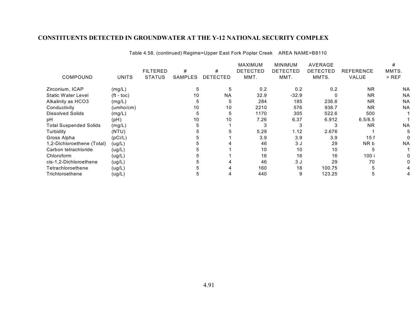| COMPOUND                      | <b>UNITS</b> | <b>FILTERED</b><br><b>STATUS</b> | #<br><b>SAMPLES</b> | #<br><b>DETECTED</b> | <b>MAXIMUM</b><br><b>DETECTED</b><br>MMT. | <b>MINIMUM</b><br><b>DETECTED</b><br>MMT. | <b>AVERAGE</b><br><b>DETECTED</b><br>MMTS. | <b>REFERENCE</b><br>VALUE | MMTS.<br>$>$ REF |
|-------------------------------|--------------|----------------------------------|---------------------|----------------------|-------------------------------------------|-------------------------------------------|--------------------------------------------|---------------------------|------------------|
| Zirconium, ICAP               | (mg/L)       |                                  | 5                   | 5                    | 0.2                                       | 0.2                                       | 0.2                                        | <b>NR</b>                 | <b>NA</b>        |
| <b>Static Water Level</b>     | $(ft - toc)$ |                                  | 10                  | NA                   | 32.9                                      | $-32.9$                                   |                                            | <b>NR</b>                 | <b>NA</b>        |
| Alkalinity as HCO3            | (mg/L)       |                                  |                     | 5                    | 284                                       | 185                                       | 236.6                                      | <b>NR</b>                 | <b>NA</b>        |
| Conductivity                  | (umho/cm)    |                                  | 10                  | 10                   | 2210                                      | 576                                       | 938.7                                      | <b>NR</b>                 | <b>NA</b>        |
| <b>Dissolved Solids</b>       | (mg/L)       |                                  |                     | 5                    | 1170                                      | 305                                       | 522.6                                      | 500                       |                  |
| рH                            | (pH)         |                                  | 10                  | 10                   | 7.26                                      | 6.37                                      | 6.912                                      | 6.5/8.5                   |                  |
| <b>Total Suspended Solids</b> | (mg/L)       |                                  |                     |                      | 3                                         | 3                                         |                                            | <b>NR</b>                 | <b>NA</b>        |
| Turbidity                     | (NTU)        |                                  |                     |                      | 5.29                                      | 1.12                                      | 2.676                                      |                           |                  |
| Gross Alpha                   | (pCi/L)      |                                  |                     |                      | 3.9                                       | 3.9                                       | 3.9                                        | 15f                       |                  |
| 1,2-Dichloroethene (Total)    | (ug/L)       |                                  |                     |                      | 46                                        | 3 J                                       | 29                                         | NR b                      | <b>NA</b>        |
| Carbon tetrachloride          | (ug/L)       |                                  |                     |                      | 10                                        | 10                                        | 10                                         |                           |                  |
| Chloroform                    | (ug/L)       |                                  |                     |                      | 16                                        | 16                                        | 16                                         | 100 i                     |                  |
| cis-1,2-Dichloroethene        | (ug/L)       |                                  |                     |                      | 46                                        | 3J                                        | 29                                         | 70                        |                  |
| Tetrachloroethene             | (ug/L)       |                                  |                     |                      | 160                                       | 18                                        | 100.75                                     |                           |                  |
| Trichloroethene               | (ug/L)       |                                  |                     |                      | 440                                       | 9                                         | 123.25                                     | 5                         |                  |

Table 4.58. (continued) Regime=Upper East Fork Poplar Creek AREA NAME=B8110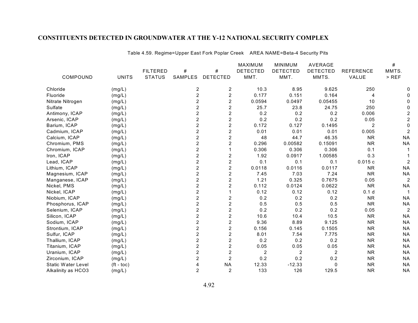|                           |              |                 |                |                         | <b>MAXIMUM</b>  | <b>MINIMUM</b>  | <b>AVERAGE</b>  |                  | #              |
|---------------------------|--------------|-----------------|----------------|-------------------------|-----------------|-----------------|-----------------|------------------|----------------|
|                           |              | <b>FILTERED</b> | $\#$           | $\#$                    | <b>DETECTED</b> | <b>DETECTED</b> | <b>DETECTED</b> | <b>REFERENCE</b> | MMTS.          |
| COMPOUND                  | <b>UNITS</b> | <b>STATUS</b>   | SAMPLES        | <b>DETECTED</b>         | MMT.            | MMT.            | MMTS.           | VALUE            | $>$ REF        |
| Chloride                  | (mg/L)       |                 | 2              | $\overline{c}$          | 10.3            | 8.95            | 9.625           | 250              |                |
| Fluoride                  | (mg/L)       |                 | $\overline{c}$ | $\overline{c}$          | 0.177           | 0.151           | 0.164           | 4                |                |
| Nitrate Nitrogen          | (mg/L)       |                 | $\overline{2}$ | $\overline{2}$          | 0.0594          | 0.0497          | 0.05455         | 10               |                |
| Sulfate                   | (mg/L)       |                 | $\overline{c}$ | $\overline{c}$          | 25.7            | 23.8            | 24.75           | 250              |                |
| Antimony, ICAP            | (mg/L)       |                 | $\overline{c}$ | $\overline{c}$          | 0.2             | 0.2             | 0.2             | 0.006            |                |
| Arsenic, ICAP             | (mg/L)       |                 | $\overline{2}$ | $\overline{c}$          | 0.2             | 0.2             | 0.2             | 0.05             |                |
| Barium, ICAP              | (mg/L)       |                 | $\overline{2}$ | $\overline{c}$          | 0.172           | 0.127           | 0.1495          | $\overline{2}$   |                |
| Cadmium, ICAP             | (mg/L)       |                 | $\overline{2}$ | $\overline{c}$          | 0.01            | 0.01            | 0.01            | 0.005            |                |
| Calcium, ICAP             | (mg/L)       |                 | $\overline{2}$ | $\overline{c}$          | 48              | 44.7            | 46.35           | <b>NR</b>        | <b>NA</b>      |
| Chromium, PMS             | (mg/L)       |                 | $\overline{c}$ | $\overline{c}$          | 0.296           | 0.00582         | 0.15091         | <b>NR</b>        | <b>NA</b>      |
| Chromium, ICAP            | (mg/L)       |                 | $\overline{c}$ |                         | 0.306           | 0.306           | 0.306           | 0.1              |                |
| Iron, ICAP                | (mg/L)       |                 | $\overline{2}$ | $\overline{c}$          | 1.92            | 0.0917          | 1.00585         | 0.3              |                |
| Lead, ICAP                | (mg/L)       |                 | $\overline{2}$ | $\overline{c}$          | 0.1             | 0.1             | 0.1             | 0.015c           |                |
| Lithium, ICAP             | (mg/L)       |                 | $\overline{2}$ | $\overline{c}$          | 0.0118          | 0.0116          | 0.0117          | <b>NR</b>        | <b>NA</b>      |
| Magnesium, ICAP           | (mg/L)       |                 | $\overline{2}$ | $\overline{c}$          | 7.45            | 7.03            | 7.24            | <b>NR</b>        | <b>NA</b>      |
| Manganese, ICAP           | (mg/L)       |                 | $\overline{2}$ | $\overline{\mathbf{c}}$ | 1.21            | 0.325           | 0.7675          | 0.05             | $\overline{a}$ |
| Nickel, PMS               | (mg/L)       |                 | $\overline{c}$ | $\overline{c}$          | 0.112           | 0.0124          | 0.0622          | <b>NR</b>        | <b>NA</b>      |
| Nickel, ICAP              | (mg/L)       |                 | $\overline{2}$ |                         | 0.12            | 0.12            | 0.12            | 0.1 <sub>d</sub> | 1              |
| Niobium, ICAP             | (mg/L)       |                 | $\overline{c}$ | $\overline{\mathbf{c}}$ | 0.2             | 0.2             | 0.2             | <b>NR</b>        | <b>NA</b>      |
| Phosphorus, ICAP          | (mg/L)       |                 | $\overline{2}$ | $\overline{2}$          | 0.5             | 0.5             | 0.5             | <b>NR</b>        | <b>NA</b>      |
| Selenium, ICAP            | (mg/L)       |                 | $\overline{2}$ | $\overline{c}$          | 0.2             | 0.2             | 0.2             | 0.05             | $\overline{c}$ |
| Silicon, ICAP             | (mg/L)       |                 | $\overline{c}$ | $\overline{\mathbf{c}}$ | 10.6            | 10.4            | 10.5            | <b>NR</b>        | <b>NA</b>      |
| Sodium, ICAP              | (mg/L)       |                 | $\overline{c}$ | $\overline{c}$          | 9.36            | 8.89            | 9.125           | <b>NR</b>        | <b>NA</b>      |
| Strontium, ICAP           | (mg/L)       |                 | $\overline{c}$ | $\overline{c}$          | 0.156           | 0.145           | 0.1505          | <b>NR</b>        | <b>NA</b>      |
| Sulfur, ICAP              | (mg/L)       |                 | $\overline{c}$ | $\overline{c}$          | 8.01            | 7.54            | 7.775           | <b>NR</b>        | <b>NA</b>      |
| Thallium, ICAP            | (mg/L)       |                 | $\overline{2}$ | $\overline{2}$          | 0.2             | 0.2             | 0.2             | <b>NR</b>        | <b>NA</b>      |
| Titanium, ICAP            | (mg/L)       |                 | $\overline{2}$ | $\overline{c}$          | 0.05            | 0.05            | 0.05            | <b>NR</b>        | <b>NA</b>      |
| Uranium, ICAP             | (mg/L)       |                 | $\overline{2}$ | $\overline{c}$          | $\overline{2}$  | $\overline{c}$  | 2               | <b>NR</b>        | <b>NA</b>      |
| Zirconium, ICAP           | (mg/L)       |                 | $\overline{2}$ | $\overline{2}$          | 0.2             | 0.2             | 0.2             | <b>NR</b>        | <b>NA</b>      |
| <b>Static Water Level</b> | $(ft - toc)$ |                 |                | <b>NA</b>               | 12.33           | $-12.33$        | $\mathbf{0}$    | <b>NR</b>        | <b>NA</b>      |
| Alkalinity as HCO3        | (mg/L)       |                 | $\overline{2}$ | $\overline{2}$          | 133             | 126             | 129.5           | <b>NR</b>        | <b>NA</b>      |

Table 4.59. Regime=Upper East Fork Poplar Creek AREA NAME=Beta-4 Security Pits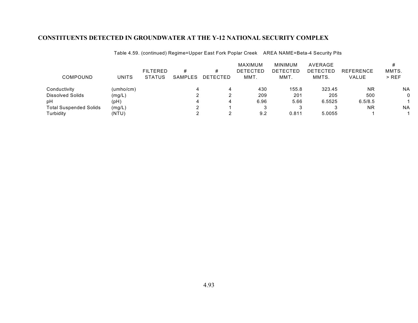| COMPOUND                      | <b>UNITS</b> | <b>FILTERED</b><br><b>STATUS</b> | #<br>SAMPLES | #<br>DETECTED | MAXIMUM<br><b>DETECTED</b><br>MMT. | <b>MINIMUM</b><br><b>DETECTED</b><br>MMT. | AVERAGE<br><b>DETECTED</b><br>MMTS. | <b>REFERENCE</b><br><b>VALUE</b> | MMTS.<br>$>$ REF |
|-------------------------------|--------------|----------------------------------|--------------|---------------|------------------------------------|-------------------------------------------|-------------------------------------|----------------------------------|------------------|
| Conductivity                  | (umbo/cm)    |                                  |              | 4             | 430                                | 155.8                                     | 323.45                              | <b>NR</b>                        | <b>NA</b>        |
| Dissolved Solids              | (mg/L)       |                                  |              | ◠             | 209                                | 201                                       | 205                                 | 500                              | 0                |
| pH                            | (pH)         |                                  |              | 4             | 6.96                               | 5.66                                      | 6.5525                              | 6.5/8.5                          |                  |
| <b>Total Suspended Solids</b> | (mg/L)       |                                  |              |               |                                    | 3                                         |                                     | <b>NR</b>                        | <b>NA</b>        |
| Turbidity                     | (NTU)        |                                  |              |               | 9.2                                | 0.811                                     | 5.0055                              |                                  |                  |

Table 4.59. (continued) Regime=Upper East Fork Poplar Creek AREA NAME=Beta-4 Security Pits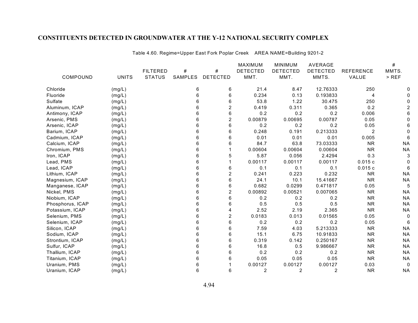|                  |              |                 |         |                         | <b>MAXIMUM</b>  | <b>MINIMUM</b>  | AVERAGE         |                  | $\#$      |
|------------------|--------------|-----------------|---------|-------------------------|-----------------|-----------------|-----------------|------------------|-----------|
|                  |              | <b>FILTERED</b> | $\#$    | $\#$                    | <b>DETECTED</b> | <b>DETECTED</b> | <b>DETECTED</b> | <b>REFERENCE</b> | MMTS.     |
| COMPOUND         | <b>UNITS</b> | <b>STATUS</b>   | SAMPLES | <b>DETECTED</b>         | MMT.            | MMT.            | MMTS.           | VALUE            | $>$ REF   |
| Chloride         | (mg/L)       |                 | 6       | 6                       | 21.4            | 8.47            | 12.76333        | 250              |           |
| Fluoride         | (mg/L)       |                 | 6       | 6                       | 0.234           | 0.13            | 0.193833        | $\overline{4}$   |           |
| Sulfate          | (mg/L)       |                 | 6       | 6                       | 53.8            | 1.22            | 30.475          | 250              |           |
| Aluminum, ICAP   | (mg/L)       |                 | 6       | $\overline{\mathbf{c}}$ | 0.419           | 0.311           | 0.365           | 0.2              |           |
| Antimony, ICAP   | (mg/L)       |                 | 6       | 6                       | 0.2             | 0.2             | 0.2             | 0.006            |           |
| Arsenic, PMS     | (mg/L)       |                 | 6       | $\overline{2}$          | 0.00879         | 0.00695         | 0.00787         | 0.05             |           |
| Arsenic, ICAP    | (mg/L)       |                 | 6       | 6                       | 0.2             | 0.2             | 0.2             | 0.05             |           |
| Barium, ICAP     | (mg/L)       |                 | 6       | 6                       | 0.248           | 0.191           | 0.213333        | 2                |           |
| Cadmium, ICAP    | (mg/L)       |                 | 6       | 6                       | 0.01            | 0.01            | 0.01            | 0.005            |           |
| Calcium, ICAP    | (mg/L)       |                 | 6       | 6                       | 84.7            | 63.8            | 73.03333        | <b>NR</b>        | <b>NA</b> |
| Chromium, PMS    | (mg/L)       |                 | 6       |                         | 0.00604         | 0.00604         | 0.00604         | <b>NR</b>        | <b>NA</b> |
| Iron, ICAP       | (mg/L)       |                 | 6       | 5                       | 5.87            | 0.056           | 2.4294          | 0.3              | 3         |
| Lead, PMS        | (mg/L)       |                 | 6       |                         | 0.00117         | 0.00117         | 0.00117         | 0.015c           |           |
| Lead, ICAP       | (mg/L)       |                 | 6       | 6                       | 0.1             | 0.1             | 0.1             | 0.015c           | 6         |
| Lithium, ICAP    | (mg/L)       |                 | 6       | $\overline{c}$          | 0.241           | 0.223           | 0.232           | <b>NR</b>        | <b>NA</b> |
| Magnesium, ICAP  | (mg/L)       |                 | 6       | 6                       | 24.1            | 10.1            | 15.41667        | <b>NR</b>        | <b>NA</b> |
| Manganese, ICAP  | (mg/L)       |                 | 6       | 6                       | 0.682           | 0.0299          | 0.471817        | 0.05             | 5         |
| Nickel, PMS      | (mg/L)       |                 | 6       | $\overline{2}$          | 0.00892         | 0.00521         | 0.007065        | <b>NR</b>        | <b>NA</b> |
| Niobium, ICAP    | (mg/L)       |                 | 6       | 6                       | 0.2             | 0.2             | 0.2             | <b>NR</b>        | <b>NA</b> |
| Phosphorus, ICAP | (mg/L)       |                 | 6       | 6                       | 0.5             | 0.5             | 0.5             | <b>NR</b>        | <b>NA</b> |
| Potassium, ICAP  | (mg/L)       |                 | 6       | 4                       | 2.52            | 2.19            | 2.365           | <b>NR</b>        | <b>NA</b> |
| Selenium, PMS    | (mg/L)       |                 | 6       | $\overline{\mathbf{c}}$ | 0.0183          | 0.013           | 0.01565         | 0.05             | 0         |
| Selenium, ICAP   | (mg/L)       |                 | 6       | 6                       | 0.2             | 0.2             | 0.2             | 0.05             | 6         |
| Silicon, ICAP    | (mg/L)       |                 | 6       | 6                       | 7.59            | 4.03            | 5.213333        | <b>NR</b>        | <b>NA</b> |
| Sodium, ICAP     | (mg/L)       |                 | 6       | 6                       | 15.1            | 6.75            | 10.91833        | <b>NR</b>        | <b>NA</b> |
| Strontium, ICAP  | (mg/L)       |                 | 6       | 6                       | 0.319           | 0.142           | 0.250167        | <b>NR</b>        | <b>NA</b> |
| Sulfur, ICAP     | (mg/L)       |                 | 6       | 6                       | 16.8            | 0.5             | 9.986667        | <b>NR</b>        | <b>NA</b> |
| Thallium, ICAP   | (mg/L)       |                 | 6       | 6                       | 0.2             | 0.2             | 0.2             | <b>NR</b>        | <b>NA</b> |
| Titanium, ICAP   | (mg/L)       |                 | 6       | 6                       | 0.05            | 0.05            | 0.05            | <b>NR</b>        | <b>NA</b> |
| Uranium, PMS     | (mg/L)       |                 | 6       |                         | 0.00127         | 0.00127         | 0.00127         | 0.03             | 0         |
| Uranium, ICAP    | (mg/L)       |                 | 6       | 6                       | $\overline{2}$  | $\overline{c}$  | $\overline{2}$  | <b>NR</b>        | <b>NA</b> |

Table 4.60. Regime=Upper East Fork Poplar Creek AREA NAME=Building 9201-2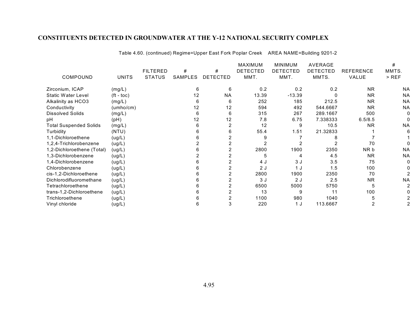|                               |              |                 |         |                 | <b>MAXIMUM</b>  | <b>MINIMUM</b>  | AVERAGE         |                  | #         |
|-------------------------------|--------------|-----------------|---------|-----------------|-----------------|-----------------|-----------------|------------------|-----------|
|                               |              | <b>FILTERED</b> | #       | #               | <b>DETECTED</b> | <b>DETECTED</b> | <b>DETECTED</b> | <b>REFERENCE</b> | MMTS.     |
| COMPOUND                      | <b>UNITS</b> | <b>STATUS</b>   | SAMPLES | <b>DETECTED</b> | MMT.            | MMT.            | MMTS.           | VALUE            | $>$ REF   |
| Zirconium, ICAP               | (mg/L)       |                 | 6       | 6               | 0.2             | 0.2             | 0.2             | <b>NR</b>        | <b>NA</b> |
| <b>Static Water Level</b>     | $(ft - toc)$ |                 | 12      | <b>NA</b>       | 13.39           | $-13.39$        |                 | <b>NR</b>        | <b>NA</b> |
| Alkalinity as HCO3            | (mg/L)       |                 | 6       | 6               | 252             | 185             | 212.5           | <b>NR</b>        | <b>NA</b> |
| Conductivity                  | (umbo/cm)    |                 | 12      | 12              | 594             | 492             | 544.6667        | <b>NR</b>        | <b>NA</b> |
| <b>Dissolved Solids</b>       | (mg/L)       |                 | հ       | 6               | 315             | 267             | 289.1667        | 500              |           |
| pH                            | (pH)         |                 | 12      | 12              | 7.8             | 6.75            | 7.338333        | 6.5/8.5          |           |
| <b>Total Suspended Solids</b> | (mg/L)       |                 |         |                 | 12              | 9               | 10.5            | <b>NR</b>        | <b>NA</b> |
| Turbidity                     | (NTU)        |                 |         | 6               | 55.4            | 1.51            | 21.32833        |                  |           |
| 1,1-Dichloroethene            | (ug/L)       |                 |         |                 |                 |                 |                 |                  |           |
| 1,2,4-Trichlorobenzene        | (ug/L)       |                 |         |                 |                 |                 |                 | 70               |           |
| 1,2-Dichloroethene (Total)    | (ug/L)       |                 | 6       |                 | 2800            | 1900            | 2350            | NR b             | <b>NA</b> |
| 1,3-Dichlorobenzene           | (ug/L)       |                 |         |                 | 5               | 4               | 4.5             | <b>NR</b>        | <b>NA</b> |
| 1,4-Dichlorobenzene           | (ug/L)       |                 | 6       |                 | 4 J             | 3 J             | 3.5             | 75               |           |
| Chlorobenzene                 | (ug/L)       |                 |         |                 | 2J              | 1 J             | 1.5             | 100              |           |
| cis-1,2-Dichloroethene        | (ug/L)       |                 |         |                 | 2800            | 1900            | 2350            | 70               |           |
| Dichlorodifluoromethane       | (ug/L)       |                 |         |                 | 3J              | 2J              | 2.5             | <b>NR</b>        | <b>NA</b> |
| Tetrachloroethene             | (ug/L)       |                 |         |                 | 6500            | 5000            | 5750            | 5                |           |
| trans-1,2-Dichloroethene      | (ug/L)       |                 | ჩ       |                 | 13              | 9               | 11              | 100              |           |
| Trichloroethene               | (ug/L)       |                 |         |                 | 1100            | 980             | 1040            |                  |           |
| Vinyl chloride                | (ug/L)       |                 | 6       |                 | 220             | 1 J             | 113.6667        |                  |           |

Table 4.60. (continued) Regime=Upper East Fork Poplar Creek AREA NAME=Building 9201-2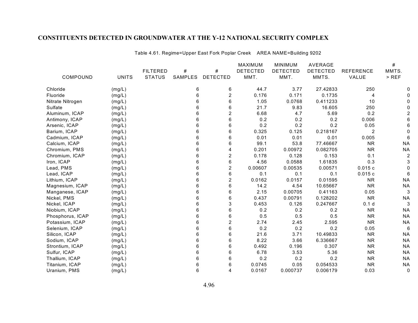|                  |              |                 |         |                         | MAXIMUM         | <b>MINIMUM</b>  | <b>AVERAGE</b>  |                  | $\#$      |
|------------------|--------------|-----------------|---------|-------------------------|-----------------|-----------------|-----------------|------------------|-----------|
|                  |              | <b>FILTERED</b> | $\#$    | $\#$                    | <b>DETECTED</b> | <b>DETECTED</b> | <b>DETECTED</b> | <b>REFERENCE</b> | MMTS.     |
| COMPOUND         | <b>UNITS</b> | <b>STATUS</b>   | SAMPLES | <b>DETECTED</b>         | MMT.            | MMT.            | MMTS.           | VALUE            | $>$ REF   |
| Chloride         | (mg/L)       |                 | 6       | 6                       | 44.7            | 3.77            | 27.42833        | 250              |           |
| Fluoride         | (mg/L)       |                 | 6       | $\boldsymbol{2}$        | 0.176           | 0.171           | 0.1735          | 4                |           |
| Nitrate Nitrogen | (mg/L)       |                 | 6       | 6                       | 1.05            | 0.0768          | 0.411233        | 10               |           |
| Sulfate          | (mg/L)       |                 | 6       | 6                       | 21.7            | 9.83            | 16.605          | 250              |           |
| Aluminum, ICAP   | (mg/L)       |                 | 6       | $\overline{2}$          | 6.68            | 4.7             | 5.69            | 0.2              |           |
| Antimony, ICAP   | (mg/L)       |                 | 6       | 6                       | 0.2             | 0.2             | 0.2             | 0.006            |           |
| Arsenic, ICAP    | (mg/L)       |                 | 6       | 6                       | 0.2             | 0.2             | 0.2             | 0.05             |           |
| Barium, ICAP     | (mg/L)       |                 | 6       | 6                       | 0.325           | 0.125           | 0.218167        | $\overline{2}$   |           |
| Cadmium, ICAP    | (mg/L)       |                 | 6       | 6                       | 0.01            | 0.01            | 0.01            | 0.005            |           |
| Calcium, ICAP    | (mg/L)       |                 | 6       | 6                       | 99.1            | 53.8            | 77.46667        | <b>NR</b>        | <b>NA</b> |
| Chromium, PMS    | (mg/L)       |                 | 6       | 4                       | 0.201           | 0.00972         | 0.082705        | <b>NR</b>        | <b>NA</b> |
| Chromium, ICAP   | (mg/L)       |                 | 6       | $\overline{\mathbf{c}}$ | 0.178           | 0.128           | 0.153           | 0.1              |           |
| Iron, ICAP       | (mg/L)       |                 | 6       | $\,6\,$                 | 4.56            | 0.0588          | 1.61835         | 0.3              | 3         |
| Lead, PMS        | (mg/L)       |                 | 6       | $\overline{c}$          | 0.00607         | 0.00535         | 0.00571         | 0.015c           |           |
| Lead, ICAP       | (mg/L)       |                 | 6       | 6                       | 0.1             | 0.1             | 0.1             | 0.015c           | 6         |
| Lithium, ICAP    | (mg/L)       |                 | 6       | $\boldsymbol{2}$        | 0.0162          | 0.0157          | 0.01595         | <b>NR</b>        | <b>NA</b> |
| Magnesium, ICAP  | (mg/L)       |                 | 6       | 6                       | 14.2            | 4.54            | 10.65667        | <b>NR</b>        | <b>NA</b> |
| Manganese, ICAP  | (mg/L)       |                 | 6       | 6                       | 2.15            | 0.00705         | 0.41163         | 0.05             | 3         |
| Nickel, PMS      | (mg/L)       |                 | 6       | 6                       | 0.437           | 0.00791         | 0.128202        | <b>NR</b>        | <b>NA</b> |
| Nickel, ICAP     | (mg/L)       |                 | 6       | 3                       | 0.453           | 0.126           | 0.247667        | 0.1 <sub>d</sub> | 3         |
| Niobium, ICAP    | (mg/L)       |                 | 6       | 6                       | 0.2             | 0.2             | 0.2             | <b>NR</b>        | <b>NA</b> |
| Phosphorus, ICAP | (mg/L)       |                 | 6       | 6                       | 0.5             | 0.5             | 0.5             | <b>NR</b>        | <b>NA</b> |
| Potassium, ICAP  | (mg/L)       |                 | 6       | 2                       | 2.74            | 2.45            | 2.595           | <b>NR</b>        | <b>NA</b> |
| Selenium, ICAP   | (mg/L)       |                 | 6       | 6                       | 0.2             | 0.2             | 0.2             | 0.05             | 6         |
| Silicon, ICAP    | (mg/L)       |                 | 6       | 6                       | 21.6            | 3.71            | 10.49833        | <b>NR</b>        | <b>NA</b> |
| Sodium, ICAP     | (mg/L)       |                 | 6       | 6                       | 8.22            | 3.66            | 6.336667        | <b>NR</b>        | <b>NA</b> |
| Strontium, ICAP  | (mg/L)       |                 | 6       | 6                       | 0.492           | 0.196           | 0.307           | <b>NR</b>        | <b>NA</b> |
| Sulfur, ICAP     | (mg/L)       |                 | 6       | 6                       | 6.78            | 3.53            | 5.36            | <b>NR</b>        | <b>NA</b> |
| Thallium, ICAP   | (mg/L)       |                 | 6       | 6                       | 0.2             | 0.2             | 0.2             | <b>NR</b>        | <b>NA</b> |
| Titanium, ICAP   | (mg/L)       |                 | 6       | 6                       | 0.0745          | 0.05            | 0.054533        | <b>NR</b>        | <b>NA</b> |
| Uranium, PMS     | (mg/L)       |                 | 6       | 4                       | 0.0167          | 0.000737        | 0.006179        | 0.03             | 0         |

Table 4.61. Regime=Upper East Fork Poplar Creek AREA NAME=Building 9202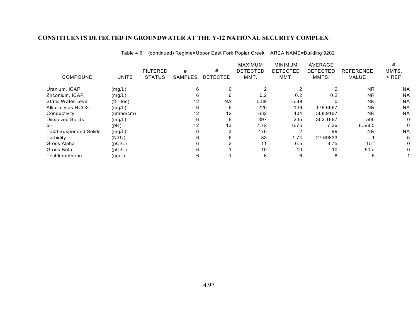| COMPOUND                      | <b>UNITS</b>          | <b>FILTERED</b><br><b>STATUS</b> | #<br>SAMPLES      | #<br><b>DETECTED</b> | <b>MAXIMUM</b><br><b>DETECTED</b><br>MMT. | <b>MINIMUM</b><br><b>DETECTED</b><br>MMT. | AVERAGE<br>DETECTED<br>MMTS. | <b>REFERENCE</b><br><b>VALUE</b> | #<br>MMTS.<br>$>$ REF |
|-------------------------------|-----------------------|----------------------------------|-------------------|----------------------|-------------------------------------------|-------------------------------------------|------------------------------|----------------------------------|-----------------------|
| Uranium, ICAP                 | (mg/L)                |                                  |                   |                      |                                           |                                           |                              | <b>NR</b>                        | <b>NA</b>             |
| Zirconium, ICAP               | (mg/L)                |                                  | n                 | 6                    | 0.2                                       | 0.2                                       | 0.2                          | <b>NR</b>                        | <b>NA</b>             |
| Static Water Level            | $({\rm ft -}$ toc $)$ |                                  | $12 \overline{ }$ | <b>NA</b>            | 5.89                                      | $-5.89$                                   |                              | <b>NR</b>                        | <b>NA</b>             |
| Alkalinity as HCO3            | (mg/L)                |                                  |                   | 6                    | 220                                       | 149                                       | 178.6667                     | <b>NR</b>                        | <b>NA</b>             |
| Conductivity                  | (umho/cm)             |                                  | 12                | 12                   | 632                                       | 404                                       | 508.9167                     | <b>NR</b>                        | <b>NA</b>             |
| <b>Dissolved Solids</b>       | (mg/L)                |                                  |                   | 6                    | 397                                       | 235                                       | 302.1667                     | 500                              |                       |
| рH                            | (pH)                  |                                  | 12                | 12                   | 7.72                                      | 6.75                                      | 7.26                         | 6.5/8.5                          |                       |
| <b>Total Suspended Solids</b> | (mg/L)                |                                  |                   | 3                    | 176                                       | 2                                         | 99                           | <b>NR</b>                        | <b>NA</b>             |
| Turbidity                     | (NTU)                 |                                  |                   | 6                    | 83                                        | 1.74                                      | 27.69833                     |                                  |                       |
| Gross Alpha                   | (pCi/L)               |                                  |                   |                      | 11                                        | 6.5                                       | 8.75                         | 15f                              |                       |
| Gross Beta                    | (pCi/L)               |                                  |                   |                      | 10                                        | 10                                        | 10                           | 50 a                             |                       |
| Trichloroethene               | (ug/L)                |                                  |                   |                      | 6                                         | 6                                         | 6                            | b                                |                       |

Table 4.61. (continued) Regime=Upper East Fork Poplar Creek AREA NAME=Building 9202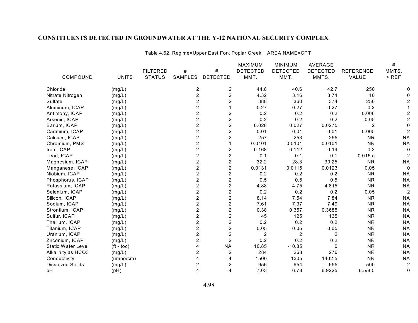|                           |              |                 |                         |                         | MAXIMUM         | <b>MINIMUM</b>  | <b>AVERAGE</b>  |                  | $\#$           |
|---------------------------|--------------|-----------------|-------------------------|-------------------------|-----------------|-----------------|-----------------|------------------|----------------|
|                           |              | <b>FILTERED</b> | $\#$                    | $\#$                    | <b>DETECTED</b> | <b>DETECTED</b> | <b>DETECTED</b> | <b>REFERENCE</b> | MMTS.          |
| COMPOUND                  | <b>UNITS</b> | <b>STATUS</b>   | <b>SAMPLES</b>          | <b>DETECTED</b>         | MMT.            | MMT.            | MMTS.           | VALUE            | $>$ REF        |
| Chloride                  | (mg/L)       |                 | 2                       | $\overline{c}$          | 44.8            | 40.6            | 42.7            | 250              |                |
| Nitrate Nitrogen          | (mg/L)       |                 | $\overline{c}$          | $\boldsymbol{2}$        | 4.32            | 3.16            | 3.74            | 10               |                |
| Sulfate                   | (mg/L)       |                 | $\overline{2}$          | $\boldsymbol{2}$        | 388             | 360             | 374             | 250              |                |
| Aluminum, ICAP            | (mg/L)       |                 | $\overline{c}$          |                         | 0.27            | 0.27            | 0.27            | 0.2              |                |
| Antimony, ICAP            | (mg/L)       |                 | $\overline{2}$          | $\overline{c}$          | 0.2             | 0.2             | 0.2             | 0.006            |                |
| Arsenic, ICAP             | (mg/L)       |                 | $\overline{2}$          | $\overline{2}$          | 0.2             | 0.2             | 0.2             | 0.05             |                |
| Barium, ICAP              | (mg/L)       |                 | $\overline{2}$          | $\overline{c}$          | 0.028           | 0.027           | 0.0275          | $\overline{2}$   |                |
| Cadmium, ICAP             | (mg/L)       |                 | $\overline{c}$          | $\overline{c}$          | 0.01            | 0.01            | 0.01            | 0.005            |                |
| Calcium, ICAP             | (mg/L)       |                 | $\overline{c}$          | 2                       | 257             | 253             | 255             | <b>NR</b>        | <b>NA</b>      |
| Chromium, PMS             | (mg/L)       |                 | $\overline{c}$          |                         | 0.0101          | 0.0101          | 0.0101          | <b>NR</b>        | <b>NA</b>      |
| Iron, ICAP                | (mg/L)       |                 | $\overline{2}$          | $\boldsymbol{2}$        | 0.168           | 0.112           | 0.14            | 0.3              |                |
| Lead, ICAP                | (mg/L)       |                 | $\overline{2}$          | $\overline{c}$          | 0.1             | 0.1             | 0.1             | 0.015c           |                |
| Magnesium, ICAP           | (mg/L)       |                 | $\overline{2}$          | $\overline{c}$          | 32.2            | 28.3            | 30.25           | <b>NR</b>        | <b>NA</b>      |
| Manganese, ICAP           | (mg/L)       |                 | $\overline{2}$          | $\overline{c}$          | 0.0131          | 0.0115          | 0.0123          | 0.05             | 0              |
| Niobium, ICAP             | (mg/L)       |                 | $\overline{\mathbf{c}}$ | $\overline{\mathbf{c}}$ | 0.2             | 0.2             | 0.2             | <b>NR</b>        | <b>NA</b>      |
| Phosphorus, ICAP          | (mg/L)       |                 | $\overline{2}$          | $\boldsymbol{2}$        | 0.5             | 0.5             | 0.5             | <b>NR</b>        | <b>NA</b>      |
| Potassium, ICAP           | (mg/L)       |                 | $\overline{2}$          | $\boldsymbol{2}$        | 4.88            | 4.75            | 4.815           | <b>NR</b>        | <b>NA</b>      |
| Selenium, ICAP            | (mg/L)       |                 | $\overline{c}$          | $\overline{2}$          | 0.2             | 0.2             | 0.2             | 0.05             | $\overline{a}$ |
| Silicon, ICAP             | (mg/L)       |                 | $\overline{2}$          | $\overline{2}$          | 8.14            | 7.54            | 7.84            | <b>NR</b>        | <b>NA</b>      |
| Sodium, ICAP              | (mg/L)       |                 | $\overline{2}$          | $\overline{2}$          | 7.61            | 7.37            | 7.49            | <b>NR</b>        | <b>NA</b>      |
| Strontium, ICAP           | (mg/L)       |                 | $\overline{2}$          | $\overline{2}$          | 0.38            | 0.357           | 0.3685          | <b>NR</b>        | <b>NA</b>      |
| Sulfur, ICAP              | (mg/L)       |                 | $\overline{c}$          | $\overline{2}$          | 145             | 125             | 135             | <b>NR</b>        | <b>NA</b>      |
| Thallium, ICAP            | (mg/L)       |                 | $\overline{c}$          | $\overline{c}$          | 0.2             | 0.2             | 0.2             | <b>NR</b>        | <b>NA</b>      |
| Titanium, ICAP            | (mg/L)       |                 | $\overline{c}$          | $\boldsymbol{2}$        | 0.05            | 0.05            | 0.05            | <b>NR</b>        | <b>NA</b>      |
| Uranium, ICAP             | (mg/L)       |                 | $\overline{c}$          | $\overline{2}$          | $\overline{2}$  | 2               | 2               | <b>NR</b>        | <b>NA</b>      |
| Zirconium, ICAP           | (mg/L)       |                 | $\overline{2}$          | $\overline{2}$          | 0.2             | 0.2             | 0.2             | <b>NR</b>        | <b>NA</b>      |
| <b>Static Water Level</b> | $(ft - toc)$ |                 | 4                       | <b>NA</b>               | 10.85           | $-10.85$        | $\Omega$        | <b>NR</b>        | <b>NA</b>      |
| Alkalinity as HCO3        | (mg/L)       |                 | 2                       | $\overline{2}$          | 284             | 268             | 276             | <b>NR</b>        | <b>NA</b>      |
| Conductivity              | (umbo/cm)    |                 | 4                       | 4                       | 1500            | 1305            | 1402.5          | <b>NR</b>        | <b>NA</b>      |
| <b>Dissolved Solids</b>   | (mg/L)       |                 | $\overline{\mathbf{c}}$ | $\boldsymbol{2}$        | 956             | 954             | 955             | 500              | $\overline{c}$ |
| pH                        | (pH)         |                 | 4                       | 4                       | 7.03            | 6.78            | 6.9225          | 6.5/8.5          | 0              |

Table 4.62. Regime=Upper East Fork Poplar Creek AREA NAME=CPT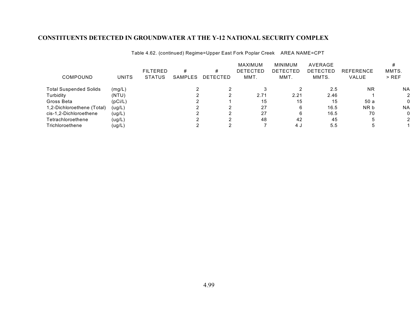|                               |         | <b>FILTERED</b> | #       | #               | MAXIMUM<br><b>DETECTED</b> | <b>MINIMUM</b><br>DETECTED | AVERAGE<br>DETECTED | <b>REFERENCE</b> | MMTS.     |
|-------------------------------|---------|-----------------|---------|-----------------|----------------------------|----------------------------|---------------------|------------------|-----------|
| COMPOUND                      | UNITS   | <b>STATUS</b>   | SAMPLES | <b>DETECTED</b> | MMT.                       | MMT.                       | MMTS.               | VALUE            | $>$ REF   |
| <b>Total Suspended Solids</b> | (mg/L)  |                 |         |                 |                            |                            | 2.5                 | <b>NR</b>        | <b>NA</b> |
| Turbidity                     | (NTU)   |                 |         |                 | 2.71                       | 2.21                       | 2.46                |                  |           |
| Gross Beta                    | (pCi/L) |                 |         |                 | 15                         | 15                         | 15                  | 50a              |           |
| 1,2-Dichloroethene (Total)    | (ug/L)  |                 |         |                 | 27                         | 6                          | 16.5                | NR b             | <b>NA</b> |
| cis-1,2-Dichloroethene        | (ug/L)  |                 |         |                 | 27                         | 6                          | 16.5                | 70               |           |
| Tetrachloroethene             | (ug/L)  |                 |         |                 | 48                         | 42                         | 45                  | :5               |           |
| Trichloroethene               | (ug/L)  |                 |         |                 |                            | 4 J                        | 5.5                 |                  |           |

Table 4.62. (continued) Regime=Upper East Fork Poplar Creek AREA NAME=CPT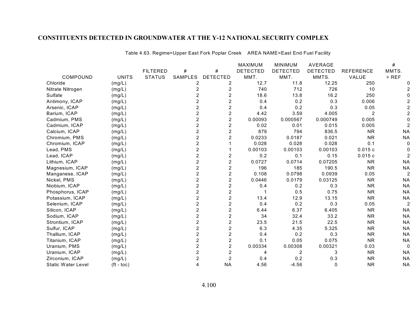Table 4.63. Regime=Upper East Fork Poplar Creek AREA NAME=East End Fuel Facility

|                           |                       |                 |                |                         | <b>MAXIMUM</b>  | <b>MINIMUM</b>  | <b>AVERAGE</b>  |                  | #              |
|---------------------------|-----------------------|-----------------|----------------|-------------------------|-----------------|-----------------|-----------------|------------------|----------------|
|                           |                       | <b>FILTERED</b> | #              | $\#$                    | <b>DETECTED</b> | <b>DETECTED</b> | <b>DETECTED</b> | <b>REFERENCE</b> | MMTS.          |
| COMPOUND                  | <b>UNITS</b>          | <b>STATUS</b>   | SAMPLES        | <b>DETECTED</b>         | MMT.            | MMT.            | MMTS.           | VALUE            | $>$ REF        |
| Chloride                  | (mg/L)                |                 | 2              | 2                       | 12.7            | 11.8            | 12.25           | 250              |                |
| Nitrate Nitrogen          | (mg/L)                |                 | 2              | 2                       | 740             | 712             | 726             | 10               |                |
| Sulfate                   | (mg/L)                |                 | 2              | $\overline{c}$          | 18.6            | 13.8            | 16.2            | 250              |                |
| Antimony, ICAP            | (mg/L)                |                 | 2              | $\overline{2}$          | 0.4             | 0.2             | 0.3             | 0.006            |                |
| Arsenic, ICAP             | (mg/L)                |                 | 2              | $\overline{2}$          | 0.4             | 0.2             | 0.3             | 0.05             |                |
| Barium, ICAP              | (mg/L)                |                 | 2              | $\overline{2}$          | 4.42            | 3.59            | 4.005           | 2                |                |
| Cadmium, PMS              | (mg/L)                |                 | 2              | $\overline{c}$          | 0.00093         | 0.000567        | 0.000749        | 0.005            |                |
| Cadmium, ICAP             | (mg/L)                |                 | 2              | $\overline{c}$          | 0.02            | 0.01            | 0.015           | 0.005            |                |
| Calcium, ICAP             | (mg/L)                |                 | 2              | $\overline{2}$          | 879             | 794             | 836.5           | <b>NR</b>        | <b>NA</b>      |
| Chromium, PMS             | (mg/L)                |                 | $\overline{2}$ | $\overline{c}$          | 0.0233          | 0.0187          | 0.021           | <b>NR</b>        | <b>NA</b>      |
| Chromium, ICAP            | (mg/L)                |                 | 2              |                         | 0.028           | 0.028           | 0.028           | 0.1              | $\Omega$       |
| Lead, PMS                 | (mg/L)                |                 | $\overline{2}$ |                         | 0.00103         | 0.00103         | 0.00103         | 0.015c           |                |
| Lead, ICAP                | (mg/L)                |                 | 2              | $\overline{c}$          | 0.2             | 0.1             | 0.15            | 0.015c           |                |
| Lithium, ICAP             | (mg/L)                |                 | $\overline{2}$ | $\overline{c}$          | 0.0727          | 0.0714          | 0.07205         | <b>NR</b>        | <b>NA</b>      |
| Magnesium, ICAP           | (mg/L)                |                 | 2              | 2                       | 196             | 185             | 190.5           | <b>NR</b>        | <b>NA</b>      |
| Manganese, ICAP           | (mg/L)                |                 | $\overline{c}$ | $\overline{\mathbf{c}}$ | 0.108           | 0.0798          | 0.0939          | 0.05             | 2              |
| Nickel, PMS               | (mg/L)                |                 | 2              | $\overline{2}$          | 0.0446          | 0.0179          | 0.03125         | <b>NR</b>        | <b>NA</b>      |
| Niobium, ICAP             | (mg/L)                |                 | $\overline{2}$ | $\overline{2}$          | 0.4             | 0.2             | 0.3             | <b>NR</b>        | <b>NA</b>      |
| Phosphorus, ICAP          | (mg/L)                |                 | $\overline{2}$ | $\overline{2}$          | 1               | 0.5             | 0.75            | <b>NR</b>        | <b>NA</b>      |
| Potassium, ICAP           | (mg/L)                |                 | 2              | $\overline{c}$          | 13.4            | 12.9            | 13.15           | <b>NR</b>        | <b>NA</b>      |
| Selenium, ICAP            | (mg/L)                |                 | 2              | $\overline{c}$          | 0.4             | 0.2             | 0.3             | 0.05             | $\overline{2}$ |
| Silicon, ICAP             | (mg/L)                |                 | 2              | $\overline{2}$          | 6.44            | 6.37            | 6.405           | <b>NR</b>        | <b>NA</b>      |
| Sodium, ICAP              | (mg/L)                |                 | $\overline{2}$ | $\overline{2}$          | 34              | 32.4            | 33.2            | <b>NR</b>        | <b>NA</b>      |
| Strontium, ICAP           | (mg/L)                |                 | 2              | $\overline{c}$          | 23.5            | 21.5            | 22.5            | <b>NR</b>        | <b>NA</b>      |
| Sulfur, ICAP              | (mg/L)                |                 |                | $\overline{c}$          | 6.3             | 4.35            | 5.325           | <b>NR</b>        | <b>NA</b>      |
| Thallium, ICAP            | (mg/L)                |                 | 2              | $\boldsymbol{2}$        | 0.4             | 0.2             | 0.3             | <b>NR</b>        | <b>NA</b>      |
| Titanium, ICAP            | (mg/L)                |                 | 2              | $\overline{2}$          | 0.1             | 0.05            | 0.075           | <b>NR</b>        | <b>NA</b>      |
| Uranium, PMS              | (mg/L)                |                 | $\overline{2}$ | $\overline{c}$          | 0.00334         | 0.00308         | 0.00321         | 0.03             | $\Omega$       |
| Uranium, ICAP             | (mg/L)                |                 | 2              | $\boldsymbol{2}$        | 4               | 2               | 3               | <b>NR</b>        | <b>NA</b>      |
| Zirconium, ICAP           | (mg/L)                |                 | 2              | $\overline{c}$          | 0.4             | 0.2             | 0.3             | <b>NR</b>        | <b>NA</b>      |
| <b>Static Water Level</b> | $({\rm ft -}$ toc $)$ |                 |                | <b>NA</b>               | 4.56            | $-4.56$         | $\Omega$        | <b>NR</b>        | <b>NA</b>      |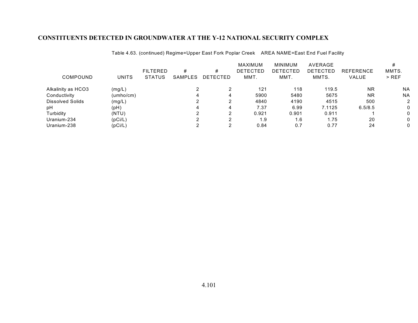| COMPOUND           | <b>UNITS</b> | <b>FILTERED</b><br><b>STATUS</b> | #<br><b>SAMPLES</b> | #<br><b>DETECTED</b> | <b>MAXIMUM</b><br><b>DETECTED</b><br>MMT. | <b>MINIMUM</b><br><b>DETECTED</b><br>MMT. | AVERAGE<br>DETECTED<br>MMTS. | <b>REFERENCE</b><br><b>VALUE</b> | MMTS.<br>$>$ REF |
|--------------------|--------------|----------------------------------|---------------------|----------------------|-------------------------------------------|-------------------------------------------|------------------------------|----------------------------------|------------------|
| Alkalinity as HCO3 | (mg/L)       |                                  |                     |                      | 121                                       | 118                                       | 119.5                        | <b>NR</b>                        | <b>NA</b>        |
| Conductivity       | (umho/cm)    |                                  |                     | 4                    | 5900                                      | 5480                                      | 5675                         | <b>NR</b>                        | <b>NA</b>        |
| Dissolved Solids   | (mg/L)       |                                  |                     |                      | 4840                                      | 4190                                      | 4515                         | 500                              |                  |
| pH                 | (pH)         |                                  |                     | 4                    | 7.37                                      | 6.99                                      | 7.1125                       | 6.5/8.5                          |                  |
| Turbidity          | (NTU)        |                                  |                     |                      | 0.921                                     | 0.901                                     | 0.911                        |                                  |                  |
| Uranium-234        | (pCi/L)      |                                  |                     | ົ                    | 1.9                                       | 1.6                                       | 1.75                         | 20                               |                  |
| Uranium-238        | (pCi/L)      |                                  | ⌒                   | ◠                    | 0.84                                      | 0.7                                       | 0.77                         | 24                               |                  |

Table 4.63. (continued) Regime=Upper East Fork Poplar Creek AREA NAME=East End Fuel Facility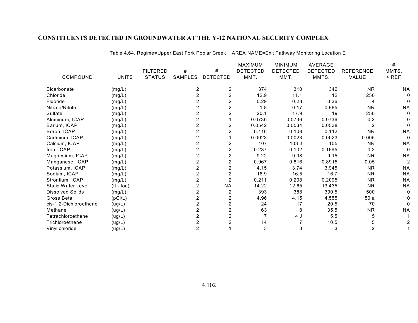| COMPOUND                | <b>UNITS</b> | <b>FILTERED</b><br><b>STATUS</b> | #<br>SAMPLES   | #<br><b>DETECTED</b> | <b>MAXIMUM</b><br><b>DETECTED</b><br>MMT. | <b>MINIMUM</b><br><b>DETECTED</b><br>MMT. | <b>AVERAGE</b><br><b>DETECTED</b><br>MMTS. | <b>REFERENCE</b><br>VALUE | #<br>MMTS.<br>$>$ REF |
|-------------------------|--------------|----------------------------------|----------------|----------------------|-------------------------------------------|-------------------------------------------|--------------------------------------------|---------------------------|-----------------------|
| Bicarbonate             | (mg/L)       |                                  | $\overline{2}$ | 2                    | 374                                       | 310                                       | 342                                        | <b>NR</b>                 | <b>NA</b>             |
| Chloride                | (mg/L)       |                                  |                | $\overline{2}$       | 12.9                                      | 11.1                                      | 12                                         | 250                       |                       |
| Fluoride                | (mg/L)       |                                  |                | 2                    | 0.29                                      | 0.23                                      | 0.26                                       | 4                         |                       |
| Nitrate/Nitrite         | (mg/L)       |                                  |                | 2                    | 1.8                                       | 0.17                                      | 0.985                                      | <b>NR</b>                 | <b>NA</b>             |
| Sulfate                 | (mg/L)       |                                  |                | $\overline{2}$       | 20.1                                      | 17.9                                      | 19                                         | 250                       |                       |
| Aluminum, ICAP          | (mg/L)       |                                  |                |                      | 0.0736                                    | 0.0736                                    | 0.0736                                     | 0.2                       |                       |
| Barium, ICAP            | (mg/L)       |                                  |                |                      | 0.0542                                    | 0.0534                                    | 0.0538                                     |                           |                       |
| Boron, ICAP             | (mg/L)       |                                  |                |                      | 0.116                                     | 0.108                                     | 0.112                                      | <b>NR</b>                 | <b>NA</b>             |
| Cadmium, ICAP           | (mg/L)       |                                  |                |                      | 0.0023                                    | 0.0023                                    | 0.0023                                     | 0.005                     |                       |
| Calcium, ICAP           | (mg/L)       |                                  |                | 2                    | 107                                       | 103J                                      | 105                                        | <b>NR</b>                 | <b>NA</b>             |
| Iron, ICAP              | (mg/L)       |                                  |                | 2                    | 0.237                                     | 0.102                                     | 0.1695                                     | 0.3                       |                       |
| Magnesium, ICAP         | (mg/L)       |                                  |                |                      | 9.22                                      | 9.08                                      | 9.15                                       | <b>NR</b>                 | <b>NA</b>             |
| Manganese, ICAP         | (mg/L)       |                                  |                | 2                    | 0.967                                     | 0.816                                     | 0.8915                                     | 0.05                      | 2                     |
| Potassium, ICAP         | (mg/L)       |                                  |                | 2                    | 4.15                                      | 3.74                                      | 3.945                                      | <b>NR</b>                 | <b>NA</b>             |
| Sodium, ICAP            | (mg/L)       |                                  |                | 2                    | 16.9                                      | 16.5                                      | 16.7                                       | <b>NR</b>                 | <b>NA</b>             |
| Strontium, ICAP         | (mg/L)       |                                  |                | $\overline{2}$       | 0.211                                     | 0.208                                     | 0.2095                                     | <b>NR</b>                 | <b>NA</b>             |
| Static Water Level      | $(ft - toc)$ |                                  |                | <b>NA</b>            | 14.22                                     | 12.65                                     | 13.435                                     | <b>NR</b>                 | <b>NA</b>             |
| <b>Dissolved Solids</b> | (mg/L)       |                                  |                | 2                    | 393                                       | 388                                       | 390.5                                      | 500                       |                       |
| Gross Beta              | (pCi/L)      |                                  |                | 2                    | 4.96                                      | 4.15                                      | 4.555                                      | 50a                       |                       |
| cis-1,2-Dichloroethene  | (ug/L)       |                                  |                | 2                    | 24                                        | 17                                        | 20.5                                       | 70                        |                       |
| Methane                 | (ug/L)       |                                  | 2              | 2                    | 63                                        | 8                                         | 35.5                                       | <b>NR</b>                 | <b>NA</b>             |
| Tetrachloroethene       | (ug/L)       |                                  |                |                      |                                           | 4 J                                       | 5.5                                        | 5                         |                       |
| Trichloroethene         | (ug/L)       |                                  |                |                      | 14                                        |                                           | 10.5                                       |                           |                       |
| Vinyl chloride          | (ug/L)       |                                  | $\overline{2}$ |                      | 3                                         | 3                                         | 3                                          | 2                         |                       |

Table 4.64. Regime=Upper East Fork Poplar Creek AREA NAME=Exit Pathway Monitoring Location E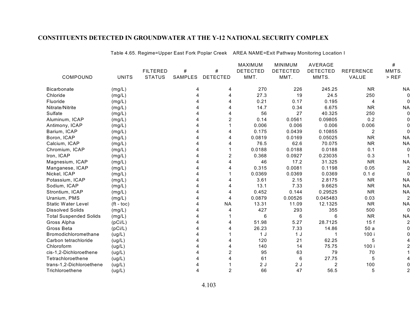|                               |                    |                 |                |                 | MAXIMUM         | <b>MINIMUM</b>  | <b>AVERAGE</b>  |                  | #         |
|-------------------------------|--------------------|-----------------|----------------|-----------------|-----------------|-----------------|-----------------|------------------|-----------|
|                               |                    | <b>FILTERED</b> | #              | #               | <b>DETECTED</b> | <b>DETECTED</b> | <b>DETECTED</b> | <b>REFERENCE</b> | MMTS.     |
| COMPOUND                      | <b>UNITS</b>       | <b>STATUS</b>   | <b>SAMPLES</b> | <b>DETECTED</b> | MMT.            | MMT.            | MMTS.           | VALUE            | $>$ REF   |
| <b>Bicarbonate</b>            | (mg/L)             |                 |                | 4               | 270             | 226             | 245.25          | <b>NR</b>        | <b>NA</b> |
| Chloride                      | (mg/L)             |                 |                | 4               | 27.3            | 19              | 24.5            | 250              |           |
| Fluoride                      | (mg/L)             |                 |                | 4               | 0.21            | 0.17            | 0.195           | 4                |           |
| Nitrate/Nitrite               | (mg/L)             |                 |                | 4               | 14.7            | 0.34            | 6.675           | <b>NR</b>        | <b>NA</b> |
| Sulfate                       | (mg/L)             |                 |                | 4               | 56              | 27              | 40.325          | 250              |           |
| Aluminum, ICAP                | (mg/L)             |                 |                | 2               | 0.14            | 0.0561          | 0.09805         | 0.2              |           |
| Antimony, ICAP                | (mg/L)             |                 |                |                 | 0.006           | 0.006           | 0.006           | 0.006            |           |
| Barium, ICAP                  | (mg/L)             |                 |                | 4               | 0.175           | 0.0439          | 0.10855         | $\overline{2}$   |           |
| Boron, ICAP                   | (mg/L)             |                 |                | 4               | 0.0819          | 0.0169          | 0.05025         | <b>NR</b>        | <b>NA</b> |
| Calcium, ICAP                 | (mg/L)             |                 |                | 4               | 76.5            | 62.6            | 70.075          | <b>NR</b>        | <b>NA</b> |
| Chromium, ICAP                | (mg/L)             |                 |                |                 | 0.0188          | 0.0188          | 0.0188          | 0.1              |           |
| Iron, ICAP                    | (mg/L)             |                 |                | 2               | 0.368           | 0.0927          | 0.23035         | 0.3              |           |
| Magnesium, ICAP               | (mg/L)             |                 |                | 4               | 46              | 17.2            | 31.325          | <b>NR</b>        | <b>NA</b> |
| Manganese, ICAP               | (mg/L)             |                 |                | 4               | 0.315           | 0.0081          | 0.1198          | 0.05             |           |
| Nickel, ICAP                  | (mg/L)             |                 |                |                 | 0.0369          | 0.0369          | 0.0369          | 0.1 <sub>d</sub> |           |
| Potassium, ICAP               | (mg/L)             |                 |                | 4               | 3.61            | 2.15            | 2.8175          | <b>NR</b>        | <b>NA</b> |
| Sodium, ICAP                  | (mg/L)             |                 |                |                 | 13.1            | 7.33            | 9.6625          | <b>NR</b>        | <b>NA</b> |
| Strontium, ICAP               | (mg/L)             |                 |                | 4               | 0.452           | 0.144           | 0.29525         | <b>NR</b>        | <b>NA</b> |
| Uranium, PMS                  | (mg/L)             |                 |                | 4               | 0.0879          | 0.00526         | 0.045483        | 0.03             | 2         |
| <b>Static Water Level</b>     | $(t - \text{toc})$ |                 |                | <b>NA</b>       | 13.31           | 11.09           | 12.1325         | <b>NR</b>        | <b>NA</b> |
| <b>Dissolved Solids</b>       | (mg/L)             |                 |                | 4               | 427             | 293             | 355             | 500              | 0         |
| <b>Total Suspended Solids</b> | (mg/L)             |                 |                |                 | 6               | 6               | 6               | <b>NR</b>        | <b>NA</b> |
| Gross Alpha                   | (pCi/L)            |                 |                | 4               | 51.98           | 5.27            | 28.7125         | 15f              |           |
| Gross Beta                    | (pCi/L)            |                 |                |                 | 26.23           | 7.33            | 14.86           | 50a              |           |
| Bromodichloromethane          | (ug/L)             |                 |                |                 | 1J              | 1 <sub>J</sub>  |                 | 100 i            |           |
| Carbon tetrachloride          | (ug/L)             |                 |                |                 | 120             | 21              | 62.25           | 5                |           |
| Chloroform                    | (ug/L)             |                 |                | 4               | 140             | 14              | 75.75           | 100 i            |           |
| cis-1,2-Dichloroethene        | (ug/L)             |                 |                | $\overline{2}$  | 95              | 63              | 79              | 70               |           |
| Tetrachloroethene             | (ug/L)             |                 |                | 4               | 61              | 6               | 27.75           | 5                |           |
| trans-1,2-Dichloroethene      | (ug/L)             |                 |                |                 | 2J              | 2J              | 2               | 100              |           |
| Trichloroethene               | (ug/L)             |                 |                | $\overline{2}$  | 66              | 47              | 56.5            | 5                |           |

Table 4.65. Regime=Upper East Fork Poplar Creek AREA NAME=Exit Pathway Monitoring Location I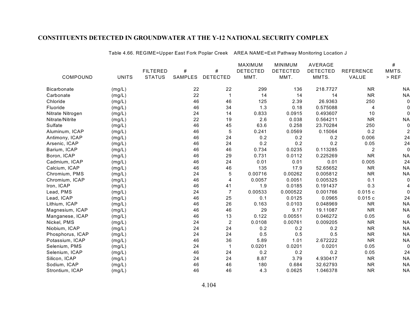|                    |              |                 |                |                 | <b>MAXIMUM</b>  | <b>MINIMUM</b>  | <b>AVERAGE</b>  |                  | $\#$        |
|--------------------|--------------|-----------------|----------------|-----------------|-----------------|-----------------|-----------------|------------------|-------------|
|                    |              | <b>FILTERED</b> | $\#$           | #               | <b>DETECTED</b> | <b>DETECTED</b> | <b>DETECTED</b> | <b>REFERENCE</b> | MMTS.       |
| COMPOUND           | <b>UNITS</b> | <b>STATUS</b>   | <b>SAMPLES</b> | <b>DETECTED</b> | MMT.            | MMT.            | MMTS.           | VALUE            | $>$ REF     |
| <b>Bicarbonate</b> | (mg/L)       |                 | 22             | 22              | 299             | 136             | 218.7727        | <b>NR</b>        | <b>NA</b>   |
| Carbonate          | (mg/L)       |                 | 22             | $\mathbf 1$     | 14              | 14              | 14              | <b>NR</b>        | <b>NA</b>   |
| Chloride           | (mg/L)       |                 | 46             | 46              | 125             | 2.39            | 26.9363         | 250              | 0           |
| Fluoride           | (mg/L)       |                 | 46             | 34              | 1.3             | 0.18            | 0.575088        | 4                | 0           |
| Nitrate Nitrogen   | (mg/L)       |                 | 24             | 14              | 0.833           | 0.0915          | 0.493607        | 10               | 0           |
| Nitrate/Nitrite    | (mg/L)       |                 | 22             | 19              | 2.6             | 0.038           | 0.564211        | <b>NR</b>        | <b>NA</b>   |
| Sulfate            | (mg/L)       |                 | 46             | 45              | 63.6            | 0.258           | 23.70284        | 250              | $\mathbf 0$ |
| Aluminum, ICAP     | (mg/L)       |                 | 46             | 5               | 0.241           | 0.0569          | 0.15064         | 0.2              | 2           |
| Antimony, ICAP     | (mg/L)       |                 | 46             | 24              | 0.2             | 0.2             | 0.2             | 0.006            | 24          |
| Arsenic, ICAP      | (mg/L)       |                 | 46             | 24              | 0.2             | 0.2             | 0.2             | 0.05             | 24          |
| Barium, ICAP       | (mg/L)       |                 | 46             | 46              | 0.734           | 0.0235          | 0.113285        | $\overline{2}$   | $\mathbf 0$ |
| Boron, ICAP        | (mg/L)       |                 | 46             | 29              | 0.731           | 0.0112          | 0.225269        | <b>NR</b>        | <b>NA</b>   |
| Cadmium, ICAP      | (mg/L)       |                 | 46             | 24              | 0.01            | 0.01            | 0.01            | 0.005            | 24          |
| Calcium, ICAP      | (mg/L)       |                 | 46             | 46              | 135             | 17.9            | 52.65652        | <b>NR</b>        | <b>NA</b>   |
| Chromium, PMS      | (mg/L)       |                 | 24             | 5               | 0.00716         | 0.00262         | 0.005812        | <b>NR</b>        | <b>NA</b>   |
| Chromium, ICAP     | (mg/L)       |                 | 46             | 4               | 0.0057          | 0.0051          | 0.005325        | 0.1              | 0           |
| Iron, ICAP         | (mg/L)       |                 | 46             | 41              | 1.9             | 0.0185          | 0.191437        | 0.3              |             |
| Lead, PMS          | (mg/L)       |                 | 24             | $\overline{7}$  | 0.00533         | 0.000522        | 0.001766        | 0.015c           | 0           |
| Lead, ICAP         | (mg/L)       |                 | 46             | 25              | 0.1             | 0.0125          | 0.0965          | 0.015c           | 24          |
| Lithium, ICAP      | (mg/L)       |                 | 46             | 26              | 0.163           | 0.0103          | 0.048969        | <b>NR</b>        | <b>NA</b>   |
| Magnesium, ICAP    | (mg/L)       |                 | 46             | 46              | 29              | 9.17            | 19.11087        | <b>NR</b>        | <b>NA</b>   |
| Manganese, ICAP    | (mg/L)       |                 | 46             | 13              | 0.122           | 0.00551         | 0.046272        | 0.05             | 6           |
| Nickel, PMS        | (mg/L)       |                 | 24             | $\overline{2}$  | 0.0108          | 0.00761         | 0.009205        | <b>NR</b>        | <b>NA</b>   |
| Niobium, ICAP      | (mg/L)       |                 | 24             | 24              | 0.2             | 0.2             | 0.2             | <b>NR</b>        | <b>NA</b>   |
| Phosphorus, ICAP   | (mg/L)       |                 | 24             | 24              | 0.5             | 0.5             | 0.5             | <b>NR</b>        | <b>NA</b>   |
| Potassium, ICAP    | (mg/L)       |                 | 46             | 36              | 5.89            | 1.01            | 2.672222        | <b>NR</b>        | <b>NA</b>   |
| Selenium, PMS      | (mg/L)       |                 | 24             | $\mathbf{1}$    | 0.0201          | 0.0201          | 0.0201          | 0.05             | $\Omega$    |
| Selenium, ICAP     | (mg/L)       |                 | 46             | 24              | 0.2             | 0.2             | 0.2             | 0.05             | 24          |
| Silicon, ICAP      | (mg/L)       |                 | 24             | 24              | 8.87            | 3.79            | 4.930417        | <b>NR</b>        | <b>NA</b>   |
| Sodium, ICAP       | (mg/L)       |                 | 46             | 46              | 180             | 0.684           | 32.62793        | <b>NR</b>        | <b>NA</b>   |
| Strontium, ICAP    | (mg/L)       |                 | 46             | 46              | 4.3             | 0.0625          | 1.046378        | <b>NR</b>        | <b>NA</b>   |

Table 4.66. REGIME=Upper East Fork Poplar Creek AREA NAME=Exit Pathway Monitoring Location J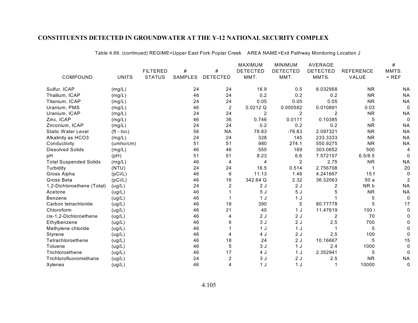|                               |                    |                 |         |                         | <b>MAXIMUM</b>  | <b>MINIMUM</b>  | <b>AVERAGE</b>  |                  | #         |
|-------------------------------|--------------------|-----------------|---------|-------------------------|-----------------|-----------------|-----------------|------------------|-----------|
|                               |                    | <b>FILTERED</b> | #       | #                       | <b>DETECTED</b> | <b>DETECTED</b> | <b>DETECTED</b> | <b>REFERENCE</b> | MMTS.     |
| COMPOUND                      | <b>UNITS</b>       | <b>STATUS</b>   | SAMPLES | <b>DETECTED</b>         | MMT.            | MMT.            | MMTS.           | VALUE            | $>$ REF   |
| Sulfur, ICAP                  | (mg/L)             |                 | 24      | 24                      | 18.9            | 0.5             | 8.032958        | <b>NR</b>        | <b>NA</b> |
| Thallium, ICAP                | (mg/L)             |                 | 46      | 24                      | 0.2             | 0.2             | 0.2             | <b>NR</b>        | <b>NA</b> |
| Titanium, ICAP                | (mg/L)             |                 | 24      | 24                      | 0.05            | 0.05            | 0.05            | <b>NR</b>        | <b>NA</b> |
| Uranium, PMS                  | (mg/L)             |                 | 46      | $\overline{c}$          | 0.0212Q         | 0.000582        | 0.010891        | 0.03             | 0         |
| Uranium, ICAP                 | (mg/L)             |                 | 24      | 24                      | $\overline{2}$  | $\overline{c}$  | 2               | <b>NR</b>        | <b>NA</b> |
| Zinc, ICAP                    | (mg/L)             |                 | 46      | 36                      | 0.746           | 0.0111          | 0.10385         | 5                | $\Omega$  |
| Zirconium, ICAP               | (mg/L)             |                 | 24      | 24                      | 0.2             | 0.2             | 0.2             | <b>NR</b>        | <b>NA</b> |
| <b>Static Water Level</b>     | $(t - \text{toc})$ |                 | 56      | <b>NA</b>               | 78.83           | $-78.83$        | 2.097321        | <b>NR</b>        | <b>NA</b> |
| Alkalinity as HCO3            | (mg/L)             |                 | 24      | 24                      | 328             | 145             | 233.3333        | <b>NR</b>        | <b>NA</b> |
| Conductivity                  | (umbo/cm)          |                 | 51      | 51                      | 980             | 274.1           | 550.9275        | <b>NR</b>        | <b>NA</b> |
| <b>Dissolved Solids</b>       | (mg/L)             |                 | 46      | 46                      | 555             | 169             | 303.0652        | 500              | 4         |
| рH                            | (pH)               |                 | 51      | 51                      | 8.23            | 6.6             | 7.572157        | 6.5/8.5          | 0         |
| <b>Total Suspended Solids</b> | (mg/L)             |                 | 46      | 4                       | 4               | $\overline{2}$  | 2.75            | <b>NR</b>        | <b>NA</b> |
| Turbidity                     | (NTU)              |                 | 24      | 24                      | 16.5            | 0.514           | 2.756708        |                  | 20        |
| Gross Alpha                   | (pCi/L)            |                 | 46      | 6                       | 11.13           | 1.46            | 4.241667        | 15f              |           |
| Gross Beta                    | (pCi/L)            |                 | 46      | 16                      | 342.64 Q        | 2.32            | 36.32063        | 50a              |           |
| 1,2-Dichloroethene (Total)    | (ug/L)             |                 | 24      | $\overline{2}$          | 2J              | 2J              | 2               | NR b             | <b>NA</b> |
| Acetone                       | (ug/L)             |                 | 46      |                         | 5J              | 5J              |                 | <b>NR</b>        | <b>NA</b> |
| Benzene                       | (ug/L)             |                 | 46      |                         | 1 <sub>J</sub>  | 1J              |                 | 5                | 0         |
| Carbon tetrachloride          | (ug/L)             |                 | 46      | 18                      | 390             | 5               | 80.77778        | 5                | 17        |
| Chloroform                    | (ug/L)             |                 | 46      | 21                      | 40              | 1 J             | 11.47619        | 100 i            |           |
| cis-1,2-Dichloroethene        | (ug/L)             |                 | 46      | 4                       | 2J              | 2J              | 2               | 70               |           |
| Ethylbenzene                  | (ug/L)             |                 | 46      | 6                       | 3J              | 2J              | 2.5             | 700              |           |
| Methylene chloride            | (ug/L)             |                 | 46      |                         | 1J              | 1 J             |                 | 5                |           |
| Styrene                       | (ug/L)             |                 | 46      | 4                       | 4 J             | 2J              | 2.5             | 100              |           |
| Tetrachloroethene             | (ug/L)             |                 | 46      | 18                      | 24              | 2J              | 10.16667        | 5                | 15        |
| Toluene                       | (ug/L)             |                 | 46      | 5                       | 3J              | 1 J             | 2.4             | 1000             | 0         |
| Trichloroethene               | (ug/L)             |                 | 46      | 17                      | 4 J             | 1 J             | 2.352941        | 5                |           |
| Trichlorofluoromethane        | (ug/L)             |                 | 24      | $\overline{\mathbf{c}}$ | 3J              | 2J              | 2.5             | <b>NR</b>        | <b>NA</b> |
| Xylenes                       | (ug/L)             |                 | 46      | 4                       | 1J              | 1 J             |                 | 10000            | 0         |

Table 4.66. (continued) REGIME=Upper East Fork Poplar Creek AREA NAME=Exit Pathway Monitoring Location J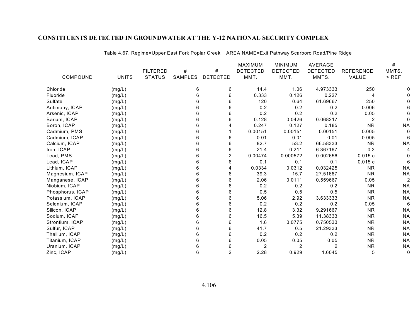|                  |              | <b>FILTERED</b> | #       | #               | MAXIMUM<br><b>DETECTED</b> | <b>MINIMUM</b><br><b>DETECTED</b> | <b>AVERAGE</b><br><b>DETECTED</b> | <b>REFERENCE</b> | #<br>MMTS.     |
|------------------|--------------|-----------------|---------|-----------------|----------------------------|-----------------------------------|-----------------------------------|------------------|----------------|
| COMPOUND         | <b>UNITS</b> | <b>STATUS</b>   | SAMPLES | <b>DETECTED</b> | MMT.                       | MMT.                              | MMTS.                             | VALUE            | $>$ REF        |
| Chloride         | (mg/L)       |                 | 6       | 6               | 14.4                       | 1.06                              | 4.973333                          | 250              |                |
| Fluoride         | (mg/L)       |                 | 6       | 6               | 0.333                      | 0.126                             | 0.227                             | 4                |                |
| Sulfate          | (mg/L)       |                 | 6       | 6               | 120                        | 0.64                              | 61.69667                          | 250              |                |
| Antimony, ICAP   | (mg/L)       |                 |         | 6               | 0.2                        | 0.2                               | 0.2                               | 0.006            |                |
| Arsenic, ICAP    | (mg/L)       |                 | 6       | 6               | 0.2                        | 0.2                               | 0.2                               | 0.05             |                |
| Barium, ICAP     | (mg/L)       |                 | 6       | 6               | 0.128                      | 0.0426                            | 0.068217                          | 2                |                |
| Boron, ICAP      | (mg/L)       |                 |         | 4               | 0.247                      | 0.127                             | 0.185                             | <b>NR</b>        | <b>NA</b>      |
| Cadmium, PMS     | (mg/L)       |                 | 6       |                 | 0.00151                    | 0.00151                           | 0.00151                           | 0.005            |                |
| Cadmium, ICAP    | (mg/L)       |                 | 6       | 6               | 0.01                       | 0.01                              | 0.01                              | 0.005            | 6              |
| Calcium, ICAP    | (mg/L)       |                 |         | 6               | 82.7                       | 53.2                              | 66.58333                          | <b>NR</b>        | <b>NA</b>      |
| Iron, ICAP       | (mg/L)       |                 | 6       | 6               | 21.4                       | 0.211                             | 6.367167                          | 0.3              |                |
| Lead, PMS        | (mg/L)       |                 | 6       | $\overline{2}$  | 0.00474                    | 0.000572                          | 0.002656                          | 0.015c           |                |
| Lead, ICAP       | (mg/L)       |                 |         | 6               | 0.1                        | 0.1                               | 0.1                               | 0.015c           |                |
| Lithium, ICAP    | (mg/L)       |                 | 6       | 4               | 0.0334                     | 0.0312                            | 0.032425                          | <b>NR</b>        | <b>NA</b>      |
| Magnesium, ICAP  | (mg/L)       |                 | 6       | 6               | 39.3                       | 15.7                              | 27.51667                          | <b>NR</b>        | <b>NA</b>      |
| Manganese, ICAP  | (mg/L)       |                 | 6       | 6               | 2.06                       | 0.0111                            | 0.559667                          | 0.05             | $\overline{a}$ |
| Niobium, ICAP    | (mg/L)       |                 | 6       | 6               | 0.2                        | 0.2                               | 0.2                               | <b>NR</b>        | <b>NA</b>      |
| Phosphorus, ICAP | (mg/L)       |                 | 6       | 6               | 0.5                        | 0.5                               | 0.5                               | <b>NR</b>        | <b>NA</b>      |
| Potassium, ICAP  | (mg/L)       |                 |         | 6               | 5.06                       | 2.92                              | 3.633333                          | <b>NR</b>        | <b>NA</b>      |
| Selenium, ICAP   | (mg/L)       |                 | 6       | 6               | 0.2                        | 0.2                               | 0.2                               | 0.05             | 6              |
| Silicon, ICAP    | (mg/L)       |                 | 6       | 6               | 12.8                       | 3.32                              | 9.291667                          | <b>NR</b>        | <b>NA</b>      |
| Sodium, ICAP     | (mg/L)       |                 | 6       | 6               | 16.5                       | 5.39                              | 11.38333                          | <b>NR</b>        | <b>NA</b>      |
| Strontium, ICAP  | (mg/L)       |                 | 6       | 6               | 1.6                        | 0.0775                            | 0.750533                          | <b>NR</b>        | <b>NA</b>      |
| Sulfur, ICAP     | (mg/L)       |                 | 6       | 6               | 41.7                       | 0.5                               | 21.29333                          | <b>NR</b>        | <b>NA</b>      |
| Thallium, ICAP   | (mg/L)       |                 | 6       | 6               | 0.2                        | 0.2                               | 0.2                               | <b>NR</b>        | <b>NA</b>      |
| Titanium, ICAP   | (mg/L)       |                 | 6       | 6               | 0.05                       | 0.05                              | 0.05                              | <b>NR</b>        | <b>NA</b>      |
| Uranium, ICAP    | (mg/L)       |                 | 6       | 6               | $\overline{2}$             | 2                                 |                                   | <b>NR</b>        | <b>NA</b>      |
| Zinc, ICAP       | (mg/L)       |                 | 6       | $\overline{2}$  | 2.28                       | 0.929                             | 1.6045                            | 5                | 0              |

Table 4.67. Regime=Upper East Fork Poplar Creek AREA NAME=Exit Pathway Scarboro Road/Pine Ridge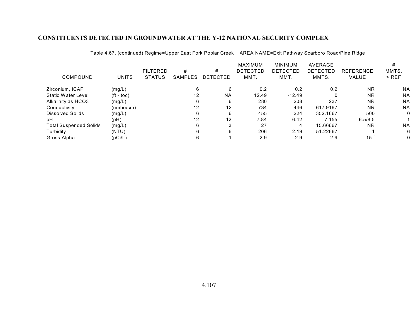|                               |                       | <b>FILTERED</b> | #                 | #               | <b>MAXIMUM</b><br><b>DETECTED</b> | <b>MINIMUM</b><br><b>DETECTED</b> | <b>AVERAGE</b><br>DETECTED | <b>REFERENCE</b> | MMTS.     |
|-------------------------------|-----------------------|-----------------|-------------------|-----------------|-----------------------------------|-----------------------------------|----------------------------|------------------|-----------|
| <b>COMPOUND</b>               | <b>UNITS</b>          | <b>STATUS</b>   | SAMPLES           | <b>DETECTED</b> | MMT.                              | MMT.                              | MMTS.                      | VALUE            | $>$ REF   |
| Zirconium, ICAP               | (mg/L)                |                 |                   | 6               | 0.2                               | 0.2                               | 0.2                        | <b>NR</b>        | <b>NA</b> |
| Static Water Level            | $({\rm ft -}$ toc $)$ |                 | 12                | <b>NA</b>       | 12.49                             | $-12.49$                          |                            | <b>NR</b>        | <b>NA</b> |
| Alkalinity as HCO3            | (mg/L)                |                 |                   | 6               | 280                               | 208                               | 237                        | <b>NR</b>        | <b>NA</b> |
| Conductivity                  | (umho/cm)             |                 | $12 \overline{ }$ | 12              | 734                               | 446                               | 617.9167                   | <b>NR</b>        | <b>NA</b> |
| Dissolved Solids              | (mg/L)                |                 |                   | 6               | 455                               | 224                               | 352.1667                   | 500              | 0         |
| pН                            | (pH)                  |                 | 12                | 12              | 7.84                              | 6.42                              | 7.155                      | 6.5/8.5          |           |
| <b>Total Suspended Solids</b> | (mg/L)                |                 |                   |                 | 27                                | 4                                 | 15.66667                   | <b>NR</b>        | <b>NA</b> |
| Turbidity                     | (NTU)                 |                 |                   | 6               | 206                               | 2.19                              | 51.22667                   |                  | 6         |
| Gross Alpha                   | (pCi/L)               |                 |                   |                 | 2.9                               | 2.9                               | 2.9                        | 15f              | 0         |

Table 4.67. (continued) Regime=Upper East Fork Poplar Creek AREA NAME=Exit Pathway Scarboro Road/Pine Ridge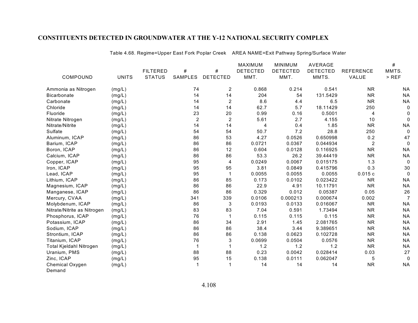|                             |              |                 |                |                  | MAXIMUM         | <b>MINIMUM</b>  | AVERAGE         |                  | $\#$           |
|-----------------------------|--------------|-----------------|----------------|------------------|-----------------|-----------------|-----------------|------------------|----------------|
|                             |              | <b>FILTERED</b> | #              | $\#$             | <b>DETECTED</b> | <b>DETECTED</b> | <b>DETECTED</b> | <b>REFERENCE</b> | MMTS.          |
| COMPOUND                    | <b>UNITS</b> | <b>STATUS</b>   | <b>SAMPLES</b> | <b>DETECTED</b>  | MMT.            | MMT.            | MMTS.           | VALUE            | $>$ REF        |
| Ammonia as Nitrogen         | (mg/L)       |                 | 74             | $\overline{2}$   | 0.868           | 0.214           | 0.541           | <b>NR</b>        | <b>NA</b>      |
| <b>Bicarbonate</b>          | (mg/L)       |                 | 14             | 14               | 204             | 54              | 131.5429        | <b>NR</b>        | <b>NA</b>      |
| Carbonate                   | (mg/L)       |                 | 14             | $\overline{c}$   | 8.6             | 4.4             | 6.5             | <b>NR</b>        | <b>NA</b>      |
| Chloride                    | (mg/L)       |                 | 14             | 14               | 62.7            | 5.7             | 18.11429        | 250              | 0              |
| Fluoride                    | (mg/L)       |                 | 23             | 20               | 0.99            | 0.16            | 0.5001          | 4                | 0              |
| Nitrate Nitrogen            | (mg/L)       |                 | $\overline{c}$ | $\boldsymbol{2}$ | 5.61            | 2.7             | 4.155           | 10               | $\mathbf 0$    |
| Nitrate/Nitrite             | (mg/L)       |                 | 14             | 14               | 4               | 0.4             | 1.85            | <b>NR</b>        | <b>NA</b>      |
| Sulfate                     | (mg/L)       |                 | 54             | 54               | 50.7            | 7.2             | 28.8            | 250              | $\mathbf 0$    |
| Aluminum, ICAP              | (mg/L)       |                 | 86             | 53               | 4.27            | 0.0526          | 0.650998        | 0.2              | 47             |
| Barium, ICAP                | (mg/L)       |                 | 86             | 86               | 0.0721          | 0.0367          | 0.044934        | $\overline{2}$   | 0              |
| Boron, ICAP                 | (mg/L)       |                 | 86             | 12               | 0.604           | 0.0128          | 0.116925        | <b>NR</b>        | <b>NA</b>      |
| Calcium, ICAP               | (mg/L)       |                 | 86             | 86               | 53.3            | 26.2            | 39.44419        | <b>NR</b>        | <b>NA</b>      |
| Copper, ICAP                | (mg/L)       |                 | 95             | 4                | 0.0249          | 0.0067          | 0.015175        | 1.3              | 0              |
| Iron, ICAP                  | (mg/L)       |                 | 95             | 95               | 3.81            | 0.0849          | 0.415796        | 0.3              | 30             |
| Lead, ICAP                  | (mg/L)       |                 | 95             |                  | 0.0055          | 0.0055          | 0.0055          | 0.015c           | $\mathbf 0$    |
| Lithium, ICAP               | (mg/L)       |                 | 86             | 85               | 0.173           | 0.0102          | 0.023422        | <b>NR</b>        | <b>NA</b>      |
| Magnesium, ICAP             | (mg/L)       |                 | 86             | 86               | 22.9            | 4.91            | 10.11791        | <b>NR</b>        | <b>NA</b>      |
| Manganese, ICAP             | (mg/L)       |                 | 86             | 86               | 0.329           | 0.012           | 0.05387         | 0.05             | 26             |
| Mercury, CVAA               | (mg/L)       |                 | 341            | 339              | 0.0106          | 0.000213        | 0.000674        | 0.002            | $\overline{7}$ |
| Molybdenum, ICAP            | (mg/L)       |                 | 86             | 3                | 0.0193          | 0.0133          | 0.016067        | <b>NR</b>        | <b>NA</b>      |
| Nitrate/Nitrite as Nitrogen | (mg/L)       |                 | 83             | 83               | 7.04            | 0.591           | 1.73494         | <b>NR</b>        | <b>NA</b>      |
| Phosphorus, ICAP            | (mg/L)       |                 | 76             |                  | 0.115           | 0.115           | 0.115           | <b>NR</b>        | <b>NA</b>      |
| Potassium, ICAP             | (mg/L)       |                 | 86             | 34               | 2.91            | 1.45            | 2.081765        | <b>NR</b>        | <b>NA</b>      |
| Sodium, ICAP                | (mg/L)       |                 | 86             | 86               | 38.4            | 3.44            | 9.389651        | <b>NR</b>        | <b>NA</b>      |
| Strontium, ICAP             | (mg/L)       |                 | 86             | 86               | 0.138           | 0.0623          | 0.102728        | <b>NR</b>        | <b>NA</b>      |
| Titanium, ICAP              | (mg/L)       |                 | 76             | 3                | 0.0699          | 0.0504          | 0.0576          | <b>NR</b>        | <b>NA</b>      |
| Total Kjeldahl Nitrogen     | (mg/L)       |                 | 1              |                  | 1.2             | 1.2             | 1.2             | <b>NR</b>        | <b>NA</b>      |
| Uranium, PMS                | (mg/L)       |                 | 88             | 88               | 0.23            | 0.0042          | 0.028414        | 0.03             | 27             |
| Zinc, ICAP                  | (mg/L)       |                 | 95             | 15               | 0.138           | 0.0111          | 0.062047        | 5                | 0              |
| Chemical Oxygen             | (mg/L)       |                 | 1              |                  | 14              | 14              | 14              | <b>NR</b>        | <b>NA</b>      |
| Demand                      |              |                 |                |                  |                 |                 |                 |                  |                |

Table 4.68. Regime=Upper East Fork Poplar Creek AREA NAME=Exit Pathway Spring/Surface Water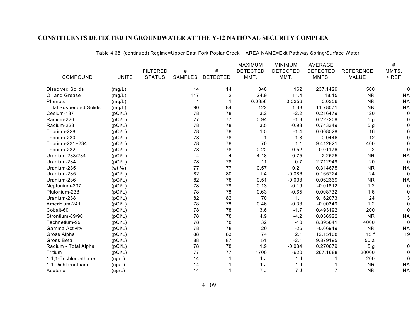|                               |              |                 |         |                  | <b>MAXIMUM</b>  | <b>MINIMUM</b>  | <b>AVERAGE</b>  |                  | $\#$      |
|-------------------------------|--------------|-----------------|---------|------------------|-----------------|-----------------|-----------------|------------------|-----------|
|                               |              | <b>FILTERED</b> | #       | #                | <b>DETECTED</b> | <b>DETECTED</b> | <b>DETECTED</b> | <b>REFERENCE</b> | MMTS.     |
| COMPOUND                      | <b>UNITS</b> | <b>STATUS</b>   | SAMPLES | <b>DETECTED</b>  | MMT.            | MMT.            | MMTS.           | VALUE            | $>$ REF   |
| <b>Dissolved Solids</b>       | (mg/L)       |                 | 14      | 14               | 340             | 162             | 237.1429        | 500              | 0         |
| Oil and Grease                | (mg/L)       |                 | 117     | $\boldsymbol{2}$ | 24.9            | 11.4            | 18.15           | <b>NR</b>        | <b>NA</b> |
| Phenols                       | (mg/L)       |                 | 1       |                  | 0.0356          | 0.0356          | 0.0356          | <b>NR</b>        | <b>NA</b> |
| <b>Total Suspended Solids</b> | (mg/L)       |                 | 90      | 84               | 122             | 1.33            | 11.78071        | <b>NR</b>        | <b>NA</b> |
| Cesium-137                    | (pCi/L)      |                 | 78      | 78               | 3.2             | $-2.2$          | 0.216479        | 120              | 0         |
| Radium-226                    | (pCi/L)      |                 | 77      | 77               | 0.94            | $-1.3$          | 0.227208        | 5 <sub>g</sub>   | 0         |
| Radium-228                    | (pCi/L)      |                 | 78      | 78               | 3.5             | $-0.93$         | 0.743349        | 5 <sub>g</sub>   |           |
| Thorium-228                   | (pCi/L)      |                 | 78      | 78               | 1.5             | $-1.4$          | 0.008528        | 16               |           |
| Thorium-230                   | (pCi/L)      |                 | 78      | 78               |                 | $-1.8$          | $-0.0446$       | 12               |           |
| Thorium-231+234               | (pCi/L)      |                 | 78      | 78               | 70              | 1.1             | 9.412821        | 400              |           |
| Thorium-232                   | (pCi/L)      |                 | 78      | 78               | 0.22            | $-0.52$         | $-0.01176$      | $\overline{2}$   |           |
| Uranium-233/234               | (pCi/L)      |                 | 4       | 4                | 4.18            | 0.75            | 2.2575          | <b>NR</b>        | <b>NA</b> |
| Uranium-234                   | (pCi/L)      |                 | 78      | 78               | 11              | 0.7             | 2.712949        | 20               | 0         |
| Uranium-235                   | (wt %)       |                 | 77      | 77               | 0.57            | 0.21            | 0.314675        | <b>NR</b>        | <b>NA</b> |
| Uranium-235                   | (pCi/L)      |                 | 82      | 80               | 1.4             | $-0.086$        | 0.165724        | 24               | 0         |
| Uranium-236                   | (pCi/L)      |                 | 82      | 78               | 0.51            | $-0.038$        | 0.062369        | <b>NR</b>        | <b>NA</b> |
| Neptunium-237                 | (pCi/L)      |                 | 78      | 78               | 0.13            | $-0.19$         | $-0.01812$      | 1.2              | 0         |
| Plutonium-238                 | (pCi/L)      |                 | 78      | 78               | 0.63            | $-0.65$         | 0.008732        | 1.6              |           |
| Uranium-238                   | (pCi/L)      |                 | 82      | 82               | 70              | 1.1             | 9.162073        | 24               |           |
| Americium-241                 | (pCi/L)      |                 | 78      | 78               | 0.46            | $-0.38$         | $-0.00346$      | 1.2              | O         |
| Cobalt-60                     | (pCi/L)      |                 | 78      | 78               | 3.6             | $-1.7$          | 0.493192        | 200              | 0         |
| Strontium-89/90               | (pCi/L)      |                 | 78      | 78               | 4.9             | $-4.2$          | 0.036922        | <b>NR</b>        | <b>NA</b> |
| Technetium-99                 | (pCi/L)      |                 | 78      | 78               | 32              | $-10$           | 8.395641        | 4000             | 0         |
| Gamma Activity                | (pCi/L)      |                 | 78      | 78               | 20              | $-26$           | $-0.66949$      | <b>NR</b>        | <b>NA</b> |
| Gross Alpha                   | (pCi/L)      |                 | 88      | 83               | 74              | 2.1             | 12.15108        | 15f              | 19        |
| Gross Beta                    | (pCi/L)      |                 | 88      | 87               | 51              | $-2.1$          | 9.879195        | 50a              |           |
| Radium - Total Alpha          | (pCi/L)      |                 | 78      | 78               | 1.9             | $-0.034$        | 0.270679        | 5 <sub>g</sub>   | 0         |
| Tritium                       | (pCi/L)      |                 | 77      | 77               | 1700            | $-620$          | 267.1688        | 20000            |           |
| 1,1,1-Trichloroethane         | (ug/L)       |                 | 14      |                  | 1J              | 1 <sub>J</sub>  |                 | 200              | 0         |
| 1,1-Dichloroethane            | (ug/L)       |                 | 14      |                  | 1 <sub>J</sub>  | 1 <sub>J</sub>  |                 | <b>NR</b>        | <b>NA</b> |
| Acetone                       | (ug/L)       |                 | 14      |                  | 7J              | 7J              | 7               | <b>NR</b>        | <b>NA</b> |

Table 4.68. (continued) Regime=Upper East Fork Poplar Creek AREA NAME=Exit Pathway Spring/Surface Water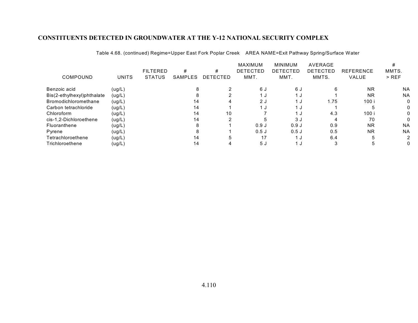|                            |              | <b>FILTERED</b> | #              | #        | <b>MAXIMUM</b><br><b>DETECTED</b> | <b>MINIMUM</b><br>DETECTED | AVERAGE<br><b>DETECTED</b> | <b>REFERENCE</b> | MMTS.     |
|----------------------------|--------------|-----------------|----------------|----------|-----------------------------------|----------------------------|----------------------------|------------------|-----------|
| COMPOUND                   | <b>UNITS</b> | <b>STATUS</b>   | <b>SAMPLES</b> | DETECTED | MMT.                              | MMT.                       | MMTS.                      | <b>VALUE</b>     | $>$ REF   |
| Benzoic acid               | (ug/L)       |                 |                |          | 6 J                               | 6 J                        | 6                          | <b>NR</b>        | <b>NA</b> |
| Bis(2-ethylhexyl)phthalate | (ug/L)       |                 |                |          | ں 1                               | 1 J                        |                            | <b>NR</b>        | <b>NA</b> |
| Bromodichloromethane       | (ug/L)       |                 | 14             |          | 2J                                | 1 J                        | 1.75                       | 100 i            |           |
| Carbon tetrachloride       | (ug/L)       |                 | 14             |          | ن 1                               | 1 J                        |                            |                  |           |
| Chloroform                 | (ug/L)       |                 | 14             | 10       |                                   | 1 J                        | 4.3                        | 100 i            |           |
| cis-1.2-Dichloroethene     | (ug/L)       |                 | 14             |          |                                   | 3 J                        |                            | 70               |           |
| Fluoranthene               | (ug/L)       |                 |                |          | 0.9J                              | 0.9J                       | 0.9                        | <b>NR</b>        | <b>NA</b> |
| Pyrene                     | (ug/L)       |                 |                |          | 0.5J                              | 0.5J                       | 0.5                        | <b>NR</b>        | <b>NA</b> |
| Tetrachloroethene          | (ug/L)       |                 | 14             |          | 17                                | 1 ม                        | 6.4                        |                  | 2         |
| Trichloroethene            | (ug/L)       |                 | 14             |          | 5 J                               | 1 J                        |                            |                  |           |

Table 4.68. (continued) Regime=Upper East Fork Poplar Creek AREA NAME=Exit Pathway Spring/Surface Water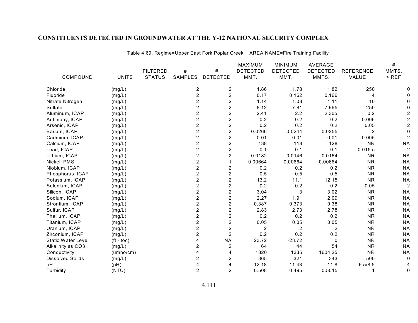|                           |              |                 |                |                         | MAXIMUM         | <b>MINIMUM</b>  | AVERAGE         |                  | #              |
|---------------------------|--------------|-----------------|----------------|-------------------------|-----------------|-----------------|-----------------|------------------|----------------|
|                           |              | <b>FILTERED</b> | #              | #                       | <b>DETECTED</b> | <b>DETECTED</b> | <b>DETECTED</b> | <b>REFERENCE</b> | MMTS.          |
| COMPOUND                  | <b>UNITS</b> | <b>STATUS</b>   | <b>SAMPLES</b> | <b>DETECTED</b>         | MMT.            | MMT.            | MMTS.           | VALUE            | $>$ REF        |
| Chloride                  | (mg/L)       |                 | 2              | $\overline{c}$          | 1.86            | 1.78            | 1.82            | 250              |                |
| Fluoride                  | (mg/L)       |                 | $\overline{c}$ | $\overline{2}$          | 0.17            | 0.162           | 0.166           | 4                |                |
| Nitrate Nitrogen          | (mg/L)       |                 | $\overline{2}$ | $\overline{c}$          | 1.14            | 1.08            | 1.11            | 10               |                |
| Sulfate                   | (mg/L)       |                 | 2              | $\overline{c}$          | 8.12            | 7.81            | 7.965           | 250              |                |
| Aluminum, ICAP            | (mg/L)       |                 | 2              | $\overline{c}$          | 2.41            | 2.2             | 2.305           | 0.2              |                |
| Antimony, ICAP            | (mg/L)       |                 | $\overline{c}$ | $\boldsymbol{2}$        | 0.2             | 0.2             | 0.2             | 0.006            |                |
| Arsenic, ICAP             | (mg/L)       |                 | 2              | $\boldsymbol{2}$        | 0.2             | 0.2             | 0.2             | 0.05             |                |
| Barium, ICAP              | (mg/L)       |                 | $\overline{2}$ | $\boldsymbol{2}$        | 0.0266          | 0.0244          | 0.0255          | $\overline{2}$   |                |
| Cadmium, ICAP             | (mg/L)       |                 | $\overline{2}$ | $\overline{2}$          | 0.01            | 0.01            | 0.01            | 0.005            |                |
| Calcium, ICAP             | (mg/L)       |                 | $\overline{2}$ | $\overline{c}$          | 138             | 118             | 128             | <b>NR</b>        | <b>NA</b>      |
| Lead, ICAP                | (mg/L)       |                 | $\overline{c}$ | $\overline{c}$          | 0.1             | 0.1             | 0.1             | 0.015c           | $\overline{a}$ |
| Lithium, ICAP             | (mg/L)       |                 | $\overline{c}$ | $\overline{c}$          | 0.0182          | 0.0146          | 0.0164          | <b>NR</b>        | <b>NA</b>      |
| Nickel, PMS               | (mg/L)       |                 | 2              |                         | 0.00664         | 0.00664         | 0.00664         | <b>NR</b>        | <b>NA</b>      |
| Niobium, ICAP             | (mg/L)       |                 | $\overline{c}$ | $\boldsymbol{2}$        | 0.2             | 0.2             | 0.2             | <b>NR</b>        | <b>NA</b>      |
| Phosphorus, ICAP          | (mg/L)       |                 | $\overline{c}$ | $\overline{2}$          | 0.5             | 0.5             | 0.5             | <b>NR</b>        | <b>NA</b>      |
| Potassium, ICAP           | (mg/L)       |                 | $\overline{2}$ | $\overline{2}$          | 13.2            | 11.1            | 12.15           | <b>NR</b>        | <b>NA</b>      |
| Selenium, ICAP            | (mg/L)       |                 | 2              | $\boldsymbol{2}$        | 0.2             | 0.2             | 0.2             | 0.05             | 2              |
| Silicon, ICAP             | (mg/L)       |                 | $\overline{c}$ | $\overline{c}$          | 3.04            | 3               | 3.02            | <b>NR</b>        | <b>NA</b>      |
| Sodium, ICAP              | (mg/L)       |                 | $\overline{c}$ | $\overline{c}$          | 2.27            | 1.91            | 2.09            | <b>NR</b>        | <b>NA</b>      |
| Strontium, ICAP           | (mg/L)       |                 | $\overline{c}$ | $\overline{c}$          | 0.387           | 0.373           | 0.38            | <b>NR</b>        | <b>NA</b>      |
| Sulfur, ICAP              | (mg/L)       |                 | $\overline{c}$ | $\overline{c}$          | 2.83            | 2.73            | 2.78            | <b>NR</b>        | <b>NA</b>      |
| Thallium, ICAP            | (mg/L)       |                 | 2              | $\overline{2}$          | 0.2             | 0.2             | 0.2             | <b>NR</b>        | <b>NA</b>      |
| Titanium, ICAP            | (mg/L)       |                 | $\overline{2}$ | $\overline{c}$          | 0.05            | 0.05            | 0.05            | <b>NR</b>        | <b>NA</b>      |
| Uranium, ICAP             | (mg/L)       |                 | 2              | $\overline{c}$          | $\overline{2}$  | $\overline{2}$  | $\overline{2}$  | <b>NR</b>        | <b>NA</b>      |
| Zirconium, ICAP           | (mg/L)       |                 | 2              | $\overline{2}$          | 0.2             | 0.2             | 0.2             | <b>NR</b>        | <b>NA</b>      |
| <b>Static Water Level</b> | $(ft - toc)$ |                 | 4              | <b>NA</b>               | 23.72           | $-23.72$        | $\Omega$        | <b>NR</b>        | <b>NA</b>      |
| Alkalinity as CO3         | (mg/L)       |                 | 2              | $\overline{\mathbf{c}}$ | 64              | 44              | 54              | <b>NR</b>        | <b>NA</b>      |
| Conductivity              | (umbo/cm)    |                 | 4              | 4                       | 1820            | 1335            | 1604.25         | <b>NR</b>        | <b>NA</b>      |
| <b>Dissolved Solids</b>   | (mg/L)       |                 | 2              | $\overline{2}$          | 365             | 321             | 343             | 500              | 0              |
| pH                        | (pH)         |                 | 4              | 4                       | 12.18           | 11.43           | 11.8            | 6.5/8.5          |                |
| Turbidity                 | (NTU)        |                 | $\overline{2}$ | $\overline{2}$          | 0.508           | 0.495           | 0.5015          |                  | 0              |
|                           |              |                 |                |                         |                 |                 |                 |                  |                |

Table 4.69. Regime=Upper East Fork Poplar Creek AREA NAME=Fire Training Facility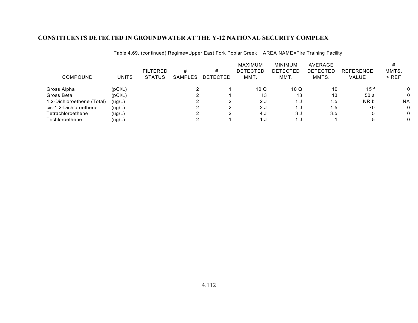| <b>COMPOUND</b>            | <b>UNITS</b> | <b>FILTERED</b><br><b>STATUS</b> | #<br><b>SAMPLES</b> | #<br>DETECTED | MAXIMUM<br><b>DETECTED</b><br>MMT. | MINIMUM<br><b>DETECTED</b><br>MMT. | AVERAGE<br>DETECTED<br>MMTS. | <b>REFERENCE</b><br>VALUE | MMTS.<br>$>$ REF |
|----------------------------|--------------|----------------------------------|---------------------|---------------|------------------------------------|------------------------------------|------------------------------|---------------------------|------------------|
|                            |              |                                  |                     |               |                                    |                                    |                              |                           |                  |
| Gross Alpha                | (pCi/L)      |                                  |                     |               | 10Q                                | 10 Q                               | 10                           | 15f                       |                  |
| Gross Beta                 | (pCi/L)      |                                  |                     |               | 13                                 | 13                                 | 13                           | 50 a                      |                  |
| 1,2-Dichloroethene (Total) | (ug/L)       |                                  |                     |               | 2 J                                | J.                                 | 1.5                          | NR b                      | <b>NA</b>        |
| cis-1,2-Dichloroethene     | (ug/L)       |                                  |                     |               | 2J                                 | ل.                                 | 1.5                          | 70                        |                  |
| Tetrachloroethene          | (ug/L)       |                                  |                     |               | 4 J                                | 3 J                                | 3.5                          | b                         |                  |
| Trichloroethene            | (ug/L)       |                                  |                     |               |                                    |                                    |                              |                           |                  |

Table 4.69. (continued) Regime=Upper East Fork Poplar Creek AREA NAME=Fire Training Facility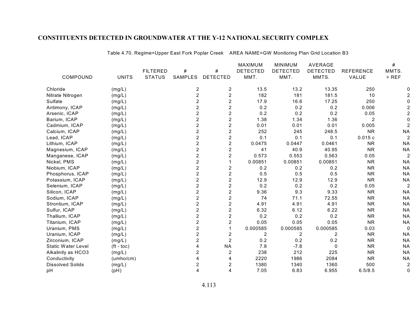|                           |              |                 |                |                  | MAXIMUM         | <b>MINIMUM</b>  | AVERAGE         |                  | #              |
|---------------------------|--------------|-----------------|----------------|------------------|-----------------|-----------------|-----------------|------------------|----------------|
|                           |              | <b>FILTERED</b> | #              | #                | <b>DETECTED</b> | <b>DETECTED</b> | <b>DETECTED</b> | <b>REFERENCE</b> | MMTS.          |
| COMPOUND                  | <b>UNITS</b> | <b>STATUS</b>   | <b>SAMPLES</b> | <b>DETECTED</b>  | MMT.            | MMT.            | MMTS.           | VALUE            | $>$ REF        |
| Chloride                  | (mg/L)       |                 | 2              | 2                | 13.5            | 13.2            | 13.35           | 250              |                |
| Nitrate Nitrogen          | (mg/L)       |                 | $\overline{2}$ | $\boldsymbol{2}$ | 182             | 181             | 181.5           | 10               |                |
| Sulfate                   | (mg/L)       |                 | $\overline{2}$ | $\overline{c}$   | 17.9            | 16.6            | 17.25           | 250              |                |
| Antimony, ICAP            | (mg/L)       |                 | 2              | $\overline{c}$   | 0.2             | 0.2             | 0.2             | 0.006            |                |
| Arsenic, ICAP             | (mg/L)       |                 | 2              | $\overline{c}$   | 0.2             | 0.2             | 0.2             | 0.05             |                |
| Barium, ICAP              | (mg/L)       |                 | $\overline{2}$ | $\overline{c}$   | 1.38            | 1.34            | 1.36            | $\overline{2}$   |                |
| Cadmium, ICAP             | (mg/L)       |                 | $\overline{c}$ | $\overline{2}$   | 0.01            | 0.01            | 0.01            | 0.005            |                |
| Calcium, ICAP             | (mg/L)       |                 | $\overline{2}$ | $\overline{c}$   | 252             | 245             | 248.5           | <b>NR</b>        | <b>NA</b>      |
| Lead, ICAP                | (mg/L)       |                 | $\overline{2}$ | $\overline{c}$   | 0.1             | 0.1             | 0.1             | 0.015c           | $\overline{a}$ |
| Lithium, ICAP             | (mg/L)       |                 | $\overline{c}$ | $\overline{c}$   | 0.0475          | 0.0447          | 0.0461          | <b>NR</b>        | <b>NA</b>      |
| Magnesium, ICAP           | (mg/L)       |                 | $\overline{c}$ | $\overline{c}$   | 41              | 40.9            | 40.95           | <b>NR</b>        | <b>NA</b>      |
| Manganese, ICAP           | (mg/L)       |                 | 2              | $\boldsymbol{2}$ | 0.573           | 0.553           | 0.563           | 0.05             |                |
| Nickel, PMS               | (mg/L)       |                 | 2              | 1                | 0.00851         | 0.00851         | 0.00851         | <b>NR</b>        | <b>NA</b>      |
| Niobium, ICAP             | (mg/L)       |                 | $\overline{2}$ | $\overline{c}$   | 0.2             | 0.2             | 0.2             | <b>NR</b>        | <b>NA</b>      |
| Phosphorus, ICAP          | (mg/L)       |                 | 2              | $\overline{c}$   | 0.5             | 0.5             | 0.5             | <b>NR</b>        | <b>NA</b>      |
| Potassium, ICAP           | (mg/L)       |                 | $\overline{2}$ | $\overline{c}$   | 12.9            | 12.9            | 12.9            | <b>NR</b>        | <b>NA</b>      |
| Selenium, ICAP            | (mg/L)       |                 | $\overline{c}$ | $\overline{c}$   | 0.2             | 0.2             | 0.2             | 0.05             | $\overline{a}$ |
| Silicon, ICAP             | (mg/L)       |                 | $\overline{c}$ | $\boldsymbol{2}$ | 9.36            | 9.3             | 9.33            | <b>NR</b>        | <b>NA</b>      |
| Sodium, ICAP              | (mg/L)       |                 | $\overline{2}$ | $\overline{c}$   | 74              | 71.1            | 72.55           | <b>NR</b>        | <b>NA</b>      |
| Strontium, ICAP           | (mg/L)       |                 | $\overline{2}$ | $\overline{c}$   | 4.91            | 4.91            | 4.91            | <b>NR</b>        | <b>NA</b>      |
| Sulfur, ICAP              | (mg/L)       |                 | $\overline{2}$ | $\overline{2}$   | 6.32            | 6.12            | 6.22            | <b>NR</b>        | <b>NA</b>      |
| Thallium, ICAP            | (mg/L)       |                 | 2              | $\overline{c}$   | 0.2             | 0.2             | 0.2             | <b>NR</b>        | <b>NA</b>      |
| Titanium, ICAP            | (mg/L)       |                 | $\overline{c}$ | $\overline{c}$   | 0.05            | 0.05            | 0.05            | <b>NR</b>        | <b>NA</b>      |
| Uranium, PMS              | (mg/L)       |                 | $\overline{c}$ | 1                | 0.000585        | 0.000585        | 0.000585        | 0.03             | 0              |
| Uranium, ICAP             | (mg/L)       |                 | 2              | $\overline{c}$   | 2               | $\overline{c}$  | 2               | <b>NR</b>        | <b>NA</b>      |
| Zirconium, ICAP           | (mg/L)       |                 | $\overline{c}$ | $\overline{2}$   | 0.2             | 0.2             | 0.2             | <b>NR</b>        | <b>NA</b>      |
| <b>Static Water Level</b> | $(ft - toc)$ |                 | 4              | <b>NA</b>        | 7.8             | $-7.8$          | $\mathbf 0$     | <b>NR</b>        | <b>NA</b>      |
| Alkalinity as HCO3        | (mg/L)       |                 | $\overline{2}$ | $\overline{c}$   | 238             | 212             | 225             | <b>NR</b>        | <b>NA</b>      |
| Conductivity              | (umbo/cm)    |                 | 4              | 4                | 2220            | 1986            | 2084            | <b>NR</b>        | <b>NA</b>      |
| <b>Dissolved Solids</b>   | (mg/L)       |                 | $\overline{2}$ | $\overline{c}$   | 1380            | 1340            | 1360            | 500              | $\overline{c}$ |
| pH                        | (pH)         |                 | 4              | 4                | 7.05            | 6.83            | 6.955           | 6.5/8.5          | 0              |

Table 4.70. Regime=Upper East Fork Poplar Creek AREA NAME=GW Monitoring Plan Grid Location B3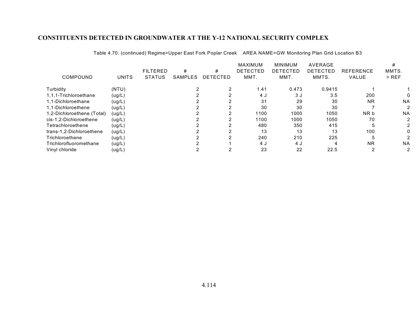|                            |              |                 |         |                 | <b>MAXIMUM</b>  | <b>MINIMUM</b> | AVERAGE         |                  | #         |
|----------------------------|--------------|-----------------|---------|-----------------|-----------------|----------------|-----------------|------------------|-----------|
|                            |              | <b>FILTERED</b> | #       | #               | <b>DETECTED</b> | DETECTED       | <b>DETECTED</b> | <b>REFERENCE</b> | MMTS.     |
| COMPOUND                   | <b>UNITS</b> | <b>STATUS</b>   | SAMPLES | <b>DETECTED</b> | MMT.            | MMT.           | MMTS.           | <b>VALUE</b>     | $>$ REF   |
| Turbidity                  | (NTU)        |                 |         |                 | 1.41            | 0.473          | 0.9415          |                  |           |
| 1,1,1-Trichloroethane      | (ug/L)       |                 |         |                 | 4 J             | 3 J            | 3.5             | 200              |           |
| 1.1-Dichloroethane         | (ug/L)       |                 |         |                 | 31              | 29             | 30              | <b>NR</b>        | <b>NA</b> |
| 1,1-Dichloroethene         | (ug/L)       |                 |         |                 | 30              | 30             | 30              |                  |           |
| 1,2-Dichloroethene (Total) | (ug/L)       |                 |         |                 | 1100            | 1000           | 1050            | NR b             | <b>NA</b> |
| cis-1.2-Dichloroethene     | (ug/L)       |                 |         |                 | 1100            | 1000           | 1050            | 70               |           |
| Tetrachloroethene          | (ug/L)       |                 |         |                 | 480             | 350            | 415             |                  |           |
| trans-1.2-Dichloroethene   | (ug/L)       |                 |         |                 | 13              | 13             | 13              | 100              |           |
| Trichloroethene            | (ug/L)       |                 |         |                 | 240             | 210            | 225             |                  |           |
| Trichlorofluoromethane     | (ug/L)       |                 |         |                 | 4 J             | 4 J            |                 | <b>NR</b>        | <b>NA</b> |
| Vinyl chloride             | (ug/L)       |                 |         |                 | 23              | 22             | 22.5            |                  |           |

Table 4.70. (continued) Regime=Upper East Fork Poplar Creek AREA NAME=GW Monitoring Plan Grid Location B3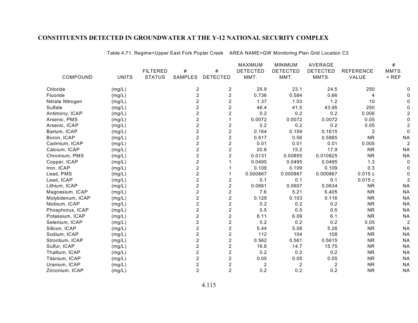|                  |              |                 |                |                         | <b>MAXIMUM</b>  | <b>MINIMUM</b>  | AVERAGE         |                  | #              |
|------------------|--------------|-----------------|----------------|-------------------------|-----------------|-----------------|-----------------|------------------|----------------|
|                  |              | <b>FILTERED</b> | #              | #                       | <b>DETECTED</b> | <b>DETECTED</b> | <b>DETECTED</b> | <b>REFERENCE</b> | MMTS.          |
| COMPOUND         | <b>UNITS</b> | <b>STATUS</b>   | SAMPLES        | <b>DETECTED</b>         | MMT.            | MMT.            | MMTS.           | VALUE            | $>$ REF        |
| Chloride         | (mg/L)       |                 | 2              | $\overline{2}$          | 25.9            | 23.1            | 24.5            | 250              |                |
| Fluoride         | (mg/L)       |                 | $\overline{2}$ | $\overline{2}$          | 0.736           | 0.584           | 0.66            | 4                |                |
| Nitrate Nitrogen | (mg/L)       |                 | 2              | $\overline{c}$          | 1.37            | 1.03            | 1.2             | 10               |                |
| Sulfate          | (mg/L)       |                 | $\overline{2}$ | $\overline{c}$          | 46.4            | 41.5            | 43.95           | 250              |                |
| Antimony, ICAP   | (mg/L)       |                 | $\overline{c}$ | $\overline{c}$          | 0.2             | 0.2             | 0.2             | 0.006            |                |
| Arsenic, PMS     | (mg/L)       |                 | $\overline{c}$ |                         | 0.0072          | 0.0072          | 0.0072          | 0.05             |                |
| Arsenic, ICAP    | (mg/L)       |                 | $\overline{2}$ | $\overline{c}$          | 0.2             | 0.2             | 0.2             | 0.05             |                |
| Barium, ICAP     | (mg/L)       |                 | $\overline{c}$ | $\overline{c}$          | 0.164           | 0.159           | 0.1615          | 2                | 0              |
| Boron, ICAP      | (mg/L)       |                 | $\overline{2}$ | $\overline{2}$          | 0.617           | 0.56            | 0.5885          | <b>NR</b>        | <b>NA</b>      |
| Cadmium, ICAP    | (mg/L)       |                 | $\overline{c}$ | $\overline{c}$          | 0.01            | 0.01            | 0.01            | 0.005            | $\overline{2}$ |
| Calcium, ICAP    | (mg/L)       |                 | $\overline{c}$ | $\overline{c}$          | 20.6            | 15.2            | 17.9            | <b>NR</b>        | <b>NA</b>      |
| Chromium, PMS    | (mg/L)       |                 | 2              | $\overline{c}$          | 0.0131          | 0.00855         | 0.010825        | <b>NR</b>        | <b>NA</b>      |
| Copper, ICAP     | (mg/L)       |                 | $\overline{c}$ |                         | 0.0495          | 0.0495          | 0.0495          | 1.3              | 0              |
| Iron, ICAP       | (mg/L)       |                 | 2              |                         | 0.109           | 0.109           | 0.109           | 0.3              |                |
| Lead, PMS        | (mg/L)       |                 | 2              |                         | 0.000867        | 0.000867        | 0.000867        | 0.015c           | ŋ              |
| Lead, ICAP       | (mg/L)       |                 | $\overline{c}$ | $\overline{\mathbf{c}}$ | 0.1             | 0.1             | 0.1             | 0.015c           |                |
| Lithium, ICAP    | (mg/L)       |                 | $\overline{c}$ | $\boldsymbol{2}$        | 0.0661          | 0.0607          | 0.0634          | <b>NR</b>        | <b>NA</b>      |
| Magnesium, ICAP  | (mg/L)       |                 | $\overline{c}$ | $\boldsymbol{2}$        | 7.6             | 5.21            | 6.405           | <b>NR</b>        | <b>NA</b>      |
| Molybdenum, ICAP | (mg/L)       |                 | $\overline{c}$ | $\boldsymbol{2}$        | 0.129           | 0.103           | 0.116           | <b>NR</b>        | <b>NA</b>      |
| Niobium, ICAP    | (mg/L)       |                 | $\overline{2}$ | $\overline{2}$          | 0.2             | 0.2             | 0.2             | <b>NR</b>        | <b>NA</b>      |
| Phosphorus, ICAP | (mg/L)       |                 | $\overline{2}$ | $\overline{2}$          | 0.5             | 0.5             | 0.5             | <b>NR</b>        | <b>NA</b>      |
| Potassium, ICAP  | (mg/L)       |                 | 2              | $\boldsymbol{2}$        | 6.11            | 6.09            | 6.1             | <b>NR</b>        | <b>NA</b>      |
| Selenium, ICAP   | (mg/L)       |                 | $\overline{c}$ | $\overline{c}$          | 0.2             | 0.2             | 0.2             | 0.05             | $\overline{c}$ |
| Silicon, ICAP    | (mg/L)       |                 | $\overline{c}$ | $\overline{c}$          | 5.44            | 5.08            | 5.26            | <b>NR</b>        | <b>NA</b>      |
| Sodium, ICAP     | (mg/L)       |                 | $\overline{c}$ | $\boldsymbol{2}$        | 112             | 104             | 108             | <b>NR</b>        | <b>NA</b>      |
| Strontium, ICAP  | (mg/L)       |                 | $\overline{2}$ | $\overline{2}$          | 0.562           | 0.561           | 0.5615          | <b>NR</b>        | <b>NA</b>      |
| Sulfur, ICAP     | (mg/L)       |                 | 2              | $\overline{2}$          | 16.8            | 14.7            | 15.75           | <b>NR</b>        | <b>NA</b>      |
| Thallium, ICAP   | (mg/L)       |                 | 2              | $\boldsymbol{2}$        | 0.2             | 0.2             | 0.2             | <b>NR</b>        | <b>NA</b>      |
| Titanium, ICAP   | (mg/L)       |                 | $\overline{c}$ | $\overline{c}$          | 0.05            | 0.05            | 0.05            | <b>NR</b>        | <b>NA</b>      |
| Uranium, ICAP    | (mg/L)       |                 | $\overline{c}$ | $\overline{\mathbf{c}}$ | 2               | $\overline{c}$  | $\overline{c}$  | <b>NR</b>        | <b>NA</b>      |
| Zirconium, ICAP  | (mg/L)       |                 | $\overline{2}$ | $\overline{2}$          | 0.2             | 0.2             | 0.2             | <b>NR</b>        | <b>NA</b>      |

Table 4.71. Regime=Upper East Fork Poplar Creek AREA NAME=GW Monitoring Plan Grid Location C3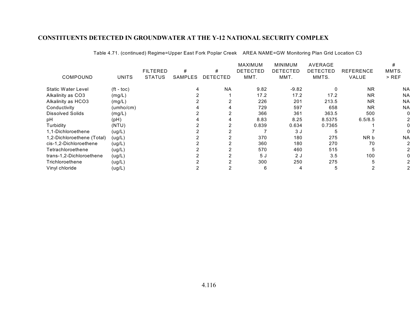|                            |                    |                 |         |                 | <b>MAXIMUM</b>  | <b>MINIMUM</b>  | <b>AVERAGE</b>  |                  | #         |
|----------------------------|--------------------|-----------------|---------|-----------------|-----------------|-----------------|-----------------|------------------|-----------|
|                            |                    | <b>FILTERED</b> | #       | #               | <b>DETECTED</b> | <b>DETECTED</b> | <b>DETECTED</b> | <b>REFERENCE</b> | MMTS.     |
| COMPOUND                   | <b>UNITS</b>       | <b>STATUS</b>   | SAMPLES | <b>DETECTED</b> | MMT.            | MMT.            | MMTS.           | VALUE            | $>$ REF   |
| Static Water Level         | $({\rm ft - toc})$ |                 | 4       | <b>NA</b>       | 9.82            | $-9.82$         |                 | <b>NR</b>        | <b>NA</b> |
| Alkalinity as CO3          | (mg/L)             |                 |         |                 | 17.2            | 17.2            | 17.2            | <b>NR</b>        | <b>NA</b> |
| Alkalinity as HCO3         | (mg/L)             |                 |         |                 | 226             | 201             | 213.5           | <b>NR</b>        | <b>NA</b> |
| Conductivity               | (umbo/cm)          |                 |         |                 | 729             | 597             | 658             | <b>NR</b>        | <b>NA</b> |
| Dissolved Solids           | (mg/L)             |                 |         |                 | 366             | 361             | 363.5           | 500              |           |
| pН                         | (Hq)               |                 |         |                 | 8.83            | 8.25            | 8.5375          | 6.5/8.5          |           |
| Turbidity                  | (NTU)              |                 |         |                 | 0.839           | 0.634           | 0.7365          |                  |           |
| 1,1-Dichloroethene         | (ug/L)             |                 |         |                 |                 | 3 J             |                 |                  |           |
| 1,2-Dichloroethene (Total) | (ug/L)             |                 |         |                 | 370             | 180             | 275             | NR b             | <b>NA</b> |
| cis-1,2-Dichloroethene     | (ug/L)             |                 |         |                 | 360             | 180             | 270             | 70               |           |
| Tetrachloroethene          | (ug/L)             |                 |         |                 | 570             | 460             | 515             |                  |           |
| trans-1,2-Dichloroethene   | (ug/L)             |                 |         |                 | 5 J             | 2 J             | 3.5             | 100              |           |
| Trichloroethene            | (ug/L)             |                 |         |                 | 300             | 250             | 275             |                  |           |
| Vinyl chloride             | (ug/L)             |                 |         |                 | 6               | 4               | 5               |                  |           |
|                            |                    |                 |         |                 |                 |                 |                 |                  |           |

Table 4.71. (continued) Regime=Upper East Fork Poplar Creek AREA NAME=GW Monitoring Plan Grid Location C3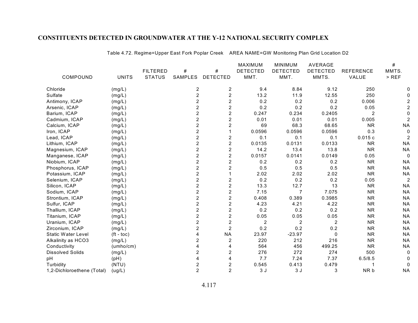|                            |              |                 |                |                         | MAXIMUM         | <b>MINIMUM</b>  | AVERAGE         |                  | #              |
|----------------------------|--------------|-----------------|----------------|-------------------------|-----------------|-----------------|-----------------|------------------|----------------|
|                            |              | <b>FILTERED</b> | #              | #                       | <b>DETECTED</b> | <b>DETECTED</b> | <b>DETECTED</b> | <b>REFERENCE</b> | MMTS.          |
| COMPOUND                   | <b>UNITS</b> | <b>STATUS</b>   | SAMPLES        | <b>DETECTED</b>         | MMT.            | MMT.            | MMTS.           | VALUE            | $>$ REF        |
| Chloride                   | (mg/L)       |                 | $\overline{c}$ | $\overline{2}$          | 9.4             | 8.84            | 9.12            | 250              |                |
| Sulfate                    | (mg/L)       |                 | $\overline{c}$ | $\overline{c}$          | 13.2            | 11.9            | 12.55           | 250              |                |
| Antimony, ICAP             | (mg/L)       |                 | $\overline{2}$ | $\overline{c}$          | 0.2             | 0.2             | 0.2             | 0.006            |                |
| Arsenic, ICAP              | (mg/L)       |                 | $\overline{2}$ | $\boldsymbol{2}$        | 0.2             | 0.2             | 0.2             | 0.05             |                |
| Barium, ICAP               | (mg/L)       |                 | $\overline{c}$ | $\overline{c}$          | 0.247           | 0.234           | 0.2405          | 2                |                |
| Cadmium, ICAP              | (mg/L)       |                 | $\overline{c}$ | $\overline{c}$          | 0.01            | 0.01            | 0.01            | 0.005            | 2              |
| Calcium, ICAP              | (mg/L)       |                 | $\overline{c}$ | $\overline{c}$          | 69              | 68.3            | 68.65           | <b>NR</b>        | <b>NA</b>      |
| Iron, ICAP                 | (mg/L)       |                 | $\overline{2}$ |                         | 0.0596          | 0.0596          | 0.0596          | 0.3              | 0              |
| Lead, ICAP                 | (mg/L)       |                 | $\overline{2}$ | $\overline{c}$          | 0.1             | 0.1             | 0.1             | 0.015c           | 2              |
| Lithium, ICAP              | (mg/L)       |                 | $\overline{c}$ | $\overline{c}$          | 0.0135          | 0.0131          | 0.0133          | <b>NR</b>        | <b>NA</b>      |
| Magnesium, ICAP            | (mg/L)       |                 | $\overline{c}$ | $\overline{\mathbf{c}}$ | 14.2            | 13.4            | 13.8            | <b>NR</b>        | <b>NA</b>      |
| Manganese, ICAP            | (mg/L)       |                 | $\overline{c}$ | $\boldsymbol{2}$        | 0.0157          | 0.0141          | 0.0149          | 0.05             | 0              |
| Niobium, ICAP              | (mg/L)       |                 | $\overline{c}$ | $\overline{c}$          | 0.2             | 0.2             | 0.2             | <b>NR</b>        | <b>NA</b>      |
| Phosphorus, ICAP           | (mg/L)       |                 | $\overline{c}$ | $\overline{c}$          | 0.5             | 0.5             | 0.5             | <b>NR</b>        | <b>NA</b>      |
| Potassium, ICAP            | (mg/L)       |                 | $\overline{2}$ |                         | 2.02            | 2.02            | 2.02            | <b>NR</b>        | <b>NA</b>      |
| Selenium, ICAP             | (mg/L)       |                 | $\overline{2}$ | $\overline{c}$          | 0.2             | 0.2             | 0.2             | 0.05             | $\overline{2}$ |
| Silicon, ICAP              | (mg/L)       |                 | $\overline{2}$ | $\overline{c}$          | 13.3            | 12.7            | 13              | <b>NR</b>        | <b>NA</b>      |
| Sodium, ICAP               | (mg/L)       |                 | $\overline{c}$ | $\boldsymbol{2}$        | 7.15            | 7               | 7.075           | <b>NR</b>        | <b>NA</b>      |
| Strontium, ICAP            | (mg/L)       |                 | $\overline{c}$ | $\overline{c}$          | 0.408           | 0.389           | 0.3985          | <b>NR</b>        | <b>NA</b>      |
| Sulfur, ICAP               | (mg/L)       |                 | $\overline{c}$ | $\overline{c}$          | 4.23            | 4.21            | 4.22            | <b>NR</b>        | <b>NA</b>      |
| Thallium, ICAP             | (mg/L)       |                 | $\overline{c}$ | $\overline{c}$          | 0.2             | 0.2             | 0.2             | <b>NR</b>        | <b>NA</b>      |
| Titanium, ICAP             | (mg/L)       |                 | $\overline{2}$ | $\overline{c}$          | 0.05            | 0.05            | 0.05            | <b>NR</b>        | <b>NA</b>      |
| Uranium, ICAP              | (mg/L)       |                 | $\overline{2}$ | $\overline{c}$          | $\overline{2}$  | $\overline{2}$  | $\overline{2}$  | <b>NR</b>        | <b>NA</b>      |
| Zirconium, ICAP            | (mg/L)       |                 | $\overline{2}$ | $\overline{2}$          | 0.2             | 0.2             | 0.2             | <b>NR</b>        | <b>NA</b>      |
| <b>Static Water Level</b>  | $(ft - toc)$ |                 |                | <b>NA</b>               | 23.97           | $-23.97$        | $\mathbf{0}$    | <b>NR</b>        | <b>NA</b>      |
| Alkalinity as HCO3         | (mg/L)       |                 | 2              | $\overline{2}$          | 220             | 212             | 216             | <b>NR</b>        | <b>NA</b>      |
| Conductivity               | (umbo/cm)    |                 |                | 4                       | 564             | 456             | 499.25          | <b>NR</b>        | <b>NA</b>      |
| <b>Dissolved Solids</b>    | (mg/L)       |                 | $\overline{2}$ | $\overline{2}$          | 276             | 272             | 274             | 500              | 0              |
| pH                         | (pH)         |                 | 4              | 4                       | 7.7             | 7.24            | 7.37            | 6.5/8.5          | $\Omega$       |
| Turbidity                  | (NTU)        |                 | 2              | $\overline{c}$          | 0.545           | 0.413           | 0.479           |                  | 0              |
| 1,2-Dichloroethene (Total) | (ug/L)       |                 | $\overline{2}$ | $\overline{2}$          | 3J              | 3J              | 3               | NR b             | <b>NA</b>      |

Table 4.72. Regime=Upper East Fork Poplar Creek AREA NAME=GW Monitoring Plan Grid Location D2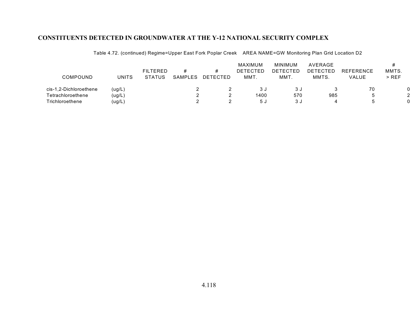Table 4.72. (continued) Regime=Upper East Fork Poplar Creek AREA NAME=GW Monitoring Plan Grid Location D2

|                        |        | <b>FILTERED</b> |         |          | MAXIMUM<br>DETECTED | <b>MINIMUM</b><br>DETECTED | AVERAGE<br>DETECTED | <b>REFERENCE</b> | MMTS. |
|------------------------|--------|-----------------|---------|----------|---------------------|----------------------------|---------------------|------------------|-------|
| <b>COMPOUND</b>        | UNITS  | <b>STATUS</b>   | SAMPLES | DETECTED | MMT.                | MMT.                       | MMTS.               | VALUE            | > REF |
| cis-1,2-Dichloroethene | (ug/L) |                 |         |          | 3 J                 | 3 J                        |                     | 70               | 0     |
| Tetrachloroethene      | (ug/L) |                 |         |          | 1400                | 570                        | 985                 |                  | 2     |
| Trichloroethene        | (ug/L) |                 |         |          | 5 J                 | 3 J                        |                     |                  |       |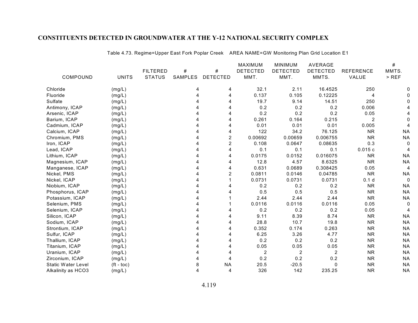|                           |                     |                 |         |                 | <b>MAXIMUM</b>  | <b>MINIMUM</b>   | AVERAGE         |                  | #         |
|---------------------------|---------------------|-----------------|---------|-----------------|-----------------|------------------|-----------------|------------------|-----------|
|                           |                     | <b>FILTERED</b> | #       | #               | <b>DETECTED</b> | <b>DETECTED</b>  | <b>DETECTED</b> | <b>REFERENCE</b> | MMTS.     |
| COMPOUND                  | <b>UNITS</b>        | <b>STATUS</b>   | SAMPLES | <b>DETECTED</b> | MMT.            | MMT.             | MMTS.           | VALUE            | $>$ REF   |
| Chloride                  | (mg/L)              |                 | 4       | 4               | 32.1            | 2.11             | 16.4525         | 250              |           |
| Fluoride                  | (mg/L)              |                 | 4       | 4               | 0.137           | 0.105            | 0.12225         | 4                |           |
| Sulfate                   | (mg/L)              |                 | 4       | 4               | 19.7            | 9.14             | 14.51           | 250              |           |
| Antimony, ICAP            | (mg/L)              |                 |         |                 | 0.2             | 0.2              | 0.2             | 0.006            |           |
| Arsenic, ICAP             | (mg/L)              |                 |         |                 | 0.2             | 0.2              | 0.2             | 0.05             |           |
| Barium, ICAP              | (mg/L)              |                 |         |                 | 0.261           | 0.164            | 0.215           | 2                |           |
| Cadmium, ICAP             | (mg/L)              |                 |         | 4               | 0.01            | 0.01             | 0.01            | 0.005            |           |
| Calcium, ICAP             | (mg/L)              |                 |         | 4               | 122             | 34.2             | 76.125          | <b>NR</b>        | <b>NA</b> |
| Chromium, PMS             | (mg/L)              |                 |         | 2               | 0.00692         | 0.00659          | 0.006755        | <b>NR</b>        | <b>NA</b> |
| Iron, ICAP                | (mg/L)              |                 | 4       | $\overline{c}$  | 0.108           | 0.0647           | 0.08635         | 0.3              |           |
| Lead, ICAP                | (mg/L)              |                 |         | 4               | 0.1             | 0.1              | 0.1             | 0.015c           |           |
| Lithium, ICAP             | (mg/L)              |                 |         | 4               | 0.0175          | 0.0152           | 0.016075        | <b>NR</b>        | <b>NA</b> |
| Magnesium, ICAP           | (mg/L)              |                 |         | 4               | 12.8            | 4.57             | 8.6325          | <b>NR</b>        | <b>NA</b> |
| Manganese, ICAP           | (mg/L)              |                 |         | 4               | 0.631           | 0.0689           | 0.308425        | 0.05             | 4         |
| Nickel, PMS               | (mg/L)              |                 |         | 2               | 0.0811          | 0.0146           | 0.04785         | <b>NR</b>        | <b>NA</b> |
| Nickel, ICAP              | (mg/L)              |                 |         |                 | 0.0731          | 0.0731           | 0.0731          | 0.1 <sub>d</sub> |           |
| Niobium, ICAP             | (mg/L)              |                 |         |                 | 0.2             | 0.2              | 0.2             | <b>NR</b>        | <b>NA</b> |
| Phosphorus, ICAP          | (mg/L)              |                 |         |                 | 0.5             | 0.5              | 0.5             | <b>NR</b>        | <b>NA</b> |
| Potassium, ICAP           | (mg/L)              |                 |         |                 | 2.44            | 2.44             | 2.44            | <b>NR</b>        | <b>NA</b> |
| Selenium, PMS             | (mg/L)              |                 |         |                 | 0.0116          | 0.0116           | 0.0116          | 0.05             |           |
| Selenium, ICAP            | (mg/L)              |                 |         |                 | 0.2             | 0.2              | 0.2             | 0.05             |           |
| Silicon, ICAP             | (mg/L)              |                 |         | 4               | 9.11            | 8.39             | 8.74            | <b>NR</b>        | <b>NA</b> |
| Sodium, ICAP              | (mg/L)              |                 | Δ       | 4               | 28.8            | 10.7             | 19.8            | <b>NR</b>        | <b>NA</b> |
| Strontium, ICAP           | (mg/L)              |                 |         | 4               | 0.352           | 0.174            | 0.263           | <b>NR</b>        | <b>NA</b> |
| Sulfur, ICAP              | (mg/L)              |                 |         |                 | 6.25            | 3.26             | 4.77            | <b>NR</b>        | <b>NA</b> |
| Thallium, ICAP            | (mg/L)              |                 |         |                 | 0.2             | 0.2              | 0.2             | <b>NR</b>        | <b>NA</b> |
| Titanium, ICAP            | (mg/L)              |                 |         |                 | 0.05            | 0.05             | 0.05            | <b>NR</b>        | <b>NA</b> |
| Uranium, ICAP             | (mg/L)              |                 |         | 4               | 2               | $\boldsymbol{2}$ | $\overline{2}$  | <b>NR</b>        | <b>NA</b> |
| Zirconium, ICAP           | (mg/L)              |                 |         | 4               | 0.2             | 0.2              | 0.2             | <b>NR</b>        | <b>NA</b> |
| <b>Static Water Level</b> | $({\rm ft -} to c)$ |                 | 8       | <b>NA</b>       | 20.5            | $-20.5$          | 0               | <b>NR</b>        | <b>NA</b> |
| Alkalinity as HCO3        | (mg/L)              |                 | 4       | 4               | 326             | 142              | 235.25          | <b>NR</b>        | <b>NA</b> |
|                           |                     |                 |         |                 |                 |                  |                 |                  |           |

Table 4.73. Regime=Upper East Fork Poplar Creek AREA NAME=GW Monitoring Plan Grid Location E1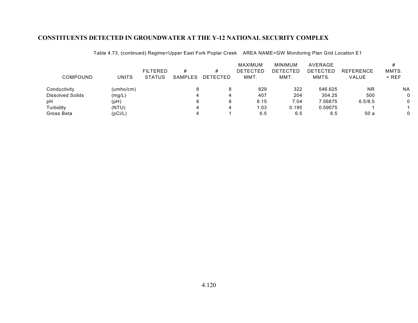Table 4.73. (continued) Regime=Upper East Fork Poplar Creek AREA NAME=GW Monitoring Plan Grid Location E1

|                         |           |                 |         |          | MAXIMUM         | MINIMUM  | AVERAGE         |                  |           |
|-------------------------|-----------|-----------------|---------|----------|-----------------|----------|-----------------|------------------|-----------|
|                         |           | <b>FILTERED</b> | #       | #        | <b>DETECTED</b> | DETECTED | <b>DETECTED</b> | <b>REFERENCE</b> | MMTS.     |
| COMPOUND                | UNITS     | <b>STATUS</b>   | SAMPLES | DETECTED | MMT.            | MMT.     | MMTS.           | VALUE            | $>$ REF   |
| Conductivity            | (umbo/cm) |                 |         | 8        | 829             | 322      | 546.625         | <b>NR</b>        | <b>NA</b> |
| <b>Dissolved Solids</b> | (mg/L)    |                 |         | 4        | 407             | 204      | 304.25          | 500              |           |
| рH                      | (pH)      |                 |         | 8        | 8.15            | 7.04     | 7.56875         | 6.5/8.5          |           |
| Turbidity               | (NTU)     |                 |         | 4        | 1.03            | 0.195    | 0.59075         |                  |           |
| Gross Beta              | (pCi/L)   |                 |         |          | 6.5             | 6.5      | 6.5             | 50 a             |           |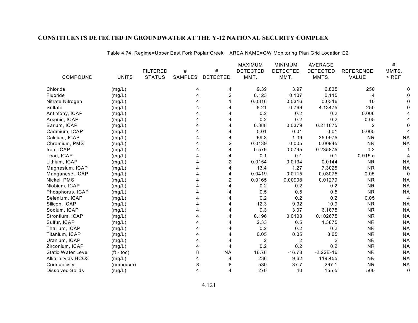|                           |              |                 |         |                 | <b>MAXIMUM</b>  | <b>MINIMUM</b>  | <b>AVERAGE</b>  |                  | #         |
|---------------------------|--------------|-----------------|---------|-----------------|-----------------|-----------------|-----------------|------------------|-----------|
|                           |              | <b>FILTERED</b> | #       | #               | <b>DETECTED</b> | <b>DETECTED</b> | <b>DETECTED</b> | <b>REFERENCE</b> | MMTS.     |
| COMPOUND                  | <b>UNITS</b> | <b>STATUS</b>   | SAMPLES | <b>DETECTED</b> | MMT.            | MMT.            | MMTS.           | VALUE            | $>$ REF   |
| Chloride                  | (mg/L)       |                 | 4       | 4               | 9.39            | 3.97            | 6.835           | 250              |           |
| Fluoride                  | (mg/L)       |                 | Δ       | 2               | 0.123           | 0.107           | 0.115           | 4                |           |
| Nitrate Nitrogen          | (mg/L)       |                 |         |                 | 0.0316          | 0.0316          | 0.0316          | 10               |           |
| Sulfate                   | (mg/L)       |                 |         |                 | 8.21            | 0.769           | 4.13475         | 250              |           |
| Antimony, ICAP            | (mg/L)       |                 |         |                 | 0.2             | 0.2             | 0.2             | 0.006            |           |
| Arsenic, ICAP             | (mg/L)       |                 |         |                 | 0.2             | 0.2             | 0.2             | 0.05             |           |
| Barium, ICAP              | (mg/L)       |                 |         |                 | 0.388           | 0.0379          | 0.211675        | 2                |           |
| Cadmium, ICAP             | (mg/L)       |                 |         |                 | 0.01            | 0.01            | 0.01            | 0.005            |           |
| Calcium, ICAP             | (mg/L)       |                 |         |                 | 69.3            | 1.39            | 35.0975         | <b>NR</b>        | <b>NA</b> |
| Chromium, PMS             | (mg/L)       |                 |         | 2               | 0.0139          | 0.005           | 0.00945         | <b>NR</b>        | <b>NA</b> |
| Iron, ICAP                | (mg/L)       |                 |         |                 | 0.579           | 0.0795          | 0.235875        | 0.3              |           |
| Lead, ICAP                | (mg/L)       |                 |         |                 | 0.1             | 0.1             | 0.1             | 0.015c           |           |
| Lithium, ICAP             | (mg/L)       |                 |         | 2               | 0.0154          | 0.0134          | 0.0144          | <b>NR</b>        | <b>NA</b> |
| Magnesium, ICAP           | (mg/L)       |                 |         | 4               | 13.4            | 1.27            | 7.3025          | <b>NR</b>        | <b>NA</b> |
| Manganese, ICAP           | (mg/L)       |                 |         | 4               | 0.0419          | 0.0115          | 0.03075         | 0.05             | 0         |
| Nickel, PMS               | (mg/L)       |                 |         | 2               | 0.0165          | 0.00908         | 0.01279         | <b>NR</b>        | <b>NA</b> |
| Niobium, ICAP             | (mg/L)       |                 |         |                 | 0.2             | 0.2             | 0.2             | <b>NR</b>        | <b>NA</b> |
| Phosphorus, ICAP          | (mg/L)       |                 |         |                 | 0.5             | 0.5             | 0.5             | <b>NR</b>        | <b>NA</b> |
| Selenium, ICAP            | (mg/L)       |                 |         |                 | 0.2             | 0.2             | 0.2             | 0.05             | 4         |
| Silicon, ICAP             | (mg/L)       |                 |         |                 | 12.3            | 9.32            | 10.9            | <b>NR</b>        | <b>NA</b> |
| Sodium, ICAP              | (mg/L)       |                 |         | Δ               | 9.3             | 3.07            | 6.1875          | <b>NR</b>        | <b>NA</b> |
| Strontium, ICAP           | (mg/L)       |                 |         |                 | 0.196           | 0.0103          | 0.102675        | <b>NR</b>        | <b>NA</b> |
| Sulfur, ICAP              | (mg/L)       |                 |         |                 | 2.33            | 0.5             | 1.3875          | <b>NR</b>        | <b>NA</b> |
| Thallium, ICAP            | (mg/L)       |                 |         |                 | 0.2             | 0.2             | 0.2             | <b>NR</b>        | <b>NA</b> |
| Titanium, ICAP            | (mg/L)       |                 |         |                 | 0.05            | 0.05            | 0.05            | <b>NR</b>        | <b>NA</b> |
| Uranium, ICAP             | (mg/L)       |                 |         |                 | 2               | 2               | 2               | <b>NR</b>        | <b>NA</b> |
| Zirconium, ICAP           | (mg/L)       |                 |         |                 | 0.2             | 0.2             | 0.2             | <b>NR</b>        | <b>NA</b> |
| <b>Static Water Level</b> | $(ft - toc)$ |                 | 8       | <b>NA</b>       | 16.78           | $-16.78$        | $-2.22E-16$     | <b>NR</b>        | <b>NA</b> |
| Alkalinity as HCO3        | (mg/L)       |                 |         |                 | 236             | 9.62            | 119.455         | <b>NR</b>        | <b>NA</b> |
| Conductivity              | (umbo/cm)    |                 |         | 8               | 530             | 37.7            | 267.1           | <b>NR</b>        | <b>NA</b> |
| <b>Dissolved Solids</b>   | (mg/L)       |                 | 4       | 4               | 270             | 40              | 155.5           | 500              | 0         |

Table 4.74. Regime=Upper East Fork Poplar Creek AREA NAME=GW Monitoring Plan Grid Location E2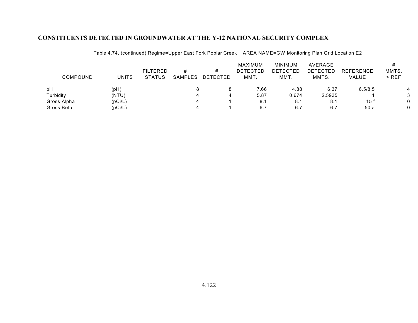| <b>COMPOUND</b> | UNITS   | <b>FILTERED</b><br><b>STATUS</b> | #<br><b>SAMPLES</b> | #<br><b>DETECTED</b> | MAXIMUM<br><b>DETECTED</b><br>MMT. | MINIMUM<br>DETECTED<br>MMT. | AVERAGE<br>DETECTED<br>MMTS. | <b>REFERENCE</b><br>VALUE | MMTS.<br>$>$ REF |
|-----------------|---------|----------------------------------|---------------------|----------------------|------------------------------------|-----------------------------|------------------------------|---------------------------|------------------|
| pH              | (pH)    |                                  |                     | 8                    | 7.66                               | 4.88                        | 6.37                         | 6.5/8.5                   |                  |
| Turbidity       | (NTU)   |                                  |                     | 4                    | 5.87                               | 0.674                       | 2.5935                       |                           | 3                |
| Gross Alpha     | (pCi/L) |                                  |                     |                      | 8.1                                | 8.1                         | 8.1                          | 15 f                      | 0                |
| Gross Beta      | (pCi/L) |                                  |                     |                      | 6.7                                | 6.7                         | 6.7                          | 50 a                      |                  |

Table 4.74. (continued) Regime=Upper East Fork Poplar Creek AREA NAME=GW Monitoring Plan Grid Location E2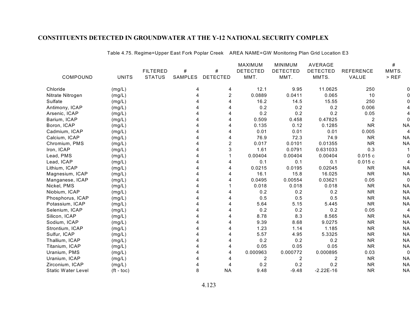|                           |                       |                 |                |                 | MAXIMUM         | <b>MINIMUM</b>          | AVERAGE         |                  | #         |
|---------------------------|-----------------------|-----------------|----------------|-----------------|-----------------|-------------------------|-----------------|------------------|-----------|
|                           |                       | <b>FILTERED</b> | #              | #               | <b>DETECTED</b> | <b>DETECTED</b>         | <b>DETECTED</b> | <b>REFERENCE</b> | MMTS.     |
| COMPOUND                  | <b>UNITS</b>          | <b>STATUS</b>   | <b>SAMPLES</b> | <b>DETECTED</b> | MMT.            | MMT.                    | MMTS.           | VALUE            | $>$ REF   |
| Chloride                  | (mg/L)                |                 | 4              | 4               | 12.1            | 9.95                    | 11.0625         | 250              |           |
| Nitrate Nitrogen          | (mg/L)                |                 | 4              | 2               | 0.0889          | 0.0411                  | 0.065           | 10               |           |
| Sulfate                   | (mg/L)                |                 |                | 4               | 16.2            | 14.5                    | 15.55           | 250              |           |
| Antimony, ICAP            | (mg/L)                |                 |                |                 | 0.2             | 0.2                     | 0.2             | 0.006            |           |
| Arsenic, ICAP             | (mg/L)                |                 |                |                 | 0.2             | 0.2                     | 0.2             | 0.05             |           |
| Barium, ICAP              | (mg/L)                |                 |                |                 | 0.509           | 0.458                   | 0.47825         | $\overline{2}$   |           |
| Boron, ICAP               | (mg/L)                |                 |                |                 | 0.135           | 0.12                    | 0.1285          | <b>NR</b>        | <b>NA</b> |
| Cadmium, ICAP             | (mg/L)                |                 |                |                 | 0.01            | 0.01                    | 0.01            | 0.005            |           |
| Calcium, ICAP             | (mg/L)                |                 |                |                 | 76.9            | 72.3                    | 74.9            | <b>NR</b>        | <b>NA</b> |
| Chromium, PMS             | (mg/L)                |                 |                | $\overline{c}$  | 0.017           | 0.0101                  | 0.01355         | <b>NR</b>        | <b>NA</b> |
| Iron, ICAP                | (mg/L)                |                 |                | 3               | 1.61            | 0.0791                  | 0.631033        | 0.3              |           |
| Lead, PMS                 | (mg/L)                |                 |                |                 | 0.00404         | 0.00404                 | 0.00404         | 0.015c           |           |
| Lead, ICAP                | (mg/L)                |                 |                |                 | 0.1             | 0.1                     | 0.1             | 0.015c           |           |
| Lithium, ICAP             | (mg/L)                |                 |                | Δ               | 0.0215          | 0.0195                  | 0.02045         | <b>NR</b>        | <b>NA</b> |
| Magnesium, ICAP           | (mg/L)                |                 |                |                 | 16.1            | 15.8                    | 16.025          | <b>NR</b>        | <b>NA</b> |
| Manganese, ICAP           | (mg/L)                |                 |                |                 | 0.0495          | 0.00554                 | 0.03621         | 0.05             | 0         |
| Nickel, PMS               | (mg/L)                |                 |                |                 | 0.018           | 0.018                   | 0.018           | <b>NR</b>        | <b>NA</b> |
| Niobium, ICAP             | (mg/L)                |                 |                |                 | 0.2             | 0.2                     | 0.2             | <b>NR</b>        | <b>NA</b> |
| Phosphorus, ICAP          | (mg/L)                |                 |                |                 | 0.5             | 0.5                     | 0.5             | <b>NR</b>        | <b>NA</b> |
| Potassium, ICAP           | (mg/L)                |                 |                | 4               | 5.64            | 5.15                    | 5.445           | <b>NR</b>        | <b>NA</b> |
| Selenium, ICAP            | (mg/L)                |                 | Δ              | Δ               | 0.2             | 0.2                     | 0.2             | 0.05             | 4         |
| Silicon, ICAP             | (mg/L)                |                 |                |                 | 8.78            | 8.3                     | 8.565           | <b>NR</b>        | <b>NA</b> |
| Sodium, ICAP              | (mg/L)                |                 |                |                 | 9.39            | 8.68                    | 9.0275          | <b>NR</b>        | <b>NA</b> |
| Strontium, ICAP           | (mg/L)                |                 |                |                 | 1.23            | 1.14                    | 1.185           | <b>NR</b>        | <b>NA</b> |
| Sulfur, ICAP              | (mg/L)                |                 |                |                 | 5.57            | 4.95                    | 5.3325          | <b>NR</b>        | <b>NA</b> |
| Thallium, ICAP            | (mg/L)                |                 |                |                 | 0.2             | 0.2                     | 0.2             | <b>NR</b>        | <b>NA</b> |
| Titanium, ICAP            | (mg/L)                |                 |                |                 | 0.05            | 0.05                    | 0.05            | <b>NR</b>        | <b>NA</b> |
| Uranium, PMS              | (mg/L)                |                 |                | 4               | 0.000963        | 0.000772                | 0.000895        | 0.03             | 0         |
| Uranium, ICAP             | (mg/L)                |                 |                | 4               | 2               | $\overline{\mathbf{c}}$ | 2               | <b>NR</b>        | <b>NA</b> |
| Zirconium, ICAP           | (mg/L)                |                 |                |                 | 0.2             | 0.2                     | 0.2             | <b>NR</b>        | <b>NA</b> |
| <b>Static Water Level</b> | $({\rm ft -}$ toc $)$ |                 | 8              | <b>NA</b>       | 9.48            | $-9.48$                 | $-2.22E-16$     | <b>NR</b>        | <b>NA</b> |

Table 4.75. Regime=Upper East Fork Poplar Creek AREA NAME=GW Monitoring Plan Grid Location E3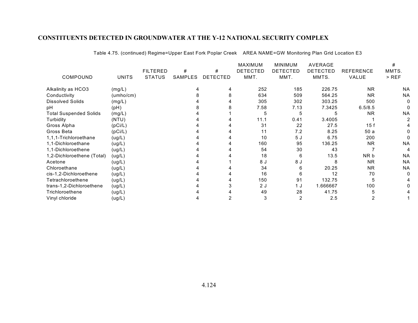|                               |              |                 |                |                 | <b>MAXIMUM</b>  | <b>MINIMUM</b>  | AVERAGE         |           | #         |
|-------------------------------|--------------|-----------------|----------------|-----------------|-----------------|-----------------|-----------------|-----------|-----------|
|                               |              | <b>FILTERED</b> | #              | #               | <b>DETECTED</b> | <b>DETECTED</b> | <b>DETECTED</b> | REFERENCE | MMTS.     |
| COMPOUND                      | <b>UNITS</b> | <b>STATUS</b>   | <b>SAMPLES</b> | <b>DETECTED</b> | MMT.            | MMT.            | MMTS.           | VALUE     | $>$ REF   |
| Alkalinity as HCO3            | (mg/L)       |                 |                |                 | 252             | 185             | 226.75          | <b>NR</b> | ΝA        |
| Conductivity                  | (umbo/cm)    |                 |                |                 | 634             | 509             | 564.25          | <b>NR</b> | <b>NA</b> |
| <b>Dissolved Solids</b>       | (mg/L)       |                 |                |                 | 305             | 302             | 303.25          | 500       |           |
| рH                            | (pH)         |                 |                |                 | 7.58            | 7.13            | 7.3425          | 6.5/8.5   |           |
| <b>Total Suspended Solids</b> | (mg/L)       |                 |                |                 |                 | 5               |                 | <b>NR</b> | <b>NA</b> |
| Turbidity                     | (NTU)        |                 |                |                 | 11.1            | 0.41            | 3.4005          |           |           |
| Gross Alpha                   | (pCi/L)      |                 |                |                 | 31              | 22              | 27.5            | 15f       |           |
| Gross Beta                    | (pCi/L)      |                 |                |                 | 11              | 7.2             | 8.25            | 50a       |           |
| 1,1,1-Trichloroethane         | (ug/L)       |                 |                |                 | 10              | 5J              | 6.75            | 200       |           |
| 1,1-Dichloroethane            | (ug/L)       |                 |                |                 | 160             | 95              | 136.25          | <b>NR</b> | <b>NA</b> |
| 1,1-Dichloroethene            | (ug/L)       |                 |                |                 | 54              | 30              | 43              |           |           |
| 1,2-Dichloroethene (Total)    | (ug/L)       |                 |                |                 | 18              | 6               | 13.5            | NR b      | <b>NA</b> |
| Acetone                       | (ug/L)       |                 |                |                 | 8 J             | 8 J             |                 | <b>NR</b> | <b>NA</b> |
| Chloroethane                  | (ug/L)       |                 |                |                 | 34              | 6               | 20.25           | <b>NR</b> | <b>NA</b> |
| cis-1,2-Dichloroethene        | (ug/L)       |                 |                |                 | 16              | 6               | 12              | 70        |           |
| Tetrachloroethene             | (ug/L)       |                 |                |                 | 150             | 91              | 132.75          |           |           |
| trans-1,2-Dichloroethene      | (ug/L)       |                 |                |                 | 2 J             | 1 J             | 1.666667        | 100       |           |
| Trichloroethene               | (ug/L)       |                 |                |                 | 49              | 28              | 41.75           |           |           |
| Vinyl chloride                | (ug/L)       |                 |                |                 | 3               |                 | 2.5             |           |           |

Table 4.75. (continued) Regime=Upper East Fork Poplar Creek AREA NAME=GW Monitoring Plan Grid Location E3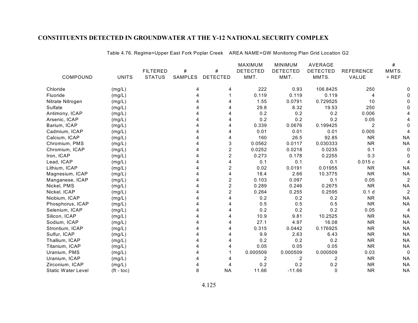|                           |                       |                 |         |                 | <b>MAXIMUM</b>  | <b>MINIMUM</b>  | AVERAGE         |                  | #              |
|---------------------------|-----------------------|-----------------|---------|-----------------|-----------------|-----------------|-----------------|------------------|----------------|
|                           |                       | <b>FILTERED</b> | #       | #               | <b>DETECTED</b> | <b>DETECTED</b> | <b>DETECTED</b> | <b>REFERENCE</b> | MMTS.          |
| COMPOUND                  | <b>UNITS</b>          | <b>STATUS</b>   | SAMPLES | <b>DETECTED</b> | MMT.            | MMT.            | MMTS.           | VALUE            | $>$ REF        |
| Chloride                  | (mg/L)                |                 | 4       | 4               | 222             | 0.93            | 106.8425        | 250              |                |
| Fluoride                  | (mg/L)                |                 |         |                 | 0.119           | 0.119           | 0.119           | 4                |                |
| Nitrate Nitrogen          | (mg/L)                |                 |         |                 | 1.55            | 0.0791          | 0.729525        | 10               |                |
| Sulfate                   | (mg/L)                |                 |         |                 | 29.8            | 8.32            | 19.53           | 250              |                |
| Antimony, ICAP            | (mg/L)                |                 |         |                 | 0.2             | 0.2             | 0.2             | 0.006            |                |
| Arsenic, ICAP             | (mg/L)                |                 |         |                 | 0.2             | 0.2             | 0.2             | 0.05             |                |
| Barium, ICAP              | (mg/L)                |                 |         |                 | 0.339           | 0.0676          | 0.199425        | 2                |                |
| Cadmium, ICAP             | (mg/L)                |                 |         | 4               | 0.01            | 0.01            | 0.01            | 0.005            |                |
| Calcium, ICAP             | (mg/L)                |                 |         | 4               | 160             | 26.5            | 92.85           | <b>NR</b>        | <b>NA</b>      |
| Chromium, PMS             | (mg/L)                |                 |         | 3               | 0.0562          | 0.0117          | 0.030333        | <b>NR</b>        | <b>NA</b>      |
| Chromium, ICAP            | (mg/L)                |                 |         | $\overline{c}$  | 0.0252          | 0.0218          | 0.0235          | 0.1              |                |
| Iron, ICAP                | (mg/L)                |                 |         | $\overline{c}$  | 0.273           | 0.178           | 0.2255          | 0.3              |                |
| Lead, ICAP                | (mg/L)                |                 |         | 4               | 0.1             | 0.1             | 0.1             | 0.015c           |                |
| Lithium, ICAP             | (mg/L)                |                 |         | $\overline{c}$  | 0.02            | 0.0191          | 0.01955         | <b>NR</b>        | <b>NA</b>      |
| Magnesium, ICAP           | (mg/L)                |                 |         | 4               | 18.4            | 2.66            | 10.3775         | <b>NR</b>        | <b>NA</b>      |
| Manganese, ICAP           | (mg/L)                |                 |         | $\overline{2}$  | 0.103           | 0.097           | 0.1             | 0.05             | $\overline{c}$ |
| Nickel, PMS               | (mg/L)                |                 |         | $\overline{c}$  | 0.289           | 0.246           | 0.2675          | <b>NR</b>        | <b>NA</b>      |
| Nickel, ICAP              | (mg/L)                |                 |         | $\overline{c}$  | 0.264           | 0.255           | 0.2595          | 0.1 <sub>d</sub> | 2              |
| Niobium, ICAP             | (mg/L)                |                 |         |                 | 0.2             | 0.2             | 0.2             | <b>NR</b>        | <b>NA</b>      |
| Phosphorus, ICAP          | (mg/L)                |                 |         |                 | 0.5             | 0.5             | 0.5             | <b>NR</b>        | <b>NA</b>      |
| Selenium, ICAP            | (mg/L)                |                 |         |                 | 0.2             | 0.2             | 0.2             | 0.05             | 4              |
| Silicon, ICAP             | (mg/L)                |                 |         |                 | 10.9            | 9.81            | 10.2525         | <b>NR</b>        | <b>NA</b>      |
| Sodium, ICAP              | (mg/L)                |                 |         |                 | 27.1            | 4.97            | 16.08           | <b>NR</b>        | <b>NA</b>      |
| Strontium, ICAP           | (mg/L)                |                 |         |                 | 0.315           | 0.0442          | 0.176925        | <b>NR</b>        | <b>NA</b>      |
| Sulfur, ICAP              | (mg/L)                |                 |         |                 | 9.9             | 2.63            | 6.43            | <b>NR</b>        | <b>NA</b>      |
| Thallium, ICAP            | (mg/L)                |                 |         |                 | 0.2             | 0.2             | 0.2             | <b>NR</b>        | <b>NA</b>      |
| Titanium, ICAP            | (mg/L)                |                 |         |                 | 0.05            | 0.05            | 0.05            | <b>NR</b>        | <b>NA</b>      |
| Uranium, PMS              | (mg/L)                |                 |         |                 | 0.000509        | 0.000509        | 0.000509        | 0.03             | 0              |
| Uranium, ICAP             | (mg/L)                |                 |         |                 | 2               | 2               | 2               | <b>NR</b>        | <b>NA</b>      |
| Zirconium, ICAP           | (mg/L)                |                 |         |                 | 0.2             | 0.2             | 0.2             | <b>NR</b>        | <b>NA</b>      |
| <b>Static Water Level</b> | $({\rm ft -}$ toc $)$ |                 | 8       | <b>NA</b>       | 11.66           | $-11.66$        | $\Omega$        | <b>NR</b>        | <b>NA</b>      |

Table 4.76. Regime=Upper East Fork Poplar Creek AREA NAME=GW Monitoring Plan Grid Location G2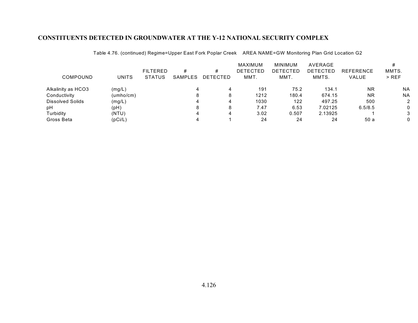| COMPOUND                | <b>UNITS</b> | <b>FILTERED</b><br><b>STATUS</b> | #<br>SAMPLES | #<br>DETECTED | MAXIMUM<br><b>DETECTED</b><br>MMT. | <b>MINIMUM</b><br><b>DETECTED</b><br>MMT. | <b>AVERAGE</b><br><b>DETECTED</b><br>MMTS. | <b>REFERENCE</b><br><b>VALUE</b> | MMTS.<br>$>$ REF |
|-------------------------|--------------|----------------------------------|--------------|---------------|------------------------------------|-------------------------------------------|--------------------------------------------|----------------------------------|------------------|
| Alkalinity as HCO3      | (mg/L)       |                                  |              |               | 191                                | 75.2                                      | 134.1                                      | <b>NR</b>                        | <b>NA</b>        |
| Conductivity            | (umho/cm)    |                                  |              |               | 1212                               | 180.4                                     | 674.15                                     | <b>NR</b>                        | <b>NA</b>        |
| <b>Dissolved Solids</b> | (mg/L)       |                                  |              | 4             | 1030                               | 122                                       | 497.25                                     | 500                              |                  |
| pН                      | (pH)         |                                  | 8            | 8             | 7.47                               | 6.53                                      | 7.02125                                    | 6.5/8.5                          | 0                |
| Turbidity               | (NTU)        |                                  |              |               | 3.02                               | 0.507                                     | 2.13925                                    |                                  |                  |
| Gross Beta              | (pCi/L)      |                                  |              |               | 24                                 | 24                                        | 24                                         | 50a                              | 0                |

Table 4.76. (continued) Regime=Upper East Fork Poplar Creek AREA NAME=GW Monitoring Plan Grid Location G2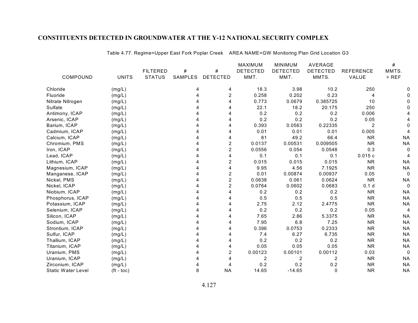|                           |                       |                 |         |                 | <b>MAXIMUM</b>  | <b>MINIMUM</b>  | AVERAGE         |                  | #         |
|---------------------------|-----------------------|-----------------|---------|-----------------|-----------------|-----------------|-----------------|------------------|-----------|
|                           |                       | <b>FILTERED</b> | #       | #               | <b>DETECTED</b> | <b>DETECTED</b> | <b>DETECTED</b> | <b>REFERENCE</b> | MMTS.     |
| COMPOUND                  | <b>UNITS</b>          | <b>STATUS</b>   | SAMPLES | <b>DETECTED</b> | MMT.            | MMT.            | MMTS.           | VALUE            | $>$ REF   |
| Chloride                  | (mg/L)                |                 | 4       | 4               | 18.3            | 3.98            | 10.2            | 250              |           |
| Fluoride                  | (mg/L)                |                 | Δ       | $\overline{c}$  | 0.258           | 0.202           | 0.23            | 4                |           |
| Nitrate Nitrogen          | (mg/L)                |                 |         |                 | 0.773           | 0.0679          | 0.385725        | 10               |           |
| Sulfate                   | (mg/L)                |                 |         |                 | 22.1            | 18.2            | 20.175          | 250              |           |
| Antimony, ICAP            | (mg/L)                |                 |         |                 | 0.2             | 0.2             | 0.2             | 0.006            |           |
| Arsenic, ICAP             | (mg/L)                |                 |         |                 | 0.2             | 0.2             | 0.2             | 0.05             |           |
| Barium, ICAP              | (mg/L)                |                 |         |                 | 0.393           | 0.0563          | 0.22335         | 2                |           |
| Cadmium, ICAP             | (mg/L)                |                 |         | 4               | 0.01            | 0.01            | 0.01            | 0.005            |           |
| Calcium, ICAP             | (mg/L)                |                 |         | 4               | 81              | 49.2            | 66.4            | <b>NR</b>        | <b>NA</b> |
| Chromium, PMS             | (mg/L)                |                 |         | $\overline{c}$  | 0.0137          | 0.00531         | 0.009505        | <b>NR</b>        | <b>NA</b> |
| Iron, ICAP                | (mg/L)                |                 |         | $\overline{c}$  | 0.0556          | 0.054           | 0.0548          | 0.3              |           |
| Lead, ICAP                | (mg/L)                |                 |         | 4               | 0.1             | 0.1             | 0.1             | 0.015c           |           |
| Lithium, ICAP             | (mg/L)                |                 |         | 2               | 0.015           | 0.015           | 0.015           | <b>NR</b>        | <b>NA</b> |
| Magnesium, ICAP           | (mg/L)                |                 |         | 4               | 9.95            | 4.56            | 7.1925          | <b>NR</b>        | <b>NA</b> |
| Manganese, ICAP           | (mg/L)                |                 |         | $\overline{c}$  | 0.01            | 0.00874         | 0.00937         | 0.05             | 0         |
| Nickel, PMS               | (mg/L)                |                 |         | $\overline{2}$  | 0.0638          | 0.061           | 0.0624          | <b>NR</b>        | <b>NA</b> |
| Nickel, ICAP              | (mg/L)                |                 |         | $\overline{c}$  | 0.0764          | 0.0602          | 0.0683          | 0.1 <sub>d</sub> | 0         |
| Niobium, ICAP             | (mg/L)                |                 |         | 4               | 0.2             | 0.2             | 0.2             | <b>NR</b>        | <b>NA</b> |
| Phosphorus, ICAP          | (mg/L)                |                 |         |                 | 0.5             | 0.5             | 0.5             | <b>NR</b>        | <b>NA</b> |
| Potassium, ICAP           | (mg/L)                |                 |         |                 | 2.75            | 2.12            | 2.4775          | <b>NR</b>        | <b>NA</b> |
| Selenium, ICAP            | (mg/L)                |                 |         |                 | 0.2             | 0.2             | 0.2             | 0.05             | 4         |
| Silicon, ICAP             | (mg/L)                |                 |         |                 | 7.65            | 2.86            | 5.3375          | <b>NR</b>        | <b>NA</b> |
| Sodium, ICAP              | (mg/L)                |                 |         |                 | 7.95            | 6.8             | 7.25            | <b>NR</b>        | <b>NA</b> |
| Strontium, ICAP           | (mg/L)                |                 |         |                 | 0.396           | 0.0753          | 0.2333          | <b>NR</b>        | <b>NA</b> |
| Sulfur, ICAP              | (mg/L)                |                 |         |                 | 7.4             | 6.27            | 6.735           | <b>NR</b>        | <b>NA</b> |
| Thallium, ICAP            | (mg/L)                |                 |         |                 | 0.2             | 0.2             | 0.2             | <b>NR</b>        | <b>NA</b> |
| Titanium, ICAP            | (mg/L)                |                 |         | 4               | 0.05            | 0.05            | 0.05            | <b>NR</b>        | <b>NA</b> |
| Uranium, PMS              | (mg/L)                |                 |         | $\overline{c}$  | 0.00123         | 0.00101         | 0.00112         | 0.03             | 0         |
| Uranium, ICAP             | (mg/L)                |                 |         | 4               | 2               | 2               | 2               | <b>NR</b>        | <b>NA</b> |
| Zirconium, ICAP           | (mg/L)                |                 |         |                 | 0.2             | 0.2             | 0.2             | <b>NR</b>        | <b>NA</b> |
| <b>Static Water Level</b> | $({\rm ft -}$ toc $)$ |                 | 8       | <b>NA</b>       | 14.65           | $-14.65$        | $\Omega$        | <b>NR</b>        | <b>NA</b> |

Table 4.77. Regime=Upper East Fork Poplar Creek AREA NAME=GW Monitoring Plan Grid Location G3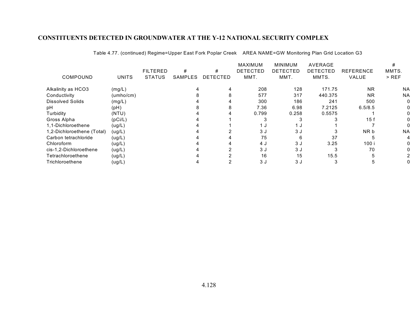|                            |              |                 |                |                 | <b>MAXIMUM</b>  | <b>MINIMUM</b>  | <b>AVERAGE</b>  |                  |           |
|----------------------------|--------------|-----------------|----------------|-----------------|-----------------|-----------------|-----------------|------------------|-----------|
|                            |              | <b>FILTERED</b> | #              | #               | <b>DETECTED</b> | <b>DETECTED</b> | <b>DETECTED</b> | <b>REFERENCE</b> | MMTS.     |
| COMPOUND                   | <b>UNITS</b> | <b>STATUS</b>   | <b>SAMPLES</b> | <b>DETECTED</b> | MMT.            | MMT.            | MMTS.           | <b>VALUE</b>     | $>$ REF   |
| Alkalinity as HCO3         | (mg/L)       |                 |                |                 | 208             | 128             | 171.75          | <b>NR</b>        | <b>NA</b> |
| Conductivity               | (umbo/cm)    |                 |                |                 | 577             | 317             | 440.375         | <b>NR</b>        | <b>NA</b> |
| <b>Dissolved Solids</b>    | (mg/L)       |                 |                |                 | 300             | 186             | 241             | 500              |           |
| pН                         | (pH)         |                 |                |                 | 7.36            | 6.98            | 7.2125          | 6.5/8.5          |           |
| Turbidity                  | (NTU)        |                 |                |                 | 0.799           | 0.258           | 0.5575          |                  |           |
| Gross Alpha                | (pCi/L)      |                 |                |                 |                 |                 |                 | 15f              |           |
| 1.1-Dichloroethene         | (ug/L)       |                 |                |                 | 1 ມ             | 1 J             |                 |                  |           |
| 1,2-Dichloroethene (Total) | (ug/L)       |                 |                |                 | 3 J             | 3 J             |                 | NR b             | <b>NA</b> |
| Carbon tetrachloride       | (ug/L)       |                 |                |                 | 75              | 6               | 37              |                  |           |
| Chloroform                 | (ug/L)       |                 |                |                 | 4 J             | 3 J             | 3.25            | 100 i            |           |
| cis-1.2-Dichloroethene     | (ug/L)       |                 |                |                 | 3J              | 3 J             |                 | 70               |           |
| Tetrachloroethene          | (ug/L)       |                 |                |                 | 16              | 15              | 15.5            |                  |           |
| Trichloroethene            | (ug/L)       |                 |                |                 | 3 J             | 3 J             |                 |                  |           |

Table 4.77. (continued) Regime=Upper East Fork Poplar Creek AREA NAME=GW Monitoring Plan Grid Location G3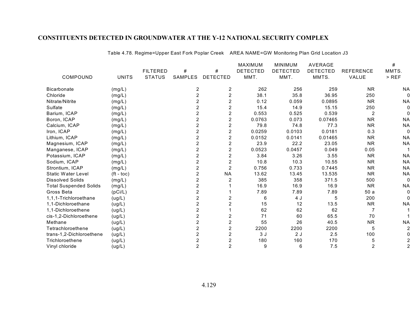|                               |              |                 |                |                  | MAXIMUM         | <b>MINIMUM</b>  | AVERAGE         |                  | #              |
|-------------------------------|--------------|-----------------|----------------|------------------|-----------------|-----------------|-----------------|------------------|----------------|
|                               |              | <b>FILTERED</b> | #              | #                | <b>DETECTED</b> | <b>DETECTED</b> | <b>DETECTED</b> | <b>REFERENCE</b> | MMTS.          |
| COMPOUND                      | <b>UNITS</b> | <b>STATUS</b>   | <b>SAMPLES</b> | <b>DETECTED</b>  | MMT.            | MMT.            | MMTS.           | VALUE            | $>$ REF        |
| <b>Bicarbonate</b>            | (mg/L)       |                 | 2              | 2                | 262             | 256             | 259             | <b>NR</b>        | <b>NA</b>      |
| Chloride                      | (mg/L)       |                 | 2              | $\boldsymbol{2}$ | 38.1            | 35.8            | 36.95           | 250              |                |
| Nitrate/Nitrite               | (mg/L)       |                 |                | $\overline{2}$   | 0.12            | 0.059           | 0.0895          | <b>NR</b>        | <b>NA</b>      |
| Sulfate                       | (mg/L)       |                 | 2              | 2                | 15.4            | 14.9            | 15.15           | 250              |                |
| Barium, ICAP                  | (mg/L)       |                 | 2              | $\overline{c}$   | 0.553           | 0.525           | 0.539           | 2                |                |
| Boron, ICAP                   | (mg/L)       |                 | 2              | 2                | 0.0763          | 0.073           | 0.07465         | <b>NR</b>        | <b>NA</b>      |
| Calcium, ICAP                 | (mg/L)       |                 | 2              | $\overline{c}$   | 79.8            | 74.8            | 77.3            | <b>NR</b>        | <b>NA</b>      |
| Iron, ICAP                    | (mg/L)       |                 | 2              | $\overline{c}$   | 0.0259          | 0.0103          | 0.0181          | 0.3              |                |
| Lithium, ICAP                 | (mg/L)       |                 | 2              | $\overline{c}$   | 0.0152          | 0.0141          | 0.01465         | <b>NR</b>        | <b>NA</b>      |
| Magnesium, ICAP               | (mg/L)       |                 | 2              | $\overline{c}$   | 23.9            | 22.2            | 23.05           | <b>NR</b>        | <b>NA</b>      |
| Manganese, ICAP               | (mg/L)       |                 | 2              | 2                | 0.0523          | 0.0457          | 0.049           | 0.05             |                |
| Potassium, ICAP               | (mg/L)       |                 | 2              | $\overline{c}$   | 3.84            | 3.26            | 3.55            | <b>NR</b>        | <b>NA</b>      |
| Sodium, ICAP                  | (mg/L)       |                 | 2              | 2                | 10.8            | 10.3            | 10.55           | <b>NR</b>        | <b>NA</b>      |
| Strontium, ICAP               | (mg/L)       |                 | 2              | $\overline{2}$   | 0.756           | 0.733           | 0.7445          | <b>NR</b>        | <b>NA</b>      |
| <b>Static Water Level</b>     | $(ft - toc)$ |                 |                | <b>NA</b>        | 13.62           | 13.45           | 13.535          | <b>NR</b>        | <b>NA</b>      |
| <b>Dissolved Solids</b>       | (mg/L)       |                 | 2              | 2                | 385             | 358             | 371.5           | 500              |                |
| <b>Total Suspended Solids</b> | (mg/L)       |                 | 2              |                  | 16.9            | 16.9            | 16.9            | <b>NR</b>        | <b>NA</b>      |
| Gross Beta                    | (pCi/L)      |                 | 2              |                  | 7.89            | 7.89            | 7.89            | 50a              |                |
| 1,1,1-Trichloroethane         | (ug/L)       |                 | 2              | 2                | 6               | 4 J             | 5               | 200              |                |
| 1,1-Dichloroethane            | (ug/L)       |                 | 2              | $\overline{2}$   | 15              | 12              | 13.5            | <b>NR</b>        | <b>NA</b>      |
| 1,1-Dichloroethene            | (ug/L)       |                 | 2              |                  | 62              | 62              | 62              |                  |                |
| cis-1,2-Dichloroethene        | (ug/L)       |                 | 2              | 2                | 71              | 60              | 65.5            | 70               |                |
| Methane                       | (ug/L)       |                 | 2              | $\overline{c}$   | 55              | 26              | 40.5            | <b>NR</b>        | <b>NA</b>      |
| Tetrachloroethene             | (ug/L)       |                 | 2              | $\overline{c}$   | 2200            | 2200            | 2200            | 5                |                |
| trans-1,2-Dichloroethene      | (ug/L)       |                 | 2              | $\overline{c}$   | 3J              | 2J              | 2.5             | 100              |                |
| Trichloroethene               | (ug/L)       |                 | 2              | 2                | 180             | 160             | 170             | 5                |                |
| Vinyl chloride                | (ug/L)       |                 | $\overline{2}$ | $\overline{2}$   | 9               | 6               | 7.5             | $\overline{2}$   | $\overline{2}$ |

Table 4.78. Regime=Upper East Fork Poplar Creek AREA NAME=GW Monitoring Plan Grid Location J3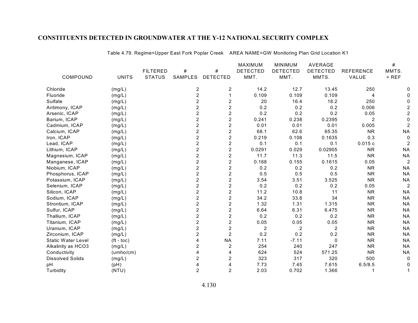|                         |              |                 |                         |                         | MAXIMUM         | <b>MINIMUM</b>  | AVERAGE         |                  | #         |
|-------------------------|--------------|-----------------|-------------------------|-------------------------|-----------------|-----------------|-----------------|------------------|-----------|
|                         |              | <b>FILTERED</b> | #                       | #                       | <b>DETECTED</b> | <b>DETECTED</b> | <b>DETECTED</b> | <b>REFERENCE</b> | MMTS.     |
| COMPOUND                | <b>UNITS</b> | <b>STATUS</b>   | <b>SAMPLES</b>          | <b>DETECTED</b>         | MMT.            | MMT.            | MMTS.           | VALUE            | $>$ REF   |
| Chloride                | (mg/L)       |                 | 2                       | $\overline{c}$          | 14.2            | 12.7            | 13.45           | 250              |           |
| Fluoride                | (mg/L)       |                 | $\overline{c}$          | $\mathbf{1}$            | 0.109           | 0.109           | 0.109           | 4                |           |
| Sulfate                 | (mg/L)       |                 | $\overline{2}$          | $\overline{c}$          | 20              | 16.4            | 18.2            | 250              |           |
| Antimony, ICAP          | (mg/L)       |                 | 2                       | $\overline{c}$          | 0.2             | 0.2             | 0.2             | 0.006            |           |
| Arsenic, ICAP           | (mg/L)       |                 | $\overline{2}$          | $\overline{c}$          | 0.2             | 0.2             | 0.2             | 0.05             |           |
| Barium, ICAP            | (mg/L)       |                 | 2                       | $\boldsymbol{2}$        | 0.241           | 0.238           | 0.2395          | $\overline{2}$   |           |
| Cadmium, ICAP           | (mg/L)       |                 | 2                       | $\boldsymbol{2}$        | 0.01            | 0.01            | 0.01            | 0.005            |           |
| Calcium, ICAP           | (mg/L)       |                 | $\overline{2}$          | $\overline{2}$          | 68.1            | 62.6            | 65.35           | <b>NR</b>        | <b>NA</b> |
| Iron, ICAP              | (mg/L)       |                 | $\overline{2}$          | $\overline{c}$          | 0.219           | 0.108           | 0.1635          | 0.3              |           |
| Lead, ICAP              | (mg/L)       |                 | $\overline{2}$          | $\overline{c}$          | 0.1             | 0.1             | 0.1             | 0.015c           |           |
| Lithium, ICAP           | (mg/L)       |                 | $\overline{2}$          | $\overline{c}$          | 0.0291          | 0.029           | 0.02905         | <b>NR</b>        | <b>NA</b> |
| Magnesium, ICAP         | (mg/L)       |                 | $\overline{2}$          | $\boldsymbol{2}$        | 11.7            | 11.3            | 11.5            | <b>NR</b>        | <b>NA</b> |
| Manganese, ICAP         | (mg/L)       |                 | $\overline{c}$          | $\boldsymbol{2}$        | 0.168           | 0.155           | 0.1615          | 0.05             |           |
| Niobium, ICAP           | (mg/L)       |                 | $\overline{c}$          | $\overline{2}$          | 0.2             | 0.2             | 0.2             | <b>NR</b>        | <b>NA</b> |
| Phosphorus, ICAP        | (mg/L)       |                 | $\overline{2}$          | $\overline{c}$          | 0.5             | 0.5             | 0.5             | <b>NR</b>        | <b>NA</b> |
| Potassium, ICAP         | (mg/L)       |                 | $\overline{2}$          | $\overline{2}$          | 3.54            | 3.51            | 3.525           | <b>NR</b>        | <b>NA</b> |
| Selenium, ICAP          | (mg/L)       |                 | 2                       | $\boldsymbol{2}$        | 0.2             | 0.2             | 0.2             | 0.05             | 2         |
| Silicon, ICAP           | (mg/L)       |                 | $\overline{\mathbf{c}}$ | $\boldsymbol{2}$        | 11.2            | 10.8            | 11              | <b>NR</b>        | <b>NA</b> |
| Sodium, ICAP            | (mg/L)       |                 | $\overline{c}$          | $\overline{2}$          | 34.2            | 33.8            | 34              | <b>NR</b>        | <b>NA</b> |
| Strontium, ICAP         | (mg/L)       |                 | $\overline{c}$          | $\overline{c}$          | 1.32            | 1.31            | 1.315           | <b>NR</b>        | <b>NA</b> |
| Sulfur, ICAP            | (mg/L)       |                 | $\overline{c}$          | $\overline{c}$          | 6.64            | 6.31            | 6.475           | <b>NR</b>        | <b>NA</b> |
| Thallium, ICAP          | (mg/L)       |                 | 2                       | $\overline{2}$          | 0.2             | 0.2             | 0.2             | <b>NR</b>        | <b>NA</b> |
| Titanium, ICAP          | (mg/L)       |                 | $\overline{2}$          | $\overline{c}$          | 0.05            | 0.05            | 0.05            | <b>NR</b>        | <b>NA</b> |
| Uranium, ICAP           | (mg/L)       |                 | 2                       | $\overline{c}$          | $\overline{2}$  | $\overline{2}$  | $\overline{2}$  | <b>NR</b>        | <b>NA</b> |
| Zirconium, ICAP         | (mg/L)       |                 | 2                       | $\overline{2}$          | 0.2             | 0.2             | 0.2             | <b>NR</b>        | <b>NA</b> |
| Static Water Level      | $(ft - toc)$ |                 | 4                       | <b>NA</b>               | 7.11            | $-7.11$         | $\mathbf 0$     | <b>NR</b>        | <b>NA</b> |
| Alkalinity as HCO3      | (mg/L)       |                 | 2                       | $\overline{\mathbf{c}}$ | 254             | 240             | 247             | <b>NR</b>        | <b>NA</b> |
| Conductivity            | (umbo/cm)    |                 | 4                       | 4                       | 624             | 524             | 571.25          | <b>NR</b>        | <b>NA</b> |
| <b>Dissolved Solids</b> | (mg/L)       |                 | 2                       | 2                       | 323             | 317             | 320             | 500              | 0         |
| pH                      | (pH)         |                 | 4                       | 4                       | 7.73            | 7.45            | 7.615           | 6.5/8.5          |           |
| Turbidity               | (NTU)        |                 | $\overline{2}$          | $\overline{c}$          | 2.03            | 0.702           | 1.366           |                  |           |
|                         |              |                 |                         |                         |                 |                 |                 |                  |           |

Table 4.79. Regime=Upper East Fork Poplar Creek AREA NAME=GW Monitoring Plan Grid Location K1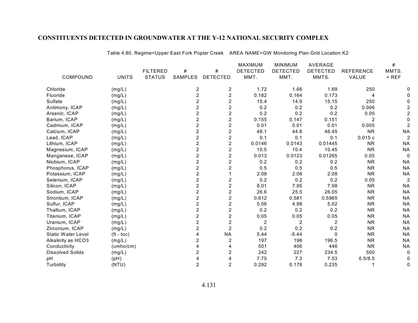|                    |              |                 |                |                  | <b>MAXIMUM</b>  | <b>MINIMUM</b>  | AVERAGE         |                  | #              |
|--------------------|--------------|-----------------|----------------|------------------|-----------------|-----------------|-----------------|------------------|----------------|
|                    |              | <b>FILTERED</b> | #              | #                | <b>DETECTED</b> | <b>DETECTED</b> | <b>DETECTED</b> | <b>REFERENCE</b> | MMTS.          |
| COMPOUND           | <b>UNITS</b> | <b>STATUS</b>   | <b>SAMPLES</b> | <b>DETECTED</b>  | MMT.            | MMT.            | MMTS.           | VALUE            | $>$ REF        |
| Chloride           | (mg/L)       |                 | 2              | 2                | 1.72            | 1.66            | 1.69            | 250              |                |
| Fluoride           | (mg/L)       |                 | $\overline{c}$ | $\overline{c}$   | 0.182           | 0.164           | 0.173           | 4                |                |
| <b>Sulfate</b>     | (mg/L)       |                 | $\overline{2}$ | $\overline{2}$   | 15.4            | 14.9            | 15.15           | 250              |                |
| Antimony, ICAP     | (mg/L)       |                 | $\overline{2}$ | $\overline{2}$   | 0.2             | 0.2             | 0.2             | 0.006            |                |
| Arsenic, ICAP      | (mg/L)       |                 | $\overline{2}$ | $\overline{2}$   | 0.2             | 0.2             | 0.2             | 0.05             |                |
| Barium, ICAP       | (mg/L)       |                 | $\overline{2}$ | $\overline{2}$   | 0.155           | 0.147           | 0.151           | $\overline{2}$   |                |
| Cadmium, ICAP      | (mg/L)       |                 | $\overline{2}$ | $\overline{2}$   | 0.01            | 0.01            | 0.01            | 0.005            |                |
| Calcium, ICAP      | (mg/L)       |                 | 2              | $\overline{2}$   | 48.1            | 44.8            | 46.45           | <b>NR</b>        | <b>NA</b>      |
| Lead, ICAP         | (mg/L)       |                 | $\overline{2}$ | $\overline{2}$   | 0.1             | 0.1             | 0.1             | 0.015c           |                |
| Lithium, ICAP      | (mg/L)       |                 | $\overline{2}$ | $\overline{2}$   | 0.0146          | 0.0143          | 0.01445         | <b>NR</b>        | <b>NA</b>      |
| Magnesium, ICAP    | (mg/L)       |                 | $\overline{c}$ | 2                | 10.5            | 10.4            | 10.45           | <b>NR</b>        | <b>NA</b>      |
| Manganese, ICAP    | (mg/L)       |                 | $\overline{2}$ | $\overline{2}$   | 0.013           | 0.0123          | 0.01265         | 0.05             | 0              |
| Niobium, ICAP      | (mg/L)       |                 | $\overline{2}$ | $\overline{2}$   | 0.2             | 0.2             | 0.2             | <b>NR</b>        | <b>NA</b>      |
| Phosphorus, ICAP   | (mg/L)       |                 | $\overline{2}$ | $\overline{c}$   | 0.5             | 0.5             | 0.5             | <b>NR</b>        | <b>NA</b>      |
| Potassium, ICAP    | (mg/L)       |                 | $\overline{c}$ |                  | 2.08            | 2.08            | 2.08            | <b>NR</b>        | <b>NA</b>      |
| Selenium, ICAP     | (mg/L)       |                 | $\overline{c}$ | $\overline{c}$   | 0.2             | 0.2             | 0.2             | 0.05             | $\overline{c}$ |
| Silicon, ICAP      | (mg/L)       |                 | $\overline{2}$ | $\overline{2}$   | 8.01            | 7.95            | 7.98            | <b>NR</b>        | <b>NA</b>      |
| Sodium, ICAP       | (mg/L)       |                 | $\overline{2}$ | $\overline{2}$   | 26.6            | 25.5            | 26.05           | <b>NR</b>        | <b>NA</b>      |
| Strontium, ICAP    | (mg/L)       |                 | $\overline{2}$ | $\overline{2}$   | 0.612           | 0.581           | 0.5965          | <b>NR</b>        | <b>NA</b>      |
| Sulfur, ICAP       | (mg/L)       |                 | $\overline{c}$ | $\boldsymbol{2}$ | 5.06            | 4.98            | 5.02            | <b>NR</b>        | <b>NA</b>      |
| Thallium, ICAP     | (mg/L)       |                 | $\overline{2}$ | $\overline{c}$   | 0.2             | 0.2             | 0.2             | <b>NR</b>        | <b>NA</b>      |
| Titanium, ICAP     | (mg/L)       |                 | $\overline{2}$ | $\overline{2}$   | 0.05            | 0.05            | 0.05            | <b>NR</b>        | <b>NA</b>      |
| Uranium, ICAP      | (mg/L)       |                 | $\overline{2}$ | $\overline{2}$   | $\overline{2}$  | $\overline{2}$  | $\overline{2}$  | <b>NR</b>        | <b>NA</b>      |
| Zirconium, ICAP    | (mg/L)       |                 | $\overline{2}$ | $\overline{2}$   | 0.2             | 0.2             | 0.2             | <b>NR</b>        | <b>NA</b>      |
| Static Water Level | $(ft - toc)$ |                 |                | <b>NA</b>        | 5.44            | $-5.44$         | $\Omega$        | <b>NR</b>        | <b>NA</b>      |
| Alkalinity as HCO3 | (mg/L)       |                 | 2              | 2                | 197             | 196             | 196.5           | <b>NR</b>        | <b>NA</b>      |
| Conductivity       | (umbo/cm)    |                 | 4              | 4                | 501             | 406             | 446             | <b>NR</b>        | <b>NA</b>      |
| Dissolved Solids   | (mg/L)       |                 | $\overline{2}$ | $\overline{2}$   | 242             | 227             | 234.5           | 500              | 0              |
| рH                 | (Hq)         |                 |                | 4                | 7.75            | 7.3             | 7.53            | 6.5/8.5          |                |
| Turbidity          | (NTU)        |                 | $\overline{2}$ | $\overline{2}$   | 0.292           | 0.178           | 0.235           |                  | 0              |

Table 4.80. Regime=Upper East Fork Poplar Creek AREA NAME=GW Monitoring Plan Grid Location K2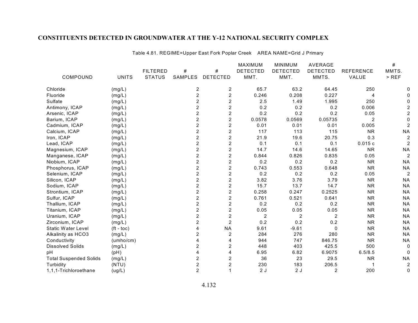|                               |                    |                 |                |                  | <b>MAXIMUM</b>  | <b>MINIMUM</b>  | AVERAGE         |                  | #              |
|-------------------------------|--------------------|-----------------|----------------|------------------|-----------------|-----------------|-----------------|------------------|----------------|
|                               |                    | <b>FILTERED</b> | #              | #                | <b>DETECTED</b> | <b>DETECTED</b> | <b>DETECTED</b> | <b>REFERENCE</b> | MMTS.          |
| COMPOUND                      | <b>UNITS</b>       | <b>STATUS</b>   | SAMPLES        | <b>DETECTED</b>  | MMT.            | MMT.            | MMTS.           | VALUE            | $>$ REF        |
| Chloride                      | (mg/L)             |                 | 2              | 2                | 65.7            | 63.2            | 64.45           | 250              |                |
| Fluoride                      | (mg/L)             |                 | $\overline{2}$ | $\overline{2}$   | 0.246           | 0.208           | 0.227           | 4                |                |
| Sulfate                       | (mg/L)             |                 | $\overline{2}$ | $\overline{c}$   | 2.5             | 1.49            | 1.995           | 250              |                |
| Antimony, ICAP                | (mg/L)             |                 | $\overline{2}$ | $\overline{2}$   | 0.2             | 0.2             | 0.2             | 0.006            |                |
| Arsenic, ICAP                 | (mg/L)             |                 | $\overline{c}$ | $\overline{c}$   | 0.2             | 0.2             | 0.2             | 0.05             |                |
| Barium, ICAP                  | (mg/L)             |                 | $\overline{2}$ | $\overline{c}$   | 0.0578          | 0.0569          | 0.05735         | $\overline{2}$   |                |
| Cadmium, ICAP                 | (mg/L)             |                 | $\overline{2}$ | $\overline{2}$   | 0.01            | 0.01            | 0.01            | 0.005            |                |
| Calcium, ICAP                 | (mg/L)             |                 | $\overline{2}$ | $\overline{2}$   | 117             | 113             | 115             | <b>NR</b>        | <b>NA</b>      |
| Iron, ICAP                    | (mg/L)             |                 | $\overline{2}$ | $\overline{2}$   | 21.9            | 19.6            | 20.75           | 0.3              | $\overline{c}$ |
| Lead, ICAP                    | (mg/L)             |                 | $\overline{c}$ | $\overline{c}$   | 0.1             | 0.1             | 0.1             | 0.015c           | $\overline{c}$ |
| Magnesium, ICAP               | (mg/L)             |                 | $\overline{c}$ | $\overline{c}$   | 14.7            | 14.6            | 14.65           | <b>NR</b>        | <b>NA</b>      |
| Manganese, ICAP               | (mg/L)             |                 | $\overline{c}$ | $\overline{c}$   | 0.844           | 0.826           | 0.835           | 0.05             |                |
| Niobium, ICAP                 | (mg/L)             |                 | $\overline{c}$ | $\overline{c}$   | 0.2             | 0.2             | 0.2             | <b>NR</b>        | <b>NA</b>      |
| Phosphorus, ICAP              | (mg/L)             |                 | $\overline{2}$ | $\overline{2}$   | 0.743           | 0.553           | 0.648           | <b>NR</b>        | <b>NA</b>      |
| Selenium, ICAP                | (mg/L)             |                 | $\overline{2}$ | $\overline{c}$   | 0.2             | 0.2             | 0.2             | 0.05             | $\overline{c}$ |
| Silicon, ICAP                 | (mg/L)             |                 | $\overline{2}$ | $\overline{c}$   | 3.82            | 3.76            | 3.79            | <b>NR</b>        | <b>NA</b>      |
| Sodium, ICAP                  | (mg/L)             |                 | $\overline{c}$ | $\overline{c}$   | 15.7            | 13.7            | 14.7            | <b>NR</b>        | <b>NA</b>      |
| Strontium, ICAP               | (mg/L)             |                 | 2              | $\overline{c}$   | 0.258           | 0.247           | 0.2525          | <b>NR</b>        | <b>NA</b>      |
| Sulfur, ICAP                  | (mg/L)             |                 | $\overline{2}$ | $\overline{c}$   | 0.761           | 0.521           | 0.641           | <b>NR</b>        | <b>NA</b>      |
| Thallium, ICAP                | (mg/L)             |                 | $\overline{2}$ | $\overline{2}$   | 0.2             | 0.2             | 0.2             | <b>NR</b>        | <b>NA</b>      |
| Titanium, ICAP                | (mg/L)             |                 | $\overline{2}$ | $\overline{2}$   | 0.05            | 0.05            | 0.05            | <b>NR</b>        | <b>NA</b>      |
| Uranium, ICAP                 | (mg/L)             |                 | $\overline{2}$ | $\overline{c}$   | $\overline{2}$  | 2               | 2               | <b>NR</b>        | <b>NA</b>      |
| Zirconium, ICAP               | (mg/L)             |                 | $\overline{c}$ | $\overline{2}$   | 0.2             | 0.2             | 0.2             | <b>NR</b>        | <b>NA</b>      |
| Static Water Level            | $(t - \text{toc})$ |                 | 4              | <b>NA</b>        | 9.61            | $-9.61$         | $\Omega$        | <b>NR</b>        | <b>NA</b>      |
| Alkalinity as HCO3            | (mg/L)             |                 | 2              | $\overline{2}$   | 284             | 276             | 280             | <b>NR</b>        | <b>NA</b>      |
| Conductivity                  | (umbo/cm)          |                 | 4              | 4                | 944             | 747             | 846.75          | <b>NR</b>        | <b>NA</b>      |
| <b>Dissolved Solids</b>       | (mg/L)             |                 | $\overline{2}$ | $\overline{2}$   | 448             | 403             | 425.5           | 500              | 0              |
| pH                            | (pH)               |                 | 4              | 4                | 6.95            | 6.82            | 6.9075          | 6.5/8.5          |                |
| <b>Total Suspended Solids</b> | (mg/L)             |                 | $\overline{2}$ | $\boldsymbol{2}$ | 36              | 23              | 29.5            | <b>NR</b>        | <b>NA</b>      |
| Turbidity                     | (NTU)              |                 | $\overline{c}$ | 2                | 230             | 183             | 206.5           |                  |                |
| 1,1,1-Trichloroethane         | (ug/L)             |                 | $\overline{2}$ |                  | 2J              | 2J              | 2               | 200              | 0              |

Table 4.81. REGIME=Upper East Fork Poplar Creek AREA NAME=Grid J Primary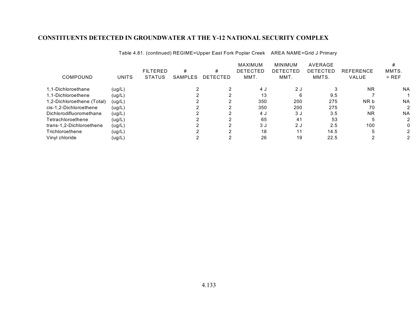| COMPOUND                   | UNITS  | <b>FILTERED</b><br><b>STATUS</b> | #<br>SAMPLES | #<br><b>DETECTED</b> | <b>MAXIMUM</b><br><b>DETECTED</b><br>MMT. | <b>MINIMUM</b><br><b>DETECTED</b><br>MMT. | AVERAGE<br>DETECTED<br>MMTS. | <b>REFERENCE</b><br><b>VALUE</b> | MMTS.<br>$>$ REF |
|----------------------------|--------|----------------------------------|--------------|----------------------|-------------------------------------------|-------------------------------------------|------------------------------|----------------------------------|------------------|
| 1.1-Dichloroethane         | (ug/L) |                                  |              |                      | 4 J                                       | 2 J                                       |                              | <b>NR</b>                        | <b>NA</b>        |
| 1.1-Dichloroethene         | (ug/L) |                                  |              |                      | 13                                        | 6                                         | 9.5                          |                                  |                  |
| 1,2-Dichloroethene (Total) | (ug/L) |                                  |              |                      | 350                                       | 200                                       | 275                          | NR b                             | <b>NA</b>        |
| cis-1,2-Dichloroethene     | (ug/L) |                                  |              |                      | 350                                       | 200                                       | 275                          | 70                               | 2                |
| Dichlorodifluoromethane    | (ug/L) |                                  |              |                      | 4 J                                       | 3 J                                       | 3.5                          | <b>NR</b>                        | <b>NA</b>        |
| Tetrachloroethene          | (ug/L) |                                  |              |                      | 65                                        | 41                                        | 53                           |                                  | 2                |
| trans-1,2-Dichloroethene   | (ug/L) |                                  |              |                      | 3J                                        | 2 J                                       | 2.5                          | 100                              |                  |
| Trichloroethene            | (ug/L) |                                  |              |                      | 18                                        | 11                                        | 14.5                         |                                  |                  |
| Vinyl chloride             | (ug/L) |                                  |              |                      | 26                                        | 19                                        | 22.5                         |                                  |                  |

Table 4.81. (continued) REGIME=Upper East Fork Poplar Creek AREA NAME=Grid J Primary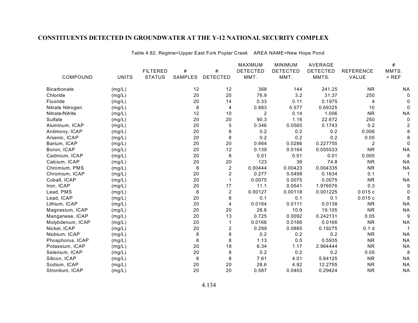|                    |              |                 |                |                         | MAXIMUM         | <b>MINIMUM</b>  | <b>AVERAGE</b>  |                  | $\#$      |
|--------------------|--------------|-----------------|----------------|-------------------------|-----------------|-----------------|-----------------|------------------|-----------|
|                    |              | <b>FILTERED</b> | #              | $\#$                    | <b>DETECTED</b> | <b>DETECTED</b> | <b>DETECTED</b> | <b>REFERENCE</b> | MMTS.     |
| COMPOUND           | <b>UNITS</b> | <b>STATUS</b>   | <b>SAMPLES</b> | <b>DETECTED</b>         | MMT.            | MMT.            | MMTS.           | VALUE            | $>$ REF   |
| <b>Bicarbonate</b> | (mg/L)       |                 | 12             | 12                      | 368             | 144             | 241.25          | <b>NR</b>        | <b>NA</b> |
| Chloride           | (mg/L)       |                 | 20             | 20                      | 76.9            | 3.2             | 31.37           | 250              |           |
| Fluoride           | (mg/L)       |                 | 20             | 14                      | 0.33            | 0.11            | 0.1975          | 4                |           |
| Nitrate Nitrogen   | (mg/L)       |                 | 8              | 4                       | 0.883           | 0.577           | 0.69325         | 10               |           |
| Nitrate/Nitrite    | (mg/L)       |                 | 12             | 10                      | $\overline{2}$  | 0.14            | 1.006           | <b>NR</b>        | <b>NA</b> |
| Sulfate            | (mg/L)       |                 | 20             | 20                      | 90.3            | 1.16            | 22.672          | 250              |           |
| Aluminum, ICAP     | (mg/L)       |                 | 20             | 5                       | 0.346           | 0.0565          | 0.1743          | 0.2              |           |
| Antimony, ICAP     | (mg/L)       |                 | 20             | 8                       | 0.2             | 0.2             | 0.2             | 0.006            |           |
| Arsenic, ICAP      | (mg/L)       |                 | 20             | 8                       | 0.2             | 0.2             | 0.2             | 0.05             |           |
| Barium, ICAP       | (mg/L)       |                 | 20             | 20                      | 0.664           | 0.0286          | 0.227755        | 2                | 0         |
| Boron, ICAP        | (mg/L)       |                 | 20             | 12                      | 0.139           | 0.0164          | 0.055533        | <b>NR</b>        | <b>NA</b> |
| Cadmium, ICAP      | (mg/L)       |                 | 20             | 8                       | 0.01            | 0.01            | 0.01            | 0.005            | 8         |
| Calcium, ICAP      | (mg/L)       |                 | 20             | 20                      | 123             | 36              | 74.8            | <b>NR</b>        | <b>NA</b> |
| Chromium, PMS      | (mg/L)       |                 | 8              | $\overline{c}$          | 0.00444         | 0.00423         | 0.004335        | <b>NR</b>        | <b>NA</b> |
| Chromium, ICAP     | (mg/L)       |                 | 20             | 2                       | 0.277           | 0.0498          | 0.1634          | 0.1              |           |
| Cobalt, ICAP       | (mg/L)       |                 | 20             |                         | 0.0075          | 0.0075          | 0.0075          | <b>NR</b>        | <b>NA</b> |
| Iron, ICAP         | (mg/L)       |                 | 20             | 17                      | 11.1            | 0.0541          | 1.976576        | 0.3              |           |
| Lead, PMS          | (mg/L)       |                 | 8              | $\overline{c}$          | 0.00127         | 0.00118         | 0.001225        | 0.015c           |           |
| Lead, ICAP         | (mg/L)       |                 | 20             | 8                       | 0.1             | 0.1             | 0.1             | 0.015c           | 8         |
| Lithium, ICAP      | (mg/L)       |                 | 20             | 4                       | 0.0164          | 0.0111          | 0.0138          | <b>NR</b>        | <b>NA</b> |
| Magnesium, ICAP    | (mg/L)       |                 | 20             | 20                      | 26.8            | 10.9            | 19.105          | <b>NR</b>        | <b>NA</b> |
| Manganese, ICAP    | (mg/L)       |                 | 20             | 13                      | 0.725           | 0.0092          | 0.242131        | 0.05             | 9         |
| Molybdenum, ICAP   | (mg/L)       |                 | 20             |                         | 0.0166          | 0.0166          | 0.0166          | <b>NR</b>        | <b>NA</b> |
| Nickel, ICAP       | (mg/L)       |                 | 20             | $\overline{\mathbf{c}}$ | 0.299           | 0.0865          | 0.19275         | 0.1 <sub>d</sub> |           |
| Niobium, ICAP      | (mg/L)       |                 | 8              | 8                       | 0.2             | 0.2             | 0.2             | <b>NR</b>        | <b>NA</b> |
| Phosphorus, ICAP   | (mg/L)       |                 | 8              | 8                       | 1.13            | 0.5             | 0.5935          | <b>NR</b>        | <b>NA</b> |
| Potassium, ICAP    | (mg/L)       |                 | 20             | 18                      | 6.34            | 1.17            | 2.964444        | <b>NR</b>        | <b>NA</b> |
| Selenium, ICAP     | (mg/L)       |                 | 20             | 8                       | 0.2             | 0.2             | 0.2             | 0.05             | 8         |
| Silicon, ICAP      | (mg/L)       |                 | 8              | 8                       | 7.61            | 4.01            | 5.64125         | <b>NR</b>        | <b>NA</b> |
| Sodium, ICAP       | (mg/L)       |                 | 20             | 20                      | 28.6            | 4.92            | 12.2755         | <b>NR</b>        | <b>NA</b> |
| Strontium, ICAP    | (mg/L)       |                 | 20             | 20                      | 0.587           | 0.0403          | 0.29424         | <b>NR</b>        | <b>NA</b> |

Table 4.82. Regime=Upper East Fork Poplar Creek AREA NAME=New Hope Pond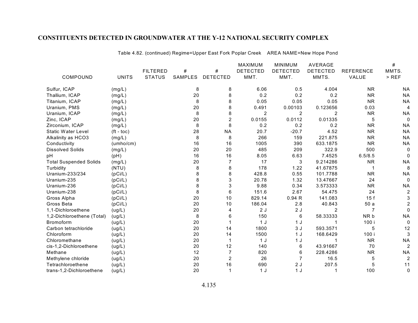|                               |              |                 |         |                 | <b>MAXIMUM</b>  | <b>MINIMUM</b>  | AVERAGE         |                  | #              |
|-------------------------------|--------------|-----------------|---------|-----------------|-----------------|-----------------|-----------------|------------------|----------------|
|                               |              | <b>FILTERED</b> | #       | #               | <b>DETECTED</b> | <b>DETECTED</b> | <b>DETECTED</b> | <b>REFERENCE</b> | MMTS.          |
| COMPOUND                      | <b>UNITS</b> | <b>STATUS</b>   | SAMPLES | <b>DETECTED</b> | MMT.            | MMT.            | MMTS.           | VALUE            | $>$ REF        |
| Sulfur, ICAP                  | (mg/L)       |                 | 8       | 8               | 6.06            | 0.5             | 4.004           | <b>NR</b>        | <b>NA</b>      |
| Thallium, ICAP                | (mg/L)       |                 | 20      | 8               | 0.2             | 0.2             | 0.2             | <b>NR</b>        | <b>NA</b>      |
| Titanium, ICAP                | (mg/L)       |                 | 8       | 8               | 0.05            | 0.05            | 0.05            | <b>NR</b>        | <b>NA</b>      |
| Uranium, PMS                  | (mg/L)       |                 | 20      | 8               | 0.491           | 0.00103         | 0.123656        | 0.03             | 4              |
| Uranium, ICAP                 | (mg/L)       |                 | 8       | 8               | 2               | $\overline{c}$  | 2               | <b>NR</b>        | <b>NA</b>      |
| Zinc, ICAP                    | (mg/L)       |                 | 20      | $\overline{c}$  | 0.0155          | 0.0112          | 0.01335         | 5                | $\mathbf 0$    |
| Zirconium, ICAP               | (mg/L)       |                 | 8       | 8               | 0.2             | 0.2             | 0.2             | <b>NR</b>        | <b>NA</b>      |
| <b>Static Water Level</b>     | $(ft - toc)$ |                 | 28      | <b>NA</b>       | 20.7            | $-20.7$         | 4.52            | <b>NR</b>        | <b>NA</b>      |
| Alkalinity as HCO3            | (mg/L)       |                 | 8       | 8               | 266             | 159             | 221.875         | <b>NR</b>        | <b>NA</b>      |
| Conductivity                  | (umbo/cm)    |                 | 16      | 16              | 1005            | 390             | 633.1875        | <b>NR</b>        | <b>NA</b>      |
| <b>Dissolved Solids</b>       | (mg/L)       |                 | 20      | 20              | 485             | 209             | 322.9           | 500              | 0              |
| pH                            | (pH)         |                 | 16      | 16              | 8.05            | 6.63            | 7.4525          | 6.5/8.5          | 0              |
| <b>Total Suspended Solids</b> | (mg/L)       |                 | 20      | 7               | 17              | 3               | 9.214286        | <b>NR</b>        | <b>NA</b>      |
| Turbidity                     | (NTU)        |                 | 8       | 8               | 178             | 1.22            | 41.67875        |                  | 8              |
| Uranium-233/234               | (pCi/L)      |                 | 8       | 8               | 428.8           | 0.55            | 101.7788        | <b>NR</b>        | <b>NA</b>      |
| Uranium-235                   | (pCi/L)      |                 | 8       | 3               | 20.78           | 1.32            | 13.47667        | 24               | $\mathbf 0$    |
| Uranium-236                   | (pCi/L)      |                 | 8       | 3               | 9.88            | 0.34            | 3.573333        | <b>NR</b>        | <b>NA</b>      |
| Uranium-238                   | (pCi/L)      |                 | 8       | 6               | 151.6           | 2.67            | 54.475          | 24               | $\overline{c}$ |
| Gross Alpha                   | (pCi/L)      |                 | 20      | 10              | 829.14          | 0.94R           | 141.083         | 15f              | 3              |
| Gross Beta                    | (pCi/L)      |                 | 20      | 10              | 186.04          | 2.8             | 40.843          | 50a              |                |
| 1,1-Dichloroethene            | (ug/L)       |                 | 20      | 4               | 2J              | 2J              | 2               | 7                | 0              |
| 1,2-Dichloroethene (Total)    | (ug/L)       |                 | 8       | 6               | 150             | 6               | 58.33333        | NR b             | <b>NA</b>      |
| <b>Bromoform</b>              | (ug/L)       |                 | 20      |                 | 1J              | 1J              |                 | 100 i            | $\mathbf 0$    |
| Carbon tetrachloride          | (ug/L)       |                 | 20      | 14              | 1800            | 3J              | 593.3571        | 5                | 12             |
| Chloroform                    | (ug/L)       |                 | 20      | 14              | 1500            | 1J              | 168.6429        | 100 i            | 3              |
| Chloromethane                 | (ug/L)       |                 | 20      |                 | 1J              | 1 <sub>J</sub>  |                 | <b>NR</b>        | <b>NA</b>      |
| cis-1,2-Dichloroethene        | (ug/L)       |                 | 20      | 12              | 140             | 6               | 43.91667        | 70               | $\overline{c}$ |
| Methane                       | (ug/L)       |                 | 12      | $\overline{7}$  | 820             | 6               | 228.4286        | <b>NR</b>        | <b>NA</b>      |
| Methylene chloride            | (ug/L)       |                 | 20      | $\overline{2}$  | 26              |                 | 16.5            | 5                | $\overline{c}$ |
| Tetrachloroethene             | (ug/L)       |                 | 20      | 16              | 690             | 2J              | 207.5           | 5                | 11             |
| trans-1,2-Dichloroethene      | (ug/L)       |                 | 20      | $\mathbf 1$     | 1J              | 1 <sub>J</sub>  |                 | 100              | 0              |

Table 4.82. (continued) Regime=Upper East Fork Poplar Creek AREA NAME=New Hope Pond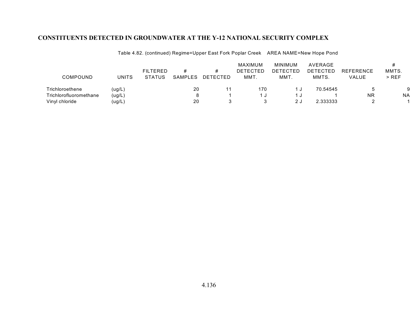| <b>COMPOUND</b>        | <b>UNITS</b> | <b>FILTERED</b><br><b>STATUS</b> | #<br><b>SAMPLES</b> | DETECTED | MAXIMUM<br><b>DETECTED</b><br>MMT. | <b>MINIMUM</b><br><b>DETECTED</b><br>MMT. | AVERAGE<br>DETECTED<br>MMTS. | <b>REFERENCE</b><br>VALUE | MMTS.<br>$>$ REF |
|------------------------|--------------|----------------------------------|---------------------|----------|------------------------------------|-------------------------------------------|------------------------------|---------------------------|------------------|
| Trichloroethene        | (ug/L)       |                                  | 20                  | 11       | 170                                |                                           | 70.54545                     |                           | 9                |
| Trichlorofluoromethane | (ug/L)       |                                  |                     |          | 1 ປ                                |                                           |                              | ΝR                        | <b>NA</b>        |
| Vinyl chloride         | (ug/L)       |                                  | 20                  |          |                                    |                                           | 2.333333                     |                           |                  |

Table 4.82. (continued) Regime=Upper East Fork Poplar Creek AREA NAME=New Hope Pond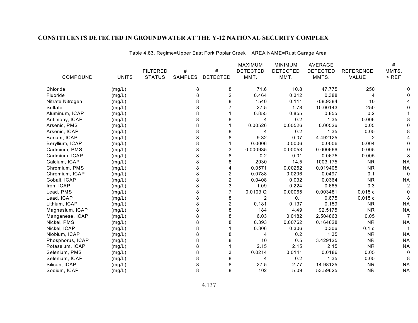|                  |              |                 |                |                 | MAXIMUM         | <b>MINIMUM</b>  | <b>AVERAGE</b>  |                  | #         |
|------------------|--------------|-----------------|----------------|-----------------|-----------------|-----------------|-----------------|------------------|-----------|
|                  |              | <b>FILTERED</b> | #              | #               | <b>DETECTED</b> | <b>DETECTED</b> | <b>DETECTED</b> | <b>REFERENCE</b> | MMTS.     |
| COMPOUND         | <b>UNITS</b> | <b>STATUS</b>   | <b>SAMPLES</b> | <b>DETECTED</b> | MMT.            | MMT.            | MMTS.           | VALUE            | $>$ REF   |
| Chloride         | (mg/L)       |                 | 8              | 8               | 71.6            | 10.8            | 47.775          | 250              |           |
| Fluoride         | (mg/L)       |                 | 8              | 2               | 0.464           | 0.312           | 0.388           | 4                |           |
| Nitrate Nitrogen | (mg/L)       |                 | 8              | 8               | 1540            | 0.111           | 708.9384        | 10               |           |
| Sulfate          | (mg/L)       |                 | 8              |                 | 27.5            | 1.78            | 10.00143        | 250              |           |
| Aluminum, ICAP   | (mg/L)       |                 | 8              |                 | 0.855           | 0.855           | 0.855           | 0.2              |           |
| Antimony, ICAP   | (mg/L)       |                 | 8              | 8               | 4               | 0.2             | 1.35            | 0.006            |           |
| Arsenic, PMS     | (mg/L)       |                 | 8              |                 | 0.00526         | 0.00526         | 0.00526         | 0.05             |           |
| Arsenic, ICAP    | (mg/L)       |                 | 8              | 8               | 4               | 0.2             | 1.35            | 0.05             |           |
| Barium, ICAP     | (mg/L)       |                 | 8              | 8               | 9.32            | 0.07            | 4.492125        | $\overline{2}$   |           |
| Beryllium, ICAP  | (mg/L)       |                 | 8              |                 | 0.0006          | 0.0006          | 0.0006          | 0.004            |           |
| Cadmium, PMS     | (mg/L)       |                 | 8              | 3               | 0.000935        | 0.00053         | 0.000666        | 0.005            |           |
| Cadmium, ICAP    | (mg/L)       |                 | 8              | 8               | 0.2             | 0.01            | 0.0675          | 0.005            |           |
| Calcium, ICAP    | (mg/L)       |                 | 8              | 8               | 2030            | 14.5            | 1003.175        | <b>NR</b>        | <b>NA</b> |
| Chromium, PMS    | (mg/L)       |                 | 8              | 4               | 0.0571          | 0.00252         | 0.019405        | <b>NR</b>        | <b>NA</b> |
| Chromium, ICAP   | (mg/L)       |                 | 8              | $\overline{2}$  | 0.0788          | 0.0206          | 0.0497          | 0.1              |           |
| Cobalt, ICAP     | (mg/L)       |                 | 8              | $\overline{c}$  | 0.0408          | 0.032           | 0.0364          | <b>NR</b>        | <b>NA</b> |
| Iron, ICAP       | (mg/L)       |                 | 8              | 3               | 1.09            | 0.224           | 0.685           | 0.3              | 2         |
| Lead, PMS        | (mg/L)       |                 | 8              | $\overline{7}$  | 0.0103 Q        | 0.00065         | 0.003481        | 0.015c           |           |
| Lead, ICAP       | (mg/L)       |                 | 8              | 8               | $\overline{2}$  | 0.1             | 0.675           | 0.015c           |           |
| Lithium, ICAP    | (mg/L)       |                 | 8              | $\overline{c}$  | 0.181           | 0.137           | 0.159           | <b>NR</b>        | <b>NA</b> |
| Magnesium, ICAP  | (mg/L)       |                 | 8              | 8               | 184             | 4.49            | 92.5175         | <b>NR</b>        | <b>NA</b> |
| Manganese, ICAP  | (mg/L)       |                 | 8              | 8               | 6.03            | 0.0182          | 2.504863        | 0.05             | 7         |
| Nickel, PMS      | (mg/L)       |                 | 8              | 8               | 0.393           | 0.00762         | 0.164628        | <b>NR</b>        | <b>NA</b> |
| Nickel, ICAP     | (mg/L)       |                 | 8              |                 | 0.306           | 0.306           | 0.306           | 0.1 <sub>d</sub> |           |
| Niobium, ICAP    | (mg/L)       |                 | 8              | 8               | 4               | 0.2             | 1.35            | <b>NR</b>        | <b>NA</b> |
| Phosphorus, ICAP | (mg/L)       |                 | 8              | 8               | 10              | 0.5             | 3.429125        | <b>NR</b>        | <b>NA</b> |
| Potassium, ICAP  | (mg/L)       |                 | 8              |                 | 2.15            | 2.15            | 2.15            | <b>NR</b>        | <b>NA</b> |
| Selenium, PMS    | (mg/L)       |                 | 8              | 3               | 0.0214          | 0.0141          | 0.0186          | 0.05             |           |
| Selenium, ICAP   | (mg/L)       |                 | 8              | 8               | 4               | 0.2             | 1.35            | 0.05             | 8         |
| Silicon, ICAP    | (mg/L)       |                 | 8              | 8               | 27.5            | 2.77            | 14.98125        | <b>NR</b>        | <b>NA</b> |
| Sodium, ICAP     | (mg/L)       |                 | 8              | 8               | 102             | 5.09            | 53.59625        | <b>NR</b>        | <b>NA</b> |

Table 4.83. Regime=Upper East Fork Poplar Creek AREA NAME=Rust Garage Area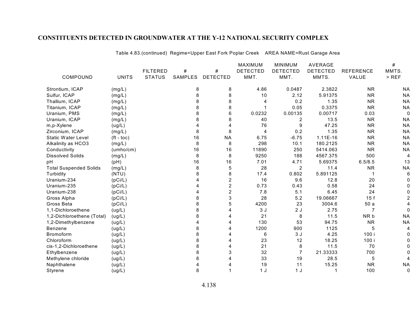|                               |                    |                 |         |                         | <b>MAXIMUM</b>  | MINIMUM         | AVERAGE         |                  | #         |
|-------------------------------|--------------------|-----------------|---------|-------------------------|-----------------|-----------------|-----------------|------------------|-----------|
|                               |                    | <b>FILTERED</b> | #       | #                       | <b>DETECTED</b> | <b>DETECTED</b> | <b>DETECTED</b> | <b>REFERENCE</b> | MMTS.     |
| COMPOUND                      | <b>UNITS</b>       | <b>STATUS</b>   | SAMPLES | <b>DETECTED</b>         | MMT.            | MMT.            | MMTS.           | VALUE            | $>$ REF   |
| Strontium, ICAP               | (mg/L)             |                 | 8       | 8                       | 4.86            | 0.0487          | 2.3822          | <b>NR</b>        | <b>NA</b> |
| Sulfur, ICAP                  | (mg/L)             |                 | 8       | 8                       | 10              | 2.12            | 5.91375         | <b>NR</b>        | <b>NA</b> |
| Thallium, ICAP                | (mg/L)             |                 | 8       | 8                       | 4               | 0.2             | 1.35            | <b>NR</b>        | <b>NA</b> |
| Titanium, ICAP                | (mg/L)             |                 | 8       | 8                       |                 | 0.05            | 0.3375          | <b>NR</b>        | <b>NA</b> |
| Uranium, PMS                  | (mg/L)             |                 | 8       | 6                       | 0.0232          | 0.00135         | 0.00717         | 0.03             | 0         |
| Uranium, ICAP                 | (mg/L)             |                 | 8       | 8                       | 40              | 2               | 13.5            | <b>NR</b>        | <b>NA</b> |
| m,p-Xylene                    | (ug/L)             |                 |         | 4                       | 76              | 9               | 47.25           | <b>NR</b>        | <b>NA</b> |
| Zirconium, ICAP               | (mg/L)             |                 | 8       | 8                       | 4               | 0.2             | 1.35            | <b>NR</b>        | <b>NA</b> |
| <b>Static Water Level</b>     | $(t - \text{toc})$ |                 | 16      | <b>NA</b>               | 6.75            | $-6.75$         | $1.11E-16$      | <b>NR</b>        | <b>NA</b> |
| Alkalinity as HCO3            | (mg/L)             |                 | 8       | 8                       | 298             | 10.1            | 180.2125        | <b>NR</b>        | <b>NA</b> |
| Conductivity                  | (umho/cm)          |                 | 16      | 16                      | 11890           | 250             | 5414.063        | <b>NR</b>        | <b>NA</b> |
| <b>Dissolved Solids</b>       | (mg/L)             |                 | 8       | 8                       | 9250            | 188             | 4567.375        | 500              | 4         |
| pH                            | (pH)               |                 | 16      | 16                      | 7.01            | 4.71            | 5.69375         | 6.5/8.5          | 13        |
| <b>Total Suspended Solids</b> | (mg/L)             |                 | 8       | 5                       | 28              | $\overline{2}$  | 11.4            | <b>NR</b>        | <b>NA</b> |
| Turbidity                     | (NTU)              |                 | 8       | 8                       | 17.4            | 0.802           | 5.891125        |                  | 6         |
| Uranium-234                   | (pCi/L)            |                 |         | $\overline{\mathbf{c}}$ | 16              | 9.6             | 12.8            | 20               |           |
| Uranium-235                   | (pCi/L)            |                 |         | $\overline{c}$          | 0.73            | 0.43            | 0.58            | 24               |           |
| Uranium-238                   | (pCi/L)            |                 |         | $\overline{c}$          | 7.8             | 5.1             | 6.45            | 24               |           |
| Gross Alpha                   | (pCi/L)            |                 | 8       | 3                       | 28              | 5.2             | 19.06667        | 15f              |           |
| Gross Beta                    | (pCi/L)            |                 | 8       | 5                       | 4200            | 23              | 3004.6          | 50a              |           |
| 1,1-Dichloroethene            | (ug/L)             |                 | 8       | 4                       | 3J              | 2J              | 2.75            | 7                |           |
| 1,2-Dichloroethene (Total)    | (ug/L)             |                 | 8       | 4                       | 21              | 8               | 11.5            | NR b             | <b>NA</b> |
| 1,2-Dimethylbenzene           | (ug/L)             |                 |         | 4                       | 130             | 53              | 94.75           | <b>NR</b>        | <b>NA</b> |
| Benzene                       | (ug/L)             |                 | 8       | 4                       | 1200            | 900             | 1125            | 5                |           |
| Bromoform                     | (ug/L)             |                 | 8       |                         | 6               | 3J              | 4.25            | 100 i            |           |
| Chloroform                    | (ug/L)             |                 | 8       | 4                       | 23              | 12              | 18.25           | 100 i            |           |
| cis-1,2-Dichloroethene        | (ug/L)             |                 | 8       | 4                       | 21              | 8               | 11.5            | 70               |           |
| Ethylbenzene                  | (ug/L)             |                 | 8       | 3                       | 32              | 7               | 21.33333        | 700              |           |
| Methylene chloride            | (ug/L)             |                 | 8       |                         | 33              | 19              | 28.5            | 5                |           |
| Naphthalene                   | (ug/L)             |                 |         |                         | 19              | 11              | 15.25           | <b>NR</b>        | <b>NA</b> |
| Styrene                       | (ug/L)             |                 | 8       |                         | 1J              | 1 J             |                 | 100              | 0         |

Table 4.83.(continued) Regime=Upper East Fork Poplar Creek AREA NAME=Rust Garage Area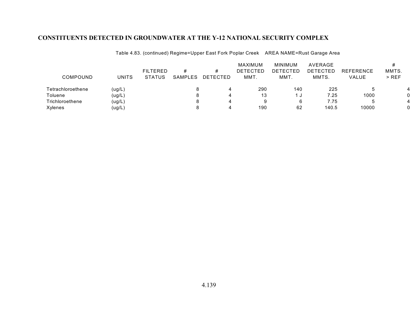| <b>COMPOUND</b>   | <b>UNITS</b> | <b>FILTERED</b><br><b>STATUS</b> | #<br>SAMPLES | <b>DETECTED</b> | <b>MAXIMUM</b><br>DETECTED<br>MMT. | MINIMUM<br>DETECTED<br>MMT. | AVERAGE<br><b>DETECTED</b><br>MMTS. | <b>REFERENCE</b><br>VALUE | MMTS.<br>$>$ REF |
|-------------------|--------------|----------------------------------|--------------|-----------------|------------------------------------|-----------------------------|-------------------------------------|---------------------------|------------------|
| Tetrachloroethene | (ug/L)       |                                  |              |                 | 290                                | 140                         | 225                                 |                           |                  |
| Toluene           | (ug/L)       |                                  |              |                 | 13                                 | ు                           | 7.25                                | 1000                      |                  |
| Trichloroethene   | (ug/L)       |                                  |              |                 |                                    |                             | 7.75                                |                           |                  |
| Xylenes           | (ug/L        |                                  |              |                 | 190                                | 62                          | 140.5                               | 10000                     |                  |

Table 4.83. (continued) Regime=Upper East Fork Poplar Creek AREA NAME=Rust Garage Area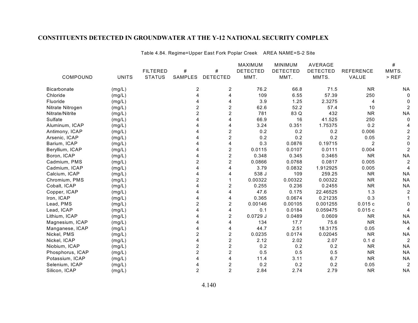Table 4.84. Regime=Upper East Fork Poplar Creek AREA NAME=S-2 Site

|                    |              |                 |                |                         | <b>MAXIMUM</b>  | <b>MINIMUM</b>  | <b>AVERAGE</b>  |                  | $\#$           |
|--------------------|--------------|-----------------|----------------|-------------------------|-----------------|-----------------|-----------------|------------------|----------------|
|                    |              | <b>FILTERED</b> | #              | $\#$                    | <b>DETECTED</b> | <b>DETECTED</b> | <b>DETECTED</b> | <b>REFERENCE</b> | MMTS.          |
| COMPOUND           | <b>UNITS</b> | <b>STATUS</b>   | <b>SAMPLES</b> | <b>DETECTED</b>         | MMT.            | MMT.            | MMTS.           | VALUE            | $>$ REF        |
| <b>Bicarbonate</b> | (mg/L)       |                 | 2              | 2                       | 76.2            | 66.8            | 71.5            | <b>NR</b>        | ΝA             |
| Chloride           | (mg/L)       |                 | 4              | 4                       | 109             | 6.55            | 57.39           | 250              | 0              |
| Fluoride           | (mg/L)       |                 |                | 4                       | 3.9             | 1.25            | 2.3275          | 4                | 0              |
| Nitrate Nitrogen   | (mg/L)       |                 | 2              | 2                       | 62.6            | 52.2            | 57.4            | 10               | 2              |
| Nitrate/Nitrite    | (mg/L)       |                 | $\overline{c}$ | $\overline{2}$          | 781             | 83 Q            | 432             | <b>NR</b>        | <b>NA</b>      |
| Sulfate            | (mg/L)       |                 |                | 4                       | 66.9            | 16              | 41.525          | 250              | 0              |
| Aluminum, ICAP     | (mg/L)       |                 |                | 4                       | 3.24            | 0.351           | 1.75375         | 0.2              |                |
| Antimony, ICAP     | (mg/L)       |                 |                | $\boldsymbol{2}$        | 0.2             | 0.2             | 0.2             | 0.006            | 2              |
| Arsenic, ICAP      | (mg/L)       |                 |                | $\overline{2}$          | 0.2             | 0.2             | 0.2             | 0.05             | $\overline{c}$ |
| Barium, ICAP       | (mg/L)       |                 |                | 4                       | 0.3             | 0.0876          | 0.19715         | 2                | 0              |
| Beryllium, ICAP    | (mg/L)       |                 |                | $\overline{2}$          | 0.0115          | 0.0107          | 0.0111          | 0.004            | 2              |
| Boron, ICAP        | (mg/L)       |                 |                | $\overline{2}$          | 0.348           | 0.345           | 0.3465          | <b>NR</b>        | <b>NA</b>      |
| Cadmium, PMS       | (mg/L)       |                 | 2              | $\overline{2}$          | 0.0866          | 0.0768          | 0.0817          | 0.005            | $\overline{c}$ |
| Cadmium, ICAP      | (mg/L)       |                 |                | 4                       | 3.79            | 0.0832          | 1.912925        | 0.005            |                |
| Calcium, ICAP      | (mg/L)       |                 |                | 4                       | 538 J           | 109             | 259.25          | <b>NR</b>        | <b>NA</b>      |
| Chromium, PMS      | (mg/L)       |                 | $\overline{2}$ |                         | 0.00322         | 0.00322         | 0.00322         | <b>NR</b>        | <b>NA</b>      |
| Cobalt, ICAP       | (mg/L)       |                 |                | 2                       | 0.255           | 0.236           | 0.2455          | <b>NR</b>        | <b>NA</b>      |
| Copper, ICAP       | (mg/L)       |                 |                | 4                       | 47.6            | 0.175           | 22.46525        | 1.3              | $\overline{c}$ |
| Iron, ICAP         | (mg/L)       |                 |                | 4                       | 0.365           | 0.0674          | 0.21235         | 0.3              |                |
| Lead, PMS          | (mg/L)       |                 | 2              | $\overline{\mathbf{c}}$ | 0.00146         | 0.00105         | 0.001255        | 0.015c           |                |
| Lead, ICAP         | (mg/L)       |                 |                | 4                       | 0.1             | 0.0184          | 0.059475        | 0.015c           |                |
| Lithium, ICAP      | (mg/L)       |                 |                | $\boldsymbol{2}$        | $0.0729$ J      | 0.0489          | 0.0609          | <b>NR</b>        | <b>NA</b>      |
| Magnesium, ICAP    | (mg/L)       |                 |                | 4                       | 134             | 17.7            | 75.6            | <b>NR</b>        | <b>NA</b>      |
| Manganese, ICAP    | (mg/L)       |                 |                | 4                       | 44.7            | 2.51            | 18.3175         | 0.05             | 4              |
| Nickel, PMS        | (mg/L)       |                 | $\overline{c}$ | $\boldsymbol{2}$        | 0.0235          | 0.0174          | 0.02045         | <b>NR</b>        | <b>NA</b>      |
| Nickel, ICAP       | (mg/L)       |                 |                | $\overline{2}$          | 2.12            | 2.02            | 2.07            | 0.1 <sub>d</sub> | 2              |
| Niobium, ICAP      | (mg/L)       |                 | $\overline{c}$ | $\overline{c}$          | 0.2             | 0.2             | 0.2             | <b>NR</b>        | <b>NA</b>      |
| Phosphorus, ICAP   | (mg/L)       |                 | $\overline{2}$ | $\overline{2}$          | 0.5             | 0.5             | 0.5             | <b>NR</b>        | <b>NA</b>      |
| Potassium, ICAP    | (mg/L)       |                 |                | 4                       | 11.4            | 3.11            | 6.7             | <b>NR</b>        | <b>NA</b>      |
| Selenium, ICAP     | (mg/L)       |                 |                | $\boldsymbol{2}$        | 0.2             | 0.2             | 0.2             | 0.05             | 2              |
| Silicon, ICAP      | (mg/L)       |                 | $\overline{2}$ | $\overline{2}$          | 2.84            | 2.74            | 2.79            | <b>NR</b>        | <b>NA</b>      |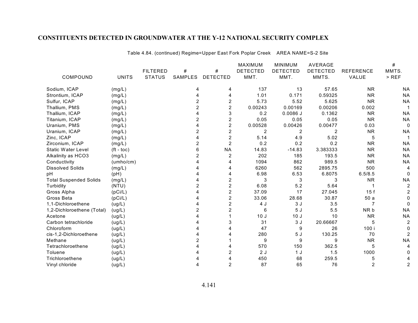|                               |                    |                 |                |                         | <b>MAXIMUM</b>  | <b>MINIMUM</b>  | <b>AVERAGE</b>  |                  | $\#$      |
|-------------------------------|--------------------|-----------------|----------------|-------------------------|-----------------|-----------------|-----------------|------------------|-----------|
|                               |                    | <b>FILTERED</b> | #              | #                       | <b>DETECTED</b> | <b>DETECTED</b> | <b>DETECTED</b> | <b>REFERENCE</b> | MMTS.     |
| COMPOUND                      | <b>UNITS</b>       | <b>STATUS</b>   | <b>SAMPLES</b> | <b>DETECTED</b>         | MMT.            | MMT.            | MMTS.           | VALUE            | $>$ REF   |
| Sodium, ICAP                  | (mg/L)             |                 |                | 4                       | 137             | 13              | 57.65           | <b>NR</b>        | <b>NA</b> |
| Strontium, ICAP               | (mg/L)             |                 |                | 4                       | 1.01            | 0.171           | 0.59325         | <b>NR</b>        | <b>NA</b> |
| Sulfur, ICAP                  | (mg/L)             |                 | 2              | $\overline{c}$          | 5.73            | 5.52            | 5.625           | <b>NR</b>        | <b>NA</b> |
| Thallium, PMS                 | (mg/L)             |                 | 2              | $\overline{c}$          | 0.00243         | 0.00169         | 0.00206         | 0.002            |           |
| Thallium, ICAP                | (mg/L)             |                 |                | 3                       | 0.2             | $0.0086$ J      | 0.1362          | <b>NR</b>        | <b>NA</b> |
| Titanium, ICAP                | (mg/L)             |                 | $\overline{c}$ | $\overline{c}$          | 0.05            | 0.05            | 0.05            | <b>NR</b>        | <b>NA</b> |
| Uranium, PMS                  | (mg/L)             |                 |                | $\overline{c}$          | 0.00528         | 0.00426         | 0.00477         | 0.03             | 0         |
| Uranium, ICAP                 | (mg/L)             |                 | 2              | $\overline{2}$          | $\overline{2}$  | 2               | 2               | <b>NR</b>        | <b>NA</b> |
| Zinc, ICAP                    | (mg/L)             |                 |                | $\overline{c}$          | 5.14            | 4.9             | 5.02            | 5                |           |
| Zirconium, ICAP               | (mg/L)             |                 | 2              | $\overline{c}$          | 0.2             | 0.2             | 0.2             | <b>NR</b>        | <b>NA</b> |
| Static Water Level            | $(t - \text{toc})$ |                 | 6              | <b>NA</b>               | 14.83           | $-14.83$        | 3.383333        | <b>NR</b>        | <b>NA</b> |
| Alkalinity as HCO3            | (mg/L)             |                 |                | 2                       | 202             | 185             | 193.5           | <b>NR</b>        | <b>NA</b> |
| Conductivity                  | (umbo/cm)          |                 |                | 4                       | 1094            | 862             | 989.5           | <b>NR</b>        | <b>NA</b> |
| <b>Dissolved Solids</b>       | (mg/L)             |                 |                | 4                       | 6260            | 562             | 2895.75         | 500              | 4         |
| pH                            | (pH)               |                 |                | 4                       | 6.98            | 6.53            | 6.8075          | 6.5/8.5          |           |
| <b>Total Suspended Solids</b> | (mg/L)             |                 |                | $\overline{\mathbf{c}}$ | 3               | 3               | 3               | <b>NR</b>        | <b>NA</b> |
| Turbidity                     | (NTU)              |                 | 2              | $\overline{2}$          | 6.08            | 5.2             | 5.64            |                  | 2         |
| Gross Alpha                   | (pCi/L)            |                 |                | $\overline{2}$          | 37.09           | 17              | 27.045          | 15f              |           |
| Gross Beta                    | (pCi/L)            |                 |                | $\overline{c}$          | 33.06           | 28.68           | 30.87           | 50a              |           |
| 1,1-Dichloroethene            | (ug/L)             |                 |                | 2                       | 4 J             | 3J              | 3.5             | 7                |           |
| 1,2-Dichloroethene (Total)    | (ug/L)             |                 |                | $\overline{\mathbf{c}}$ | 6               | 5J              | 5.5             | NR b             | <b>NA</b> |
| Acetone                       | (ug/L)             |                 |                |                         | 10J             | 10J             | 10              | <b>NR</b>        | <b>NA</b> |
| Carbon tetrachloride          | (ug/L)             |                 |                | 3                       | 31              | 3J              | 20.66667        | 5                |           |
| Chloroform                    | (ug/L)             |                 |                |                         | 47              | 9               | 26              | 100 i            |           |
| cis-1,2-Dichloroethene        | (ug/L)             |                 |                |                         | 280             | 5J              | 130.25          | 70               |           |
| Methane                       | (ug/L)             |                 |                |                         | 9               | 9               |                 | <b>NR</b>        | <b>NA</b> |
| Tetrachloroethene             | (ug/L)             |                 |                | 4                       | 570             | 150             | 362.5           | 5                |           |
| Toluene                       | (ug/L)             |                 |                | 2                       | 2J              | 1 <sub>J</sub>  | 1.5             | 1000             |           |
| Trichloroethene               | (ug/L)             |                 |                |                         | 450             | 68              | 259.5           | 5                |           |
| Vinyl chloride                | (ug/L)             |                 |                | 2                       | 87              | 65              | 76              | $\overline{2}$   |           |

Table 4.84. (continued) Regime=Upper East Fork Poplar Creek AREA NAME=S-2 Site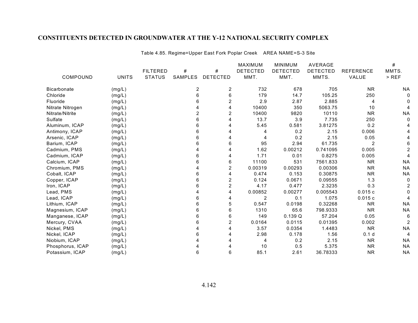Table 4.85. Regime=Upper East Fork Poplar Creek AREA NAME=S-3 Site

|                    |              |                 |                |                 | <b>MAXIMUM</b>  | <b>MINIMUM</b>  | <b>AVERAGE</b>  |                  | #         |
|--------------------|--------------|-----------------|----------------|-----------------|-----------------|-----------------|-----------------|------------------|-----------|
|                    |              | <b>FILTERED</b> | #              | #               | <b>DETECTED</b> | <b>DETECTED</b> | <b>DETECTED</b> | <b>REFERENCE</b> | MMTS.     |
| COMPOUND           | <b>UNITS</b> | <b>STATUS</b>   | SAMPLES        | <b>DETECTED</b> | MMT.            | MMT.            | MMTS.           | VALUE            | $>$ REF   |
| <b>Bicarbonate</b> | (mg/L)       |                 | $\overline{c}$ | $\overline{c}$  | 732             | 678             | 705             | <b>NR</b>        | <b>NA</b> |
| Chloride           | (mg/L)       |                 | 6              | 6               | 179             | 14.7            | 105.25          | 250              |           |
| Fluoride           | (mg/L)       |                 | 6              | $\overline{2}$  | 2.9             | 2.87            | 2.885           | 4                |           |
| Nitrate Nitrogen   | (mg/L)       |                 |                | 4               | 10400           | 350             | 5063.75         | 10               |           |
| Nitrate/Nitrite    | (mg/L)       |                 | $\overline{2}$ | $\overline{2}$  | 10400           | 9820            | 10110           | <b>NR</b>        | <b>NA</b> |
| Sulfate            | (mg/L)       |                 | 6              | 4               | 13.7            | 3.9             | 7.735           | 250              |           |
| Aluminum, ICAP     | (mg/L)       |                 | 6              |                 | 5.45            | 0.581           | 3.81275         | 0.2              |           |
| Antimony, ICAP     | (mg/L)       |                 | 6              |                 |                 | 0.2             | 2.15            | 0.006            |           |
| Arsenic, ICAP      | (mg/L)       |                 | 6              | 4               | 4               | 0.2             | 2.15            | 0.05             |           |
| Barium, ICAP       | (mg/L)       |                 | 6              | 6               | 95              | 2.94            | 61.735          | $\overline{2}$   |           |
| Cadmium, PMS       | (mg/L)       |                 |                |                 | 1.62            | 0.00212         | 0.741095        | 0.005            |           |
| Cadmium, ICAP      | (mg/L)       |                 | 6              | 4               | 1.71            | 0.01            | 0.8275          | 0.005            |           |
| Calcium, ICAP      | (mg/L)       |                 | հ              | 6               | 11100           | 531             | 7561.833        | <b>NR</b>        | <b>NA</b> |
| Chromium, PMS      | (mg/L)       |                 |                | $\overline{2}$  | 0.00319         | 0.00293         | 0.00306         | <b>NR</b>        | <b>NA</b> |
| Cobalt, ICAP       | (mg/L)       |                 | 6              | 4               | 0.474           | 0.153           | 0.30875         | <b>NR</b>        | <b>NA</b> |
| Copper, ICAP       | (mg/L)       |                 | 6              | $\overline{c}$  | 0.124           | 0.0671          | 0.09555         | 1.3              | $\Omega$  |
| Iron, ICAP         | (mg/L)       |                 | 6              | 2               | 4.17            | 0.477           | 2.3235          | 0.3              |           |
| Lead, PMS          | (mg/L)       |                 |                | 4               | 0.00852         | 0.00277         | 0.005543        | 0.015c           |           |
| Lead, ICAP         | (mg/L)       |                 | 6              | 4               | 2               | 0.1             | 1.075           | 0.015c           |           |
| Lithium, ICAP      | (mg/L)       |                 | 6              | 5               | 0.547           | 0.0198          | 0.32268         | <b>NR</b>        | <b>NA</b> |
| Magnesium, ICAP    | (mg/L)       |                 | 6              | 6               | 1310            | 65.6            | 798.9333        | <b>NR</b>        | <b>NA</b> |
| Manganese, ICAP    | (mg/L)       |                 | 6              | 6               | 149             | 0.139Q          | 57.204          | 0.05             |           |
| Mercury, CVAA      | (mg/L)       |                 | 6              | $\overline{2}$  | 0.0164          | 0.0115          | 0.01395         | 0.002            |           |
| Nickel, PMS        | (mg/L)       |                 | Δ              | 4               | 3.57            | 0.0354          | 1.4483          | <b>NR</b>        | <b>NA</b> |
| Nickel, ICAP       | (mg/L)       |                 | 6              |                 | 2.98            | 0.178           | 1.56            | 0.1 <sub>d</sub> |           |
| Niobium, ICAP      | (mg/L)       |                 |                |                 | 4               | 0.2             | 2.15            | <b>NR</b>        | <b>NA</b> |
| Phosphorus, ICAP   | (mg/L)       |                 |                | 4               | 10              | 0.5             | 5.375           | <b>NR</b>        | <b>NA</b> |
| Potassium, ICAP    | (mg/L)       |                 | 6              | 6               | 85.1            | 2.61            | 36.78333        | <b>NR</b>        | <b>NA</b> |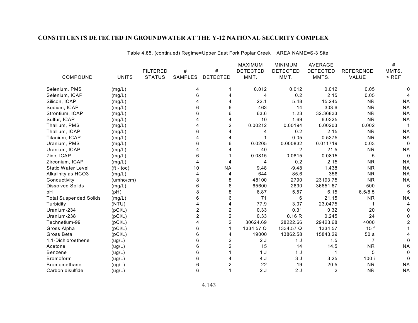|                               |              |                 |                |                         | <b>MAXIMUM</b>  | <b>MINIMUM</b>  | <b>AVERAGE</b>  |                  | $\#$      |
|-------------------------------|--------------|-----------------|----------------|-------------------------|-----------------|-----------------|-----------------|------------------|-----------|
|                               |              | <b>FILTERED</b> | $\#$           | #                       | <b>DETECTED</b> | <b>DETECTED</b> | <b>DETECTED</b> | <b>REFERENCE</b> | MMTS.     |
| COMPOUND                      | <b>UNITS</b> | <b>STATUS</b>   | <b>SAMPLES</b> | <b>DETECTED</b>         | MMT.            | MMT.            | MMTS.           | VALUE            | $>$ REF   |
| Selenium, PMS                 | (mg/L)       |                 | 4              |                         | 0.012           | 0.012           | 0.012           | 0.05             |           |
| Selenium, ICAP                | (mg/L)       |                 | 6              | 4                       | 4               | 0.2             | 2.15            | 0.05             |           |
| Silicon, ICAP                 | (mg/L)       |                 |                |                         | 22.1            | 5.48            | 15.245          | <b>NR</b>        | <b>NA</b> |
| Sodium, ICAP                  | (mg/L)       |                 | 6              | 6                       | 463             | 14              | 303.6           | <b>NR</b>        | <b>NA</b> |
| Strontium, ICAP               | (mg/L)       |                 | 6              | 6                       | 63.6            | 1.23            | 32.36833        | <b>NR</b>        | <b>NA</b> |
| Sulfur, ICAP                  | (mg/L)       |                 |                | 4                       | 10              | 1.69            | 6.0325          | <b>NR</b>        | <b>NA</b> |
| Thallium, PMS                 | (mg/L)       |                 |                | $\overline{c}$          | 0.00212         | 0.00194         | 0.00203         | 0.002            |           |
| Thallium, ICAP                | (mg/L)       |                 | 6              | 4                       | 4               | 0.2             | 2.15            | <b>NR</b>        | <b>NA</b> |
| Titanium, ICAP                | (mg/L)       |                 |                | 4                       |                 | 0.05            | 0.5375          | <b>NR</b>        | <b>NA</b> |
| Uranium, PMS                  | (mg/L)       |                 | 6              | 6                       | 0.0205          | 0.000832        | 0.011719        | 0.03             | 0         |
| Uranium, ICAP                 | (mg/L)       |                 |                | 4                       | 40              | $\overline{c}$  | 21.5            | <b>NR</b>        | <b>NA</b> |
| Zinc, ICAP                    | (mg/L)       |                 | 6              |                         | 0.0815          | 0.0815          | 0.0815          | 5                | 0         |
| Zirconium, ICAP               | (mg/L)       |                 | 4              | 4                       | 4               | 0.2             | 2.15            | <b>NR</b>        | <b>NA</b> |
| <b>Static Water Level</b>     | $(ft - toc)$ |                 | 10             | <b>NA</b>               | 9.48            | $-9.48$         | 1.438           | <b>NR</b>        | <b>NA</b> |
| Alkalinity as HCO3            | (mg/L)       |                 | 4              | 4                       | 644             | 85.6            | 356             | <b>NR</b>        | <b>NA</b> |
| Conductivity                  | (umbo/cm)    |                 | 8              | 8                       | 48100           | 2790            | 23193.75        | <b>NR</b>        | <b>NA</b> |
| <b>Dissolved Solids</b>       | (mg/L)       |                 | 6              | 6                       | 65600           | 2690            | 36651.67        | 500              | 6         |
| рH                            | (pH)         |                 | 8              | 8                       | 6.87            | 5.57            | 6.15            | 6.5/8.5          |           |
| <b>Total Suspended Solids</b> | (mg/L)       |                 | 6              | 6                       | 71              | 6               | 21.15           | <b>NR</b>        | <b>NA</b> |
| Turbidity                     | (NTU)        |                 |                | 4                       | 77.9            | 3.07            | 23.0475         | 1                |           |
| Uranium-234                   | (pCi/L)      |                 | $\overline{2}$ | 2                       | 0.33            | 0.31            | 0.32            | 20               |           |
| Uranium-238                   | (pCi/L)      |                 | $\overline{2}$ | $\overline{c}$          | 0.33            | 0.16R           | 0.245           | 24               |           |
| Technetium-99                 | (pCi/L)      |                 |                | $\overline{2}$          | 30624.69        | 28222.66        | 29423.68        | 4000             |           |
| Gross Alpha                   | (pCi/L)      |                 | 6              |                         | 1334.57 Q       | 1334.57 Q       | 1334.57         | 15f              |           |
| Gross Beta                    | (pCi/L)      |                 | 6              | 4                       | 19000           | 13862.58        | 15843.29        | 50a              |           |
| 1,1-Dichloroethene            | (ug/L)       |                 | 6              | $\overline{2}$          | 2J              | 1 <sub>J</sub>  | 1.5             | 7                |           |
| Acetone                       | (ug/L)       |                 | 6              | $\overline{c}$          | 15              | 14              | 14.5            | <b>NR</b>        | <b>NA</b> |
| Benzene                       | (ug/L)       |                 | 6              |                         | 1 <sub>J</sub>  | 1 J             |                 | 5                | 0         |
| <b>Bromoform</b>              | (ug/L)       |                 | 6              |                         | 4 J             | 3J              | 3.25            | 100 i            |           |
| Bromomethane                  | (ug/L)       |                 | 6              | $\overline{\mathbf{c}}$ | 22              | 19              | 20.5            | <b>NR</b>        | <b>NA</b> |
| Carbon disulfide              | (ug/L)       |                 | 6              |                         | 2J              | 2J              | $\overline{2}$  | <b>NR</b>        | <b>NA</b> |

Table 4.85. (continued) Regime=Upper East Fork Poplar Creek AREA NAME=S-3 Site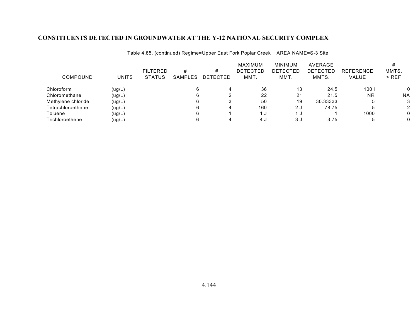| COMPOUND           | <b>UNITS</b> | <b>FILTERED</b><br><b>STATUS</b> | #<br>SAMPLES | #<br>DETECTED | MAXIMUM<br><b>DETECTED</b><br>MMT. | <b>MINIMUM</b><br>DETECTED<br>MMT. | AVERAGE<br>DETECTED<br>MMTS. | <b>REFERENCE</b><br><b>VALUE</b> | MMTS.<br>$>$ REF |
|--------------------|--------------|----------------------------------|--------------|---------------|------------------------------------|------------------------------------|------------------------------|----------------------------------|------------------|
| Chloroform         | (ug/L)       |                                  |              | 4             | 36                                 | 13                                 | 24.5                         | 100 i                            |                  |
| Chloromethane      | (ug/L)       |                                  |              |               | 22                                 | 21                                 | 21.5                         | <b>NR</b>                        | NA               |
| Methylene chloride | (ug/L)       |                                  |              |               | 50                                 | 19                                 | 30.33333                     | b                                | 3                |
| Tetrachloroethene  | (ug/L)       |                                  |              | 4             | 160                                | 2 J                                | 78.75                        | .b                               | 2                |
| Toluene            | (ug/L)       |                                  |              |               | ี 1 ม                              | J                                  |                              | 1000                             |                  |
| Trichloroethene    | (ug/L)       |                                  |              |               | 4 J                                | 3 J                                | 3.75                         |                                  |                  |

Table 4.85. (continued) Regime=Upper East Fork Poplar Creek AREA NAME=S-3 Site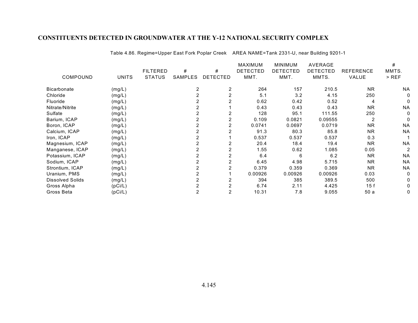|                  |              |                 |                |                 | MAXIMUM         | <b>MINIMUM</b>  | <b>AVERAGE</b>  |                  | #              |
|------------------|--------------|-----------------|----------------|-----------------|-----------------|-----------------|-----------------|------------------|----------------|
|                  |              | <b>FILTERED</b> | #              | #               | <b>DETECTED</b> | <b>DETECTED</b> | <b>DETECTED</b> | <b>REFERENCE</b> | MMTS.          |
| COMPOUND         | <b>UNITS</b> | <b>STATUS</b>   | <b>SAMPLES</b> | <b>DETECTED</b> | MMT.            | MMT.            | MMTS.           | VALUE            | > REF          |
| Bicarbonate      | (mg/L)       |                 | 2              | 2               | 264             | 157             | 210.5           | <b>NR</b>        | <b>NA</b>      |
| Chloride         | (mg/L)       |                 |                |                 | 5.1             | 3.2             | 4.15            | 250              | 0              |
| Fluoride         | (mg/L)       |                 |                |                 | 0.62            | 0.42            | 0.52            | 4                | 0              |
| Nitrate/Nitrite  | (mg/L)       |                 |                |                 | 0.43            | 0.43            | 0.43            | <b>NR</b>        | <b>NA</b>      |
| Sulfate          | (mg/L)       |                 |                |                 | 128             | 95.1            | 111.55          | 250              | 0              |
| Barium, ICAP     | (mg/L)       |                 |                |                 | 0.109           | 0.0821          | 0.09555         | 2                | 0              |
| Boron, ICAP      | (mg/L)       |                 |                |                 | 0.0741          | 0.0697          | 0.0719          | <b>NR</b>        | <b>NA</b>      |
| Calcium, ICAP    | (mg/L)       |                 |                |                 | 91.3            | 80.3            | 85.8            | <b>NR</b>        | <b>NA</b>      |
| Iron, ICAP       | (mg/L)       |                 |                |                 | 0.537           | 0.537           | 0.537           | 0.3              |                |
| Magnesium, ICAP  | (mg/L)       |                 |                |                 | 20.4            | 18.4            | 19.4            | <b>NR</b>        | <b>NA</b>      |
| Manganese, ICAP  | (mg/L)       |                 |                |                 | 1.55            | 0.62            | 1.085           | 0.05             | $\overline{2}$ |
| Potassium, ICAP  | (mg/L)       |                 |                |                 | 6.4             | 6               | 6.2             | <b>NR</b>        | <b>NA</b>      |
| Sodium, ICAP     | (mg/L)       |                 |                |                 | 6.45            | 4.98            | 5.715           | <b>NR</b>        | <b>NA</b>      |
| Strontium, ICAP  | (mg/L)       |                 |                |                 | 0.379           | 0.359           | 0.369           | <b>NR</b>        | <b>NA</b>      |
| Uranium, PMS     | (mg/L)       |                 |                |                 | 0.00926         | 0.00926         | 0.00926         | 0.03             | 0              |
| Dissolved Solids | (mg/L)       |                 |                |                 | 394             | 385             | 389.5           | 500              | 0              |
| Gross Alpha      | (pCi/L)      |                 |                |                 | 6.74            | 2.11            | 4.425           | 15f              | 0              |
| Gross Beta       | (pCi/L)      |                 | 2              |                 | 10.31           | 7.8             | 9.055           | 50a              | 0              |

Table 4.86. Regime=Upper East Fork Poplar Creek AREA NAME=Tank 2331-U, near Building 9201-1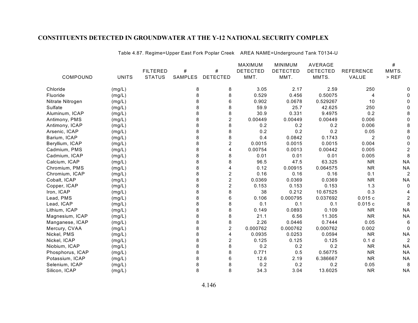|                  |              |                 |         |                 | <b>MAXIMUM</b>  | <b>MINIMUM</b>  | AVERAGE         |                  | #         |
|------------------|--------------|-----------------|---------|-----------------|-----------------|-----------------|-----------------|------------------|-----------|
|                  |              | <b>FILTERED</b> | #       | #               | <b>DETECTED</b> | <b>DETECTED</b> | <b>DETECTED</b> | <b>REFERENCE</b> | MMTS.     |
| COMPOUND         | <b>UNITS</b> | <b>STATUS</b>   | SAMPLES | <b>DETECTED</b> | MMT.            | MMT.            | MMTS.           | VALUE            | $>$ REF   |
| Chloride         | (mg/L)       |                 | 8       | 8               | 3.05            | 2.17            | 2.59            | 250              |           |
| Fluoride         | (mg/L)       |                 | 8       | 8               | 0.529           | 0.456           | 0.50075         | 4                |           |
| Nitrate Nitrogen | (mg/L)       |                 | 8       | 6               | 0.902           | 0.0678          | 0.529267        | 10               |           |
| Sulfate          | (mg/L)       |                 |         | 8               | 59.9            | 25.7            | 42.625          | 250              |           |
| Aluminum, ICAP   | (mg/L)       |                 | 8       | 8               | 30.9            | 0.331           | 9.4975          | 0.2              |           |
| Antimony, PMS    | (mg/L)       |                 | 8       | 2               | 0.00449         | 0.00449         | 0.00449         | 0.006            |           |
| Antimony, ICAP   | (mg/L)       |                 | 8       | 8               | 0.2             | 0.2             | 0.2             | 0.006            |           |
| Arsenic, ICAP    | (mg/L)       |                 | 8       | 8               | 0.2             | 0.2             | 0.2             | 0.05             |           |
| Barium, ICAP     | (mg/L)       |                 | 8       | 8               | 0.4             | 0.0842          | 0.1743          | 2                |           |
| Beryllium, ICAP  | (mg/L)       |                 | 8       | $\overline{c}$  | 0.0015          | 0.0015          | 0.0015          | 0.004            |           |
| Cadmium, PMS     | (mg/L)       |                 | 8       | 4               | 0.00754         | 0.0013          | 0.00442         | 0.005            |           |
| Cadmium, ICAP    | (mg/L)       |                 | 8       | 8               | 0.01            | 0.01            | 0.01            | 0.005            |           |
| Calcium, ICAP    | (mg/L)       |                 | 8       | 8               | 96.5            | 47.5            | 63.325          | <b>NR</b>        | <b>NA</b> |
| Chromium, PMS    | (mg/L)       |                 |         | 4               | 0.12            | 0.00915         | 0.064575        | <b>NR</b>        | <b>NA</b> |
| Chromium, ICAP   | (mg/L)       |                 | 8       | $\overline{c}$  | 0.16            | 0.16            | 0.16            | 0.1              |           |
| Cobalt, ICAP     | (mg/L)       |                 | 8       | $\overline{c}$  | 0.0369          | 0.0369          | 0.0369          | <b>NR</b>        | <b>NA</b> |
| Copper, ICAP     | (mg/L)       |                 | 8       | $\overline{c}$  | 0.153           | 0.153           | 0.153           | 1.3              |           |
| Iron, ICAP       | (mg/L)       |                 | 8       | 8               | 38              | 0.212           | 10.67525        | 0.3              |           |
| Lead, PMS        | (mg/L)       |                 | 8       | 6               | 0.106           | 0.000795        | 0.037692        | 0.015c           |           |
| Lead, ICAP       | (mg/L)       |                 | 8       | 8               | 0.1             | 0.1             | 0.1             | 0.015c           |           |
| Lithium, ICAP    | (mg/L)       |                 | 8       | 8               | 0.149           | 0.0893          | 0.109           | <b>NR</b>        | <b>NA</b> |
| Magnesium, ICAP  | (mg/L)       |                 | 8       | 8               | 21.1            | 6.56            | 11.305          | <b>NR</b>        | <b>NA</b> |
| Manganese, ICAP  | (mg/L)       |                 | 8       | 8               | 2.26            | 0.0446          | 0.7444          | 0.05             | 6         |
| Mercury, CVAA    | (mg/L)       |                 | 8       | $\overline{c}$  | 0.000762        | 0.000762        | 0.000762        | 0.002            | 0         |
| Nickel, PMS      | (mg/L)       |                 | 8       | 4               | 0.0935          | 0.0253          | 0.0594          | <b>NR</b>        | <b>NA</b> |
| Nickel, ICAP     | (mg/L)       |                 | 8       | $\overline{c}$  | 0.125           | 0.125           | 0.125           | 0.1 <sub>d</sub> |           |
| Niobium, ICAP    | (mg/L)       |                 | 8       | 8               | 0.2             | 0.2             | 0.2             | <b>NR</b>        | <b>NA</b> |
| Phosphorus, ICAP | (mg/L)       |                 | 8       | 8               | 0.771           | 0.5             | 0.56775         | <b>NR</b>        | <b>NA</b> |
| Potassium, ICAP  | (mg/L)       |                 | 8       | 6               | 12.6            | 2.19            | 6.386667        | <b>NR</b>        | <b>NA</b> |
| Selenium, ICAP   | (mg/L)       |                 |         | 8               | 0.2             | 0.2             | 0.2             | 0.05             | 8         |
| Silicon, ICAP    | (mg/L)       |                 | 8       | 8               | 34.3            | 3.04            | 13.6025         | <b>NR</b>        | <b>NA</b> |

Table 4.87. Regime=Upper East Fork Poplar Creek AREA NAME=Underground Tank T0134-U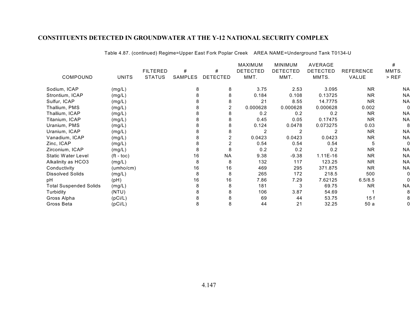|                               |              |                 |         |                | MAXIMUM         | <b>MINIMUM</b>  | AVERAGE         |                  | #         |
|-------------------------------|--------------|-----------------|---------|----------------|-----------------|-----------------|-----------------|------------------|-----------|
|                               |              | <b>FILTERED</b> | #       | #              | <b>DETECTED</b> | <b>DETECTED</b> | <b>DETECTED</b> | <b>REFERENCE</b> | MMTS.     |
| COMPOUND                      | <b>UNITS</b> | <b>STATUS</b>   | SAMPLES | DETECTED       | MMT.            | MMT.            | MMTS.           | VALUE            | $>$ REF   |
| Sodium, ICAP                  | (mg/L)       |                 | 8       | 8              | 3.75            | 2.53            | 3.095           | <b>NR</b>        | <b>NA</b> |
| Strontium, ICAP               | (mg/L)       |                 |         |                | 0.184           | 0.108           | 0.13725         | NR.              | <b>NA</b> |
| Sulfur, ICAP                  | (mg/L)       |                 |         | 8              | 21              | 8.55            | 14.7775         | <b>NR</b>        | <b>NA</b> |
| Thallium, PMS                 | (mg/L)       |                 |         | $\overline{2}$ | 0.000628        | 0.000628        | 0.000628        | 0.002            |           |
| Thallium, ICAP                | (mg/L)       |                 |         |                | 0.2             | 0.2             | 0.2             | <b>NR</b>        | <b>NA</b> |
| Titanium, ICAP                | (mg/L)       |                 | 8       |                | 0.45            | 0.05            | 0.17475         | <b>NR</b>        | <b>NA</b> |
| Uranium, PMS                  | (mg/L)       |                 | 8       |                | 0.124           | 0.0478          | 0.073275        | 0.03             | 8         |
| Uranium, ICAP                 | (mg/L)       |                 |         |                |                 | 2               |                 | <b>NR</b>        | <b>NA</b> |
| Vanadium, ICAP                | (mg/L)       |                 |         | 2              | 0.0423          | 0.0423          | 0.0423          | NR.              | <b>NA</b> |
| Zinc, ICAP                    | (mg/L)       |                 | 8       |                | 0.54            | 0.54            | 0.54            | 5                |           |
| Zirconium, ICAP               | (mg/L)       |                 | 8       |                | 0.2             | 0.2             | 0.2             | <b>NR</b>        | <b>NA</b> |
| Static Water Level            | $(ft - toc)$ |                 | 16      | <b>NA</b>      | 9.38            | $-9.38$         | 1.11E-16        | <b>NR</b>        | <b>NA</b> |
| Alkalinity as HCO3            | (mg/L)       |                 | 8       | 8              | 132             | 117             | 123.25          | NR.              | <b>NA</b> |
| Conductivity                  | (umbo/cm)    |                 | 16      | 16             | 469             | 295             | 371.875         | <b>NR</b>        | <b>NA</b> |
| <b>Dissolved Solids</b>       | (mg/L)       |                 | 8       | 8              | 265             | 172             | 218.5           | 500              |           |
| pH                            | (pH)         |                 | 16      | 16             | 7.86            | 7.29            | 7.62125         | 6.5/8.5          |           |
| <b>Total Suspended Solids</b> | (mg/L)       |                 | 8       |                | 181             | 3               | 69.75           | NR.              | <b>NA</b> |
| Turbidity                     | (NTU)        |                 |         |                | 106             | 3.87            | 54.69           |                  |           |
| Gross Alpha                   | (pCi/L)      |                 |         |                | 69              | 44              | 53.75           | 15 f             |           |
| Gross Beta                    | (pCi/L)      |                 | 8       | 8              | 44              | 21              | 32.25           | 50a              |           |
|                               |              |                 |         |                |                 |                 |                 |                  |           |

Table 4.87. (continued) Regime=Upper East Fork Poplar Creek AREA NAME=Underground Tank T0134-U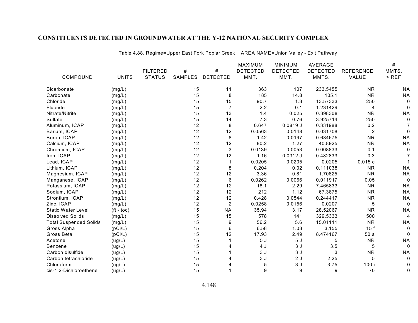|                               |                       |                 |         |                 | <b>MAXIMUM</b>  | <b>MINIMUM</b>  | AVERAGE         |                  | $\#$        |
|-------------------------------|-----------------------|-----------------|---------|-----------------|-----------------|-----------------|-----------------|------------------|-------------|
|                               |                       | <b>FILTERED</b> | $\#$    | $\#$            | <b>DETECTED</b> | <b>DETECTED</b> | <b>DETECTED</b> | <b>REFERENCE</b> | MMTS.       |
| COMPOUND                      | <b>UNITS</b>          | <b>STATUS</b>   | SAMPLES | <b>DETECTED</b> | MMT.            | MMT.            | MMTS.           | VALUE            | $>$ REF     |
| <b>Bicarbonate</b>            | (mg/L)                |                 | 15      | 11              | 363             | 107             | 233.5455        | <b>NR</b>        | <b>NA</b>   |
| Carbonate                     | (mg/L)                |                 | 15      | 8               | 185             | 14.8            | 105.1           | <b>NR</b>        | <b>NA</b>   |
| Chloride                      | (mg/L)                |                 | 15      | 15              | 90.7            | 1.3             | 13.57333        | 250              | 0           |
| Fluoride                      | (mg/L)                |                 | 15      | $\overline{7}$  | 2.2             | 0.1             | 1.231429        | 4                | $\Omega$    |
| Nitrate/Nitrite               | (mg/L)                |                 | 15      | 13              | 1.4             | 0.025           | 0.398308        | <b>NR</b>        | <b>NA</b>   |
| Sulfate                       | (mg/L)                |                 | 15      | 14              | 7.3             | 0.76            | 3.925714        | 250              | $\mathbf 0$ |
| Aluminum, ICAP                | (mg/L)                |                 | 12      | 8               | 0.647           | 0.0819J         | 0.331988        | 0.2              |             |
| Barium, ICAP                  | (mg/L)                |                 | 12      | 12              | 0.0563          | 0.0148          | 0.031708        | $\overline{2}$   | 0           |
| Boron, ICAP                   | (mg/L)                |                 | 12      | 8               | 1.42            | 0.0197          | 0.684675        | <b>NR</b>        | <b>NA</b>   |
| Calcium, ICAP                 | (mg/L)                |                 | 12      | 12              | 80.2            | 1.27            | 40.8925         | <b>NR</b>        | <b>NA</b>   |
| Chromium, ICAP                | (mg/L)                |                 | 12      | 3               | 0.0139          | 0.0053          | 0.008833        | 0.1              | 0           |
| Iron, ICAP                    | (mg/L)                |                 | 12      | 12              | 1.16            | $0.0312$ J      | 0.482833        | 0.3              |             |
| Lead, ICAP                    | (mg/L)                |                 | 12      |                 | 0.0205          | 0.0205          | 0.0205          | 0.015c           |             |
| Lithium, ICAP                 | (mg/L)                |                 | 12      | 8               | 0.204           | 0.02            | 0.111038        | <b>NR</b>        | <b>NA</b>   |
| Magnesium, ICAP               | (mg/L)                |                 | 12      | 12              | 3.36            | 0.81            | 1.70625         | <b>NR</b>        | <b>NA</b>   |
| Manganese, ICAP               | (mg/L)                |                 | 12      | 6               | 0.0262          | 0.0066          | 0.011917        | 0.05             | 0           |
| Potassium, ICAP               | (mg/L)                |                 | 12      | 12              | 18.1            | 2.29            | 7.465833        | <b>NR</b>        | <b>NA</b>   |
| Sodium, ICAP                  | (mg/L)                |                 | 12      | 12              | 212             | 1.12            | 67.3875         | <b>NR</b>        | <b>NA</b>   |
| Strontium, ICAP               | (mg/L)                |                 | 12      | 12              | 0.428           | 0.0544          | 0.244417        | <b>NR</b>        | <b>NA</b>   |
| Zinc, ICAP                    | (mg/L)                |                 | 12      | $\overline{2}$  | 0.0258          | 0.0156          | 0.0207          | 5                | $\mathbf 0$ |
| <b>Static Water Level</b>     | $({\rm ft -}$ toc $)$ |                 | 15      | <b>NA</b>       | 35.94           | 3.17            | 28.52067        | <b>NR</b>        | <b>NA</b>   |
| <b>Dissolved Solids</b>       | (mg/L)                |                 | 15      | 15              | 578             | 141             | 329.5333        | 500              | 4           |
| <b>Total Suspended Solids</b> | (mg/L)                |                 | 15      | 9               | 56.2            | 5.6             | 15.01111        | <b>NR</b>        | <b>NA</b>   |
| Gross Alpha                   | (pCi/L)               |                 | 15      | 6               | 6.58            | 1.03            | 3.155           | 15f              | 0           |
| Gross Beta                    | (pCi/L)               |                 | 15      | 12              | 17.93           | 2.49            | 8.474167        | 50a              | $\Omega$    |
| Acetone                       | (ug/L)                |                 | 15      |                 | 5J              | 5J              | 5               | <b>NR</b>        | <b>NA</b>   |
| <b>Benzene</b>                | (ug/L)                |                 | 15      | 4               | 4 J             | 3J              | 3.5             | 5                | $\mathbf 0$ |
| Carbon disulfide              | (ug/L)                |                 | 15      |                 | 3J              | 3J              | 3               | <b>NR</b>        | <b>NA</b>   |
| Carbon tetrachloride          | (ug/L)                |                 | 15      | 4               | 3J              | 2J              | 2.25            | 5                | $\mathbf 0$ |
| Chloroform                    | (ug/L)                |                 | 15      | 4               | 5               | 3J              | 3.75            | 100 i            | 0           |
| cis-1,2-Dichloroethene        | (ug/L)                |                 | 15      |                 | 9               | 9               | 9               | 70               | 0           |

Table 4.88. Regime=Upper East Fork Poplar Creek AREA NAME=Union Valley - Exit Pathway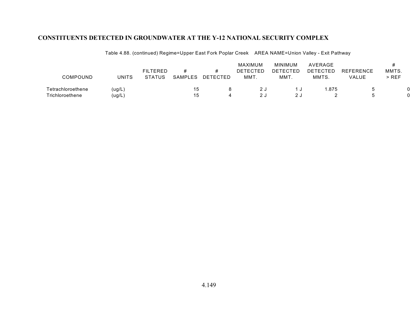| COMPOUND          | <b>UNITS</b> | <b>FILTERED</b><br><b>STATUS</b> | <b>SAMPLES</b> | DETECTED | MAXIMUM<br><b>DETECTED</b><br>MMT. | <b>MINIMUM</b><br>DETECTED<br>MMT. | AVERAGE<br><b>DETECTED</b><br>MMTS. | <b>REFERENCE</b><br>VALUE | MMTS.<br>$>$ REF |  |
|-------------------|--------------|----------------------------------|----------------|----------|------------------------------------|------------------------------------|-------------------------------------|---------------------------|------------------|--|
| Tetrachloroethene | (ug/L)       |                                  | 5              |          | 2 J                                |                                    | .875                                |                           |                  |  |
| Trichloroethene   | (ug/L        |                                  | 15             |          | 2J                                 |                                    |                                     |                           |                  |  |

Table 4.88. (continued) Regime=Upper East Fork Poplar Creek AREA NAME=Union Valley - Exit Pathway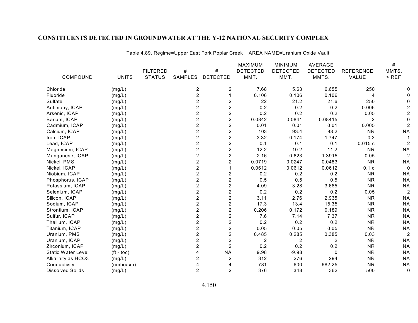|                           |              |                 |                |                         | MAXIMUM         | <b>MINIMUM</b>  | <b>AVERAGE</b>  |                  | #              |
|---------------------------|--------------|-----------------|----------------|-------------------------|-----------------|-----------------|-----------------|------------------|----------------|
|                           |              | <b>FILTERED</b> | #              | #                       | <b>DETECTED</b> | <b>DETECTED</b> | <b>DETECTED</b> | <b>REFERENCE</b> | MMTS.          |
| COMPOUND                  | <b>UNITS</b> | <b>STATUS</b>   | <b>SAMPLES</b> | <b>DETECTED</b>         | MMT.            | MMT.            | MMTS.           | VALUE            | $>$ REF        |
| Chloride                  | (mg/L)       |                 | 2              | $\overline{c}$          | 7.68            | 5.63            | 6.655           | 250              |                |
| Fluoride                  | (mg/L)       |                 | $\overline{2}$ | 1                       | 0.106           | 0.106           | 0.106           | 4                |                |
| Sulfate                   | (mg/L)       |                 | $\overline{2}$ | $\boldsymbol{2}$        | 22              | 21.2            | 21.6            | 250              |                |
| Antimony, ICAP            | (mg/L)       |                 | $\overline{c}$ | $\overline{\mathbf{c}}$ | 0.2             | 0.2             | 0.2             | 0.006            |                |
| Arsenic, ICAP             | (mg/L)       |                 | $\overline{2}$ | $\overline{c}$          | 0.2             | 0.2             | 0.2             | 0.05             |                |
| Barium, ICAP              | (mg/L)       |                 | $\overline{c}$ | $\overline{c}$          | 0.0842          | 0.0841          | 0.08415         | $\overline{2}$   |                |
| Cadmium, ICAP             | (mg/L)       |                 | $\overline{2}$ | $\overline{2}$          | 0.01            | 0.01            | 0.01            | 0.005            |                |
| Calcium, ICAP             | (mg/L)       |                 | $\overline{2}$ | $\overline{c}$          | 103             | 93.4            | 98.2            | <b>NR</b>        | <b>NA</b>      |
| Iron, ICAP                | (mg/L)       |                 | $\overline{2}$ | $\overline{2}$          | 3.32            | 0.174           | 1.747           | 0.3              |                |
| Lead, ICAP                | (mg/L)       |                 | $\overline{2}$ | $\overline{2}$          | 0.1             | 0.1             | 0.1             | 0.015c           | 2              |
| Magnesium, ICAP           | (mg/L)       |                 | $\overline{c}$ | $\overline{2}$          | 12.2            | 10.2            | 11.2            | <b>NR</b>        | <b>NA</b>      |
| Manganese, ICAP           | (mg/L)       |                 | $\overline{c}$ | $\boldsymbol{2}$        | 2.16            | 0.623           | 1.3915          | 0.05             |                |
| Nickel, PMS               | (mg/L)       |                 | $\overline{2}$ | $\overline{2}$          | 0.0719          | 0.0247          | 0.0483          | <b>NR</b>        | <b>NA</b>      |
| Nickel, ICAP              | (mg/L)       |                 | $\overline{2}$ | 1                       | 0.0612          | 0.0612          | 0.0612          | 0.1 <sub>d</sub> |                |
| Niobium, ICAP             | (mg/L)       |                 | $\overline{2}$ | $\overline{c}$          | 0.2             | 0.2             | 0.2             | <b>NR</b>        | <b>NA</b>      |
| Phosphorus, ICAP          | (mg/L)       |                 | $\overline{c}$ | $\overline{c}$          | 0.5             | 0.5             | 0.5             | <b>NR</b>        | <b>NA</b>      |
| Potassium, ICAP           | (mg/L)       |                 | $\overline{c}$ | $\overline{c}$          | 4.09            | 3.28            | 3.685           | <b>NR</b>        | <b>NA</b>      |
| Selenium, ICAP            | (mg/L)       |                 | $\overline{c}$ | $\overline{c}$          | 0.2             | 0.2             | 0.2             | 0.05             | $\overline{c}$ |
| Silicon, ICAP             | (mg/L)       |                 | $\overline{2}$ | $\overline{2}$          | 3.11            | 2.76            | 2.935           | <b>NR</b>        | <b>NA</b>      |
| Sodium, ICAP              | (mg/L)       |                 | $\overline{2}$ | $\overline{a}$          | 17.3            | 13.4            | 15.35           | <b>NR</b>        | <b>NA</b>      |
| Strontium, ICAP           | (mg/L)       |                 | $\overline{2}$ | $\overline{2}$          | 0.206           | 0.172           | 0.189           | <b>NR</b>        | <b>NA</b>      |
| Sulfur, ICAP              | (mg/L)       |                 | $\overline{2}$ | $\boldsymbol{2}$        | 7.6             | 7.14            | 7.37            | <b>NR</b>        | <b>NA</b>      |
| Thallium, ICAP            | (mg/L)       |                 | $\overline{c}$ | $\overline{2}$          | 0.2             | 0.2             | 0.2             | <b>NR</b>        | <b>NA</b>      |
| Titanium, ICAP            | (mg/L)       |                 | $\overline{2}$ | $\overline{2}$          | 0.05            | 0.05            | 0.05            | <b>NR</b>        | <b>NA</b>      |
| Uranium, PMS              | (mg/L)       |                 | $\overline{2}$ | $\overline{2}$          | 0.485           | 0.285           | 0.385           | 0.03             | 2              |
| Uranium, ICAP             | (mg/L)       |                 | $\overline{2}$ | $\overline{2}$          | 2               | 2               | 2               | <b>NR</b>        | <b>NA</b>      |
| Zirconium, ICAP           | (mg/L)       |                 | $\overline{2}$ | $\overline{2}$          | 0.2             | 0.2             | 0.2             | <b>NR</b>        | <b>NA</b>      |
| <b>Static Water Level</b> | $(ft - toc)$ |                 | 4              | <b>NA</b>               | 9.98            | $-9.98$         | $\Omega$        | <b>NR</b>        | <b>NA</b>      |
| Alkalinity as HCO3        | (mg/L)       |                 | $\overline{2}$ | $\overline{2}$          | 312             | 276             | 294             | <b>NR</b>        | <b>NA</b>      |
| Conductivity              | (umbo/cm)    |                 |                | 4                       | 781             | 600             | 682.25          | <b>NR</b>        | <b>NA</b>      |
| <b>Dissolved Solids</b>   | (mg/L)       |                 | $\overline{2}$ | $\overline{2}$          | 376             | 348             | 362             | 500              | 0              |

Table 4.89. Regime=Upper East Fork Poplar Creek AREA NAME=Uranium Oxide Vault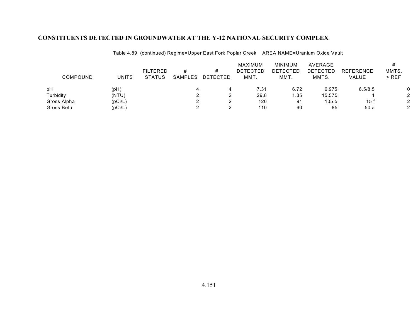| COMPOUND    | <b>UNITS</b> | <b>FILTERED</b><br><b>STATUS</b> | #<br>SAMPLES | <b>DETECTED</b> | MAXIMUM<br><b>DETECTED</b><br>MMT. | MINIMUM<br><b>DETECTED</b><br>MMT. | AVERAGE<br><b>DETECTED</b><br>MMTS. | <b>REFERENCE</b><br>VALUE | MMTS.<br>$>$ REF |
|-------------|--------------|----------------------------------|--------------|-----------------|------------------------------------|------------------------------------|-------------------------------------|---------------------------|------------------|
| pH          | (pH)         |                                  |              |                 | 7.31                               | 6.72                               | 6.975                               | 6.5/8.5                   |                  |
| Turbidity   | (NTU)        |                                  |              |                 | 29.8                               | 1.35                               | 15.575                              |                           | ◠                |
| Gross Alpha | (pCi/L)      |                                  |              |                 | 120                                | 91                                 | 105.5                               | 15 f                      | 2                |
| Gross Beta  | (pCi/L)      |                                  |              |                 | 110                                | 60                                 | 85                                  | 50 a                      | ◠                |

Table 4.89. (continued) Regime=Upper East Fork Poplar Creek AREA NAME=Uranium Oxide Vault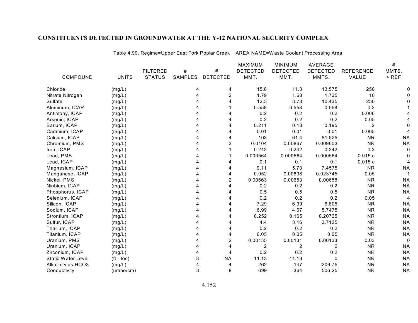|                           |              |                 |         |                 | <b>MAXIMUM</b>  | <b>MINIMUM</b>  | <b>AVERAGE</b>  |                  | #         |
|---------------------------|--------------|-----------------|---------|-----------------|-----------------|-----------------|-----------------|------------------|-----------|
|                           |              | <b>FILTERED</b> | #       | #               | <b>DETECTED</b> | <b>DETECTED</b> | <b>DETECTED</b> | <b>REFERENCE</b> | MMTS.     |
| COMPOUND                  | <b>UNITS</b> | <b>STATUS</b>   | SAMPLES | <b>DETECTED</b> | MMT.            | MMT.            | MMTS.           | VALUE            | $>$ REF   |
| Chloride                  | (mg/L)       |                 | 4       | 4               | 15.8            | 11.3            | 13.575          | 250              |           |
| Nitrate Nitrogen          | (mg/L)       |                 | 4       | $\overline{2}$  | 1.79            | 1.68            | 1.735           | 10               |           |
| Sulfate                   | (mg/L)       |                 |         | 4               | 12.3            | 8.78            | 10.435          | 250              |           |
| Aluminum, ICAP            | (mg/L)       |                 |         |                 | 0.558           | 0.558           | 0.558           | 0.2              |           |
| Antimony, ICAP            | (mg/L)       |                 |         | 4               | 0.2             | 0.2             | 0.2             | 0.006            |           |
| Arsenic, ICAP             | (mg/L)       |                 |         | 4               | 0.2             | 0.2             | 0.2             | 0.05             |           |
| Barium, ICAP              | (mg/L)       |                 |         | 4               | 0.211           | 0.18            | 0.195           | $\overline{2}$   |           |
| Cadmium, ICAP             | (mg/L)       |                 |         | 4               | 0.01            | 0.01            | 0.01            | 0.005            |           |
| Calcium, ICAP             | (mg/L)       |                 |         | 4               | 103             | 61.4            | 81.525          | <b>NR</b>        | <b>NA</b> |
| Chromium, PMS             | (mg/L)       |                 |         | 3               | 0.0104          | 0.00867         | 0.009603        | <b>NR</b>        | <b>NA</b> |
| Iron, ICAP                | (mg/L)       |                 |         |                 | 0.242           | 0.242           | 0.242           | 0.3              |           |
| Lead, PMS                 | (mg/L)       |                 |         |                 | 0.000564        | 0.000564        | 0.000564        | 0.015c           |           |
| Lead, ICAP                | (mg/L)       |                 |         | 4               | 0.1             | 0.1             | 0.1             | 0.015c           |           |
| Magnesium, ICAP           | (mg/L)       |                 |         | 4               | 9.11            | 5.73            | 7.4575          | <b>NR</b>        | <b>NA</b> |
| Manganese, ICAP           | (mg/L)       |                 |         | 4               | 0.052           | 0.00838         | 0.023745        | 0.05             |           |
| Nickel, PMS               | (mg/L)       |                 |         | 2               | 0.00663         | 0.00653         | 0.00658         | <b>NR</b>        | <b>NA</b> |
| Niobium, ICAP             | (mg/L)       |                 |         | 4               | 0.2             | 0.2             | 0.2             | <b>NR</b>        | <b>NA</b> |
| Phosphorus, ICAP          | (mg/L)       |                 |         | 4               | 0.5             | 0.5             | 0.5             | <b>NR</b>        | <b>NA</b> |
| Selenium, ICAP            | (mg/L)       |                 |         | 4               | 0.2             | 0.2             | 0.2             | 0.05             | 4         |
| Silicon, ICAP             | (mg/L)       |                 |         | 4               | 7.29            | 6.39            | 6.805           | <b>NR</b>        | <b>NA</b> |
| Sodium, ICAP              | (mg/L)       |                 |         | 4               | 6.99            | 4.67            | 5.7475          | <b>NR</b>        | <b>NA</b> |
| Strontium, ICAP           | (mg/L)       |                 |         | 4               | 0.252           | 0.165           | 0.20725         | <b>NR</b>        | <b>NA</b> |
| Sulfur, ICAP              | (mg/L)       |                 |         | 4               | 4.4             | 3.16            | 3.7125          | <b>NR</b>        | <b>NA</b> |
| Thallium, ICAP            | (mg/L)       |                 |         | 4               | 0.2             | 0.2             | 0.2             | <b>NR</b>        | <b>NA</b> |
| Titanium, ICAP            | (mg/L)       |                 |         | 4               | 0.05            | 0.05            | 0.05            | <b>NR</b>        | <b>NA</b> |
| Uranium, PMS              | (mg/L)       |                 |         | 2               | 0.00135         | 0.00131         | 0.00133         | 0.03             | $\Omega$  |
| Uranium, ICAP             | (mg/L)       |                 |         | 4               | $\overline{c}$  | 2               | 2               | <b>NR</b>        | <b>NA</b> |
| Zirconium, ICAP           | (mg/L)       |                 |         | 4               | 0.2             | 0.2             | 0.2             | <b>NR</b>        | <b>NA</b> |
| <b>Static Water Level</b> | $(ft - toc)$ |                 | 8       | <b>NA</b>       | 11.13           | $-11.13$        | $\Omega$        | <b>NR</b>        | <b>NA</b> |
| Alkalinity as HCO3        | (mg/L)       |                 |         | 4               | 262             | 147             | 206.75          | <b>NR</b>        | <b>NA</b> |
| Conductivity              | (umbo/cm)    |                 | 8       | 8               | 699             | 364             | 506.25          | <b>NR</b>        | <b>NA</b> |
|                           |              |                 |         |                 |                 |                 |                 |                  |           |

Table 4.90. Regime=Upper East Fork Poplar Creek AREA NAME=Waste Coolant Processing Area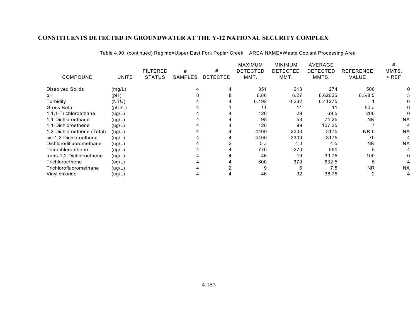|                            |              |                 |         |                 | <b>MAXIMUM</b> | <b>MINIMUM</b> | AVERAGE  |                  | #         |
|----------------------------|--------------|-----------------|---------|-----------------|----------------|----------------|----------|------------------|-----------|
|                            |              | <b>FILTERED</b> | #       | #               | DETECTED       | DETECTED       | DETECTED | <b>REFERENCE</b> | MMTS.     |
| COMPOUND                   | <b>UNITS</b> | <b>STATUS</b>   | SAMPLES | <b>DETECTED</b> | MMT.           | MMT.           | MMTS.    | <b>VALUE</b>     | $>$ REF   |
| <b>Dissolved Solids</b>    | (mg/L)       |                 |         |                 | 351            | 213            | 274      | 500              |           |
| рH                         | (pH)         |                 |         | 8               | 6.86           | 6.27           | 6.62625  | 6.5/8.5          |           |
| Turbidity                  | (NTU)        |                 |         |                 | 0.492          | 0.232          | 0.41275  |                  |           |
| Gross Beta                 | (pCi/L)      |                 |         |                 | 11             | 11             | 11       | 50a              |           |
| 1,1,1-Trichloroethane      | (ug/L)       |                 |         |                 | 120            | 29             | 69.5     | 200              |           |
| 1,1-Dichloroethane         | (ug/L)       |                 |         |                 | 98             | 53             | 74.25    | <b>NR</b>        | <b>NA</b> |
| 1.1-Dichloroethene         | (ug/L)       |                 |         |                 | 120            | 99             | 107.25   |                  |           |
| 1,2-Dichloroethene (Total) | (ug/L)       |                 |         |                 | 4400           | 2300           | 3175     | NR b             | <b>NA</b> |
| cis-1,2-Dichloroethene     | (ug/L)       |                 |         |                 | 4400           | 2300           | 3175     | 70               |           |
| Dichlorodifluoromethane    | (ug/L)       |                 |         |                 | 5J             | 4 J            | 4.5      | <b>NR</b>        | <b>NA</b> |
| Tetrachloroethene          | (ug/L)       |                 |         |                 | 770            | 270            | 590      | 5                |           |
| trans-1,2-Dichloroethene   | (ug/L)       |                 |         |                 | 46             | 19             | 30.75    | 100              |           |
| Trichloroethene            | (ug/L)       |                 |         |                 | 800            | 370            | 632.5    | 5                |           |
| Trichlorofluoromethane     | (ug/L)       |                 |         |                 | 9              | 6              | 7.5      | <b>NR</b>        | <b>NA</b> |
| Vinyl chloride             | (ug/L)       |                 |         |                 | 46             | 32             | 38.75    |                  | 4         |

Table 4.90. (continued) Regime=Upper East Fork Poplar Creek AREA NAME=Waste Coolant Processing Area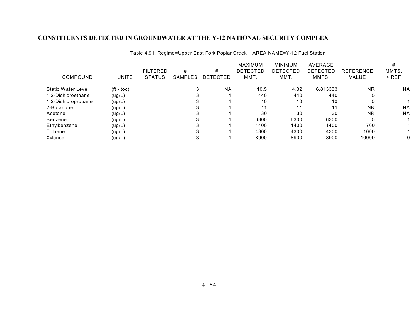| COMPOUND                  | UNITS              | <b>FILTERED</b><br><b>STATUS</b> | #<br><b>SAMPLES</b> | #<br><b>DETECTED</b> | <b>MAXIMUM</b><br><b>DETECTED</b><br>MMT. | <b>MINIMUM</b><br>DETECTED<br>MMT. | AVERAGE<br><b>DETECTED</b><br>MMTS. | <b>REFERENCE</b><br><b>VALUE</b> | MMTS.<br>$>$ REF |
|---------------------------|--------------------|----------------------------------|---------------------|----------------------|-------------------------------------------|------------------------------------|-------------------------------------|----------------------------------|------------------|
| <b>Static Water Level</b> | $({\rm ft -}$ toc) |                                  |                     | <b>NA</b>            | 10.5                                      | 4.32                               | 6.813333                            | <b>NR</b>                        | <b>NA</b>        |
| 1,2-Dichloroethane        | (ug/L)             |                                  |                     |                      | 440                                       | 440                                | 440                                 | h                                |                  |
| 1,2-Dichloropropane       | (ug/L)             |                                  |                     |                      | 10                                        | 10                                 | 10                                  | <sub>5</sub>                     |                  |
| 2-Butanone                | (ug/L)             |                                  | ົ                   |                      | 11                                        | 11                                 | 11                                  | <b>NR</b>                        | <b>NA</b>        |
| Acetone                   | (ug/L)             |                                  |                     |                      | 30                                        | 30                                 | 30                                  | <b>NR</b>                        | <b>NA</b>        |
| Benzene                   | (ug/L)             |                                  |                     |                      | 6300                                      | 6300                               | 6300                                | 5                                |                  |
| Ethylbenzene              | (ug/L)             |                                  |                     |                      | 1400                                      | 1400                               | 1400                                | 700                              |                  |
| Toluene                   | (ug/L)             |                                  |                     |                      | 4300                                      | 4300                               | 4300                                | 1000                             |                  |
| Xylenes                   | (ug/L)             |                                  |                     |                      | 8900                                      | 8900                               | 8900                                | 10000                            |                  |

Table 4.91. Regime=Upper East Fork Poplar Creek AREA NAME=Y-12 Fuel Station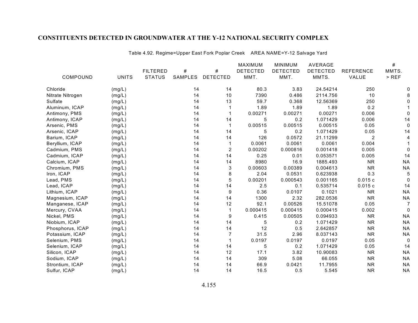|                  |              |                 |                |                  | MAXIMUM         | <b>MINIMUM</b>  | <b>AVERAGE</b>  |                  | $\#$      |
|------------------|--------------|-----------------|----------------|------------------|-----------------|-----------------|-----------------|------------------|-----------|
|                  |              | <b>FILTERED</b> | #              | $\#$             | <b>DETECTED</b> | <b>DETECTED</b> | <b>DETECTED</b> | <b>REFERENCE</b> | MMTS.     |
| COMPOUND         | <b>UNITS</b> | <b>STATUS</b>   | <b>SAMPLES</b> | <b>DETECTED</b>  | MMT.            | MMT.            | MMTS.           | VALUE            | $>$ REF   |
| Chloride         | (mg/L)       |                 | 14             | 14               | 80.3            | 3.83            | 24.54214        | 250              |           |
| Nitrate Nitrogen | (mg/L)       |                 | 14             | 10               | 7390            | 0.486           | 2114.756        | 10               |           |
| Sulfate          | (mg/L)       |                 | 14             | 13               | 59.7            | 0.368           | 12.56369        | 250              |           |
| Aluminum, ICAP   | (mg/L)       |                 | 14             |                  | 1.89            | 1.89            | 1.89            | 0.2              |           |
| Antimony, PMS    | (mg/L)       |                 | 14             |                  | 0.00271         | 0.00271         | 0.00271         | 0.006            |           |
| Antimony, ICAP   | (mg/L)       |                 | 14             | 14               | 5               | 0.2             | 1.071429        | 0.006            | 14        |
| Arsenic, PMS     | (mg/L)       |                 | 14             | $\overline{1}$   | 0.00515         | 0.00515         | 0.00515         | 0.05             | 0         |
| Arsenic, ICAP    | (mg/L)       |                 | 14             | 14               | 5               | 0.2             | 1.071429        | 0.05             | 14        |
| Barium, ICAP     | (mg/L)       |                 | 14             | 14               | 126             | 0.0572          | 21.11299        | $\overline{2}$   |           |
| Beryllium, ICAP  | (mg/L)       |                 | 14             |                  | 0.0061          | 0.0061          | 0.0061          | 0.004            |           |
| Cadmium, PMS     | (mg/L)       |                 | 14             | $\boldsymbol{2}$ | 0.00202         | 0.000816        | 0.001418        | 0.005            |           |
| Cadmium, ICAP    | (mg/L)       |                 | 14             | 14               | 0.25            | 0.01            | 0.053571        | 0.005            | 14        |
| Calcium, ICAP    | (mg/L)       |                 | 14             | 14               | 8980            | 16.9            | 1885.493        | <b>NR</b>        | <b>NA</b> |
| Chromium, PMS    | (mg/L)       |                 | 14             | 3                | 0.00603         | 0.00389         | 0.004613        | <b>NR</b>        | <b>NA</b> |
| Iron, ICAP       | (mg/L)       |                 | 14             | 8                | 2.04            | 0.0531          | 0.623938        | 0.3              | 5         |
| Lead, PMS        | (mg/L)       |                 | 14             | 5                | 0.00201         | 0.000543        | 0.001165        | 0.015c           | 0         |
| Lead, ICAP       | (mg/L)       |                 | 14             | 14               | 2.5             | 0.1             | 0.535714        | 0.015c           | 14        |
| Lithium, ICAP    | (mg/L)       |                 | 14             | 9                | 0.36            | 0.0107          | 0.1021          | <b>NR</b>        | <b>NA</b> |
| Magnesium, ICAP  | (mg/L)       |                 | 14             | 14               | 1300            | 2.32            | 282.0536        | <b>NR</b>        | <b>NA</b> |
| Manganese, ICAP  | (mg/L)       |                 | 14             | 12               | 92.1            | 0.00526         | 15.51078        | 0.05             | 7         |
| Mercury, CVAA    | (mg/L)       |                 | 14             | $\overline{1}$   | 0.000415        | 0.000415        | 0.000415        | 0.002            |           |
| Nickel, PMS      | (mg/L)       |                 | 14             | 9                | 0.415           | 0.00505         | 0.094933        | <b>NR</b>        | <b>NA</b> |
| Niobium, ICAP    | (mg/L)       |                 | 14             | 14               | 5               | 0.2             | 1.071429        | <b>NR</b>        | <b>NA</b> |
| Phosphorus, ICAP | (mg/L)       |                 | 14             | 14               | 12              | 0.5             | 2.642857        | <b>NR</b>        | <b>NA</b> |
| Potassium, ICAP  | (mg/L)       |                 | 14             | $\overline{7}$   | 31.5            | 2.96            | 8.037143        | <b>NR</b>        | <b>NA</b> |
| Selenium, PMS    | (mg/L)       |                 | 14             |                  | 0.0197          | 0.0197          | 0.0197          | 0.05             | 0         |
| Selenium, ICAP   | (mg/L)       |                 | 14             | 14               | 5               | 0.2             | 1.071429        | 0.05             | 14        |
| Silicon, ICAP    | (mg/L)       |                 | 14             | 12               | 17.1            | 3.82            | 10.90083        | <b>NR</b>        | <b>NA</b> |
| Sodium, ICAP     | (mg/L)       |                 | 14             | 14               | 309             | 5.08            | 66.055          | <b>NR</b>        | <b>NA</b> |
| Strontium, ICAP  | (mg/L)       |                 | 14             | 14               | 66.9            | 0.0421          | 11.7955         | <b>NR</b>        | <b>NA</b> |
| Sulfur, ICAP     | (mg/L)       |                 | 14             | 14               | 16.5            | 0.5             | 5.545           | <b>NR</b>        | <b>NA</b> |

Table 4.92. Regime=Upper East Fork Poplar Creek AREA NAME=Y-12 Salvage Yard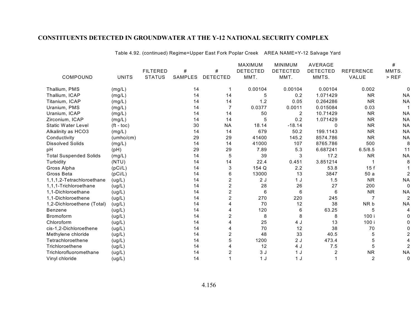|                               |                    |                 |                |                 | <b>MAXIMUM</b>  | <b>MINIMUM</b>  | AVERAGE         |                  | #              |
|-------------------------------|--------------------|-----------------|----------------|-----------------|-----------------|-----------------|-----------------|------------------|----------------|
|                               |                    | <b>FILTERED</b> | #              | #               | <b>DETECTED</b> | <b>DETECTED</b> | <b>DETECTED</b> | <b>REFERENCE</b> | MMTS.          |
| COMPOUND                      | <b>UNITS</b>       | <b>STATUS</b>   | <b>SAMPLES</b> | <b>DETECTED</b> | MMT.            | MMT.            | MMTS.           | VALUE            | $>$ REF        |
| Thallium, PMS                 | (mg/L)             |                 | 14             |                 | 0.00104         | 0.00104         | 0.00104         | 0.002            | 0              |
| Thallium, ICAP                | (mg/L)             |                 | 14             | 14              | 5               | 0.2             | 1.071429        | <b>NR</b>        | <b>NA</b>      |
| Titanium, ICAP                | (mg/L)             |                 | 14             | 14              | 1.2             | 0.05            | 0.264286        | <b>NR</b>        | <b>NA</b>      |
| Uranium, PMS                  | (mg/L)             |                 | 14             | 7               | 0.0377          | 0.0011          | 0.015084        | 0.03             |                |
| Uranium, ICAP                 | (mg/L)             |                 | 14             | 14              | 50              | 2               | 10.71429        | <b>NR</b>        | <b>NA</b>      |
| Zirconium, ICAP               | (mg/L)             |                 | 14             | 14              | 5               | 0.2             | 1.071429        | <b>NR</b>        | <b>NA</b>      |
| Static Water Level            | $(t - \text{toc})$ |                 | 30             | <b>NA</b>       | 18.14           | $-18.14$        | 0               | <b>NR</b>        | <b>NA</b>      |
| Alkalinity as HCO3            | (mg/L)             |                 | 14             | 14              | 679             | 50.2            | 199.1143        | <b>NR</b>        | <b>NA</b>      |
| Conductivity                  | (umho/cm)          |                 | 29             | 29              | 41400           | 145.2           | 8574.786        | <b>NR</b>        | <b>NA</b>      |
| Dissolved Solids              | (mg/L)             |                 | 14             | 14              | 41000           | 107             | 8765.786        | 500              | 8              |
| pН                            | (pH)               |                 | 29             | 29              | 7.89            | 5.3             | 6.687241        | 6.5/8.5          | 11             |
| <b>Total Suspended Solids</b> | (mg/L)             |                 | 14             | 5               | 39              | 3               | 17.2            | <b>NR</b>        | <b>NA</b>      |
| Turbidity                     | (NTU)              |                 | 14             | 14              | 22.4            | 0.451           | 3.851214        |                  | 8              |
| Gross Alpha                   | (pCi/L)            |                 | 14             | 3               | 154 Q           | 2.2             | 53.8            | 15f              |                |
| Gross Beta                    | (pCi/L)            |                 | 14             | 6               | 13000           | 13              | 3847            | 50 a             | 2              |
| 1,1,1,2-Tetrachloroethane     | (ug/L)             |                 | 14             | 2               | 2J              | 1J              | 1.5             | <b>NR</b>        | <b>NA</b>      |
| 1,1,1-Trichloroethane         | (ug/L)             |                 | 14             | 2               | 28              | 26              | 27              | 200              | $\mathbf 0$    |
| 1,1-Dichloroethane            | (ug/L)             |                 | 14             | 2               | 6               | 6               | 6               | <b>NR</b>        | <b>NA</b>      |
| 1,1-Dichloroethene            | (ug/L)             |                 | 14             | 2               | 270             | 220             | 245             | 7                | $\overline{2}$ |
| 1,2-Dichloroethene (Total)    | (ug/L)             |                 | 14             |                 | 70              | 12              | 38              | NR b             | <b>NA</b>      |
| Benzene                       | (ug/L)             |                 | 14             |                 | 120             | 6               | 63.25           | 5                |                |
| Bromoform                     | (ug/L)             |                 | 14             | 2               | 8               | 8               | 8               | 100 i            |                |
| Chloroform                    | (ug/L)             |                 | 14             |                 | 25              | 4 J             | 13              | 100 i            |                |
| cis-1,2-Dichloroethene        | (ug/L)             |                 | 14             |                 | 70              | 12              | 38              | 70               |                |
| Methylene chloride            | (ug/L)             |                 | 14             | 2               | 48              | 33              | 40.5            | 5                |                |
| Tetrachloroethene             | (ug/L)             |                 | 14             | 5               | 1200            | 2J              | 473.4           | 5                |                |
| Trichloroethene               | (ug/L)             |                 | 14             |                 | 12              | 4 J             | 7.5             | 5                |                |
| Trichlorofluoromethane        | (ug/L)             |                 | 14             |                 | 3J              | 1 <sub>J</sub>  |                 | <b>NR</b>        | <b>NA</b>      |
| Vinyl chloride                | (ug/L)             |                 | 14             |                 | 1 <sub>J</sub>  | 1J              |                 | $\overline{2}$   | 0              |

Table 4.92. (continued) Regime=Upper East Fork Poplar Creek AREA NAME=Y-12 Salvage Yard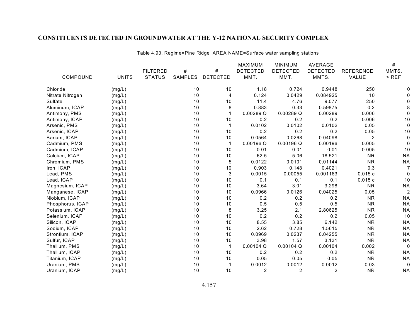|                  |              |                 |                |                 | MAXIMUM         | <b>MINIMUM</b>  | <b>AVERAGE</b>  |                  | #              |
|------------------|--------------|-----------------|----------------|-----------------|-----------------|-----------------|-----------------|------------------|----------------|
|                  |              | <b>FILTERED</b> | #              | #               | <b>DETECTED</b> | <b>DETECTED</b> | <b>DETECTED</b> | <b>REFERENCE</b> | MMTS.          |
| COMPOUND         | <b>UNITS</b> | <b>STATUS</b>   | <b>SAMPLES</b> | <b>DETECTED</b> | MMT.            | MMT.            | MMTS.           | VALUE            | $>$ REF        |
| Chloride         | (mg/L)       |                 | 10             | 10              | 1.18            | 0.724           | 0.9448          | 250              |                |
| Nitrate Nitrogen | (mg/L)       |                 | 10             | 4               | 0.124           | 0.0429          | 0.084925        | 10               |                |
| Sulfate          | (mg/L)       |                 | 10             | 10              | 11.4            | 4.76            | 9.077           | 250              |                |
| Aluminum, ICAP   | (mg/L)       |                 | 10             | 8               | 0.883           | 0.33            | 0.59875         | 0.2              |                |
| Antimony, PMS    | (mg/L)       |                 | 10             |                 | 0.00289Q        | 0.00289Q        | 0.00289         | 0.006            |                |
| Antimony, ICAP   | (mg/L)       |                 | 10             | 10              | 0.2             | 0.2             | 0.2             | 0.006            | 10             |
| Arsenic, PMS     | (mg/L)       |                 | 10             | $\mathbf 1$     | 0.0102          | 0.0102          | 0.0102          | 0.05             |                |
| Arsenic, ICAP    | (mg/L)       |                 | 10             | 10              | 0.2             | 0.2             | 0.2             | 0.05             | 10             |
| Barium, ICAP     | (mg/L)       |                 | 10             | 10              | 0.0564          | 0.0268          | 0.04098         | $\overline{2}$   | 0              |
| Cadmium, PMS     | (mg/L)       |                 | 10             | $\mathbf 1$     | 0.00196 Q       | 0.00196Q        | 0.00196         | 0.005            | 0              |
| Cadmium, ICAP    | (mg/L)       |                 | 10             | 10              | 0.01            | 0.01            | 0.01            | 0.005            | 10             |
| Calcium, ICAP    | (mg/L)       |                 | 10             | 10              | 62.5            | 5.06            | 18.521          | <b>NR</b>        | <b>NA</b>      |
| Chromium, PMS    | (mg/L)       |                 | 10             | 5               | 0.0122          | 0.0101          | 0.01144         | <b>NR</b>        | <b>NA</b>      |
| Iron, ICAP       | (mg/L)       |                 | 10             | 10              | 0.903           | 0.148           | 0.4021          | 0.3              | 7              |
| Lead, PMS        | (mg/L)       |                 | 10             | 3               | 0.0015          | 0.00055         | 0.001163        | 0.015c           | 0              |
| Lead, ICAP       | (mg/L)       |                 | 10             | 10              | 0.1             | 0.1             | 0.1             | 0.015c           | 10             |
| Magnesium, ICAP  | (mg/L)       |                 | 10             | 10              | 3.64            | 3.01            | 3.298           | <b>NR</b>        | <b>NA</b>      |
| Manganese, ICAP  | (mg/L)       |                 | 10             | 10              | 0.0966          | 0.0126          | 0.04025         | 0.05             | $\overline{c}$ |
| Niobium, ICAP    | (mg/L)       |                 | 10             | 10              | 0.2             | 0.2             | 0.2             | <b>NR</b>        | <b>NA</b>      |
| Phosphorus, ICAP | (mg/L)       |                 | 10             | 10              | 0.5             | 0.5             | 0.5             | <b>NR</b>        | <b>NA</b>      |
| Potassium, ICAP  | (mg/L)       |                 | 10             | 8               | 3.25            | 2.1             | 2.80625         | <b>NR</b>        | <b>NA</b>      |
| Selenium, ICAP   | (mg/L)       |                 | 10             | 10              | 0.2             | 0.2             | 0.2             | 0.05             | 10             |
| Silicon, ICAP    | (mg/L)       |                 | 10             | 10              | 8.55            | 3.85            | 6.142           | <b>NR</b>        | <b>NA</b>      |
| Sodium, ICAP     | (mg/L)       |                 | 10             | 10              | 2.62            | 0.728           | 1.5615          | <b>NR</b>        | <b>NA</b>      |
| Strontium, ICAP  | (mg/L)       |                 | 10             | 10              | 0.0969          | 0.0237          | 0.04255         | <b>NR</b>        | <b>NA</b>      |
| Sulfur, ICAP     | (mg/L)       |                 | 10             | 10              | 3.98            | 1.57            | 3.131           | <b>NR</b>        | <b>NA</b>      |
| Thallium, PMS    | (mg/L)       |                 | 10             |                 | $0.00104$ Q     | $0.00104$ Q     | 0.00104         | 0.002            | 0              |
| Thallium, ICAP   | (mg/L)       |                 | 10             | 10              | 0.2             | 0.2             | 0.2             | <b>NR</b>        | <b>NA</b>      |
| Titanium, ICAP   | (mg/L)       |                 | 10             | 10              | 0.05            | 0.05            | 0.05            | <b>NR</b>        | <b>NA</b>      |
| Uranium, PMS     | (mg/L)       |                 | 10             |                 | 0.0012          | 0.0012          | 0.0012          | 0.03             | 0              |
| Uranium, ICAP    | (mg/L)       |                 | 10             | 10              | 2               | $\overline{2}$  | $\overline{2}$  | <b>NR</b>        | <b>NA</b>      |

Table 4.93. Regime=Pine Ridge AREA NAME=Surface water sampling stations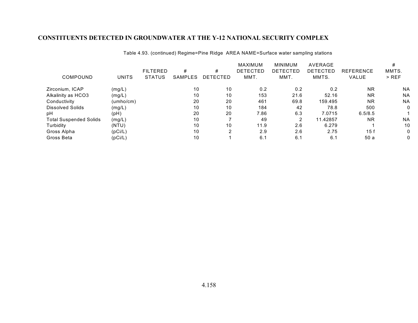|                               |              | <b>FILTERED</b> | #              | #        | <b>MAXIMUM</b><br><b>DETECTED</b> | <b>MINIMUM</b><br>DETECTED | AVERAGE<br><b>DETECTED</b> | <b>REFERENCE</b> | MMTS.     |
|-------------------------------|--------------|-----------------|----------------|----------|-----------------------------------|----------------------------|----------------------------|------------------|-----------|
| COMPOUND                      | <b>UNITS</b> | <b>STATUS</b>   | <b>SAMPLES</b> | DETECTED | MMT.                              | MMT.                       | MMTS.                      | VALUE            | $>$ REF   |
| Zirconium, ICAP               | (mg/L)       |                 | 10             | 10       | 0.2                               | 0.2                        | 0.2                        | <b>NR</b>        | <b>NA</b> |
| Alkalinity as HCO3            | (mg/L)       |                 | 10             | 10       | 153                               | 21.6                       | 52.16                      | <b>NR</b>        | <b>NA</b> |
| Conductivity                  | (umho/cm)    |                 | 20             | 20       | 461                               | 69.8                       | 159.495                    | <b>NR</b>        | <b>NA</b> |
| Dissolved Solids              | (mg/L)       |                 | 10             | 10       | 184                               | 42                         | 78.8                       | 500              | 0         |
| рH                            | (pH)         |                 | 20             | 20       | 7.86                              | 6.3                        | 7.0715                     | 6.5/8.5          |           |
| <b>Total Suspended Solids</b> | (mg/L)       |                 | 10             |          | 49                                | 2                          | 11.42857                   | <b>NR</b>        | <b>NA</b> |
| Turbidity                     | (NTU)        |                 | 10             | 10       | 11.9                              | 2.6                        | 6.279                      |                  | 10        |
| Gross Alpha                   | (pCi/L)      |                 | 10             | 2        | 2.9                               | 2.6                        | 2.75                       | 15f              | 0         |
| Gross Beta                    | (pCi/L)      |                 | 10             |          | 6.1                               | 6.1                        | 6.1                        | 50 a             | 0         |

Table 4.93. (continued) Regime=Pine Ridge AREA NAME=Surface water sampling stations